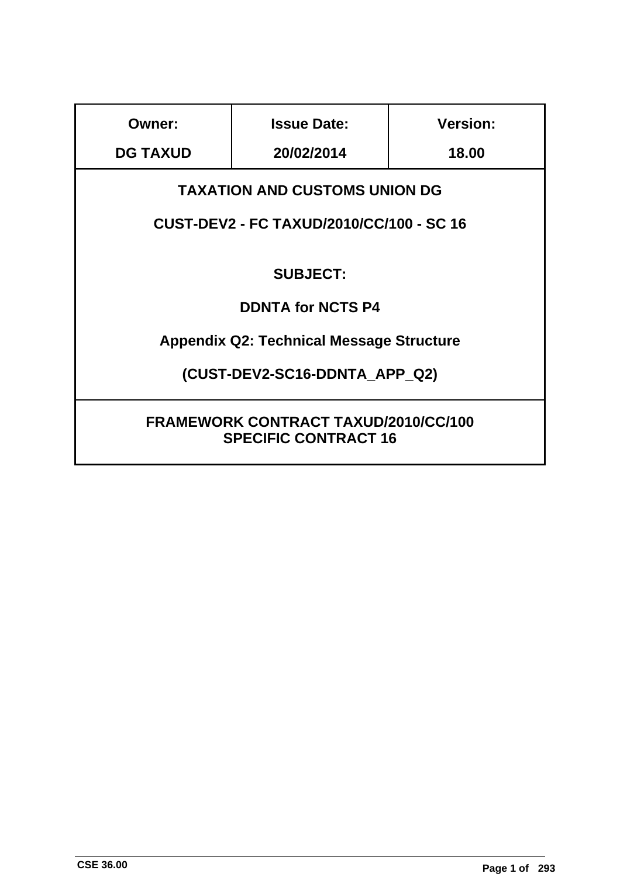| <b>Owner:</b>                                                                           | <b>Issue Date:</b>                              | <b>Version:</b> |  |  |
|-----------------------------------------------------------------------------------------|-------------------------------------------------|-----------------|--|--|
| <b>DG TAXUD</b>                                                                         | 20/02/2014                                      | 18.00           |  |  |
| <b>TAXATION AND CUSTOMS UNION DG</b><br><b>CUST-DEV2 - FC TAXUD/2010/CC/100 - SC 16</b> |                                                 |                 |  |  |
|                                                                                         | <b>SUBJECT:</b>                                 |                 |  |  |
|                                                                                         | <b>DDNTA for NCTS P4</b>                        |                 |  |  |
|                                                                                         | <b>Appendix Q2: Technical Message Structure</b> |                 |  |  |
| (CUST-DEV2-SC16-DDNTA APP Q2)                                                           |                                                 |                 |  |  |
| <b>FRAMEWORK CONTRACT TAXUD/2010/CC/100</b><br><b>SPECIFIC CONTRACT 16</b>              |                                                 |                 |  |  |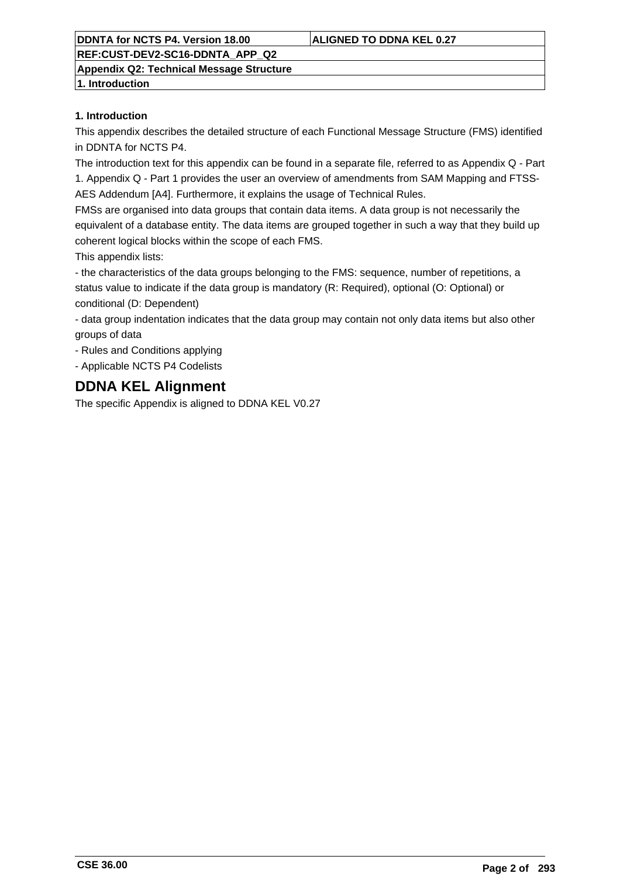## **REF:CUST-DEV2-SC16-DDNTA\_APP\_Q2**

**Appendix Q2: Technical Message Structure**

**1. Introduction**

#### **1. Introduction**

This appendix describes the detailed structure of each Functional Message Structure (FMS) identified in DDNTA for NCTS P4.

The introduction text for this appendix can be found in a separate file, referred to as Appendix Q - Part 1. Appendix Q - Part 1 provides the user an overview of amendments from SAM Mapping and FTSS-AES Addendum [A4]. Furthermore, it explains the usage of Technical Rules.

FMSs are organised into data groups that contain data items. A data group is not necessarily the equivalent of a database entity. The data items are grouped together in such a way that they build up coherent logical blocks within the scope of each FMS.

This appendix lists:

- the characteristics of the data groups belonging to the FMS: sequence, number of repetitions, a status value to indicate if the data group is mandatory (R: Required), optional (O: Optional) or conditional (D: Dependent)

- data group indentation indicates that the data group may contain not only data items but also other groups of data

- Rules and Conditions applying

- Applicable NCTS P4 Codelists

## **DDNA KEL Alignment**

The specific Appendix is aligned to DDNA KEL V0.27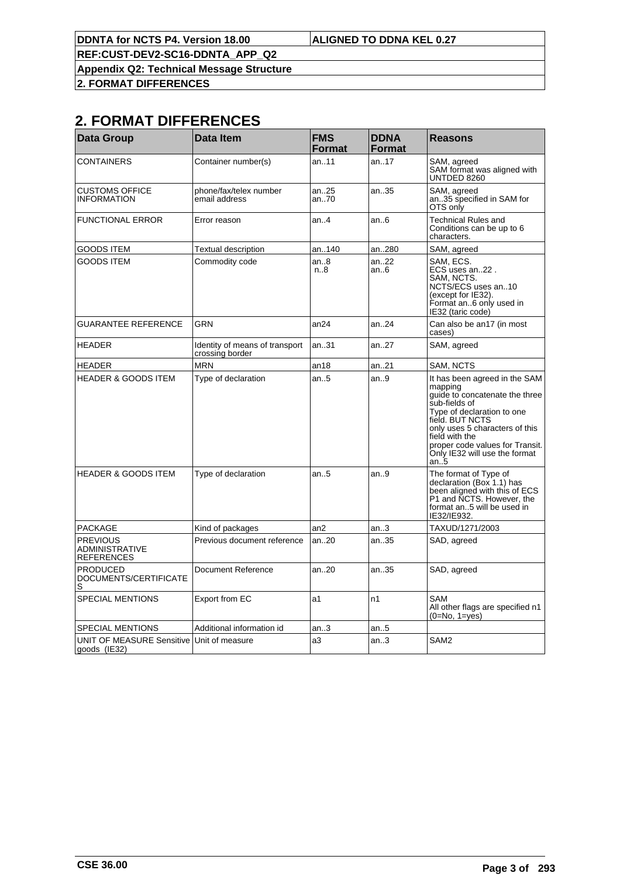**REF:CUST-DEV2-SC16-DDNTA\_APP\_Q2**

**Appendix Q2: Technical Message Structure**

**2. FORMAT DIFFERENCES**

## **2. FORMAT DIFFERENCES**

| <b>Data Group</b>                                         | <b>Data Item</b>                                  | <b>FMS</b><br><b>Format</b> | <b>DDNA</b><br><b>Format</b> | <b>Reasons</b>                                                                                                                                                                                                                                                              |
|-----------------------------------------------------------|---------------------------------------------------|-----------------------------|------------------------------|-----------------------------------------------------------------------------------------------------------------------------------------------------------------------------------------------------------------------------------------------------------------------------|
| CONTAINERS                                                | Container number(s)                               | an11                        | an17                         | SAM, agreed<br>SAM format was aligned with<br>UNTDED 8260                                                                                                                                                                                                                   |
| <b>CUSTOMS OFFICE</b><br><b>INFORMATION</b>               | phone/fax/telex number<br>email address           | an25<br>an70                | an35                         | SAM, agreed<br>an35 specified in SAM for<br>OTS only                                                                                                                                                                                                                        |
| <b>FUNCTIONAL ERROR</b>                                   | Error reason                                      | an4                         | an.6                         | <b>Technical Rules and</b><br>Conditions can be up to 6<br>characters.                                                                                                                                                                                                      |
| GOODS ITEM                                                | Textual description                               | an140                       | an280                        | SAM, agreed                                                                                                                                                                                                                                                                 |
| <b>GOODS ITEM</b>                                         | Commodity code                                    | an8<br>n.8                  | an22<br>an.6                 | SAM, ECS.<br>ECS uses an22.<br>SAM. NCTS.<br>NCTS/ECS uses an10<br>(except for IE32).<br>Format an6 only used in<br>IE32 (taric code)                                                                                                                                       |
| GUARANTEE REFERENCE                                       | <b>GRN</b>                                        | an24                        | an.24                        | Can also be an17 (in most<br>cases)                                                                                                                                                                                                                                         |
| <b>HEADER</b>                                             | Identity of means of transport<br>crossing border | an31                        | an27                         | SAM, agreed                                                                                                                                                                                                                                                                 |
| HEADER                                                    | <b>MRN</b>                                        | an18                        | an21                         | SAM. NCTS                                                                                                                                                                                                                                                                   |
| <b>HEADER &amp; GOODS ITEM</b>                            | Type of declaration                               | an5                         | an.9                         | It has been agreed in the SAM<br>mapping<br>guide to concatenate the three<br>sub-fields of<br>Type of declaration to one<br>field. BUT NCTS<br>only uses 5 characters of this<br>field with the<br>proper code values for Transit.<br>Only IE32 will use the format<br>an5 |
| <b>HEADER &amp; GOODS ITEM</b>                            | Type of declaration                               | an.5                        | an9                          | The format of Type of<br>declaration (Box 1.1) has<br>been aligned with this of ECS<br>P1 and NCTS. However, the<br>format an5 will be used in<br>IE32/IE932.                                                                                                               |
| <b>PACKAGE</b>                                            | Kind of packages                                  | an2                         | an.3                         | TAXUD/1271/2003                                                                                                                                                                                                                                                             |
| <b>PREVIOUS</b><br><b>ADMINISTRATIVE</b><br>REFERENCES    | Previous document reference                       | an20                        | an35                         | SAD, agreed                                                                                                                                                                                                                                                                 |
| <b>PRODUCED</b><br>DOCUMENTS/CERTIFICATE<br>S             | Document Reference                                | an20                        | an35                         | SAD, agreed                                                                                                                                                                                                                                                                 |
| <b>SPECIAL MENTIONS</b>                                   | Export from EC                                    | а1                          | n1                           | <b>SAM</b><br>All other flags are specified n1<br>(0=No, 1=yes)                                                                                                                                                                                                             |
| <b>SPECIAL MENTIONS</b>                                   | Additional information id                         | an3                         | an5                          |                                                                                                                                                                                                                                                                             |
| UNIT OF MEASURE Sensitive Unit of measure<br>goods (IE32) |                                                   | a3                          | an.3                         | SAM <sub>2</sub>                                                                                                                                                                                                                                                            |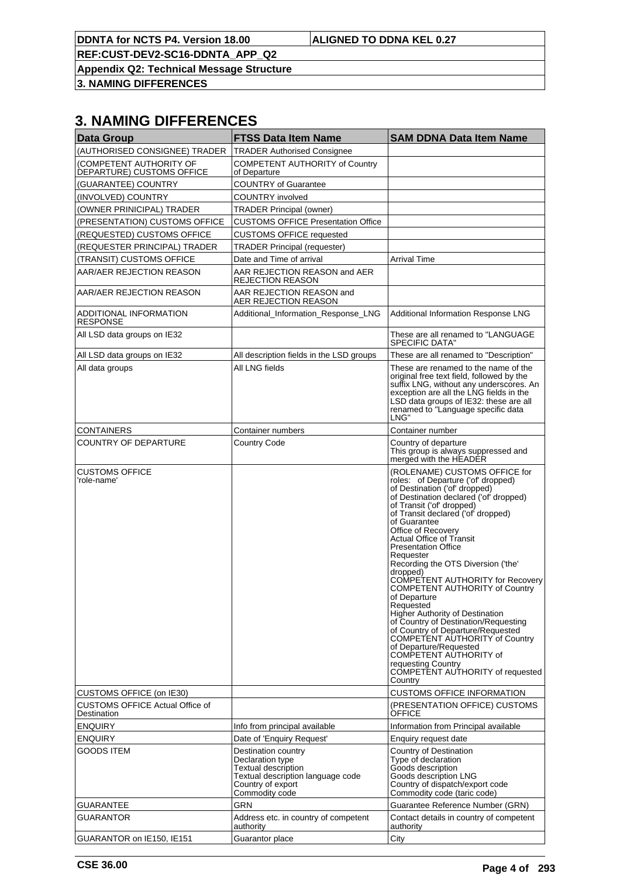**REF:CUST-DEV2-SC16-DDNTA\_APP\_Q2**

**Appendix Q2: Technical Message Structure**

**3. NAMING DIFFERENCES**

## **3. NAMING DIFFERENCES**

| <b>Data Group</b>                                     | <b>FTSS Data Item Name</b>                                                                                                                        | <b>SAM DDNA Data Item Name</b>                                                                                                                                                                                                                                                                                                                                                                                                                                                                                                                                                                                                                                                                                                                                                      |
|-------------------------------------------------------|---------------------------------------------------------------------------------------------------------------------------------------------------|-------------------------------------------------------------------------------------------------------------------------------------------------------------------------------------------------------------------------------------------------------------------------------------------------------------------------------------------------------------------------------------------------------------------------------------------------------------------------------------------------------------------------------------------------------------------------------------------------------------------------------------------------------------------------------------------------------------------------------------------------------------------------------------|
| (AUTHORISED CONSIGNEE) TRADER                         | <b>TRADER Authorised Consignee</b>                                                                                                                |                                                                                                                                                                                                                                                                                                                                                                                                                                                                                                                                                                                                                                                                                                                                                                                     |
| (COMPETENT AUTHORITY OF<br>DEPARTURE) CUSTOMS OFFICE  | <b>COMPETENT AUTHORITY of Country</b><br>of Departure                                                                                             |                                                                                                                                                                                                                                                                                                                                                                                                                                                                                                                                                                                                                                                                                                                                                                                     |
| (GUARANTEE) COUNTRY                                   | <b>COUNTRY of Guarantee</b>                                                                                                                       |                                                                                                                                                                                                                                                                                                                                                                                                                                                                                                                                                                                                                                                                                                                                                                                     |
| (INVOLVED) COUNTRY                                    | COUNTRY involved                                                                                                                                  |                                                                                                                                                                                                                                                                                                                                                                                                                                                                                                                                                                                                                                                                                                                                                                                     |
| (OWNER PRINICIPAL) TRADER                             | <b>TRADER Principal (owner)</b>                                                                                                                   |                                                                                                                                                                                                                                                                                                                                                                                                                                                                                                                                                                                                                                                                                                                                                                                     |
| (PRESENTATION) CUSTOMS OFFICE                         | <b>CUSTOMS OFFICE Presentation Office</b>                                                                                                         |                                                                                                                                                                                                                                                                                                                                                                                                                                                                                                                                                                                                                                                                                                                                                                                     |
| (REQUESTED) CUSTOMS OFFICE                            | <b>CUSTOMS OFFICE requested</b>                                                                                                                   |                                                                                                                                                                                                                                                                                                                                                                                                                                                                                                                                                                                                                                                                                                                                                                                     |
| (REQUESTER PRINCIPAL) TRADER                          | <b>TRADER Principal (requester)</b>                                                                                                               |                                                                                                                                                                                                                                                                                                                                                                                                                                                                                                                                                                                                                                                                                                                                                                                     |
| (TRANSIT) CUSTOMS OFFICE                              | Date and Time of arrival                                                                                                                          | <b>Arrival Time</b>                                                                                                                                                                                                                                                                                                                                                                                                                                                                                                                                                                                                                                                                                                                                                                 |
| AAR/AER REJECTION REASON                              | AAR REJECTION REASON and AER<br><b>REJECTION REASON</b>                                                                                           |                                                                                                                                                                                                                                                                                                                                                                                                                                                                                                                                                                                                                                                                                                                                                                                     |
| AAR/AER REJECTION REASON                              | AAR REJECTION REASON and<br>AER REJECTION REASON                                                                                                  |                                                                                                                                                                                                                                                                                                                                                                                                                                                                                                                                                                                                                                                                                                                                                                                     |
| ADDITIONAL INFORMATION<br><b>RESPONSE</b>             | Additional_Information_Response_LNG                                                                                                               | Additional Information Response LNG                                                                                                                                                                                                                                                                                                                                                                                                                                                                                                                                                                                                                                                                                                                                                 |
| All LSD data groups on IE32                           |                                                                                                                                                   | These are all renamed to "LANGUAGE<br>SPECIFIC DATA"                                                                                                                                                                                                                                                                                                                                                                                                                                                                                                                                                                                                                                                                                                                                |
| All LSD data groups on IE32                           | All description fields in the LSD groups                                                                                                          | These are all renamed to "Description"                                                                                                                                                                                                                                                                                                                                                                                                                                                                                                                                                                                                                                                                                                                                              |
| All data groups                                       | All LNG fields                                                                                                                                    | These are renamed to the name of the<br>original free text field, followed by the<br>suffix LNG, without any underscores. An<br>exception are all the LNG fields in the<br>LSD data groups of IE32: these are all<br>renamed to "Language specific data<br>LNG"                                                                                                                                                                                                                                                                                                                                                                                                                                                                                                                     |
| <b>CONTAINERS</b>                                     | Container numbers                                                                                                                                 | Container number                                                                                                                                                                                                                                                                                                                                                                                                                                                                                                                                                                                                                                                                                                                                                                    |
| COUNTRY OF DEPARTURE                                  | <b>Country Code</b>                                                                                                                               | Country of departure<br>This group is always suppressed and<br>merged with the HEADER                                                                                                                                                                                                                                                                                                                                                                                                                                                                                                                                                                                                                                                                                               |
| <b>CUSTOMS OFFICE</b><br>'role-name'                  |                                                                                                                                                   | (ROLENAME) CUSTOMS OFFICE for<br>roles: of Departure ('of' dropped)<br>of Destination ('of' dropped)<br>of Destination declared ('of' dropped)<br>of Transit ('of' dropped)<br>of Transit declared ('of' dropped)<br>of Guarantee<br>Office of Recovery<br><b>Actual Office of Transit</b><br><b>Presentation Office</b><br>Requester<br>Recording the OTS Diversion ('the'<br>dropped)<br>COMPETENT AUTHORITY for Recovery<br><b>COMPETENT AUTHORITY of Country</b><br>of Departure<br>Requested<br><b>Higher Authority of Destination</b><br>of Country of Destination/Requesting<br>of Country of Departure/Requested<br>COMPETENT AUTHORITY of Country<br>of Departure/Requested<br>COMPETENT AUTHORITY of<br>requesting Country<br>COMPETENT AUTHORITY of requested<br>Country |
| CUSTOMS OFFICE (on IE30)                              |                                                                                                                                                   | <b>CUSTOMS OFFICE INFORMATION</b>                                                                                                                                                                                                                                                                                                                                                                                                                                                                                                                                                                                                                                                                                                                                                   |
| <b>CUSTOMS OFFICE Actual Office of</b><br>Destination |                                                                                                                                                   | (PRESENTATION OFFICE) CUSTOMS<br>OFFICE                                                                                                                                                                                                                                                                                                                                                                                                                                                                                                                                                                                                                                                                                                                                             |
| <b>ENQUIRY</b>                                        | Info from principal available                                                                                                                     | Information from Principal available                                                                                                                                                                                                                                                                                                                                                                                                                                                                                                                                                                                                                                                                                                                                                |
| ENQUIRY                                               | Date of 'Enguiry Request'                                                                                                                         | Enquiry request date                                                                                                                                                                                                                                                                                                                                                                                                                                                                                                                                                                                                                                                                                                                                                                |
| GOODS ITEM                                            | Destination country<br>Declaration type<br><b>Textual description</b><br>Textual description language code<br>Country of export<br>Commodity code | Country of Destination<br>Type of declaration<br>Goods description<br>Goods description LNG<br>Country of dispatch/export code<br>Commodity code (taric code)                                                                                                                                                                                                                                                                                                                                                                                                                                                                                                                                                                                                                       |
| GUARANTEE                                             | GRN                                                                                                                                               | Guarantee Reference Number (GRN)                                                                                                                                                                                                                                                                                                                                                                                                                                                                                                                                                                                                                                                                                                                                                    |
| GUARANTOR                                             | Address etc. in country of competent<br>authority                                                                                                 | Contact details in country of competent<br>authority                                                                                                                                                                                                                                                                                                                                                                                                                                                                                                                                                                                                                                                                                                                                |
| GUARANTOR on IE150, IE151                             | Guarantor place                                                                                                                                   | City                                                                                                                                                                                                                                                                                                                                                                                                                                                                                                                                                                                                                                                                                                                                                                                |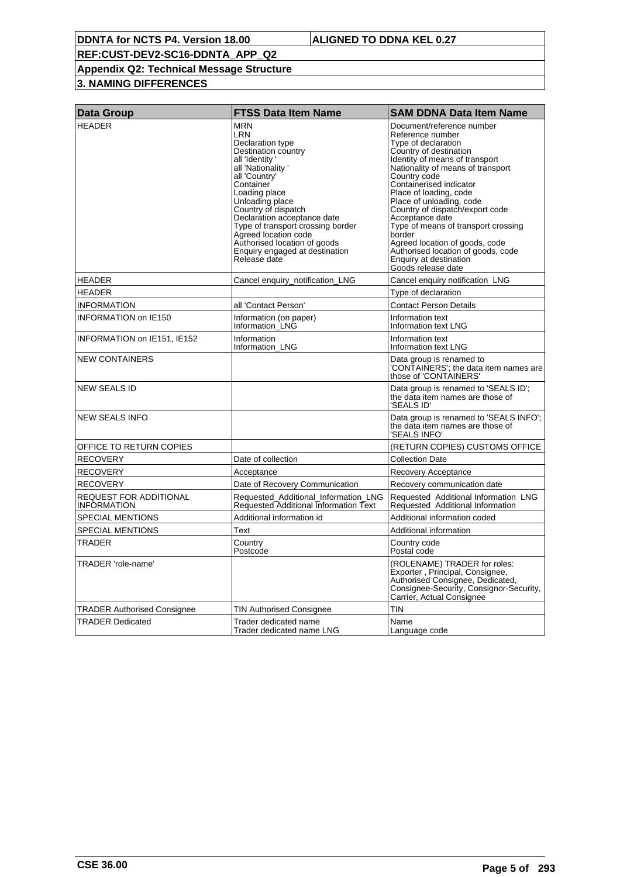## **Appendix Q2: Technical Message Structure**

## **3. NAMING DIFFERENCES**

| <b>Data Group</b>                     | <b>FTSS Data Item Name</b>                                                                                                                                                                                                                                                                                                                                                 | <b>SAM DDNA Data Item Name</b>                                                                                                                                                                                                                                                                                                                                                                                                                                                                        |
|---------------------------------------|----------------------------------------------------------------------------------------------------------------------------------------------------------------------------------------------------------------------------------------------------------------------------------------------------------------------------------------------------------------------------|-------------------------------------------------------------------------------------------------------------------------------------------------------------------------------------------------------------------------------------------------------------------------------------------------------------------------------------------------------------------------------------------------------------------------------------------------------------------------------------------------------|
| <b>HEADER</b>                         | <b>MRN</b><br>LRN<br>Declaration type<br>Destination country<br>all 'Identity'<br>all 'Nationality'<br>all 'Country'<br>Container<br>Loading place<br>Unloading place<br>Country of dispatch<br>Declaration acceptance date<br>Type of transport crossing border<br>Agreed location code<br>Authorised location of goods<br>Enquiry engaged at destination<br>Release date | Document/reference number<br>Reference number<br>Type of declaration<br>Country of destination<br>Identity of means of transport<br>Nationality of means of transport<br>Country code<br>Containerised indicator<br>Place of loading, code<br>Place of unloading, code<br>Country of dispatch/export code<br>Acceptance date<br>Type of means of transport crossing<br>border<br>Agreed location of goods, code<br>Authorised location of goods, code<br>Enquiry at destination<br>Goods release date |
| <b>HEADER</b>                         | Cancel enquiry_notification_LNG                                                                                                                                                                                                                                                                                                                                            | Cancel enquiry notification LNG                                                                                                                                                                                                                                                                                                                                                                                                                                                                       |
| <b>HEADER</b>                         |                                                                                                                                                                                                                                                                                                                                                                            | Type of declaration                                                                                                                                                                                                                                                                                                                                                                                                                                                                                   |
| <b>INFORMATION</b>                    | all 'Contact Person'                                                                                                                                                                                                                                                                                                                                                       | <b>Contact Person Details</b>                                                                                                                                                                                                                                                                                                                                                                                                                                                                         |
| <b>INFORMATION on IE150</b>           | Information (on paper)<br>Information LNG                                                                                                                                                                                                                                                                                                                                  | Information text<br>Information text LNG                                                                                                                                                                                                                                                                                                                                                                                                                                                              |
| INFORMATION on IE151, IE152           | Information<br>Information_LNG                                                                                                                                                                                                                                                                                                                                             | Information text<br>Information text LNG                                                                                                                                                                                                                                                                                                                                                                                                                                                              |
| <b>NEW CONTAINERS</b>                 |                                                                                                                                                                                                                                                                                                                                                                            | Data group is renamed to<br>'CONTAINERS'; the data item names are<br>those of 'CONTAINERS'                                                                                                                                                                                                                                                                                                                                                                                                            |
| <b>NEW SEALS ID</b>                   |                                                                                                                                                                                                                                                                                                                                                                            | Data group is renamed to 'SEALS ID';<br>the data item names are those of<br>'SEALS ID'                                                                                                                                                                                                                                                                                                                                                                                                                |
| <b>NEW SEALS INFO</b>                 |                                                                                                                                                                                                                                                                                                                                                                            | Data group is renamed to 'SEALS INFO';<br>the data item names are those of<br>'SEALS INFO'                                                                                                                                                                                                                                                                                                                                                                                                            |
| OFFICE TO RETURN COPIES               |                                                                                                                                                                                                                                                                                                                                                                            | (RETURN COPIES) CUSTOMS OFFICE                                                                                                                                                                                                                                                                                                                                                                                                                                                                        |
| <b>RECOVERY</b>                       | Date of collection                                                                                                                                                                                                                                                                                                                                                         | <b>Collection Date</b>                                                                                                                                                                                                                                                                                                                                                                                                                                                                                |
| <b>RECOVERY</b>                       | Acceptance                                                                                                                                                                                                                                                                                                                                                                 | Recovery Acceptance                                                                                                                                                                                                                                                                                                                                                                                                                                                                                   |
| <b>RECOVERY</b>                       | Date of Recovery Communication                                                                                                                                                                                                                                                                                                                                             | Recovery communication date                                                                                                                                                                                                                                                                                                                                                                                                                                                                           |
| REQUEST FOR ADDITIONAL<br>INFORMATION | Requested Additional Information LNG<br><b>Requested Additional Information Text</b>                                                                                                                                                                                                                                                                                       | Requested Additional Information LNG<br>Requested Additional Information                                                                                                                                                                                                                                                                                                                                                                                                                              |
| <b>SPECIAL MENTIONS</b>               | Additional information id                                                                                                                                                                                                                                                                                                                                                  | Additional information coded                                                                                                                                                                                                                                                                                                                                                                                                                                                                          |
| <b>SPECIAL MENTIONS</b>               | Text                                                                                                                                                                                                                                                                                                                                                                       | Additional information                                                                                                                                                                                                                                                                                                                                                                                                                                                                                |
| TRADER                                | Country<br>Postcode                                                                                                                                                                                                                                                                                                                                                        | Country code<br>Postal code                                                                                                                                                                                                                                                                                                                                                                                                                                                                           |
| TRADER 'role-name'                    |                                                                                                                                                                                                                                                                                                                                                                            | (ROLENAME) TRADER for roles:<br>Exporter, Principal, Consignee,<br>Authorised Consignee, Dedicated,<br>Consignee-Security, Consignor-Security,<br>Carrier, Actual Consignee                                                                                                                                                                                                                                                                                                                           |
| <b>TRADER Authorised Consignee</b>    | TIN Authorised Consignee                                                                                                                                                                                                                                                                                                                                                   | <b>TIN</b>                                                                                                                                                                                                                                                                                                                                                                                                                                                                                            |
| <b>TRADER Dedicated</b>               | Trader dedicated name<br>Trader dedicated name LNG                                                                                                                                                                                                                                                                                                                         | Name<br>Language code                                                                                                                                                                                                                                                                                                                                                                                                                                                                                 |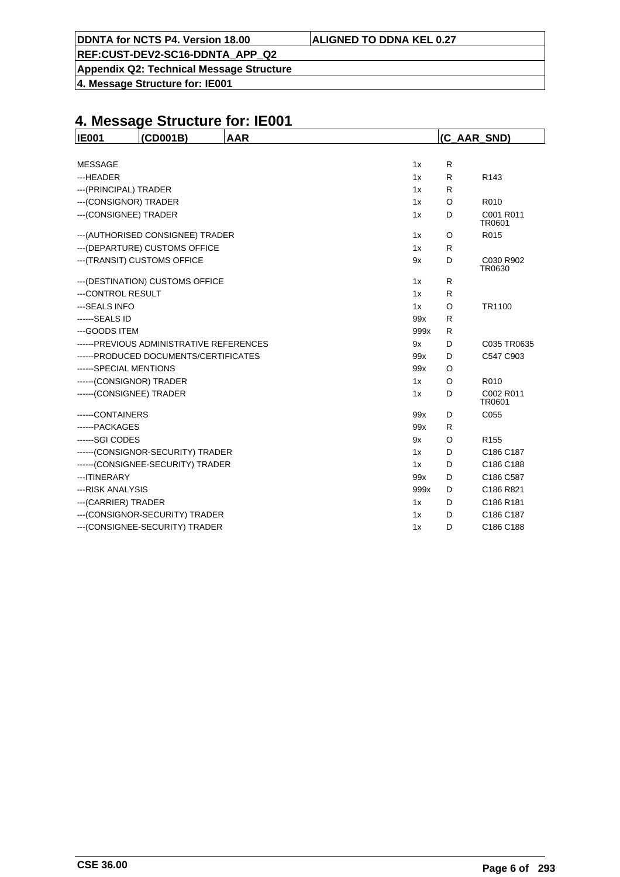**Appendix Q2: Technical Message Structure**

**4. Message Structure for: IE001**

| <b>IE001</b>             | (CD001B)                                 | <b>AAR</b> |      |         | (C AAR SND)         |
|--------------------------|------------------------------------------|------------|------|---------|---------------------|
|                          |                                          |            |      |         |                     |
| <b>MESSAGE</b>           |                                          |            | 1x   | R       |                     |
| ---HEADER                |                                          |            | 1x   | R       | R <sub>143</sub>    |
| --- (PRINCIPAL) TRADER   |                                          |            | 1x   | R       |                     |
| --- (CONSIGNOR) TRADER   |                                          |            | 1x   | O       | R010                |
| --- (CONSIGNEE) TRADER   |                                          |            | 1x   | D       | C001 R011<br>TR0601 |
|                          | --- (AUTHORISED CONSIGNEE) TRADER        |            | 1x   | O       | R015                |
|                          | --- (DEPARTURE) CUSTOMS OFFICE           |            | 1x   | R       |                     |
|                          | --- (TRANSIT) CUSTOMS OFFICE             |            | 9x   | D       | C030 R902<br>TR0630 |
|                          | --- (DESTINATION) CUSTOMS OFFICE         |            | 1x   | R       |                     |
| ---CONTROL RESULT        |                                          |            | 1x   | R       |                     |
| --- SEALS INFO           |                                          |            | 1x   | O       | TR1100              |
| ------SEALS ID           |                                          |            | 99x  | R       |                     |
| ---GOODS ITEM            |                                          |            | 999x | R       |                     |
|                          | ------PREVIOUS ADMINISTRATIVE REFERENCES |            | 9x   | D       | C035 TR0635         |
|                          | ------PRODUCED DOCUMENTS/CERTIFICATES    |            | 99x  | D       | C547 C903           |
| ------SPECIAL MENTIONS   |                                          |            | 99x  | O       |                     |
| ------(CONSIGNOR) TRADER |                                          |            | 1x   | $\circ$ | R010                |
| ------(CONSIGNEE) TRADER |                                          |            | 1x   | D       | C002 R011<br>TR0601 |
| ------CONTAINERS         |                                          |            | 99x  | D       | C055                |
| ------ PACKAGES          |                                          |            | 99x  | R       |                     |
| ------SGI CODES          |                                          |            | 9x   | O       | R <sub>155</sub>    |
|                          | ------(CONSIGNOR-SECURITY) TRADER        |            | 1x   | D       | C186 C187           |
|                          | ------(CONSIGNEE-SECURITY) TRADER        |            | 1x   | D       | C186 C188           |
| --- ITINERARY            |                                          |            | 99x  | D       | C186 C587           |
| --- RISK ANALYSIS        |                                          |            | 999x | D       | C186 R821           |
| --- (CARRIER) TRADER     |                                          |            | 1x   | D       | C186 R181           |
|                          | --- (CONSIGNOR-SECURITY) TRADER          |            | 1x   | D       | C186 C187           |
|                          | --- (CONSIGNEE-SECURITY) TRADER          |            | 1x   | D       | C186 C188           |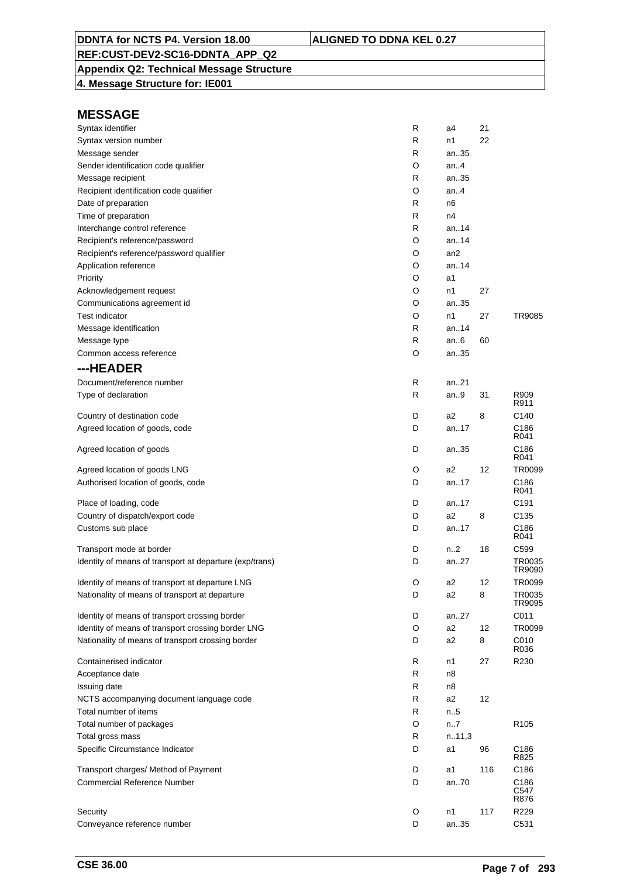## **Appendix Q2: Technical Message Structure**

**4. Message Structure for: IE001**

| Syntax identifier                                       | R | a4             | 21  |                      |
|---------------------------------------------------------|---|----------------|-----|----------------------|
| Syntax version number                                   | R | n1             | 22  |                      |
| Message sender                                          | R | an35           |     |                      |
| Sender identification code qualifier                    | O | an4            |     |                      |
| Message recipient                                       | R | an35           |     |                      |
| Recipient identification code qualifier                 | O | an4            |     |                      |
| Date of preparation                                     | R | n6             |     |                      |
| Time of preparation                                     | R | n4             |     |                      |
| Interchange control reference                           | R | an14           |     |                      |
| Recipient's reference/password                          | O | an14           |     |                      |
| Recipient's reference/password qualifier                | O | an2            |     |                      |
| Application reference                                   | O | an.14          |     |                      |
| Priority                                                | O | a1             |     |                      |
| Acknowledgement request                                 | O | n1             | 27  |                      |
| Communications agreement id                             | O | an35           |     |                      |
| <b>Test indicator</b>                                   | O | n1             | 27  | TR9085               |
| Message identification                                  | R | an14           |     |                      |
| Message type                                            | R | an6            | 60  |                      |
| Common access reference                                 | O | an35           |     |                      |
| ---HEADER                                               |   |                |     |                      |
| Document/reference number                               | R | an21           |     |                      |
| Type of declaration                                     | R | an9            | 31  | R909                 |
|                                                         |   |                |     | R911                 |
| Country of destination code                             | D | a2             | 8   | C140                 |
| Agreed location of goods, code                          | D | an17           |     | C186<br>R041         |
| Agreed location of goods                                | D | an35           |     | C186<br>R041         |
| Agreed location of goods LNG                            | O | a2             | 12  | TR0099               |
| Authorised location of goods, code                      | D | an17           |     | C186<br>R041         |
| Place of loading, code                                  | D | an17           |     | C191                 |
| Country of dispatch/export code                         | D | a2             | 8   | C135                 |
| Customs sub place                                       | D | an17           |     | C186<br>R041         |
| Transport mode at border                                | D | n.2            | 18  | C599                 |
| Identity of means of transport at departure (exp/trans) | D | an27           |     | TR0035<br>TR9090     |
| Identity of means of transport at departure LNG         | O | a2             | 12  | TR0099               |
| Nationality of means of transport at departure          | D | a <sub>2</sub> | 8   | TR0035<br>TR9095     |
| Identity of means of transport crossing border          | D | an27           |     | C011                 |
| Identity of means of transport crossing border LNG      | O | a <sub>2</sub> | 12  | TR0099               |
| Nationality of means of transport crossing border       | D | a <sub>2</sub> | 8   | C010<br>R036         |
| Containerised indicator                                 | R | n1             | 27  | R230                 |
| Acceptance date                                         | R | n8             |     |                      |
| Issuing date                                            | R | n8             |     |                      |
| NCTS accompanying document language code                | R | a2             | 12  |                      |
| Total number of items                                   | R | n.5            |     |                      |
| Total number of packages                                | O | n7             |     | R <sub>105</sub>     |
| Total gross mass                                        | R | n.11,3         |     |                      |
| Specific Circumstance Indicator                         | D | a1             | 96  | C186<br>R825         |
| Transport charges/ Method of Payment                    | D | a1             | 116 | C186                 |
| <b>Commercial Reference Number</b>                      | D | an70           |     | C186<br>C547<br>R876 |
| Security                                                | O | n1             | 117 | R229                 |
| Conveyance reference number                             | D | an35           |     | C531                 |
|                                                         |   |                |     |                      |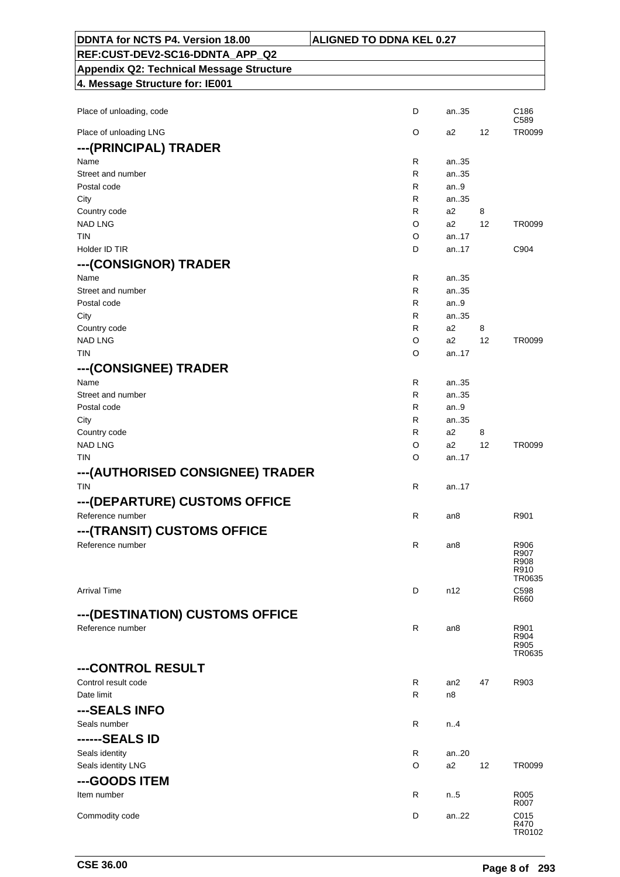| DDNTA for NCTS P4. Version 18.00                | <b>ALIGNED TO DDNA KEL 0.27</b> |              |    |                          |
|-------------------------------------------------|---------------------------------|--------------|----|--------------------------|
| REF:CUST-DEV2-SC16-DDNTA_APP_Q2                 |                                 |              |    |                          |
| <b>Appendix Q2: Technical Message Structure</b> |                                 |              |    |                          |
| 4. Message Structure for: IE001                 |                                 |              |    |                          |
|                                                 |                                 |              |    |                          |
| Place of unloading, code                        | D                               | an35         |    | C <sub>186</sub><br>C589 |
| Place of unloading LNG                          | O                               | a2           | 12 | TR0099                   |
| ---(PRINCIPAL) TRADER                           |                                 |              |    |                          |
| Name                                            | R                               | an35         |    |                          |
| Street and number                               | R                               | an35         |    |                          |
| Postal code                                     | R                               | an.9         |    |                          |
| City                                            | R                               | an35         |    |                          |
| Country code                                    | R                               | a2           | 8  |                          |
| <b>NAD LNG</b>                                  | O                               | a2           | 12 | TR0099                   |
| <b>TIN</b>                                      | O                               | an.17        |    |                          |
| Holder ID TIR                                   | D                               | an17         |    | C904                     |
| ---(CONSIGNOR) TRADER                           |                                 |              |    |                          |
| Name                                            | R                               |              |    |                          |
| Street and number                               | R                               | an35<br>an35 |    |                          |
| Postal code                                     | R                               | an.9         |    |                          |
| City                                            | R                               | an35         |    |                          |
| Country code                                    | R                               | a2           | 8  |                          |
| <b>NAD LNG</b>                                  | O                               | a2           | 12 | TR0099                   |
| <b>TIN</b>                                      | O                               | an17         |    |                          |
|                                                 |                                 |              |    |                          |
| ---(CONSIGNEE) TRADER                           |                                 |              |    |                          |
| Name                                            | R                               | an35         |    |                          |
| Street and number                               | R                               | an35         |    |                          |
| Postal code                                     | R                               | an9          |    |                          |
| City                                            | R                               | an35         |    |                          |
| Country code                                    | R                               | a2           | 8  |                          |
| <b>NAD LNG</b>                                  | O                               | a2           | 12 | TR0099                   |
| TIN                                             | O                               | an17         |    |                          |
| --- (AUTHORISED CONSIGNEE) TRADER               |                                 |              |    |                          |
| <b>TIN</b>                                      | R                               | an. $.17$    |    |                          |
| ---(DEPARTURE) CUSTOMS OFFICE                   |                                 |              |    |                          |
| Reference number                                | R                               | an8          |    | R901                     |
|                                                 |                                 |              |    |                          |
| ---(TRANSIT) CUSTOMS OFFICE                     |                                 |              |    |                          |
| Reference number                                | R                               | an8          |    | R906<br>R907             |
|                                                 |                                 |              |    | R908                     |
|                                                 |                                 |              |    | R910<br>TR0635           |
| <b>Arrival Time</b>                             | D                               | n12          |    | C598                     |
|                                                 |                                 |              |    | R660                     |
| --- (DESTINATION) CUSTOMS OFFICE                |                                 |              |    |                          |
| Reference number                                | $\mathsf{R}$                    | an8          |    | R901                     |
|                                                 |                                 |              |    | R904                     |
|                                                 |                                 |              |    | R905<br>TR0635           |
| ---CONTROL RESULT                               |                                 |              |    |                          |
|                                                 |                                 |              |    |                          |
| Control result code<br>Date limit               | R<br>R                          | an2<br>n8    | 47 | R903                     |
|                                                 |                                 |              |    |                          |
| ---SEALS INFO                                   |                                 |              |    |                          |
| Seals number                                    | R                               | n.4          |    |                          |
| ------SEALS ID                                  |                                 |              |    |                          |
| Seals identity                                  | R                               | an20         |    |                          |
| Seals identity LNG                              | O                               | a2           | 12 | TR0099                   |
| ---GOODS ITEM                                   |                                 |              |    |                          |
| Item number                                     | R                               | n.5          |    | R005                     |
|                                                 |                                 |              |    | R007                     |
| Commodity code                                  | D                               | an22         |    | C015                     |
|                                                 |                                 |              |    | R470<br>TR0102           |

٦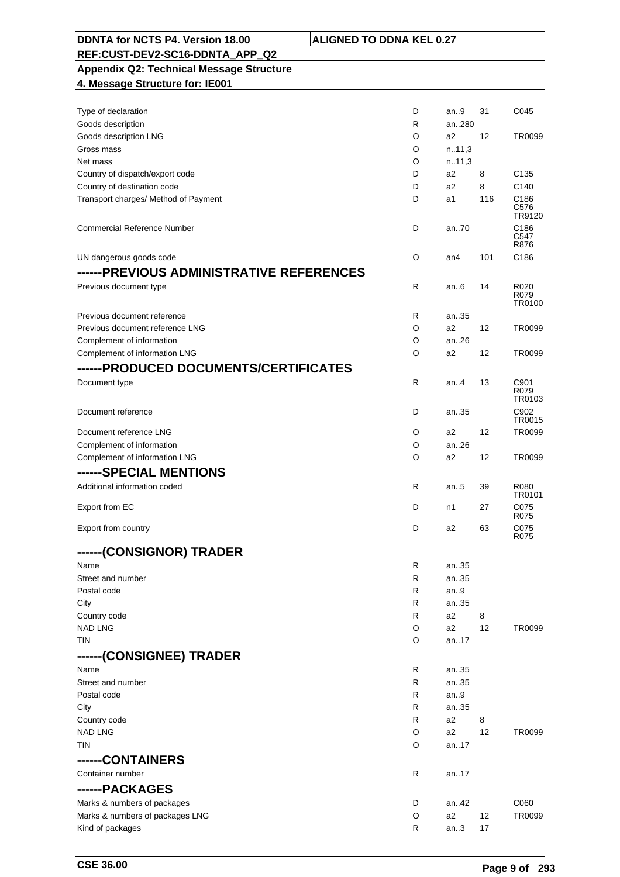| DDNTA for NCTS P4. Version 18.00                | <b>ALIGNED TO DDNA KEL 0.27</b> |                |     |                        |
|-------------------------------------------------|---------------------------------|----------------|-----|------------------------|
| REF:CUST-DEV2-SC16-DDNTA APP Q2                 |                                 |                |     |                        |
| <b>Appendix Q2: Technical Message Structure</b> |                                 |                |     |                        |
| 4. Message Structure for: IE001                 |                                 |                |     |                        |
|                                                 |                                 |                |     |                        |
| Type of declaration                             | D                               | an9            | 31  | C045                   |
| Goods description                               | R                               | an280          |     |                        |
| Goods description LNG                           | O                               | a2             | 12  | TR0099                 |
| Gross mass                                      | O                               | n.11,3         |     |                        |
| Net mass                                        | O                               | n.11,3         |     |                        |
| Country of dispatch/export code                 | D                               | a2             | 8   | C <sub>135</sub>       |
| Country of destination code                     | D                               | a2             | 8   | C140                   |
| Transport charges/ Method of Payment            | D                               | a1             | 116 | C186<br>C576<br>TR9120 |
| <b>Commercial Reference Number</b>              | D                               | an.70          |     | C186<br>C547<br>R876   |
| UN dangerous goods code                         | O                               | an4            | 101 | C186                   |
| ------PREVIOUS ADMINISTRATIVE REFERENCES        |                                 |                |     |                        |
| Previous document type                          | $\mathsf{R}$                    | an $6$         | 14  | R020                   |
|                                                 |                                 |                |     | R079<br>TR0100         |
| Previous document reference                     | R                               | an35           |     |                        |
| Previous document reference LNG                 | O                               | a2             | 12  | TR0099                 |
| Complement of information                       | O                               | an.26          |     |                        |
| Complement of information LNG                   | O                               | a2             | 12  | TR0099                 |
| ------PRODUCED DOCUMENTS/CERTIFICATES           |                                 |                |     |                        |
| Document type                                   | R                               | an.4           | 13  | C901                   |
|                                                 |                                 |                |     | R079<br>TR0103         |
| Document reference                              | D                               | an35           |     | C902                   |
|                                                 |                                 |                |     | TR0015                 |
| Document reference LNG                          | O                               | a2             | 12  | TR0099                 |
| Complement of information                       | O                               | an26           |     |                        |
| Complement of information LNG                   | O                               | a <sub>2</sub> | 12  | TR0099                 |
| ------SPECIAL MENTIONS                          |                                 |                |     |                        |
| Additional information coded                    | R                               | an.5           | 39  | R080                   |
|                                                 |                                 |                |     | TR0101                 |
| Export from EC                                  | D                               | n1             | 27  | C075<br>R075           |
| Export from country                             | D                               | a2             | 63  | C075                   |
| ------(CONSIGNOR) TRADER                        |                                 |                |     | R075                   |
| Name                                            | R                               | an35           |     |                        |
| Street and number                               | R                               | an35           |     |                        |
| Postal code                                     | R                               | an.9           |     |                        |
| City                                            | R                               | an35           |     |                        |
| Country code                                    | R                               | a2             | 8   |                        |
| <b>NAD LNG</b>                                  | O                               | a2             | 12  | TR0099                 |
| TIN                                             | O                               | an17           |     |                        |
| ------(CONSIGNEE) TRADER                        |                                 |                |     |                        |
| Name                                            | R                               | an35           |     |                        |
| Street and number                               | R                               | an35           |     |                        |
| Postal code                                     | R                               | an9            |     |                        |
| City                                            | R                               | an35           |     |                        |
| Country code                                    | R                               | a2             | 8   |                        |
| <b>NAD LNG</b>                                  | O                               | a2             | 12  | TR0099                 |
| TIN                                             | O                               | an17           |     |                        |
| ------CONTAINERS                                |                                 |                |     |                        |
| Container number                                | R                               |                |     |                        |
|                                                 |                                 | an17           |     |                        |
| ------PACKAGES                                  |                                 |                |     |                        |
| Marks & numbers of packages                     | D                               | an42           |     | C060                   |
| Marks & numbers of packages LNG                 | O                               | a2             | 12  | TR0099                 |
| Kind of packages                                | R                               | an3            | 17  |                        |

 $\overline{\phantom{0}}$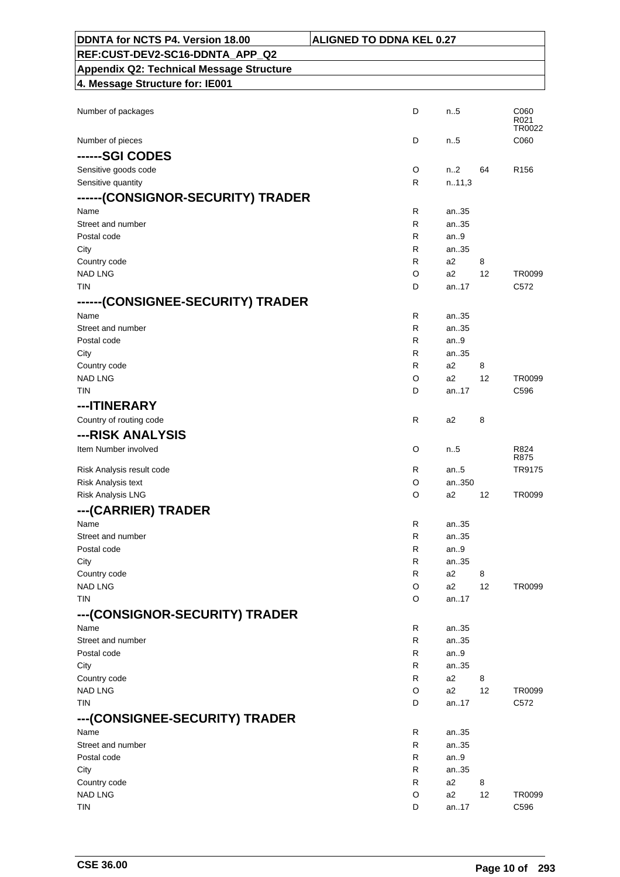| DDNTA for NCTS P4. Version 18.00                | <b>ALIGNED TO DDNA KEL 0.27</b> |                |    |                        |
|-------------------------------------------------|---------------------------------|----------------|----|------------------------|
| REF:CUST-DEV2-SC16-DDNTA_APP_Q2                 |                                 |                |    |                        |
| <b>Appendix Q2: Technical Message Structure</b> |                                 |                |    |                        |
| 4. Message Structure for: IE001                 |                                 |                |    |                        |
|                                                 |                                 |                |    |                        |
| Number of packages                              | D                               | n.5            |    | C060<br>R021<br>TR0022 |
| Number of pieces                                | D                               | $n_{.}.5$      |    | C060                   |
| ------SGI CODES                                 |                                 |                |    |                        |
| Sensitive goods code                            | O                               | n2             | 64 | R <sub>156</sub>       |
| Sensitive quantity                              | R                               | n.11,3         |    |                        |
| ------(CONSIGNOR-SECURITY) TRADER               |                                 |                |    |                        |
| Name                                            | R                               | an35           |    |                        |
| Street and number                               | R                               | an35           |    |                        |
| Postal code                                     | R                               | an.9           |    |                        |
| City<br>Country code                            | R<br>R                          | an35<br>a2     | 8  |                        |
| <b>NAD LNG</b>                                  | O                               | a2             | 12 | TR0099                 |
| <b>TIN</b>                                      | D                               | an17           |    | C572                   |
| ------(CONSIGNEE-SECURITY) TRADER               |                                 |                |    |                        |
| Name                                            | R                               | an35           |    |                        |
| Street and number                               | R                               | an35           |    |                        |
| Postal code                                     | R                               | an.9           |    |                        |
| City                                            | R                               | an35           |    |                        |
| Country code                                    | R                               | a2             | 8  |                        |
| <b>NAD LNG</b>                                  | O                               | a2             | 12 | TR0099                 |
| <b>TIN</b>                                      | D                               | an17           |    | C596                   |
| ---ITINERARY                                    |                                 |                |    |                        |
| Country of routing code                         | R                               | a2             | 8  |                        |
| ---RISK ANALYSIS                                |                                 |                |    |                        |
| Item Number involved                            | O                               | n.5            |    | R824<br>R875           |
| Risk Analysis result code                       | R                               | an $.5$        |    | TR9175                 |
| Risk Analysis text                              | O                               | an350          |    |                        |
| Risk Analysis LNG                               | O                               | a2             | 12 | TR0099                 |
| --- (CARRIER) TRADER                            |                                 |                |    |                        |
| Name                                            | R                               | an35           |    |                        |
| Street and number                               | R                               | an35           |    |                        |
| Postal code                                     | R                               | an $9$         |    |                        |
| City                                            | R                               | an35           |    |                        |
| Country code                                    | R                               | a <sub>2</sub> | 8  |                        |
| <b>NAD LNG</b>                                  | O                               | a2             | 12 | TR0099                 |
| <b>TIN</b>                                      | O                               | an17           |    |                        |
| ---(CONSIGNOR-SECURITY) TRADER                  |                                 |                |    |                        |
| Name                                            | R                               | an35           |    |                        |
| Street and number<br>Postal code                | R<br>R                          | an35<br>an9    |    |                        |
| City                                            | R                               | an35           |    |                        |
| Country code                                    | R                               | a2             | 8  |                        |
| <b>NAD LNG</b>                                  | O                               | a2             | 12 | TR0099                 |
| TIN                                             | D                               | an17           |    | C572                   |
| ---(CONSIGNEE-SECURITY) TRADER                  |                                 |                |    |                        |
| Name                                            | R                               | an35           |    |                        |
| Street and number                               | R                               | an35           |    |                        |
| Postal code                                     | R                               | an.9           |    |                        |
| City                                            | R                               | an35           |    |                        |
| Country code                                    | R                               | a2             | 8  |                        |
| <b>NAD LNG</b>                                  | O                               | a2             | 12 | TR0099                 |
| <b>TIN</b>                                      | D                               | an17           |    | C596                   |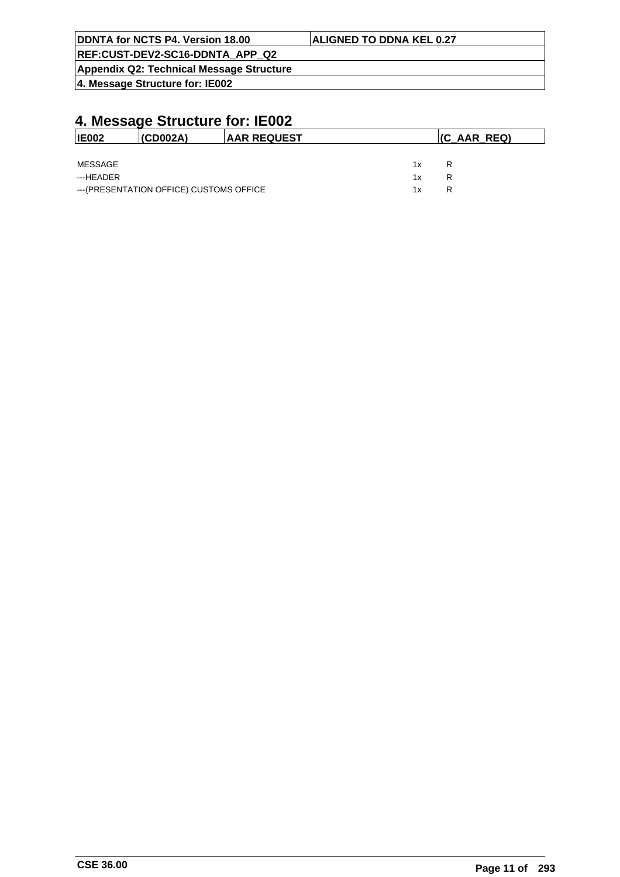| DDNTA for NCTS P4. Version 18.00         | <b>ALIGNED TO DDNA KEL 0.27</b> |
|------------------------------------------|---------------------------------|
| REF:CUST-DEV2-SC16-DDNTA APP Q2          |                                 |
| Appendix Q2: Technical Message Structure |                                 |
| 4. Message Structure for: IE002          |                                 |

| <b>IE002</b> | (CD002A)                                 | <b>IAAR REQUEST</b> |    | $ $ (C_AAR_REQ) |  |  |
|--------------|------------------------------------------|---------------------|----|-----------------|--|--|
|              |                                          |                     |    |                 |  |  |
| MESSAGE      |                                          |                     | 1x | R               |  |  |
| ---HEADER    |                                          |                     | 1x | R               |  |  |
|              | --- (PRESENTATION OFFICE) CUSTOMS OFFICE |                     | 1x | R               |  |  |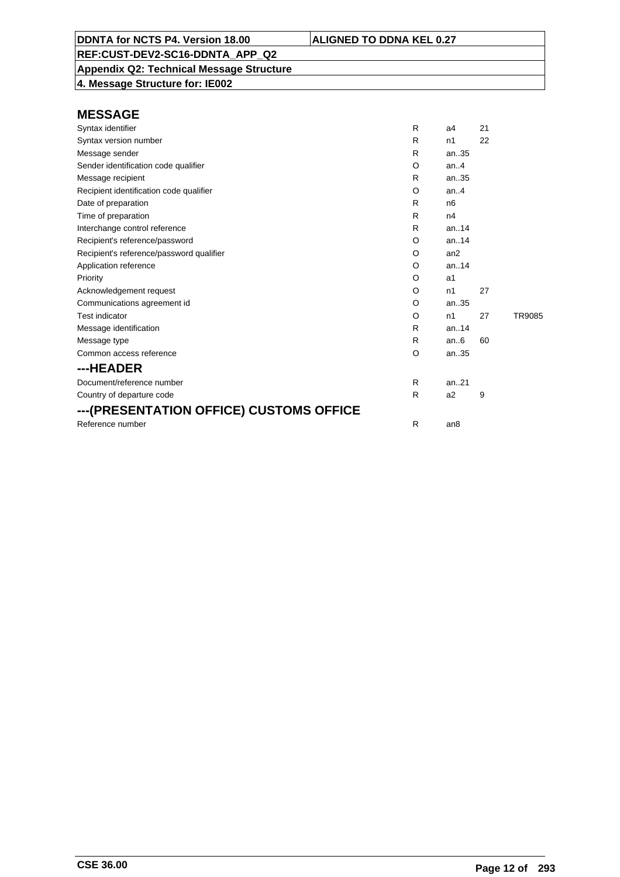**Appendix Q2: Technical Message Structure 4. Message Structure for: IE002**

| Syntax identifier                        | R | a <sub>4</sub>  | 21 |        |
|------------------------------------------|---|-----------------|----|--------|
| Syntax version number                    | R | n1              | 22 |        |
| Message sender                           | R | an.35           |    |        |
| Sender identification code qualifier     | O | an. $4$         |    |        |
| Message recipient                        | R | an35            |    |        |
| Recipient identification code qualifier  | O | an.4            |    |        |
| Date of preparation                      | R | n <sub>6</sub>  |    |        |
| Time of preparation                      | R | n4              |    |        |
| Interchange control reference            | R | an.14           |    |        |
| Recipient's reference/password           | O | an.14           |    |        |
| Recipient's reference/password qualifier | O | an2             |    |        |
| Application reference                    | O | an.14           |    |        |
| Priority                                 | O | a1              |    |        |
| Acknowledgement request                  | O | n1              | 27 |        |
| Communications agreement id              | O | an35            |    |        |
| <b>Test indicator</b>                    | O | n1              | 27 | TR9085 |
| Message identification                   | R | an.14           |    |        |
| Message type                             | R | an.6            | 60 |        |
| Common access reference                  | O | an35            |    |        |
| ---HEADER                                |   |                 |    |        |
| Document/reference number                | R | an.21           |    |        |
| Country of departure code                | R | a2              | 9  |        |
| ---(PRESENTATION OFFICE) CUSTOMS OFFICE  |   |                 |    |        |
| Reference number                         | R | an <sub>8</sub> |    |        |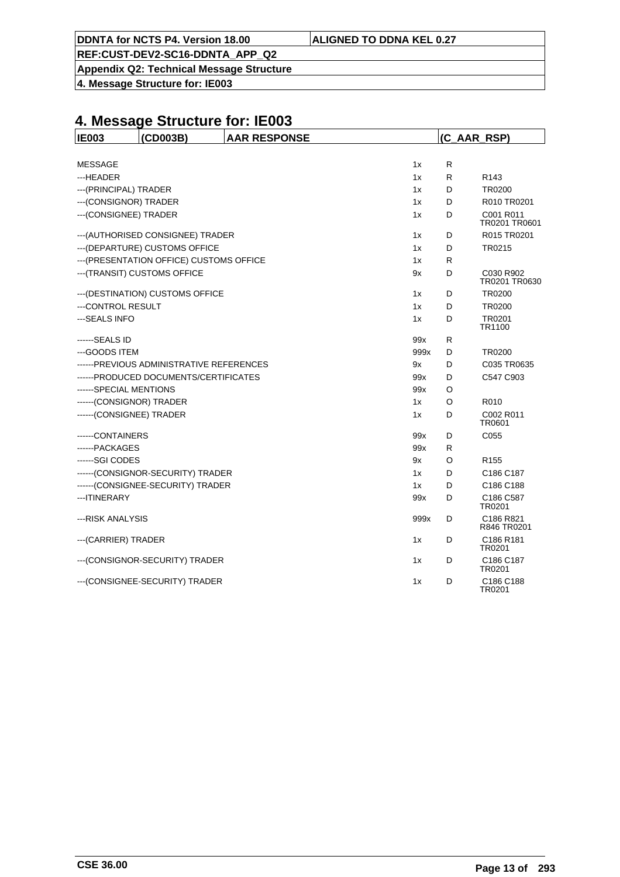**REF:CUST-DEV2-SC16-DDNTA\_APP\_Q2**

**Appendix Q2: Technical Message Structure**

**4. Message Structure for: IE003**

| <b>IE003</b>             | (CD003B)                                 | <b>AAR RESPONSE</b> |      | (C AAR RSP) |                            |  |
|--------------------------|------------------------------------------|---------------------|------|-------------|----------------------------|--|
|                          |                                          |                     |      |             |                            |  |
| <b>MESSAGE</b>           |                                          |                     | 1x   | R           |                            |  |
| ---HEADER                |                                          |                     | 1x   | R           | R <sub>143</sub>           |  |
| --- (PRINCIPAL) TRADER   |                                          |                     | 1x   | D           | TR0200                     |  |
| --- (CONSIGNOR) TRADER   |                                          |                     | 1x   | D           | R010 TR0201                |  |
| --- (CONSIGNEE) TRADER   |                                          |                     | 1x   | D           | C001 R011<br>TR0201 TR0601 |  |
|                          | --- (AUTHORISED CONSIGNEE) TRADER        |                     | 1x   | D           | R015 TR0201                |  |
|                          | --- (DEPARTURE) CUSTOMS OFFICE           |                     | 1x   | D           | TR0215                     |  |
|                          | --- (PRESENTATION OFFICE) CUSTOMS OFFICE |                     | 1x   | R           |                            |  |
|                          | --- (TRANSIT) CUSTOMS OFFICE             |                     | 9x   | D           | C030 R902<br>TR0201 TR0630 |  |
|                          | --- (DESTINATION) CUSTOMS OFFICE         |                     | 1x   | D           | <b>TR0200</b>              |  |
| ---CONTROL RESULT        |                                          |                     | 1x   | D           | <b>TR0200</b>              |  |
| --- SEALS INFO           |                                          |                     | 1x   | D           | TR0201<br>TR1100           |  |
| ------SEALS ID           |                                          |                     | 99x  | R           |                            |  |
| ---GOODS ITEM            |                                          |                     | 999x | D           | TR0200                     |  |
|                          | ------PREVIOUS ADMINISTRATIVE REFERENCES |                     | 9x   | D           | C035 TR0635                |  |
|                          | ------PRODUCED DOCUMENTS/CERTIFICATES    |                     | 99x  | D           | C547 C903                  |  |
| ------SPECIAL MENTIONS   |                                          |                     | 99x  | O           |                            |  |
| ------(CONSIGNOR) TRADER |                                          |                     | 1x   | O           | R010                       |  |
| ------(CONSIGNEE) TRADER |                                          |                     | 1x   | D           | C002 R011<br>TR0601        |  |
| ------CONTAINERS         |                                          |                     | 99x  | D           | C055                       |  |
| ------PACKAGES           |                                          |                     | 99x  | R           |                            |  |
| ------SGI CODES          |                                          |                     | 9x   | O           | R <sub>155</sub>           |  |
|                          | ------(CONSIGNOR-SECURITY) TRADER        |                     | 1x   | D           | C186 C187                  |  |
|                          | ------(CONSIGNEE-SECURITY) TRADER        |                     | 1x   | D           | C186 C188                  |  |
| --- ITINERARY            |                                          |                     | 99x  | D           | C186 C587<br>TR0201        |  |
| ---RISK ANALYSIS         |                                          |                     | 999x | D           | C186 R821<br>R846 TR0201   |  |
| --- (CARRIER) TRADER     |                                          |                     | 1x   | D           | C186 R181<br>TR0201        |  |
|                          | --- (CONSIGNOR-SECURITY) TRADER          |                     | 1x   | D           | C186 C187<br>TR0201        |  |
|                          | --- (CONSIGNEE-SECURITY) TRADER          |                     | 1x   | D           | C186 C188<br>TR0201        |  |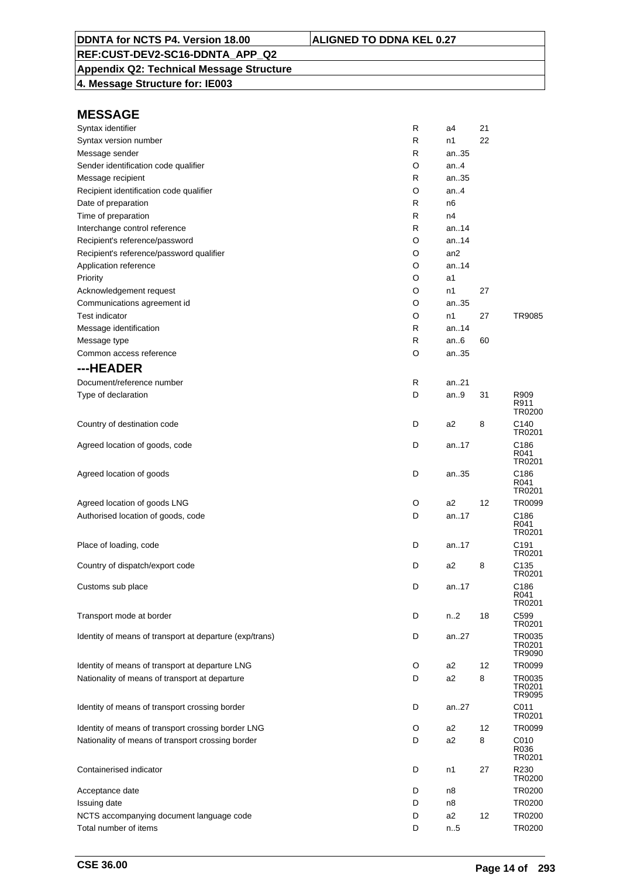## **Appendix Q2: Technical Message Structure**

**4. Message Structure for: IE003**

| Syntax identifier                                       | R | a4              | 21 |                            |
|---------------------------------------------------------|---|-----------------|----|----------------------------|
| Syntax version number                                   | R | n1              | 22 |                            |
| Message sender                                          | R | an35            |    |                            |
| Sender identification code qualifier                    | O | an4             |    |                            |
| Message recipient                                       | R | an35            |    |                            |
| Recipient identification code qualifier                 | O | an.4            |    |                            |
| Date of preparation                                     | R | n6              |    |                            |
| Time of preparation                                     | R | n4              |    |                            |
| Interchange control reference                           | R | an. $.14$       |    |                            |
| Recipient's reference/password                          | O | an. $.14$       |    |                            |
| Recipient's reference/password qualifier                | O | an <sub>2</sub> |    |                            |
| Application reference                                   | O | an.14           |    |                            |
| Priority                                                | O | a1              |    |                            |
| Acknowledgement request                                 | O | n1              | 27 |                            |
| Communications agreement id                             | O | an35            |    |                            |
| <b>Test indicator</b>                                   | O | n1              | 27 | TR9085                     |
| Message identification                                  | R | an14            |    |                            |
| Message type                                            | R | an.6            | 60 |                            |
| Common access reference                                 | O | an35            |    |                            |
| ---HEADER                                               |   |                 |    |                            |
| Document/reference number                               | R | an21            |    |                            |
| Type of declaration                                     | D | an9             | 31 | R909                       |
|                                                         |   |                 |    | R911<br>TR0200             |
| Country of destination code                             | D | a2              | 8  | C140<br>TR0201             |
| Agreed location of goods, code                          | D | an17            |    | C186<br>R041<br>TR0201     |
| Agreed location of goods                                | D | an35            |    | C186<br>R041<br>TR0201     |
| Agreed location of goods LNG                            | O | a2              | 12 | TR0099                     |
| Authorised location of goods, code                      | D | an17            |    | C186<br>R041               |
|                                                         |   |                 |    | TR0201                     |
| Place of loading, code                                  | D | an.17           |    | C191<br>TR0201             |
| Country of dispatch/export code                         | D | a2              | 8  | C135<br>TR0201             |
| Customs sub place                                       | D | an17            |    | C186<br>R041<br>TR0201     |
| Transport mode at border                                | D | n2              | 18 | C599<br>TR0201             |
| Identity of means of transport at departure (exp/trans) | D | an27            |    | TR0035<br>TR0201<br>TR9090 |
| Identity of means of transport at departure LNG         | O | a2              | 12 | TR0099                     |
| Nationality of means of transport at departure          | D | a2              | 8  | TR0035<br>TR0201<br>TR9095 |
| Identity of means of transport crossing border          | D | an27            |    | C011<br>TR0201             |
| Identity of means of transport crossing border LNG      | O | a2              | 12 | TR0099                     |
| Nationality of means of transport crossing border       | D | a2              | 8  | C010<br>R036<br>TR0201     |
| Containerised indicator                                 | D | n1              | 27 | R230<br>TR0200             |
| Acceptance date                                         | D | n8              |    | TR0200                     |
| Issuing date                                            | D | n8              |    | TR0200                     |
| NCTS accompanying document language code                | D | a2              | 12 | TR0200                     |
| Total number of items                                   | D | n.5             |    | TR0200                     |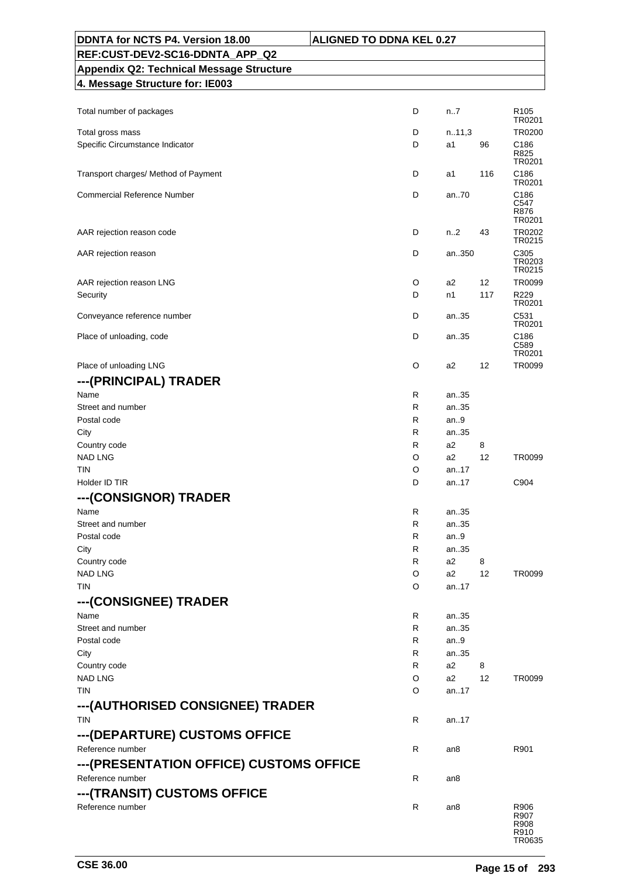| DDNTA for NCTS P4. Version 18.00                | <b>ALIGNED TO DDNA KEL 0.27</b> |                                |
|-------------------------------------------------|---------------------------------|--------------------------------|
| REF:CUST-DEV2-SC16-DDNTA_APP_Q2                 |                                 |                                |
| <b>Appendix Q2: Technical Message Structure</b> |                                 |                                |
| 4. Message Structure for: IE003                 |                                 |                                |
|                                                 |                                 |                                |
| Total number of packages                        | D                               | n7<br>R <sub>105</sub>         |
| Total gross mass                                | D                               | TR0201<br>n.11,3<br>TR0200     |
| Specific Circumstance Indicator                 | D                               | a1<br>96<br>C186               |
|                                                 |                                 | R825                           |
| Transport charges/ Method of Payment            | D                               | TR0201<br>116<br>C186<br>a1    |
|                                                 |                                 | TR0201                         |
| <b>Commercial Reference Number</b>              | D                               | an70<br>C186                   |
|                                                 |                                 | C547<br>R876                   |
|                                                 |                                 | TR0201                         |
| AAR rejection reason code                       | D                               | n2<br>43<br>TR0202<br>TR0215   |
| AAR rejection reason                            | D                               | C305<br>an350                  |
|                                                 |                                 | TR0203<br>TR0215               |
| AAR rejection reason LNG                        | O                               | 12<br>a2<br>TR0099             |
| Security                                        | D                               | n1<br>117<br>R229              |
|                                                 |                                 | TR0201                         |
| Conveyance reference number                     | D                               | C531<br>an35<br>TR0201         |
| Place of unloading, code                        | D                               | an35<br>C186                   |
|                                                 |                                 | C589                           |
| Place of unloading LNG                          | O                               | TR0201<br>a2<br>12<br>TR0099   |
|                                                 |                                 |                                |
| ---(PRINCIPAL) TRADER                           |                                 |                                |
| Name<br>Street and number                       | R<br>R                          | an35<br>an35                   |
| Postal code                                     | R                               | an.9                           |
| City                                            | R                               | an35                           |
| Country code                                    | R                               | a2<br>8                        |
| <b>NAD LNG</b>                                  | O                               | a2<br>12<br>TR0099             |
| <b>TIN</b>                                      | O                               | an.17                          |
| Holder ID TIR                                   | D                               | C904<br>an17                   |
| --- (CONSIGNOR) TRADER                          |                                 |                                |
| Name                                            | R                               | an35                           |
| Street and number                               | R                               | an35                           |
| Postal code                                     | R                               | an9                            |
| City                                            | R                               | an35                           |
| Country code                                    | R                               | a2<br>8                        |
| <b>NAD LNG</b>                                  | O                               | a2<br>12<br>TR0099             |
| TIN                                             | O                               | an17                           |
| ---(CONSIGNEE) TRADER                           |                                 |                                |
| Name                                            | R                               | an35                           |
| Street and number                               | R                               | an35                           |
| Postal code                                     | R<br>R                          | an9<br>an35                    |
| City<br>Country code                            | R                               | a2<br>8                        |
| <b>NAD LNG</b>                                  | O                               | a2<br>12<br>TR0099             |
| <b>TIN</b>                                      | O                               | an17                           |
| ---(AUTHORISED CONSIGNEE) TRADER                |                                 |                                |
| <b>TIN</b>                                      | R                               | an17                           |
|                                                 |                                 |                                |
| ---(DEPARTURE) CUSTOMS OFFICE                   |                                 |                                |
| Reference number                                | R                               | R901<br>an8                    |
| --- (PRESENTATION OFFICE) CUSTOMS OFFICE        |                                 |                                |
| Reference number                                | R                               | an8                            |
| ---(TRANSIT) CUSTOMS OFFICE                     |                                 |                                |
| Reference number                                | R                               | R906<br>an8                    |
|                                                 |                                 | R907<br>R908<br>R910<br>TR0635 |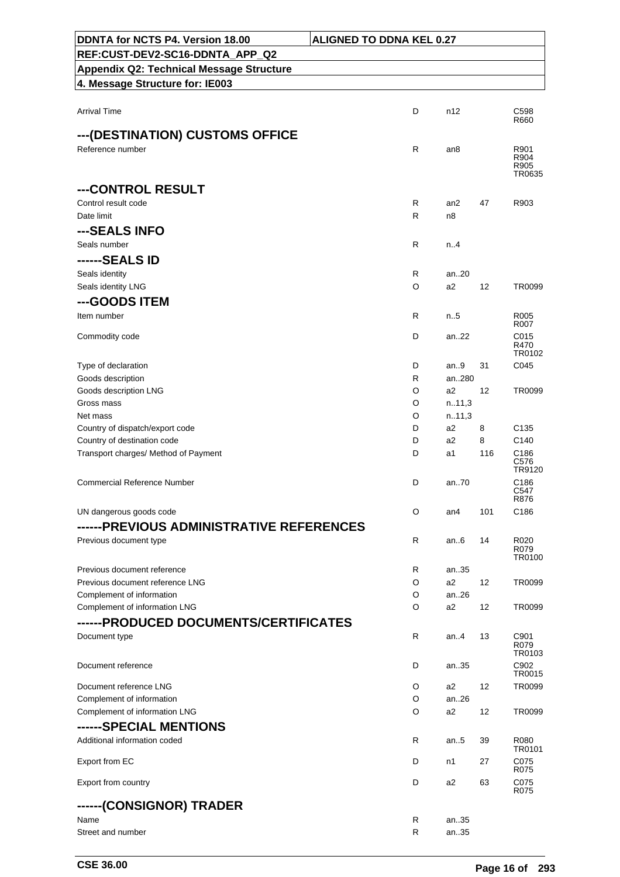| DDNTA for NCTS P4. Version 18.00                           | <b>ALIGNED TO DDNA KEL 0.27</b> |                 |          |                                      |
|------------------------------------------------------------|---------------------------------|-----------------|----------|--------------------------------------|
| REF:CUST-DEV2-SC16-DDNTA_APP_Q2                            |                                 |                 |          |                                      |
| <b>Appendix Q2: Technical Message Structure</b>            |                                 |                 |          |                                      |
| 4. Message Structure for: IE003                            |                                 |                 |          |                                      |
| <b>Arrival Time</b>                                        | D                               | n12             |          | C <sub>598</sub>                     |
|                                                            |                                 |                 |          | R660                                 |
| ---(DESTINATION) CUSTOMS OFFICE<br>Reference number        | R                               | an8             |          | R901                                 |
|                                                            |                                 |                 |          | R904<br>R905                         |
|                                                            |                                 |                 |          | TR0635                               |
| ---CONTROL RESULT<br>Control result code                   | R                               | an <sub>2</sub> | 47       | R903                                 |
| Date limit                                                 | R                               | n <sub>8</sub>  |          |                                      |
| ---SEALS INFO                                              |                                 |                 |          |                                      |
| Seals number                                               | R                               | n.4             |          |                                      |
| ------SEALS ID                                             |                                 |                 |          |                                      |
| Seals identity                                             | R                               | an20            |          |                                      |
| Seals identity LNG                                         | O                               | a2              | 12       | TR0099                               |
| ---GOODS ITEM<br>Item number                               | R                               | n.5             |          | R005                                 |
|                                                            |                                 |                 |          | R007                                 |
| Commodity code                                             | D                               | an22            |          | C015<br>R470                         |
| Type of declaration                                        | D                               | an.9            | 31       | TR0102<br>C045                       |
| Goods description                                          | R                               | an280           |          |                                      |
| Goods description LNG                                      | O                               | a2              | 12       | TR0099                               |
| Gross mass                                                 | O                               | n.11,3          |          |                                      |
| Net mass                                                   | O                               | n.11,3          |          |                                      |
| Country of dispatch/export code                            | D                               | a2              | 8        | C <sub>135</sub>                     |
| Country of destination code                                | D<br>D                          | a2<br>a1        | 8<br>116 | C <sub>140</sub><br>C <sub>186</sub> |
| Transport charges/ Method of Payment                       |                                 |                 |          | C576<br>TR9120                       |
| <b>Commercial Reference Number</b>                         | D                               | an70            |          | C186<br>C547<br>R876                 |
| UN dangerous goods code                                    | O                               | an4             | 101      | C <sub>186</sub>                     |
| ------PREVIOUS ADMINISTRATIVE REFERENCES                   |                                 |                 |          |                                      |
| Previous document type                                     | R                               | an6             | 14       | R020<br>R079<br>TR0100               |
| Previous document reference                                | R                               | an35            |          |                                      |
| Previous document reference LNG                            | O                               | a2              | 12       | TR0099                               |
| Complement of information<br>Complement of information LNG | O<br>O                          | an26<br>a2      | 12       | TR0099                               |
| ------PRODUCED DOCUMENTS/CERTIFICATES                      |                                 |                 |          |                                      |
| Document type                                              | R                               | an4             | 13       | C901<br>R079<br>TR0103               |
| Document reference                                         | D                               | an35            |          | C902<br>TR0015                       |
| Document reference LNG                                     | O                               | a2              | 12       | TR0099                               |
| Complement of information                                  | O                               | an.26           |          |                                      |
| Complement of information LNG                              | O                               | a2              | 12       | TR0099                               |
| ------SPECIAL MENTIONS<br>Additional information coded     | R                               | an $.5$         | 39       | R080                                 |
|                                                            |                                 |                 |          | <b>TR0101</b>                        |
| Export from EC                                             | D                               | n1              | 27       | C075<br>R075                         |
| Export from country                                        | D                               | a2              | 63       | C075<br>R075                         |
| ------(CONSIGNOR) TRADER                                   |                                 |                 |          |                                      |
| Name<br>Street and number                                  | R<br>R                          | an35<br>an35    |          |                                      |
|                                                            |                                 |                 |          |                                      |

h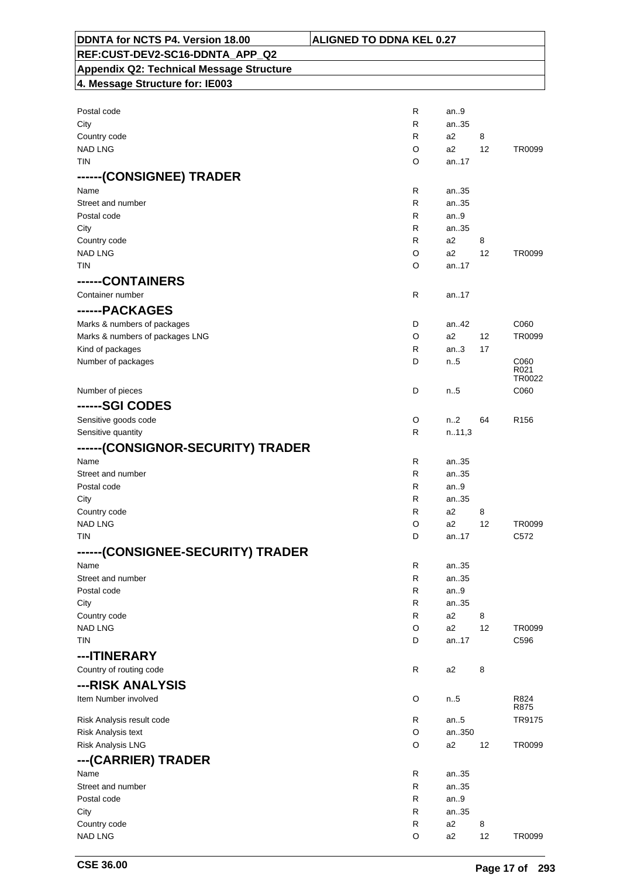| DDNTA for NCTS P4. Version 18.00                | <b>ALIGNED TO DDNA KEL 0.27</b> |                               |
|-------------------------------------------------|---------------------------------|-------------------------------|
| REF:CUST-DEV2-SC16-DDNTA_APP_Q2                 |                                 |                               |
| <b>Appendix Q2: Technical Message Structure</b> |                                 |                               |
| 4. Message Structure for: IE003                 |                                 |                               |
|                                                 |                                 |                               |
| Postal code                                     | R                               | an9                           |
| City                                            | R                               | an35                          |
| Country code                                    | R<br>a2                         | 8                             |
| <b>NAD LNG</b>                                  | O<br>a2                         | 12<br>TR0099                  |
| TIN                                             | O                               | an17                          |
| ------(CONSIGNEE) TRADER                        |                                 |                               |
| Name                                            | R                               | an35                          |
| Street and number                               | R                               | an35                          |
| Postal code                                     | R                               | an.9                          |
| City                                            | R                               | an35                          |
| Country code                                    | R<br>a2                         | 8                             |
| <b>NAD LNG</b>                                  | O<br>a2                         | 12<br>TR0099                  |
| <b>TIN</b>                                      | O                               | an17                          |
| ------CONTAINERS                                |                                 |                               |
| Container number                                | $\mathsf{R}$                    | an17                          |
| ------PACKAGES                                  |                                 |                               |
| Marks & numbers of packages                     | D                               | C060<br>an.42                 |
| Marks & numbers of packages LNG                 | O<br>a2                         | 12<br>TR0099                  |
| Kind of packages                                | R                               | an.3<br>17                    |
| Number of packages                              | D                               | n.5<br>C060                   |
|                                                 |                                 | R021                          |
|                                                 | D                               | TR0022<br>C060                |
| Number of pieces                                |                                 | $n_{.}.5$                     |
| ------SGI CODES                                 |                                 |                               |
| Sensitive goods code                            | O                               | n.2<br>64<br>R <sub>156</sub> |
| Sensitive quantity                              | R                               | n.11,3                        |
| ------(CONSIGNOR-SECURITY) TRADER               |                                 |                               |
| Name                                            | R                               | an35                          |
| Street and number                               | R                               | an35                          |
| Postal code                                     | R                               | an.9                          |
| City                                            | R                               | an35                          |
| Country code                                    | R<br>a <sub>2</sub>             | 8                             |
| <b>NAD LNG</b><br><b>TIN</b>                    | O<br>a2<br>D                    | 12<br>TR0099<br>an17<br>C572  |
|                                                 |                                 |                               |
| ------(CONSIGNEE-SECURITY) TRADER               |                                 |                               |
| Name                                            | R                               | an35                          |
| Street and number<br>Postal code                | R<br>R                          | an35<br>an.9                  |
| City                                            | R                               | an35                          |
| Country code                                    | R<br>a <sub>2</sub>             | 8                             |
| <b>NAD LNG</b>                                  | O<br>a2                         | TR0099<br>12                  |
| TIN                                             | D                               | C596<br>an17                  |
| ---ITINERARY                                    |                                 |                               |
| Country of routing code                         | $\mathsf{R}$<br>a2              | 8                             |
|                                                 |                                 |                               |
| ---RISK ANALYSIS                                |                                 |                               |
| Item Number involved                            | O                               | R824<br>n.5<br>R875           |
| Risk Analysis result code                       | R                               | TR9175<br>an5                 |
| Risk Analysis text                              | O                               | an350                         |
| Risk Analysis LNG                               | O<br>a2                         | 12<br>TR0099                  |
| ---(CARRIER) TRADER                             |                                 |                               |
| Name                                            | R                               | an35                          |
| Street and number                               | R                               | an35                          |
| Postal code                                     | R                               | an.9                          |
| City                                            | R                               | an35                          |
| Country code                                    | R<br>a <sub>2</sub>             | 8                             |
| <b>NAD LNG</b>                                  | O<br>a <sub>2</sub>             | 12<br>TR0099                  |

 $\overline{\phantom{a}}$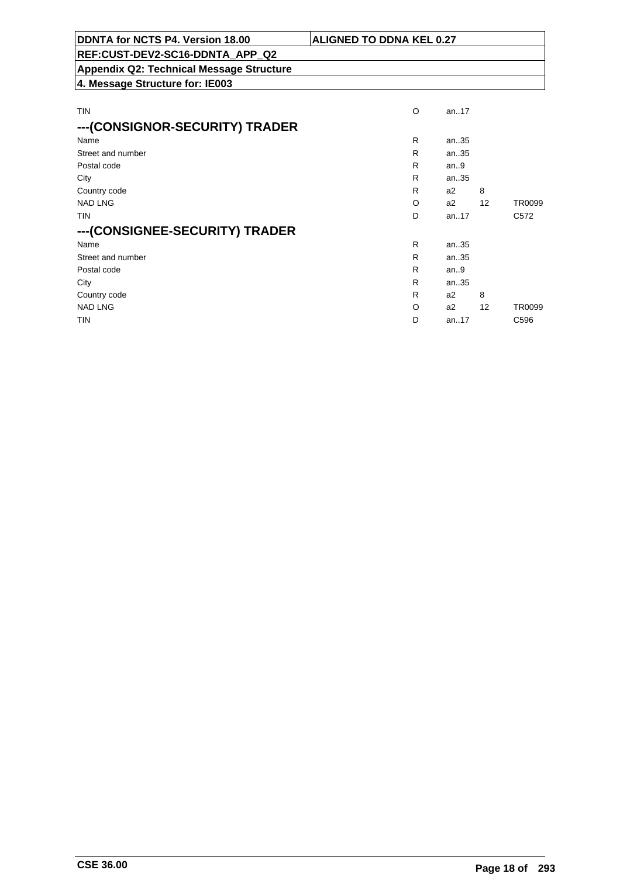| DDNTA for NCTS P4. Version 18.00                | <b>ALIGNED TO DDNA KEL 0.27</b> |  |          |  |  |  |
|-------------------------------------------------|---------------------------------|--|----------|--|--|--|
| REF:CUST-DEV2-SC16-DDNTA_APP_Q2                 |                                 |  |          |  |  |  |
| <b>Appendix Q2: Technical Message Structure</b> |                                 |  |          |  |  |  |
| 4. Message Structure for: IE003                 |                                 |  |          |  |  |  |
|                                                 |                                 |  |          |  |  |  |
| TIN                                             | O                               |  | an $.17$ |  |  |  |
| --- (CONSIGNOR-SECURITY) TRADER                 |                                 |  |          |  |  |  |
| Name                                            | R                               |  | an35     |  |  |  |

| Street and number              | R | an35   |                   |                  |
|--------------------------------|---|--------|-------------------|------------------|
| Postal code                    | R | an $9$ |                   |                  |
| City                           | R | an35   |                   |                  |
| Country code                   | R | a2     | 8                 |                  |
| <b>NAD LNG</b>                 | O | a2     | $12 \overline{ }$ | TR0099           |
| <b>TIN</b>                     | D | an.17  |                   | C <sub>572</sub> |
| ---(CONSIGNEE-SECURITY) TRADER |   |        |                   |                  |
| Name                           | R | an35   |                   |                  |
| Street and number              | R | an35   |                   |                  |
| Postal code                    | R | an.9   |                   |                  |
| City                           | R | an35   |                   |                  |
| Country code                   | R | a2     | 8                 |                  |
| <b>NAD LNG</b>                 | O | a2     | 12                | TR0099           |
| <b>TIN</b>                     | D | an17   |                   | C <sub>596</sub> |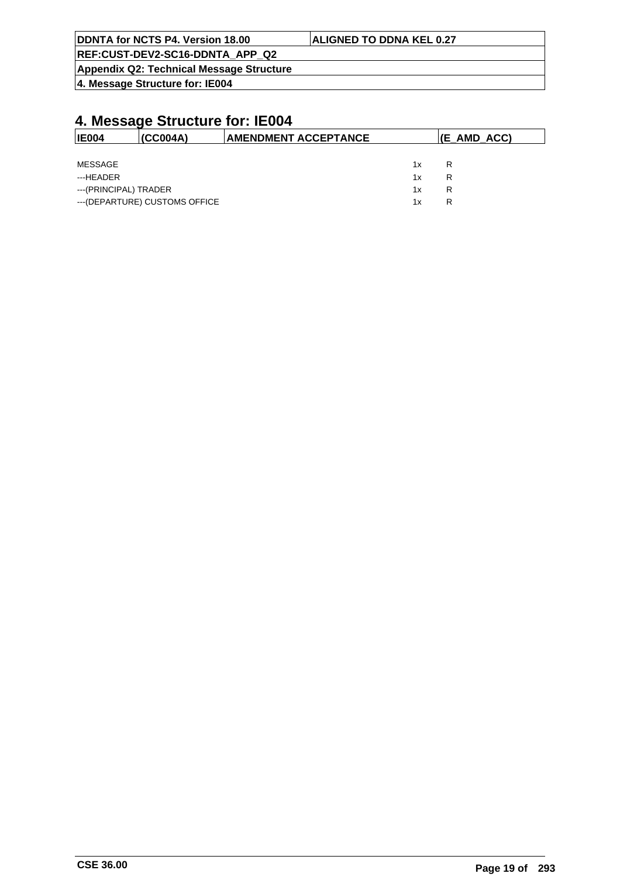| DDNTA for NCTS P4. Version 18.00         | <b>ALIGNED TO DDNA KEL 0.27</b> |
|------------------------------------------|---------------------------------|
| REF:CUST-DEV2-SC16-DDNTA APP Q2          |                                 |
| Appendix Q2: Technical Message Structure |                                 |

| <b>IE004</b>          | (CC004A)                       | <b>AMENDMENT ACCEPTANCE</b> | $ E_{AMD_ACC} $ |   |
|-----------------------|--------------------------------|-----------------------------|-----------------|---|
|                       |                                |                             |                 |   |
| MESSAGE               |                                |                             | 1x              | R |
| ---HEADER             |                                |                             | 1x              | R |
| ---(PRINCIPAL) TRADER |                                |                             | 1x              | R |
|                       | --- (DEPARTURE) CUSTOMS OFFICE |                             | 1x              | R |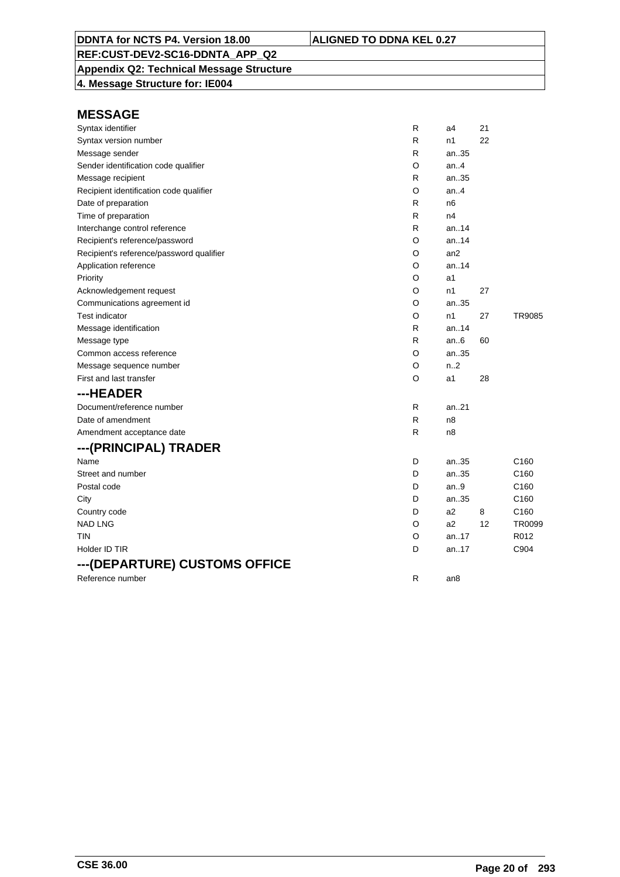## **Appendix Q2: Technical Message Structure**

**4. Message Structure for: IE004**

| Syntax identifier                        | $\mathsf{R}$ | a4             | 21 |                  |
|------------------------------------------|--------------|----------------|----|------------------|
| Syntax version number                    | R            | n1             | 22 |                  |
| Message sender                           | R            | an35           |    |                  |
| Sender identification code qualifier     | O            | an.4           |    |                  |
| Message recipient                        | R            | an35           |    |                  |
| Recipient identification code qualifier  | O            | an.4           |    |                  |
| Date of preparation                      | R            | n <sub>6</sub> |    |                  |
| Time of preparation                      | R            | n4             |    |                  |
| Interchange control reference            | $\mathsf{R}$ | an14           |    |                  |
| Recipient's reference/password           | O            | an14           |    |                  |
| Recipient's reference/password qualifier | O            | an2            |    |                  |
| Application reference                    | O            | an14           |    |                  |
| Priority                                 | O            | a1             |    |                  |
| Acknowledgement request                  | O            | n1             | 27 |                  |
| Communications agreement id              | O            | an35           |    |                  |
| <b>Test indicator</b>                    | O            | n1             | 27 | TR9085           |
| Message identification                   | R            | an.14          |    |                  |
| Message type                             | R            | an.6           | 60 |                  |
| Common access reference                  | O            | an35           |    |                  |
| Message sequence number                  | O            | n.2            |    |                  |
| First and last transfer                  | O            | a1             | 28 |                  |
| ---HEADER                                |              |                |    |                  |
| Document/reference number                | $\mathsf{R}$ | an.21          |    |                  |
| Date of amendment                        | $\mathsf{R}$ | n8             |    |                  |
| Amendment acceptance date                | R            | n8             |    |                  |
| ---(PRINCIPAL) TRADER                    |              |                |    |                  |
| Name                                     | D            | an35           |    | C <sub>160</sub> |
| Street and number                        | D            | an35           |    | C <sub>160</sub> |
| Postal code                              | D            | an.9           |    | C <sub>160</sub> |
| City                                     | D            | an35           |    | C <sub>160</sub> |
| Country code                             | D            | a2             | 8  | C <sub>160</sub> |
| <b>NAD LNG</b>                           | O            | a2             | 12 | TR0099           |
| TIN                                      | O            | an.17          |    | R012             |
| Holder ID TIR                            | D            | an17           |    | C904             |
| ---(DEPARTURE) CUSTOMS OFFICE            |              |                |    |                  |
| Reference number                         | $\mathsf{R}$ | an8            |    |                  |
|                                          |              |                |    |                  |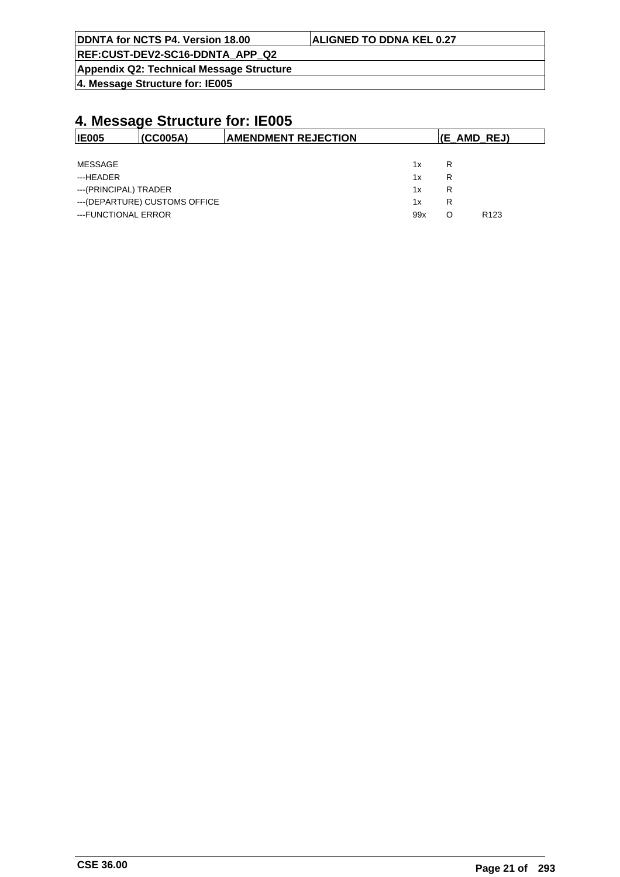| <b>ALIGNED TO DDNA KEL 0.27</b> |
|---------------------------------|
|                                 |
|                                 |
|                                 |

| <b>IE005</b>                   | (CC005A) | <b>AMENDMENT REJECTION</b> |     | $ E_{AMD_REJ\rangle $ |                  |
|--------------------------------|----------|----------------------------|-----|-----------------------|------------------|
|                                |          |                            |     |                       |                  |
| MESSAGE                        |          |                            | 1x  | R                     |                  |
| ---HEADER                      |          |                            | 1x  | R                     |                  |
| ---(PRINCIPAL) TRADER          |          |                            | 1x  | R                     |                  |
| --- (DEPARTURE) CUSTOMS OFFICE |          |                            | 1x  | R                     |                  |
| ---FUNCTIONAL ERROR            |          |                            | 99x | O                     | R <sub>123</sub> |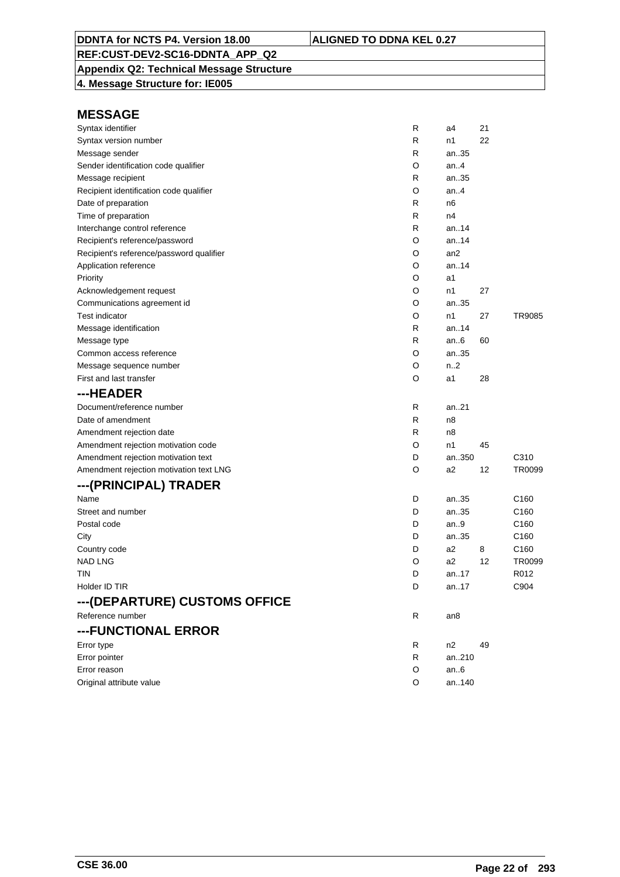## **Appendix Q2: Technical Message Structure**

**4. Message Structure for: IE005**

| Syntax identifier                        | R | a4             | 21 |                  |
|------------------------------------------|---|----------------|----|------------------|
| Syntax version number                    | R | n1             | 22 |                  |
| Message sender                           | R | an35           |    |                  |
| Sender identification code qualifier     | O | an.4           |    |                  |
| Message recipient                        | R | an35           |    |                  |
| Recipient identification code qualifier  | O | an.4           |    |                  |
| Date of preparation                      | R | n6             |    |                  |
| Time of preparation                      | R | n4             |    |                  |
| Interchange control reference            | R | an14           |    |                  |
| Recipient's reference/password           | O | an.14          |    |                  |
| Recipient's reference/password qualifier | O | an2            |    |                  |
| Application reference                    | O | an14           |    |                  |
| Priority                                 | O | a1             |    |                  |
| Acknowledgement request                  | O | n1             | 27 |                  |
| Communications agreement id              | O | an35           |    |                  |
| <b>Test indicator</b>                    | O | n1             | 27 | TR9085           |
| Message identification                   | R | an.14          |    |                  |
| Message type                             | R | an $6$         | 60 |                  |
| Common access reference                  | O | an35           |    |                  |
| Message sequence number                  | O | n2             |    |                  |
| First and last transfer                  | O | a1             | 28 |                  |
| ---HEADER                                |   |                |    |                  |
| Document/reference number                | R | an21           |    |                  |
| Date of amendment                        | R | n8             |    |                  |
| Amendment rejection date                 | R | n8             |    |                  |
| Amendment rejection motivation code      | O | n1             | 45 |                  |
| Amendment rejection motivation text      | D | an350          |    | C310             |
| Amendment rejection motivation text LNG  | O | a2             | 12 | TR0099           |
| ---(PRINCIPAL) TRADER                    |   |                |    |                  |
| Name                                     | D | an35           |    | C160             |
| Street and number                        | D | an35           |    | C <sub>160</sub> |
| Postal code                              | D | an9            |    | C <sub>160</sub> |
| City                                     | D | an35           |    | C160             |
| Country code                             | D | a <sub>2</sub> | 8  | C160             |
| <b>NAD LNG</b>                           | O | a2             | 12 | TR0099           |
| tin                                      | D | an17           |    | R012             |
| Holder ID TIR                            | D | an17           |    | C904             |
| ---(DEPARTURE) CUSTOMS OFFICE            |   |                |    |                  |
| Reference number                         | R | an8            |    |                  |
| ---FUNCTIONAL ERROR                      |   |                |    |                  |
| Error type                               | R | n <sub>2</sub> | 49 |                  |
| Error pointer                            | R | an210          |    |                  |
| Error reason                             | O | an. 6          |    |                  |
| Original attribute value                 | O | an140          |    |                  |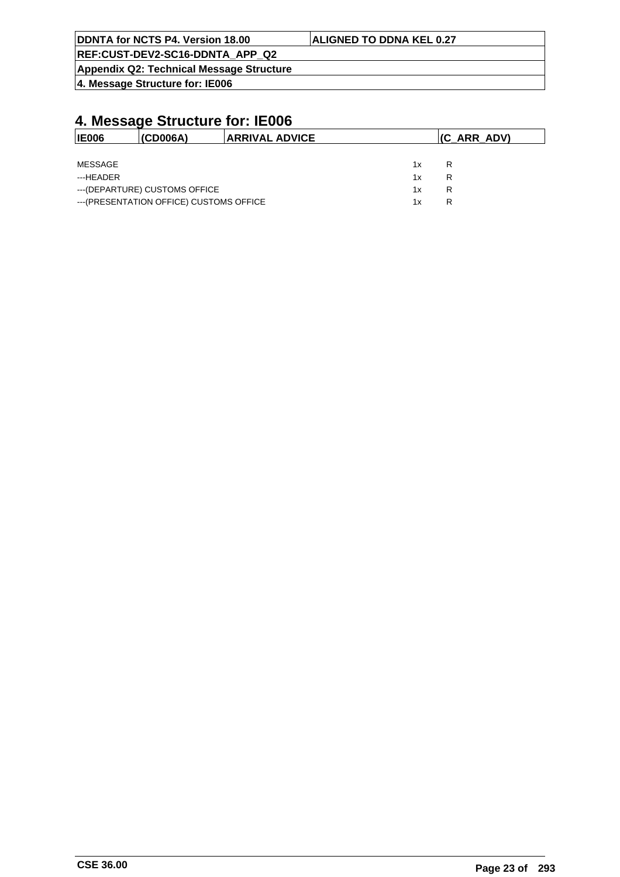| DDNTA for NCTS P4. Version 18.00                | <b>ALIGNED TO DDNA KEL 0.27</b> |
|-------------------------------------------------|---------------------------------|
| <b>REF:CUST-DEV2-SC16-DDNTA_APP_Q2</b>          |                                 |
| <b>Appendix Q2: Technical Message Structure</b> |                                 |

| <b>IE006</b> | I(CD006A)                                | <b>ARRIVAL ADVICE</b> |    | (C ARR ADV) |
|--------------|------------------------------------------|-----------------------|----|-------------|
|              |                                          |                       |    |             |
| MESSAGE      |                                          |                       | 1x | R           |
| ---HFADFR    |                                          |                       | 1x | R           |
|              | --- (DEPARTURE) CUSTOMS OFFICE           |                       | 1x | R           |
|              | --- (PRESENTATION OFFICE) CUSTOMS OFFICE |                       | 1x | R           |
|              |                                          |                       |    |             |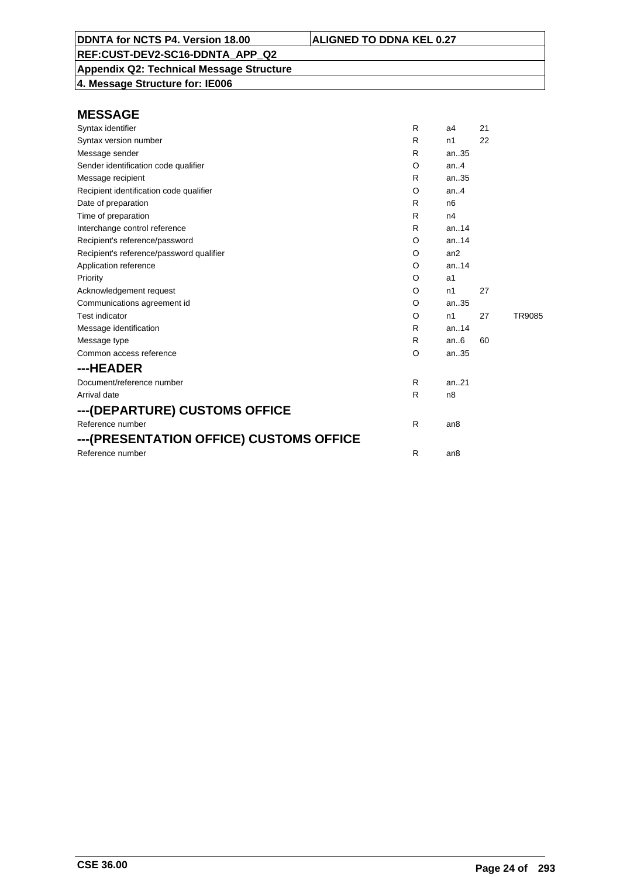**Appendix Q2: Technical Message Structure 4. Message Structure for: IE006**

| Syntax identifier                        | R  | a <sub>4</sub>  | 21 |        |
|------------------------------------------|----|-----------------|----|--------|
| Syntax version number                    | R. | n1              | 22 |        |
| Message sender                           | R. | an.35           |    |        |
| Sender identification code qualifier     | O  | an.4            |    |        |
| Message recipient                        | R  | an.35           |    |        |
| Recipient identification code qualifier  | O  | an.4            |    |        |
| Date of preparation                      | R. | n6              |    |        |
| Time of preparation                      | R  | n4              |    |        |
| Interchange control reference            | R  | an.14           |    |        |
| Recipient's reference/password           | O  | an.14           |    |        |
| Recipient's reference/password qualifier | O  | an2             |    |        |
| Application reference                    | O  | an.14           |    |        |
| Priority                                 | O  | a1              |    |        |
| Acknowledgement request                  | O  | n1              | 27 |        |
| Communications agreement id              | O  | an.35           |    |        |
| <b>Test indicator</b>                    | O  | n1              | 27 | TR9085 |
| Message identification                   | R. | an14            |    |        |
| Message type                             | R  | an.6            | 60 |        |
| Common access reference                  | O  | an35            |    |        |
| ---HEADER                                |    |                 |    |        |
| Document/reference number                | R  | an.21           |    |        |
| Arrival date                             | R  | n <sub>8</sub>  |    |        |
| ---(DEPARTURE) CUSTOMS OFFICE            |    |                 |    |        |
| Reference number                         | R  | an <sub>8</sub> |    |        |
| ---(PRESENTATION OFFICE) CUSTOMS OFFICE  |    |                 |    |        |
| Reference number                         | R  | an <sub>8</sub> |    |        |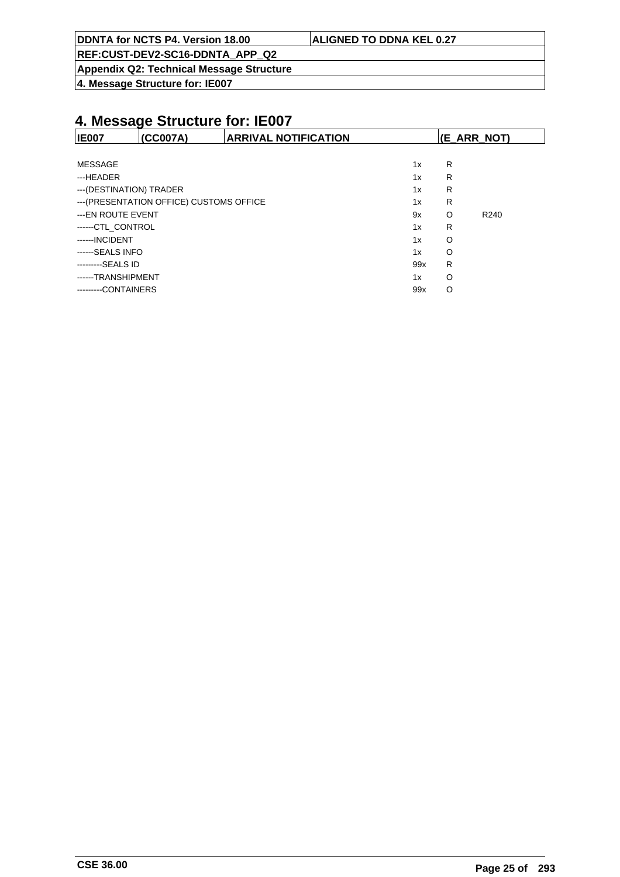| DDNTA for NCTS P4. Version 18.00 | <b>ALIGNED TO DDNA KEL 0.27</b> |
|----------------------------------|---------------------------------|
|                                  |                                 |

**Appendix Q2: Technical Message Structure**

**4. Message Structure for: IE007**

| <b>IE007</b>                             | (CC007A) | <b>ARRIVAL NOTIFICATION</b> |     | (E_ARR_NOT) |                  |
|------------------------------------------|----------|-----------------------------|-----|-------------|------------------|
|                                          |          |                             |     |             |                  |
| MESSAGE                                  |          |                             | 1x  | R           |                  |
| ---HEADER                                |          |                             | 1x  | R           |                  |
| --- (DESTINATION) TRADER                 |          |                             | 1x  | R           |                  |
| --- (PRESENTATION OFFICE) CUSTOMS OFFICE |          |                             | 1x  | R           |                  |
| ---EN ROUTE EVENT                        |          |                             | 9x  | O           | R <sub>240</sub> |
| ------CTL CONTROL                        |          |                             | 1x  | R           |                  |
| ------INCIDENT                           |          |                             | 1x  | O           |                  |
| ------SEALS INFO                         |          |                             | 1x  | O           |                  |
| ---------SEALS ID                        |          |                             | 99x | R           |                  |
| ------TRANSHIPMENT                       |          |                             | 1x  | O           |                  |
| ---------CONTAINERS                      |          |                             | 99x | O           |                  |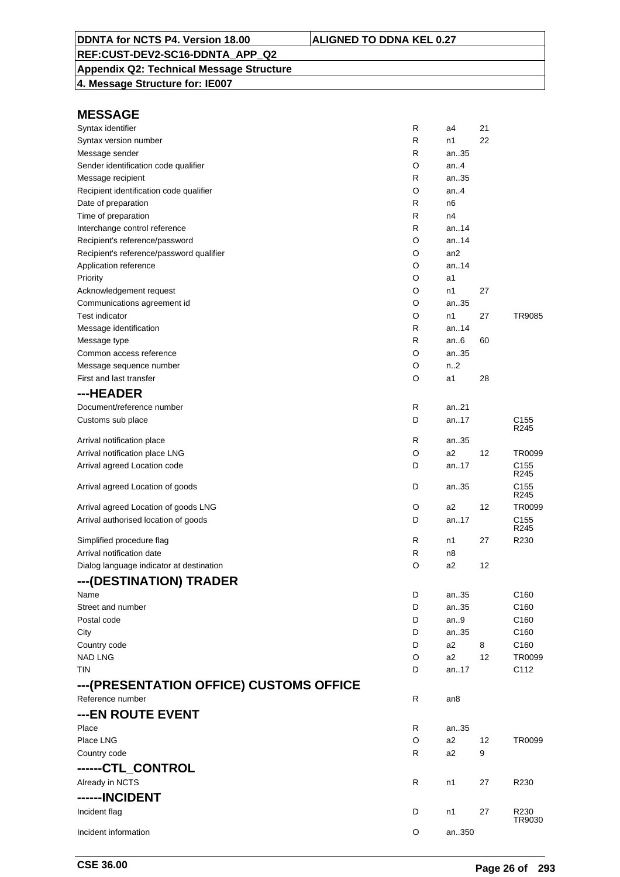## **Appendix Q2: Technical Message Structure**

**4. Message Structure for: IE007**

| Syntax identifier                        | R            | a4              | 21 |                                      |
|------------------------------------------|--------------|-----------------|----|--------------------------------------|
| Syntax version number                    | R            | n1              | 22 |                                      |
| Message sender                           | R            | an35            |    |                                      |
| Sender identification code qualifier     | O            | an4             |    |                                      |
| Message recipient                        | R            | an35            |    |                                      |
| Recipient identification code qualifier  | O            | an.4            |    |                                      |
| Date of preparation                      | R            | n6              |    |                                      |
| Time of preparation                      | R            | n4              |    |                                      |
| Interchange control reference            | R            | an14            |    |                                      |
| Recipient's reference/password           | O            | an14            |    |                                      |
| Recipient's reference/password qualifier | O            | an <sub>2</sub> |    |                                      |
| Application reference                    | O            | an14            |    |                                      |
| Priority                                 | O            | a1              |    |                                      |
| Acknowledgement request                  | O            | n1              | 27 |                                      |
| Communications agreement id              | O            | an35            |    |                                      |
| <b>Test indicator</b>                    | O            | n1              | 27 | TR9085                               |
| Message identification                   | R            | an14            |    |                                      |
| Message type                             | R            | an6             | 60 |                                      |
| Common access reference                  | O            | an35            |    |                                      |
| Message sequence number                  | O            | n2              |    |                                      |
| First and last transfer                  | O            | a1              | 28 |                                      |
| ---HEADER                                |              |                 |    |                                      |
| Document/reference number                | R            | an.21           |    |                                      |
| Customs sub place                        | D            | an17            |    | C <sub>155</sub>                     |
|                                          |              |                 |    | R <sub>245</sub>                     |
| Arrival notification place               | R            | an35            |    |                                      |
| Arrival notification place LNG           | O            | a2              | 12 | TR0099                               |
| Arrival agreed Location code             | D            | an17            |    | C <sub>155</sub><br>R <sub>245</sub> |
| Arrival agreed Location of goods         | D            | an35            |    | C <sub>155</sub><br>R245             |
| Arrival agreed Location of goods LNG     | O            | a2              | 12 | TR0099                               |
| Arrival authorised location of goods     | D            | an17            |    | C <sub>155</sub><br>R245             |
| Simplified procedure flag                | R            | n1              | 27 | R230                                 |
| Arrival notification date                | $\mathsf{R}$ | n8              |    |                                      |
| Dialog language indicator at destination | O            | a2              | 12 |                                      |
| ---(DESTINATION) TRADER                  |              |                 |    |                                      |
| Name                                     | D            | an35            |    | C160                                 |
| Street and number                        | D            | an35            |    | C160                                 |
| Postal code                              | D            | an $9$          |    | C160                                 |
| City                                     | D            | an35            |    | C160                                 |
| Country code                             | D            | a2              | 8  | C160                                 |
| <b>NAD LNG</b>                           | O            | a2              | 12 | TR0099                               |
| <b>TIN</b>                               | D            | an17            |    | C112                                 |
| ---(PRESENTATION OFFICE) CUSTOMS OFFICE  |              |                 |    |                                      |
| Reference number                         | R            |                 |    |                                      |
|                                          |              | an8             |    |                                      |
| ---EN ROUTE EVENT                        |              |                 |    |                                      |
| Place                                    | R            | an35            |    |                                      |
| Place LNG                                | O            | a2              | 12 | TR0099                               |
| Country code                             | R            | a2              | 9  |                                      |
| ------CTL_CONTROL                        |              |                 |    |                                      |
| Already in NCTS                          | R            | n1              | 27 | R230                                 |
| ------INCIDENT                           |              |                 |    |                                      |
| Incident flag                            | D            | n1              | 27 | R230<br>TR9030                       |
| Incident information                     | O            | an350           |    |                                      |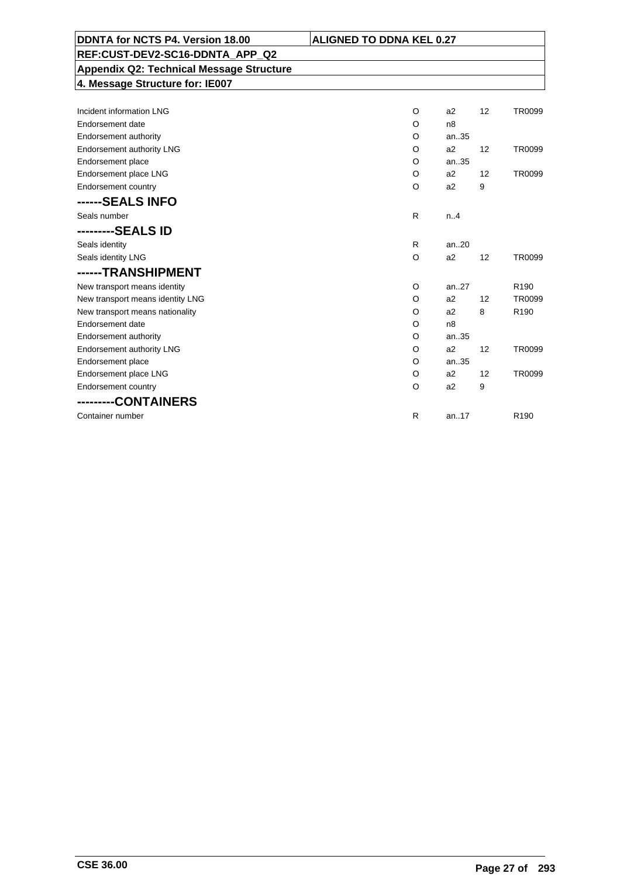| DDNTA for NCTS P4. Version 18.00<br><b>ALIGNED TO DDNA KEL 0.27</b> |         |                |                   |                  |
|---------------------------------------------------------------------|---------|----------------|-------------------|------------------|
| REF:CUST-DEV2-SC16-DDNTA APP Q2                                     |         |                |                   |                  |
| <b>Appendix Q2: Technical Message Structure</b>                     |         |                |                   |                  |
| 4. Message Structure for: IE007                                     |         |                |                   |                  |
|                                                                     |         |                |                   |                  |
| Incident information LNG                                            | O       | a2             | 12                | TR0099           |
| Endorsement date                                                    | O       | n <sub>8</sub> |                   |                  |
| <b>Endorsement authority</b>                                        | O       | an35           |                   |                  |
| Endorsement authority LNG                                           | O       | a2             | 12                | TR0099           |
| Endorsement place                                                   | O       | an35           |                   |                  |
| Endorsement place LNG                                               | O       | a2             | 12                | TR0099           |
| Endorsement country                                                 | $\circ$ | a2             | 9                 |                  |
| ------SEALS INFO                                                    |         |                |                   |                  |
| Seals number                                                        | R       | n.A            |                   |                  |
| ---------SEALS ID                                                   |         |                |                   |                  |
| Seals identity                                                      | R       | an20           |                   |                  |
| Seals identity LNG                                                  | $\circ$ | a2             | $12 \overline{ }$ | TR0099           |
| ------TRANSHIPMENT                                                  |         |                |                   |                  |
| New transport means identity                                        | O       | an.27          |                   | R <sub>190</sub> |
| New transport means identity LNG                                    | O       | a2             | $12 \overline{ }$ | TR0099           |
| New transport means nationality                                     | O       | a2             | 8                 | R <sub>190</sub> |
| Endorsement date                                                    | O       | n <sub>8</sub> |                   |                  |
| <b>Endorsement authority</b>                                        | O       | an35           |                   |                  |
| Endorsement authority LNG                                           | O       | a2             | 12                | TR0099           |
| Endorsement place                                                   | O       | an35           |                   |                  |
| Endorsement place LNG                                               | O       | a2             | 12                | TR0099           |
| Endorsement country                                                 | O       | a2             | 9                 |                  |
| ---------CONTAINERS                                                 |         |                |                   |                  |
| Container number                                                    | R       | an17           |                   | R <sub>190</sub> |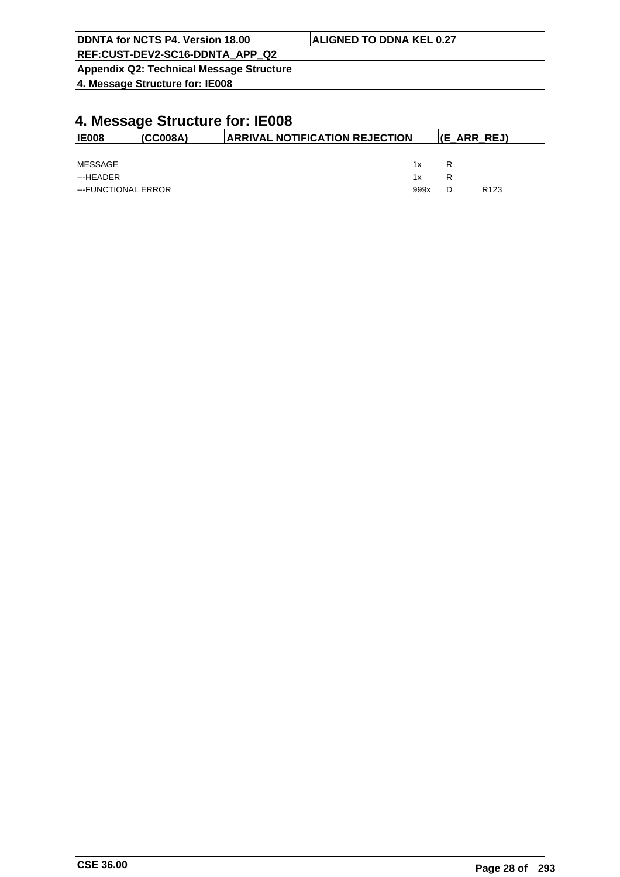| DDNTA for NCTS P4. Version 18.00         | <b>ALIGNED TO DDNA KEL 0.27</b> |
|------------------------------------------|---------------------------------|
| REF:CUST-DEV2-SC16-DDNTA APP Q2          |                                 |
| Appendix Q2: Technical Message Structure |                                 |
| 4. Message Structure for: IE008          |                                 |

| <b>IE008</b>        | (CC008A) | <b>ARRIVAL NOTIFICATION REJECTION</b><br>$ E_RRR_REL $ |   |                  |
|---------------------|----------|--------------------------------------------------------|---|------------------|
|                     |          |                                                        |   |                  |
| MESSAGE             |          | 1x                                                     | R |                  |
| ---HEADER           |          | 1x                                                     | R |                  |
| ---FUNCTIONAL ERROR |          | 999x                                                   | D | R <sub>123</sub> |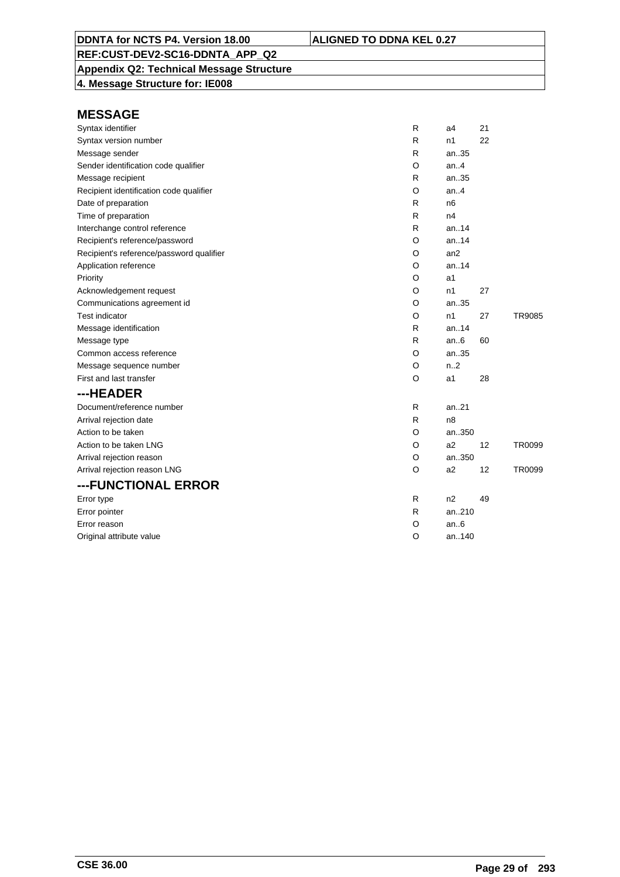## **Appendix Q2: Technical Message Structure**

**4. Message Structure for: IE008**

| Syntax identifier                        | R       | a4               | 21 |        |
|------------------------------------------|---------|------------------|----|--------|
| Syntax version number                    | R       | n1               | 22 |        |
| Message sender                           | R       | an35             |    |        |
| Sender identification code qualifier     | O       | an4              |    |        |
| Message recipient                        | R       | an35             |    |        |
| Recipient identification code qualifier  | O       | an.4             |    |        |
| Date of preparation                      | R       | n <sub>6</sub>   |    |        |
| Time of preparation                      | R       | n4               |    |        |
| Interchange control reference            | R       | an.14            |    |        |
| Recipient's reference/password           | O       | an14             |    |        |
| Recipient's reference/password qualifier | O       | an2              |    |        |
| Application reference                    | O       | an.14            |    |        |
| Priority                                 | O       | a1               |    |        |
| Acknowledgement request                  | O       | n1               | 27 |        |
| Communications agreement id              | O       | an35             |    |        |
| <b>Test indicator</b>                    | O       | n1               | 27 | TR9085 |
| Message identification                   | R       | an.14            |    |        |
| Message type                             | R       | an.6             | 60 |        |
| Common access reference                  | O       | an35             |    |        |
| Message sequence number                  | O       | n <sub>1</sub> 2 |    |        |
| First and last transfer                  | O       | a1               | 28 |        |
| ---HEADER                                |         |                  |    |        |
| Document/reference number                | R       | an21             |    |        |
| Arrival rejection date                   | R       | n8               |    |        |
| Action to be taken                       | O       | an350            |    |        |
| Action to be taken LNG                   | O       | a2               | 12 | TR0099 |
| Arrival rejection reason                 | O       | an350            |    |        |
| Arrival rejection reason LNG             | $\circ$ | a2               | 12 | TR0099 |
| ---FUNCTIONAL ERROR                      |         |                  |    |        |
| Error type                               | R       | n2               | 49 |        |
| Error pointer                            | R       | an210            |    |        |
| Error reason                             | O       | an6              |    |        |
| Original attribute value                 | O       | an140            |    |        |
|                                          |         |                  |    |        |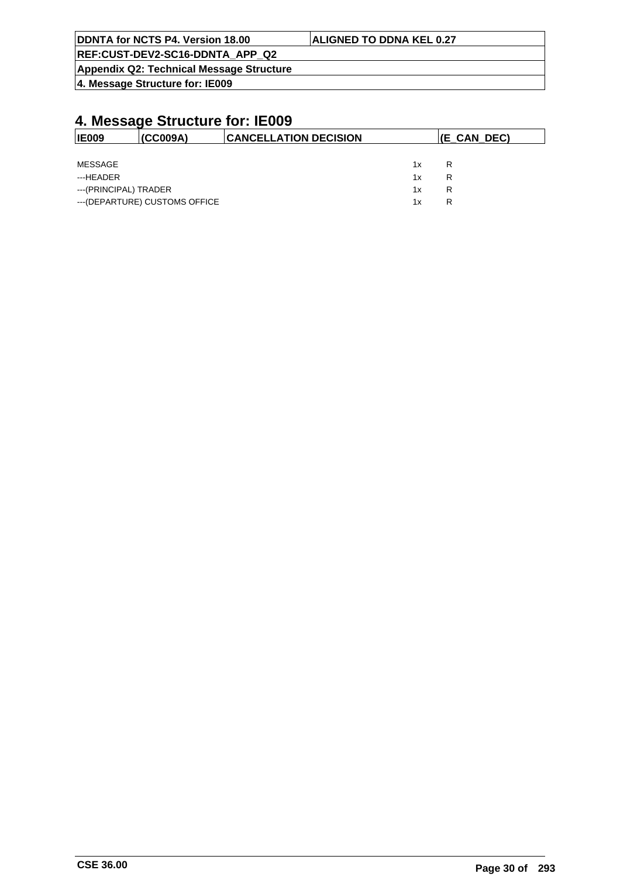| <b>IDDNTA for NCTS P4. Version 18.00</b>        | <b>ALIGNED TO DDNA KEL 0.27</b> |
|-------------------------------------------------|---------------------------------|
| REF:CUST-DEV2-SC16-DDNTA APP Q2                 |                                 |
| <b>Appendix Q2: Technical Message Structure</b> |                                 |

| <b>IE009</b>          | (CC009A)                       | <b>ICANCELLATION DECISION</b> |    | $ E_CAN_DEC\rangle$ |
|-----------------------|--------------------------------|-------------------------------|----|---------------------|
|                       |                                |                               |    |                     |
| MESSAGE               |                                |                               | 1x | R                   |
| ---HEADER             |                                |                               | 1x | R                   |
| ---(PRINCIPAL) TRADER |                                |                               | 1x | R                   |
|                       | --- (DEPARTURE) CUSTOMS OFFICE |                               | 1x | R                   |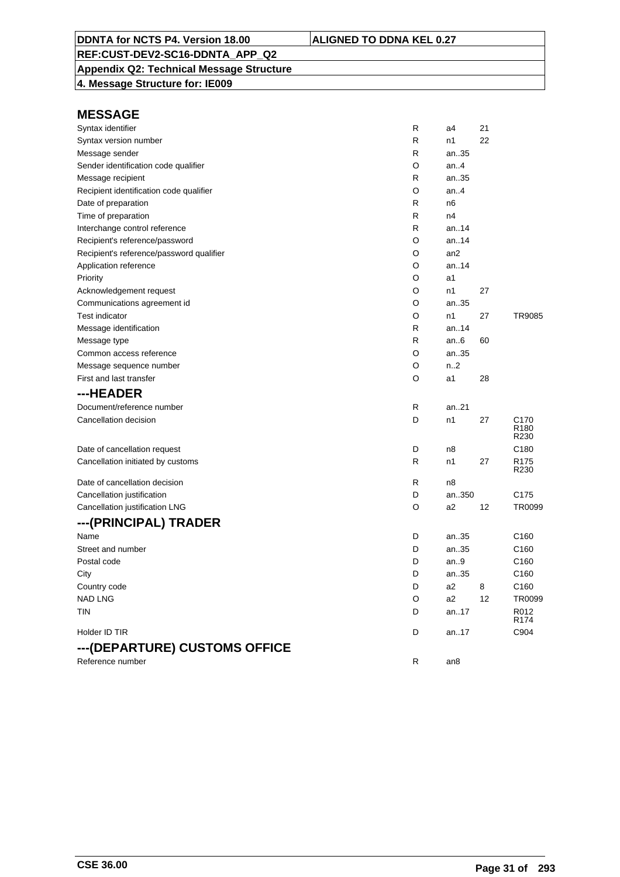## **Appendix Q2: Technical Message Structure**

**4. Message Structure for: IE009**

| Syntax identifier                        | R | a4              | 21 |                                              |
|------------------------------------------|---|-----------------|----|----------------------------------------------|
| Syntax version number                    | R | n1              | 22 |                                              |
| Message sender                           | R | an35            |    |                                              |
| Sender identification code qualifier     | O | an.4            |    |                                              |
| Message recipient                        | R | an35            |    |                                              |
| Recipient identification code qualifier  | O | an.4            |    |                                              |
| Date of preparation                      | R | n6              |    |                                              |
| Time of preparation                      | R | n4              |    |                                              |
| Interchange control reference            | R | an14            |    |                                              |
| Recipient's reference/password           | O | an14            |    |                                              |
| Recipient's reference/password qualifier | O | an2             |    |                                              |
| Application reference                    | O | an14            |    |                                              |
| Priority                                 | O | a1              |    |                                              |
| Acknowledgement request                  | O | n1              | 27 |                                              |
| Communications agreement id              | O | an35            |    |                                              |
| <b>Test indicator</b>                    | O | n1              | 27 | TR9085                                       |
| Message identification                   | R | an14            |    |                                              |
| Message type                             | R | an.6            | 60 |                                              |
| Common access reference                  | O | an35            |    |                                              |
| Message sequence number                  | O | n.2             |    |                                              |
| First and last transfer                  | O | a1              | 28 |                                              |
| ---HEADER                                |   |                 |    |                                              |
| Document/reference number                | R | an21            |    |                                              |
| Cancellation decision                    | D | n1              | 27 | C <sub>170</sub><br>R <sub>180</sub><br>R230 |
| Date of cancellation request             | D | n8              |    | C <sub>180</sub>                             |
| Cancellation initiated by customs        | R | n1              | 27 | R <sub>175</sub><br>R230                     |
| Date of cancellation decision            | R | n8              |    |                                              |
| Cancellation justification               | D | an350           |    | C175                                         |
| Cancellation justification LNG           | O | a2              | 12 | TR0099                                       |
| ---(PRINCIPAL) TRADER                    |   |                 |    |                                              |
| Name                                     | D | an35            |    | C <sub>160</sub>                             |
| Street and number                        | D | an35            |    | C <sub>160</sub>                             |
| Postal code                              | D | an.9            |    | C <sub>160</sub>                             |
| City                                     | D | an35            |    | C <sub>160</sub>                             |
| Country code                             | D | a2              | 8  | C <sub>160</sub>                             |
| <b>NAD LNG</b>                           | O | a2              | 12 | <b>TR0099</b>                                |
| TIN                                      | D | an.17           |    | R012<br>R <sub>174</sub>                     |
| Holder ID TIR                            | D | an17            |    | C904                                         |
| ---(DEPARTURE) CUSTOMS OFFICE            |   |                 |    |                                              |
| Reference number                         | R | an <sub>8</sub> |    |                                              |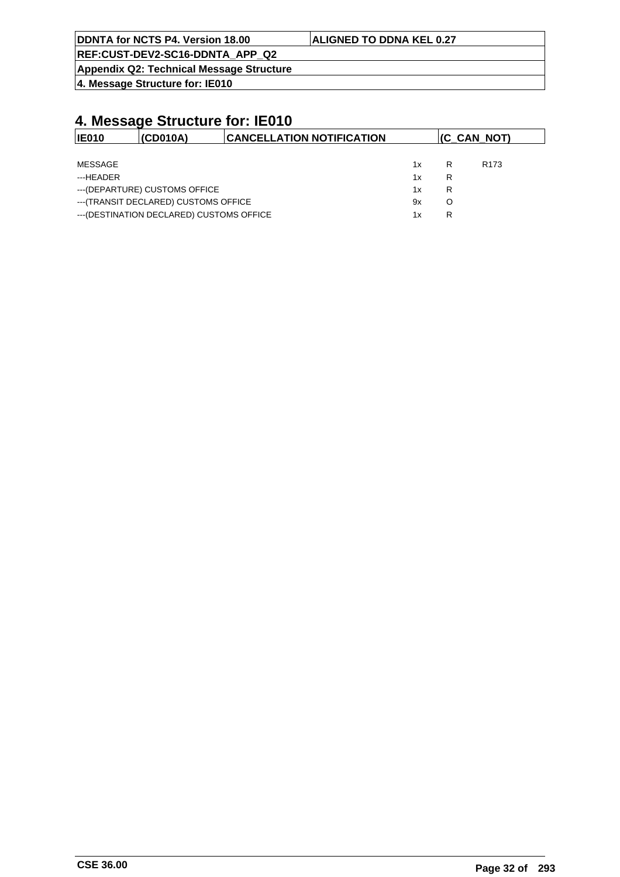| DDNTA for NCTS P4. Version 18.00 | <b>ALIGNED TO DDNA KEL 0.27</b> |
|----------------------------------|---------------------------------|
| REF:CUST-DEV2-SC16-DDNTA APP Q2  |                                 |

**Appendix Q2: Technical Message Structure**

**4. Message Structure for: IE010**

| <b>IE010</b> | (CD010A)                                  | <b>CANCELLATION NOTIFICATION</b> |    |   | (C_CAN_NOT)      |
|--------------|-------------------------------------------|----------------------------------|----|---|------------------|
|              |                                           |                                  |    |   |                  |
| MESSAGE      |                                           |                                  | 1x | R | R <sub>173</sub> |
| ---HFADFR    |                                           |                                  | 1x | R |                  |
|              | --- (DEPARTURE) CUSTOMS OFFICE            |                                  | 1x | R |                  |
|              | --- (TRANSIT DECLARED) CUSTOMS OFFICE     |                                  | 9x | O |                  |
|              | --- (DESTINATION DECLARED) CUSTOMS OFFICE |                                  | 1x | R |                  |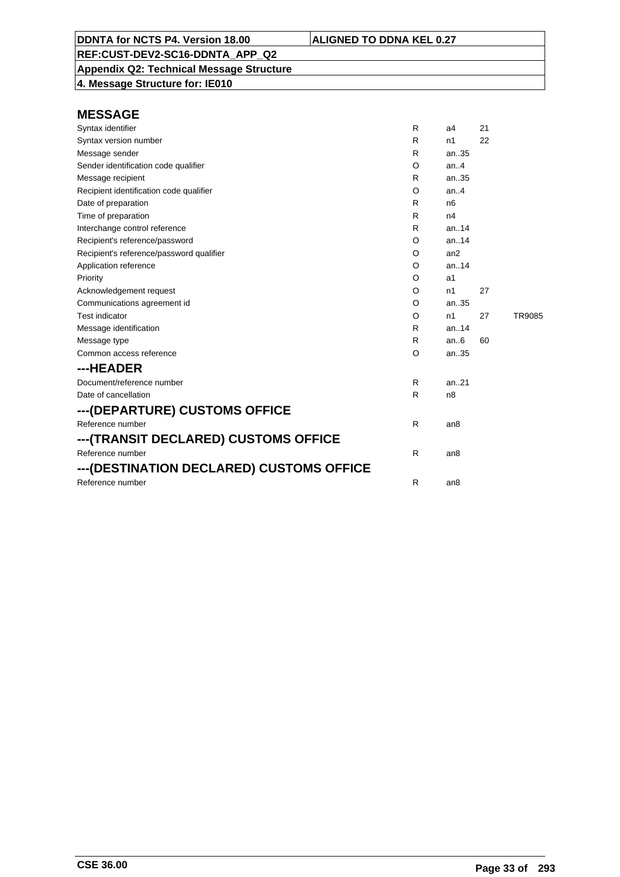**Appendix Q2: Technical Message Structure 4. Message Structure for: IE010**

| Syntax identifier                        | R | a4              | 21 |        |
|------------------------------------------|---|-----------------|----|--------|
| Syntax version number                    | R | n1              | 22 |        |
| Message sender                           | R | an35            |    |        |
| Sender identification code qualifier     | O | an.4            |    |        |
| Message recipient                        | R | an35            |    |        |
| Recipient identification code qualifier  | O | an.4            |    |        |
| Date of preparation                      | R | n <sub>6</sub>  |    |        |
| Time of preparation                      | R | n4              |    |        |
| Interchange control reference            | R | an14            |    |        |
| Recipient's reference/password           | O | an.14           |    |        |
| Recipient's reference/password qualifier | O | an2             |    |        |
| Application reference                    | O | an.14           |    |        |
| Priority                                 | O | a1              |    |        |
| Acknowledgement request                  | O | n1              | 27 |        |
| Communications agreement id              | O | an35            |    |        |
| <b>Test indicator</b>                    | O | n1              | 27 | TR9085 |
| Message identification                   | R | an14            |    |        |
| Message type                             | R | an.6            | 60 |        |
| Common access reference                  | O | an35            |    |        |
| ---HEADER                                |   |                 |    |        |
| Document/reference number                | R | an.21           |    |        |
| Date of cancellation                     | R | n <sub>8</sub>  |    |        |
| ---(DEPARTURE) CUSTOMS OFFICE            |   |                 |    |        |
| Reference number                         | R | an8             |    |        |
| ---(TRANSIT DECLARED) CUSTOMS OFFICE     |   |                 |    |        |
| Reference number                         | R | an <sub>8</sub> |    |        |
| ---(DESTINATION DECLARED) CUSTOMS OFFICE |   |                 |    |        |
| Reference number                         | R | an <sub>8</sub> |    |        |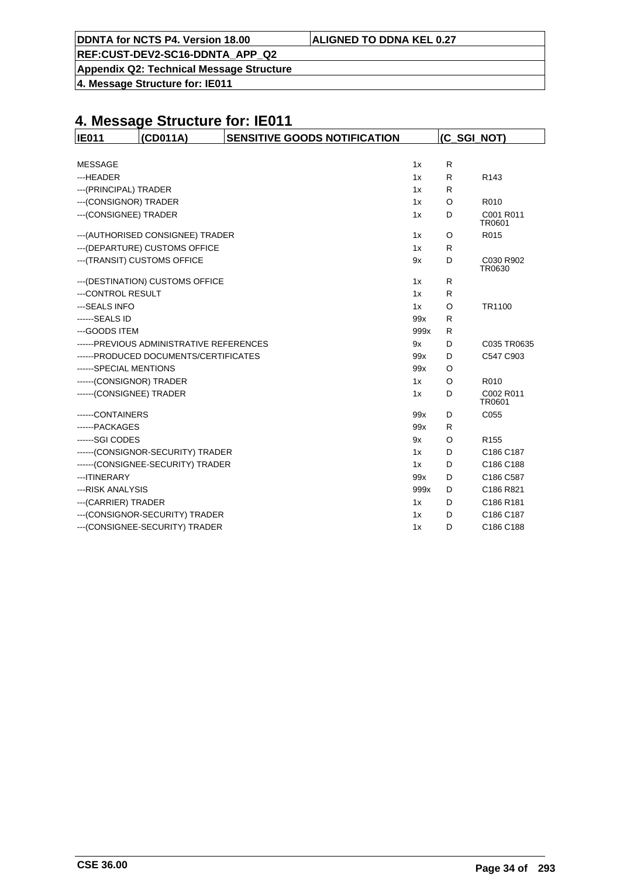| ALIGNED TO DDNA KEL 0.27 |
|--------------------------|
|--------------------------|

**DDNTA for NCTS P4. Version 18.00** 

**Appendix Q2: Technical Message Structure**

**4. Message Structure for: IE011**

| <b>IE011</b>             | (CD011A)                                 | <b>SENSITIVE GOODS NOTIFICATION</b> |      | (C_SGI_NOT) |                     |
|--------------------------|------------------------------------------|-------------------------------------|------|-------------|---------------------|
|                          |                                          |                                     |      |             |                     |
| <b>MESSAGE</b>           |                                          |                                     | 1x   | R           |                     |
| ---HEADER                |                                          |                                     | 1x   | R           | R <sub>143</sub>    |
| --- (PRINCIPAL) TRADER   |                                          |                                     | 1x   | R           |                     |
| --- (CONSIGNOR) TRADER   |                                          |                                     | 1x   | $\circ$     | R010                |
| --- (CONSIGNEE) TRADER   |                                          |                                     | 1x   | D           | C001 R011<br>TR0601 |
|                          | --- (AUTHORISED CONSIGNEE) TRADER        |                                     | 1x   | O           | R015                |
|                          | --- (DEPARTURE) CUSTOMS OFFICE           |                                     | 1x   | R           |                     |
|                          | --- (TRANSIT) CUSTOMS OFFICE             |                                     | 9x   | D           | C030 R902<br>TR0630 |
|                          | --- (DESTINATION) CUSTOMS OFFICE         |                                     | 1x   | R           |                     |
| ---CONTROL RESULT        |                                          |                                     | 1x   | R           |                     |
| --- SEALS INFO           |                                          |                                     | 1x   | O           | TR1100              |
| ------SEALS ID           |                                          |                                     | 99x  | R           |                     |
| --- GOODS ITEM           |                                          |                                     | 999x | R           |                     |
|                          | ------PREVIOUS ADMINISTRATIVE REFERENCES |                                     | 9x   | D           | C035 TR0635         |
|                          | ------PRODUCED DOCUMENTS/CERTIFICATES    |                                     | 99x  | D           | C547 C903           |
| ------SPECIAL MENTIONS   |                                          |                                     | 99x  | O           |                     |
| ------(CONSIGNOR) TRADER |                                          |                                     | 1x   | $\circ$     | R010                |
| ------(CONSIGNEE) TRADER |                                          |                                     | 1x   | D           | C002 R011<br>TR0601 |
| ------CONTAINERS         |                                          |                                     | 99x  | D           | C055                |
| ------PACKAGES           |                                          |                                     | 99x  | R           |                     |
| ------SGI CODES          |                                          |                                     | 9x   | O           | R <sub>155</sub>    |
|                          | ------(CONSIGNOR-SECURITY) TRADER        |                                     | 1x   | D           | C186 C187           |
|                          | ------(CONSIGNEE-SECURITY) TRADER        |                                     | 1x   | D           | C186 C188           |
| --- ITINERARY            |                                          |                                     | 99x  | D           | C186 C587           |
| ---RISK ANALYSIS         |                                          |                                     | 999x | D           | C186 R821           |
| --- (CARRIER) TRADER     |                                          |                                     | 1x   | D           | C186 R181           |
|                          | --- (CONSIGNOR-SECURITY) TRADER          |                                     | 1x   | D           | C186 C187           |
|                          | --- (CONSIGNEE-SECURITY) TRADER          |                                     | 1x   | D           | C186 C188           |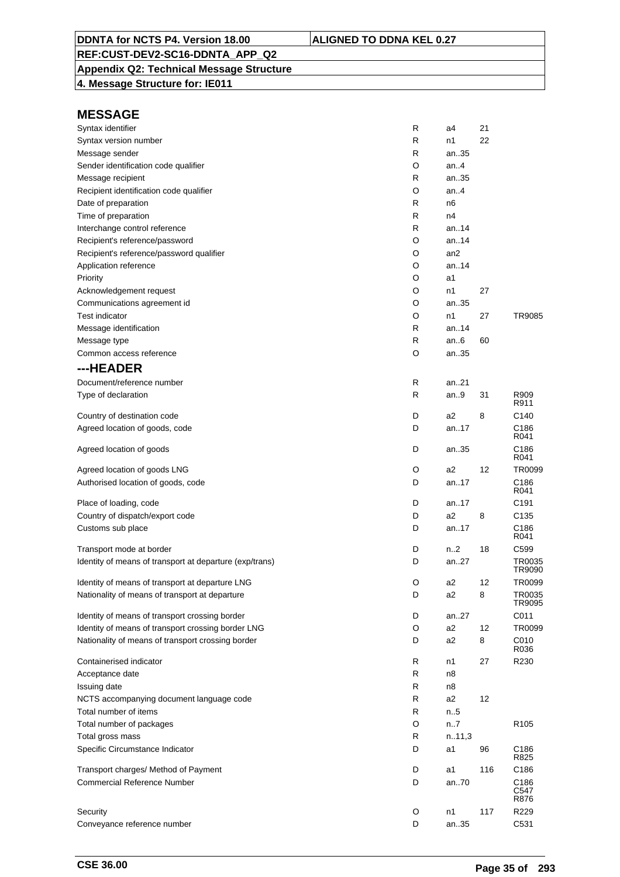## **Appendix Q2: Technical Message Structure**

**4. Message Structure for: IE011**

| Syntax identifier                                       | R | a4              | 21  |                  |
|---------------------------------------------------------|---|-----------------|-----|------------------|
| Syntax version number                                   | R | n1              | 22  |                  |
| Message sender                                          | R | an35            |     |                  |
| Sender identification code qualifier                    | O | an4             |     |                  |
| Message recipient                                       | R | an35            |     |                  |
| Recipient identification code qualifier                 | O | an.4            |     |                  |
| Date of preparation                                     | R | n6              |     |                  |
| Time of preparation                                     | R | n4              |     |                  |
| Interchange control reference                           | R | an. $.14$       |     |                  |
| Recipient's reference/password                          | O | an14            |     |                  |
| Recipient's reference/password qualifier                | O | an <sub>2</sub> |     |                  |
| Application reference                                   | O | an.14           |     |                  |
| Priority                                                | O | a1              |     |                  |
| Acknowledgement request                                 | O | n1              | 27  |                  |
| Communications agreement id                             | O | an35            |     |                  |
| <b>Test indicator</b>                                   | O | n1              | 27  | TR9085           |
| Message identification                                  | R | an14            |     |                  |
| Message type                                            | R | an.6            | 60  |                  |
| Common access reference                                 | O | an35            |     |                  |
| ---HEADER                                               |   |                 |     |                  |
| Document/reference number                               | R | an21            |     |                  |
|                                                         | R | an9             | 31  | R909             |
| Type of declaration                                     |   |                 |     | R911             |
| Country of destination code                             | D | a2              | 8   | C140             |
| Agreed location of goods, code                          | D | an17            |     | C <sub>186</sub> |
|                                                         |   |                 |     | R041             |
| Agreed location of goods                                | D | an35            |     | C186<br>R041     |
| Agreed location of goods LNG                            | O | a2              | 12  | TR0099           |
| Authorised location of goods, code                      | D | an17            |     | C186             |
|                                                         |   |                 |     | R041             |
| Place of loading, code                                  | D | an17            |     | C <sub>191</sub> |
| Country of dispatch/export code                         | D | a2              | 8   | C <sub>135</sub> |
| Customs sub place                                       | D | an17            |     | C186             |
|                                                         |   |                 |     | R041             |
| Transport mode at border                                | D | n2              | 18  | C <sub>599</sub> |
| Identity of means of transport at departure (exp/trans) | D | an27            |     | TR0035<br>TR9090 |
| Identity of means of transport at departure LNG         | O | a2              | 12  | TR0099           |
| Nationality of means of transport at departure          | D | a2              | 8   | TR0035           |
|                                                         |   |                 |     | TR9095           |
| Identity of means of transport crossing border          | D | an27            |     | C011             |
| Identity of means of transport crossing border LNG      | O | a <sub>2</sub>  | 12  | TR0099           |
| Nationality of means of transport crossing border       | D | a <sub>2</sub>  | 8   | C010             |
|                                                         |   |                 |     | R036             |
| Containerised indicator                                 | R | n1              | 27  | R230             |
| Acceptance date                                         | R | n8              |     |                  |
| Issuing date                                            | R | n8              |     |                  |
| NCTS accompanying document language code                | R | a <sub>2</sub>  | 12  |                  |
| Total number of items                                   | R | n.5             |     |                  |
| Total number of packages                                | O | n7              |     | R <sub>105</sub> |
| Total gross mass                                        | R | n.11,3          |     |                  |
| Specific Circumstance Indicator                         | D | a1              | 96  | C186             |
|                                                         |   |                 |     | R825             |
| Transport charges/ Method of Payment                    | D | a1              | 116 | C186             |
| <b>Commercial Reference Number</b>                      | D | an70            |     | C186<br>C547     |
|                                                         |   |                 |     | R876             |
| Security                                                | O | n1              | 117 | R229             |
| Conveyance reference number                             | D | an35            |     | C531             |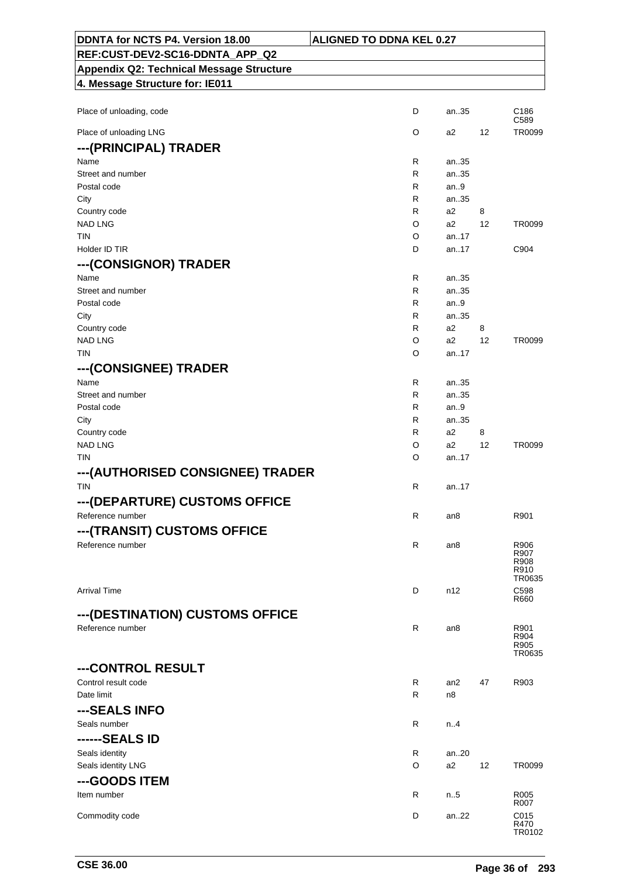| DDNTA for NCTS P4. Version 18.00                    | <b>ALIGNED TO DDNA KEL 0.27</b> |                 |    |                |
|-----------------------------------------------------|---------------------------------|-----------------|----|----------------|
| REF:CUST-DEV2-SC16-DDNTA_APP_Q2                     |                                 |                 |    |                |
| <b>Appendix Q2: Technical Message Structure</b>     |                                 |                 |    |                |
| 4. Message Structure for: IE011                     |                                 |                 |    |                |
|                                                     |                                 |                 |    |                |
| Place of unloading, code                            | D                               | an35            |    | C186<br>C589   |
| Place of unloading LNG                              | O                               | a2              | 12 | TR0099         |
| --- (PRINCIPAL) TRADER                              |                                 |                 |    |                |
| Name                                                | R                               | an35            |    |                |
| Street and number                                   | R                               | an35            |    |                |
| Postal code                                         | R                               | an.9            |    |                |
| City                                                | R                               | an35            |    |                |
| Country code                                        | R.                              | a2              | 8  |                |
| <b>NAD LNG</b>                                      | O                               | a2              | 12 | TR0099         |
| TIN<br>Holder ID TIR                                | O<br>D                          | an17<br>an17    |    | C904           |
|                                                     |                                 |                 |    |                |
| ---(CONSIGNOR) TRADER                               |                                 |                 |    |                |
| Name                                                | R                               | an35            |    |                |
| Street and number<br>Postal code                    | R<br>R                          | an35<br>an.9    |    |                |
| City                                                | R                               | an35            |    |                |
| Country code                                        | R                               | a2              | 8  |                |
| <b>NAD LNG</b>                                      | O                               | a2              | 12 | TR0099         |
| <b>TIN</b>                                          | O                               | an17            |    |                |
| ---(CONSIGNEE) TRADER                               |                                 |                 |    |                |
| Name                                                | R                               | an35            |    |                |
| Street and number                                   | R                               | an35            |    |                |
| Postal code                                         | R                               | an.9            |    |                |
| City                                                | R                               | an35            |    |                |
| Country code                                        | R                               | a2              | 8  |                |
| <b>NAD LNG</b>                                      | O                               | a2              | 12 | TR0099         |
| <b>TIN</b>                                          | O                               | an.17           |    |                |
| ---(AUTHORISED CONSIGNEE) TRADER                    |                                 |                 |    |                |
| <b>TIN</b>                                          | R                               | an17            |    |                |
| --- (DEPARTURE) CUSTOMS OFFICE                      |                                 |                 |    |                |
| Reference number                                    | R                               | an8             |    | R901           |
| ---(TRANSIT) CUSTOMS OFFICE                         |                                 |                 |    |                |
| Reference number                                    | $\mathsf{R}$                    | an <sub>8</sub> |    | R906           |
|                                                     |                                 |                 |    | R907           |
|                                                     |                                 |                 |    | R908<br>R910   |
|                                                     |                                 |                 |    | TR0635         |
| <b>Arrival Time</b>                                 | D                               | n12             |    | C598<br>R660   |
|                                                     |                                 |                 |    |                |
| ---(DESTINATION) CUSTOMS OFFICE<br>Reference number |                                 |                 |    |                |
|                                                     | $\mathsf R$                     | an8             |    | R901<br>R904   |
|                                                     |                                 |                 |    | R905<br>TR0635 |
|                                                     |                                 |                 |    |                |
| ---CONTROL RESULT                                   |                                 |                 |    |                |
| Control result code<br>Date limit                   | R<br>R                          | an2             | 47 | R903           |
|                                                     |                                 | n8              |    |                |
| ---SEALS INFO                                       |                                 |                 |    |                |
| Seals number                                        | R                               | n.4             |    |                |
| ------SEALS ID                                      |                                 |                 |    |                |
| Seals identity                                      | R                               | an20            |    |                |
| Seals identity LNG                                  | O                               | a2              | 12 | TR0099         |
| ---GOODS ITEM                                       |                                 |                 |    |                |
| Item number                                         | R                               | $n_{.}.5$       |    | R005           |
|                                                     |                                 |                 |    | R007           |
| Commodity code                                      | D                               | an22            |    | C015<br>R470   |
|                                                     |                                 |                 |    | TR0102         |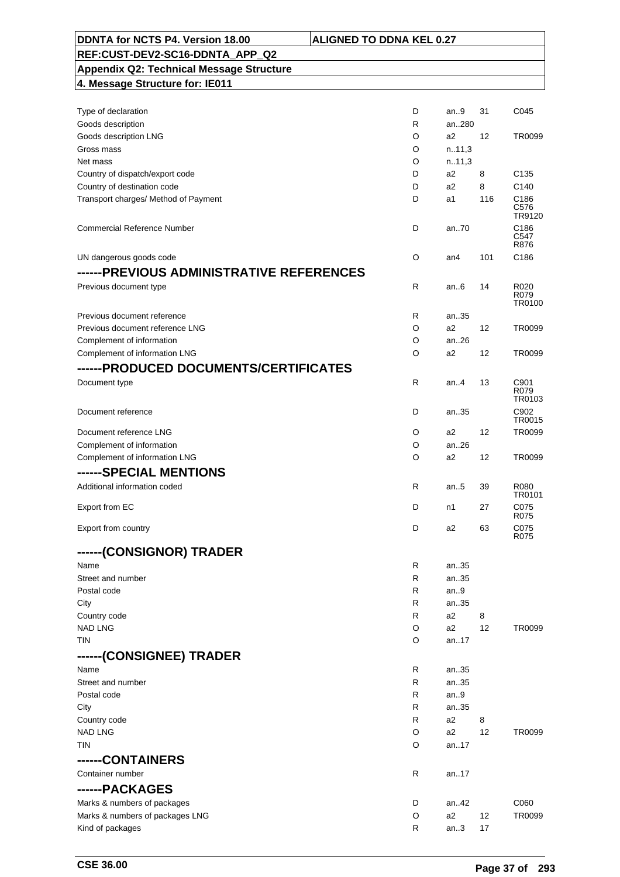| DDNTA for NCTS P4. Version 18.00                | <b>ALIGNED TO DDNA KEL 0.27</b> |                |     |                        |
|-------------------------------------------------|---------------------------------|----------------|-----|------------------------|
| REF:CUST-DEV2-SC16-DDNTA APP Q2                 |                                 |                |     |                        |
| <b>Appendix Q2: Technical Message Structure</b> |                                 |                |     |                        |
| 4. Message Structure for: IE011                 |                                 |                |     |                        |
|                                                 |                                 |                |     |                        |
| Type of declaration                             | D                               | an9            | 31  | C045                   |
| Goods description                               | R                               | an280          |     |                        |
| Goods description LNG                           | O                               | a2             | 12  | TR0099                 |
| Gross mass                                      | O                               | n.11,3         |     |                        |
| Net mass                                        | O                               | n.11,3         |     |                        |
| Country of dispatch/export code                 | D                               | a2             | 8   | C <sub>135</sub>       |
| Country of destination code                     | D                               | a2             | 8   | C <sub>140</sub>       |
| Transport charges/ Method of Payment            | D                               | a1             | 116 | C186<br>C576<br>TR9120 |
| <b>Commercial Reference Number</b>              | D                               | an.70          |     | C186<br>C547<br>R876   |
| UN dangerous goods code                         | O                               | an4            | 101 | C186                   |
| ------PREVIOUS ADMINISTRATIVE REFERENCES        |                                 |                |     |                        |
| Previous document type                          | $\mathsf{R}$                    | an $6$         | 14  | R020                   |
|                                                 |                                 |                |     | R079<br>TR0100         |
| Previous document reference                     | R                               | an35           |     |                        |
| Previous document reference LNG                 | O                               | a2             | 12  | TR0099                 |
| Complement of information                       | O                               | an.26          |     |                        |
| Complement of information LNG                   | O                               | a2             | 12  | TR0099                 |
| ------PRODUCED DOCUMENTS/CERTIFICATES           |                                 |                |     |                        |
| Document type                                   | R                               | an.4           | 13  | C901<br>R079<br>TR0103 |
| Document reference                              | D                               | an35           |     | C902<br>TR0015         |
| Document reference LNG                          | O                               | a2             | 12  | TR0099                 |
| Complement of information                       | O                               | an26           |     |                        |
| Complement of information LNG                   | O                               | a <sub>2</sub> | 12  | TR0099                 |
| ------SPECIAL MENTIONS                          |                                 |                |     |                        |
| Additional information coded                    | R                               | an.5           | 39  | R080                   |
|                                                 |                                 |                |     | TR0101                 |
| Export from EC                                  | D                               | n1             | 27  | C075<br>R075           |
| Export from country                             | D                               | a2             | 63  | C075<br>R075           |
| ------(CONSIGNOR) TRADER                        |                                 |                |     |                        |
| Name                                            | R                               | an35           |     |                        |
| Street and number                               | R                               | an35           |     |                        |
| Postal code                                     | R                               | an.9           |     |                        |
| City                                            | R                               | an35           |     |                        |
| Country code                                    | R                               | a2             | 8   |                        |
| <b>NAD LNG</b>                                  | O                               | a2             | 12  | TR0099                 |
| TIN                                             | O                               | an17           |     |                        |
| ------(CONSIGNEE) TRADER                        |                                 |                |     |                        |
| Name                                            | R                               | an35           |     |                        |
| Street and number                               | R                               | an35           |     |                        |
| Postal code                                     | R                               | an9            |     |                        |
| City                                            | R                               | an35           |     |                        |
| Country code                                    | R                               | a2             | 8   |                        |
| <b>NAD LNG</b>                                  | O                               | a2             | 12  | TR0099                 |
| TIN                                             | O                               | an17           |     |                        |
| ------CONTAINERS                                |                                 |                |     |                        |
| Container number                                | R                               |                |     |                        |
|                                                 |                                 | an17           |     |                        |
| ------PACKAGES                                  |                                 |                |     |                        |
| Marks & numbers of packages                     | D                               | an42           |     | C060                   |
| Marks & numbers of packages LNG                 | O                               | a2             | 12  | TR0099                 |
| Kind of packages                                | R                               | an3            | 17  |                        |

 $\mathsf{r}$ 

 $\overline{\phantom{a}}$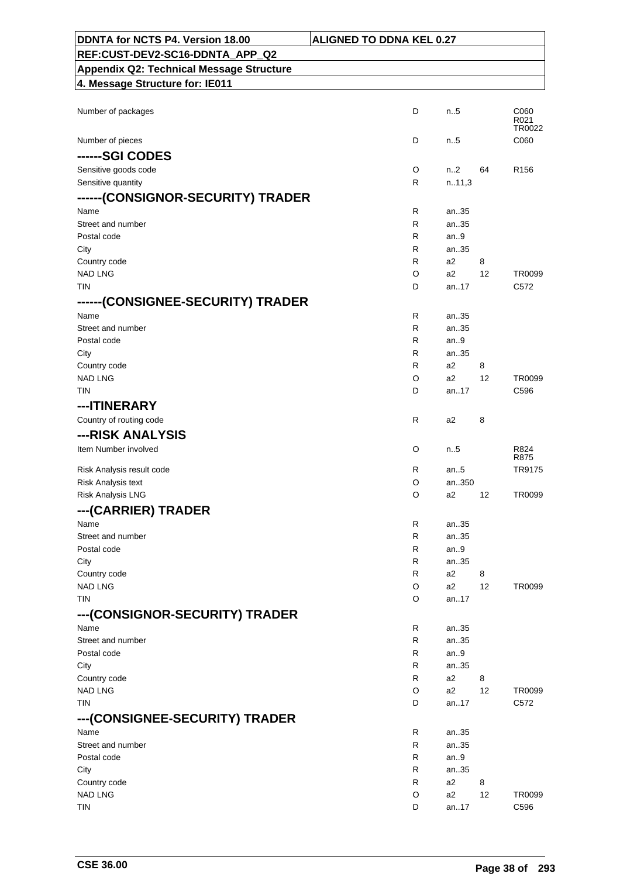| DDNTA for NCTS P4. Version 18.00                | <b>ALIGNED TO DDNA KEL 0.27</b> |                |    |                        |
|-------------------------------------------------|---------------------------------|----------------|----|------------------------|
| REF:CUST-DEV2-SC16-DDNTA_APP_Q2                 |                                 |                |    |                        |
| <b>Appendix Q2: Technical Message Structure</b> |                                 |                |    |                        |
| 4. Message Structure for: IE011                 |                                 |                |    |                        |
|                                                 |                                 |                |    |                        |
| Number of packages                              | D                               | n.5            |    | C060<br>R021<br>TR0022 |
| Number of pieces                                | D                               | $n_{.}.5$      |    | C060                   |
| ------SGI CODES                                 |                                 |                |    |                        |
| Sensitive goods code                            | O                               | n2             | 64 | R <sub>156</sub>       |
| Sensitive quantity                              | R                               | n.11,3         |    |                        |
| ------(CONSIGNOR-SECURITY) TRADER               |                                 |                |    |                        |
| Name                                            | R                               | an35           |    |                        |
| Street and number                               | R                               | an35           |    |                        |
| Postal code                                     | R                               | an.9           |    |                        |
| City<br>Country code                            | R<br>R                          | an35<br>a2     | 8  |                        |
| <b>NAD LNG</b>                                  | O                               | a2             | 12 | TR0099                 |
| <b>TIN</b>                                      | D                               | an17           |    | C572                   |
| ------(CONSIGNEE-SECURITY) TRADER               |                                 |                |    |                        |
| Name                                            | R                               | an35           |    |                        |
| Street and number                               | R                               | an35           |    |                        |
| Postal code                                     | R                               | an.9           |    |                        |
| City                                            | R                               | an35           |    |                        |
| Country code                                    | R                               | a2             | 8  |                        |
| <b>NAD LNG</b>                                  | O                               | a2             | 12 | TR0099                 |
| <b>TIN</b>                                      | D                               | an17           |    | C596                   |
| ---ITINERARY                                    |                                 |                |    |                        |
| Country of routing code                         | R                               | a2             | 8  |                        |
| ---RISK ANALYSIS                                |                                 |                |    |                        |
| Item Number involved                            | O                               | n.5            |    | R824<br>R875           |
| Risk Analysis result code                       | R                               | an $.5$        |    | TR9175                 |
| Risk Analysis text                              | O                               | an350          |    |                        |
| Risk Analysis LNG                               | O                               | a2             | 12 | TR0099                 |
| --- (CARRIER) TRADER                            |                                 |                |    |                        |
| Name                                            | R                               | an35           |    |                        |
| Street and number                               | R                               | an35           |    |                        |
| Postal code                                     | R                               | an9            |    |                        |
| City                                            | R                               | an35           |    |                        |
| Country code                                    | R                               | a <sub>2</sub> | 8  |                        |
| <b>NAD LNG</b><br><b>TIN</b>                    | O<br>O                          | a2<br>an17     | 12 | TR0099                 |
|                                                 |                                 |                |    |                        |
| ---(CONSIGNOR-SECURITY) TRADER                  |                                 |                |    |                        |
| Name<br>Street and number                       | R<br>R                          | an35<br>an35   |    |                        |
| Postal code                                     | R                               | an9            |    |                        |
| City                                            | R                               | an35           |    |                        |
| Country code                                    | R                               | a2             | 8  |                        |
| <b>NAD LNG</b>                                  | O                               | a2             | 12 | TR0099                 |
| TIN                                             | D                               | an17           |    | C572                   |
| ---(CONSIGNEE-SECURITY) TRADER                  |                                 |                |    |                        |
| Name                                            | R                               | an35           |    |                        |
| Street and number                               | R                               | an35           |    |                        |
| Postal code                                     | R                               | an.9           |    |                        |
| City                                            | R                               | an35           |    |                        |
| Country code<br><b>NAD LNG</b>                  | R                               | a2             | 8  |                        |
| <b>TIN</b>                                      | O<br>D                          | a2<br>an17     | 12 | TR0099<br>C596         |
|                                                 |                                 |                |    |                        |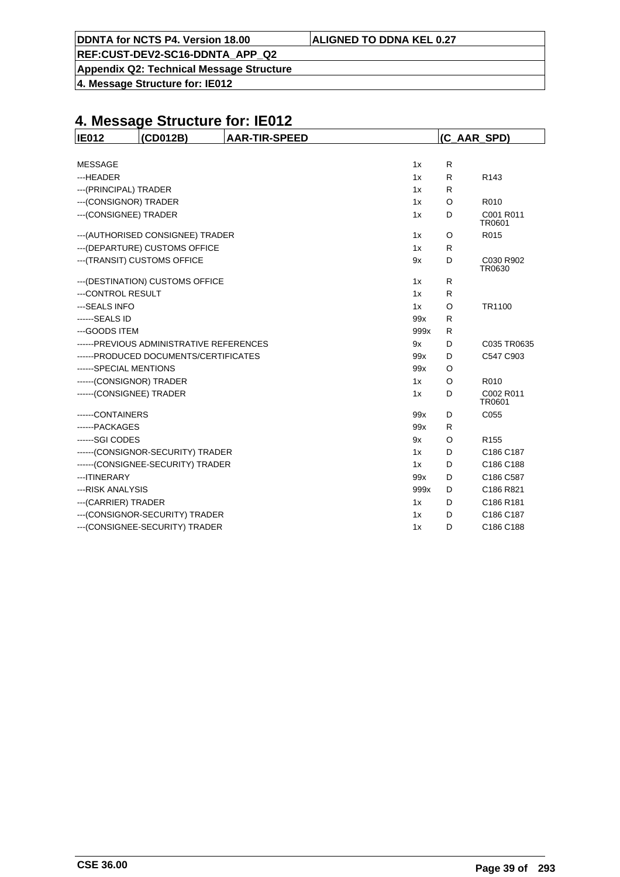**Appendix Q2: Technical Message Structure**

**4. Message Structure for: IE012**

| <b>IE012</b>             | (CD012B)                                  | <b>AAR-TIR-SPEED</b> |      |              | (C AAR SPD)         |
|--------------------------|-------------------------------------------|----------------------|------|--------------|---------------------|
|                          |                                           |                      |      |              |                     |
| <b>MESSAGE</b>           |                                           |                      | 1x   | R            |                     |
| ---HEADER                |                                           |                      | 1x   | R            | R <sub>143</sub>    |
| --- (PRINCIPAL) TRADER   |                                           |                      | 1x   | $\mathsf{R}$ |                     |
| --- (CONSIGNOR) TRADER   |                                           |                      | 1x   | O            | R010                |
| --- (CONSIGNEE) TRADER   |                                           |                      | 1x   | D            | C001 R011<br>TR0601 |
|                          | --- (AUTHORISED CONSIGNEE) TRADER         |                      | 1x   | O            | R015                |
|                          | --- (DEPARTURE) CUSTOMS OFFICE            |                      | 1x   | R            |                     |
|                          | --- (TRANSIT) CUSTOMS OFFICE              |                      | 9x   | D            | C030 R902<br>TR0630 |
|                          | --- (DESTINATION) CUSTOMS OFFICE          |                      | 1x   | R            |                     |
| ---CONTROL RESULT        |                                           |                      | 1x   | R            |                     |
| --- SEALS INFO           |                                           |                      | 1x   | O            | TR1100              |
| ------SEALS ID           |                                           |                      | 99x  | R            |                     |
| --- GOODS ITEM           |                                           |                      | 999x | R            |                     |
|                          | ------ PREVIOUS ADMINISTRATIVE REFERENCES |                      | 9x   | D            | C035 TR0635         |
|                          | ------PRODUCED DOCUMENTS/CERTIFICATES     |                      | 99x  | D            | C547 C903           |
| ------SPECIAL MENTIONS   |                                           |                      | 99x  | O            |                     |
| ------(CONSIGNOR) TRADER |                                           |                      | 1x   | O            | R010                |
| ------(CONSIGNEE) TRADER |                                           |                      | 1x   | D            | C002 R011<br>TR0601 |
| -----CONTAINERS          |                                           |                      | 99x  | D            | C055                |
| ------PACKAGES           |                                           |                      | 99x  | R            |                     |
| -----SGI CODES           |                                           |                      | 9x   | O            | R <sub>155</sub>    |
|                          | ------(CONSIGNOR-SECURITY) TRADER         |                      | 1x   | D            | C186 C187           |
|                          | ------(CONSIGNEE-SECURITY) TRADER         |                      | 1x   | D            | C186 C188           |
| --- ITINERARY            |                                           |                      | 99x  | D            | C186 C587           |
| ---RISK ANALYSIS         |                                           |                      | 999x | D            | C186 R821           |
| --- (CARRIER) TRADER     |                                           |                      | 1x   | D            | C186 R181           |
|                          | --- (CONSIGNOR-SECURITY) TRADER           |                      | 1x   | D            | C186 C187           |
|                          | --- (CONSIGNEE-SECURITY) TRADER           |                      | 1x   | D            | C186 C188           |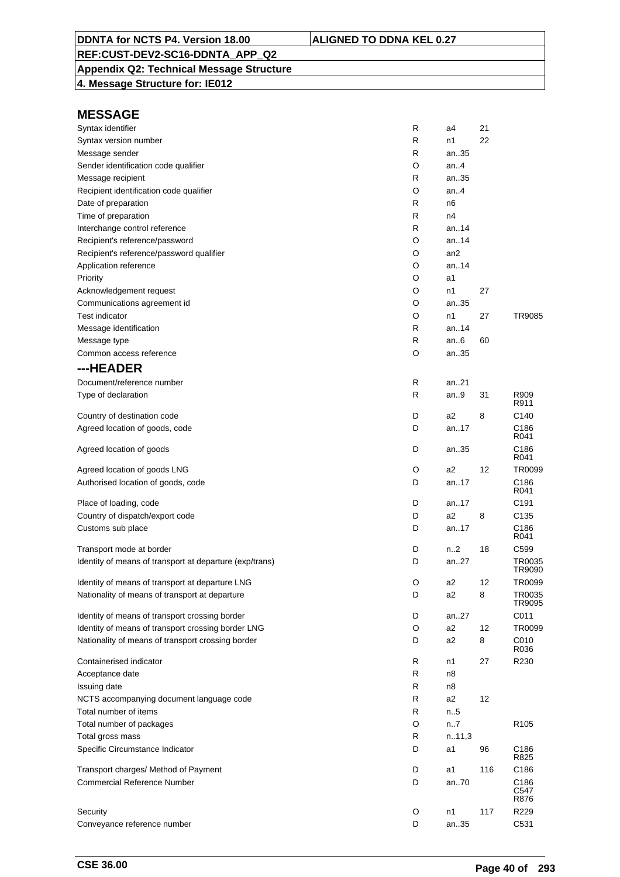## **Appendix Q2: Technical Message Structure**

**4. Message Structure for: IE012**

| Syntax identifier                                       | R | a4             | 21  |                  |
|---------------------------------------------------------|---|----------------|-----|------------------|
| Syntax version number                                   | R | n1             | 22  |                  |
| Message sender                                          | R | an35           |     |                  |
| Sender identification code qualifier                    | O | an4            |     |                  |
| Message recipient                                       | R | an35           |     |                  |
| Recipient identification code qualifier                 | O | an4            |     |                  |
| Date of preparation                                     | R | n6             |     |                  |
| Time of preparation                                     | R | n4             |     |                  |
| Interchange control reference                           | R | an14           |     |                  |
| Recipient's reference/password                          | O | an14           |     |                  |
| Recipient's reference/password qualifier                | O | an2            |     |                  |
| Application reference                                   | O | an14           |     |                  |
| Priority                                                | O | a1             |     |                  |
| Acknowledgement request                                 | O | n1             | 27  |                  |
| Communications agreement id                             | O | an35           |     |                  |
| <b>Test indicator</b>                                   | O | n1             | 27  | TR9085           |
| Message identification                                  | R | an14           |     |                  |
| Message type                                            | R | an6            | 60  |                  |
| Common access reference                                 | O | an35           |     |                  |
| ---HEADER                                               |   |                |     |                  |
| Document/reference number                               | R | an21           |     |                  |
| Type of declaration                                     | R | an9            | 31  | R909             |
|                                                         |   |                |     | R911             |
| Country of destination code                             | D | a2             | 8   | C140             |
| Agreed location of goods, code                          | D | an17           |     | C186<br>R041     |
| Agreed location of goods                                | D | an35           |     | C186<br>R041     |
| Agreed location of goods LNG                            | O | a2             | 12  | TR0099           |
| Authorised location of goods, code                      | D | an17           |     | C186<br>R041     |
| Place of loading, code                                  | D | an17           |     | C191             |
| Country of dispatch/export code                         | D | a2             | 8   | C135             |
| Customs sub place                                       | D | an17           |     | C186<br>R041     |
| Transport mode at border                                | D | n2             | 18  | C599             |
| Identity of means of transport at departure (exp/trans) | D | an27           |     | TR0035<br>TR9090 |
| Identity of means of transport at departure LNG         | O | a2             | 12  | TR0099           |
| Nationality of means of transport at departure          | D | a2             | 8   | TR0035<br>TR9095 |
| Identity of means of transport crossing border          | D | an27           |     | C011             |
| Identity of means of transport crossing border LNG      | O | a <sub>2</sub> | 12  | TR0099           |
| Nationality of means of transport crossing border       | D | a <sub>2</sub> | 8   | C010<br>R036     |
| Containerised indicator                                 | R | n1             | 27  | R230             |
| Acceptance date                                         | R | n8             |     |                  |
| Issuing date                                            | R | n8             |     |                  |
| NCTS accompanying document language code                | R | a <sub>2</sub> | 12  |                  |
| Total number of items                                   | R | n.5            |     |                  |
| Total number of packages                                | O | n7             |     | R <sub>105</sub> |
| Total gross mass                                        | R | n.11,3         |     |                  |
| Specific Circumstance Indicator                         | D | a1             | 96  | C186<br>R825     |
| Transport charges/ Method of Payment                    | D | a1             | 116 | C186             |
| <b>Commercial Reference Number</b>                      | D | an70           |     | C186<br>C547     |
| Security                                                | O | n1             | 117 | R876<br>R229     |
| Conveyance reference number                             | D | an35           |     | C531             |
|                                                         |   |                |     |                  |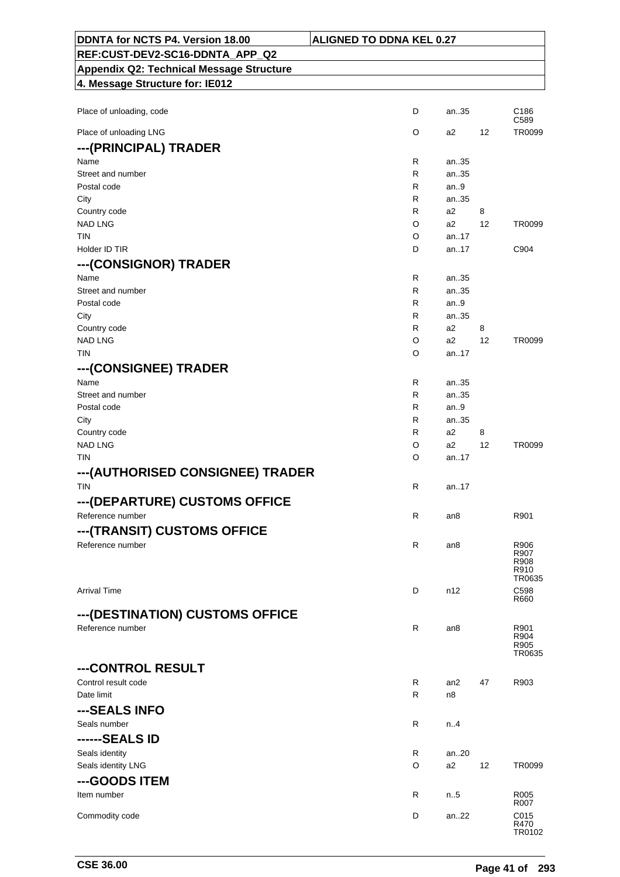| DDNTA for NCTS P4. Version 18.00                | <b>ALIGNED TO DDNA KEL 0.27</b> |           |    |                          |
|-------------------------------------------------|---------------------------------|-----------|----|--------------------------|
| REF:CUST-DEV2-SC16-DDNTA_APP_Q2                 |                                 |           |    |                          |
| <b>Appendix Q2: Technical Message Structure</b> |                                 |           |    |                          |
| 4. Message Structure for: IE012                 |                                 |           |    |                          |
|                                                 |                                 |           |    |                          |
| Place of unloading, code                        | D                               | an35      |    | C <sub>186</sub><br>C589 |
| Place of unloading LNG                          | O                               | a2        | 12 | TR0099                   |
| ---(PRINCIPAL) TRADER                           |                                 |           |    |                          |
| Name                                            | R                               | an35      |    |                          |
| Street and number                               | R                               | an35      |    |                          |
| Postal code                                     | R                               | an.9      |    |                          |
| City                                            | R                               | an35      |    |                          |
| Country code                                    | R                               | a2        | 8  |                          |
| <b>NAD LNG</b>                                  | O                               | a2        | 12 | TR0099                   |
| <b>TIN</b>                                      | O                               | an.17     |    |                          |
| Holder ID TIR                                   | D                               | an17      |    | C904                     |
| ---(CONSIGNOR) TRADER                           |                                 |           |    |                          |
| Name                                            | R                               | an35      |    |                          |
| Street and number                               | R                               | an35      |    |                          |
| Postal code                                     | R                               | an.9      |    |                          |
| City                                            | R                               | an35      |    |                          |
| Country code                                    | R                               | a2        | 8  |                          |
| <b>NAD LNG</b>                                  | O                               | a2        | 12 | TR0099                   |
| <b>TIN</b>                                      | O                               | an17      |    |                          |
| ---(CONSIGNEE) TRADER                           |                                 |           |    |                          |
| Name                                            | R                               | an35      |    |                          |
| Street and number                               | R                               | an35      |    |                          |
| Postal code                                     | R                               | an9       |    |                          |
| City                                            | R                               | an35      |    |                          |
| Country code                                    | R                               | a2        | 8  |                          |
| <b>NAD LNG</b>                                  | O                               | a2        | 12 | TR0099                   |
| TIN                                             | O                               | an17      |    |                          |
| --- (AUTHORISED CONSIGNEE) TRADER               |                                 |           |    |                          |
| <b>TIN</b>                                      | R                               | an. $.17$ |    |                          |
| ---(DEPARTURE) CUSTOMS OFFICE                   |                                 |           |    |                          |
| Reference number                                | R                               | an8       |    | R901                     |
|                                                 |                                 |           |    |                          |
| ---(TRANSIT) CUSTOMS OFFICE                     |                                 |           |    |                          |
| Reference number                                | R                               | an8       |    | R906<br>R907             |
|                                                 |                                 |           |    | R908<br>R910             |
|                                                 |                                 |           |    | TR0635                   |
| <b>Arrival Time</b>                             | D                               | n12       |    | C598                     |
|                                                 |                                 |           |    | R660                     |
| --- (DESTINATION) CUSTOMS OFFICE                |                                 |           |    |                          |
| Reference number                                | $\mathsf{R}$                    | an8       |    | R901                     |
|                                                 |                                 |           |    | R904<br>R905             |
|                                                 |                                 |           |    | TR0635                   |
| ---CONTROL RESULT                               |                                 |           |    |                          |
| Control result code                             | R                               | an2       | 47 | R903                     |
| Date limit                                      | R                               | n8        |    |                          |
| ---SEALS INFO                                   |                                 |           |    |                          |
| Seals number                                    | R                               | n.4       |    |                          |
| ------SEALS ID                                  |                                 |           |    |                          |
| Seals identity                                  | R                               | an20      |    |                          |
| Seals identity LNG                              | O                               | a2        | 12 | TR0099                   |
| ---GOODS ITEM                                   |                                 |           |    |                          |
| Item number                                     | R                               | n.5       |    | R005                     |
|                                                 |                                 |           |    | R007                     |
| Commodity code                                  | D                               | an22      |    | C015                     |
|                                                 |                                 |           |    | R470<br>TR0102           |

٦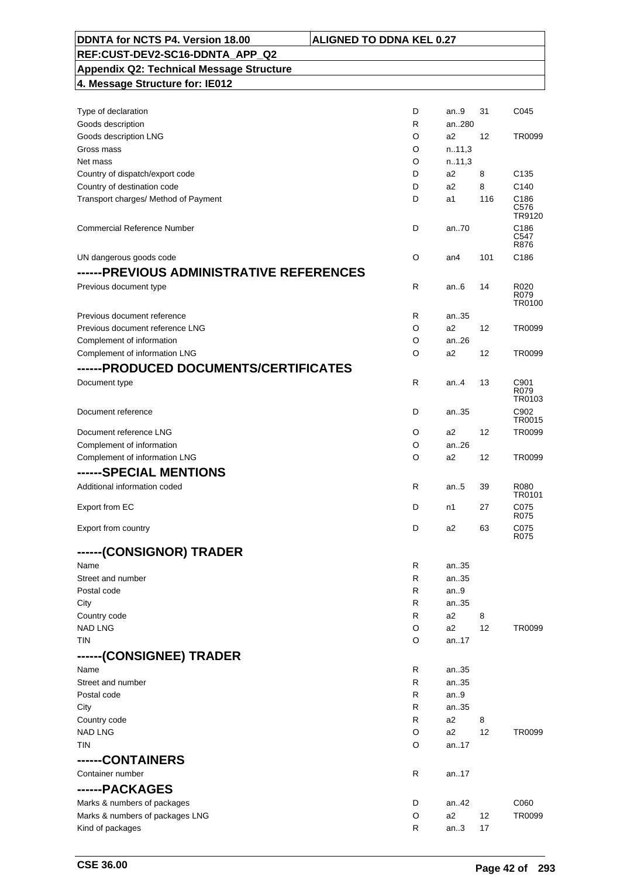| DDNTA for NCTS P4. Version 18.00                | <b>ALIGNED TO DDNA KEL 0.27</b> |                |     |                        |
|-------------------------------------------------|---------------------------------|----------------|-----|------------------------|
| REF:CUST-DEV2-SC16-DDNTA APP Q2                 |                                 |                |     |                        |
| <b>Appendix Q2: Technical Message Structure</b> |                                 |                |     |                        |
| 4. Message Structure for: IE012                 |                                 |                |     |                        |
|                                                 |                                 |                |     |                        |
| Type of declaration                             | D                               | an9            | 31  | C045                   |
| Goods description                               | R                               | an280          |     |                        |
| Goods description LNG                           | O                               | a2             | 12  | TR0099                 |
| Gross mass                                      | O                               | n.11,3         |     |                        |
| Net mass                                        | O                               | n.11,3         |     |                        |
| Country of dispatch/export code                 | D                               | a2             | 8   | C <sub>135</sub>       |
| Country of destination code                     | D                               | a2             | 8   | C <sub>140</sub>       |
| Transport charges/ Method of Payment            | D                               | a1             | 116 | C186<br>C576<br>TR9120 |
| <b>Commercial Reference Number</b>              | D                               | an.70          |     | C186<br>C547<br>R876   |
| UN dangerous goods code                         | O                               | an4            | 101 | C186                   |
| ------PREVIOUS ADMINISTRATIVE REFERENCES        |                                 |                |     |                        |
| Previous document type                          | $\mathsf{R}$                    | an $6$         | 14  | R020                   |
|                                                 |                                 |                |     | R079<br>TR0100         |
| Previous document reference                     | R                               | an35           |     |                        |
| Previous document reference LNG                 | O                               | a2             | 12  | TR0099                 |
| Complement of information                       | O                               | an.26          |     |                        |
| Complement of information LNG                   | O                               | a2             | 12  | TR0099                 |
| ------PRODUCED DOCUMENTS/CERTIFICATES           |                                 |                |     |                        |
| Document type                                   | R                               | an.4           | 13  | C901<br>R079<br>TR0103 |
| Document reference                              | D                               | an35           |     | C902<br>TR0015         |
| Document reference LNG                          | O                               | a2             | 12  | TR0099                 |
| Complement of information                       | O                               | an26           |     |                        |
| Complement of information LNG                   | O                               | a <sub>2</sub> | 12  | TR0099                 |
| ------SPECIAL MENTIONS                          |                                 |                |     |                        |
| Additional information coded                    |                                 |                |     |                        |
|                                                 | R                               | an.5           | 39  | R080<br>TR0101         |
| Export from EC                                  | D                               | n1             | 27  | C075<br>R075           |
| Export from country                             | D                               | a2             | 63  | C075                   |
| ------(CONSIGNOR) TRADER                        |                                 |                |     | R075                   |
| Name                                            | R                               | an35           |     |                        |
| Street and number                               | R                               | an35           |     |                        |
| Postal code                                     | R                               | an.9           |     |                        |
| City                                            | R                               | an35           |     |                        |
| Country code                                    | R                               | a2             | 8   |                        |
| <b>NAD LNG</b>                                  | O                               | a2             | 12  | TR0099                 |
| TIN                                             | O                               | an17           |     |                        |
| ------(CONSIGNEE) TRADER                        |                                 |                |     |                        |
| Name                                            | R                               | an35           |     |                        |
| Street and number                               | R                               | an35           |     |                        |
| Postal code                                     | R                               | an9            |     |                        |
| City                                            | R                               | an35           |     |                        |
| Country code                                    | R                               | a2             | 8   |                        |
| <b>NAD LNG</b>                                  | O                               | a2             | 12  | TR0099                 |
| TIN                                             | O                               | an17           |     |                        |
| ------CONTAINERS                                |                                 |                |     |                        |
|                                                 |                                 |                |     |                        |
| Container number                                | R                               | an17           |     |                        |
| ------PACKAGES                                  |                                 |                |     |                        |
| Marks & numbers of packages                     | D                               | an42           |     | C060                   |
| Marks & numbers of packages LNG                 | O                               | a2             | 12  | TR0099                 |
| Kind of packages                                | R                               | an3            | 17  |                        |

 $\mathsf{r}$ 

٦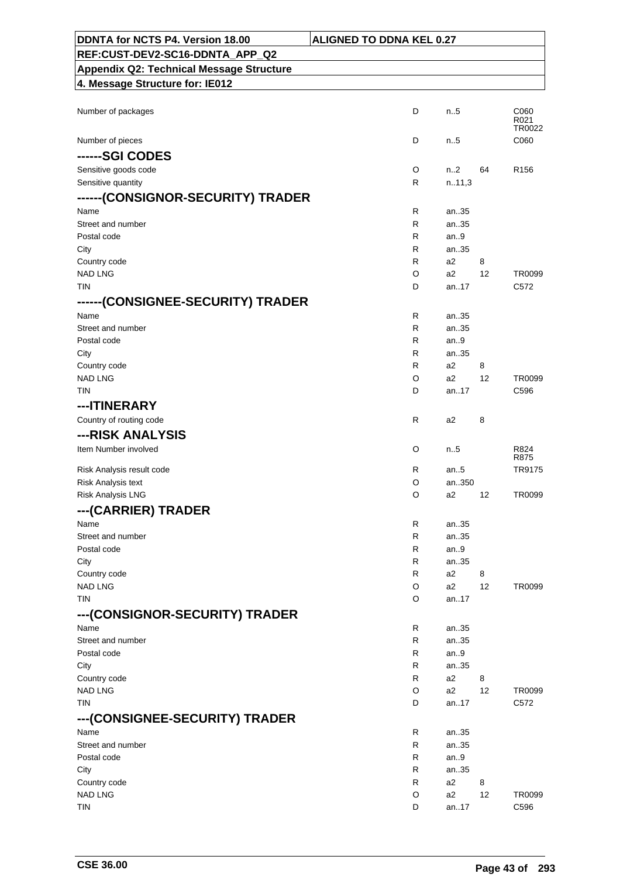| DDNTA for NCTS P4. Version 18.00                | <b>ALIGNED TO DDNA KEL 0.27</b> |                      |         |                        |
|-------------------------------------------------|---------------------------------|----------------------|---------|------------------------|
| REF:CUST-DEV2-SC16-DDNTA_APP_Q2                 |                                 |                      |         |                        |
| <b>Appendix Q2: Technical Message Structure</b> |                                 |                      |         |                        |
| 4. Message Structure for: IE012                 |                                 |                      |         |                        |
|                                                 |                                 |                      |         |                        |
| Number of packages                              | D                               | n.5                  |         | C060<br>R021<br>TR0022 |
| Number of pieces                                | D                               | $n_{.}.5$            |         | C060                   |
| ------SGI CODES                                 |                                 |                      |         |                        |
| Sensitive goods code                            | O                               | n2                   | 64      | R <sub>156</sub>       |
| Sensitive quantity                              | R                               | n.11,3               |         |                        |
| ------(CONSIGNOR-SECURITY) TRADER               |                                 |                      |         |                        |
| Name                                            | R                               | an35                 |         |                        |
| Street and number                               | R                               | an35                 |         |                        |
| Postal code                                     | R                               | an.9                 |         |                        |
| City                                            | R                               | an35                 |         |                        |
| Country code<br><b>NAD LNG</b>                  | R<br>O                          | a2<br>a2             | 8<br>12 | TR0099                 |
| <b>TIN</b>                                      | D                               | an17                 |         | C572                   |
| ------(CONSIGNEE-SECURITY) TRADER               |                                 |                      |         |                        |
| Name                                            | R                               | an35                 |         |                        |
| Street and number                               | R                               | an35                 |         |                        |
| Postal code                                     | R                               | an.9                 |         |                        |
| City                                            | R                               | an35                 |         |                        |
| Country code                                    | R                               | a2                   | 8       |                        |
| <b>NAD LNG</b>                                  | O                               | a2                   | 12      | TR0099                 |
| <b>TIN</b>                                      | D                               | an17                 |         | C596                   |
| ---ITINERARY                                    |                                 |                      |         |                        |
| Country of routing code                         | R                               | a2                   | 8       |                        |
| ---RISK ANALYSIS                                |                                 |                      |         |                        |
| Item Number involved                            | O                               | n.5                  |         | R824<br>R875           |
| Risk Analysis result code                       | R                               | an $.5$              |         | TR9175                 |
| Risk Analysis text                              | O                               | an350                |         |                        |
| Risk Analysis LNG                               | O                               | a2                   | 12      | TR0099                 |
| --- (CARRIER) TRADER                            |                                 |                      |         |                        |
| Name                                            | R                               | an35                 |         |                        |
| Street and number                               | R                               | an35                 |         |                        |
| Postal code                                     | R                               | an $9$               |         |                        |
| City                                            | R                               | an35                 |         |                        |
| Country code<br><b>NAD LNG</b>                  | R<br>O                          | a <sub>2</sub><br>a2 | 8<br>12 | TR0099                 |
| <b>TIN</b>                                      | O                               | an17                 |         |                        |
| ---(CONSIGNOR-SECURITY) TRADER                  |                                 |                      |         |                        |
| Name                                            | R                               | an35                 |         |                        |
| Street and number                               | R                               | an35                 |         |                        |
| Postal code                                     | R                               | an9                  |         |                        |
| City                                            | R                               | an35                 |         |                        |
| Country code                                    | R                               | a2                   | 8       |                        |
| <b>NAD LNG</b>                                  | O                               | a2                   | 12      | TR0099                 |
| TIN                                             | D                               | an17                 |         | C572                   |
| ---(CONSIGNEE-SECURITY) TRADER                  |                                 |                      |         |                        |
| Name                                            | R                               | an35                 |         |                        |
| Street and number                               | R                               | an35                 |         |                        |
| Postal code                                     | R                               | an.9                 |         |                        |
| City                                            | R                               | an35                 |         |                        |
| Country code                                    | R                               | a2                   | 8       |                        |
| <b>NAD LNG</b>                                  | O                               | a2                   | 12      | TR0099                 |
| <b>TIN</b>                                      | D                               | an17                 |         | C596                   |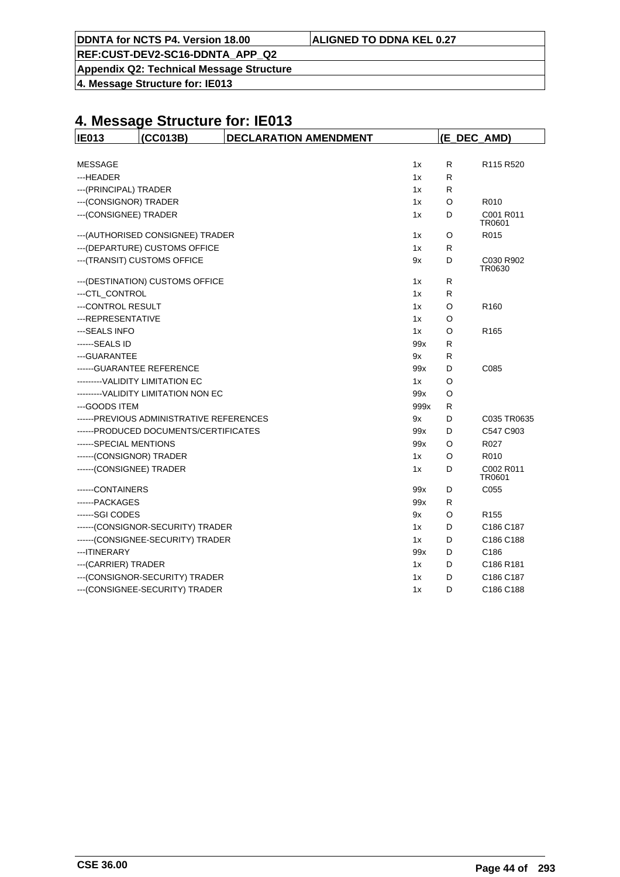**DDNTA for NCTS P4. Version 18.00** 

**Appendix Q2: Technical Message Structure**

**4. Message Structure for: IE013**

| <b>IE013</b>               | (CC013B)                                  | <b>DECLARATION AMENDMENT</b> |      | (E_DEC_AMD) |                                   |  |
|----------------------------|-------------------------------------------|------------------------------|------|-------------|-----------------------------------|--|
|                            |                                           |                              |      |             |                                   |  |
| <b>MESSAGE</b>             |                                           |                              | 1x   | R           | R <sub>115</sub> R <sub>520</sub> |  |
| ---HEADER                  |                                           |                              | 1x   | R           |                                   |  |
| --- (PRINCIPAL) TRADER     |                                           |                              | 1x   | R           |                                   |  |
| --- (CONSIGNOR) TRADER     |                                           |                              | 1x   | O           | R010                              |  |
| --- (CONSIGNEE) TRADER     |                                           |                              | 1x   | D           | C001 R011<br>TR0601               |  |
|                            | --- (AUTHORISED CONSIGNEE) TRADER         |                              | 1x   | O           | R015                              |  |
|                            | --- (DEPARTURE) CUSTOMS OFFICE            |                              | 1x   | R           |                                   |  |
|                            | --- (TRANSIT) CUSTOMS OFFICE              |                              | 9x   | D           | C030 R902<br>TR0630               |  |
|                            | --- (DESTINATION) CUSTOMS OFFICE          |                              | 1x   | R           |                                   |  |
| --- CTL CONTROL            |                                           |                              | 1x   | R           |                                   |  |
| ---CONTROL RESULT          |                                           |                              | 1x   | O           | R <sub>160</sub>                  |  |
| --- REPRESENTATIVE         |                                           |                              | 1x   | O           |                                   |  |
| ---SEALS INFO              |                                           |                              | 1x   | O           | R <sub>165</sub>                  |  |
| ------SEALS ID             |                                           |                              | 99x  | R           |                                   |  |
| --- GUARANTEE              |                                           |                              | 9x   | R           |                                   |  |
| ------ GUARANTEE REFERENCE |                                           |                              | 99x  | D           | C085                              |  |
|                            | ---------VALIDITY LIMITATION EC           |                              | 1x   | O           |                                   |  |
|                            | ---------VALIDITY LIMITATION NON EC       |                              | 99x  | O           |                                   |  |
| --- GOODS ITEM             |                                           |                              | 999x | R           |                                   |  |
|                            | ------ PREVIOUS ADMINISTRATIVE REFERENCES |                              | 9x   | D           | C035 TR0635                       |  |
|                            | ------ PRODUCED DOCUMENTS/CERTIFICATES    |                              | 99x  | D           | C547 C903                         |  |
| ------SPECIAL MENTIONS     |                                           |                              | 99x  | O           | R027                              |  |
| ------(CONSIGNOR) TRADER   |                                           |                              | 1x   | O           | R010                              |  |
| ------(CONSIGNEE) TRADER   |                                           |                              | 1x   | D           | C002 R011<br>TR0601               |  |
| -----CONTAINERS            |                                           |                              | 99x  | D           | C055                              |  |
| ------PACKAGES             |                                           |                              | 99x  | R           |                                   |  |
| ------SGI CODES            |                                           |                              | 9x   | O           | R <sub>155</sub>                  |  |
|                            | ------(CONSIGNOR-SECURITY) TRADER         |                              | 1x   | D           | C186 C187                         |  |
|                            | ------(CONSIGNEE-SECURITY) TRADER         |                              | 1x   | D           | C186 C188                         |  |
| --- ITINERARY              |                                           |                              | 99x  | D           | C186                              |  |
| --- (CARRIER) TRADER       |                                           |                              | 1x   | D           | C186 R181                         |  |
|                            | --- (CONSIGNOR-SECURITY) TRADER           |                              | 1x   | D           | C186 C187                         |  |
|                            | --- (CONSIGNEE-SECURITY) TRADER           |                              | 1x   | D           | C186 C188                         |  |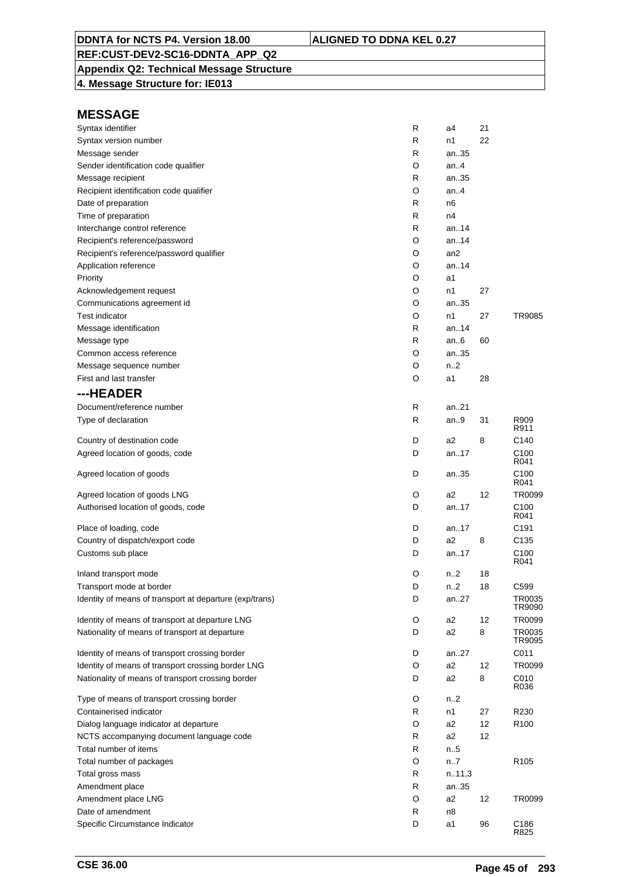## **Appendix Q2: Technical Message Structure**

**4. Message Structure for: IE013**

| Syntax identifier                                       | R | a4               | 21 |                          |
|---------------------------------------------------------|---|------------------|----|--------------------------|
| Syntax version number                                   | R | n1               | 22 |                          |
| Message sender                                          | R | an35             |    |                          |
| Sender identification code qualifier                    | O | an.4             |    |                          |
| Message recipient                                       | R | an35             |    |                          |
| Recipient identification code qualifier                 | O | an.4             |    |                          |
| Date of preparation                                     | R | n <sub>6</sub>   |    |                          |
| Time of preparation                                     | R | n4               |    |                          |
| Interchange control reference                           | R | an.14            |    |                          |
| Recipient's reference/password                          | O | an14             |    |                          |
| Recipient's reference/password qualifier                | O | an <sub>2</sub>  |    |                          |
| Application reference                                   | O | an14             |    |                          |
| Priority                                                | O | a1               |    |                          |
| Acknowledgement request                                 | O | n1               | 27 |                          |
| Communications agreement id                             | O | an35             |    |                          |
| <b>Test indicator</b>                                   | O | n1               | 27 | TR9085                   |
| Message identification                                  | R | an14             |    |                          |
| Message type                                            | R | an.6             | 60 |                          |
| Common access reference                                 | O | an35             |    |                          |
| Message sequence number                                 | O | n.2              |    |                          |
| First and last transfer                                 | O | a1               | 28 |                          |
| ---HEADER                                               |   |                  |    |                          |
| Document/reference number                               | R | an21             |    |                          |
| Type of declaration                                     | R | an.9             | 31 | R909<br>R911             |
| Country of destination code                             | D | a <sub>2</sub>   | 8  | C <sub>140</sub>         |
| Agreed location of goods, code                          | D | an17             |    | C <sub>100</sub><br>R041 |
| Agreed location of goods                                | D | an35             |    | C <sub>100</sub><br>R041 |
| Agreed location of goods LNG                            | O | a2               | 12 | TR0099                   |
| Authorised location of goods, code                      | D | an17             |    | C <sub>100</sub><br>R041 |
| Place of loading, code                                  | D | an17             |    | C191                     |
| Country of dispatch/export code                         | D | a <sub>2</sub>   | 8  | C <sub>135</sub>         |
| Customs sub place                                       | D | an17             |    | C <sub>100</sub><br>R041 |
| Inland transport mode                                   | O | n <sub>2</sub>   | 18 |                          |
| Transport mode at border                                | D | n <sub>1</sub> 2 | 18 | C599                     |
| Identity of means of transport at departure (exp/trans) | D | an27             |    | TR0035<br>TR9090         |
| Identity of means of transport at departure LNG         | O | a <sub>2</sub>   | 12 | TR0099                   |
| Nationality of means of transport at departure          | D | a2               | 8  | TR0035<br>TR9095         |
| Identity of means of transport crossing border          | D | an27             |    | C011                     |
| Identity of means of transport crossing border LNG      | O | a2               | 12 | TR0099                   |
| Nationality of means of transport crossing border       | D | a2               | 8  | C010<br>R036             |
| Type of means of transport crossing border              | O | n <sub>1</sub> 2 |    |                          |
| Containerised indicator                                 | R | n1               | 27 | R230                     |
| Dialog language indicator at departure                  | O | a2               | 12 | R <sub>100</sub>         |
| NCTS accompanying document language code                | R | a2               | 12 |                          |
| Total number of items                                   | R | n.5              |    |                          |
| Total number of packages                                | O | n7               |    | R <sub>105</sub>         |
| Total gross mass                                        | R | n.11,3           |    |                          |
| Amendment place                                         | R | an35             |    |                          |
| Amendment place LNG                                     | O | a2               | 12 | TR0099                   |
| Date of amendment                                       | R | n8               |    |                          |
| Specific Circumstance Indicator                         | D | a1               | 96 | C186<br>R825             |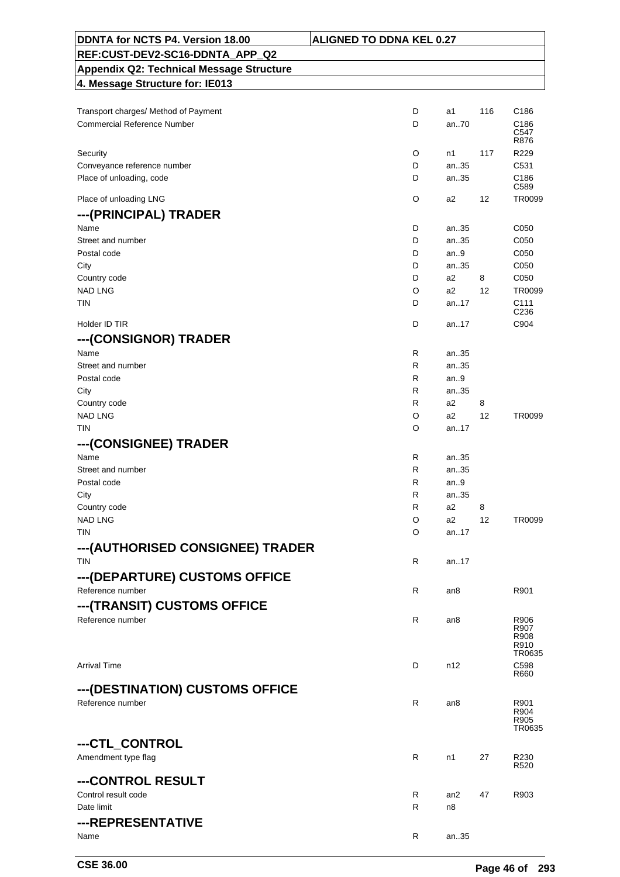| DDNTA for NCTS P4. Version 18.00                | <b>ALIGNED TO DDNA KEL 0.27</b> |           |     |                          |
|-------------------------------------------------|---------------------------------|-----------|-----|--------------------------|
| REF:CUST-DEV2-SC16-DDNTA_APP_Q2                 |                                 |           |     |                          |
| <b>Appendix Q2: Technical Message Structure</b> |                                 |           |     |                          |
| 4. Message Structure for: IE013                 |                                 |           |     |                          |
|                                                 |                                 |           |     |                          |
| Transport charges/ Method of Payment            | D                               | a1        | 116 | C <sub>186</sub>         |
| <b>Commercial Reference Number</b>              | D                               | an70      |     | C186<br>C547             |
|                                                 |                                 |           |     | R876                     |
| Security                                        | O                               | n1        | 117 | R229                     |
| Conveyance reference number                     | D                               | an35      |     | C531                     |
| Place of unloading, code                        | D                               | an35      |     | C186<br>C <sub>589</sub> |
| Place of unloading LNG                          | O                               | a2        | 12  | TR0099                   |
| ---(PRINCIPAL) TRADER                           |                                 |           |     |                          |
| Name                                            | D                               | an35      |     | C050                     |
| Street and number                               | D                               | an35      |     | C050                     |
| Postal code                                     | D                               | an.9      |     | C050                     |
| City                                            | D                               | an35      |     | C050                     |
| Country code                                    | D                               | a2        | 8   | C050                     |
| <b>NAD LNG</b>                                  | O                               | a2        | 12  | TR0099                   |
| TIN                                             | D                               | an17      |     | C <sub>111</sub>         |
|                                                 |                                 |           |     | C <sub>236</sub>         |
| Holder ID TIR                                   | D                               | an17      |     | C904                     |
| ---(CONSIGNOR) TRADER                           |                                 |           |     |                          |
| Name                                            | R                               | an35      |     |                          |
| Street and number                               | R                               | an35      |     |                          |
| Postal code                                     | R                               | an.9      |     |                          |
| City                                            | R                               | an35      |     |                          |
| Country code                                    | R                               | a2        | 8   |                          |
| <b>NAD LNG</b><br><b>TIN</b>                    | O                               | a2        | 12  | TR0099                   |
|                                                 | O                               | an17      |     |                          |
| --- (CONSIGNEE) TRADER                          |                                 |           |     |                          |
| Name                                            | R                               | an35      |     |                          |
| Street and number                               | R                               | an35      |     |                          |
| Postal code                                     | R                               | an.9      |     |                          |
| City                                            | R                               | an35      |     |                          |
| Country code                                    | R                               | a2        | 8   |                          |
| <b>NAD LNG</b><br><b>TIN</b>                    | O                               | a2        | 12  | TR0099                   |
|                                                 | O                               | an17      |     |                          |
| ---(AUTHORISED CONSIGNEE) TRADER                |                                 |           |     |                          |
| <b>TIN</b>                                      | R                               | an17      |     |                          |
| --- (DEPARTURE) CUSTOMS OFFICE                  |                                 |           |     |                          |
| Reference number                                | R                               | an8       |     | R901                     |
| ---(TRANSIT) CUSTOMS OFFICE                     |                                 |           |     |                          |
| Reference number                                | R                               | an8       |     | R906                     |
|                                                 |                                 |           |     | R907<br>R908             |
|                                                 |                                 |           |     | R910                     |
|                                                 |                                 |           |     | TR0635                   |
| <b>Arrival Time</b>                             | D                               | n12       |     | C <sub>598</sub><br>R660 |
| ---(DESTINATION) CUSTOMS OFFICE                 |                                 |           |     |                          |
| Reference number                                | R                               |           |     |                          |
|                                                 |                                 | an8       |     | R901<br>R904             |
|                                                 |                                 |           |     | R905<br>TR0635           |
|                                                 |                                 |           |     |                          |
| ---CTL_CONTROL                                  |                                 |           |     |                          |
| Amendment type flag                             | R                               | n1        | 27  | R230<br>R <sub>520</sub> |
| ---CONTROL RESULT                               |                                 |           |     |                          |
| Control result code                             | R                               |           |     | R903                     |
| Date limit                                      | R                               | an2<br>n8 | 47  |                          |
|                                                 |                                 |           |     |                          |
| ---REPRESENTATIVE                               |                                 |           |     |                          |
| Name                                            | R                               | an35      |     |                          |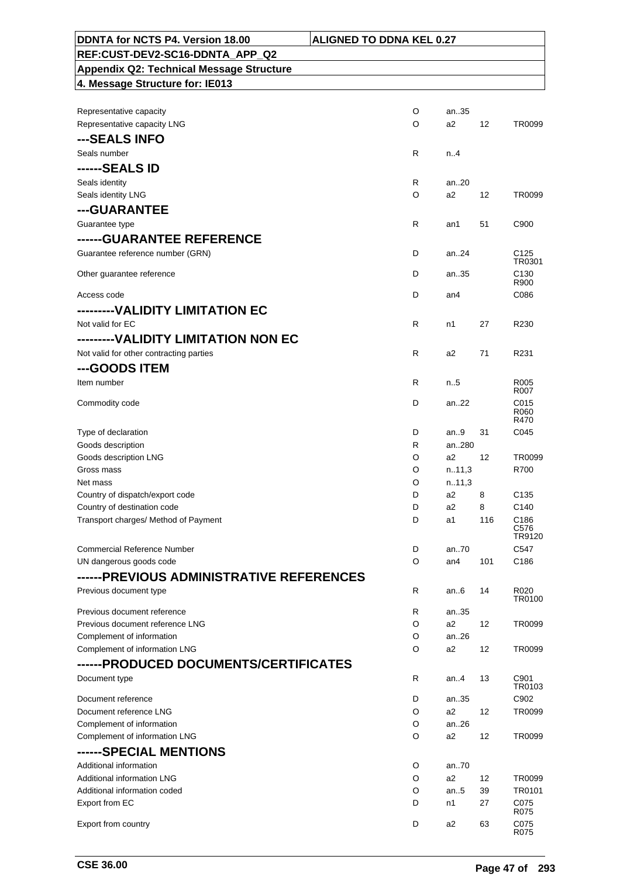| DDNTA for NCTS P4. Version 18.00                | <b>ALIGNED TO DDNA KEL 0.27</b> |              |     |                          |
|-------------------------------------------------|---------------------------------|--------------|-----|--------------------------|
| REF:CUST-DEV2-SC16-DDNTA APP Q2                 |                                 |              |     |                          |
| <b>Appendix Q2: Technical Message Structure</b> |                                 |              |     |                          |
| 4. Message Structure for: IE013                 |                                 |              |     |                          |
|                                                 |                                 |              |     |                          |
| Representative capacity                         | O                               | an35         |     |                          |
| Representative capacity LNG                     | O                               | a2           | 12  | TR0099                   |
| ---SEALS INFO                                   |                                 |              |     |                          |
| Seals number                                    | R                               | n.A          |     |                          |
| ------SEALS ID                                  |                                 |              |     |                          |
| Seals identity                                  | R                               | an20         |     |                          |
| Seals identity LNG                              | O                               | a2           | 12  | TR0099                   |
| ---GUARANTEE                                    |                                 |              |     |                          |
| Guarantee type                                  | $\mathsf{R}$                    | an1          | 51  | C900                     |
| ------GUARANTEE REFERENCE                       |                                 |              |     |                          |
| Guarantee reference number (GRN)                | D                               | an24         |     | C <sub>125</sub>         |
|                                                 |                                 |              |     | TR0301                   |
| Other guarantee reference                       | D                               | an35         |     | C <sub>130</sub><br>R900 |
| Access code                                     | D                               | an4          |     | C086                     |
| ---------VALIDITY LIMITATION EC                 |                                 |              |     |                          |
|                                                 |                                 |              |     |                          |
| Not valid for EC                                | R                               | n1           | 27  | R230                     |
| --------VALIDITY LIMITATION NON EC              |                                 |              |     |                          |
| Not valid for other contracting parties         | R                               | a2           | 71  | R231                     |
| ---GOODS ITEM                                   |                                 |              |     |                          |
| Item number                                     | R                               | n5           |     | R <sub>005</sub><br>R007 |
| Commodity code                                  | D                               | an.22        |     | C015                     |
|                                                 |                                 |              |     | R060                     |
|                                                 |                                 |              |     | R470                     |
| Type of declaration<br>Goods description        | D<br>R                          | an9<br>an280 | 31  | C045                     |
| Goods description LNG                           | O                               | a2           | 12  | TR0099                   |
| Gross mass                                      | O                               | n.11,3       |     | R700                     |
| Net mass                                        | O                               | n.11,3       |     |                          |
| Country of dispatch/export code                 | D                               | a2           | 8   | C <sub>135</sub>         |
| Country of destination code                     | D                               | a2           | 8   | C140                     |
| Transport charges/ Method of Payment            | D                               | a1           | 116 | C186                     |
|                                                 |                                 |              |     | C576<br>TR9120           |
| <b>Commercial Reference Number</b>              | D                               | an70         |     | C547                     |
| UN dangerous goods code                         | O                               | an4          | 101 | C <sub>186</sub>         |
| ------PREVIOUS ADMINISTRATIVE REFERENCES        |                                 |              |     |                          |
| Previous document type                          | R                               | an6          | 14  | R <sub>020</sub>         |
|                                                 |                                 |              |     | TR0100                   |
| Previous document reference                     | R                               | an35         |     |                          |
| Previous document reference LNG                 | O                               | a2           | 12  | TR0099                   |
| Complement of information                       | O                               | an26         |     |                          |
| Complement of information LNG                   | O                               | a2           | 12  | TR0099                   |
| ------PRODUCED DOCUMENTS/CERTIFICATES           |                                 |              |     |                          |
| Document type                                   | R                               | an4          | 13  | C901<br>TR0103           |
| Document reference                              | D                               | an35         |     | C902                     |
| Document reference LNG                          | O                               | a2           | 12  | TR0099                   |
| Complement of information                       | O                               | an26         |     |                          |
| Complement of information LNG                   | O                               | a2           | 12  | TR0099                   |
| ------SPECIAL MENTIONS                          |                                 |              |     |                          |
| Additional information                          | O                               | an.70        |     |                          |
| Additional information LNG                      | O                               | a2           | 12  | TR0099                   |
| Additional information coded                    | O                               | an.5         | 39  | TR0101                   |
| Export from EC                                  | D                               | n1           | 27  | C075                     |
|                                                 |                                 |              |     | R075                     |
| Export from country                             | D                               | a2           | 63  | C075<br>R075             |

 $\overline{\phantom{0}}$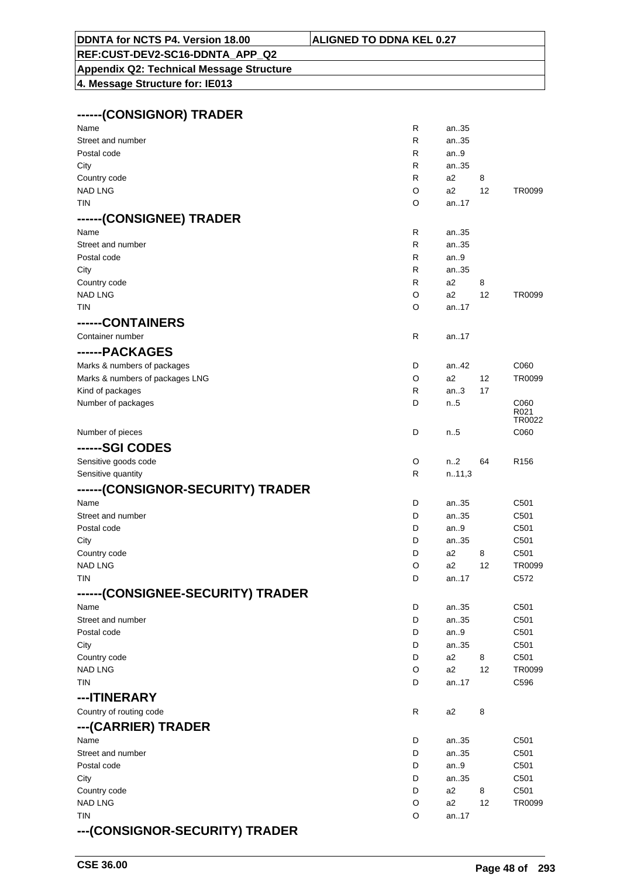#### **DDNTA for NCTS P4. Version 18.00 ALIGNED TO DDNA KEL 0.27**

# **REF:CUST-DEV2-SC16-DDNTA\_APP\_Q2**

**Appendix Q2: Technical Message Structure 4. Message Structure for: IE013**

| ------(CONSIGNOR) TRADER          |   |                  |    |                  |
|-----------------------------------|---|------------------|----|------------------|
| Name                              | R | an35             |    |                  |
| Street and number                 | R | an35             |    |                  |
| Postal code                       | R | an $9$           |    |                  |
| City                              | R | an35             |    |                  |
| Country code                      | R | a2               | 8  |                  |
| <b>NAD LNG</b>                    | O | a <sub>2</sub>   | 12 | TR0099           |
| TIN                               | O | an17             |    |                  |
| ------(CONSIGNEE) TRADER          |   |                  |    |                  |
| Name                              | R | an35             |    |                  |
| Street and number                 | R | an35             |    |                  |
| Postal code                       | R | an.9             |    |                  |
| City                              | R | an35             |    |                  |
| Country code                      | R | a <sub>2</sub>   | 8  |                  |
| <b>NAD LNG</b>                    | O | a <sub>2</sub>   | 12 | TR0099           |
| <b>TIN</b>                        | O | an17             |    |                  |
| ------CONTAINERS                  |   |                  |    |                  |
| Container number                  | R | an17             |    |                  |
| ------PACKAGES                    |   |                  |    |                  |
| Marks & numbers of packages       | D | an42             |    | C060             |
| Marks & numbers of packages LNG   | O | a <sub>2</sub>   | 12 | TR0099           |
| Kind of packages                  | R | an.3             | 17 |                  |
| Number of packages                | D | $n_{.}.5$        |    | C060             |
|                                   |   |                  |    | R021<br>TR0022   |
| Number of pieces                  | D | $n_{.}.5$        |    | C060             |
| ------SGI CODES                   |   |                  |    |                  |
| Sensitive goods code              | O | n <sub>1</sub> 2 | 64 | R <sub>156</sub> |
| Sensitive quantity                | R | n.11,3           |    |                  |
| ------(CONSIGNOR-SECURITY) TRADER |   |                  |    |                  |
| Name                              | D | an35             |    | C <sub>501</sub> |
| Street and number                 | D | an35             |    | C501             |
| Postal code                       | D | an $9$           |    | C501             |
| City                              | D | an35             |    | C501             |
| Country code                      | D | a2               | 8  | C501             |
| NAD LNG                           | O | a <sub>2</sub>   | 12 | TR0099           |
| <b>TIN</b>                        | D | an17             |    | C572             |
| ------(CONSIGNEE-SECURITY) TRADER |   |                  |    |                  |
| Name                              | D | an35             |    | C501             |
| Street and number                 | D | an35             |    | C <sub>501</sub> |
| Postal code                       | D | an.9             |    | C <sub>501</sub> |
| City                              | D | an35             |    | C <sub>501</sub> |
| Country code                      | D | a <sub>2</sub>   | 8  | C501             |
| <b>NAD LNG</b>                    | O | a2               | 12 | TR0099           |
| <b>TIN</b>                        | D | an17             |    | C596             |
| ---ITINERARY                      |   |                  |    |                  |
| Country of routing code           | R | a2               | 8  |                  |
| ---(CARRIER) TRADER               |   |                  |    |                  |
| Name                              | D | an35             |    | C501             |
| Street and number                 | D | an35             |    | C501             |
| Postal code                       | D | an $9$           |    | C501             |
| City                              | D | an35             |    | C <sub>501</sub> |
| Country code                      | D | a2               | 8  | C501             |
| <b>NAD LNG</b>                    | O | a <sub>2</sub>   | 12 | TR0099           |
| <b>TIN</b>                        | O | an17             |    |                  |
| ---(CONSIGNOR-SECURITY) TRADER    |   |                  |    |                  |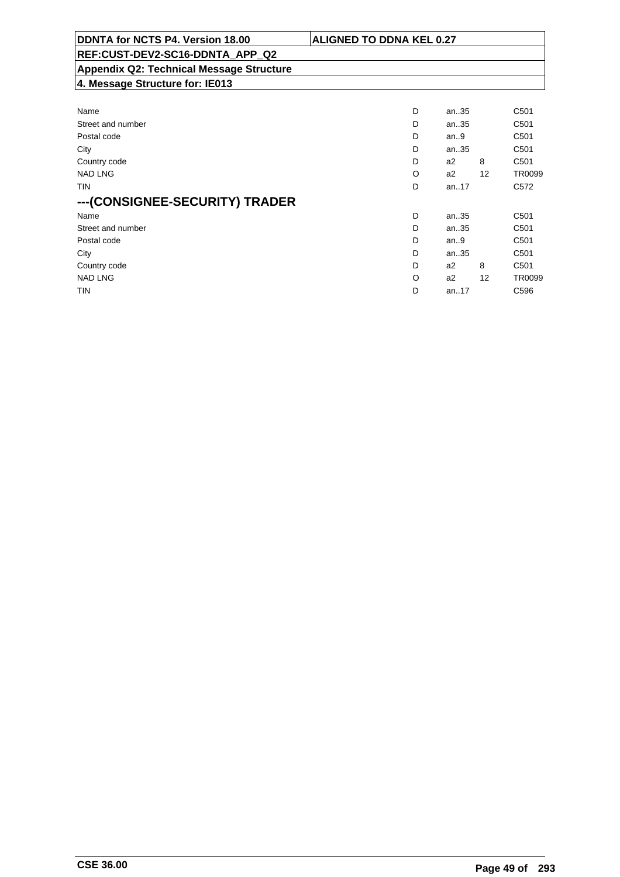| DDNTA for NCTS P4. Version 18.00                | <b>ALIGNED TO DDNA KEL 0.27</b> |          |    |                  |
|-------------------------------------------------|---------------------------------|----------|----|------------------|
| REF:CUST-DEV2-SC16-DDNTA APP Q2                 |                                 |          |    |                  |
| <b>Appendix Q2: Technical Message Structure</b> |                                 |          |    |                  |
| 4. Message Structure for: IE013                 |                                 |          |    |                  |
|                                                 |                                 |          |    |                  |
| Name                                            | D                               | an35     |    | C <sub>501</sub> |
| Street and number                               | D                               | an35     |    | C <sub>501</sub> |
| Postal code                                     | D                               | an.9     |    | C <sub>501</sub> |
| City                                            | D                               | an35     |    | C <sub>501</sub> |
| Country code                                    | D                               | a2       | 8  | C <sub>501</sub> |
| <b>NAD LNG</b>                                  | O                               | a2       | 12 | TR0099           |
| TIN                                             | D                               | an. $17$ |    | C <sub>572</sub> |
| ---(CONSIGNEE-SECURITY) TRADER                  |                                 |          |    |                  |
| Name                                            | D                               | an35     |    | C <sub>501</sub> |
| Street and number                               | D                               | an35     |    | C <sub>501</sub> |
| Postal code                                     | D                               | an.9     |    | C <sub>501</sub> |

 City D an..35 C501 Country code D a2 8 C501 NAD LNG CONSTRUCTED A REPORT OF THE CONSTRUCTION OF A REPORT OF A REPORT OF A SAMPLING OF A REPORT OF A SAMPLING TIN D an..17 C596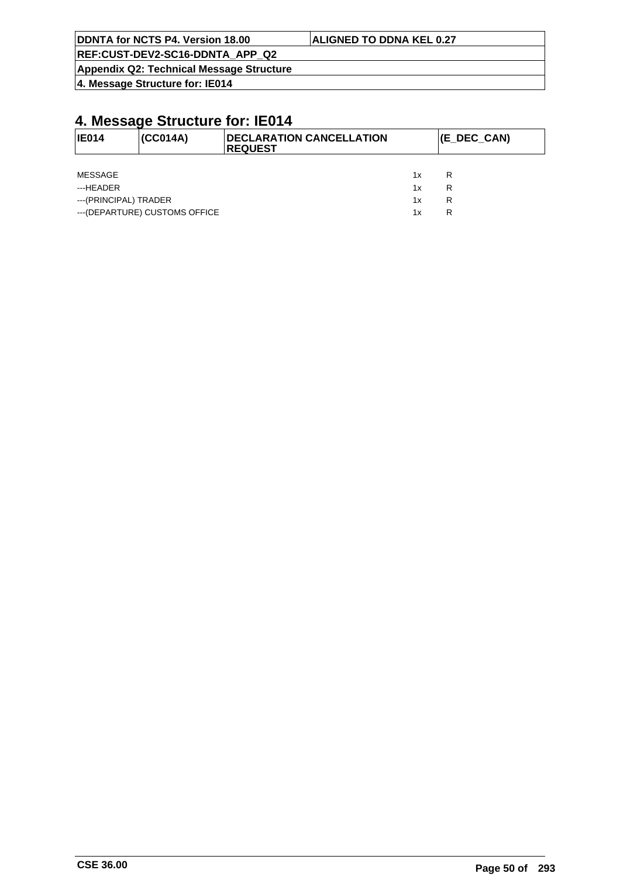| DDNTA for NCTS P4. Version 18.00 | <b>ALIGNED TO DDNA KEL 0.27</b> |  |
|----------------------------------|---------------------------------|--|
| REF:CUST-DEV2-SC16-DDNTA APP Q2  |                                 |  |

**Appendix Q2: Technical Message Structure**

**4. Message Structure for: IE014**

| <b>IE014</b>          | (CC014A)                       | <b>DECLARATION CANCELLATION</b><br><b>REQUEST</b> |    | (E_DEC_CAN) |
|-----------------------|--------------------------------|---------------------------------------------------|----|-------------|
|                       |                                |                                                   |    |             |
| MESSAGE               |                                |                                                   | 1x | R           |
| ---HEADER             |                                |                                                   | 1x | R           |
| ---(PRINCIPAL) TRADER |                                |                                                   | 1x | R           |
|                       | --- (DEPARTURE) CUSTOMS OFFICE |                                                   | 1x | R           |
|                       |                                |                                                   |    |             |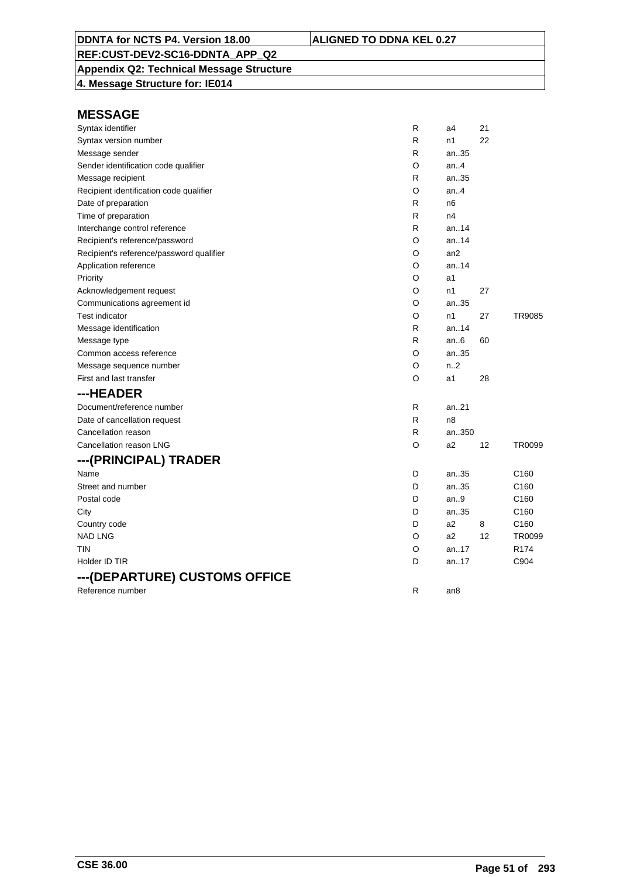### **Appendix Q2: Technical Message Structure**

**4. Message Structure for: IE014**

| Syntax identifier                        | R | a4              | 21 |                  |
|------------------------------------------|---|-----------------|----|------------------|
| Syntax version number                    | R | n1              | 22 |                  |
| Message sender                           | R | an35            |    |                  |
| Sender identification code qualifier     | O | an.4            |    |                  |
| Message recipient                        | R | an35            |    |                  |
| Recipient identification code qualifier  | O | an.4            |    |                  |
| Date of preparation                      | R | n <sub>6</sub>  |    |                  |
| Time of preparation                      | R | n4              |    |                  |
| Interchange control reference            | R | an.14           |    |                  |
| Recipient's reference/password           | O | an.14           |    |                  |
| Recipient's reference/password qualifier | O | an2             |    |                  |
| Application reference                    | O | an14            |    |                  |
| Priority                                 | O | a1              |    |                  |
| Acknowledgement request                  | O | n1              | 27 |                  |
| Communications agreement id              | O | an35            |    |                  |
| <b>Test indicator</b>                    | O | n1              | 27 | TR9085           |
| Message identification                   | R | an14            |    |                  |
| Message type                             | R | an.6            | 60 |                  |
| Common access reference                  | O | an35            |    |                  |
| Message sequence number                  | O | n.2             |    |                  |
| First and last transfer                  | O | a1              | 28 |                  |
| ---HEADER                                |   |                 |    |                  |
| Document/reference number                | R | an.21           |    |                  |
| Date of cancellation request             | R | n8              |    |                  |
| Cancellation reason                      | R | an350           |    |                  |
| Cancellation reason LNG                  | O | a2              | 12 | TR0099           |
| ---(PRINCIPAL) TRADER                    |   |                 |    |                  |
| Name                                     | D | an35            |    | C160             |
| Street and number                        | D | an35            |    | C <sub>160</sub> |
| Postal code                              | D | an.9            |    | C <sub>160</sub> |
| City                                     | D | an35            |    | C <sub>160</sub> |
| Country code                             | D | a2              | 8  | C <sub>160</sub> |
| <b>NAD LNG</b>                           | O | a2              | 12 | TR0099           |
| TIN                                      | O | an.17           |    | R <sub>174</sub> |
| Holder ID TIR                            | D | an17            |    | C904             |
| ---(DEPARTURE) CUSTOMS OFFICE            |   |                 |    |                  |
| Reference number                         | R | an <sub>8</sub> |    |                  |
|                                          |   |                 |    |                  |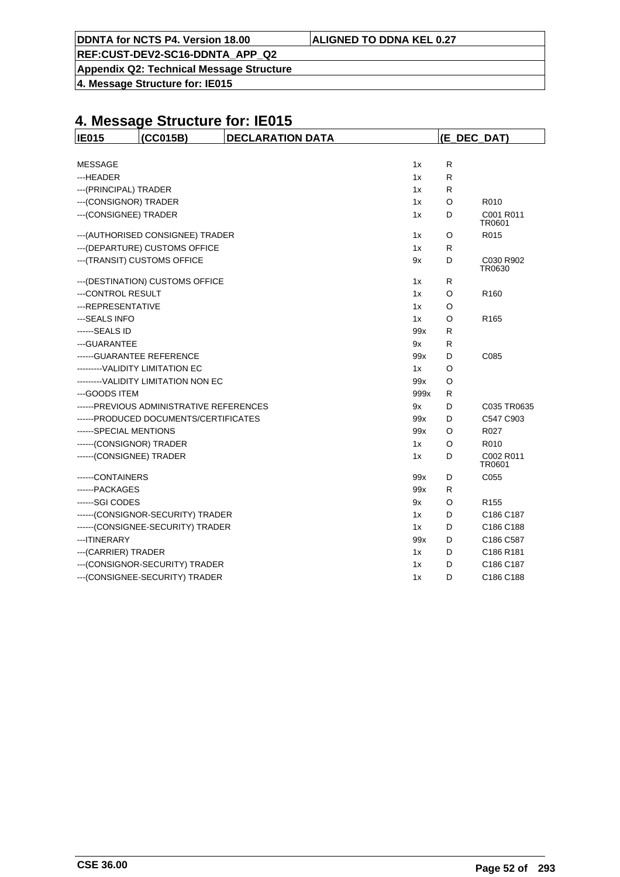**Appendix Q2: Technical Message Structure**

**4. Message Structure for: IE015**

| <b>IE015</b>               | (CC015B)                                 | <b>DECLARATION DATA</b> |      |              | (E_DEC_DAT)         |
|----------------------------|------------------------------------------|-------------------------|------|--------------|---------------------|
|                            |                                          |                         |      |              |                     |
| <b>MESSAGE</b>             |                                          |                         | 1x   | $\mathsf{R}$ |                     |
| ---HEADER                  |                                          |                         | 1x   | R            |                     |
| --- (PRINCIPAL) TRADER     |                                          |                         | 1x   | R            |                     |
| --- (CONSIGNOR) TRADER     |                                          |                         | 1x   | O            | R010                |
| --- (CONSIGNEE) TRADER     |                                          |                         | 1x   | D            | C001 R011<br>TR0601 |
|                            | --- (AUTHORISED CONSIGNEE) TRADER        |                         | 1x   | O            | R015                |
|                            | --- (DEPARTURE) CUSTOMS OFFICE           |                         | 1x   | R            |                     |
|                            | --- (TRANSIT) CUSTOMS OFFICE             |                         | 9x   | D            | C030 R902<br>TR0630 |
|                            | --- (DESTINATION) CUSTOMS OFFICE         |                         | 1x   | R            |                     |
| ---CONTROL RESULT          |                                          |                         | 1x   | O            | R <sub>160</sub>    |
| ---REPRESENTATIVE          |                                          |                         | 1x   | O            |                     |
| ---SEALS INFO              |                                          |                         | 1x   | O            | R <sub>165</sub>    |
| ------SEALS ID             |                                          |                         | 99x  | R            |                     |
| --- GUARANTEE              |                                          |                         | 9x   | R            |                     |
| ------ GUARANTEE REFERENCE |                                          |                         | 99x  | D            | C085                |
|                            | ---------VALIDITY LIMITATION EC          |                         | 1x   | O            |                     |
|                            | ---------VALIDITY LIMITATION NON EC      |                         | 99x  | O            |                     |
| --- GOODS ITEM             |                                          |                         | 999x | R            |                     |
|                            | ------PREVIOUS ADMINISTRATIVE REFERENCES |                         | 9x   | D            | C035 TR0635         |
|                            | ------PRODUCED DOCUMENTS/CERTIFICATES    |                         | 99x  | D            | C547 C903           |
| ------SPECIAL MENTIONS     |                                          |                         | 99x  | O            | R027                |
| ------(CONSIGNOR) TRADER   |                                          |                         | 1x   | O            | R010                |
| ------(CONSIGNEE) TRADER   |                                          |                         | 1x   | D            | C002 R011<br>TR0601 |
| ------CONTAINERS           |                                          |                         | 99x  | D            | C055                |
| ------PACKAGES             |                                          |                         | 99x  | R            |                     |
| ------SGI CODES            |                                          |                         | 9x   | O            | R <sub>155</sub>    |
|                            | ------(CONSIGNOR-SECURITY) TRADER        |                         | 1x   | D            | C186 C187           |
|                            | ------(CONSIGNEE-SECURITY) TRADER        |                         | 1x   | D            | C186 C188           |
| ---ITINERARY               |                                          |                         | 99x  | D            | C186 C587           |
| --- (CARRIER) TRADER       |                                          |                         | 1x   | D            | C186 R181           |
|                            | --- (CONSIGNOR-SECURITY) TRADER          |                         | 1x   | D            | C186 C187           |
|                            | --- (CONSIGNEE-SECURITY) TRADER          |                         | 1x   | D            | C186 C188           |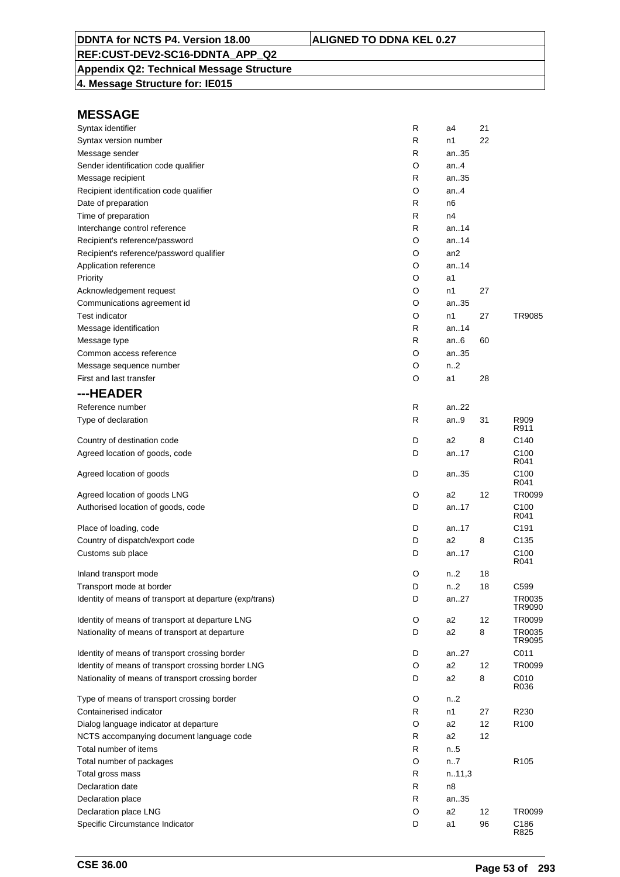## **Appendix Q2: Technical Message Structure**

**4. Message Structure for: IE015**

| Syntax identifier                                       | R | a4               | 21 |                          |
|---------------------------------------------------------|---|------------------|----|--------------------------|
| Syntax version number                                   | R | n1               | 22 |                          |
| Message sender                                          | R | an35             |    |                          |
| Sender identification code qualifier                    | O | an.4             |    |                          |
| Message recipient                                       | R | an35             |    |                          |
| Recipient identification code qualifier                 | O | an.4             |    |                          |
| Date of preparation                                     | R | n6               |    |                          |
| Time of preparation                                     | R | n4               |    |                          |
| Interchange control reference                           | R | an.14            |    |                          |
| Recipient's reference/password                          | O | an.14            |    |                          |
| Recipient's reference/password qualifier                | O | an2              |    |                          |
| Application reference                                   | O | an.14            |    |                          |
| Priority                                                | O | a1               |    |                          |
| Acknowledgement request                                 | O | n1               | 27 |                          |
| Communications agreement id                             | O | an35             |    |                          |
| Test indicator                                          | O | n1               | 27 | TR9085                   |
| Message identification                                  | R | an14             |    |                          |
| Message type                                            | R | an $6$           | 60 |                          |
| Common access reference                                 | O | an35             |    |                          |
| Message sequence number                                 | O | n <sub>2</sub>   |    |                          |
| First and last transfer                                 | O | a1               | 28 |                          |
| ---HEADER                                               |   |                  |    |                          |
| Reference number                                        | R | an22             |    |                          |
| Type of declaration                                     | R | an.9             | 31 | R909<br>R911             |
| Country of destination code                             | D | a <sub>2</sub>   | 8  | C <sub>140</sub>         |
| Agreed location of goods, code                          | D | an17             |    | C <sub>100</sub><br>R041 |
| Agreed location of goods                                | D | an35             |    | C <sub>100</sub><br>R041 |
| Agreed location of goods LNG                            | O | a2               | 12 | TR0099                   |
| Authorised location of goods, code                      | D | an17             |    | C <sub>100</sub><br>R041 |
| Place of loading, code                                  | D | an.17            |    | C <sub>191</sub>         |
| Country of dispatch/export code                         | D | a <sub>2</sub>   | 8  | C <sub>135</sub>         |
| Customs sub place                                       | D | an17             |    | C <sub>100</sub><br>R041 |
| Inland transport mode                                   | O | n <sub>2</sub>   | 18 |                          |
| Transport mode at border                                | D | n <sub>1</sub> 2 | 18 | C599                     |
| Identity of means of transport at departure (exp/trans) | D | an27             |    | TR0035<br>TR9090         |
| Identity of means of transport at departure LNG         | O | a2               | 12 | TR0099                   |
| Nationality of means of transport at departure          | D | a2               | 8  | TR0035<br>TR9095         |
| Identity of means of transport crossing border          | D | an27             |    | C011                     |
| Identity of means of transport crossing border LNG      | O | a2               | 12 | TR0099                   |
| Nationality of means of transport crossing border       | D | a2               | 8  | C010<br>R036             |
| Type of means of transport crossing border              | O | n <sub>1</sub> 2 |    |                          |
| Containerised indicator                                 | R | n1               | 27 | R230                     |
| Dialog language indicator at departure                  | O | a <sub>2</sub>   | 12 | R <sub>100</sub>         |
| NCTS accompanying document language code                | R | a <sub>2</sub>   | 12 |                          |
| Total number of items                                   | R | n.5              |    |                          |
| Total number of packages                                | O | n7               |    | R <sub>105</sub>         |
| Total gross mass                                        | R | n.11,3           |    |                          |
| Declaration date                                        | R | n8               |    |                          |
| Declaration place                                       | R | an35             |    |                          |
| Declaration place LNG                                   | O | a <sub>2</sub>   | 12 | TR0099                   |
| Specific Circumstance Indicator                         | D | a1               | 96 | C186<br>R825             |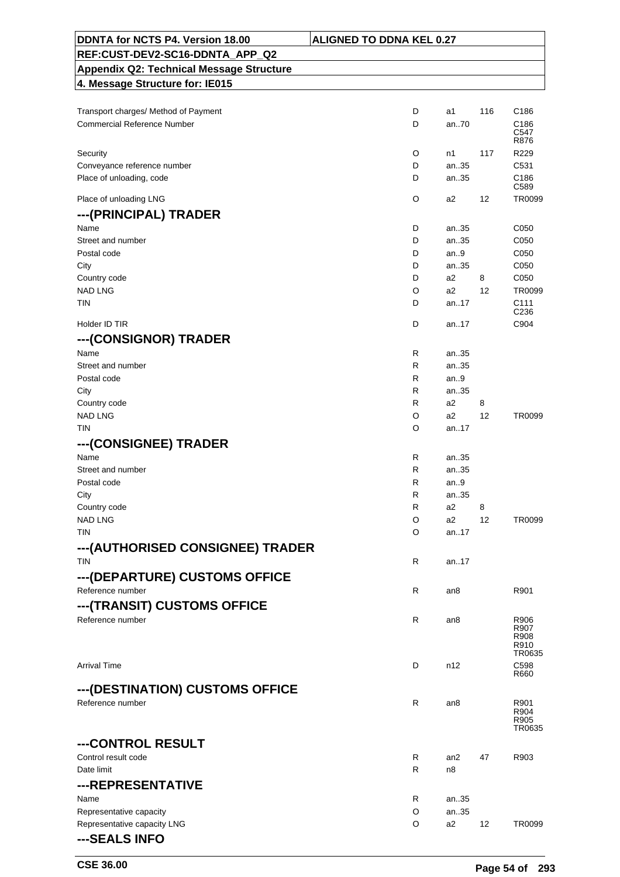| DDNTA for NCTS P4. Version 18.00                | <b>ALIGNED TO DDNA KEL 0.27</b> |      |                   |                  |
|-------------------------------------------------|---------------------------------|------|-------------------|------------------|
| REF:CUST-DEV2-SC16-DDNTA_APP_Q2                 |                                 |      |                   |                  |
| <b>Appendix Q2: Technical Message Structure</b> |                                 |      |                   |                  |
| 4. Message Structure for: IE015                 |                                 |      |                   |                  |
|                                                 |                                 |      |                   |                  |
| Transport charges/ Method of Payment            | D                               | a1   | 116               | C <sub>186</sub> |
| <b>Commercial Reference Number</b>              | D                               | an70 |                   | C186             |
|                                                 |                                 |      |                   | C547<br>R876     |
| Security                                        | O                               | n1   | 117               | R229             |
| Conveyance reference number                     | D                               | an35 |                   | C531             |
| Place of unloading, code                        | D                               | an35 |                   | C186             |
|                                                 |                                 |      |                   | C <sub>589</sub> |
| Place of unloading LNG                          | O                               | a2   | 12                | TR0099           |
| ---(PRINCIPAL) TRADER                           |                                 |      |                   |                  |
| Name                                            | D                               | an35 |                   | C050             |
| Street and number                               | D                               | an35 |                   | C050             |
| Postal code                                     | D                               | an.9 |                   | C050             |
| City                                            | D                               | an35 |                   | C050             |
| Country code                                    | D                               | a2   | 8                 | C050             |
| <b>NAD LNG</b>                                  | O                               | a2   | 12                | TR0099           |
| TIN                                             | D                               | an17 |                   | C <sub>111</sub> |
|                                                 |                                 |      |                   | C <sub>236</sub> |
| Holder ID TIR                                   | D                               | an17 |                   | C904             |
| ---(CONSIGNOR) TRADER                           |                                 |      |                   |                  |
| Name                                            | R                               | an35 |                   |                  |
| Street and number                               | R                               | an35 |                   |                  |
| Postal code                                     | R                               | an.9 |                   |                  |
| City                                            | R                               | an35 |                   |                  |
| Country code                                    | R                               | a2   | 8                 |                  |
| <b>NAD LNG</b>                                  | O                               | a2   | 12                | TR0099           |
| <b>TIN</b>                                      | O                               | an17 |                   |                  |
| ---(CONSIGNEE) TRADER                           |                                 |      |                   |                  |
| Name                                            | R                               | an35 |                   |                  |
| Street and number                               | R                               | an35 |                   |                  |
| Postal code                                     | R                               | an.9 |                   |                  |
| City                                            | R                               | an35 |                   |                  |
| Country code                                    | R                               | a2   | 8                 |                  |
| <b>NAD LNG</b>                                  | O                               | a2   | 12                | TR0099           |
| <b>TIN</b>                                      | O                               | an17 |                   |                  |
| --- (AUTHORISED CONSIGNEE) TRADER               |                                 |      |                   |                  |
| <b>TIN</b>                                      | R                               | an17 |                   |                  |
|                                                 |                                 |      |                   |                  |
| --- (DEPARTURE) CUSTOMS OFFICE                  |                                 |      |                   |                  |
| Reference number                                | R                               | an8  |                   | R901             |
| ---(TRANSIT) CUSTOMS OFFICE                     |                                 |      |                   |                  |
| Reference number                                | R                               | an8  |                   | R906             |
|                                                 |                                 |      |                   | R907<br>R908     |
|                                                 |                                 |      |                   | R910<br>TR0635   |
| <b>Arrival Time</b>                             | D                               | n12  |                   |                  |
|                                                 |                                 |      |                   | C598<br>R660     |
| ---(DESTINATION) CUSTOMS OFFICE                 |                                 |      |                   |                  |
| Reference number                                | R                               | an8  |                   | R901             |
|                                                 |                                 |      |                   | R904             |
|                                                 |                                 |      |                   | R905<br>TR0635   |
|                                                 |                                 |      |                   |                  |
| ---CONTROL RESULT                               |                                 |      |                   |                  |
| Control result code                             | R                               | an2  | 47                | R903             |
| Date limit                                      | R                               | n8   |                   |                  |
| ---REPRESENTATIVE                               |                                 |      |                   |                  |
| Name                                            | R                               | an35 |                   |                  |
| Representative capacity                         | O                               | an35 |                   |                  |
| Representative capacity LNG                     | O                               | a2   | $12 \overline{ }$ | TR0099           |
| ---SEALS INFO                                   |                                 |      |                   |                  |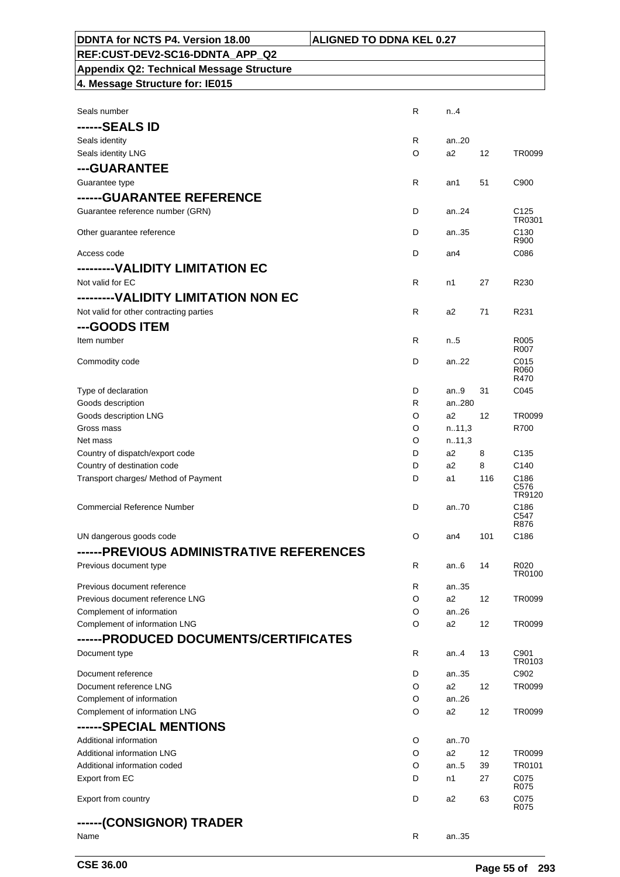| DDNTA for NCTS P4. Version 18.00                | <b>ALIGNED TO DDNA KEL 0.27</b> |                 |     |                          |
|-------------------------------------------------|---------------------------------|-----------------|-----|--------------------------|
| REF:CUST-DEV2-SC16-DDNTA APP Q2                 |                                 |                 |     |                          |
| <b>Appendix Q2: Technical Message Structure</b> |                                 |                 |     |                          |
| 4. Message Structure for: IE015                 |                                 |                 |     |                          |
|                                                 |                                 |                 |     |                          |
| Seals number                                    | R.                              | n.4             |     |                          |
| ------SEALS ID                                  |                                 |                 |     |                          |
| Seals identity                                  | R                               | an20            |     |                          |
| Seals identity LNG                              | O                               | a2              | 12  | TR0099                   |
| ---GUARANTEE                                    |                                 |                 |     |                          |
| Guarantee type                                  | R                               | an1             | 51  | C900                     |
| ------GUARANTEE REFERENCE                       |                                 |                 |     |                          |
| Guarantee reference number (GRN)                | D                               | an24            |     | C <sub>125</sub>         |
|                                                 |                                 |                 |     | TR0301                   |
| Other guarantee reference                       | D                               | an35            |     | C <sub>130</sub><br>R900 |
| Access code                                     | D                               | an4             |     | C086                     |
| --------VALIDITY LIMITATION EC                  |                                 |                 |     |                          |
| Not valid for EC                                | R                               | n1              | 27  | R230                     |
|                                                 |                                 |                 |     |                          |
| ---------VALIDITY LIMITATION NON EC             |                                 |                 |     |                          |
| Not valid for other contracting parties         | R                               | a2              | 71  | R231                     |
| ---GOODS ITEM                                   |                                 |                 |     |                          |
| Item number                                     | R                               | n.5             |     | R <sub>005</sub><br>R007 |
| Commodity code                                  | D                               | an $22$         |     | C015                     |
|                                                 |                                 |                 |     | R060<br>R470             |
| Type of declaration                             | D                               | an9             | 31  | C045                     |
| Goods description                               | R                               | an280           |     |                          |
| Goods description LNG                           | O                               | a2              | 12  | TR0099                   |
| Gross mass                                      | O                               | n.11,3          |     | R700                     |
| Net mass                                        | O                               | n.11,3          |     |                          |
| Country of dispatch/export code                 | D                               | a2              | 8   | C <sub>135</sub>         |
| Country of destination code                     | D                               | a2              | 8   | C140                     |
| Transport charges/ Method of Payment            | D                               | a1              | 116 | C <sub>186</sub>         |
|                                                 |                                 |                 |     | C576<br>TR9120           |
| <b>Commercial Reference Number</b>              | D                               | an70            |     | C <sub>186</sub>         |
|                                                 |                                 |                 |     | C547<br>R876             |
| UN dangerous goods code                         | O                               | an <sub>4</sub> | 101 | C186                     |
| ------PREVIOUS ADMINISTRATIVE REFERENCES        |                                 |                 |     |                          |
| Previous document type                          | R                               | an6             | 14  | R020                     |
|                                                 |                                 |                 |     | TR0100                   |
| Previous document reference                     | R                               | an35            |     |                          |
| Previous document reference LNG                 | O                               | a2              | 12  | TR0099                   |
| Complement of information                       | O                               | an.26           |     |                          |
| Complement of information LNG                   | O                               | a2              | 12  | TR0099                   |
| ------PRODUCED DOCUMENTS/CERTIFICATES           |                                 |                 |     |                          |
| Document type                                   | R                               | an4             | 13  | C901<br>TR0103           |
| Document reference                              | D                               | an35            |     | C902                     |
| Document reference LNG                          | O                               | a2              | 12  | TR0099                   |
| Complement of information                       | O                               | an.26           |     |                          |
| Complement of information LNG                   | O                               | a2              | 12  | TR0099                   |
| ------SPECIAL MENTIONS                          |                                 |                 |     |                          |
| Additional information                          | O                               | an70            |     |                          |
| Additional information LNG                      | O                               | a2              | 12  | TR0099                   |
| Additional information coded                    | O                               | an.5            | 39  | TR0101                   |
| Export from EC                                  | D                               | n1              | 27  | C075                     |
|                                                 |                                 |                 |     | R075                     |
| Export from country                             | D                               | a2              | 63  | C075<br>R075             |
| ------(CONSIGNOR) TRADER                        |                                 |                 |     |                          |
| Name                                            | R                               | an35            |     |                          |
|                                                 |                                 |                 |     |                          |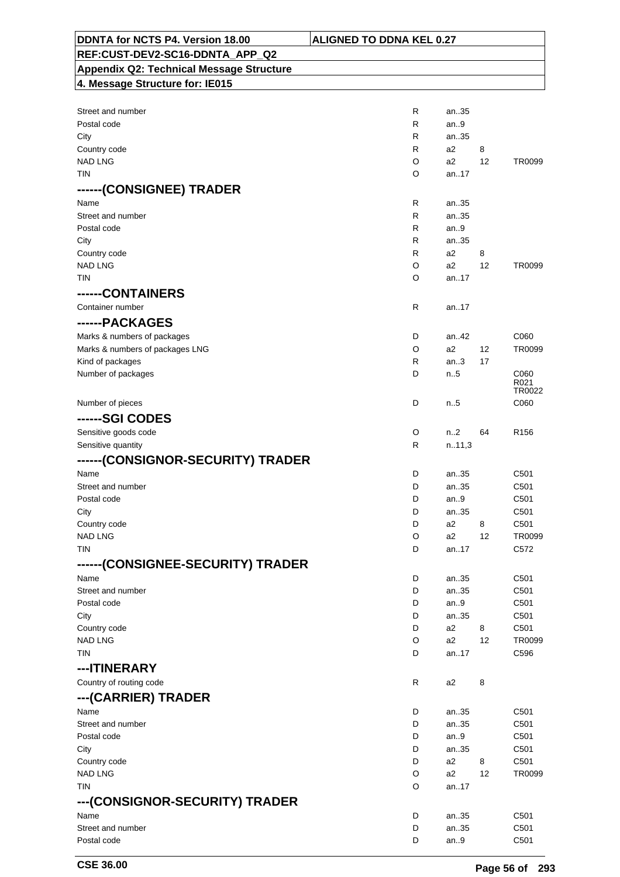| DDNTA for NCTS P4. Version 18.00                | <b>ALIGNED TO DDNA KEL 0.27</b> |              |                        |                  |
|-------------------------------------------------|---------------------------------|--------------|------------------------|------------------|
| REF:CUST-DEV2-SC16-DDNTA_APP_Q2                 |                                 |              |                        |                  |
| <b>Appendix Q2: Technical Message Structure</b> |                                 |              |                        |                  |
| 4. Message Structure for: IE015                 |                                 |              |                        |                  |
|                                                 |                                 |              |                        |                  |
| Street and number                               | R                               | an35         |                        |                  |
| Postal code                                     | R                               | an.9         |                        |                  |
| City                                            | R                               | an35         |                        |                  |
| Country code                                    | R                               | a2           | 8                      |                  |
| <b>NAD LNG</b>                                  | O                               | a2           | 12                     | TR0099           |
| <b>TIN</b>                                      | O                               | an17         |                        |                  |
| ------(CONSIGNEE) TRADER                        |                                 |              |                        |                  |
| Name                                            | R                               | an35         |                        |                  |
| Street and number                               | R                               | an35         |                        |                  |
| Postal code                                     | R<br>R                          | an.9<br>an35 |                        |                  |
| City<br>Country code                            | R                               | a2           | 8                      |                  |
| <b>NAD LNG</b>                                  | O                               | a2           | 12                     | TR0099           |
| <b>TIN</b>                                      | O                               | an17         |                        |                  |
| ------CONTAINERS                                |                                 |              |                        |                  |
| Container number                                | R                               | an17         |                        |                  |
| ------PACKAGES                                  |                                 |              |                        |                  |
| Marks & numbers of packages                     | D                               | an42         |                        | C060             |
| Marks & numbers of packages LNG                 | O                               | a2           | 12                     | TR0099           |
| Kind of packages                                | R                               | an.3         | 17                     |                  |
| Number of packages                              | D                               | n.5          |                        | C060             |
|                                                 |                                 |              |                        | R021<br>TR0022   |
| Number of pieces                                | D                               | n.5          |                        | C060             |
| ------SGI CODES                                 |                                 |              |                        |                  |
| Sensitive goods code                            | O                               | n2           | 64                     | R <sub>156</sub> |
| Sensitive quantity                              | R                               | n.11,3       |                        |                  |
| ------(CONSIGNOR-SECURITY) TRADER               |                                 |              |                        |                  |
| Name                                            | D                               | an35         |                        | C501             |
| Street and number                               | D                               | an35         |                        | C501             |
| Postal code                                     | D                               | an9          |                        | C501             |
| City                                            | D                               | an35         |                        | C501             |
| Country code                                    | D                               | a2           | 8                      | C501             |
| <b>NAD LNG</b>                                  | O                               | a2           | 12                     | TR0099           |
| <b>TIN</b>                                      | D                               | an17         |                        | C572             |
| ------(CONSIGNEE-SECURITY) TRADER               |                                 |              |                        |                  |
| Name                                            | D                               | an35         |                        | C501             |
| Street and number                               | D                               | an35         |                        | C501             |
| Postal code                                     | D                               | an.9         |                        | C501             |
| City                                            | D                               | an35         |                        | C501             |
| Country code<br><b>NAD LNG</b>                  | D<br>O                          | a2<br>a2     | 8<br>$12 \overline{ }$ | C501<br>TR0099   |
| TIN                                             | D                               | an17         |                        | C596             |
| ---ITINERARY                                    |                                 |              |                        |                  |
| Country of routing code                         | R                               | a2           | 8                      |                  |
|                                                 |                                 |              |                        |                  |
| ---(CARRIER) TRADER<br>Name                     | D                               | an35         |                        | C501             |
| Street and number                               | D                               | an35         |                        | C501             |
| Postal code                                     | D                               | an $9$       |                        | C501             |
| City                                            | D                               | an35         |                        | C501             |
| Country code                                    | D                               | a2           | 8                      | C501             |
| <b>NAD LNG</b>                                  | O                               | a2           | 12                     | TR0099           |
| <b>TIN</b>                                      | O                               | an17         |                        |                  |
| ---(CONSIGNOR-SECURITY) TRADER                  |                                 |              |                        |                  |
| Name                                            | D                               | an35         |                        | C501             |
| Street and number                               | D                               | an35         |                        | C501             |
| Postal code                                     | D                               | an.9         |                        | C501             |
|                                                 |                                 |              |                        |                  |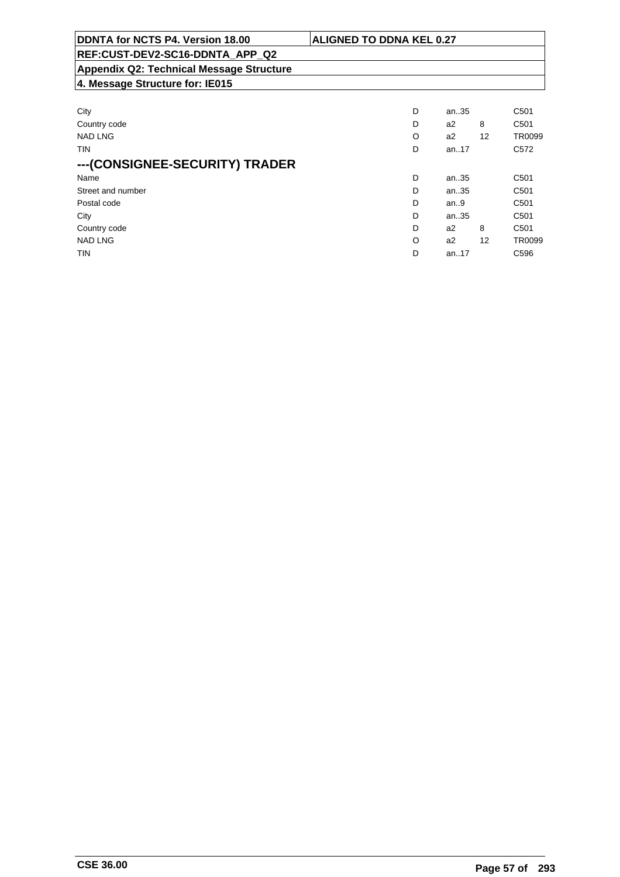| DDNTA for NCTS P4. Version 18.00                | <b>ALIGNED TO DDNA KEL 0.27</b> |       |                   |                  |
|-------------------------------------------------|---------------------------------|-------|-------------------|------------------|
| REF:CUST-DEV2-SC16-DDNTA APP Q2                 |                                 |       |                   |                  |
| <b>Appendix Q2: Technical Message Structure</b> |                                 |       |                   |                  |
| 4. Message Structure for: IE015                 |                                 |       |                   |                  |
| City                                            | D                               | an35  |                   | C <sub>501</sub> |
| Country code                                    | D                               | a2    | 8                 | C <sub>501</sub> |
| <b>NAD LNG</b>                                  | O                               | a2    | $12 \overline{ }$ | TR0099           |
| TIN                                             | D                               | an.17 |                   | C <sub>572</sub> |
| ---(CONSIGNEE-SECURITY) TRADER                  |                                 |       |                   |                  |
| Name                                            | D                               | an35  |                   | C <sub>501</sub> |
| Street and number                               | D                               | an35  |                   | C <sub>501</sub> |
| Postal code                                     | D                               | an.9  |                   | C <sub>501</sub> |
| City                                            | D                               | an35  |                   | C <sub>501</sub> |
| Country code                                    | D                               | a2    | 8                 | C <sub>501</sub> |

NAD LNG CONSTRUCTED A REPORT OF THE CONSTRUCTION OF A REPORT OF A REPORT OF A SAMPLING OF A REPORT OF A SAMPLING TIN D an..17 C596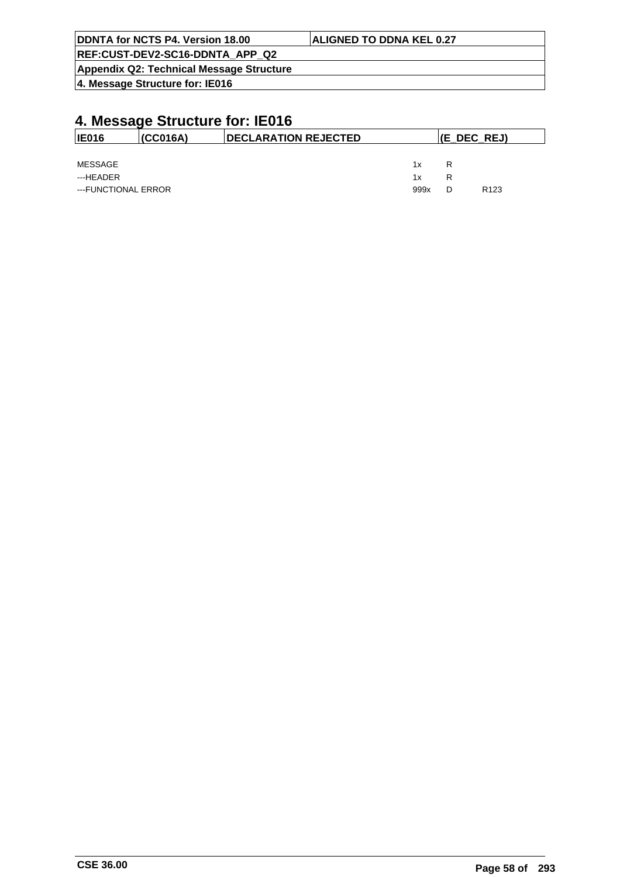| DDNTA for NCTS P4. Version 18.00         | <b>ALIGNED TO DDNA KEL 0.27</b> |
|------------------------------------------|---------------------------------|
| REF:CUST-DEV2-SC16-DDNTA APP Q2          |                                 |
| Appendix Q2: Technical Message Structure |                                 |
| 4. Message Structure for: IE016          |                                 |

| <b>IE016</b>        | (CCO16A) | <b>IDECLARATION REJECTED</b> |      |   | (E_DEC_REJ)      |  |  |
|---------------------|----------|------------------------------|------|---|------------------|--|--|
|                     |          |                              |      |   |                  |  |  |
| MESSAGE             |          |                              | 1x   | R |                  |  |  |
| ---HEADER           |          |                              | 1x   | R |                  |  |  |
| ---FUNCTIONAL ERROR |          |                              | 999x |   | R <sub>123</sub> |  |  |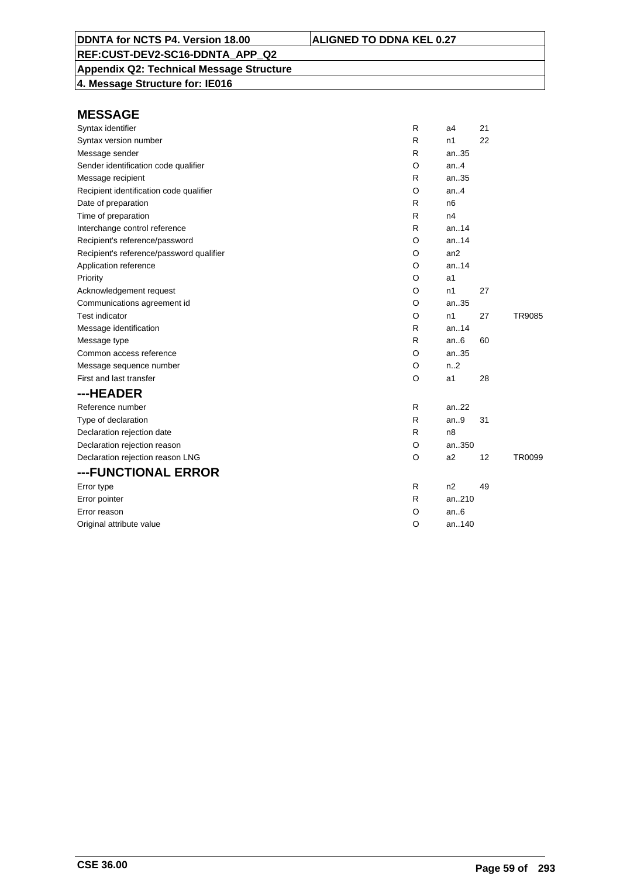### **Appendix Q2: Technical Message Structure**

**4. Message Structure for: IE016**

| Syntax identifier                        | R | a4             | 21 |        |
|------------------------------------------|---|----------------|----|--------|
| Syntax version number                    | R | n1             | 22 |        |
| Message sender                           | R | an35           |    |        |
| Sender identification code qualifier     | O | an.4           |    |        |
| Message recipient                        | R | an35           |    |        |
| Recipient identification code qualifier  | O | an.4           |    |        |
| Date of preparation                      | R | n6             |    |        |
| Time of preparation                      | R | n4             |    |        |
| Interchange control reference            | R | an.14          |    |        |
| Recipient's reference/password           | O | an.14          |    |        |
| Recipient's reference/password qualifier | O | an2            |    |        |
| Application reference                    | O | an.14          |    |        |
| Priority                                 | O | a <sub>1</sub> |    |        |
| Acknowledgement request                  | O | n <sub>1</sub> | 27 |        |
| Communications agreement id              | O | an35           |    |        |
| <b>Test indicator</b>                    | O | n1             | 27 | TR9085 |
| Message identification                   | R | an.14          |    |        |
| Message type                             | R | an.6           | 60 |        |
| Common access reference                  | O | an35           |    |        |
| Message sequence number                  | O | n2             |    |        |
| First and last transfer                  | O | a1             | 28 |        |
| ---HEADER                                |   |                |    |        |
| Reference number                         | R | an.22          |    |        |
| Type of declaration                      | R | an.9           | 31 |        |
| Declaration rejection date               | R | n8             |    |        |
| Declaration rejection reason             | O | an350          |    |        |
| Declaration rejection reason LNG         | O | a2             | 12 | TR0099 |
| ---FUNCTIONAL ERROR                      |   |                |    |        |
| Error type                               | R | n2             | 49 |        |
| Error pointer                            | R | an210          |    |        |
| Error reason                             | O | an.6           |    |        |
| Original attribute value                 | O | an140          |    |        |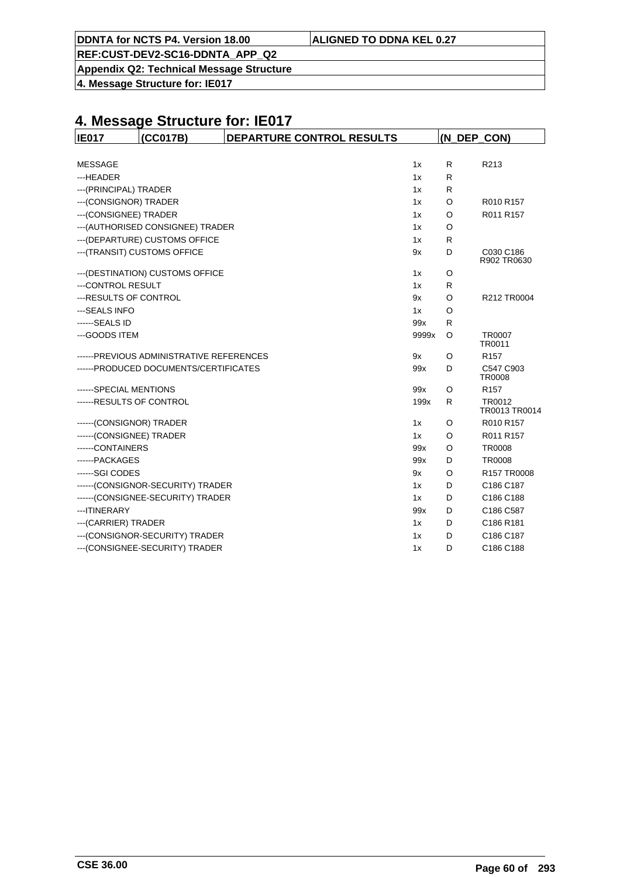| ALIGNED TO DDNA KEL 0.27 |
|--------------------------|
|--------------------------|

**DDNTA for NCTS P4. Version 18.00** 

**Appendix Q2: Technical Message Structure**

**4. Message Structure for: IE017**

| <b>IE017</b>             | (CC017B)                                  | DEPARTURE CONTROL RESULTS |       | (N DEP CON) |                            |
|--------------------------|-------------------------------------------|---------------------------|-------|-------------|----------------------------|
|                          |                                           |                           |       |             |                            |
| <b>MESSAGE</b>           |                                           |                           | 1x    | R           | R213                       |
| ---HEADER                |                                           |                           | 1x    | R           |                            |
| ---(PRINCIPAL) TRADER    |                                           |                           | 1x    | R           |                            |
| --- (CONSIGNOR) TRADER   |                                           |                           | 1x    | O           | R010 R157                  |
| --- (CONSIGNEE) TRADER   |                                           |                           | 1x    | O           | R011 R157                  |
|                          | --- (AUTHORISED CONSIGNEE) TRADER         |                           | 1x    | O           |                            |
|                          | --- (DEPARTURE) CUSTOMS OFFICE            |                           | 1x    | R           |                            |
|                          | --- (TRANSIT) CUSTOMS OFFICE              |                           | 9x    | D           | C030 C186<br>R902 TR0630   |
|                          | --- (DESTINATION) CUSTOMS OFFICE          |                           | 1x    | O           |                            |
| ---CONTROL RESULT        |                                           |                           | 1x    | R           |                            |
| --- RESULTS OF CONTROL   |                                           |                           | 9x    | O           | R212 TR0004                |
| --- SEALS INFO           |                                           |                           | 1x    | O           |                            |
| ------SEALS ID           |                                           |                           | 99x   | R           |                            |
| --- GOODS ITEM           |                                           |                           | 9999x | O           | <b>TR0007</b><br>TR0011    |
|                          | ------ PREVIOUS ADMINISTRATIVE REFERENCES |                           | 9x    | O           | R <sub>157</sub>           |
|                          | ------ PRODUCED DOCUMENTS/CERTIFICATES    |                           | 99x   | D           | C547 C903<br><b>TR0008</b> |
| ------SPECIAL MENTIONS   |                                           |                           | 99x   | O           | R <sub>157</sub>           |
| ------RESULTS OF CONTROL |                                           |                           | 199x  | R           | TR0012<br>TR0013 TR0014    |
| ------(CONSIGNOR) TRADER |                                           |                           | 1x    | O           | R010 R157                  |
| ------(CONSIGNEE) TRADER |                                           |                           | 1x    | O           | R011 R157                  |
| ------CONTAINERS         |                                           |                           | 99x   | $\circ$     | <b>TR0008</b>              |
| ------PACKAGES           |                                           |                           | 99x   | D           | <b>TR0008</b>              |
| -----SGI CODES           |                                           |                           | 9x    | O           | R157 TR0008                |
|                          | ------(CONSIGNOR-SECURITY) TRADER         |                           | 1x    | D           | C186 C187                  |
|                          | ------(CONSIGNEE-SECURITY) TRADER         |                           | 1x    | D           | C186 C188                  |
| --- ITINERARY            |                                           |                           | 99x   | D           | C186 C587                  |
| --- (CARRIER) TRADER     |                                           |                           | 1x    | D           | C186 R181                  |
|                          | --- (CONSIGNOR-SECURITY) TRADER           |                           | 1x    | D           | C186 C187                  |
|                          | --- (CONSIGNEE-SECURITY) TRADER           |                           | 1x    | D           | C186 C188                  |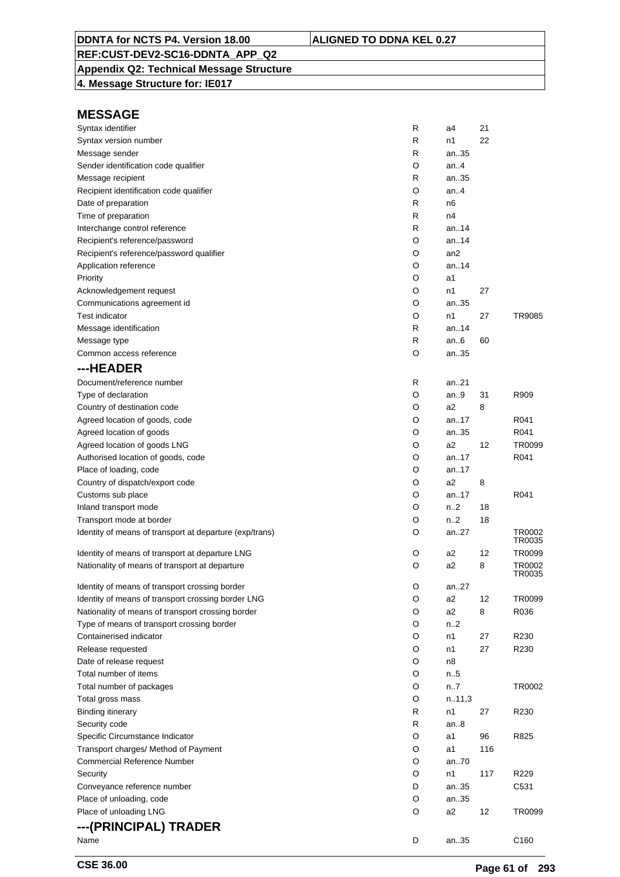### **Appendix Q2: Technical Message Structure**

**4. Message Structure for: IE017**

| Syntax identifier                                       | R | a4              | 21  |                  |
|---------------------------------------------------------|---|-----------------|-----|------------------|
| Syntax version number                                   | R | n1              | 22  |                  |
| Message sender                                          | R | an35            |     |                  |
| Sender identification code qualifier                    | O | an4             |     |                  |
| Message recipient                                       | R | an35            |     |                  |
| Recipient identification code qualifier                 | O | an.4            |     |                  |
| Date of preparation                                     | R | n6              |     |                  |
| Time of preparation                                     | R | n4              |     |                  |
| Interchange control reference                           | R | an14            |     |                  |
| Recipient's reference/password                          | O | an14            |     |                  |
| Recipient's reference/password qualifier                | O | an <sub>2</sub> |     |                  |
| Application reference                                   | O | an14            |     |                  |
| Priority                                                | O | a1              |     |                  |
| Acknowledgement request                                 | O | n1              | 27  |                  |
| Communications agreement id                             | O | an35            |     |                  |
| <b>Test indicator</b>                                   | O | n1              | 27  | TR9085           |
| Message identification                                  | R | an14            |     |                  |
| Message type                                            | R | an6             | 60  |                  |
| Common access reference                                 | O | an35            |     |                  |
| ---HEADER                                               |   |                 |     |                  |
| Document/reference number                               | R | an21            |     |                  |
| Type of declaration                                     | O | an9             | 31  | R909             |
| Country of destination code                             | O | a2              | 8   |                  |
| Agreed location of goods, code                          | O | an17            |     | R041             |
| Agreed location of goods                                | O | an35            |     | R041             |
| Agreed location of goods LNG                            | O | a2              | 12  | TR0099           |
| Authorised location of goods, code                      | O | an17            |     | R041             |
| Place of loading, code                                  | O | an17            |     |                  |
| Country of dispatch/export code                         | O | a2              | 8   |                  |
|                                                         | O | an17            |     | R041             |
| Customs sub place                                       |   |                 |     |                  |
| Inland transport mode                                   | O | n2              | 18  |                  |
| Transport mode at border                                | O | n2              | 18  |                  |
| Identity of means of transport at departure (exp/trans) | O | an27            |     | TR0002<br>TR0035 |
| Identity of means of transport at departure LNG         | O | a2              | 12  | TR0099           |
| Nationality of means of transport at departure          | O | a2              | 8   | TR0002<br>TR0035 |
| Identity of means of transport crossing border          | O | an27            |     |                  |
| Identity of means of transport crossing border LNG      | O | a2              | 12  | TR0099           |
| Nationality of means of transport crossing border       | O | a2              | 8   | R036             |
| Type of means of transport crossing border              | O | n2              |     |                  |
| Containerised indicator                                 | O | n1              | 27  | R230             |
| Release requested                                       | O | n1              | 27  | R230             |
| Date of release request                                 | O | n8              |     |                  |
| Total number of items                                   | O | n.5             |     |                  |
| Total number of packages                                | O | n7              |     | TR0002           |
| Total gross mass                                        | O | n.11,3          |     |                  |
| <b>Binding itinerary</b>                                | R | n1              | 27  | R <sub>230</sub> |
| Security code                                           | R | an. $8$         |     |                  |
| Specific Circumstance Indicator                         | O | a1              | 96  | R825             |
| Transport charges/ Method of Payment                    | O | a1              | 116 |                  |
| <b>Commercial Reference Number</b>                      | O | an70            |     |                  |
| Security                                                | O | n1              | 117 | R229             |
| Conveyance reference number                             | D | an35            |     | C531             |
| Place of unloading, code                                | O | an35            |     |                  |
| Place of unloading LNG                                  | O | a2              | 12  | TR0099           |
|                                                         |   |                 |     |                  |
| ---(PRINCIPAL) TRADER                                   |   |                 |     |                  |
| Name                                                    | D | an35            |     | C160             |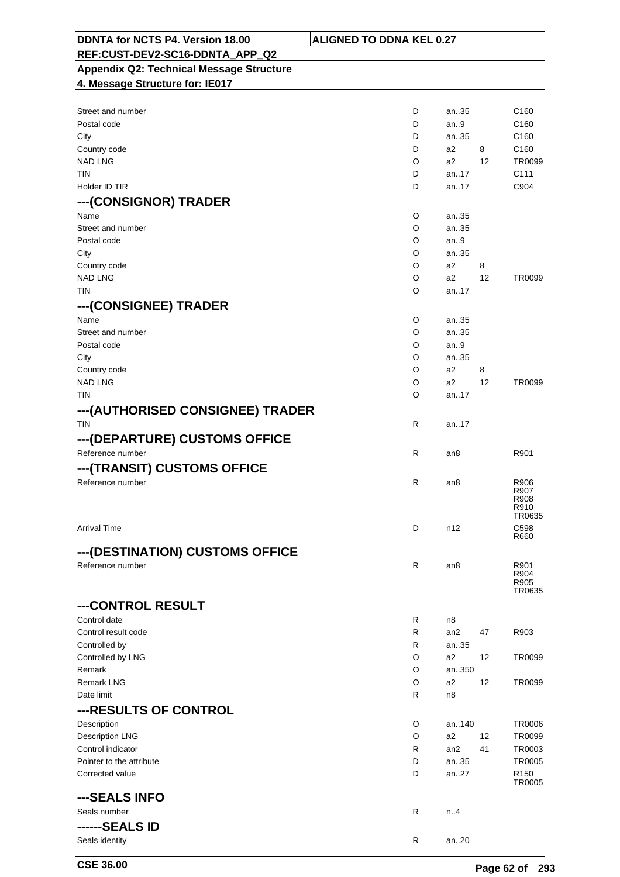| DDNTA for NCTS P4. Version 18.00                | <b>ALIGNED TO DDNA KEL 0.27</b> |                   |                  |
|-------------------------------------------------|---------------------------------|-------------------|------------------|
| REF:CUST-DEV2-SC16-DDNTA_APP_Q2                 |                                 |                   |                  |
| <b>Appendix Q2: Technical Message Structure</b> |                                 |                   |                  |
| 4. Message Structure for: IE017                 |                                 |                   |                  |
|                                                 |                                 |                   |                  |
| Street and number                               | D<br>an35                       |                   | C <sub>160</sub> |
| Postal code                                     | D<br>an.9                       |                   | C <sub>160</sub> |
| City                                            | an35<br>D                       |                   | C <sub>160</sub> |
| Country code                                    | D<br>a2                         | 8                 | C <sub>160</sub> |
| <b>NAD LNG</b>                                  | O<br>a2                         | $12 \overline{ }$ | TR0099           |
| TIN                                             | D<br>an17                       |                   | C <sub>111</sub> |
| Holder ID TIR                                   | an17<br>D                       |                   | C904             |
| ---(CONSIGNOR) TRADER                           |                                 |                   |                  |
| Name                                            | O<br>an35                       |                   |                  |
| Street and number                               | O<br>an35                       |                   |                  |
| Postal code                                     | O<br>an.9                       |                   |                  |
| City                                            | O<br>an35                       |                   |                  |
| Country code                                    | O<br>a2                         | 8                 |                  |
| <b>NAD LNG</b>                                  | O<br>a2                         | 12                | TR0099           |
| <b>TIN</b>                                      | O<br>an.17                      |                   |                  |
| ---(CONSIGNEE) TRADER                           |                                 |                   |                  |
| Name                                            | O<br>an35                       |                   |                  |
| Street and number                               | O<br>an35                       |                   |                  |
| Postal code                                     | O<br>an.9                       |                   |                  |
| City                                            | O<br>an35                       |                   |                  |
| Country code                                    | O<br>a2                         | 8                 |                  |
| <b>NAD LNG</b>                                  | O<br>a2                         | 12                | TR0099           |
| <b>TIN</b>                                      | O<br>an17                       |                   |                  |
| ---(AUTHORISED CONSIGNEE) TRADER                |                                 |                   |                  |
| <b>TIN</b>                                      | R<br>an17                       |                   |                  |
|                                                 |                                 |                   |                  |
| ---(DEPARTURE) CUSTOMS OFFICE                   |                                 |                   |                  |
| Reference number                                | R<br>an8                        |                   | R901             |
| ---(TRANSIT) CUSTOMS OFFICE                     |                                 |                   |                  |
| Reference number                                | R<br>an8                        |                   | R906             |
|                                                 |                                 |                   | R907<br>R908     |
|                                                 |                                 |                   | R910<br>TR0635   |
| <b>Arrival Time</b>                             | D<br>n12                        |                   | C <sub>598</sub> |
|                                                 |                                 |                   | R660             |
| --- (DESTINATION) CUSTOMS OFFICE                |                                 |                   |                  |
| Reference number                                | R<br>an <sub>8</sub>            |                   | R901             |
|                                                 |                                 |                   | R904             |
|                                                 |                                 |                   | R905<br>TR0635   |
| ---CONTROL RESULT                               |                                 |                   |                  |
| Control date                                    | R                               |                   |                  |
| Control result code                             | n8<br>R<br>an2                  | 47                | R903             |
| Controlled by                                   | R<br>an35                       |                   |                  |
| Controlled by LNG                               | O<br>a2                         | 12                | TR0099           |
| Remark                                          | O                               | an350             |                  |
| <b>Remark LNG</b>                               | O<br>a2                         | 12                | TR0099           |
| Date limit                                      | R<br>n8                         |                   |                  |
| --- RESULTS OF CONTROL                          |                                 |                   |                  |
|                                                 |                                 |                   |                  |
| Description                                     | O<br>an140                      | 12                | <b>TR0006</b>    |
| <b>Description LNG</b><br>Control indicator     | O<br>a2<br>R                    | 41                | TR0099<br>TR0003 |
| Pointer to the attribute                        | an2<br>D<br>an35                |                   | <b>TR0005</b>    |
| Corrected value                                 | D<br>an27                       |                   | R <sub>150</sub> |
|                                                 |                                 |                   | TR0005           |
| ---SEALS INFO                                   |                                 |                   |                  |
| Seals number                                    | R<br>n.4                        |                   |                  |
| ------SEALS ID                                  |                                 |                   |                  |
|                                                 |                                 |                   |                  |
| Seals identity                                  | R<br>an20                       |                   |                  |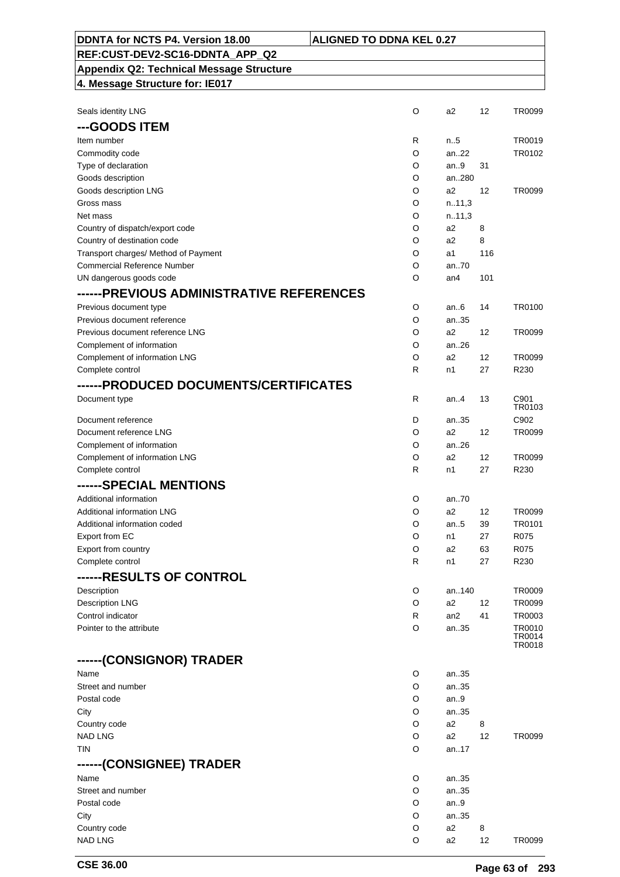| <b>Appendix Q2: Technical Message Structure</b> |        |                 |          |                  |
|-------------------------------------------------|--------|-----------------|----------|------------------|
| 4. Message Structure for: IE017                 |        |                 |          |                  |
|                                                 |        |                 |          |                  |
| Seals identity LNG                              | O      | a2              | 12       | TR0099           |
| ---GOODS ITEM                                   |        |                 |          |                  |
| Item number                                     | R      | n.5             |          | TR0019           |
| Commodity code                                  | O      | an.22           |          | TR0102           |
| Type of declaration                             | O      | an.9            | 31       |                  |
| Goods description                               | O      | an280           |          |                  |
| Goods description LNG                           | O      | a2              | 12       | TR0099           |
| Gross mass                                      | O      | n.11,3          |          |                  |
| Net mass                                        | O      | n.11,3          |          |                  |
| Country of dispatch/export code                 | O      | a2              | 8        |                  |
| Country of destination code                     | O      | a2              | 8        |                  |
| Transport charges/ Method of Payment            | O      | a1              | 116      |                  |
| <b>Commercial Reference Number</b>              | O      | an.70           |          |                  |
| UN dangerous goods code                         | O      | an4             | 101      |                  |
| ------PREVIOUS ADMINISTRATIVE REFERENCES        |        |                 |          |                  |
| Previous document type                          | O      | an.6            | 14       | TR0100           |
| Previous document reference                     | O      | an35            |          |                  |
| Previous document reference LNG                 | O      | a2              | 12       | TR0099           |
| Complement of information                       | O      | an.26           |          |                  |
| Complement of information LNG                   | O      | a2              | 12       | TR0099           |
| Complete control                                | R      | n1              | 27       | R230             |
|                                                 |        |                 |          |                  |
| ------PRODUCED DOCUMENTS/CERTIFICATES           |        |                 |          |                  |
| Document type                                   | R      | an4             | 13       | C901<br>TR0103   |
| Document reference                              | D      | an35            |          | C902             |
| Document reference LNG                          | O      | a2              | 12       | TR0099           |
| Complement of information                       | O      | an26            |          |                  |
| Complement of information LNG                   | O      | a2              | 12       | TR0099           |
| Complete control                                | R      | n1              | 27       | R230             |
| ------SPECIAL MENTIONS                          |        |                 |          |                  |
|                                                 |        |                 |          |                  |
| Additional information                          | O      | an70<br>a2      |          |                  |
| <b>Additional information LNG</b>               | O<br>O |                 | 12       | TR0099<br>TR0101 |
| Additional information coded<br>Export from EC  | O      | an.5<br>n1      | 39<br>27 | R075             |
| Export from country                             | O      | a2              | 63       | R075             |
| Complete control                                | R      | n1              | 27       | R230             |
|                                                 |        |                 |          |                  |
| ------RESULTS OF CONTROL                        |        |                 |          |                  |
| Description                                     | O      | an140           |          | TR0009           |
| <b>Description LNG</b>                          | O      | a2              | 12       | TR0099           |
| Control indicator                               | R      | an <sub>2</sub> | 41       | TR0003           |
| Pointer to the attribute                        | O      | an35            |          | TR0010<br>TR0014 |
|                                                 |        |                 |          | TR0018           |
| ------(CONSIGNOR) TRADER                        |        |                 |          |                  |
| Name                                            | O      | an35            |          |                  |
| Street and number                               | O      | an35            |          |                  |
| Postal code                                     | O      | an9             |          |                  |
| City                                            | O      | an35            |          |                  |
| Country code                                    | O      | a2              | 8        |                  |
| <b>NAD LNG</b>                                  | O      | a2              | 12       | TR0099           |
| TIN                                             | O      | an17            |          |                  |
| ------(CONSIGNEE) TRADER                        |        |                 |          |                  |
| Name                                            | O      | an35            |          |                  |
| Street and number                               | O      | an35            |          |                  |
| Postal code                                     | O      | an $9$          |          |                  |
| City                                            | O      | an35            |          |                  |
| Country code                                    | O      | a <sub>2</sub>  | 8        |                  |
| <b>NAD LNG</b>                                  | O      | a <sub>2</sub>  | 12       | TR0099           |

**DDNTA for NCTS P4. Version 18.00 ALIGNED TO DDNA KEL 0.27**

**REF:CUST-DEV2-SC16-DDNTA\_APP\_Q2**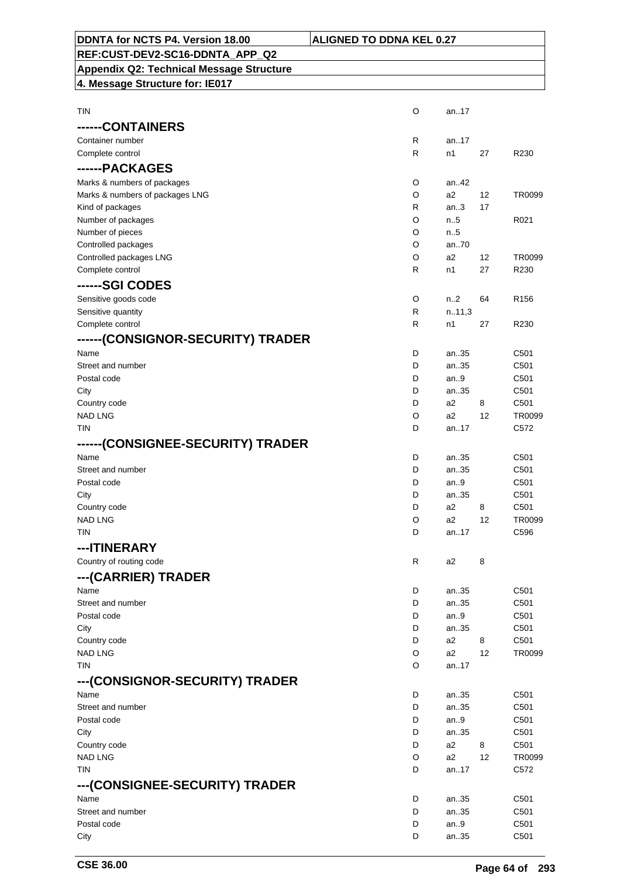| DDNTA for NCTS P4. Version 18.00                | <b>ALIGNED TO DDNA KEL 0.27</b> |              |          |                  |
|-------------------------------------------------|---------------------------------|--------------|----------|------------------|
| REF:CUST-DEV2-SC16-DDNTA_APP_Q2                 |                                 |              |          |                  |
| <b>Appendix Q2: Technical Message Structure</b> |                                 |              |          |                  |
| 4. Message Structure for: IE017                 |                                 |              |          |                  |
|                                                 |                                 |              |          |                  |
| <b>TIN</b>                                      | $\circ$                         | an17         |          |                  |
|                                                 |                                 |              |          |                  |
| ------CONTAINERS                                |                                 |              |          |                  |
| Container number                                | R                               | an17         |          |                  |
| Complete control                                | R                               | n1           | 27       | R230             |
| ------PACKAGES                                  |                                 |              |          |                  |
| Marks & numbers of packages                     | O                               | an.42        |          |                  |
| Marks & numbers of packages LNG                 | O<br>R                          | a2<br>an.3   | 12<br>17 | TR0099           |
| Kind of packages<br>Number of packages          | O                               | n.5          |          | R021             |
| Number of pieces                                | O                               | n.5          |          |                  |
| Controlled packages                             | O                               | an70         |          |                  |
| Controlled packages LNG                         | O                               | a2           | 12       | TR0099           |
| Complete control                                | $\mathsf{R}$                    | n1           | 27       | R230             |
| ------SGI CODES                                 |                                 |              |          |                  |
| Sensitive goods code                            | O                               | n2           | 64       | R <sub>156</sub> |
| Sensitive quantity                              | R                               | n.11,3       |          |                  |
| Complete control                                | R                               | n1           | 27       | R230             |
| ------(CONSIGNOR-SECURITY) TRADER               |                                 |              |          |                  |
| Name                                            | D                               | an35         |          | C501             |
| Street and number                               | D                               | an35         |          | C501             |
| Postal code                                     | D                               | an.9         |          | C501             |
| City                                            | D                               | an35         |          | C501             |
| Country code                                    | D                               | a2           | 8        | C501             |
| <b>NAD LNG</b>                                  | O                               | a2           | 12       | TR0099           |
| <b>TIN</b>                                      | D                               | an17         |          | C <sub>572</sub> |
| ------(CONSIGNEE-SECURITY) TRADER               |                                 |              |          |                  |
| Name                                            | D                               | an35         |          | C501             |
| Street and number<br>Postal code                | D<br>D                          | an35<br>an9  |          | C501<br>C501     |
| City                                            | D                               | an35         |          | C501             |
| Country code                                    | D                               | a2           | 8        | C501             |
| <b>NAD LNG</b>                                  | O                               | a2           | 12       | TR0099           |
| <b>TIN</b>                                      | D                               | an17         |          | C596             |
| ---ITINERARY                                    |                                 |              |          |                  |
| Country of routing code                         | R                               | a2           | 8        |                  |
| ---(CARRIER) TRADER                             |                                 |              |          |                  |
| Name                                            | D                               | an35         |          | C501             |
| Street and number                               | D                               | an35         |          | C501             |
| Postal code                                     | D                               | an $9$       |          | C501             |
| City                                            | D                               | an35         |          | C501             |
| Country code                                    | D                               | a2           | 8        | C501             |
| <b>NAD LNG</b>                                  | O                               | a2           | 12       | TR0099           |
| <b>TIN</b>                                      | O                               | an17         |          |                  |
| ---(CONSIGNOR-SECURITY) TRADER                  |                                 |              |          |                  |
| Name                                            | D                               | an35         |          | C501             |
| Street and number                               | D                               | an35         |          | C501             |
| Postal code<br>City                             | D<br>D                          | an.9<br>an35 |          | C501<br>C501     |
| Country code                                    | D                               | a2           | 8        | C501             |
| <b>NAD LNG</b>                                  | O                               | a2           | 12       | TR0099           |
| TIN                                             | D                               | an17         |          | C572             |
| ---(CONSIGNEE-SECURITY) TRADER                  |                                 |              |          |                  |
| Name                                            | D                               | an35         |          | C501             |
| Street and number                               | D                               | an35         |          | C501             |
| Postal code                                     | D                               | an $9$       |          | C501             |
| City                                            | D                               | an35         |          | C501             |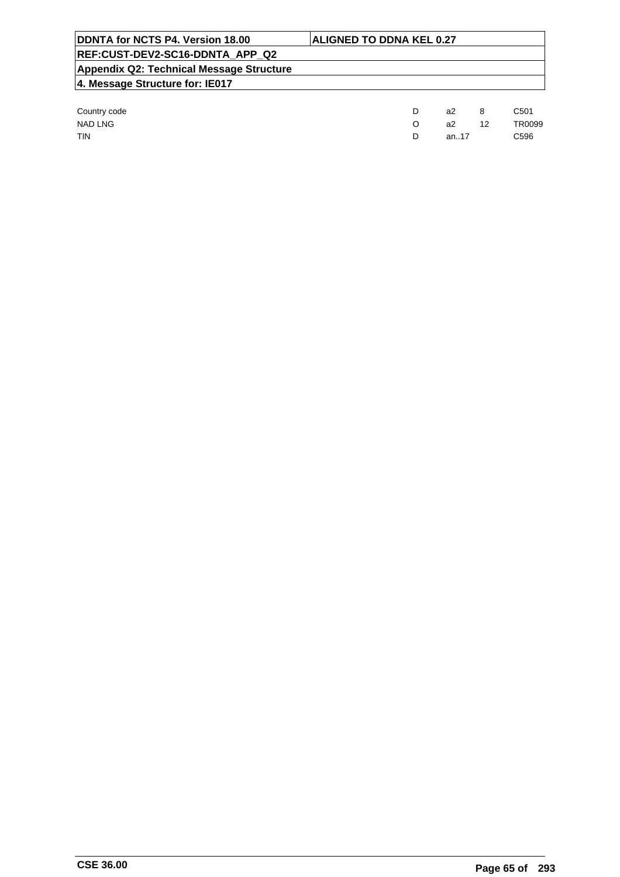| DDNTA for NCTS P4. Version 18.00         | <b>ALIGNED TO DDNA KEL 0.27</b> |    |  |                  |  |  |
|------------------------------------------|---------------------------------|----|--|------------------|--|--|
| REF:CUST-DEV2-SC16-DDNTA APP Q2          |                                 |    |  |                  |  |  |
| Appendix Q2: Technical Message Structure |                                 |    |  |                  |  |  |
| 4. Message Structure for: IE017          |                                 |    |  |                  |  |  |
|                                          |                                 |    |  |                  |  |  |
| Country code                             | D                               | a2 |  | C <sub>501</sub> |  |  |

| <b>COUNTLY COUP</b> | az   | ັບ | <b>UUU</b>    |
|---------------------|------|----|---------------|
| NAD LNG             | а2   | 12 | <b>TR0099</b> |
| <b>TIN</b>          | an17 |    | C596          |
|                     |      |    |               |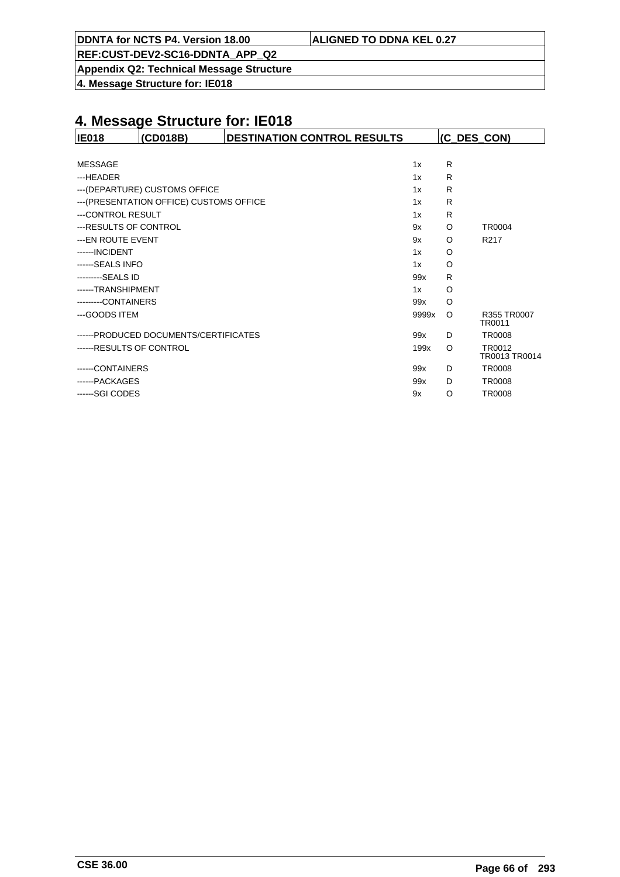| DDNTA for NCTS P4. Version 18.00 | <b>ALIGNED TO DDNA KEL 0.27</b> |
|----------------------------------|---------------------------------|
|                                  |                                 |

**Appendix Q2: Technical Message Structure**

**4. Message Structure for: IE018**

| <b>IE018</b>             | (CD018B)                                 | <b>DESTINATION CONTROL RESULTS</b> |       | (C_DES_CON) |                         |
|--------------------------|------------------------------------------|------------------------------------|-------|-------------|-------------------------|
|                          |                                          |                                    |       |             |                         |
| <b>MESSAGE</b>           |                                          |                                    | 1x    | R           |                         |
| ---HEADER                |                                          |                                    | 1x    | R           |                         |
|                          | --- (DEPARTURE) CUSTOMS OFFICE           |                                    | 1x    | R           |                         |
|                          | --- (PRESENTATION OFFICE) CUSTOMS OFFICE |                                    | 1x    | R           |                         |
| ---CONTROL RESULT        |                                          |                                    | 1x    | R           |                         |
| --- RESULTS OF CONTROL   |                                          |                                    | 9x    | O           | TR0004                  |
| --- EN ROUTE EVENT       |                                          |                                    | 9x    | O           | R <sub>217</sub>        |
| ------INCIDENT           |                                          |                                    | 1x    | O           |                         |
| ------SEALS INFO         |                                          |                                    | 1x    | O           |                         |
| ---------SEALS ID        |                                          |                                    | 99x   | R           |                         |
| ------TRANSHIPMENT       |                                          |                                    | 1x    | O           |                         |
| --------CONTAINERS       |                                          |                                    | 99x   | O           |                         |
| ---GOODS ITEM            |                                          |                                    | 9999x | $\circ$     | R355 TR0007<br>TR0011   |
|                          | ------PRODUCED DOCUMENTS/CERTIFICATES    |                                    | 99x   | D           | <b>TR0008</b>           |
| ------RESULTS OF CONTROL |                                          |                                    | 199x  | $\circ$     | TR0012<br>TR0013 TR0014 |
| -----CONTAINERS          |                                          |                                    | 99x   | D           | <b>TR0008</b>           |
| ------PACKAGES           |                                          |                                    | 99x   | D           | <b>TR0008</b>           |
| ------SGI CODES          |                                          |                                    | 9x    | O           | <b>TR0008</b>           |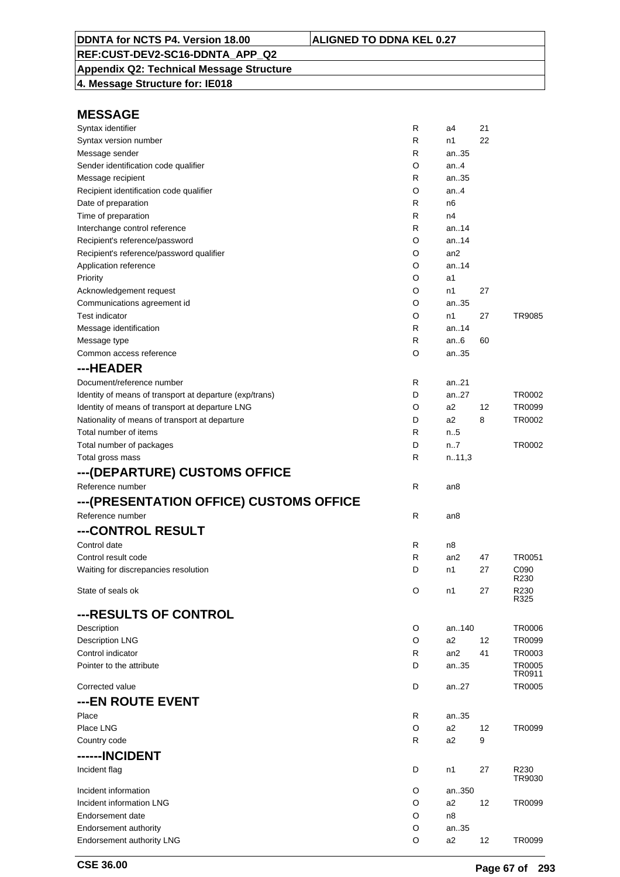## **Appendix Q2: Technical Message Structure**

**4. Message Structure for: IE018**

| Syntax identifier                                       | R            | a4              | 21 |                |
|---------------------------------------------------------|--------------|-----------------|----|----------------|
| Syntax version number                                   | R            | n1              | 22 |                |
| Message sender                                          | R            | an35            |    |                |
| Sender identification code qualifier                    | O            | an.4            |    |                |
| Message recipient                                       | R            | an35            |    |                |
| Recipient identification code qualifier                 | O            | an. $4$         |    |                |
| Date of preparation                                     | R            | n6              |    |                |
| Time of preparation                                     | R            | n4              |    |                |
| Interchange control reference                           | R            | an14            |    |                |
| Recipient's reference/password                          | O            | an14            |    |                |
| Recipient's reference/password qualifier                | O            | an <sub>2</sub> |    |                |
| Application reference                                   | O            | an14            |    |                |
| Priority                                                | O            | a1              |    |                |
| Acknowledgement request                                 | O            | n1              | 27 |                |
| Communications agreement id                             | O            | an35            |    |                |
| <b>Test indicator</b>                                   | O            | n1              | 27 | TR9085         |
| Message identification                                  | R            | an14            |    |                |
| Message type                                            | R            | an $6$          | 60 |                |
| Common access reference                                 | O            | an35            |    |                |
| ---HEADER                                               |              |                 |    |                |
| Document/reference number                               | R            | an21            |    |                |
| Identity of means of transport at departure (exp/trans) | D            | an27            |    | TR0002         |
| Identity of means of transport at departure LNG         | O            | a2              | 12 | TR0099         |
| Nationality of means of transport at departure          | D            | a2              | 8  | TR0002         |
| Total number of items                                   | R            | n.5             |    |                |
| Total number of packages                                | D            | n7              |    | TR0002         |
| Total gross mass                                        | R            | n.11,3          |    |                |
|                                                         |              |                 |    |                |
| ---(DEPARTURE) CUSTOMS OFFICE                           |              |                 |    |                |
| Reference number                                        | R            | an8             |    |                |
| ---(PRESENTATION OFFICE) CUSTOMS OFFICE                 |              |                 |    |                |
| Reference number                                        | $\mathsf{R}$ | an8             |    |                |
| ---CONTROL RESULT                                       |              |                 |    |                |
| Control date                                            | R            | n8              |    |                |
| Control result code                                     | R            | an2             | 47 | TR0051         |
| Waiting for discrepancies resolution                    | D            | n1              | 27 | C090           |
|                                                         |              |                 |    | R230           |
| State of seals ok                                       | O            | n1              | 27 | R230<br>R325   |
| ---RESULTS OF CONTROL                                   |              |                 |    |                |
| Description                                             | O            | an140           |    | <b>TR0006</b>  |
| <b>Description LNG</b>                                  | O            | a <sub>2</sub>  | 12 | TR0099         |
| Control indicator                                       | R            | an <sub>2</sub> | 41 | TR0003         |
| Pointer to the attribute                                | D            | an35            |    | <b>TR0005</b>  |
|                                                         |              |                 |    | TR0911         |
| Corrected value                                         | D            | an27            |    | <b>TR0005</b>  |
| ---EN ROUTE EVENT                                       |              |                 |    |                |
| Place                                                   | R            | an35            |    |                |
| Place LNG                                               | O            | a2              | 12 | TR0099         |
| Country code                                            | R            | a2              | 9  |                |
| ------INCIDENT                                          |              |                 |    |                |
|                                                         |              |                 |    |                |
| Incident flag                                           | D            | n1              | 27 | R230<br>TR9030 |
| Incident information                                    | O            | an350           |    |                |
| Incident information LNG                                | O            | a2              | 12 | TR0099         |
| Endorsement date                                        | O            | n8              |    |                |
| Endorsement authority                                   | O            | an35            |    |                |
| Endorsement authority LNG                               | O            | a2              | 12 | TR0099         |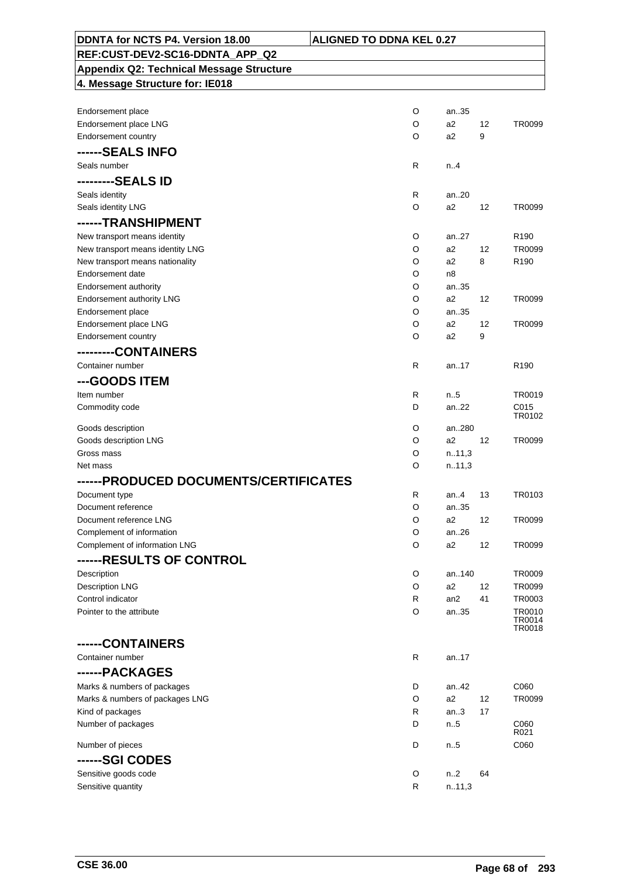| DDNTA for NCTS P4. Version 18.00                           | <b>ALIGNED TO DDNA KEL 0.27</b> |                 |    |                         |
|------------------------------------------------------------|---------------------------------|-----------------|----|-------------------------|
| REF:CUST-DEV2-SC16-DDNTA APP Q2                            |                                 |                 |    |                         |
| <b>Appendix Q2: Technical Message Structure</b>            |                                 |                 |    |                         |
| 4. Message Structure for: IE018                            |                                 |                 |    |                         |
|                                                            |                                 |                 |    |                         |
| Endorsement place                                          | O                               | an35            |    |                         |
| Endorsement place LNG                                      | O                               | a2              | 12 | TR0099                  |
| Endorsement country                                        | O                               | a2              | 9  |                         |
| ------SEALS INFO                                           |                                 |                 |    |                         |
| Seals number                                               | R                               | n.4             |    |                         |
| ---------SEALS ID                                          |                                 |                 |    |                         |
| Seals identity                                             | R                               | an20            |    |                         |
| Seals identity LNG                                         | O                               | a2              | 12 | TR0099                  |
| ------TRANSHIPMENT                                         |                                 |                 |    |                         |
| New transport means identity                               | O                               | an27            |    | R <sub>190</sub>        |
| New transport means identity LNG                           | O                               | a2              | 12 | <b>TR0099</b>           |
| New transport means nationality                            | O                               | a2              | 8  | R <sub>190</sub>        |
| Endorsement date                                           | O                               | n8              |    |                         |
| <b>Endorsement authority</b>                               | O                               | an35            |    |                         |
| Endorsement authority LNG                                  | O                               | a2              | 12 | TR0099                  |
| Endorsement place<br>Endorsement place LNG                 | O<br>O                          | an35<br>a2      | 12 | TR0099                  |
| Endorsement country                                        | O                               | a2              | 9  |                         |
| ---------CONTAINERS                                        |                                 |                 |    |                         |
| Container number                                           | R                               | an.17           |    | R <sub>190</sub>        |
|                                                            |                                 |                 |    |                         |
| ---GOODS ITEM                                              |                                 |                 |    |                         |
| Item number<br>Commodity code                              | R<br>D                          | n5<br>an22      |    | TR0019<br>C015          |
|                                                            |                                 |                 |    | TR0102                  |
| Goods description                                          | O                               | an280           |    |                         |
| Goods description LNG                                      | O                               | a2              | 12 | TR0099                  |
| Gross mass                                                 | O                               | n.11,3          |    |                         |
| Net mass                                                   | O                               | n.11,3          |    |                         |
| ------PRODUCED DOCUMENTS/CERTIFICATES                      |                                 |                 |    |                         |
| Document type                                              | R                               | an4             | 13 | TR0103                  |
| Document reference                                         | O                               | an35            |    |                         |
| Document reference LNG                                     | O                               | a2              | 12 | TR0099                  |
| Complement of information<br>Complement of information LNG | O<br>O                          | an26<br>a2      | 12 | TR0099                  |
|                                                            |                                 |                 |    |                         |
| ------RESULTS OF CONTROL                                   |                                 |                 |    |                         |
| Description                                                | O<br>O                          | an140<br>a2     | 12 | <b>TR0009</b><br>TR0099 |
| <b>Description LNG</b><br>Control indicator                | R                               | an <sub>2</sub> | 41 | TR0003                  |
| Pointer to the attribute                                   | O                               | an35            |    | TR0010                  |
|                                                            |                                 |                 |    | TR0014<br>TR0018        |
|                                                            |                                 |                 |    |                         |
| ------CONTAINERS                                           |                                 |                 |    |                         |
| Container number                                           | R                               | an17            |    |                         |
| ------PACKAGES                                             |                                 |                 |    |                         |
| Marks & numbers of packages                                | D                               | an42            |    | C060                    |
| Marks & numbers of packages LNG                            | O                               | a2              | 12 | TR0099                  |
| Kind of packages<br>Number of packages                     | R<br>D                          | an.3<br>n.5     | 17 | C060                    |
|                                                            |                                 |                 |    | R021                    |
| Number of pieces                                           | D                               | n5              |    | C060                    |
| ------SGI CODES                                            |                                 |                 |    |                         |
| Sensitive goods code                                       | O                               | n <sub>2</sub>  | 64 |                         |
| Sensitive quantity                                         | R                               | n.11,3          |    |                         |

h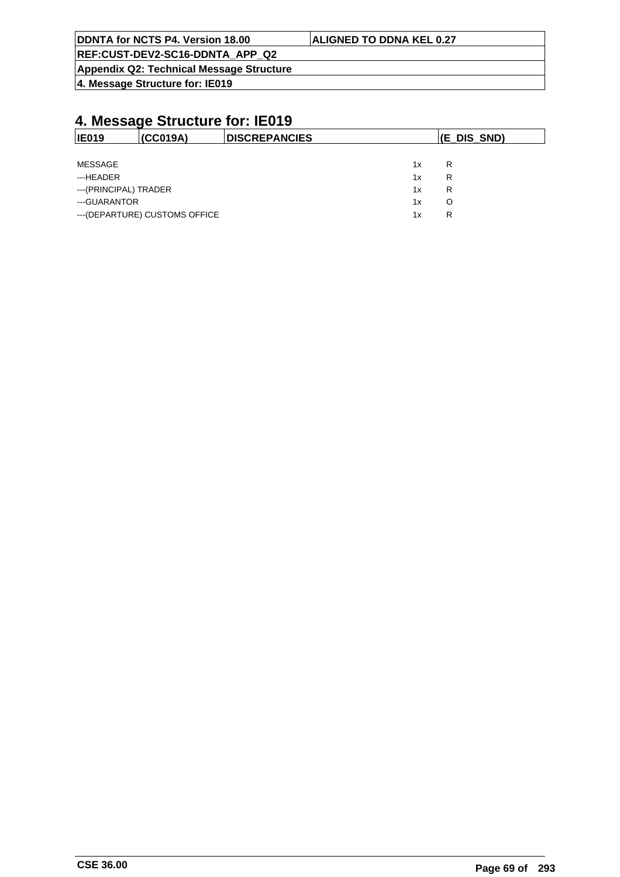| DDNTA for NCTS P4. Version 18.00         | <b>ALIGNED TO DDNA KEL 0.27</b> |
|------------------------------------------|---------------------------------|
| REF:CUST-DEV2-SC16-DDNTA APP Q2          |                                 |
| Appendix Q2: Technical Message Structure |                                 |

**4. Message Structure for: IE019**

|                                                                     | (E_DIS_SND)           |
|---------------------------------------------------------------------|-----------------------|
|                                                                     |                       |
| 1x                                                                  | R                     |
| 1x                                                                  | R                     |
| 1x                                                                  | R                     |
| 1x                                                                  | O                     |
| 1x                                                                  | R                     |
| (CC019A)<br>---(PRINCIPAL) TRADER<br>--- (DEPARTURE) CUSTOMS OFFICE | <b>IDISCREPANCIES</b> |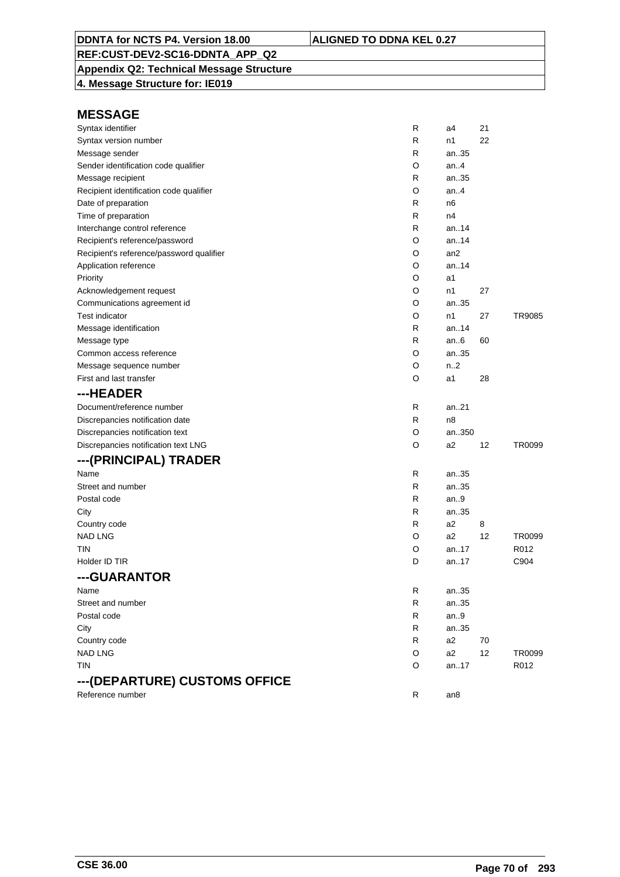### **Appendix Q2: Technical Message Structure**

**4. Message Structure for: IE019**

| Syntax identifier                        | R | a4               | 21 |        |
|------------------------------------------|---|------------------|----|--------|
| Syntax version number                    | R | n1               | 22 |        |
| Message sender                           | R | an35             |    |        |
| Sender identification code qualifier     | O | an.4             |    |        |
| Message recipient                        | R | an35             |    |        |
| Recipient identification code qualifier  | O | an.4             |    |        |
| Date of preparation                      | R | n6               |    |        |
| Time of preparation                      | R | n4               |    |        |
| Interchange control reference            | R | an14             |    |        |
| Recipient's reference/password           | O | an.14            |    |        |
| Recipient's reference/password qualifier | O | an <sub>2</sub>  |    |        |
| Application reference                    | O | an14             |    |        |
| Priority                                 | O | a1               |    |        |
| Acknowledgement request                  | O | n1               | 27 |        |
| Communications agreement id              | O | an35             |    |        |
| <b>Test indicator</b>                    | O | n1               | 27 | TR9085 |
| Message identification                   | R | an14             |    |        |
| Message type                             | R | an.6             | 60 |        |
| Common access reference                  | O | an35             |    |        |
| Message sequence number                  | O | n <sub>1</sub> 2 |    |        |
| First and last transfer                  | O | a1               | 28 |        |
| ---HEADER                                |   |                  |    |        |
| Document/reference number                | R | an21             |    |        |
| Discrepancies notification date          | R | n <sub>8</sub>   |    |        |
| Discrepancies notification text          | O | an350            |    |        |
| Discrepancies notification text LNG      | O | a2               | 12 | TR0099 |
| ---(PRINCIPAL) TRADER                    |   |                  |    |        |
| Name                                     | R | an35             |    |        |
| Street and number                        | R | an35             |    |        |
| Postal code                              | R | an.9             |    |        |
| City                                     | R | an35             |    |        |
| Country code                             | R | a2               | 8  |        |
| <b>NAD LNG</b>                           | O | a2               | 12 | TR0099 |
| tin                                      | O | an17             |    | R012   |
| Holder ID TIR                            | D | an17             |    | C904   |
| ---GUARANTOR                             |   |                  |    |        |
| Name                                     | R | an35             |    |        |
| Street and number                        | R | an35             |    |        |
| Postal code                              | R | an.9             |    |        |
| City                                     | R | an35             |    |        |
| Country code                             | R | a2               | 70 |        |
| <b>NAD LNG</b>                           | O | a2               | 12 | TR0099 |
| <b>TIN</b>                               | O | an17             |    | R012   |
| ---(DEPARTURE) CUSTOMS OFFICE            |   |                  |    |        |
| Reference number                         | R | an8              |    |        |
|                                          |   |                  |    |        |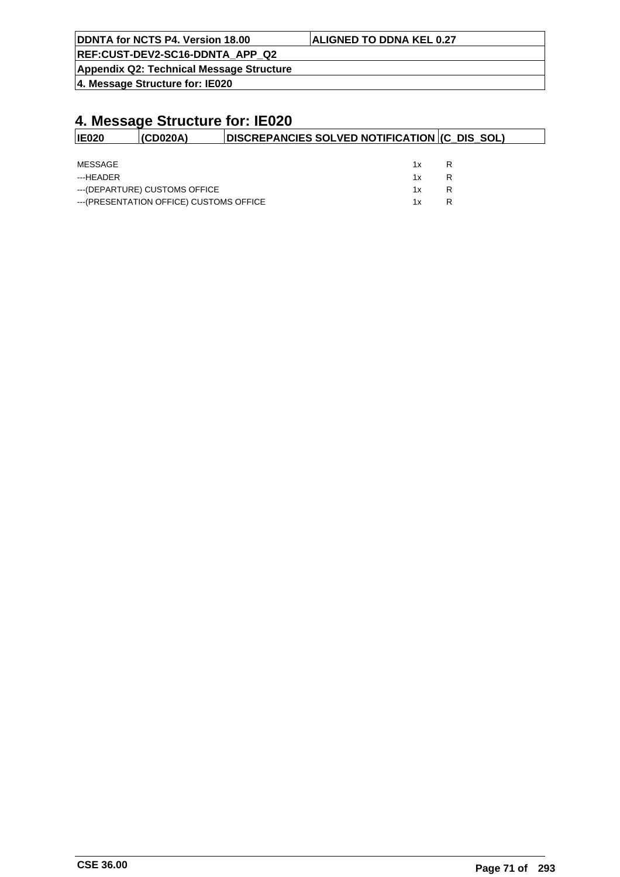| <b>ALIGNED TO DDNA KEL 0.27</b> |
|---------------------------------|
|                                 |
|                                 |

**Appendix Q2: Technical Message Structure**

**4. Message Structure for: IE020**

| <b>IE020</b> | <b>(CD020A)</b>                          | DISCREPANCIES SOLVED NOTIFICATION (C DIS SOL) |     |   |  |
|--------------|------------------------------------------|-----------------------------------------------|-----|---|--|
|              |                                          |                                               |     |   |  |
| MESSAGE      |                                          |                                               | 1 x |   |  |
| ---HFADFR    |                                          |                                               | 1x  |   |  |
|              | ---(DEPARTURE) CUSTOMS OFFICE            |                                               | 1x  | R |  |
|              | --- (PRESENTATION OFFICE) CUSTOMS OFFICE |                                               | 1 x |   |  |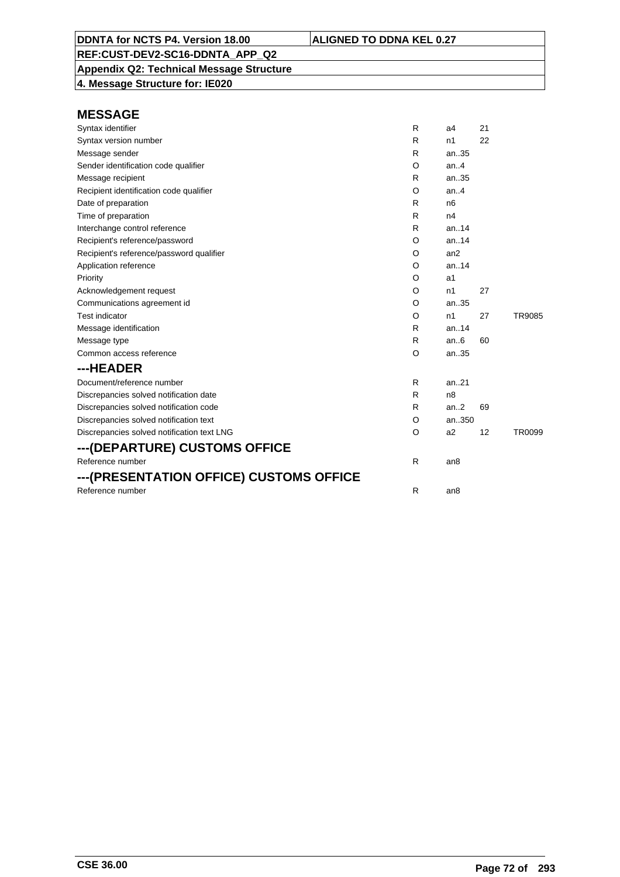**Appendix Q2: Technical Message Structure 4. Message Structure for: IE020**

| Syntax identifier                          | R       | a <sub>4</sub>  | 21 |        |
|--------------------------------------------|---------|-----------------|----|--------|
| Syntax version number                      | R       | n1              | 22 |        |
| Message sender                             | R       | an35            |    |        |
| Sender identification code qualifier       | O       | an.4            |    |        |
| Message recipient                          | R       | an35            |    |        |
| Recipient identification code qualifier    | O       | an.4            |    |        |
| Date of preparation                        | R       | n <sub>6</sub>  |    |        |
| Time of preparation                        | R       | n4              |    |        |
| Interchange control reference              | R       | an.14           |    |        |
| Recipient's reference/password             | O       | an.14           |    |        |
| Recipient's reference/password qualifier   | $\circ$ | an2             |    |        |
| Application reference                      | O       | an.14           |    |        |
| Priority                                   | O       | a1              |    |        |
| Acknowledgement request                    | O       | n1              | 27 |        |
| Communications agreement id                | O       | an35            |    |        |
| <b>Test indicator</b>                      | O       | n1              | 27 | TR9085 |
| Message identification                     | R       | an14            |    |        |
| Message type                               | R       | an.6            | 60 |        |
| Common access reference                    | O       | an35            |    |        |
| ---HEADER                                  |         |                 |    |        |
| Document/reference number                  | R       | an.21           |    |        |
| Discrepancies solved notification date     | R       | n8              |    |        |
| Discrepancies solved notification code     | R       | an.2            | 69 |        |
| Discrepancies solved notification text     | O       | an350           |    |        |
| Discrepancies solved notification text LNG | O       | a2              | 12 | TR0099 |
| ---(DEPARTURE) CUSTOMS OFFICE              |         |                 |    |        |
| Reference number                           | R       | an <sub>8</sub> |    |        |
| ---(PRESENTATION OFFICE) CUSTOMS OFFICE    |         |                 |    |        |
| Reference number                           | R       | an8             |    |        |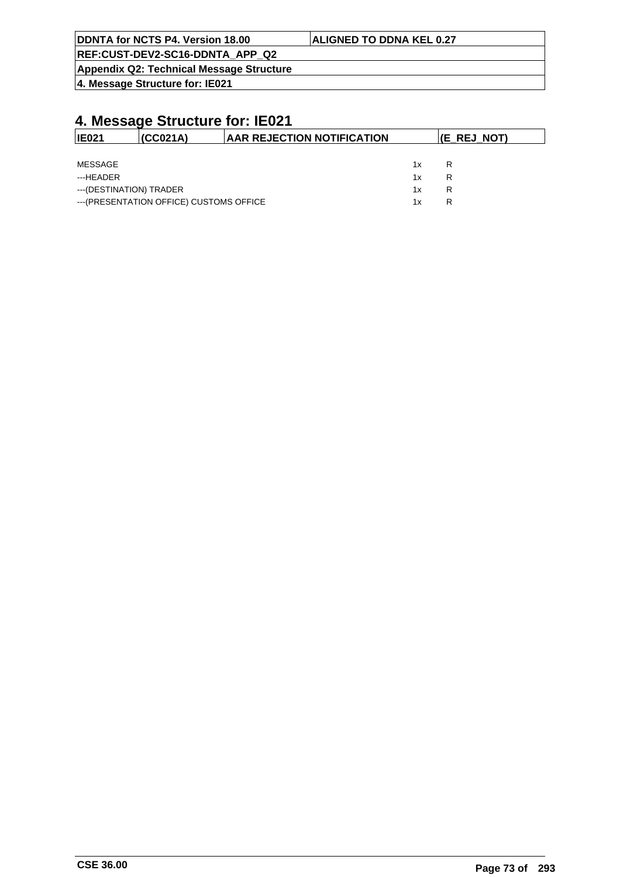| DDNTA for NCTS P4. Version 18.00         | <b>ALIGNED TO DDNA KEL 0.27</b> |
|------------------------------------------|---------------------------------|
| REF:CUST-DEV2-SC16-DDNTA APP Q2          |                                 |
| Appendix Q2: Technical Message Structure |                                 |

**4. Message Structure for: IE021**

| IE021                   | (CC021A)                                 | <b>AAR REJECTION NOTIFICATION</b> |    | (E REJ NOT) |
|-------------------------|------------------------------------------|-----------------------------------|----|-------------|
|                         |                                          |                                   |    |             |
| MESSAGE                 |                                          |                                   | 1x | R           |
| ---HEADER               |                                          |                                   | 1x | R           |
| ---(DESTINATION) TRADER |                                          |                                   | 1x | R           |
|                         | --- (PRESENTATION OFFICE) CUSTOMS OFFICE |                                   | 1x | R           |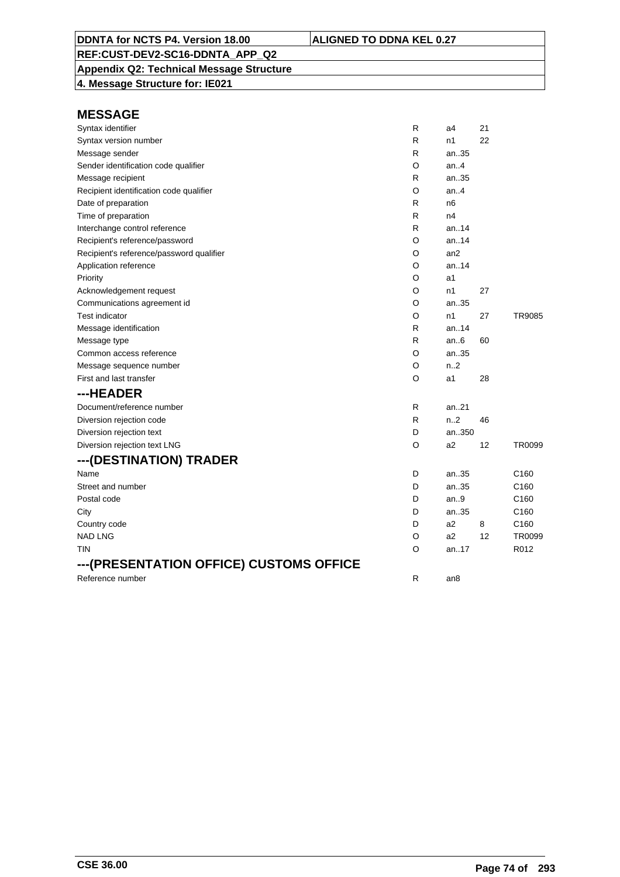**Appendix Q2: Technical Message Structure 4. Message Structure for: IE021**

| Syntax identifier                        | R            | a4              | 21 |                  |
|------------------------------------------|--------------|-----------------|----|------------------|
| Syntax version number                    | R            | n1              | 22 |                  |
| Message sender                           | R            | an35            |    |                  |
| Sender identification code qualifier     | O            | an.4            |    |                  |
| Message recipient                        | R            | an35            |    |                  |
| Recipient identification code qualifier  | O            | an.4            |    |                  |
| Date of preparation                      | R            | n <sub>6</sub>  |    |                  |
| Time of preparation                      | R            | n4              |    |                  |
| Interchange control reference            | R            | an14            |    |                  |
| Recipient's reference/password           | O            | an14            |    |                  |
| Recipient's reference/password qualifier | O            | an <sub>2</sub> |    |                  |
| Application reference                    | O            | an14            |    |                  |
| Priority                                 | O            | a1              |    |                  |
| Acknowledgement request                  | O            | n1              | 27 |                  |
| Communications agreement id              | O            | an35            |    |                  |
| <b>Test indicator</b>                    | O            | n1              | 27 | <b>TR9085</b>    |
| Message identification                   | R            | an.14           |    |                  |
| Message type                             | R            | an.6            | 60 |                  |
| Common access reference                  | O            | an35            |    |                  |
| Message sequence number                  | O            | n2              |    |                  |
| First and last transfer                  | O            | a1              | 28 |                  |
| ---HEADER                                |              |                 |    |                  |
| Document/reference number                | R            | an.21           |    |                  |
| Diversion rejection code                 | $\mathsf{R}$ | n.2             | 46 |                  |
| Diversion rejection text                 | D            | an350           |    |                  |
| Diversion rejection text LNG             | O            | a <sub>2</sub>  | 12 | TR0099           |
| ---(DESTINATION) TRADER                  |              |                 |    |                  |
| Name                                     | D            | an35            |    | C <sub>160</sub> |
| Street and number                        | D            | an35            |    | C <sub>160</sub> |
| Postal code                              | D            | an.9            |    | C <sub>160</sub> |
| City                                     | D            | an35            |    | C <sub>160</sub> |
| Country code                             | D            | a2              | 8  | C <sub>160</sub> |
| <b>NAD LNG</b>                           | O            | a2              | 12 | TR0099           |
| tin                                      | O            | an17            |    | R012             |
| ---(PRESENTATION OFFICE) CUSTOMS OFFICE  |              |                 |    |                  |
| Reference number                         | $\mathsf{R}$ | an <sub>8</sub> |    |                  |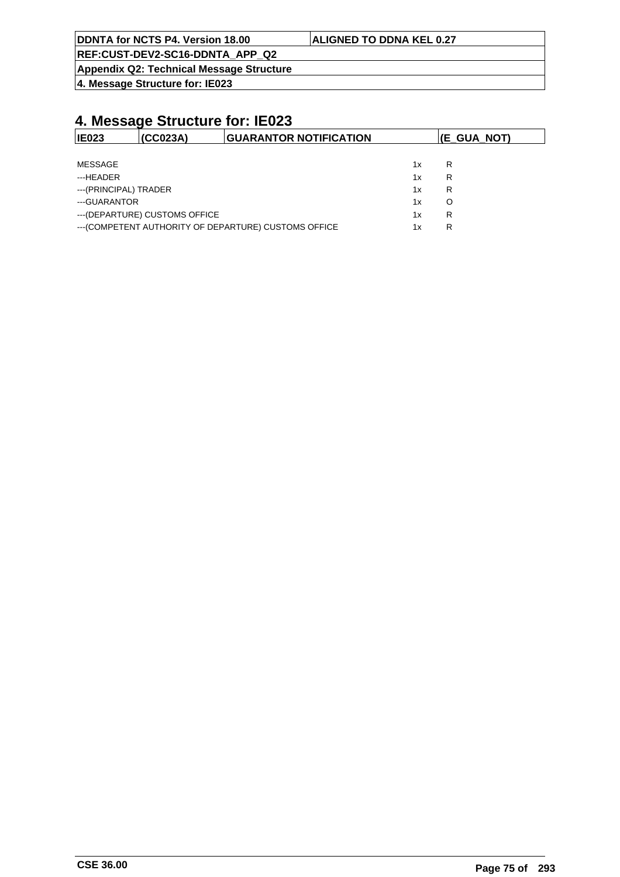| <b>DDNTA for NCTS P4. Version 18.00</b> | <b>ALIGNED TO DDNA KEL 0.27</b> |
|-----------------------------------------|---------------------------------|
|                                         |                                 |

**Appendix Q2: Technical Message Structure**

**4. Message Structure for: IE023**

| IE023                 | (CC023A)                       | <b>GUARANTOR NOTIFICATION</b>                         |    | (E_GUA_NOT) |
|-----------------------|--------------------------------|-------------------------------------------------------|----|-------------|
|                       |                                |                                                       |    |             |
| <b>MESSAGE</b>        |                                |                                                       | 1x | R           |
| ---HEADER             |                                |                                                       | 1x | R           |
| ---(PRINCIPAL) TRADER |                                |                                                       | 1x | R           |
| ---GUARANTOR          |                                |                                                       | 1x | O           |
|                       | --- (DEPARTURE) CUSTOMS OFFICE |                                                       | 1x | R           |
|                       |                                | --- (COMPETENT AUTHORITY OF DEPARTURE) CUSTOMS OFFICE | 1x | R           |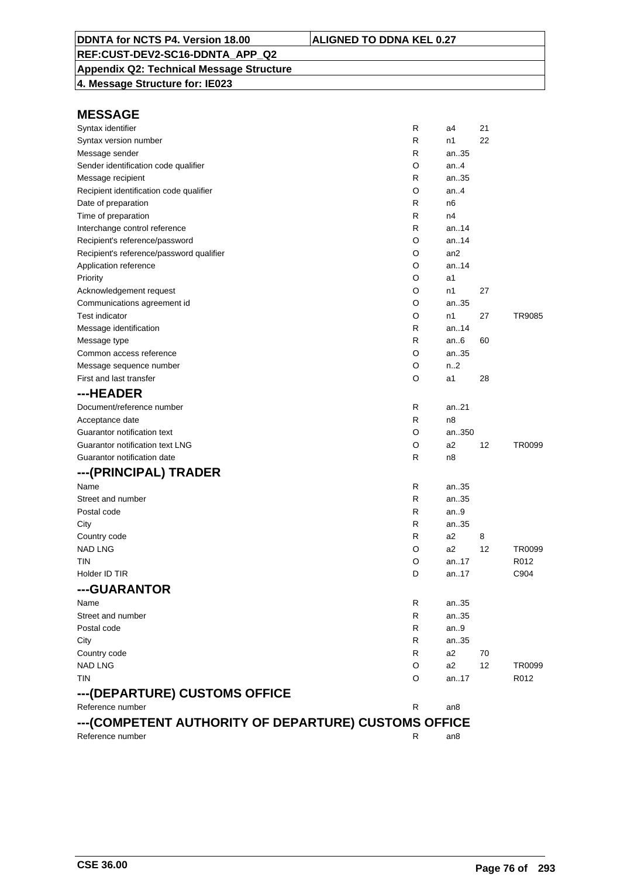**Appendix Q2: Technical Message Structure**

**4. Message Structure for: IE023**

| Syntax identifier                                    | R | a4     | 21 |        |
|------------------------------------------------------|---|--------|----|--------|
| Syntax version number                                | R | n1     | 22 |        |
| Message sender                                       | R | an35   |    |        |
| Sender identification code qualifier                 | O | an.4   |    |        |
| Message recipient                                    | R | an35   |    |        |
| Recipient identification code qualifier              | O | an.4   |    |        |
| Date of preparation                                  | R | n6     |    |        |
| Time of preparation                                  | R | n4     |    |        |
| Interchange control reference                        | R | an14   |    |        |
| Recipient's reference/password                       | O | an14   |    |        |
| Recipient's reference/password qualifier             | O | an2    |    |        |
| Application reference                                | O | an.14  |    |        |
| Priority                                             | O | a1     |    |        |
| Acknowledgement request                              | O | n1     | 27 |        |
| Communications agreement id                          | O | an35   |    |        |
| <b>Test indicator</b>                                | O | n1     | 27 | TR9085 |
| Message identification                               | R | an14   |    |        |
| Message type                                         | R | an $6$ | 60 |        |
| Common access reference                              | O | an35   |    |        |
| Message sequence number                              | O | n2     |    |        |
| First and last transfer                              | O | a1     | 28 |        |
| ---HEADER                                            |   |        |    |        |
| Document/reference number                            | R | an21   |    |        |
| Acceptance date                                      | R | n8     |    |        |
| Guarantor notification text                          | O | an350  |    |        |
| Guarantor notification text LNG                      | O | a2     | 12 | TR0099 |
| Guarantor notification date                          | R | n8     |    |        |
| ---(PRINCIPAL) TRADER                                |   |        |    |        |
| Name                                                 | R | an35   |    |        |
| Street and number                                    | R | an35   |    |        |
| Postal code                                          | R | an.9   |    |        |
| City                                                 | R | an35   |    |        |
| Country code                                         | R | a2     | 8  |        |
| <b>NAD LNG</b>                                       | O | a2     | 12 | TR0099 |
| TIN                                                  | O | an17   |    | R012   |
| Holder ID TIR                                        | D | an17   |    | C904   |
| ---GUARANTOR                                         |   |        |    |        |
| Name                                                 | R | an35   |    |        |
| Street and number                                    | R | an35   |    |        |
| Postal code                                          | R | an.9   |    |        |
| City                                                 | R | an35   |    |        |
| Country code                                         | R | a2     | 70 |        |
| <b>NAD LNG</b>                                       | O | a2     | 12 | TR0099 |
| <b>TIN</b>                                           | O | an17   |    | R012   |
| ---(DEPARTURE) CUSTOMS OFFICE                        |   |        |    |        |
| Reference number                                     | R | an8    |    |        |
| ---(COMPETENT AUTHORITY OF DEPARTURE) CUSTOMS OFFICE |   |        |    |        |
| Reference number                                     | R | an8    |    |        |
|                                                      |   |        |    |        |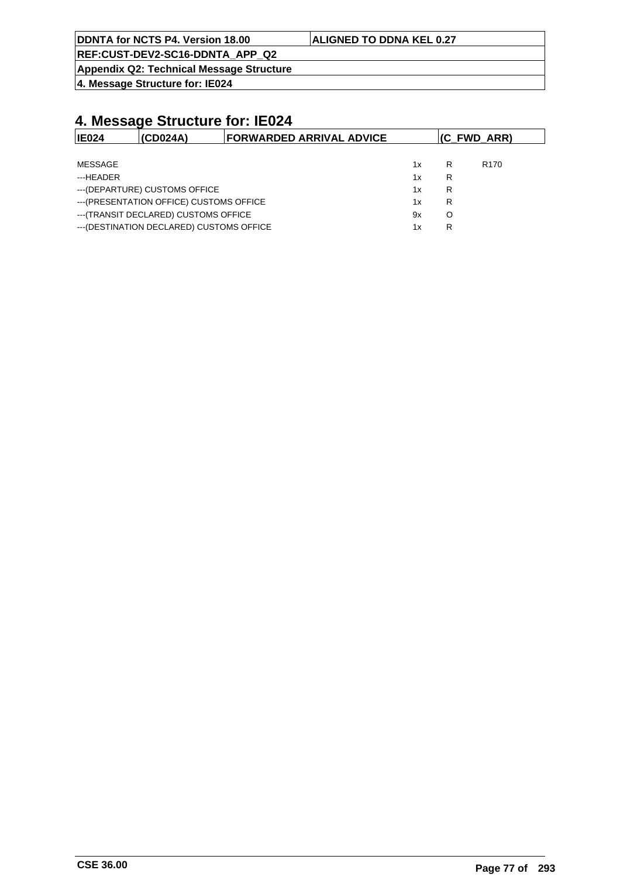| DDNTA for NCTS P4. Version 18.00            | <b>ALIGNED TO DDNA KEL 0.27</b> |
|---------------------------------------------|---------------------------------|
| $DCE. CUBT$ $DEN2$ $CCE$ $DNITA$ $ADD$ $D2$ |                                 |

**REF:CUST-DEV2-SC16-DDNTA\_APP\_Q2 Appendix Q2: Technical Message Structure**

**4. Message Structure for: IE024**

| IE024                                 | (CDO24A)                                  | <b>FORWARDED ARRIVAL ADVICE</b> |    | (C FWD ARR) |                  |  |
|---------------------------------------|-------------------------------------------|---------------------------------|----|-------------|------------------|--|
|                                       |                                           |                                 |    |             |                  |  |
| MESSAGE                               |                                           |                                 | 1x | R           | R <sub>170</sub> |  |
| ---HEADER                             |                                           |                                 | 1x | R           |                  |  |
| --- (DEPARTURE) CUSTOMS OFFICE        |                                           | 1x                              | R  |             |                  |  |
|                                       | --- (PRESENTATION OFFICE) CUSTOMS OFFICE  |                                 | 1x | R           |                  |  |
| --- (TRANSIT DECLARED) CUSTOMS OFFICE |                                           |                                 | 9x | O           |                  |  |
|                                       | --- (DESTINATION DECLARED) CUSTOMS OFFICE |                                 | 1x | R           |                  |  |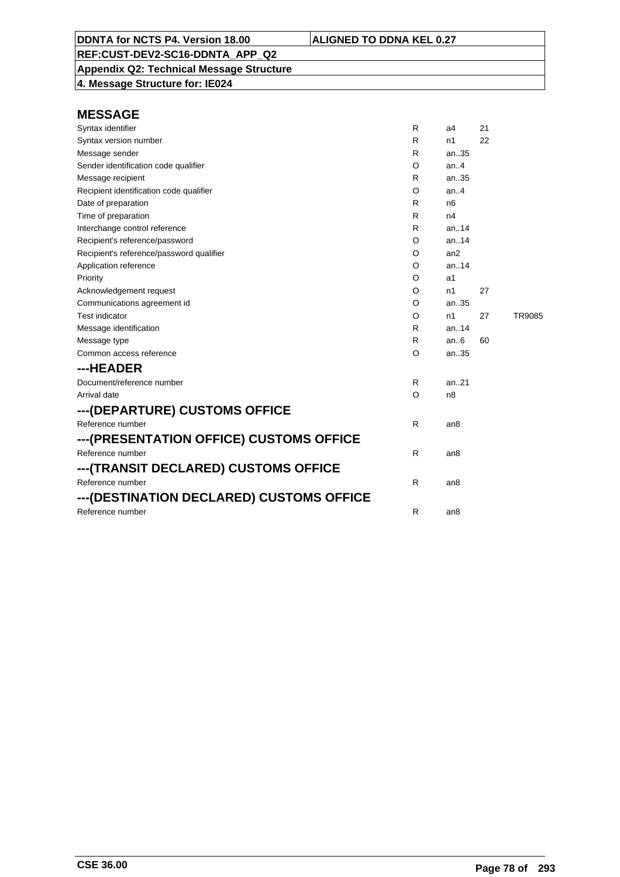**Appendix Q2: Technical Message Structure 4. Message Structure for: IE024**

| Syntax identifier                        | R  | a4              | 21 |        |
|------------------------------------------|----|-----------------|----|--------|
| Syntax version number                    | R  | n1              | 22 |        |
| Message sender                           | R  | an35            |    |        |
| Sender identification code qualifier     | O  | an. $4$         |    |        |
| Message recipient                        | R. | an35            |    |        |
| Recipient identification code qualifier  | O  | an.4            |    |        |
| Date of preparation                      | R  | n <sub>6</sub>  |    |        |
| Time of preparation                      | R  | n4              |    |        |
| Interchange control reference            | R. | an.14           |    |        |
| Recipient's reference/password           | O  | an.14           |    |        |
| Recipient's reference/password qualifier | O  | an2             |    |        |
| Application reference                    | O  | an.14           |    |        |
| Priority                                 | O  | a1              |    |        |
| Acknowledgement request                  | O  | n1              | 27 |        |
| Communications agreement id              | O  | an35            |    |        |
| <b>Test indicator</b>                    | O  | n1              | 27 | TR9085 |
| Message identification                   | R. | an14            |    |        |
| Message type                             | R  | an.6            | 60 |        |
| Common access reference                  | O  | an35            |    |        |
| ---HEADER                                |    |                 |    |        |
| Document/reference number                | R. | an. $.21$       |    |        |
| Arrival date                             | O  | n <sub>8</sub>  |    |        |
| ---(DEPARTURE) CUSTOMS OFFICE            |    |                 |    |        |
| Reference number                         | R. | an8             |    |        |
| ---(PRESENTATION OFFICE) CUSTOMS OFFICE  |    |                 |    |        |
| Reference number                         | R. | an8             |    |        |
| ---(TRANSIT DECLARED) CUSTOMS OFFICE     |    |                 |    |        |
| Reference number                         | R  | an <sub>8</sub> |    |        |
| ---(DESTINATION DECLARED) CUSTOMS OFFICE |    |                 |    |        |
| Reference number                         | R  | an8             |    |        |
|                                          |    |                 |    |        |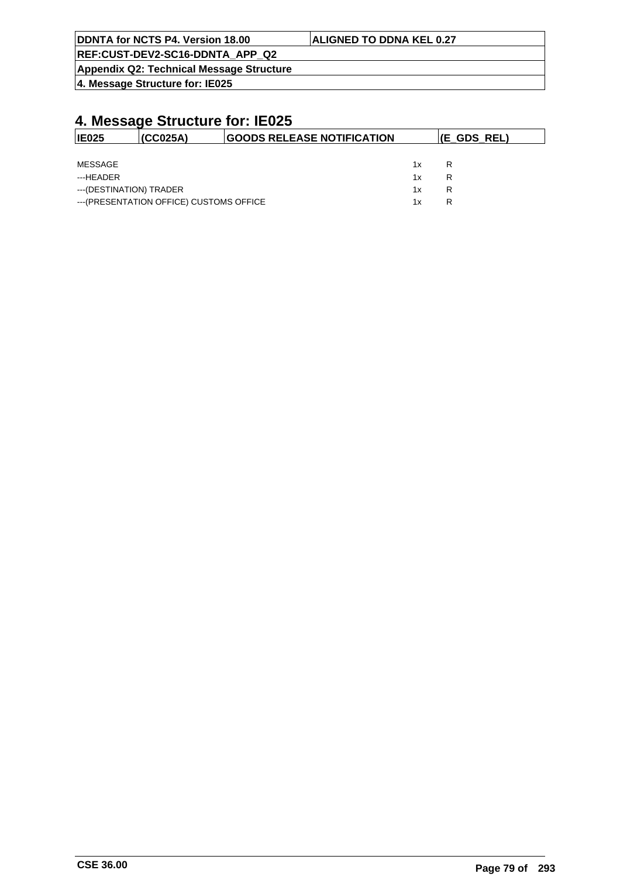| DDNTA for NCTS P4. Version 18.00         | <b>ALIGNED TO DDNA KEL 0.27</b> |
|------------------------------------------|---------------------------------|
| REF:CUST-DEV2-SC16-DDNTA APP Q2          |                                 |
| Appendix Q2: Technical Message Structure |                                 |

**4. Message Structure for: IE025**

| IE025                   | (CC025A)                                 | <b>GOODS RELEASE NOTIFICATION</b> |    | $ E$ GDS REL) |
|-------------------------|------------------------------------------|-----------------------------------|----|---------------|
|                         |                                          |                                   |    |               |
| MESSAGE                 |                                          |                                   | 1x | R             |
| ---HFADFR               |                                          |                                   | 1x | R             |
| ---(DESTINATION) TRADER |                                          |                                   | 1x | R             |
|                         | --- (PRESENTATION OFFICE) CUSTOMS OFFICE |                                   | 1x | R             |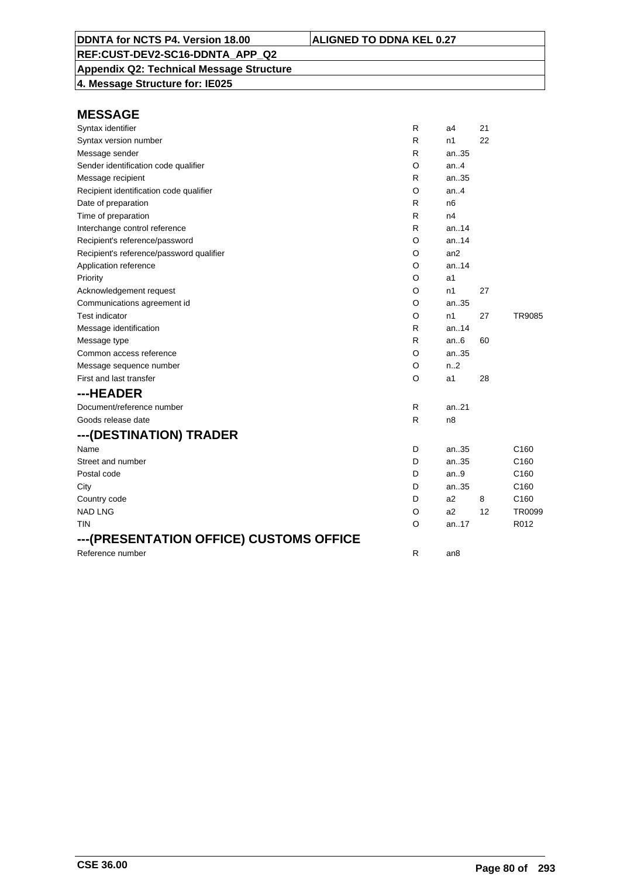# **Appendix Q2: Technical Message Structure**

**4. Message Structure for: IE025**

| Syntax identifier                        | R            | a4             | 21 |                  |
|------------------------------------------|--------------|----------------|----|------------------|
| Syntax version number                    | R            | n1             | 22 |                  |
| Message sender                           | R            | an35           |    |                  |
| Sender identification code qualifier     | O            | an.4           |    |                  |
| Message recipient                        | R            | an35           |    |                  |
| Recipient identification code qualifier  | O            | an.4           |    |                  |
| Date of preparation                      | R            | n <sub>6</sub> |    |                  |
| Time of preparation                      | $\mathsf{R}$ | n4             |    |                  |
| Interchange control reference            | R            | an.14          |    |                  |
| Recipient's reference/password           | O            | an.14          |    |                  |
| Recipient's reference/password qualifier | O            | an2            |    |                  |
| Application reference                    | O            | an.14          |    |                  |
| Priority                                 | O            | a1             |    |                  |
| Acknowledgement request                  | O            | n1             | 27 |                  |
| Communications agreement id              | O            | an35           |    |                  |
| <b>Test indicator</b>                    | O            | n1             | 27 | <b>TR9085</b>    |
| Message identification                   | R            | an.14          |    |                  |
| Message type                             | R            | an $6$         | 60 |                  |
| Common access reference                  | O            | an35           |    |                  |
| Message sequence number                  | O            | n.2            |    |                  |
| First and last transfer                  | O            | a1             | 28 |                  |
| ---HEADER                                |              |                |    |                  |
| Document/reference number                | R            | an.21          |    |                  |
| Goods release date                       | $\mathsf{R}$ | n8             |    |                  |
| ---(DESTINATION) TRADER                  |              |                |    |                  |
| Name                                     | D            | an35           |    | C <sub>160</sub> |
| Street and number                        | D            | an35           |    | C <sub>160</sub> |
| Postal code                              | D            | an.9           |    | C <sub>160</sub> |
| City                                     | D            | an.35          |    | C <sub>160</sub> |
| Country code                             | D            | a2             | 8  | C <sub>160</sub> |
| <b>NAD LNG</b>                           | O            | a2             | 12 | TR0099           |
| <b>TIN</b>                               | $\circ$      | an17           |    | R012             |
| ---(PRESENTATION OFFICE) CUSTOMS OFFICE  |              |                |    |                  |
| Reference number                         | R            | an8            |    |                  |
|                                          |              |                |    |                  |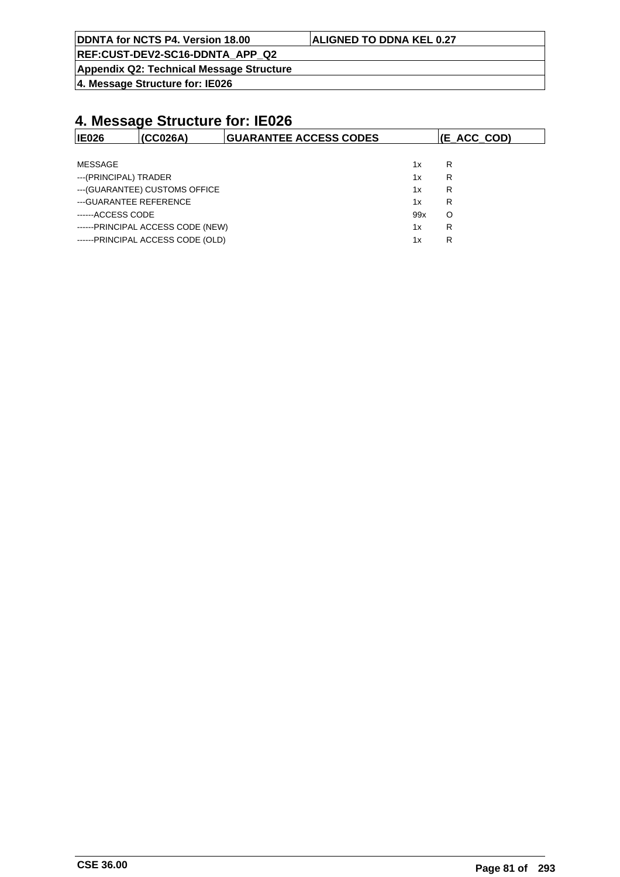| DDNTA for NCTS P4. Version 18.00 | <b>ALIGNED TO DDNA KEL 0.27</b> |
|----------------------------------|---------------------------------|
|                                  |                                 |

**Appendix Q2: Technical Message Structure**

**4. Message Structure for: IE026**

| <b>IE026</b>            | (CC026A)                          | <b>GUARANTEE ACCESS CODES</b> |     | (E ACC COD) |
|-------------------------|-----------------------------------|-------------------------------|-----|-------------|
|                         |                                   |                               |     |             |
| MESSAGE                 |                                   |                               | 1x  | R           |
| ---(PRINCIPAL) TRADER   |                                   |                               | 1x  | R           |
|                         | --- (GUARANTEE) CUSTOMS OFFICE    |                               | 1x  | R           |
| --- GUARANTEE REFERENCE |                                   |                               | 1x  | R           |
| ------ACCESS CODE       |                                   |                               | 99x | O           |
|                         | ------PRINCIPAL ACCESS CODE (NEW) |                               | 1x  | R           |
|                         | ------PRINCIPAL ACCESS CODE (OLD) |                               | 1x  | R           |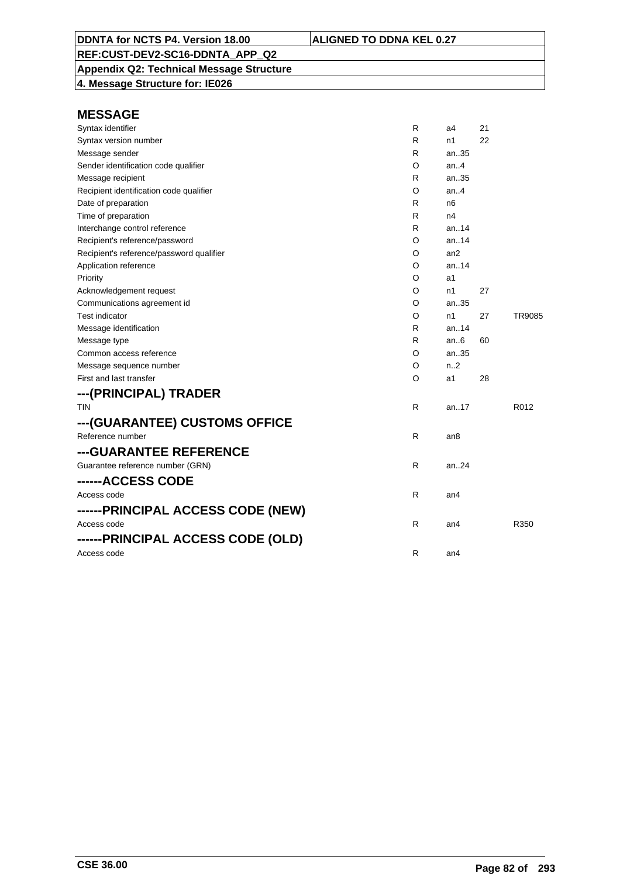**Appendix Q2: Technical Message Structure**

**4. Message Structure for: IE026**

| Syntax identifier                        | R            | a4               | 21 |        |
|------------------------------------------|--------------|------------------|----|--------|
| Syntax version number                    | R            | n1               | 22 |        |
| Message sender                           | R            | an35             |    |        |
| Sender identification code qualifier     | O            | an.4             |    |        |
| Message recipient                        | R            | an35             |    |        |
| Recipient identification code qualifier  | O            | an.4             |    |        |
| Date of preparation                      | R            | n6               |    |        |
| Time of preparation                      | R            | n4               |    |        |
| Interchange control reference            | R            | an14             |    |        |
| Recipient's reference/password           | O            | an14             |    |        |
| Recipient's reference/password qualifier | O            | an2              |    |        |
| Application reference                    | O            | an14             |    |        |
| Priority                                 | O            | a1               |    |        |
| Acknowledgement request                  | O            | n1               | 27 |        |
| Communications agreement id              | O            | an35             |    |        |
| <b>Test indicator</b>                    | O            | n1               | 27 | TR9085 |
| Message identification                   | R            | an14             |    |        |
| Message type                             | R            | an $6$           | 60 |        |
| Common access reference                  | O            | an35             |    |        |
| Message sequence number                  | O            | n <sub>1</sub> 2 |    |        |
| First and last transfer                  | O            | a1               | 28 |        |
| ---(PRINCIPAL) TRADER                    |              |                  |    |        |
| <b>TIN</b>                               | $\mathsf{R}$ | an17             |    | R012   |
| ---(GUARANTEE) CUSTOMS OFFICE            |              |                  |    |        |
| Reference number                         | R            | an <sub>8</sub>  |    |        |
| ---GUARANTEE REFERENCE                   |              |                  |    |        |
| Guarantee reference number (GRN)         | $\mathsf{R}$ | an24             |    |        |
| ------ACCESS CODE                        |              |                  |    |        |
| Access code                              | $\mathsf{R}$ | an4              |    |        |
| ------PRINCIPAL ACCESS CODE (NEW)        |              |                  |    |        |
| Access code                              | $\mathsf{R}$ | an4              |    | R350   |
| ------PRINCIPAL ACCESS CODE (OLD)        |              |                  |    |        |
| Access code                              | R            | an <sub>4</sub>  |    |        |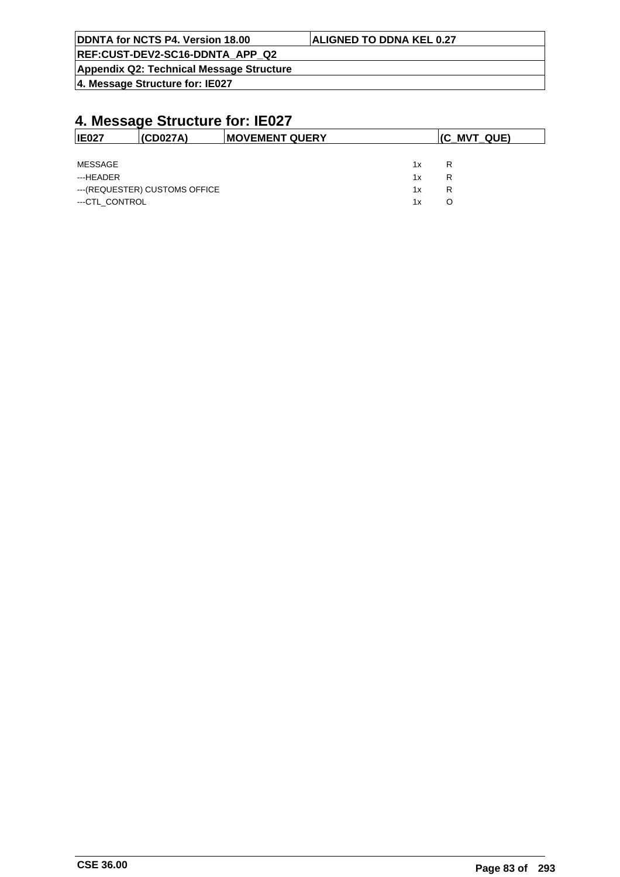| DDNTA for NCTS P4. Version 18.00                | <b>ALIGNED TO DDNA KEL 0.27</b> |
|-------------------------------------------------|---------------------------------|
| REF:CUST-DEV2-SC16-DDNTA APP Q2                 |                                 |
| <b>Appendix Q2: Technical Message Structure</b> |                                 |

**4. Message Structure for: IE027**

| <b>IE027</b>   | (CD027A)                       | <b>IMOVEMENT QUERY</b> |    | $ $ (C_MVT_QUE) |  |  |
|----------------|--------------------------------|------------------------|----|-----------------|--|--|
|                |                                |                        |    |                 |  |  |
| MESSAGE        |                                |                        | 1x | R               |  |  |
| ---HEADER      |                                |                        | 1x | R               |  |  |
|                | --- (REQUESTER) CUSTOMS OFFICE |                        | 1x | R               |  |  |
| ---CTL CONTROL |                                |                        | 1x | O               |  |  |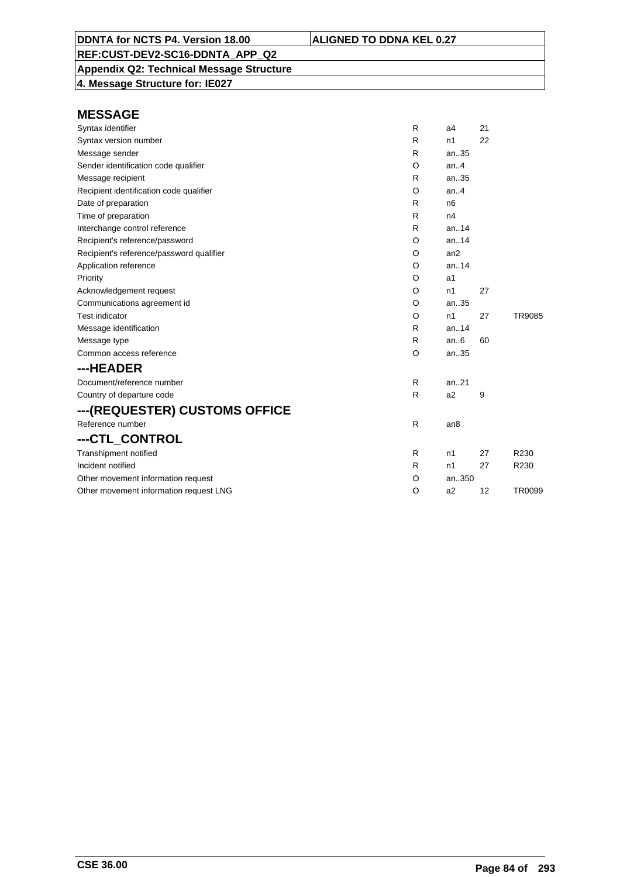**Appendix Q2: Technical Message Structure**

**4. Message Structure for: IE027**

| Syntax identifier                        | R | a <sub>4</sub> | 21 |        |
|------------------------------------------|---|----------------|----|--------|
| Syntax version number                    | R | n1             | 22 |        |
| Message sender                           | R | an35           |    |        |
| Sender identification code qualifier     | O | an.4           |    |        |
| Message recipient                        | R | an35           |    |        |
| Recipient identification code qualifier  | O | an.4           |    |        |
| Date of preparation                      | R | n6             |    |        |
| Time of preparation                      | R | n4             |    |        |
| Interchange control reference            | R | an.14          |    |        |
| Recipient's reference/password           | O | an.14          |    |        |
| Recipient's reference/password qualifier | O | an2            |    |        |
| Application reference                    | O | an.14          |    |        |
| Priority                                 | O | a1             |    |        |
| Acknowledgement request                  | O | n <sub>1</sub> | 27 |        |
| Communications agreement id              | O | an.35          |    |        |
| <b>Test indicator</b>                    | O | n1             | 27 | TR9085 |
| Message identification                   | R | an14           |    |        |
| Message type                             | R | an.6           | 60 |        |
| Common access reference                  | O | an35           |    |        |
| ---HEADER                                |   |                |    |        |
| Document/reference number                | R | an.21          |    |        |
| Country of departure code                | R | a2             | 9  |        |
| ---(REQUESTER) CUSTOMS OFFICE            |   |                |    |        |
| Reference number                         | R | an8            |    |        |
| ---CTL_CONTROL                           |   |                |    |        |
| Transhipment notified                    | R | n1             | 27 | R230   |
| Incident notified                        | R | n1             | 27 | R230   |
| Other movement information request       | O | an350          |    |        |
| Other movement information request LNG   | O | a2             | 12 | TR0099 |
|                                          |   |                |    |        |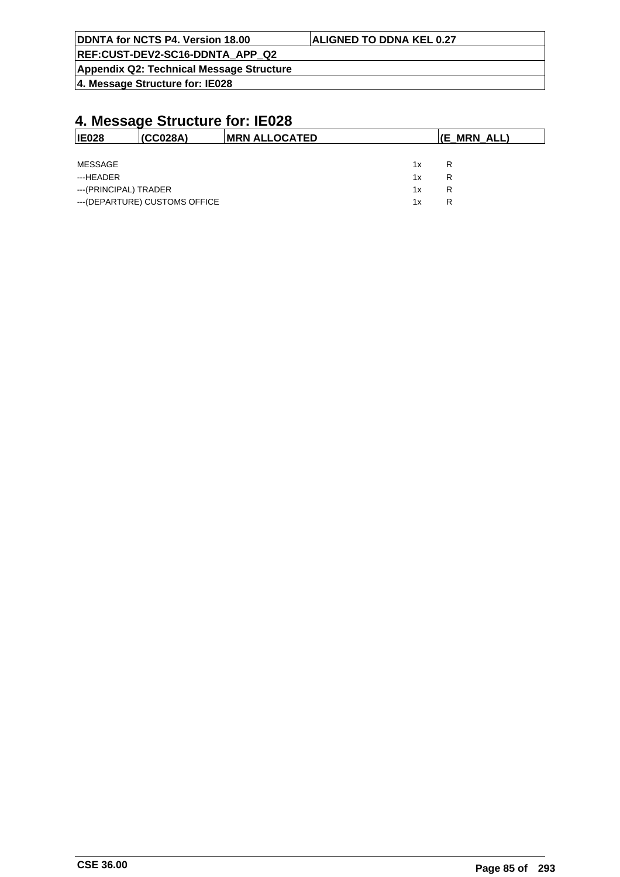| DDNTA for NCTS P4. Version 18.00         | <b>ALIGNED TO DDNA KEL 0.27</b> |
|------------------------------------------|---------------------------------|
| REF:CUST-DEV2-SC16-DDNTA APP Q2          |                                 |
| Appendix Q2: Technical Message Structure |                                 |

**4. Message Structure for: IE028**

# **4. Message Structure for: IE028**

| <b>IE028</b>                   | (CC028A) | IMRN ALLOCATED |    | (E_MRN_ALL) |
|--------------------------------|----------|----------------|----|-------------|
|                                |          |                |    |             |
| MESSAGE                        |          |                | 1x | R           |
| ---HEADER                      |          |                | 1x | R           |
| ---(PRINCIPAL) TRADER          |          |                | 1x | R           |
| --- (DEPARTURE) CUSTOMS OFFICE |          |                | 1x | R           |

 $\overline{\phantom{a}}$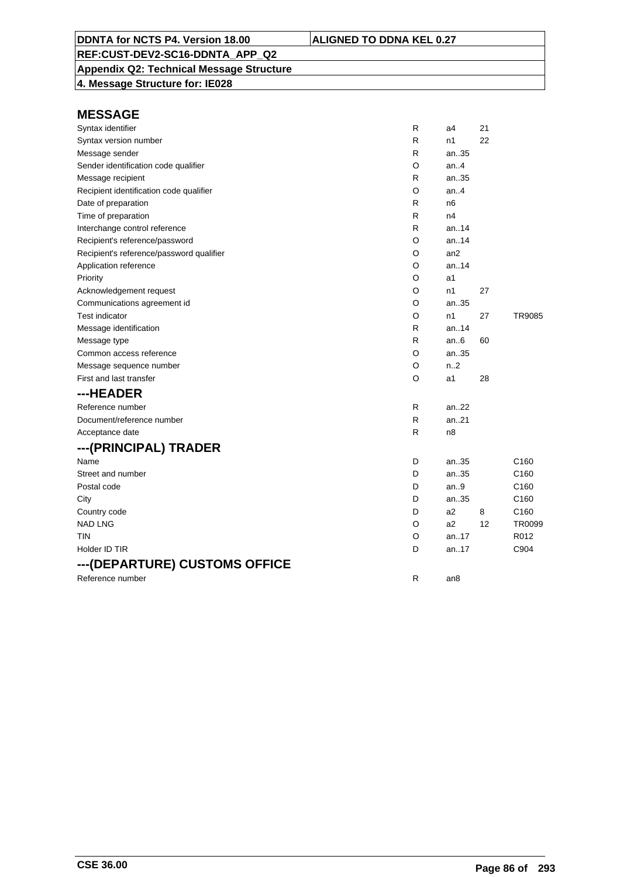**Appendix Q2: Technical Message Structure**

**4. Message Structure for: IE028**

| Syntax identifier                        | $\mathsf{R}$ | a4             | 21 |                  |
|------------------------------------------|--------------|----------------|----|------------------|
| Syntax version number                    | R            | n1             | 22 |                  |
| Message sender                           | R            | an35           |    |                  |
| Sender identification code qualifier     | O            | an.4           |    |                  |
| Message recipient                        | R            | an35           |    |                  |
| Recipient identification code qualifier  | O            | an.4           |    |                  |
| Date of preparation                      | R            | n <sub>6</sub> |    |                  |
| Time of preparation                      | R            | n4             |    |                  |
| Interchange control reference            | R            | an14           |    |                  |
| Recipient's reference/password           | O            | an14           |    |                  |
| Recipient's reference/password qualifier | O            | an2            |    |                  |
| Application reference                    | O            | an.14          |    |                  |
| Priority                                 | O            | a1             |    |                  |
| Acknowledgement request                  | O            | n1             | 27 |                  |
| Communications agreement id              | O            | an35           |    |                  |
| Test indicator                           | O            | n1             | 27 | TR9085           |
| Message identification                   | R            | an.14          |    |                  |
| Message type                             | R            | an $6$         | 60 |                  |
| Common access reference                  | O            | an35           |    |                  |
| Message sequence number                  | O            | n.2            |    |                  |
| First and last transfer                  | O            | a1             | 28 |                  |
| ---HEADER                                |              |                |    |                  |
| Reference number                         | R            | an.22          |    |                  |
| Document/reference number                | $\mathsf{R}$ | an.21          |    |                  |
| Acceptance date                          | $\mathsf{R}$ | n8             |    |                  |
| ---(PRINCIPAL) TRADER                    |              |                |    |                  |
| Name                                     | D            | an35           |    | C <sub>160</sub> |
| Street and number                        | D            | an35           |    | C <sub>160</sub> |
| Postal code                              | D            | an.9           |    | C160             |
| City                                     | D            | an35           |    | C <sub>160</sub> |
| Country code                             | D            | a2             | 8  | C160             |
| <b>NAD LNG</b>                           | O            | a2             | 12 | TR0099           |
| TIN                                      | O            | an.17          |    | R012             |
| Holder ID TIR                            | D            | an17           |    | C904             |
| ---(DEPARTURE) CUSTOMS OFFICE            |              |                |    |                  |
| Reference number                         | R            | an8            |    |                  |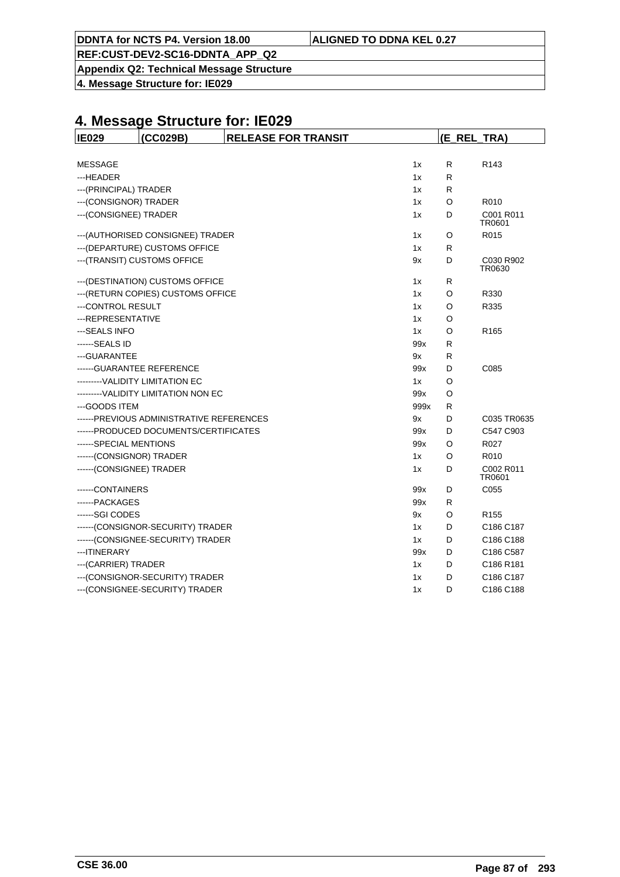|  | DDNTA for NCTS P4. Version 18.00 | <b>ALIGNED TO DDNA KEL 0.27</b> |
|--|----------------------------------|---------------------------------|
|--|----------------------------------|---------------------------------|

**Appendix Q2: Technical Message Structure**

**4. Message Structure for: IE029**

| (CC029B)<br><b>IE029</b>                 | <b>RELEASE FOR TRANSIT</b> |      | (E_REL_TRA) |                     |  |
|------------------------------------------|----------------------------|------|-------------|---------------------|--|
|                                          |                            |      |             |                     |  |
| <b>MESSAGE</b>                           |                            | 1x   | R           | R <sub>143</sub>    |  |
| ---HEADER                                |                            | 1x   | R           |                     |  |
| --- (PRINCIPAL) TRADER                   |                            | 1x   | R           |                     |  |
| --- (CONSIGNOR) TRADER                   |                            | 1x   | O           | R010                |  |
| --- (CONSIGNEE) TRADER                   |                            | 1x   | D           | C001 R011<br>TR0601 |  |
| --- (AUTHORISED CONSIGNEE) TRADER        |                            | 1x   | O           | R015                |  |
| --- (DEPARTURE) CUSTOMS OFFICE           |                            | 1x   | R           |                     |  |
| --- (TRANSIT) CUSTOMS OFFICE             |                            | 9x   | D           | C030 R902<br>TR0630 |  |
| --- (DESTINATION) CUSTOMS OFFICE         |                            | 1x   | R           |                     |  |
| --- (RETURN COPIES) CUSTOMS OFFICE       |                            | 1x   | O           | R330                |  |
| ---CONTROL RESULT                        |                            | 1x   | O           | R335                |  |
| ---REPRESENTATIVE                        |                            | 1x   | O           |                     |  |
| ---SEALS INFO                            |                            | 1x   | O           | R <sub>165</sub>    |  |
| ------SEALS ID                           |                            | 99x  | R           |                     |  |
| ---GUARANTEE                             |                            | 9x   | R           |                     |  |
| ------GUARANTEE REFERENCE                |                            | 99x  | D           | C085                |  |
| ---------VALIDITY LIMITATION EC          |                            | 1x   | O           |                     |  |
| ---------VALIDITY LIMITATION NON EC      |                            | 99x  | O           |                     |  |
| ---GOODS ITEM                            |                            | 999x | R           |                     |  |
| ------PREVIOUS ADMINISTRATIVE REFERENCES |                            | 9x   | D           | C035 TR0635         |  |
| ------PRODUCED DOCUMENTS/CERTIFICATES    |                            | 99x  | D           | C547 C903           |  |
| ------SPECIAL MENTIONS                   |                            | 99x  | O           | R027                |  |
| ------(CONSIGNOR) TRADER                 |                            | 1x   | O           | R010                |  |
| ------(CONSIGNEE) TRADER                 |                            | 1x   | D           | C002 R011<br>TR0601 |  |
| ------CONTAINERS                         |                            | 99x  | D           | C055                |  |
| ------ PACKAGES                          |                            | 99x  | R           |                     |  |
| ------SGI CODES                          |                            | 9x   | O           | R <sub>155</sub>    |  |
| ------(CONSIGNOR-SECURITY) TRADER        |                            | 1x   | D           | C186 C187           |  |
| ------(CONSIGNEE-SECURITY) TRADER        |                            | 1x   | D           | C186 C188           |  |
| --- ITINERARY                            |                            | 99x  | D           | C186 C587           |  |
| --- (CARRIER) TRADER                     |                            | 1x   | D           | C186 R181           |  |
| --- (CONSIGNOR-SECURITY) TRADER          |                            | 1x   | D           | C186 C187           |  |
| --- (CONSIGNEE-SECURITY) TRADER          |                            | 1x   | D           | C186 C188           |  |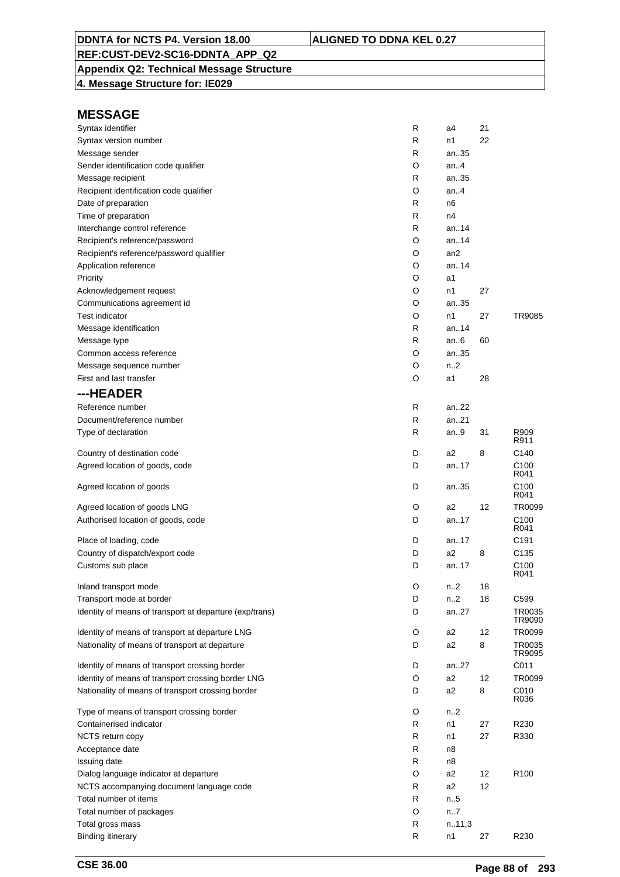## **Appendix Q2: Technical Message Structure**

**4. Message Structure for: IE029**

| Syntax identifier                                       | R | a4               | 21 |                          |
|---------------------------------------------------------|---|------------------|----|--------------------------|
| Syntax version number                                   | R | n1               | 22 |                          |
| Message sender                                          | R | an35             |    |                          |
| Sender identification code qualifier                    | O | an.4             |    |                          |
| Message recipient                                       | R | an35             |    |                          |
| Recipient identification code qualifier                 | O | an.4             |    |                          |
| Date of preparation                                     | R | n6               |    |                          |
| Time of preparation                                     | R | n4               |    |                          |
| Interchange control reference                           | R | an14             |    |                          |
| Recipient's reference/password                          | O | an14             |    |                          |
| Recipient's reference/password qualifier                | O | an <sub>2</sub>  |    |                          |
| Application reference                                   | O | an14             |    |                          |
| Priority                                                | O | a1               |    |                          |
| Acknowledgement request                                 | O | n1               | 27 |                          |
| Communications agreement id                             | O | an35             |    |                          |
| Test indicator                                          | O | n1               | 27 | TR9085                   |
| Message identification                                  | R | an.14            |    |                          |
| Message type                                            | R | an $6$           | 60 |                          |
| Common access reference                                 | O | an35             |    |                          |
|                                                         |   | n <sub>2</sub>   |    |                          |
| Message sequence number                                 | O |                  |    |                          |
| First and last transfer                                 | O | a1               | 28 |                          |
| ---HEADER                                               |   |                  |    |                          |
| Reference number                                        | R | an22             |    |                          |
| Document/reference number                               | R | an21             |    |                          |
| Type of declaration                                     | R | an $9$           | 31 | R909<br>R911             |
| Country of destination code                             | D | a2               | 8  | C <sub>140</sub>         |
| Agreed location of goods, code                          | D | an17             |    | C <sub>100</sub><br>R041 |
| Agreed location of goods                                | D | an35             |    | C <sub>100</sub><br>R041 |
| Agreed location of goods LNG                            | O | a2               | 12 | TR0099                   |
| Authorised location of goods, code                      | D | an17             |    | C <sub>100</sub>         |
|                                                         |   |                  |    | R041                     |
| Place of loading, code                                  | D | an17             |    | C <sub>191</sub>         |
| Country of dispatch/export code                         | D | a <sub>2</sub>   | 8  | C <sub>135</sub>         |
| Customs sub place                                       | D | an17             |    | C <sub>100</sub><br>R041 |
| Inland transport mode                                   | O | n2               | 18 |                          |
| Transport mode at border                                | D | n <sub>1</sub> 2 | 18 | C599                     |
| Identity of means of transport at departure (exp/trans) | D | an27             |    | TR0035                   |
|                                                         |   |                  |    | TR9090                   |
| Identity of means of transport at departure LNG         | O | a2               | 12 | TR0099                   |
| Nationality of means of transport at departure          | D | a2               | 8  | TR0035<br>TR9095         |
| Identity of means of transport crossing border          | D | an27             |    | C011                     |
| Identity of means of transport crossing border LNG      | O | a2               | 12 | TR0099                   |
| Nationality of means of transport crossing border       | D | a2               | 8  | C010<br>R036             |
| Type of means of transport crossing border              | O | n.2              |    |                          |
| Containerised indicator                                 | R | n1               | 27 | R230                     |
| NCTS return copy                                        | R | n1               | 27 | R330                     |
| Acceptance date                                         | R | n8               |    |                          |
| Issuing date                                            | R | n8               |    |                          |
| Dialog language indicator at departure                  | O | a2               | 12 | R <sub>100</sub>         |
| NCTS accompanying document language code                | R | a <sub>2</sub>   | 12 |                          |
| Total number of items                                   | R | n.5              |    |                          |
| Total number of packages                                | O | n.7              |    |                          |
| Total gross mass                                        | R | n.11,3           |    |                          |
| <b>Binding itinerary</b>                                | R | n1               | 27 | R230                     |
|                                                         |   |                  |    |                          |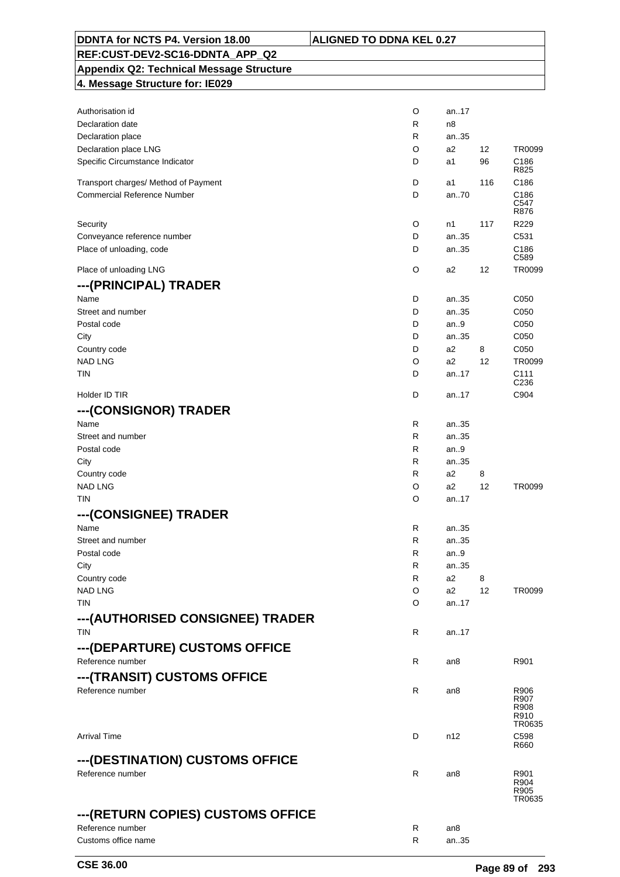| 4. Message Structure for: IE029      |        |            |         |                                      |
|--------------------------------------|--------|------------|---------|--------------------------------------|
|                                      |        |            |         |                                      |
| Authorisation id                     | O      | an17       |         |                                      |
| Declaration date                     | R      | n8         |         |                                      |
| Declaration place                    | R      | an35       |         |                                      |
| Declaration place LNG                | O      | a2         | 12      | TR0099                               |
| Specific Circumstance Indicator      | D      | a1         | 96      | C186<br>R825                         |
| Transport charges/ Method of Payment | D      | a1         | 116     | C <sub>186</sub>                     |
| <b>Commercial Reference Number</b>   | D      | an70       |         | C186                                 |
|                                      |        |            |         | C547<br>R876                         |
| Security                             | O      | n1         | 117     | R229                                 |
| Conveyance reference number          | D      | an35       |         | C531                                 |
| Place of unloading, code             | D      | an35       |         | C186                                 |
|                                      |        |            |         | C <sub>589</sub>                     |
| Place of unloading LNG               | O      | a2         | 12      | TR0099                               |
| ---(PRINCIPAL) TRADER                |        |            |         |                                      |
| Name                                 | D      | an35       |         | C050                                 |
| Street and number                    | D      | an35       |         | C050                                 |
| Postal code                          | D      | an.9       |         | C050                                 |
| City                                 | D      | an35       |         | C050                                 |
| Country code                         | D      | a2         | 8       | C050                                 |
| <b>NAD LNG</b>                       | O      | a2         | 12      | TR0099                               |
| tin                                  | D      | an17       |         | C <sub>111</sub><br>C <sub>236</sub> |
| Holder ID TIR                        | D      | an17       |         | C904                                 |
|                                      |        |            |         |                                      |
| ---(CONSIGNOR) TRADER                |        |            |         |                                      |
| Name                                 | R      | an35       |         |                                      |
| Street and number                    | R      | an35       |         |                                      |
| Postal code                          | R      | an.9       |         |                                      |
| City                                 | R      | an35       |         |                                      |
| Country code<br><b>NAD LNG</b>       | R<br>O | a2<br>a2   | 8<br>12 | TR0099                               |
| <b>TIN</b>                           | O      | an17       |         |                                      |
|                                      |        |            |         |                                      |
| ---(CONSIGNEE) TRADER                |        |            |         |                                      |
| Name                                 | R      | an35       |         |                                      |
| Street and number                    | R      | an35       |         |                                      |
| Postal code                          | R<br>R | an.9       |         |                                      |
| City                                 | R      | an35<br>a2 |         |                                      |
| Country code<br><b>NAD LNG</b>       | O      | a2         | 8<br>12 | TR0099                               |
| TIN                                  | O      | an17       |         |                                      |
|                                      |        |            |         |                                      |
| ---(AUTHORISED CONSIGNEE) TRADER     |        |            |         |                                      |
| <b>TIN</b>                           | R      | an17       |         |                                      |
| ---(DEPARTURE) CUSTOMS OFFICE        |        |            |         |                                      |
| Reference number                     | R      | an8        |         | R901                                 |
| ---(TRANSIT) CUSTOMS OFFICE          |        |            |         |                                      |
| Reference number                     | R      | an8        |         | R906                                 |
|                                      |        |            |         | R907<br>R908                         |
|                                      |        |            |         | R910                                 |
|                                      |        |            |         | TR0635                               |
| <b>Arrival Time</b>                  | D      | n12        |         | C <sub>598</sub><br>R660             |
| ---(DESTINATION) CUSTOMS OFFICE      |        |            |         |                                      |
| Reference number                     | R      | an8        |         | R901                                 |
|                                      |        |            |         | R904                                 |
|                                      |        |            |         | R905<br>TR0635                       |
|                                      |        |            |         |                                      |
| ---(RETURN COPIES) CUSTOMS OFFICE    |        |            |         |                                      |

Reference number<br>
R an8<br>
Customs office name<br>
R an..35 Customs office name R and  $R$ 

# **REF:CUST-DEV2-SC16-DDNTA\_APP\_Q2 Appendix Q2: Technical Message Structure**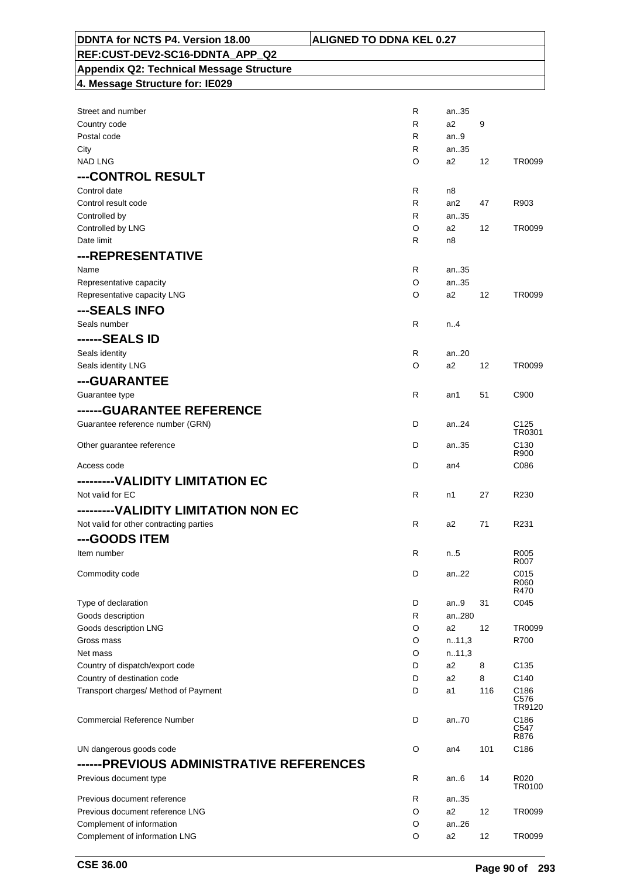| DDNTA for NCTS P4. Version 18.00                | <b>ALIGNED TO DDNA KEL 0.27</b> |                 |     |                            |
|-------------------------------------------------|---------------------------------|-----------------|-----|----------------------------|
| REF:CUST-DEV2-SC16-DDNTA APP Q2                 |                                 |                 |     |                            |
| <b>Appendix Q2: Technical Message Structure</b> |                                 |                 |     |                            |
| 4. Message Structure for: IE029                 |                                 |                 |     |                            |
|                                                 |                                 |                 |     |                            |
| Street and number                               | R                               | an35            |     |                            |
| Country code                                    | R                               | a2              | 9   |                            |
| Postal code                                     | R                               | an.9            |     |                            |
| City<br><b>NAD LNG</b>                          | R                               | an35            |     |                            |
|                                                 | O                               | a2              | 12  | TR0099                     |
| ---CONTROL RESULT                               |                                 |                 |     |                            |
| Control date                                    | R                               | n8              |     |                            |
| Control result code<br>Controlled by            | R<br>R                          | an2<br>an35     | 47  | R903                       |
| Controlled by LNG                               | O                               | a2              | 12  | TR0099                     |
| Date limit                                      | R                               | n <sub>8</sub>  |     |                            |
| ---REPRESENTATIVE                               |                                 |                 |     |                            |
| Name                                            | R                               | an35            |     |                            |
| Representative capacity                         | O                               | an35            |     |                            |
| Representative capacity LNG                     | O                               | a2              | 12  | TR0099                     |
| ---SEALS INFO                                   |                                 |                 |     |                            |
| Seals number                                    | R                               | n.4             |     |                            |
| ------SEALS ID                                  |                                 |                 |     |                            |
|                                                 | R.                              | an.20           |     |                            |
| Seals identity<br>Seals identity LNG            | O                               | a2              | 12  | TR0099                     |
|                                                 |                                 |                 |     |                            |
| ---GUARANTEE                                    |                                 |                 |     |                            |
| Guarantee type                                  | R                               | an1             | 51  | C900                       |
| ------GUARANTEE REFERENCE                       |                                 |                 |     |                            |
| Guarantee reference number (GRN)                | D                               | an24            |     | C <sub>125</sub><br>TR0301 |
| Other guarantee reference                       | D                               | an35            |     | C <sub>130</sub>           |
|                                                 |                                 |                 |     | R900                       |
| Access code                                     | D                               | an <sub>4</sub> |     | C086                       |
| --------VALIDITY LIMITATION EC                  |                                 |                 |     |                            |
| Not valid for EC                                | R                               | n1              | 27  | R230                       |
| ---------VALIDITY LIMITATION NON EC             |                                 |                 |     |                            |
| Not valid for other contracting parties         | R                               | a2              | 71  | R231                       |
| ---GOODS ITEM                                   |                                 |                 |     |                            |
| Item number                                     | R                               | n5              |     | R005                       |
|                                                 |                                 |                 |     | R007                       |
| Commodity code                                  | D                               | an22            |     | C015<br>R060               |
|                                                 |                                 |                 |     | R470                       |
| Type of declaration                             | D                               | an.9            | 31  | C045                       |
| Goods description<br>Goods description LNG      | R<br>O                          | an280<br>a2     | 12  | TR0099                     |
| Gross mass                                      | O                               | n.11,3          |     | R700                       |
| Net mass                                        | O                               | n.11,3          |     |                            |
| Country of dispatch/export code                 | D                               | a2              | 8   | C <sub>135</sub>           |
| Country of destination code                     | D                               | a2              | 8   | C140                       |
| Transport charges/ Method of Payment            | D                               | a1              | 116 | C186                       |
|                                                 |                                 |                 |     | C576<br>TR9120             |
| <b>Commercial Reference Number</b>              | D                               | an70            |     | C186                       |
|                                                 |                                 |                 |     | C547                       |
| UN dangerous goods code                         | O                               | an4             | 101 | R876<br>C186               |
| ------PREVIOUS ADMINISTRATIVE REFERENCES        |                                 |                 |     |                            |
|                                                 |                                 |                 |     |                            |
| Previous document type                          | R                               | an $6$          | 14  | R020<br>TR0100             |
| Previous document reference                     | R                               | an35            |     |                            |
| Previous document reference LNG                 | O                               | a2              | 12  | TR0099                     |
| Complement of information                       | O                               | an26            |     |                            |
| Complement of information LNG                   | O                               | a <sub>2</sub>  | 12  | TR0099                     |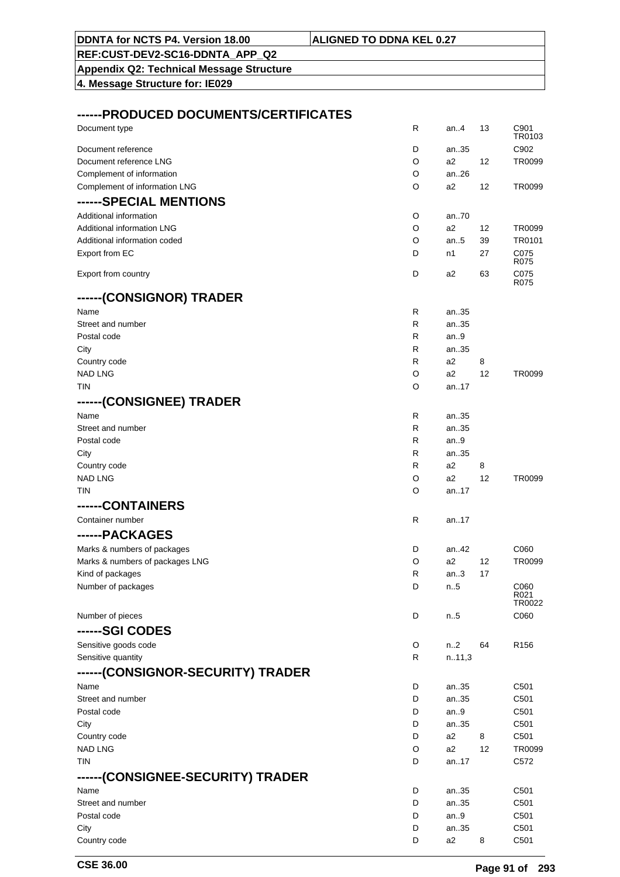| 4. Message Structure for: IE029       |              |              |    |                            |
|---------------------------------------|--------------|--------------|----|----------------------------|
|                                       |              |              |    |                            |
| ------PRODUCED DOCUMENTS/CERTIFICATES |              |              |    |                            |
| Document type                         | R            | an4          | 13 | C901<br>TR0103             |
| Document reference                    | D            | an35         |    | C902                       |
| Document reference LNG                | O            | a2           | 12 | TR0099                     |
| Complement of information             | O            | an.26        |    |                            |
| Complement of information LNG         | O            | a2           | 12 | TR0099                     |
| ------SPECIAL MENTIONS                |              |              |    |                            |
| Additional information                | O            | an.70        |    |                            |
| Additional information LNG            | O            | a2           | 12 | TR0099                     |
| Additional information coded          | O            | an.5         | 39 | TR0101                     |
| Export from EC                        | D            | n1           | 27 | C075<br>R075               |
| Export from country                   | D            | a2           | 63 | C075<br>R075               |
| ------(CONSIGNOR) TRADER              |              |              |    |                            |
| Name                                  | $\mathsf{R}$ | an35         |    |                            |
| Street and number                     | R            | an35         |    |                            |
| Postal code                           | R            | an9          |    |                            |
| City                                  | R            | an35         |    |                            |
| Country code                          | $\mathsf{R}$ | a2           | 8  |                            |
| <b>NAD LNG</b><br><b>TIN</b>          | O<br>O       | a2           | 12 | TR0099                     |
|                                       |              | an17         |    |                            |
| ------(CONSIGNEE) TRADER              |              |              |    |                            |
| Name                                  | R            | an35         |    |                            |
| Street and number                     | R            | an35         |    |                            |
| Postal code<br>City                   | R<br>R       | an.9<br>an35 |    |                            |
| Country code                          | R            | a2           | 8  |                            |
| <b>NAD LNG</b>                        | O            | a2           | 12 | TR0099                     |
| <b>TIN</b>                            | O            | an.17        |    |                            |
| ------CONTAINERS                      |              |              |    |                            |
| Container number                      | R            | an17         |    |                            |
| ------PACKAGES                        |              |              |    |                            |
| Marks & numbers of packages           | D            | an42         |    | C <sub>06</sub> 0          |
| Marks & numbers of packages LNG       | O            | a2           | 12 | TR0099                     |
| Kind of packages                      | R            | an.3         | 17 |                            |
| Number of packages                    | D            | n.5          |    | C060                       |
|                                       |              |              |    | R <sub>021</sub><br>TR0022 |
| Number of pieces                      | D            | n.5          |    | C060                       |
| ------SGI CODES                       |              |              |    |                            |
| Sensitive goods code                  | O            | n2           | 64 | R <sub>156</sub>           |
| Sensitive quantity                    | R            | n.11,3       |    |                            |
|                                       |              |              |    |                            |
| ------(CONSIGNOR-SECURITY) TRADER     | D            |              |    | C501                       |
| Name<br>Street and number             | D            | an35<br>an35 |    | C501                       |
| Postal code                           | D            | an $9$       |    | C501                       |
| City                                  | D            | an35         |    | C501                       |
| Country code                          | D            | a2           | 8  | C501                       |
| <b>NAD LNG</b>                        | O            | a2           | 12 | TR0099                     |
| <b>TIN</b>                            | D            | an17         |    | C572                       |
| ------(CONSIGNEE-SECURITY) TRADER     |              |              |    |                            |
| Name                                  | D            | an35         |    | C501                       |
| Street and number                     | D            | an35         |    | C501                       |
| Postal code                           | D            | an.9         |    | C501                       |
| City                                  | D            | an35         |    | C501                       |
| Country code                          | D            | a2           | 8  | C501                       |

**DDNTA for NCTS P4. Version 18.00 ALIGNED TO DDNA KEL 0.27**

**REF:CUST-DEV2-SC16-DDNTA\_APP\_Q2 Appendix Q2: Technical Message Structure**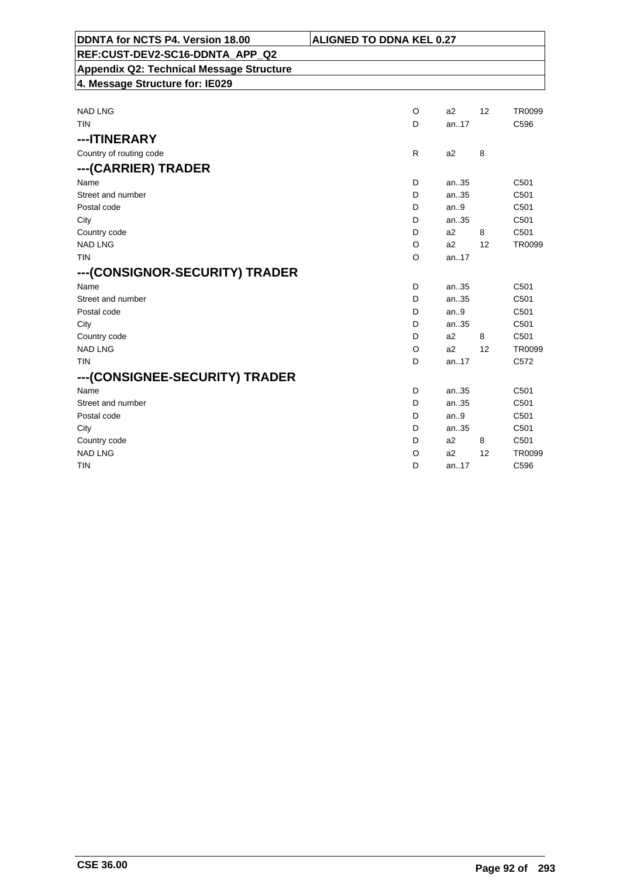| DDNTA for NCTS P4. Version 18.00                | <b>ALIGNED TO DDNA KEL 0.27</b> |                |    |                  |
|-------------------------------------------------|---------------------------------|----------------|----|------------------|
| REF:CUST-DEV2-SC16-DDNTA APP Q2                 |                                 |                |    |                  |
| <b>Appendix Q2: Technical Message Structure</b> |                                 |                |    |                  |
| 4. Message Structure for: IE029                 |                                 |                |    |                  |
|                                                 |                                 |                |    |                  |
| <b>NAD LNG</b>                                  | $\circ$                         | a2             | 12 | <b>TR0099</b>    |
| <b>TIN</b>                                      | D                               | an.17          |    | C596             |
| ---ITINERARY                                    |                                 |                |    |                  |
| Country of routing code                         | R                               | a <sub>2</sub> | 8  |                  |
| ---(CARRIER) TRADER                             |                                 |                |    |                  |
| Name                                            | D                               | an35           |    | C501             |
| Street and number                               | D                               | an35           |    | C501             |
| Postal code                                     | D                               | an.9           |    | C501             |
| City                                            | D                               | an35           |    | C501             |
| Country code                                    | D                               | a <sub>2</sub> | 8  | C501             |
| <b>NAD LNG</b>                                  | O                               | a2             | 12 | TR0099           |
| <b>TIN</b>                                      | O                               | an17           |    |                  |
| ---(CONSIGNOR-SECURITY) TRADER                  |                                 |                |    |                  |
| Name                                            | D                               | an35           |    | C501             |
| Street and number                               | D                               | an35           |    | C501             |
| Postal code                                     | D                               | an.9           |    | C501             |
| City                                            | D                               | an35           |    | C501             |
| Country code                                    | D                               | a <sub>2</sub> | 8  | C501             |
| <b>NAD LNG</b>                                  | O                               | a2             | 12 | TR0099           |
| <b>TIN</b>                                      | D                               | an17           |    | C <sub>572</sub> |
| ---(CONSIGNEE-SECURITY) TRADER                  |                                 |                |    |                  |
| Name                                            | D                               | an35           |    | C501             |
| Street and number                               | D                               | an35           |    | C501             |
| Postal code                                     | D                               | an.9           |    | C501             |
| City                                            | D                               | an35           |    | C <sub>501</sub> |
| Country code                                    | D                               | a <sub>2</sub> | 8  | C <sub>501</sub> |
| <b>NAD LNG</b>                                  | O                               | a2             | 12 | TR0099           |
| TIN                                             | D                               | an17           |    | C596             |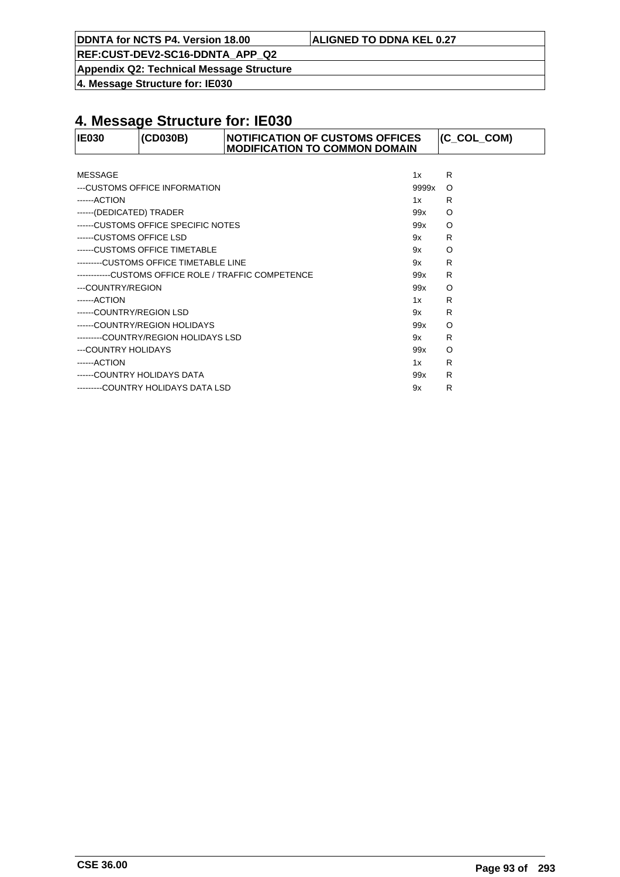**DDNTA for NCTS P4. Version 18.00 ALIGNED TO DDNA KEL 0.27**

**REF:CUST-DEV2-SC16-DDNTA\_APP\_Q2**

**Appendix Q2: Technical Message Structure**

**4. Message Structure for: IE030**

| <b>IE030</b>             | (CD030B)                               | <b>NOTIFICATION OF CUSTOMS OFFICES</b><br><b>MODIFICATION TO COMMON DOMAIN</b> |       | $ $ (C_COL_COM) |
|--------------------------|----------------------------------------|--------------------------------------------------------------------------------|-------|-----------------|
|                          |                                        |                                                                                |       |                 |
| MESSAGE                  |                                        |                                                                                | 1x    | R               |
|                          | ---CUSTOMS OFFICE INFORMATION          |                                                                                | 9999x | $\circ$         |
| ------ACTION             |                                        |                                                                                | 1x    | R               |
| ------(DEDICATED) TRADER |                                        |                                                                                | 99x   | $\circ$         |
|                          | ------CUSTOMS OFFICE SPECIFIC NOTES    |                                                                                | 99x   | $\circ$         |
| ------CUSTOMS OFFICE LSD |                                        |                                                                                | 9x    | R               |
|                          | ------CUSTOMS OFFICE TIMETABLE         |                                                                                | 9x    | $\circ$         |
|                          | ---------CUSTOMS OFFICE TIMETABLE LINE |                                                                                | 9x    | R               |
|                          |                                        | ------------CUSTOMS OFFICE ROLE / TRAFFIC COMPETENCE                           | 99x   | R               |
| ---COUNTRY/REGION        |                                        |                                                                                | 99x   | $\circ$         |
| ------ACTION             |                                        |                                                                                | 1x    | R               |
| ------COUNTRY/REGION LSD |                                        |                                                                                | 9x    | R               |
|                          | ------COUNTRY/REGION HOLIDAYS          |                                                                                | 99x   | O               |
|                          | --------COUNTRY/REGION HOLIDAYS LSD    |                                                                                | 9x    | R               |
| ---COUNTRY HOLIDAYS      |                                        |                                                                                | 99x   | $\circ$         |
| ------ACTION             |                                        |                                                                                | 1x    | R               |
|                          | ------COUNTRY HOLIDAYS DATA            |                                                                                | 99x   | R               |
|                          | --------COUNTRY HOLIDAYS DATA LSD      |                                                                                | 9x    | R               |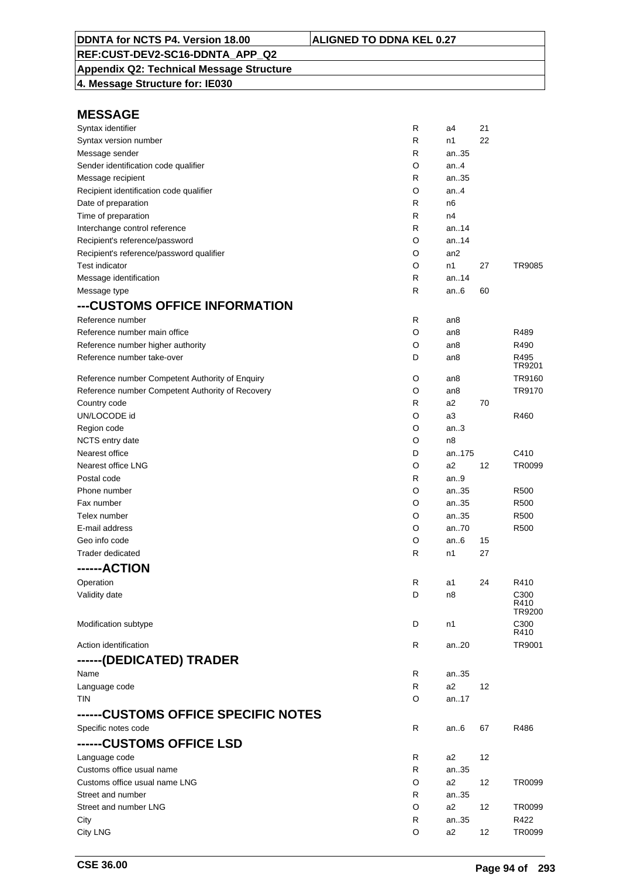## **Appendix Q2: Technical Message Structure**

**4. Message Structure for: IE030**

| Syntax identifier                                | R | a4              | 21 |                  |
|--------------------------------------------------|---|-----------------|----|------------------|
| Syntax version number                            | R | n1              | 22 |                  |
| Message sender                                   | R | an35            |    |                  |
| Sender identification code qualifier             | O | an. $4$         |    |                  |
| Message recipient                                | R | an35            |    |                  |
| Recipient identification code qualifier          | O | an.4            |    |                  |
| Date of preparation                              | R | n <sub>6</sub>  |    |                  |
| Time of preparation                              | R | n4              |    |                  |
| Interchange control reference                    | R | an.14           |    |                  |
| Recipient's reference/password                   | O | an.14           |    |                  |
| Recipient's reference/password qualifier         | O | an <sub>2</sub> |    |                  |
| <b>Test indicator</b>                            | O | n1              | 27 | TR9085           |
| Message identification                           | R | an.14           |    |                  |
| Message type                                     | R | an $6$          | 60 |                  |
| ---CUSTOMS OFFICE INFORMATION                    |   |                 |    |                  |
| Reference number                                 | R |                 |    |                  |
|                                                  |   | an <sub>8</sub> |    | R489             |
| Reference number main office                     | O | an8             |    |                  |
| Reference number higher authority                | O | an8             |    | R490             |
| Reference number take-over                       | D | an8             |    | R495<br>TR9201   |
| Reference number Competent Authority of Enquiry  | O | an8             |    | TR9160           |
| Reference number Competent Authority of Recovery | O | an8             |    | TR9170           |
| Country code                                     | R | a <sub>2</sub>  | 70 |                  |
| UN/LOCODE id                                     | O | a3              |    | R460             |
| Region code                                      | O | an.3            |    |                  |
| NCTS entry date                                  | O | n <sub>8</sub>  |    |                  |
| Nearest office                                   | D | an175           |    | C410             |
| Nearest office LNG                               | O | a <sub>2</sub>  | 12 | TR0099           |
| Postal code                                      | R | an.9            |    |                  |
|                                                  |   |                 |    |                  |
| Phone number                                     | O | an35            |    | R <sub>500</sub> |
| Fax number                                       | O | an35            |    | R <sub>500</sub> |
| Telex number                                     | O | an35            |    | R <sub>500</sub> |
| E-mail address                                   | O | an70            |    | R <sub>500</sub> |
| Geo info code                                    | O | an.6            | 15 |                  |
| Trader dedicated                                 | R | n1              | 27 |                  |
| ------ACTION                                     |   |                 |    |                  |
| Operation                                        | R | a1              | 24 | R410             |
| Validity date                                    | D | n8              |    | C300             |
|                                                  |   |                 |    | R410<br>TR9200   |
| Modification subtype                             | D | n1              |    | C300             |
|                                                  |   |                 |    | R410             |
| Action identification                            | R | an20            |    | TR9001           |
| ------(DEDICATED) TRADER                         |   |                 |    |                  |
| Name                                             | R | an.35           |    |                  |
| Language code                                    | R | a <sub>2</sub>  | 12 |                  |
| <b>TIN</b>                                       | O | an17            |    |                  |
|                                                  |   |                 |    |                  |
| ------CUSTOMS OFFICE SPECIFIC NOTES              |   |                 |    |                  |
| Specific notes code                              | R | an $6$          | 67 | R486             |
| ------CUSTOMS OFFICE LSD                         |   |                 |    |                  |
| Language code                                    | R | a2              | 12 |                  |
| Customs office usual name                        | R | an35            |    |                  |
| Customs office usual name LNG                    | O | a <sub>2</sub>  | 12 | TR0099           |
| Street and number                                | R | an35            |    |                  |
| Street and number LNG                            | O | a <sub>2</sub>  | 12 | TR0099           |
| City                                             | R | an35            |    | R422             |
| <b>City LNG</b>                                  | O | a2              | 12 | TR0099           |
|                                                  |   |                 |    |                  |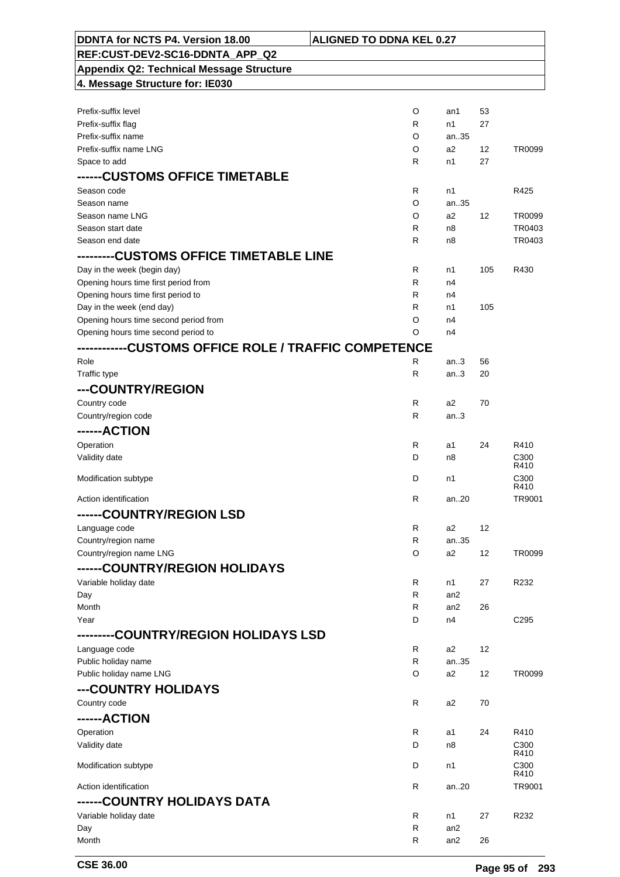| DDNTA for NCTS P4. Version 18.00                | <b>ALIGNED TO DDNA KEL 0.27</b> |                 |                   |                          |
|-------------------------------------------------|---------------------------------|-----------------|-------------------|--------------------------|
| REF:CUST-DEV2-SC16-DDNTA APP Q2                 |                                 |                 |                   |                          |
| <b>Appendix Q2: Technical Message Structure</b> |                                 |                 |                   |                          |
| 4. Message Structure for: IE030                 |                                 |                 |                   |                          |
|                                                 |                                 |                 |                   |                          |
| Prefix-suffix level                             | O                               | an1             | 53                |                          |
| Prefix-suffix flag                              | R                               | n1              | 27                |                          |
| Prefix-suffix name                              | O                               | an35            |                   |                          |
| Prefix-suffix name LNG                          | O                               | a2              | $12 \overline{ }$ | TR0099                   |
| Space to add                                    | R                               | n1              | 27                |                          |
| ------CUSTOMS OFFICE TIMETABLE                  |                                 |                 |                   |                          |
| Season code                                     | R                               | n1              |                   | R425                     |
| Season name                                     | O                               | an35            |                   |                          |
| Season name LNG                                 | O                               | a2              | 12                | TR0099                   |
| Season start date                               | R                               | n8              |                   | TR0403                   |
| Season end date                                 | R                               | n8              |                   | TR0403                   |
| ---------CUSTOMS OFFICE TIMETABLE LINE          |                                 |                 |                   |                          |
| Day in the week (begin day)                     | R                               | n1              | 105               | R430                     |
| Opening hours time first period from            | R                               | n4              |                   |                          |
| Opening hours time first period to              | R                               | n4              |                   |                          |
| Day in the week (end day)                       | R                               | n1              | 105               |                          |
| Opening hours time second period from           | O                               | n4              |                   |                          |
| Opening hours time second period to             | O                               | n4              |                   |                          |
|                                                 |                                 |                 |                   |                          |
| Role                                            | R                               | an.3            | 56                |                          |
| Traffic type                                    | R                               | an.3            | 20                |                          |
| ---COUNTRY/REGION                               |                                 |                 |                   |                          |
| Country code                                    | R                               | a2              | 70                |                          |
| Country/region code                             | R                               | an3             |                   |                          |
| ------ACTION                                    |                                 |                 |                   |                          |
| Operation                                       | R                               | a1              | 24                | R410                     |
| Validity date                                   | D                               | n8              |                   | C300                     |
|                                                 |                                 |                 |                   | R410                     |
| Modification subtype                            | D                               | n1              |                   | C <sub>300</sub><br>R410 |
| Action identification                           | R                               | an20            |                   | TR9001                   |
| ------COUNTRY/REGION LSD                        |                                 |                 |                   |                          |
| Language code                                   | R                               | a2              | 12                |                          |
| Country/region name                             | R                               | an35            |                   |                          |
| Country/region name LNG                         | O                               | a2              | 12                | TR0099                   |
| ------COUNTRY/REGION HOLIDAYS                   |                                 |                 |                   |                          |
|                                                 |                                 |                 |                   |                          |
| Variable holiday date<br>Day                    | R<br>R                          | n1<br>an2       | 27                | R232                     |
| Month                                           | R                               | an2             | 26                |                          |
| Year                                            | D                               | n4              |                   | C <sub>295</sub>         |
| -COUNTRY/REGION HOLIDAYS LSD                    |                                 |                 |                   |                          |
|                                                 |                                 |                 | 12                |                          |
| Language code                                   | R<br>R                          | a2<br>an35      |                   |                          |
| Public holiday name<br>Public holiday name LNG  | O                               | a2              | 12                | TR0099                   |
|                                                 |                                 |                 |                   |                          |
| ---COUNTRY HOLIDAYS                             |                                 |                 |                   |                          |
| Country code                                    | R                               | a2              | 70                |                          |
| ------ACTION                                    |                                 |                 |                   |                          |
| Operation                                       | R                               | a1              | 24                | R410                     |
| Validity date                                   | D                               | n8              |                   | C <sub>300</sub><br>R410 |
| Modification subtype                            | D                               | n1              |                   | C300                     |
|                                                 |                                 |                 |                   | R410                     |
| Action identification                           | R                               | an20            |                   | TR9001                   |
| ------COUNTRY HOLIDAYS DATA                     |                                 |                 |                   |                          |
| Variable holiday date                           | R                               | n1              | 27                | R232                     |
| Day                                             | R                               | an <sub>2</sub> |                   |                          |
| Month                                           | R                               | an <sub>2</sub> | 26                |                          |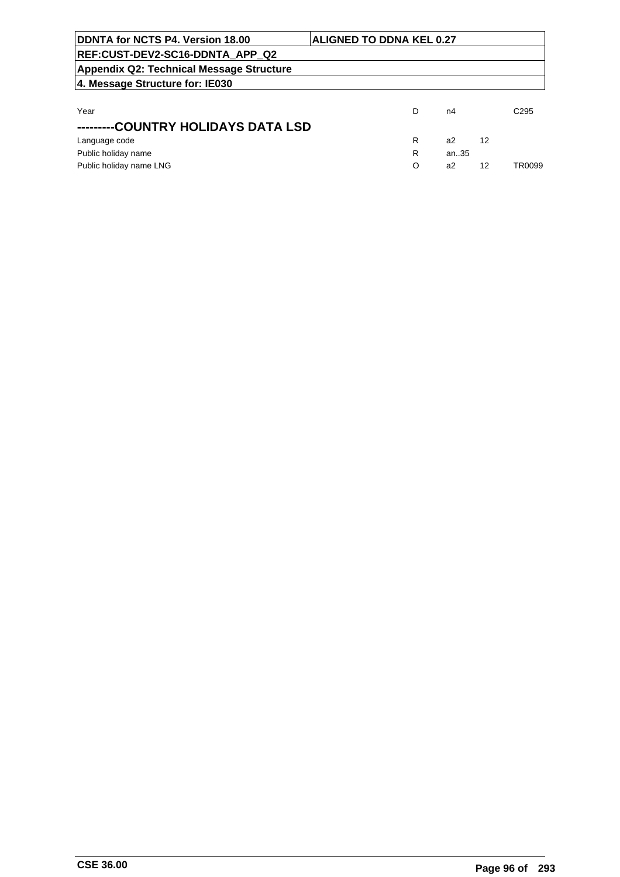| DDNTA for NCTS P4. Version 18.00                | <b>ALIGNED TO DDNA KEL 0.27</b> |   |       |    |                  |
|-------------------------------------------------|---------------------------------|---|-------|----|------------------|
| REF:CUST-DEV2-SC16-DDNTA APP Q2                 |                                 |   |       |    |                  |
| <b>Appendix Q2: Technical Message Structure</b> |                                 |   |       |    |                  |
| 4. Message Structure for: IE030                 |                                 |   |       |    |                  |
|                                                 |                                 |   |       |    |                  |
| Year                                            |                                 | D | n4    |    | C <sub>295</sub> |
| -COUNTRY HOLIDAYS DATA LSD                      |                                 |   |       |    |                  |
| Language code                                   |                                 | R | a2    | 12 |                  |
| Public holiday name                             |                                 | R | an.35 |    |                  |
| Public holiday name LNG                         |                                 | O | a2    | 12 | TR0099           |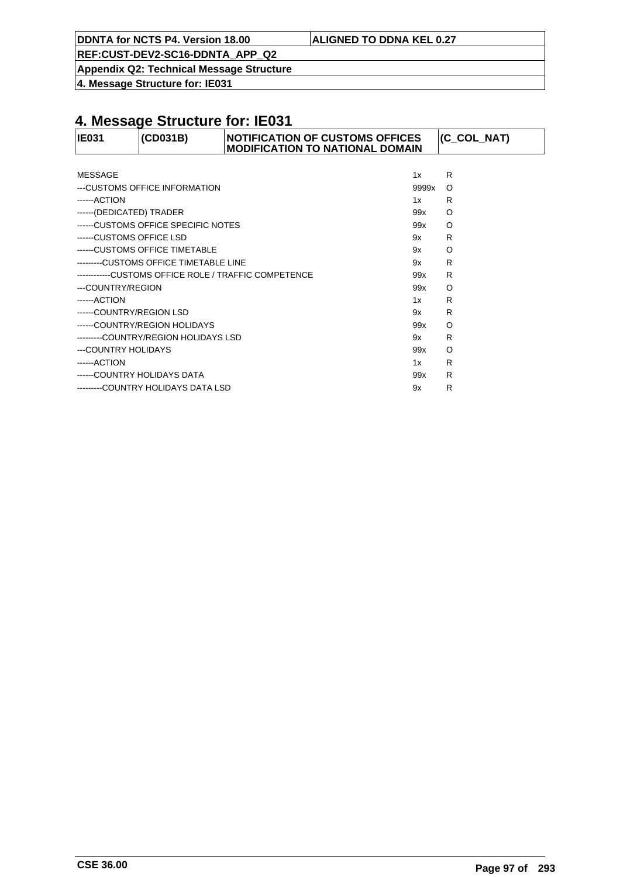**DDNTA for NCTS P4. Version 18.00 ALIGNED TO DDNA KEL 0.27**

**REF:CUST-DEV2-SC16-DDNTA\_APP\_Q2**

**Appendix Q2: Technical Message Structure**

**4. Message Structure for: IE031**

| <b>IE031</b>             | (CD031B)                              | <b>NOTIFICATION OF CUSTOMS OFFICES</b><br><b>MODIFICATION TO NATIONAL DOMAIN</b> |       | (C_COL_NAT) |
|--------------------------|---------------------------------------|----------------------------------------------------------------------------------|-------|-------------|
|                          |                                       |                                                                                  |       |             |
| MESSAGE                  |                                       |                                                                                  | 1x    | R           |
|                          | ---CUSTOMS OFFICE INFORMATION         |                                                                                  | 9999x | $\circ$     |
| $---ACITION$             |                                       |                                                                                  | 1x    | R           |
| ------(DEDICATED) TRADER |                                       |                                                                                  | 99x   | $\Omega$    |
|                          | ------CUSTOMS OFFICE SPECIFIC NOTES   |                                                                                  | 99x   | $\circ$     |
| ------CUSTOMS OFFICE LSD |                                       |                                                                                  | 9x    | R           |
|                          | ------CUSTOMS OFFICE TIMETABLE        |                                                                                  | 9x    | O           |
|                          | --------CUSTOMS OFFICE TIMETABLE LINE |                                                                                  | 9x    | R           |
|                          |                                       | ------------CUSTOMS OFFICE ROLE / TRAFFIC COMPETENCE                             | 99x   | R           |
| ---COUNTRY/REGION        |                                       |                                                                                  | 99x   | $\circ$     |
| ------ACTION             |                                       |                                                                                  | 1x    | R           |
| ------COUNTRY/REGION LSD |                                       |                                                                                  | 9x    | R           |
|                          | ------COUNTRY/REGION HOLIDAYS         |                                                                                  | 99x   | $\circ$     |
|                          | ---------COUNTRY/REGION HOLIDAYS LSD  |                                                                                  | 9x    | R           |
| ---COUNTRY HOLIDAYS      |                                       |                                                                                  | 99x   | O           |
| ------ACTION             |                                       |                                                                                  | 1x    | R           |
|                          | ------COUNTRY HOLIDAYS DATA           |                                                                                  | 99x   | R           |
|                          | --------COUNTRY HOLIDAYS DATA LSD     |                                                                                  | 9x    | R           |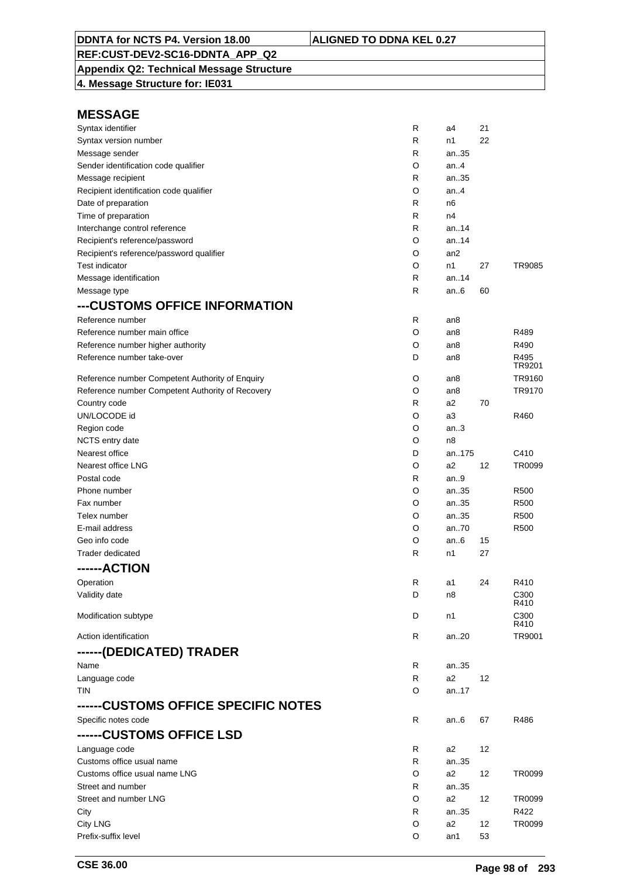## **Appendix Q2: Technical Message Structure**

**4. Message Structure for: IE031**

| Syntax identifier                                | R | a4              | 21 |                  |
|--------------------------------------------------|---|-----------------|----|------------------|
| Syntax version number                            | R | n1              | 22 |                  |
| Message sender                                   | R | an35            |    |                  |
| Sender identification code qualifier             | O | an.4            |    |                  |
| Message recipient                                | R | an35            |    |                  |
| Recipient identification code qualifier          | O | an.4            |    |                  |
| Date of preparation                              | R | n6              |    |                  |
| Time of preparation                              | R | n4              |    |                  |
| Interchange control reference                    | R | an.14           |    |                  |
| Recipient's reference/password                   | O | an14            |    |                  |
| Recipient's reference/password qualifier         | O | an <sub>2</sub> |    |                  |
| <b>Test indicator</b>                            | O | n1              | 27 | TR9085           |
| Message identification                           | R | an.14           |    |                  |
| Message type                                     | R | an.6            | 60 |                  |
| ---CUSTOMS OFFICE INFORMATION                    |   |                 |    |                  |
| Reference number                                 | R | an8             |    |                  |
| Reference number main office                     | O | an8             |    | R489             |
| Reference number higher authority                | O | an8             |    | R490             |
| Reference number take-over                       | D | an8             |    | R495             |
|                                                  |   |                 |    | TR9201           |
| Reference number Competent Authority of Enquiry  | O | an8             |    | TR9160           |
| Reference number Competent Authority of Recovery | O | an8             |    | TR9170           |
| Country code                                     | R | a2              | 70 |                  |
| UN/LOCODE id                                     | O | a3              |    | R460             |
| Region code                                      | O | an.3            |    |                  |
| NCTS entry date                                  | O | n <sub>8</sub>  |    |                  |
| Nearest office                                   | D | an175           |    | C410             |
| Nearest office LNG                               | O | a2              | 12 | TR0099           |
| Postal code                                      | R | an.9            |    |                  |
| Phone number                                     | O | an35            |    | R <sub>500</sub> |
| Fax number                                       | O | an35            |    | R500             |
| Telex number                                     | O | an35            |    | R500             |
| E-mail address                                   | O | an70            |    | R500             |
| Geo info code                                    | O | an.6            | 15 |                  |
| Trader dedicated                                 | R | n1              | 27 |                  |
| ------ACTION                                     |   |                 |    |                  |
| Operation                                        | R | a1              | 24 | R410             |
| Validity date                                    | D | n8              |    | C300             |
|                                                  |   |                 |    | R410             |
| Modification subtype                             | D | n1              |    | C300<br>R410     |
| Action identification                            | R | an20            |    | TR9001           |
| ------(DEDICATED) TRADER                         |   |                 |    |                  |
| Name                                             | R | an35            |    |                  |
| Language code                                    | R | a2              | 12 |                  |
| <b>TIN</b>                                       | O | an17            |    |                  |
|                                                  |   |                 |    |                  |
| ------CUSTOMS OFFICE SPECIFIC NOTES              |   |                 |    |                  |
| Specific notes code                              | R | an6             | 67 | R486             |
| ------CUSTOMS OFFICE LSD                         |   |                 |    |                  |
| Language code                                    | R | a2              | 12 |                  |
| Customs office usual name                        | R | an35            |    |                  |
| Customs office usual name LNG                    | O | a2              | 12 | TR0099           |
| Street and number                                | R | an35            |    |                  |
| Street and number LNG                            | O | a2              | 12 | TR0099           |
| City                                             | R | an35            |    | R422             |
| <b>City LNG</b>                                  | O | a2              | 12 | TR0099           |
| Prefix-suffix level                              | O | an1             | 53 |                  |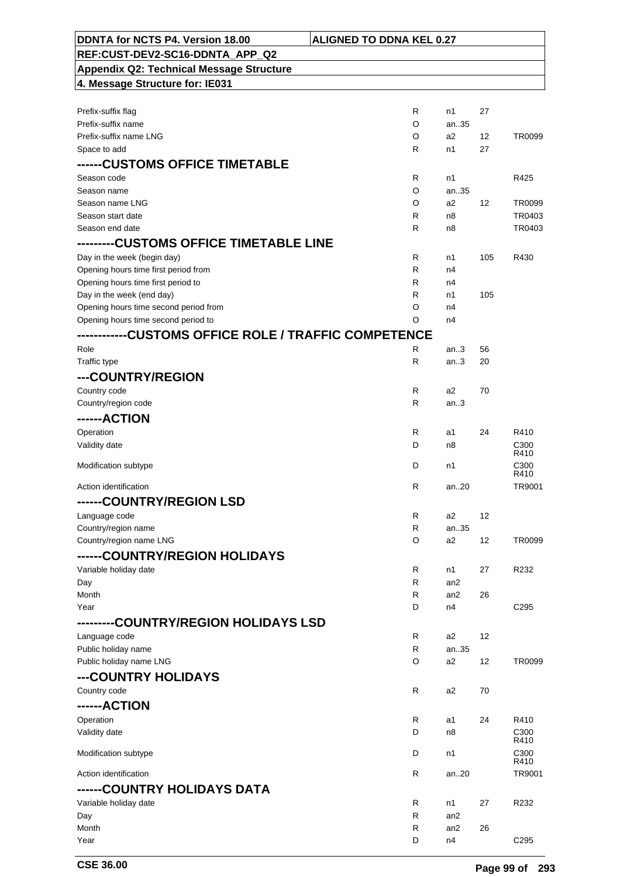| DDNTA for NCTS P4. Version 18.00                | <b>ALIGNED TO DDNA KEL 0.27</b> |                 |     |                          |
|-------------------------------------------------|---------------------------------|-----------------|-----|--------------------------|
| REF:CUST-DEV2-SC16-DDNTA APP Q2                 |                                 |                 |     |                          |
| <b>Appendix Q2: Technical Message Structure</b> |                                 |                 |     |                          |
| 4. Message Structure for: IE031                 |                                 |                 |     |                          |
|                                                 |                                 |                 |     |                          |
| Prefix-suffix flag                              | R                               | n1              | 27  |                          |
| Prefix-suffix name                              | O                               | an35            |     |                          |
| Prefix-suffix name LNG                          | O                               | a2              | 12  | TR0099                   |
| Space to add                                    | R                               | n1              | 27  |                          |
| ------CUSTOMS OFFICE TIMETABLE                  |                                 |                 |     |                          |
| Season code                                     | R                               | n1              |     | R425                     |
| Season name                                     | O                               | an35            |     |                          |
| Season name LNG                                 | O                               | a2              | 12  | TR0099                   |
| Season start date                               | R                               | n8              |     | TR0403                   |
| Season end date                                 | R                               | n8              |     | TR0403                   |
|                                                 |                                 |                 |     |                          |
| Day in the week (begin day)                     | $\mathsf{R}$                    | n1              | 105 | R430                     |
| Opening hours time first period from            | R                               | n4              |     |                          |
| Opening hours time first period to              | R                               | n4              |     |                          |
| Day in the week (end day)                       | R                               | n1              | 105 |                          |
| Opening hours time second period from           | O                               | n4              |     |                          |
| Opening hours time second period to             | O                               | n4              |     |                          |
|                                                 |                                 |                 |     |                          |
| Role                                            | R                               | an.3            | 56  |                          |
| Traffic type                                    | R                               | an.3            | 20  |                          |
| ---COUNTRY/REGION                               |                                 |                 |     |                          |
| Country code                                    | R                               | a2              | 70  |                          |
| Country/region code                             | R                               | an.3            |     |                          |
| ------ACTION                                    |                                 |                 |     |                          |
| Operation                                       | R                               | a1              | 24  | R410                     |
| Validity date                                   | D                               | n8              |     | C <sub>300</sub>         |
| Modification subtype                            | D                               | n1              |     | R410<br>C <sub>300</sub> |
|                                                 |                                 |                 |     | R410                     |
| Action identification                           | R                               | an20            |     | TR9001                   |
| <b>COUNTRY/REGION LSD</b>                       |                                 |                 |     |                          |
| Language code                                   | R                               | a2              | 12  |                          |
| Country/region name                             | R                               | an35            |     |                          |
| Country/region name LNG                         | O                               | a2              | 12  | TR0099                   |
| ------COUNTRY/REGION HOLIDAYS                   |                                 |                 |     |                          |
| Variable holiday date                           | R                               | n1              | 27  | R232                     |
| Day                                             | R                               | an2             |     |                          |
| Month                                           | R                               | an <sub>2</sub> | 26  |                          |
| Year                                            | D                               | n4              |     | C295                     |
| --------COUNTRY/REGION HOLIDAYS LSD             |                                 |                 |     |                          |
| Language code                                   | R                               | a2              | 12  |                          |
| Public holiday name                             | $\mathsf{R}$                    | an35            |     |                          |
| Public holiday name LNG                         | O                               | a2              | 12  | TR0099                   |
| ---COUNTRY HOLIDAYS                             |                                 |                 |     |                          |
| Country code                                    | $\mathsf{R}$                    | a2              | 70  |                          |
| ------ACTION                                    |                                 |                 |     |                          |
| Operation                                       | $\mathsf{R}$                    | a1              | 24  | R410                     |
| Validity date                                   | D                               | n8              |     | C <sub>300</sub>         |
|                                                 |                                 |                 |     | R410                     |
| Modification subtype                            | D                               | n1              |     | C300<br>R410             |
| Action identification                           | $\mathsf{R}$                    | an20            |     | TR9001                   |
| ------COUNTRY HOLIDAYS DATA                     |                                 |                 |     |                          |
| Variable holiday date                           | R                               | n1              | 27  | R232                     |
| Day                                             | R                               | an <sub>2</sub> |     |                          |
| Month                                           | R                               | an <sub>2</sub> | 26  |                          |
| Year                                            | D                               | n4              |     | C <sub>295</sub>         |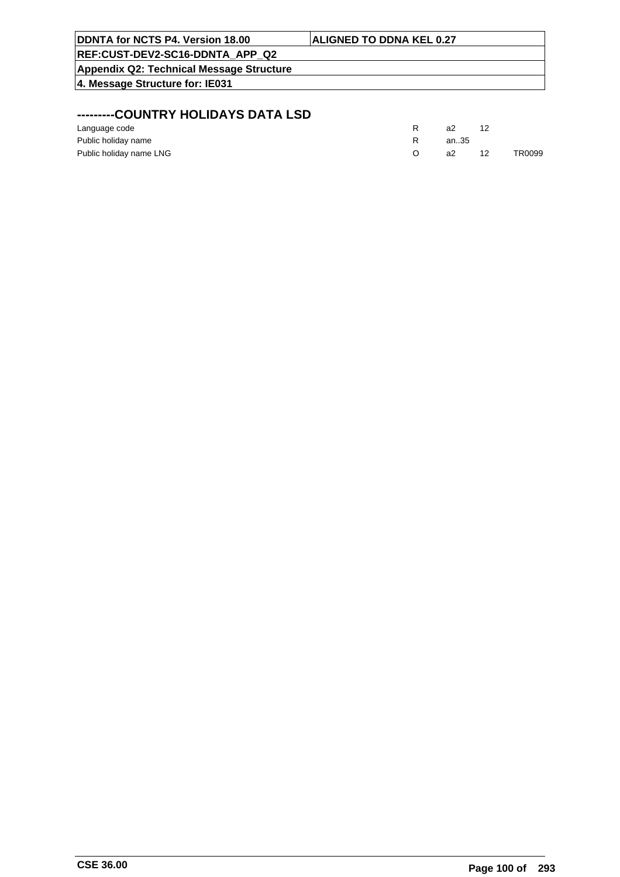| <b>DDNTA for NCTS P4. Version 18.00</b>  | <b>ALIGNED TO DDNA KEL 0.27</b> |
|------------------------------------------|---------------------------------|
| <b>REF:CUST-DEV2-SC16-DDNTA APP Q2</b>   |                                 |
| Appendix Q2: Technical Message Structure |                                 |
| 4. Message Structure for: IE031          |                                 |
|                                          |                                 |
|                                          |                                 |

## **---------COUNTRY HOLIDAYS DATA LSD**

| Language code           | a2   |    |        |
|-------------------------|------|----|--------|
| Public holiday name     | an35 |    |        |
| Public holiday name LNG | а2   | 12 | TR0099 |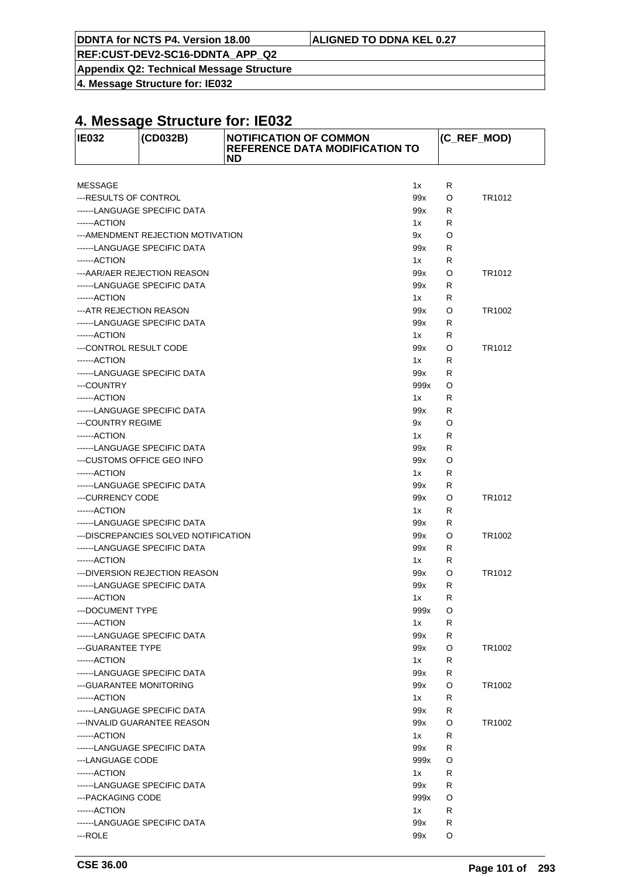**DDNTA for NCTS P4. Version 18.00 ALIGNED TO DDNA KEL 0.27**

**REF:CUST-DEV2-SC16-DDNTA\_APP\_Q2**

**Appendix Q2: Technical Message Structure**

**4. Message Structure for: IE032**

| <b>IE032</b>             | (CD032B)                             | <b>NOTIFICATION OF COMMON</b><br><b>REFERENCE DATA MODIFICATION TO</b><br><b>ND</b> |      |   | (C_REF_MOD) |
|--------------------------|--------------------------------------|-------------------------------------------------------------------------------------|------|---|-------------|
|                          |                                      |                                                                                     |      |   |             |
| <b>MESSAGE</b>           |                                      |                                                                                     | 1x   | R |             |
| ---RESULTS OF CONTROL    |                                      |                                                                                     | 99x  | O | TR1012      |
|                          | ------LANGUAGE SPECIFIC DATA         |                                                                                     | 99x  | R |             |
| ------ACTION             |                                      |                                                                                     | 1x   | R |             |
|                          | ---AMENDMENT REJECTION MOTIVATION    |                                                                                     | 9x   | O |             |
|                          | ------LANGUAGE SPECIFIC DATA         |                                                                                     | 99x  | R |             |
| ------ACTION             |                                      |                                                                                     | 1x   | R |             |
|                          | ---AAR/AER REJECTION REASON          |                                                                                     | 99x  | O | TR1012      |
|                          | ------LANGUAGE SPECIFIC DATA         |                                                                                     | 99x  | R |             |
| ------ACTION             |                                      |                                                                                     | 1x   | R |             |
| ---ATR REJECTION REASON  |                                      |                                                                                     | 99x  | O | TR1002      |
|                          | ------LANGUAGE SPECIFIC DATA         |                                                                                     | 99x  | R |             |
| ------ACTION             |                                      |                                                                                     | 1x   | R |             |
| ---CONTROL RESULT CODE   |                                      |                                                                                     | 99x  | O | TR1012      |
| ------ACTION             |                                      |                                                                                     | 1x   | R |             |
|                          | ------LANGUAGE SPECIFIC DATA         |                                                                                     | 99x  | R |             |
| ---COUNTRY               |                                      |                                                                                     | 999x | O |             |
| ------ACTION             |                                      |                                                                                     | 1x   | R |             |
|                          | ------LANGUAGE SPECIFIC DATA         |                                                                                     | 99x  | R |             |
| ---COUNTRY REGIME        |                                      |                                                                                     | 9x   | O |             |
| ------ACTION             |                                      |                                                                                     | 1x   | R |             |
|                          | ------LANGUAGE SPECIFIC DATA         |                                                                                     | 99x  | R |             |
|                          | ---CUSTOMS OFFICE GEO INFO           |                                                                                     | 99x  | O |             |
| ------ACTION             |                                      |                                                                                     | 1x   | R |             |
|                          | ------LANGUAGE SPECIFIC DATA         |                                                                                     | 99x  | R |             |
| ---CURRENCY CODE         |                                      |                                                                                     | 99x  | O | TR1012      |
| ------ACTION             |                                      |                                                                                     | 1x   | R |             |
|                          | ------LANGUAGE SPECIFIC DATA         |                                                                                     | 99x  | R |             |
|                          | ---DISCREPANCIES SOLVED NOTIFICATION |                                                                                     | 99x  | O | TR1002      |
|                          | ------LANGUAGE SPECIFIC DATA         |                                                                                     | 99x  | R |             |
| ------ACTION             |                                      |                                                                                     | 1x   | R |             |
|                          | ---DIVERSION REJECTION REASON        |                                                                                     | 99x  | O | TR1012      |
|                          | ------LANGUAGE SPECIFIC DATA         |                                                                                     | 99x  | R |             |
| ------ ACTION            |                                      |                                                                                     | 1x   | R |             |
| --- DOCUMENT TYPE        |                                      |                                                                                     | 999x | O |             |
| ------ACTION             |                                      |                                                                                     | 1x   | R |             |
|                          | ------LANGUAGE SPECIFIC DATA         |                                                                                     | 99x  | R |             |
| --- GUARANTEE TYPE       |                                      |                                                                                     | 99x  | O | TR1002      |
| ------ACTION             |                                      |                                                                                     | 1x   | R |             |
|                          | ------LANGUAGE SPECIFIC DATA         |                                                                                     | 99x  | R |             |
| --- GUARANTEE MONITORING |                                      |                                                                                     | 99x  | O | TR1002      |
| ------ACTION             |                                      |                                                                                     | 1x   | R |             |
|                          | ------LANGUAGE SPECIFIC DATA         |                                                                                     | 99x  | R |             |
|                          | --- INVALID GUARANTEE REASON         |                                                                                     | 99x  | O | TR1002      |
| ------ACTION             |                                      |                                                                                     | 1x   | R |             |
|                          | ------LANGUAGE SPECIFIC DATA         |                                                                                     | 99x  | R |             |
| ---LANGUAGE CODE         |                                      |                                                                                     | 999x | O |             |
| ------ACTION             |                                      |                                                                                     | 1x   | R |             |
|                          | ------LANGUAGE SPECIFIC DATA         |                                                                                     | 99x  | R |             |
| --- PACKAGING CODE       |                                      |                                                                                     | 999x | O |             |
| ------ACTION             |                                      |                                                                                     | 1x   | R |             |
|                          | ------LANGUAGE SPECIFIC DATA         |                                                                                     | 99x  | R |             |
| ---ROLE                  |                                      |                                                                                     | 99x  | O |             |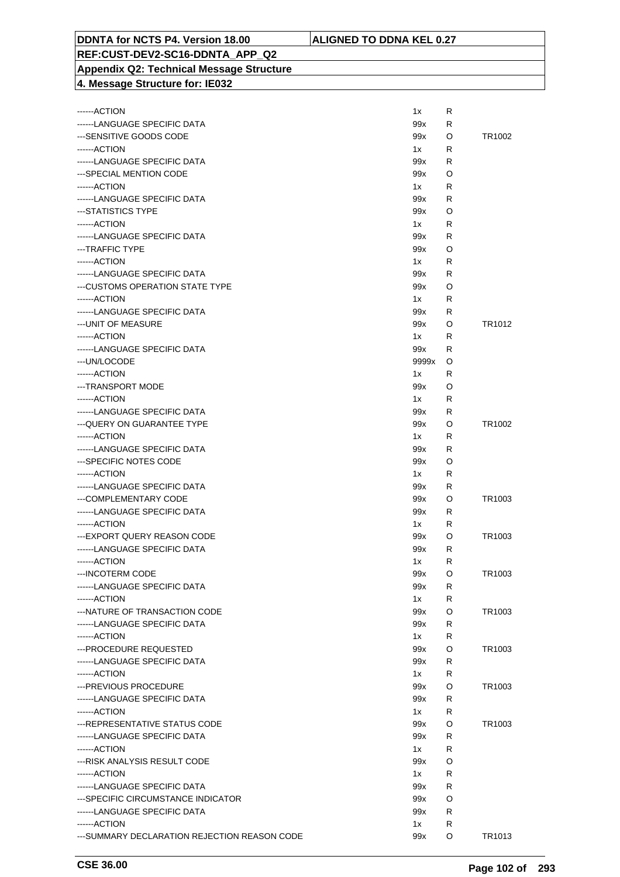#### **REF:CUST-DEV2-SC16-DDNTA\_APP\_Q2 Appendix Q2: Technical Message Structure 4. Message Structure for: IE032**

| ------ACTION                                                  | 1x        | R      |        |
|---------------------------------------------------------------|-----------|--------|--------|
| ------LANGUAGE SPECIFIC DATA                                  | 99x       | R      |        |
| ---SENSITIVE GOODS CODE                                       | 99x       | O      | TR1002 |
| ------ACTION                                                  | 1x        | R      |        |
| ------LANGUAGE SPECIFIC DATA                                  | 99x       | R      |        |
| ---SPECIAL MENTION CODE                                       | 99x       | O      |        |
| ------ACTION                                                  | 1x        | R      |        |
| ------LANGUAGE SPECIFIC DATA                                  | 99x       | R      |        |
| ---STATISTICS TYPE                                            | 99x       | O      |        |
| ------ACTION                                                  | 1x        | R      |        |
| ------LANGUAGE SPECIFIC DATA                                  | 99x       | R      |        |
| ---TRAFFIC TYPE                                               | 99x       | O      |        |
| ------ACTION                                                  | 1x        | R      |        |
| ------LANGUAGE SPECIFIC DATA                                  | 99x       | R      |        |
| ---CUSTOMS OPERATION STATE TYPE                               | 99x       | O      |        |
| ------ACTION                                                  | 1x        | R      |        |
| ------LANGUAGE SPECIFIC DATA                                  | 99x       | R      |        |
| --- UNIT OF MEASURE                                           | 99x       | O      | TR1012 |
| ------ACTION                                                  | 1x        | R      |        |
| ------LANGUAGE SPECIFIC DATA                                  | 99x       | R      |        |
| ---UN/LOCODE                                                  | 9999x     | O      |        |
| ------ACTION                                                  | 1x        | R      |        |
| --- TRANSPORT MODE                                            | 99x       | O      |        |
| ------ACTION                                                  | 1x        | R      |        |
| ------LANGUAGE SPECIFIC DATA                                  | 99x       | R      |        |
| --- QUERY ON GUARANTEE TYPE                                   | 99x       | O      | TR1002 |
| ------ACTION                                                  | 1x        | R      |        |
| ------LANGUAGE SPECIFIC DATA                                  | 99x       | R      |        |
| ---SPECIFIC NOTES CODE                                        | 99x       | O      |        |
| ------ACTION                                                  | 1x        | R      |        |
| ------LANGUAGE SPECIFIC DATA                                  | 99x       | R      |        |
| ---COMPLEMENTARY CODE                                         | 99x       | O      | TR1003 |
| ------LANGUAGE SPECIFIC DATA                                  | 99x       | R      |        |
| ------ACTION                                                  | 1x        | R      |        |
| ---EXPORT QUERY REASON CODE                                   | 99x       | O      | TR1003 |
| ------LANGUAGE SPECIFIC DATA                                  | 99x       | R      |        |
| ------ACTION                                                  | 1x        | R      |        |
| --- INCOTERM CODE                                             | 99x       | O      | TR1003 |
| ------LANGUAGE SPECIFIC DATA                                  | 99x       | R      |        |
| ------ACTION                                                  | 1x        | R      |        |
| --- NATURE OF TRANSACTION CODE                                | 99x       | O      | TR1003 |
| ------LANGUAGE SPECIFIC DATA                                  | 99x       | R      |        |
| ------ACTION                                                  | 1x        | R      |        |
| --- PROCEDURE REQUESTED                                       | 99x       | O      | TR1003 |
| ------LANGUAGE SPECIFIC DATA                                  | 99x       | R      |        |
| ------ACTION                                                  | 1x        | R      |        |
| --- PREVIOUS PROCEDURE                                        | 99x       | O      | TR1003 |
| ------LANGUAGE SPECIFIC DATA                                  | 99x       | R      |        |
| ------ACTION                                                  | 1x        | R      |        |
| --- REPRESENTATIVE STATUS CODE                                | 99x       | O      | TR1003 |
| ------LANGUAGE SPECIFIC DATA                                  | 99x       | R      |        |
| ------ACTION                                                  | 1x        | R      |        |
| --- RISK ANALYSIS RESULT CODE                                 | 99x       | O      |        |
| ------ACTION                                                  | 1x        | R      |        |
| ------LANGUAGE SPECIFIC DATA                                  | 99x       | R      |        |
| ---SPECIFIC CIRCUMSTANCE INDICATOR                            | 99x       | O      |        |
| ------LANGUAGE SPECIFIC DATA                                  | 99x       | R      |        |
| ------ACTION<br>--- SUMMARY DECLARATION REJECTION REASON CODE | 1x<br>99x | R<br>O | TR1013 |
|                                                               |           |        |        |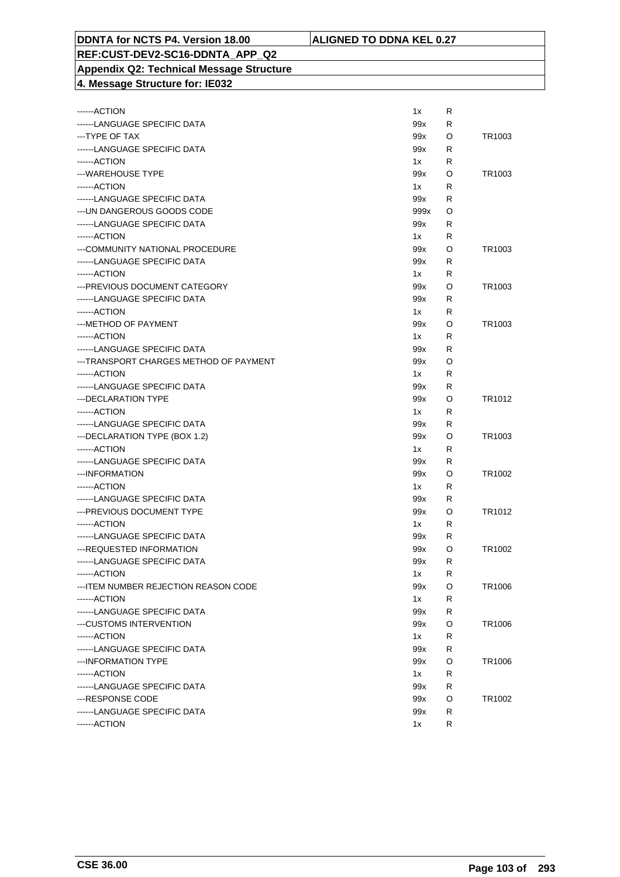#### **DDNTA for NCTS P4. Version 18.00 ALIGNED TO DDNA KEL 0.27**

#### **REF:CUST-DEV2-SC16-DDNTA\_APP\_Q2 Appendix Q2: Technical Message Structure 4. Message Structure for: IE032**

| ------ACTION                           | 1x   | R |        |
|----------------------------------------|------|---|--------|
| ------LANGUAGE SPECIFIC DATA           | 99x  | R |        |
| --- TYPE OF TAX                        | 99x  | O | TR1003 |
| ------LANGUAGE SPECIFIC DATA           | 99x  | R |        |
| ------ACTION                           | 1x   | R |        |
| ---WAREHOUSE TYPE                      | 99x  | O | TR1003 |
| ------ACTION                           | 1x   | R |        |
| ------LANGUAGE SPECIFIC DATA           | 99x  | R |        |
| --- UN DANGEROUS GOODS CODE            | 999x | O |        |
| ------LANGUAGE SPECIFIC DATA           | 99x  | R |        |
| ------ACTION                           | 1x   | R |        |
| ---COMMUNITY NATIONAL PROCEDURE        | 99x  | O | TR1003 |
| ------LANGUAGE SPECIFIC DATA           | 99x  | R |        |
| ------ACTION                           | 1x   | R |        |
| --- PREVIOUS DOCUMENT CATEGORY         | 99x  | O | TR1003 |
| ------LANGUAGE SPECIFIC DATA           | 99x  | R |        |
| ------ACTION                           | 1x   | R |        |
| --- METHOD OF PAYMENT                  | 99x  | O | TR1003 |
| ------ACTION                           | 1x   | R |        |
| ------LANGUAGE SPECIFIC DATA           | 99x  | R |        |
| ---TRANSPORT CHARGES METHOD OF PAYMENT | 99x  | O |        |
| ------ACTION                           | 1x   | R |        |
| ------LANGUAGE SPECIFIC DATA           | 99x  | R |        |
| --- DECLARATION TYPE                   | 99x  | O | TR1012 |
| ------ACTION                           | 1x   | R |        |
| ------LANGUAGE SPECIFIC DATA           | 99x  | R |        |
| --- DECLARATION TYPE (BOX 1.2)         | 99x  | O | TR1003 |
| ------ACTION                           | 1x   | R |        |
| ------LANGUAGE SPECIFIC DATA           | 99x  | R |        |
| --- INFORMATION                        | 99x  | O | TR1002 |
| ------ACTION                           | 1x   | R |        |
| ------LANGUAGE SPECIFIC DATA           | 99x  | R |        |
| --- PREVIOUS DOCUMENT TYPE             | 99x  | O | TR1012 |
| ------ACTION                           | 1x   | R |        |
| ------LANGUAGE SPECIFIC DATA           | 99x  | R |        |
| --- REQUESTED INFORMATION              | 99x  | O | TR1002 |
| ------LANGUAGE SPECIFIC DATA           | 99x  | R |        |
| ------ ACTION                          | 1x   | R |        |
| --- ITEM NUMBER REJECTION REASON CODE  | 99x  | O | TR1006 |
| ------ACTION                           | 1x   | R |        |
| ------LANGUAGE SPECIFIC DATA           | 99x  | R |        |
| ---CUSTOMS INTERVENTION                | 99x  | O | TR1006 |
| ------ACTION                           | 1x   | R |        |
| ------LANGUAGE SPECIFIC DATA           | 99x  | R |        |
| ---INFORMATION TYPE                    | 99x  | O | TR1006 |
| ------ACTION                           | 1x   | R |        |
| ------LANGUAGE SPECIFIC DATA           | 99x  | R |        |
| ---RESPONSE CODE                       | 99x  | O | TR1002 |
| ------LANGUAGE SPECIFIC DATA           | 99x  | R |        |
| ------ACTION                           | 1x   | R |        |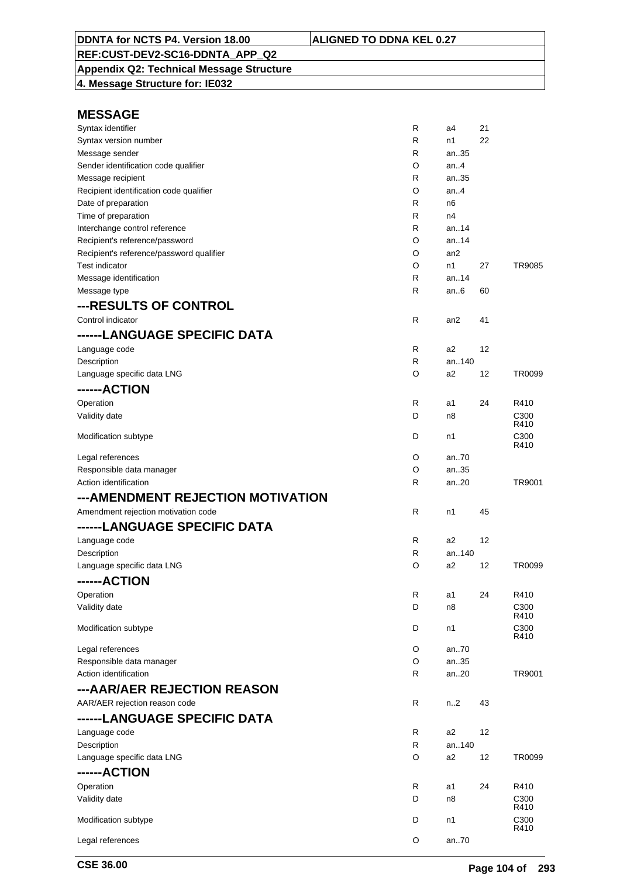**Appendix Q2: Technical Message Structure 4. Message Structure for: IE032**

| Syntax identifier                        | R            | a4              | 21                |               |
|------------------------------------------|--------------|-----------------|-------------------|---------------|
| Syntax version number                    | R            | n1              | 22                |               |
| Message sender                           | R            | an.35           |                   |               |
| Sender identification code qualifier     | O            | an. $4$         |                   |               |
| Message recipient                        | R            | an35            |                   |               |
| Recipient identification code qualifier  | O            | an.4            |                   |               |
| Date of preparation                      | R            | n6              |                   |               |
| Time of preparation                      | $\mathsf{R}$ | n4              |                   |               |
| Interchange control reference            | $\mathsf{R}$ | an. $.14$       |                   |               |
| Recipient's reference/password           | O            | an14            |                   |               |
| Recipient's reference/password qualifier | O            | an <sub>2</sub> |                   |               |
| Test indicator                           | O            | n1              | 27                | <b>TR9085</b> |
| Message identification                   | R            | an.14           |                   |               |
| Message type                             | $\mathsf{R}$ | an $6$          | 60                |               |
| ---RESULTS OF CONTROL                    |              |                 |                   |               |
| Control indicator                        |              |                 | 41                |               |
|                                          | R            | an2             |                   |               |
| ------LANGUAGE SPECIFIC DATA             |              |                 |                   |               |
| Language code                            | R            | a <sub>2</sub>  | 12                |               |
| Description                              | R            | an140           |                   |               |
| Language specific data LNG               | O            | a2              | 12                | TR0099        |
| ------ACTION                             |              |                 |                   |               |
| Operation                                | $\mathsf{R}$ | a1              | 24                | R410          |
| Validity date                            | D            | n8              |                   | C300          |
|                                          |              |                 |                   | R410          |
| Modification subtype                     | D            | n1              |                   | C300          |
|                                          |              |                 |                   | R410          |
| Legal references                         | O            | an.70           |                   |               |
| Responsible data manager                 | O            | an35            |                   |               |
| Action identification                    | R            | an20            |                   | TR9001        |
| --- AMENDMENT REJECTION MOTIVATION       |              |                 |                   |               |
| Amendment rejection motivation code      | R            | n1              | 45                |               |
| ------LANGUAGE SPECIFIC DATA             |              |                 |                   |               |
|                                          |              |                 |                   |               |
| Language code                            | $\mathsf{R}$ | a <sub>2</sub>  | 12                |               |
| Description                              | $\mathsf{R}$ | an140           |                   |               |
| Language specific data LNG               | O            | a <sub>2</sub>  | 12                | TR0099        |
| ------ACTION                             |              |                 |                   |               |
| Operation                                | R            | a1              | 24                | R410          |
| Validity date                            | D            | n8              |                   | C300          |
|                                          |              |                 |                   | R410          |
| Modification subtype                     | D            | n1              |                   | C300<br>R410  |
| Legal references                         | O            | an70            |                   |               |
| Responsible data manager                 | O            | an35            |                   |               |
| Action identification                    | R            | an.20           |                   | TR9001        |
|                                          |              |                 |                   |               |
| ---AAR/AER REJECTION REASON              |              |                 |                   |               |
| AAR/AER rejection reason code            | R            | n2              | 43                |               |
| ------LANGUAGE SPECIFIC DATA             |              |                 |                   |               |
| Language code                            | R            | a <sub>2</sub>  | $12 \overline{ }$ |               |
| Description                              | R            | an140           |                   |               |
| Language specific data LNG               | O            | a2              | 12                | TR0099        |
| ------ACTION                             |              |                 |                   |               |
| Operation                                |              |                 |                   |               |
|                                          | R            | a1              | 24                | R410          |
| Validity date                            | D            | n8              |                   | C300<br>R410  |
| Modification subtype                     | D            | n1              |                   | C300          |
|                                          |              |                 |                   | R410          |
| Legal references                         | O            | an70            |                   |               |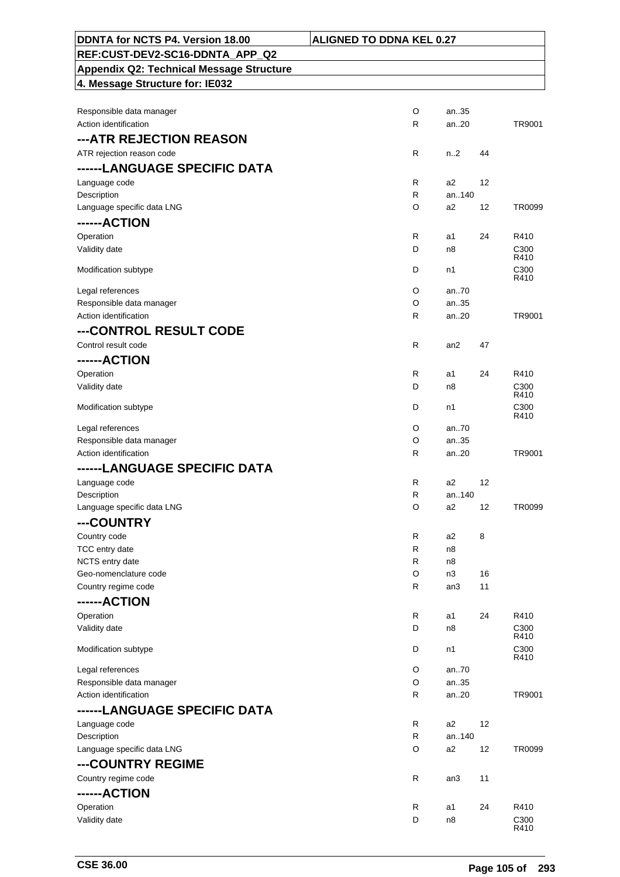| DDNTA for NCTS P4. Version 18.00                  | <b>ALIGNED TO DDNA KEL 0.27</b> |                          |
|---------------------------------------------------|---------------------------------|--------------------------|
| REF:CUST-DEV2-SC16-DDNTA_APP_Q2                   |                                 |                          |
| <b>Appendix Q2: Technical Message Structure</b>   |                                 |                          |
| 4. Message Structure for: IE032                   |                                 |                          |
|                                                   |                                 |                          |
| Responsible data manager                          | O                               | an35                     |
| Action identification                             | R                               | an20<br>TR9001           |
| ---ATR REJECTION REASON                           |                                 |                          |
| ATR rejection reason code                         | R                               | n <sub>1</sub> 2<br>44   |
| ------LANGUAGE SPECIFIC DATA                      |                                 |                          |
| Language code<br>Description                      | R<br>a2<br>R                    | 12<br>an140              |
| Language specific data LNG                        | O<br>a2                         | TR0099<br>12             |
| ------ACTION                                      |                                 |                          |
| Operation                                         | R<br>a1                         | 24<br>R410               |
| Validity date                                     | D<br>n8                         | C <sub>300</sub>         |
| Modification subtype                              | D<br>n1                         | R410<br>C <sub>300</sub> |
|                                                   |                                 | R410                     |
| Legal references                                  | O                               | an70                     |
| Responsible data manager<br>Action identification | O<br>R                          | an35<br>an20<br>TR9001   |
|                                                   |                                 |                          |
| ---CONTROL RESULT CODE<br>Control result code     | R                               | 47<br>an2                |
| ------ACTION                                      |                                 |                          |
| Operation                                         | R<br>a1                         | 24<br>R410               |
| Validity date                                     | D<br>n8                         | C300                     |
|                                                   |                                 | R410                     |
| Modification subtype                              | D<br>n1                         | C <sub>300</sub><br>R410 |
| Legal references                                  | O                               | an70                     |
| Responsible data manager<br>Action identification | O                               | an35                     |
|                                                   | R                               | an20<br>TR9001           |
| ------LANGUAGE SPECIFIC DATA<br>Language code     | R<br>a2                         | 12                       |
| Description                                       | R                               | an140                    |
| Language specific data LNG                        | O<br>a2                         | TR0099<br>12             |
| ---COUNTRY                                        |                                 |                          |
| Country code                                      | R<br>a2                         | 8                        |
| TCC entry date                                    | R<br>n8                         |                          |
| NCTS entry date                                   | R<br>n8                         |                          |
| Geo-nomenclature code<br>Country regime code      | O<br>n3<br>R                    | 16<br>11<br>an3          |
| ------ACTION                                      |                                 |                          |
| Operation                                         | R<br>a1                         | 24<br>R410               |
| Validity date                                     | D<br>n8                         | C300                     |
|                                                   |                                 | R410                     |
| Modification subtype                              | D<br>n1                         | C300<br>R410             |
| Legal references                                  | O                               | an70                     |
| Responsible data manager                          | O                               | an35                     |
| Action identification                             | R                               | an20<br>TR9001           |
| ------LANGUAGE SPECIFIC DATA                      |                                 |                          |
| Language code<br>Description                      | R<br>a <sub>2</sub><br>R        | 12<br>an140              |
| Language specific data LNG                        | O<br>a <sub>2</sub>             | 12<br>TR0099             |
| ---COUNTRY REGIME                                 |                                 |                          |
| Country regime code                               | R                               | 11<br>an3                |
| ------ACTION                                      |                                 |                          |
| Operation                                         | R<br>a1                         | 24<br>R410               |
| Validity date                                     | D<br>n8                         | C300                     |
|                                                   |                                 | R410                     |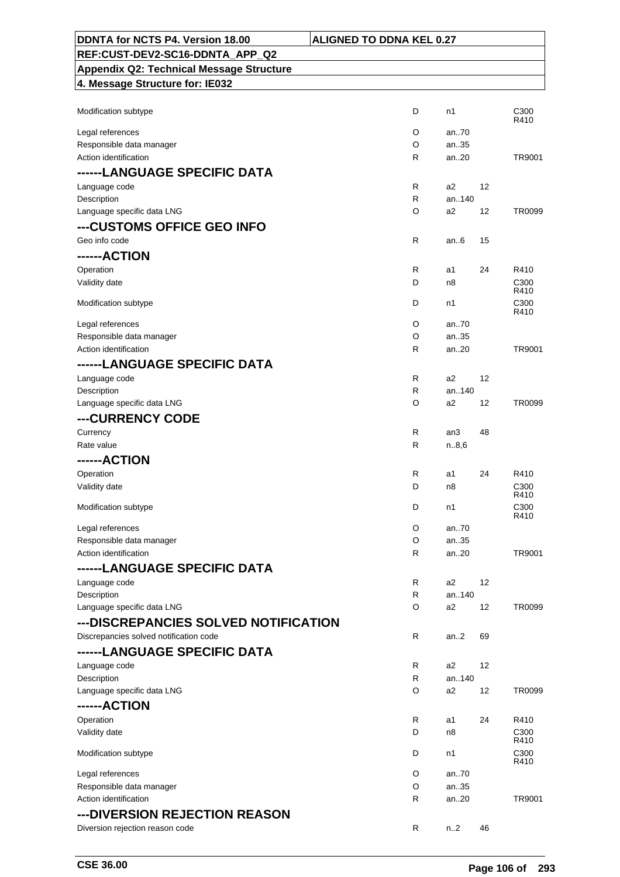| DDNTA for NCTS P4. Version 18.00                | <b>ALIGNED TO DDNA KEL 0.27</b> |                |    |                          |
|-------------------------------------------------|---------------------------------|----------------|----|--------------------------|
| REF:CUST-DEV2-SC16-DDNTA APP Q2                 |                                 |                |    |                          |
| <b>Appendix Q2: Technical Message Structure</b> |                                 |                |    |                          |
| 4. Message Structure for: IE032                 |                                 |                |    |                          |
|                                                 |                                 |                |    |                          |
| Modification subtype                            | D                               | n1             |    | C <sub>300</sub><br>R410 |
| Legal references                                | O                               | an70           |    |                          |
| Responsible data manager                        | O                               | an35           |    |                          |
| Action identification                           | R                               | an20           |    | TR9001                   |
| ------LANGUAGE SPECIFIC DATA                    |                                 |                |    |                          |
| Language code                                   | R                               | a2             | 12 |                          |
| Description                                     | R                               | an140          |    |                          |
| Language specific data LNG                      | O                               | a <sub>2</sub> | 12 | TR0099                   |
| ---CUSTOMS OFFICE GEO INFO                      |                                 |                |    |                          |
| Geo info code                                   | R                               | an.6           | 15 |                          |
| ------ACTION                                    |                                 |                |    |                          |
| Operation                                       | R                               | a1             | 24 | R410                     |
| Validity date                                   | D                               | n8             |    | C <sub>300</sub><br>R410 |
| Modification subtype                            | D                               | n1             |    | C300                     |
|                                                 |                                 |                |    | R410                     |
| Legal references                                | O                               | an70           |    |                          |
| Responsible data manager                        | O                               | an35           |    |                          |
| Action identification                           | $\mathsf{R}$                    | an20           |    | TR9001                   |
| ------LANGUAGE SPECIFIC DATA                    |                                 |                |    |                          |
| Language code                                   | R                               | a2             | 12 |                          |
| Description<br>Language specific data LNG       | R<br>O                          | an140<br>a2    | 12 | TR0099                   |
|                                                 |                                 |                |    |                          |
| ---CURRENCY CODE                                |                                 |                |    |                          |
| Currency<br>Rate value                          | R<br>R                          | an3<br>n.8,6   | 48 |                          |
| ------ACTION                                    |                                 |                |    |                          |
| Operation                                       | R                               | a1             | 24 | R410                     |
| Validity date                                   | D                               | n8             |    | C <sub>300</sub>         |
|                                                 |                                 |                |    | R410                     |
| Modification subtype                            | D                               | n1             |    | C300<br>R410             |
| Legal references                                | O                               | an70           |    |                          |
| Responsible data manager                        | O                               | an35           |    |                          |
| Action identification                           | R                               | an20           |    | TR9001                   |
| ------LANGUAGE SPECIFIC DATA                    |                                 |                |    |                          |
| Language code                                   | R                               | a2             | 12 |                          |
| Description                                     | R                               | an140          |    |                          |
| Language specific data LNG                      | O                               | a2             | 12 | TR0099                   |
| ---DISCREPANCIES SOLVED NOTIFICATION            |                                 |                |    |                          |
| Discrepancies solved notification code          | R                               | an2            | 69 |                          |
| ------LANGUAGE SPECIFIC DATA                    |                                 |                |    |                          |
| Language code                                   | R                               | a2             | 12 |                          |
| Description                                     | R                               | an140          |    |                          |
| Language specific data LNG                      | O                               | a2             | 12 | TR0099                   |
| ------ACTION                                    |                                 |                |    |                          |
| Operation                                       | R                               | a1             | 24 | R410                     |
| Validity date                                   | D                               | n8             |    | C <sub>300</sub><br>R410 |
| Modification subtype                            | D                               | n1             |    | C <sub>300</sub>         |
|                                                 |                                 |                |    | R410                     |
| Legal references                                | O                               | an70           |    |                          |
| Responsible data manager                        | O                               | an35           |    |                          |
| Action identification                           | R                               | an20           |    | TR9001                   |
| --- DIVERSION REJECTION REASON                  |                                 |                |    |                          |
| Diversion rejection reason code                 | R                               | n.2            | 46 |                          |

 $\overline{\phantom{0}}$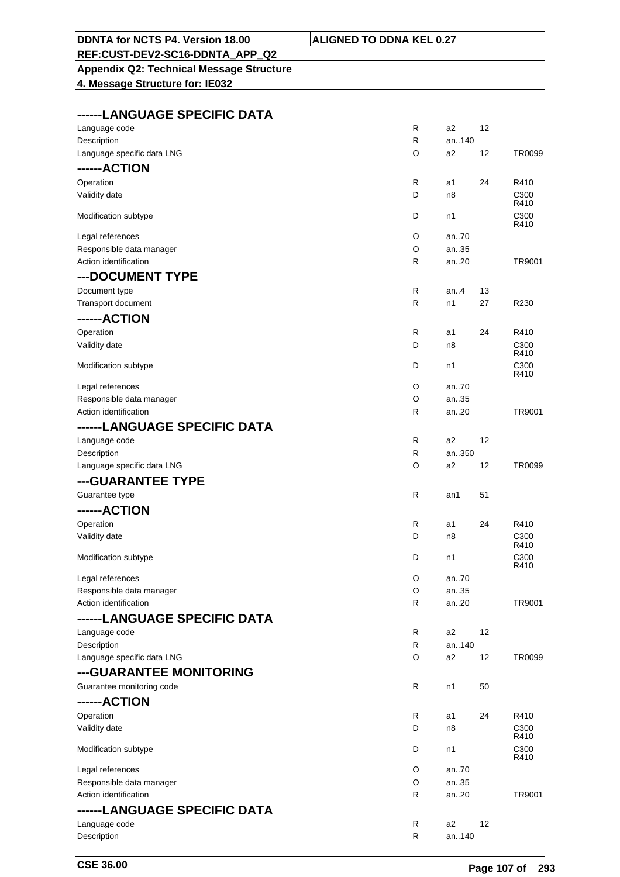|  |  | <b>ALIGNED TO DDNA KEL 0.27</b> |  |  |  |  |  |
|--|--|---------------------------------|--|--|--|--|--|
|--|--|---------------------------------|--|--|--|--|--|

#### **DDNTA for NCTS P4. Version 18.00 ALIGNATI REF:CUST-DEV2-SC16-DDNTA\_APP\_Q2**

# **Appendix Q2: Technical Message Structure**

**4. Message Structure for: IE032**

#### **------LANGUAGE SPECIFIC DATA**

| Language code                | R            | a <sub>2</sub> | 12 |                          |
|------------------------------|--------------|----------------|----|--------------------------|
| Description                  | R            | an140          |    |                          |
| Language specific data LNG   | O            | a <sub>2</sub> | 12 | TR0099                   |
| ------ACTION                 |              |                |    |                          |
| Operation                    | R            | a1             | 24 | R410                     |
| Validity date                | D            | n <sub>8</sub> |    | C300                     |
|                              |              |                |    | R410                     |
| Modification subtype         | D            | n1             |    | C300                     |
|                              |              |                |    | R410                     |
| Legal references             | O            | an70           |    |                          |
| Responsible data manager     | O            | an35           |    |                          |
| Action identification        | R            | an20           |    | TR9001                   |
| --- DOCUMENT TYPE            |              |                |    |                          |
| Document type                | R            | an. $4$        | 13 |                          |
| Transport document           | R            | n1             | 27 | R230                     |
| ------ACTION                 |              |                |    |                          |
| Operation                    | R            | a1             | 24 | R410                     |
| Validity date                | D            | n8             |    | C300                     |
|                              |              |                |    | R410                     |
| Modification subtype         | D            | n1             |    | C300                     |
|                              |              |                |    | R410                     |
| Legal references             | O            | an70           |    |                          |
| Responsible data manager     | O            | an35           |    |                          |
| Action identification        | R            | an20           |    | TR9001                   |
| ------LANGUAGE SPECIFIC DATA |              |                |    |                          |
| Language code                | R            | a <sub>2</sub> | 12 |                          |
| Description                  | $\mathsf{R}$ | an350          |    |                          |
| Language specific data LNG   | O            | a <sub>2</sub> | 12 | <b>TR0099</b>            |
| ---GUARANTEE TYPE            |              |                |    |                          |
| Guarantee type               | $\mathsf{R}$ | an1            | 51 |                          |
| ------ACTION                 |              |                |    |                          |
|                              |              |                |    |                          |
| Operation                    | R            | a1             | 24 | R410                     |
| Validity date                | D            | n8             |    | C <sub>300</sub><br>R410 |
| Modification subtype         | D            | n1             |    | C300                     |
|                              |              |                |    | R410                     |
| Legal references             | O            | an70           |    |                          |
| Responsible data manager     | $\Omega$     | an35           |    |                          |
| Action identification        | R            | an20           |    | TR9001                   |
| ------LANGUAGE SPECIFIC DATA |              |                |    |                          |
| Language code                | R            | a2             | 12 |                          |
| Description                  | R            | an140          |    |                          |
| Language specific data LNG   | O            | a2             | 12 | TR0099                   |
| ---GUARANTEE MONITORING      |              |                |    |                          |
| Guarantee monitoring code    | R            | n1             | 50 |                          |
|                              |              |                |    |                          |
| ------ACTION                 |              |                |    |                          |
| Operation                    | R            | a1             | 24 | R410                     |
| Validity date                | D            | n8             |    | C <sub>300</sub><br>R410 |
| Modification subtype         | D            | n1             |    | C300                     |
|                              |              |                |    | R410                     |
| Legal references             | O            | an70           |    |                          |
| Responsible data manager     | O            | an35           |    |                          |
| Action identification        | R            | an20           |    | TR9001                   |
| ------LANGUAGE SPECIFIC DATA |              |                |    |                          |
| Language code                | R            | a <sub>2</sub> | 12 |                          |
| Description                  | R            | an140          |    |                          |
|                              |              |                |    |                          |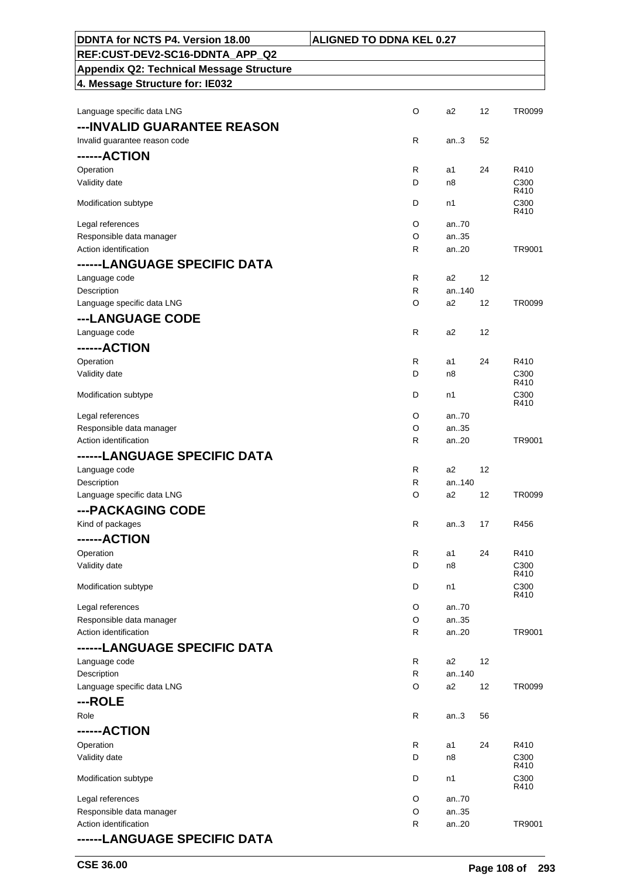| DDNTA for NCTS P4. Version 18.00                | <b>ALIGNED TO DDNA KEL 0.27</b> |                |    |                          |
|-------------------------------------------------|---------------------------------|----------------|----|--------------------------|
| REF:CUST-DEV2-SC16-DDNTA APP Q2                 |                                 |                |    |                          |
| <b>Appendix Q2: Technical Message Structure</b> |                                 |                |    |                          |
| 4. Message Structure for: IE032                 |                                 |                |    |                          |
|                                                 |                                 |                |    |                          |
| Language specific data LNG                      | O                               | a <sub>2</sub> | 12 | TR0099                   |
| --- INVALID GUARANTEE REASON                    |                                 |                |    |                          |
| Invalid guarantee reason code                   | R                               | an.3           | 52 |                          |
| ------ACTION                                    |                                 |                |    |                          |
| Operation                                       | R                               | a1             | 24 | R410                     |
| Validity date                                   | D                               | n8             |    | C300<br>R410             |
| Modification subtype                            | D                               | n1             |    | C300<br>R410             |
| Legal references                                | O                               | an70           |    |                          |
| Responsible data manager                        | O                               | an35           |    |                          |
| Action identification                           | R                               | an20           |    | TR9001                   |
| ------LANGUAGE SPECIFIC DATA                    |                                 |                |    |                          |
| Language code                                   | R                               | a2             | 12 |                          |
| Description                                     | R                               | an140          |    |                          |
| Language specific data LNG                      | O                               | a2             | 12 | TR0099                   |
| ---LANGUAGE CODE                                |                                 |                |    |                          |
| Language code                                   | $\mathsf{R}$                    | a2             | 12 |                          |
| ------ACTION                                    |                                 |                |    |                          |
| Operation                                       | R<br>D                          | a1             | 24 | R410                     |
| Validity date                                   |                                 | n8             |    | C <sub>300</sub><br>R410 |
| Modification subtype                            | D                               | n1             |    | C <sub>300</sub><br>R410 |
| Legal references                                | O                               | an.70          |    |                          |
| Responsible data manager                        | O                               | an35           |    |                          |
| Action identification                           | R                               | an20           |    | TR9001                   |
| ------LANGUAGE SPECIFIC DATA                    |                                 |                |    |                          |
| Language code                                   | R                               | a2             | 12 |                          |
| Description                                     | R                               | an140          |    |                          |
| Language specific data LNG                      | O                               | a2             | 12 | TR0099                   |
| ---PACKAGING CODE                               |                                 |                |    |                          |
| Kind of packages                                | R                               | an.3           | 17 | R456                     |
| ------ACTION                                    |                                 |                |    |                          |
| Operation<br>Validity date                      | R<br>D                          | a1<br>n8       | 24 | R410<br>C300             |
|                                                 |                                 |                |    | R410                     |
| Modification subtype                            | D                               | n1             |    | C <sub>300</sub><br>R410 |
| Legal references                                | O                               | an70           |    |                          |
| Responsible data manager                        | O                               | an35           |    |                          |
| Action identification                           | R                               | an20           |    | TR9001                   |
| ------LANGUAGE SPECIFIC DATA                    |                                 |                |    |                          |
| Language code                                   | R                               | a <sub>2</sub> | 12 |                          |
| Description                                     | $\mathsf{R}$                    | an140          |    |                          |
| Language specific data LNG                      | O                               | a2             | 12 | TR0099                   |
| ---ROLE                                         |                                 |                |    |                          |
| Role                                            | R                               | an.3           | 56 |                          |
| ------ACTION                                    |                                 |                |    |                          |
| Operation                                       | R                               | a1             | 24 | R410                     |
| Validity date                                   | D                               | n8             |    | C <sub>300</sub><br>R410 |
| Modification subtype                            | D                               | n1             |    | C300<br>R410             |
| Legal references                                | O                               | an70           |    |                          |
| Responsible data manager                        | O                               | an35           |    |                          |
| Action identification                           | R                               | an20           |    | TR9001                   |
| ------LANGUAGE SPECIFIC DATA                    |                                 |                |    |                          |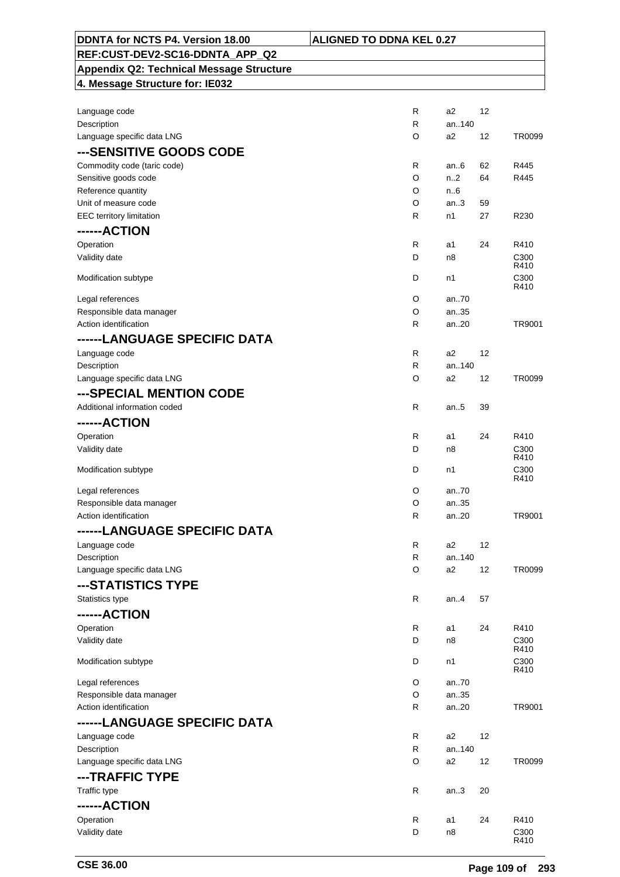| DDNTA for NCTS P4. Version 18.00                    | <b>ALIGNED TO DDNA KEL 0.27</b> |                |          |              |
|-----------------------------------------------------|---------------------------------|----------------|----------|--------------|
| REF:CUST-DEV2-SC16-DDNTA_APP_Q2                     |                                 |                |          |              |
| <b>Appendix Q2: Technical Message Structure</b>     |                                 |                |          |              |
| 4. Message Structure for: IE032                     |                                 |                |          |              |
|                                                     |                                 |                |          |              |
| Language code                                       | R                               | a2             | 12       |              |
| Description                                         | $\mathsf{R}$                    | an140          |          |              |
| Language specific data LNG                          | O                               | a2             | 12       | TR0099       |
| ---SENSITIVE GOODS CODE                             |                                 |                |          |              |
|                                                     |                                 |                |          |              |
| Commodity code (taric code)<br>Sensitive goods code | $\mathsf{R}$<br>O               | an $6$<br>n2   | 62<br>64 | R445<br>R445 |
| Reference quantity                                  | O                               | n.6            |          |              |
| Unit of measure code                                | O                               | an.3           | 59       |              |
| <b>EEC</b> territory limitation                     | $\mathsf{R}$                    | n1             | 27       | R230         |
| ------ACTION                                        |                                 |                |          |              |
|                                                     |                                 |                |          |              |
| Operation                                           | R                               | a1             | 24       | R410         |
| Validity date                                       | D                               | n8             |          | C300<br>R410 |
| Modification subtype                                | D                               | n1             |          | C300         |
|                                                     |                                 |                |          | R410         |
| Legal references                                    | O                               | an.70          |          |              |
| Responsible data manager                            | O                               | an35           |          |              |
| Action identification                               | R                               | an20           |          | TR9001       |
| ------LANGUAGE SPECIFIC DATA                        |                                 |                |          |              |
| Language code                                       | $\mathsf{R}$                    | a2             | 12       |              |
| Description                                         | $\mathsf{R}$                    | an140          |          |              |
| Language specific data LNG                          | O                               | a2             | 12       | TR0099       |
| ---SPECIAL MENTION CODE                             |                                 |                |          |              |
| Additional information coded                        | R                               | an.5           | 39       |              |
| ------ACTION                                        |                                 |                |          |              |
| Operation                                           | R                               | a1             | 24       | R410         |
| Validity date                                       | D                               | n8             |          | C300         |
|                                                     |                                 |                |          | R410         |
| Modification subtype                                | D                               | n1             |          | C300<br>R410 |
| Legal references                                    | O                               | an70           |          |              |
| Responsible data manager                            | O                               | an35           |          |              |
| Action identification                               | $\mathsf{R}$                    | an20           |          | TR9001       |
| ------LANGUAGE SPECIFIC DATA                        |                                 |                |          |              |
|                                                     |                                 |                |          |              |
| Language code                                       | R<br>R                          | a2<br>an140    | 12       |              |
| Description<br>Language specific data LNG           | O                               | a2             | 12       | TR0099       |
|                                                     |                                 |                |          |              |
| ---STATISTICS TYPE                                  |                                 |                |          |              |
| Statistics type                                     | R                               | an4            | 57       |              |
| ------ACTION                                        |                                 |                |          |              |
| Operation                                           | R                               | a1             | 24       | R410         |
| Validity date                                       | D                               | n8             |          | C300         |
|                                                     | D                               |                |          | R410<br>C300 |
| Modification subtype                                |                                 | n1             |          | R410         |
| Legal references                                    | O                               | an70           |          |              |
| Responsible data manager                            | O                               | an35           |          |              |
| Action identification                               | R                               | an20           |          | TR9001       |
| ------LANGUAGE SPECIFIC DATA                        |                                 |                |          |              |
| Language code                                       | R                               | a <sub>2</sub> | 12       |              |
| Description                                         | R                               | an140          |          |              |
| Language specific data LNG                          | O                               | a2             | 12       | TR0099       |
| ---TRAFFIC TYPE                                     |                                 |                |          |              |
| Traffic type                                        | R                               | an.3           | 20       |              |
|                                                     |                                 |                |          |              |
| ------ACTION                                        |                                 |                |          |              |
| Operation                                           | R                               | a1             | 24       | R410         |
| Validity date                                       | D                               | n8             |          | C300<br>R410 |
|                                                     |                                 |                |          |              |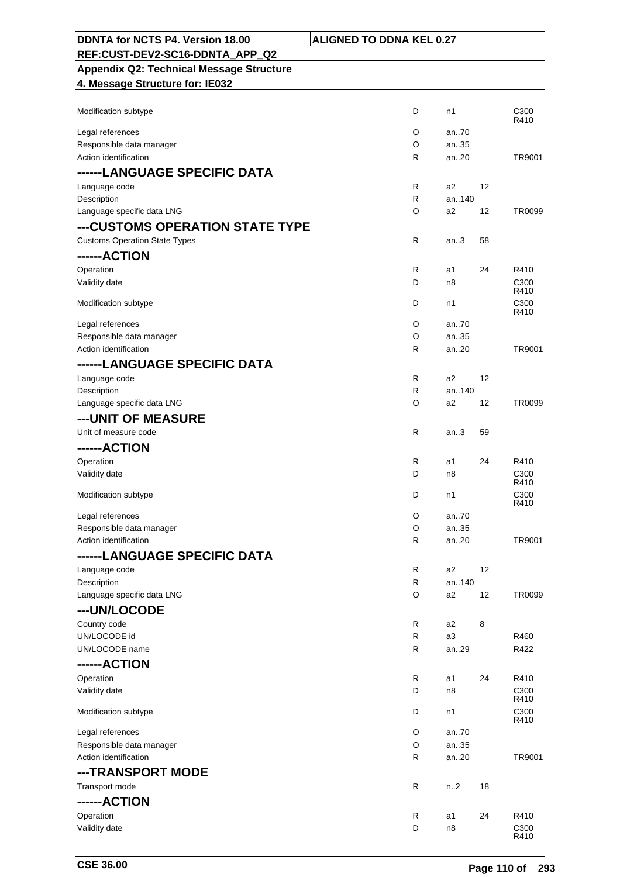| DDNTA for NCTS P4. Version 18.00                | <b>ALIGNED TO DDNA KEL 0.27</b> |                |    |                          |
|-------------------------------------------------|---------------------------------|----------------|----|--------------------------|
| REF:CUST-DEV2-SC16-DDNTA APP Q2                 |                                 |                |    |                          |
| <b>Appendix Q2: Technical Message Structure</b> |                                 |                |    |                          |
| 4. Message Structure for: IE032                 |                                 |                |    |                          |
|                                                 |                                 |                |    |                          |
| Modification subtype                            | D                               | n1             |    | C <sub>300</sub><br>R410 |
| Legal references                                | O                               | an70           |    |                          |
| Responsible data manager                        | O                               | an35           |    |                          |
| Action identification                           | R                               | an20           |    | TR9001                   |
| ------LANGUAGE SPECIFIC DATA                    |                                 |                |    |                          |
| Language code                                   | R                               | a2             | 12 |                          |
| Description                                     | R                               | an140          |    |                          |
| Language specific data LNG                      | O                               | a2             | 12 | TR0099                   |
| ---CUSTOMS OPERATION STATE TYPE                 |                                 |                |    |                          |
| <b>Customs Operation State Types</b>            | $\mathsf{R}$                    | an.3           | 58 |                          |
| ------ACTION                                    |                                 |                |    |                          |
| Operation                                       | R                               | a1             | 24 | R410                     |
| Validity date                                   | D                               | n8             |    | C <sub>300</sub><br>R410 |
| Modification subtype                            | D                               | n1             |    | C <sub>300</sub>         |
|                                                 |                                 |                |    | R410                     |
| Legal references                                | O                               | an70           |    |                          |
| Responsible data manager                        | O                               | an35           |    |                          |
| Action identification                           | $\mathsf{R}$                    | an20           |    | TR9001                   |
| ------LANGUAGE SPECIFIC DATA                    |                                 |                |    |                          |
| Language code                                   | R                               | a2             | 12 |                          |
| Description                                     | R<br>O                          | an140<br>a2    | 12 | TR0099                   |
| Language specific data LNG                      |                                 |                |    |                          |
| ---UNIT OF MEASURE                              |                                 |                |    |                          |
| Unit of measure code                            | R                               | an.3           | 59 |                          |
| ------ACTION                                    |                                 |                |    |                          |
| Operation                                       | R                               | a1             | 24 | R410                     |
| Validity date                                   | D                               | n8             |    | C300<br>R410             |
| Modification subtype                            | D                               | n1             |    | C <sub>300</sub>         |
|                                                 |                                 |                |    | R410                     |
| Legal references<br>Responsible data manager    | O<br>O                          | an70<br>an35   |    |                          |
| Action identification                           | R                               | an20           |    | TR9001                   |
| ------LANGUAGE SPECIFIC DATA                    |                                 |                |    |                          |
| Language code                                   | R                               | a2             | 12 |                          |
| Description                                     | R                               | an140          |    |                          |
| Language specific data LNG                      | O                               | a2             | 12 | TR0099                   |
| ---UN/LOCODE                                    |                                 |                |    |                          |
| Country code                                    | $\mathsf{R}$                    | a2             | 8  |                          |
| UN/LOCODE id                                    | R                               | a <sub>3</sub> |    | R460                     |
| UN/LOCODE name                                  | R                               | an29           |    | R422                     |
| ------ACTION                                    |                                 |                |    |                          |
| Operation                                       | $\mathsf{R}$                    | a1             | 24 | R410                     |
| Validity date                                   | D                               | n8             |    | C <sub>300</sub>         |
|                                                 |                                 |                |    | R410                     |
| Modification subtype                            | D                               | n1             |    | C300<br>R410             |
| Legal references                                | O                               | an70           |    |                          |
| Responsible data manager                        | O                               | an35           |    |                          |
| Action identification                           | R                               | an20           |    | TR9001                   |
| ---TRANSPORT MODE                               |                                 |                |    |                          |
| Transport mode                                  | $\mathsf{R}$                    | n.2            | 18 |                          |
| ------ACTION                                    |                                 |                |    |                          |
| Operation                                       | R                               | a1             | 24 | R410                     |
| Validity date                                   | D                               | n8             |    | C300                     |
|                                                 |                                 |                |    | R410                     |

 $\mathsf{r}$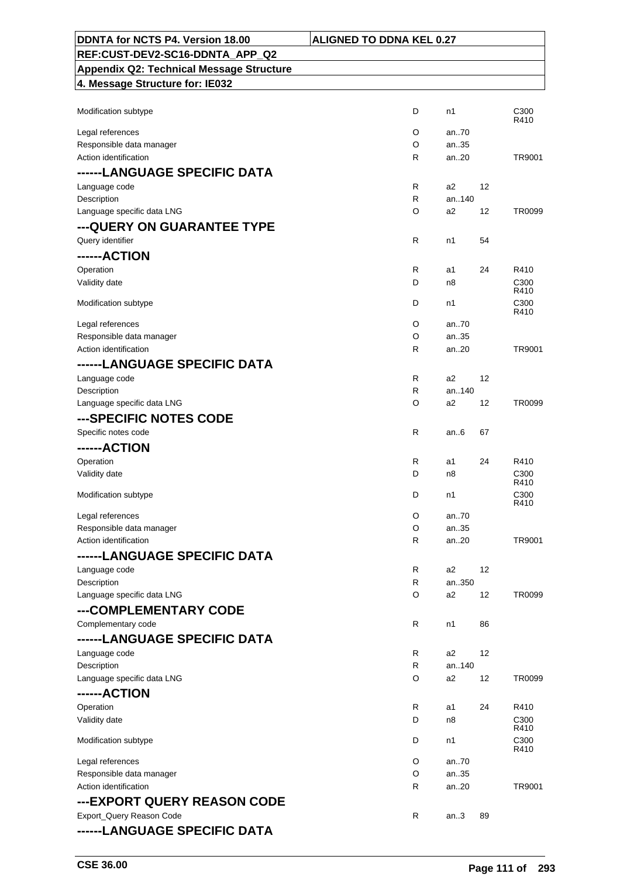| DDNTA for NCTS P4. Version 18.00                | <b>ALIGNED TO DDNA KEL 0.27</b> |    |                          |
|-------------------------------------------------|---------------------------------|----|--------------------------|
| REF:CUST-DEV2-SC16-DDNTA APP Q2                 |                                 |    |                          |
| <b>Appendix Q2: Technical Message Structure</b> |                                 |    |                          |
| 4. Message Structure for: IE032                 |                                 |    |                          |
|                                                 |                                 |    |                          |
| Modification subtype                            | D<br>n1                         |    | C <sub>300</sub>         |
| Legal references                                | O<br>an70                       |    | R410                     |
| Responsible data manager                        | O<br>an35                       |    |                          |
| Action identification                           | an.20<br>R                      |    | TR9001                   |
| ------LANGUAGE SPECIFIC DATA                    |                                 |    |                          |
| Language code                                   | R<br>a2                         | 12 |                          |
| Description                                     | an140<br>R                      |    |                          |
| Language specific data LNG                      | a2<br>O                         | 12 | TR0099                   |
| --- QUERY ON GUARANTEE TYPE                     |                                 |    |                          |
| Query identifier                                | R<br>n1                         | 54 |                          |
| ------ACTION                                    |                                 |    |                          |
| Operation                                       | R<br>a1                         | 24 | R410                     |
| Validity date                                   | D<br>n8                         |    | C <sub>300</sub>         |
|                                                 |                                 |    | R410                     |
| Modification subtype                            | D<br>n1                         |    | C <sub>300</sub><br>R410 |
| Legal references                                | O<br>an70                       |    |                          |
| Responsible data manager                        | O<br>an35                       |    |                          |
| Action identification                           | R<br>an20                       |    | TR9001                   |
| ------LANGUAGE SPECIFIC DATA                    |                                 |    |                          |
| Language code                                   | R<br>a2                         | 12 |                          |
| Description                                     | an140<br>R                      |    |                          |
| Language specific data LNG                      | O<br>a2                         | 12 | TR0099                   |
| ---SPECIFIC NOTES CODE                          |                                 |    |                          |
| Specific notes code                             | R<br>an.6                       | 67 |                          |
| ------ACTION                                    |                                 |    |                          |
| Operation                                       | R<br>a1                         | 24 | R410                     |
| Validity date                                   | D<br>n8                         |    | C <sub>300</sub>         |
|                                                 |                                 |    | R410                     |
| Modification subtype                            | D<br>n1                         |    | C300<br>R410             |
| Legal references                                | O<br>an70                       |    |                          |
| Responsible data manager                        | O<br>an35                       |    |                          |
| Action identification                           | R<br>an20                       |    | TR9001                   |
| ------LANGUAGE SPECIFIC DATA                    |                                 |    |                          |
| Language code                                   | R<br>a2                         | 12 |                          |
| Description                                     | R<br>an350                      |    |                          |
| Language specific data LNG                      | O<br>a2                         | 12 | TR0099                   |
| ---COMPLEMENTARY CODE                           |                                 |    |                          |
| Complementary code                              | R<br>n1                         | 86 |                          |
| ------LANGUAGE SPECIFIC DATA                    |                                 |    |                          |
| Language code                                   | R<br>a2                         | 12 |                          |
| Description                                     | R<br>an140                      |    |                          |
| Language specific data LNG                      | O<br>a2                         | 12 | TR0099                   |
| ------ACTION                                    |                                 |    |                          |
| Operation                                       | R<br>a1                         | 24 | R410                     |
| Validity date                                   | D<br>n8                         |    | C300                     |
| Modification subtype                            | D<br>n1                         |    | R410<br>C <sub>300</sub> |
|                                                 |                                 |    | R410                     |
| Legal references                                | O<br>an70                       |    |                          |
| Responsible data manager                        | O<br>an35                       |    |                          |
| Action identification                           | R<br>an20                       |    | TR9001                   |
| ---EXPORT QUERY REASON CODE                     |                                 |    |                          |
| Export_Query Reason Code                        | R<br>an.3                       | 89 |                          |
| ------LANGUAGE SPECIFIC DATA                    |                                 |    |                          |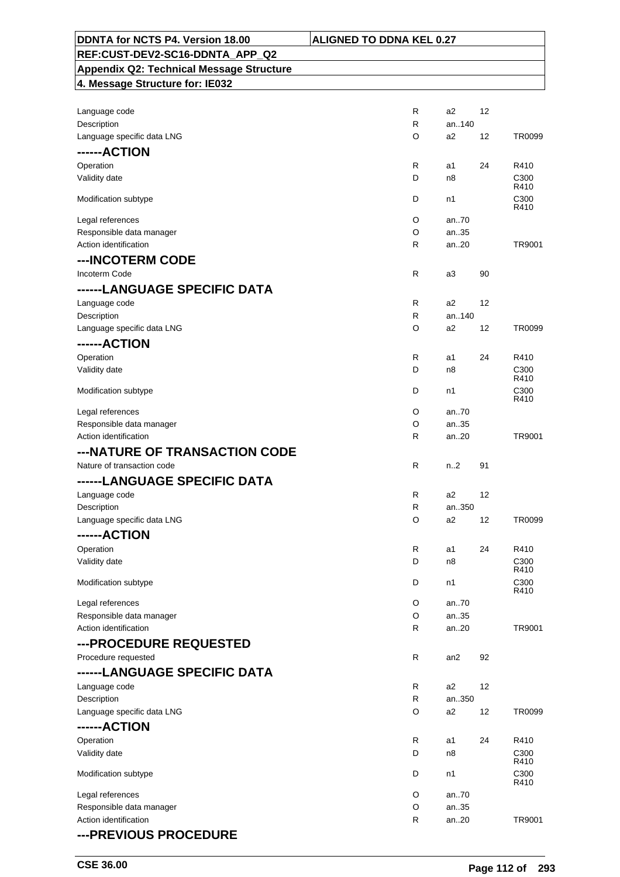| DDNTA for NCTS P4. Version 18.00<br><b>ALIGNED TO DDNA KEL 0.27</b> |        |                |    |                          |
|---------------------------------------------------------------------|--------|----------------|----|--------------------------|
| REF:CUST-DEV2-SC16-DDNTA APP Q2                                     |        |                |    |                          |
| <b>Appendix Q2: Technical Message Structure</b>                     |        |                |    |                          |
| 4. Message Structure for: IE032                                     |        |                |    |                          |
|                                                                     |        |                |    |                          |
| Language code                                                       | R      | a2             | 12 |                          |
| Description                                                         | R      | an140          |    |                          |
| Language specific data LNG                                          | O      | a2             | 12 | TR0099                   |
| ------ACTION                                                        |        |                |    |                          |
| Operation                                                           | R      | a1             | 24 | R410                     |
| Validity date                                                       | D      | n8             |    | C300<br>R410             |
| Modification subtype                                                | D      | n1             |    | C300                     |
|                                                                     |        |                |    | R410                     |
| Legal references                                                    | O      | an.70          |    |                          |
| Responsible data manager<br>Action identification                   | O<br>R | an35<br>an.20  |    | TR9001                   |
|                                                                     |        |                |    |                          |
| ---INCOTERM CODE                                                    |        |                |    |                          |
| Incoterm Code                                                       | R      | a3             | 90 |                          |
| ------LANGUAGE SPECIFIC DATA                                        |        |                |    |                          |
| Language code                                                       | R      | a2<br>an140    | 12 |                          |
| Description<br>Language specific data LNG                           | R<br>O | a2             | 12 | TR0099                   |
|                                                                     |        |                |    |                          |
| ------ACTION                                                        |        |                |    |                          |
| Operation<br>Validity date                                          | R<br>D | a1<br>n8       | 24 | R410<br>C <sub>300</sub> |
|                                                                     |        |                |    | R410                     |
| Modification subtype                                                | D      | n1             |    | C300                     |
| Legal references                                                    | O      | an.70          |    | R410                     |
| Responsible data manager                                            | O      | an35           |    |                          |
| Action identification                                               | R      | an20           |    | TR9001                   |
| ---NATURE OF TRANSACTION CODE                                       |        |                |    |                          |
| Nature of transaction code                                          | R      | n.2            | 91 |                          |
| ------LANGUAGE SPECIFIC DATA                                        |        |                |    |                          |
| Language code                                                       | R      | a2             | 12 |                          |
| Description                                                         | R      | an350          |    |                          |
| Language specific data LNG                                          | O      | a2             | 12 | TR0099                   |
| ------ACTION                                                        |        |                |    |                          |
| Operation                                                           | R      | a1             | 24 | R410                     |
| Validity date                                                       | D      | n8             |    | C300                     |
|                                                                     |        |                |    | R410                     |
| Modification subtype                                                | D      | n1             |    | C300<br>R410             |
| Legal references                                                    | O      | an70           |    |                          |
| Responsible data manager                                            | O      | an35           |    |                          |
| Action identification                                               | R      | an20           |    | TR9001                   |
| ---PROCEDURE REQUESTED                                              |        |                |    |                          |
| Procedure requested                                                 | R      | an2            | 92 |                          |
| ------LANGUAGE SPECIFIC DATA                                        |        |                |    |                          |
| Language code                                                       | R      | a2             | 12 |                          |
| Description                                                         | R      | an350          |    |                          |
| Language specific data LNG                                          | O      | a <sub>2</sub> | 12 | TR0099                   |
| ------ACTION                                                        |        |                |    |                          |
| Operation                                                           | R      | a1             | 24 | R410                     |
| Validity date                                                       | D      | n8             |    | C300<br>R410             |
| Modification subtype                                                | D      | n1             |    | C300                     |
|                                                                     |        |                |    | R410                     |
| Legal references                                                    | O      | an70           |    |                          |
| Responsible data manager<br>Action identification                   | O<br>R | an35<br>an20   |    | TR9001                   |
|                                                                     |        |                |    |                          |
| --- PREVIOUS PROCEDURE                                              |        |                |    |                          |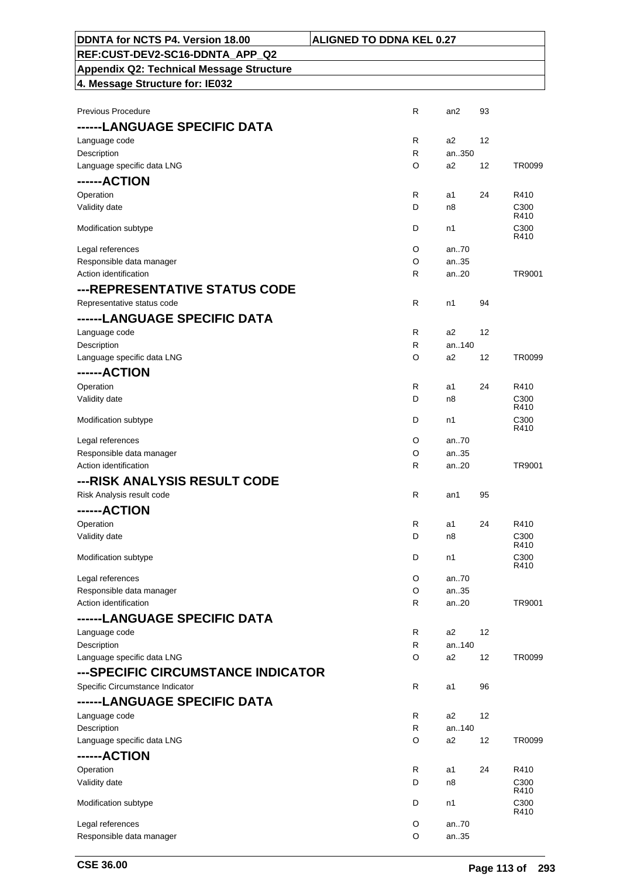| <b>\LIGNED TO DDNA KEL 0.27</b> |
|---------------------------------|
|---------------------------------|

### **DDNTA for NCTS P4. Version 18.00 ALIGNATI REF:CUST-DEV2-SC16-DDNTA\_APP\_Q2 Appendix Q2: Technical Message Structure**

| <b>Previous Procedure</b>          | $\mathsf{R}$ | an2          | 93 |                          |
|------------------------------------|--------------|--------------|----|--------------------------|
| ------LANGUAGE SPECIFIC DATA       |              |              |    |                          |
| Language code                      | R            | a2           | 12 |                          |
| Description                        | R            | an350        |    |                          |
| Language specific data LNG         | O            | a2           | 12 | TR0099                   |
| ------ACTION                       |              |              |    |                          |
| Operation                          | R            | a1           | 24 | R410                     |
| Validity date                      | D            | n8           |    | C300                     |
|                                    |              |              |    | R410                     |
| Modification subtype               | D            | n1           |    | C300                     |
| Legal references                   | O            | an70         |    | R410                     |
| Responsible data manager           | O            | an35         |    |                          |
| Action identification              | R            | an20         |    | TR9001                   |
|                                    |              |              |    |                          |
| ---REPRESENTATIVE STATUS CODE      |              |              |    |                          |
| Representative status code         | R            | n1           | 94 |                          |
| ------LANGUAGE SPECIFIC DATA       |              |              |    |                          |
| Language code                      | R            | a2           | 12 |                          |
| Description                        | $\mathsf{R}$ | an140        |    |                          |
| Language specific data LNG         | O            | a2           | 12 | TR0099                   |
| ------ACTION                       |              |              |    |                          |
| Operation                          | R            | a1           | 24 | R410                     |
| Validity date                      | D            | n8           |    | C <sub>300</sub>         |
|                                    |              |              |    | R410                     |
| Modification subtype               | D            | n1           |    | C300<br>R410             |
| Legal references                   | O            | an70         |    |                          |
| Responsible data manager           | O            | an35         |    |                          |
| Action identification              | R            | an20         |    | TR9001                   |
| ---RISK ANALYSIS RESULT CODE       |              |              |    |                          |
| Risk Analysis result code          | $\mathsf{R}$ | an1          | 95 |                          |
| ------ACTION                       |              |              |    |                          |
|                                    |              |              |    |                          |
| Operation                          | R            | a1           | 24 | R410                     |
| Validity date                      | D            | n8           |    | C <sub>300</sub><br>R410 |
| Modification subtype               | D            | n1           |    | C300                     |
|                                    |              |              |    | R410                     |
| Legal references                   | O            | an70         |    |                          |
| Responsible data manager           | O            | an35         |    |                          |
| Action identification              | R            | an20         |    | TR9001                   |
| ------LANGUAGE SPECIFIC DATA       |              |              |    |                          |
| Language code                      | R            | a2           | 12 |                          |
| Description                        | R            | an140        |    |                          |
| Language specific data LNG         | O            | a2           | 12 | TR0099                   |
| ---SPECIFIC CIRCUMSTANCE INDICATOR |              |              |    |                          |
| Specific Circumstance Indicator    | R            | a1           | 96 |                          |
| ------LANGUAGE SPECIFIC DATA       |              |              |    |                          |
| Language code                      | R            | a2           | 12 |                          |
| Description                        | R            | an140        |    |                          |
| Language specific data LNG         | O            | a2           | 12 | TR0099                   |
| ------ACTION                       |              |              |    |                          |
| Operation                          | R            | a1           | 24 | R410                     |
| Validity date                      | D            | n8           |    | C300                     |
|                                    |              |              |    | R410                     |
| Modification subtype               | D            | n1           |    | C <sub>300</sub>         |
|                                    |              |              |    | R410                     |
| Legal references                   | O<br>O       | an70<br>an35 |    |                          |
| Responsible data manager           |              |              |    |                          |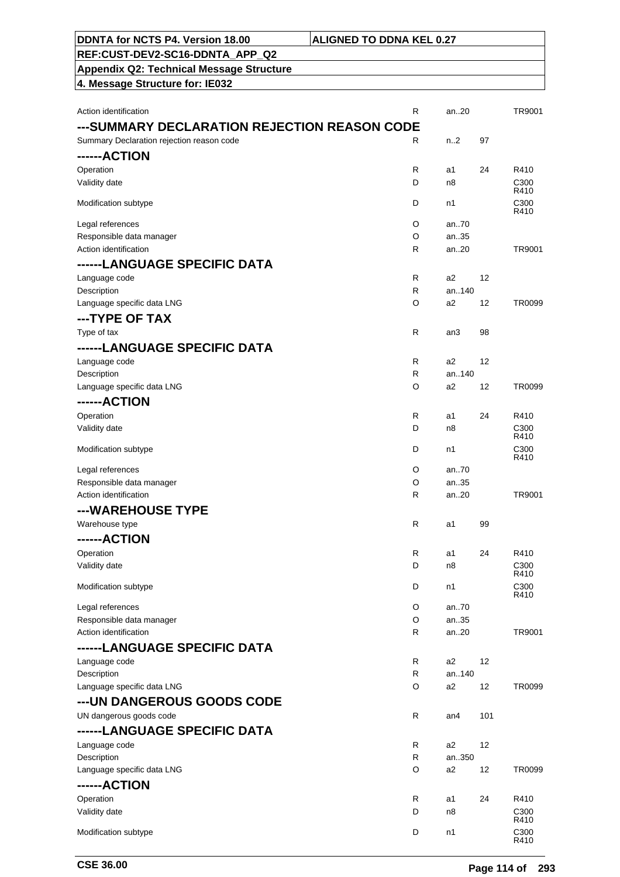| ---SUMMARY DECLARATION REJECTION REASON CODE |                              |                         |     |              |
|----------------------------------------------|------------------------------|-------------------------|-----|--------------|
| Summary Declaration rejection reason code    | R                            | n.2                     | 97  |              |
| ------ACTION                                 |                              |                         |     |              |
| Operation                                    | R                            | a1                      | 24  | R410         |
| Validity date                                | D                            | n8                      |     | C300<br>R410 |
| Modification subtype                         | D                            | n1                      |     | C300         |
|                                              |                              |                         |     | R410         |
| Legal references                             | O                            | an70                    |     |              |
| Responsible data manager                     | O                            | an35                    |     |              |
| Action identification                        | R                            | an20                    |     | TR9001       |
| ------LANGUAGE SPECIFIC DATA                 |                              |                         |     |              |
| Language code                                | $\mathsf{R}$<br>$\mathsf{R}$ | a2<br>an140             | 12  |              |
| Description<br>Language specific data LNG    | O                            | a2                      | 12  | TR0099       |
|                                              |                              |                         |     |              |
| ---TYPE OF TAX                               |                              |                         |     |              |
| Type of tax                                  | R                            | an3                     | 98  |              |
| ------LANGUAGE SPECIFIC DATA                 |                              |                         |     |              |
| Language code                                | $\mathsf{R}$                 | a <sub>2</sub><br>an140 | 12  |              |
| Description<br>Language specific data LNG    | R<br>O                       | a2                      | 12  | TR0099       |
|                                              |                              |                         |     |              |
| ------ACTION                                 |                              |                         |     |              |
| Operation<br>Validity date                   | R<br>D                       | a1<br>n8                | 24  | R410<br>C300 |
|                                              |                              |                         |     | R410         |
| Modification subtype                         | D                            | n1                      |     | C300         |
| Legal references                             | O                            | an70                    |     | R410         |
| Responsible data manager                     | O                            | an35                    |     |              |
| Action identification                        | R                            | an20                    |     | TR9001       |
| ---WAREHOUSE TYPE                            |                              |                         |     |              |
| Warehouse type                               | R                            | a1                      | 99  |              |
| ------ACTION                                 |                              |                         |     |              |
| Operation                                    | R                            | a1                      | 24  | R410         |
| Validity date                                | D                            | n8                      |     | C300         |
|                                              |                              |                         |     | R410         |
| Modification subtype                         | D                            | n1                      |     | C300<br>R410 |
| Legal references                             | O                            | an70                    |     |              |
| Responsible data manager                     | O                            | an35                    |     |              |
| Action identification                        | R                            | an20                    |     | TR9001       |
| ------LANGUAGE SPECIFIC DATA                 |                              |                         |     |              |
| Language code                                | R                            | a2                      | 12  |              |
| Description                                  | R                            | an140                   |     |              |
| Language specific data LNG                   | O                            | a2                      | 12  | TR0099       |
| --- UN DANGEROUS GOODS CODE                  |                              |                         |     |              |
| UN dangerous goods code                      | $\mathsf{R}$                 | an4                     | 101 |              |
| ------LANGUAGE SPECIFIC DATA                 |                              |                         |     |              |
| Language code                                | R                            | a2                      | 12  |              |
| Description                                  | R                            | an350                   |     |              |
| Language specific data LNG                   | O                            | a <sub>2</sub>          | 12  | TR0099       |
| ------ACTION                                 |                              |                         |     |              |
| Operation                                    | R                            | a1                      | 24  | R410         |
| Validity date                                | D                            | n8                      |     | C300<br>R410 |
| Modification subtype                         | D                            | n1                      |     | C300<br>R410 |

Action identification **Action** is a control of the control of the control of the control of the control of the control of the control of the control of the control of the control of the control of the control of the contro

**DDNTA for NCTS P4. Version 18.00 ALIGNED TO DDNA KEL 0.27**

**REF:CUST-DEV2-SC16-DDNTA\_APP\_Q2 Appendix Q2: Technical Message Structure**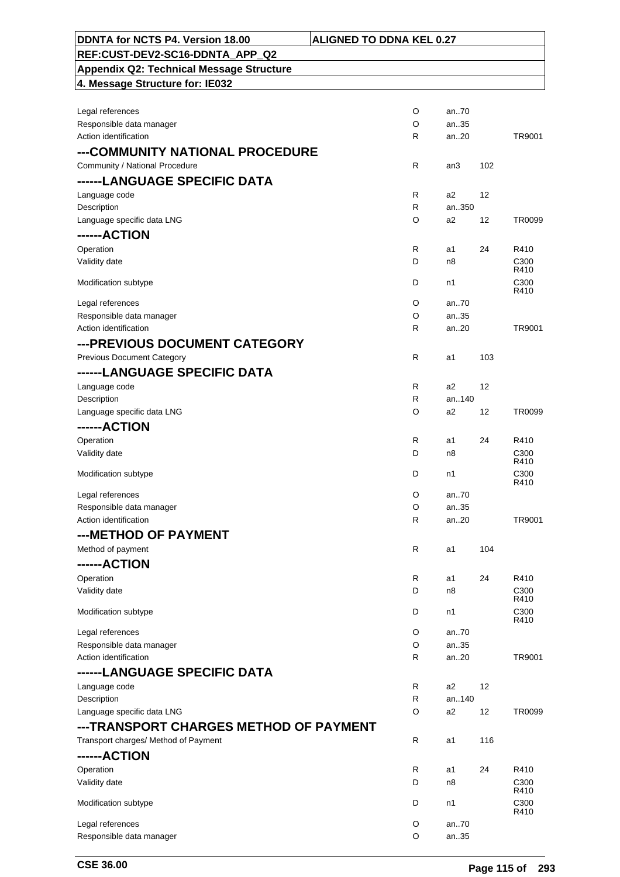| DDNTA for NCTS P4. Version 18.00                  | <b>ALIGNED TO DDNA KEL 0.27</b> |               |                    |
|---------------------------------------------------|---------------------------------|---------------|--------------------|
| REF:CUST-DEV2-SC16-DDNTA APP Q2                   |                                 |               |                    |
| <b>Appendix Q2: Technical Message Structure</b>   |                                 |               |                    |
| 4. Message Structure for: IE032                   |                                 |               |                    |
|                                                   |                                 |               |                    |
| Legal references                                  | O                               | an70          |                    |
| Responsible data manager                          | O                               | an35          |                    |
| Action identification                             | $\mathsf{R}$                    | an20          | TR9001             |
| ---COMMUNITY NATIONAL PROCEDURE                   |                                 |               |                    |
| Community / National Procedure                    | $\mathsf{R}$                    | an3           | 102                |
| ------LANGUAGE SPECIFIC DATA                      |                                 |               |                    |
| Language code                                     | R                               | a2            | 12                 |
| Description                                       | R                               | an350         |                    |
| Language specific data LNG                        | O                               | a2            | 12<br>TR0099       |
| ------ACTION                                      |                                 |               |                    |
| Operation                                         | R                               |               |                    |
| Validity date                                     | D                               | a1<br>n8      | 24<br>R410<br>C300 |
|                                                   |                                 |               | R410               |
| Modification subtype                              | D                               | n1            | C300               |
|                                                   |                                 |               | R410               |
| Legal references                                  | O                               | an.70         |                    |
| Responsible data manager<br>Action identification | O                               | an.35<br>an20 | TR9001             |
|                                                   | R                               |               |                    |
| ---PREVIOUS DOCUMENT CATEGORY                     |                                 |               |                    |
| <b>Previous Document Category</b>                 | R                               | a1            | 103                |
| ------LANGUAGE SPECIFIC DATA                      |                                 |               |                    |
| Language code                                     | $\mathsf{R}$                    | a2            | 12                 |
| Description                                       | $\mathsf{R}$                    | an140         |                    |
| Language specific data LNG                        | O                               | a2            | 12<br>TR0099       |
| ------ACTION                                      |                                 |               |                    |
| Operation                                         | R                               | a1            | 24<br>R410         |
| Validity date                                     | D                               | n8            | C300               |
|                                                   |                                 |               | R410               |
| Modification subtype                              | D                               | n1            | C300<br>R410       |
| Legal references                                  | O                               | an.70         |                    |
| Responsible data manager                          | O                               | an35          |                    |
| Action identification                             | R                               | an20          | TR9001             |
| ---METHOD OF PAYMENT                              |                                 |               |                    |
| Method of payment                                 | $\mathsf{R}$                    | a1            | 104                |
| ------ACTION                                      |                                 |               |                    |
|                                                   | R                               |               | 24<br>R410         |
| Operation<br>Validity date                        | D                               | a1<br>n8      | C300               |
|                                                   |                                 |               | R410               |
| Modification subtype                              | D                               | n1            | C300               |
|                                                   |                                 |               | R410               |
| Legal references                                  | O                               | an.70         |                    |
| Responsible data manager<br>Action identification | O                               | an35          | TR9001             |
|                                                   | R                               | an20          |                    |
| ------LANGUAGE SPECIFIC DATA                      |                                 |               |                    |
| Language code                                     | R                               | a2            | 12                 |
| Description                                       | R                               | an140         |                    |
| Language specific data LNG                        | O                               | a2            | 12<br>TR0099       |
| ---TRANSPORT CHARGES METHOD OF PAYMENT            |                                 |               |                    |
| Transport charges/ Method of Payment              | $\mathsf{R}$                    | a1            | 116                |
| ------ACTION                                      |                                 |               |                    |
| Operation                                         | R                               | a1            | 24<br>R410         |
| Validity date                                     | D                               | n8            | C300               |
|                                                   |                                 |               | R410               |
| Modification subtype                              | D                               | n1            | C300<br>R410       |
| Legal references                                  | O                               | an70          |                    |
| Responsible data manager                          | O                               | an35          |                    |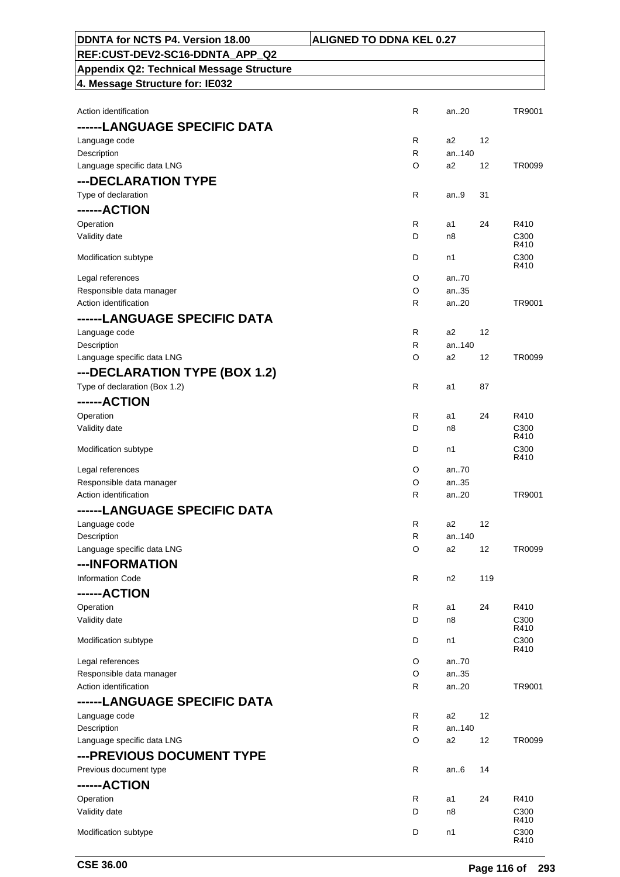| DDNTA for NCTS P4. Version 18.00             | <b>ALIGNED TO DDNA KEL 0.27</b> |     |                          |
|----------------------------------------------|---------------------------------|-----|--------------------------|
| REF:CUST-DEV2-SC16-DDNTA_APP_Q2              |                                 |     |                          |
| Appendix Q2: Technical Message Structure     |                                 |     |                          |
| 4. Message Structure for: IE032              |                                 |     |                          |
|                                              |                                 |     |                          |
| Action identification                        | $\mathsf{R}$<br>an20            |     | TR9001                   |
| ------LANGUAGE SPECIFIC DATA                 |                                 |     |                          |
| Language code                                | R<br>a2                         | 12  |                          |
| Description                                  | R<br>an140                      |     |                          |
| Language specific data LNG                   | O<br>a <sub>2</sub>             | 12  | TR0099                   |
| ---DECLARATION TYPE                          |                                 |     |                          |
| Type of declaration                          | R<br>an9                        | 31  |                          |
| ------ACTION                                 |                                 |     |                          |
| Operation                                    | $\mathsf{R}$<br>a1              | 24  | R410                     |
| Validity date                                | D<br>n8                         |     | C <sub>300</sub><br>R410 |
| Modification subtype                         | D<br>n1                         |     | C <sub>300</sub>         |
|                                              | O<br>an.70                      |     | R410                     |
| Legal references<br>Responsible data manager | O<br>an.35                      |     |                          |
| Action identification                        | R<br>an20                       |     | TR9001                   |
| ------LANGUAGE SPECIFIC DATA                 |                                 |     |                          |
| Language code                                | R<br>a2                         | 12  |                          |
| Description                                  | $\mathsf{R}$<br>an140           |     |                          |
| Language specific data LNG                   | O<br>a2                         | 12  | TR0099                   |
| ---DECLARATION TYPE (BOX 1.2)                |                                 |     |                          |
| Type of declaration (Box 1.2)                | $\mathsf{R}$<br>a1              | 87  |                          |
| ------ACTION                                 |                                 |     |                          |
| Operation                                    | R<br>a1                         | 24  | R410                     |
| Validity date                                | D<br>n8                         |     | C <sub>300</sub>         |
| Modification subtype                         | D<br>n1                         |     | R410<br>C300<br>R410     |
| Legal references                             | O<br>an70                       |     |                          |
| Responsible data manager                     | O<br>an35                       |     |                          |
| Action identification                        | R<br>an20                       |     | TR9001                   |
| ------LANGUAGE SPECIFIC DATA                 |                                 |     |                          |
| Language code                                | $\mathsf{R}$<br>a2              | 12  |                          |
| Description                                  | $\mathsf R$<br>an140            |     |                          |
| Language specific data LNG                   | O<br>a2                         | 12  | TR0099                   |
| ---INFORMATION                               |                                 |     |                          |
| <b>Information Code</b>                      | $\mathsf{R}$<br>n2              | 119 |                          |
| ------ACTION                                 |                                 |     |                          |
| Operation                                    | $\mathsf{R}$<br>a1              | 24  | R410                     |
| Validity date                                | D<br>n8                         |     | C <sub>300</sub><br>R410 |
| Modification subtype                         | D<br>n1                         |     | C300<br>R410             |
| Legal references                             | O<br>an70                       |     |                          |
| Responsible data manager                     | O<br>an35                       |     |                          |
| Action identification                        | an20<br>R                       |     | TR9001                   |
| ------LANGUAGE SPECIFIC DATA                 |                                 |     |                          |
| Language code                                | $\mathsf R$<br>a2               | 12  |                          |
| Description                                  | $\mathsf{R}$<br>an140           |     |                          |
| Language specific data LNG                   | O<br>a2                         | 12  | TR0099                   |
| --- PREVIOUS DOCUMENT TYPE                   |                                 |     |                          |
| Previous document type                       | $\mathsf{R}$<br>an $6$          | 14  |                          |
| ------ACTION                                 |                                 |     |                          |
| Operation                                    | R<br>a1                         | 24  | R410                     |
| Validity date                                | D<br>n8                         |     | C <sub>300</sub><br>R410 |
| Modification subtype                         | D<br>n1                         |     | C300<br>R410             |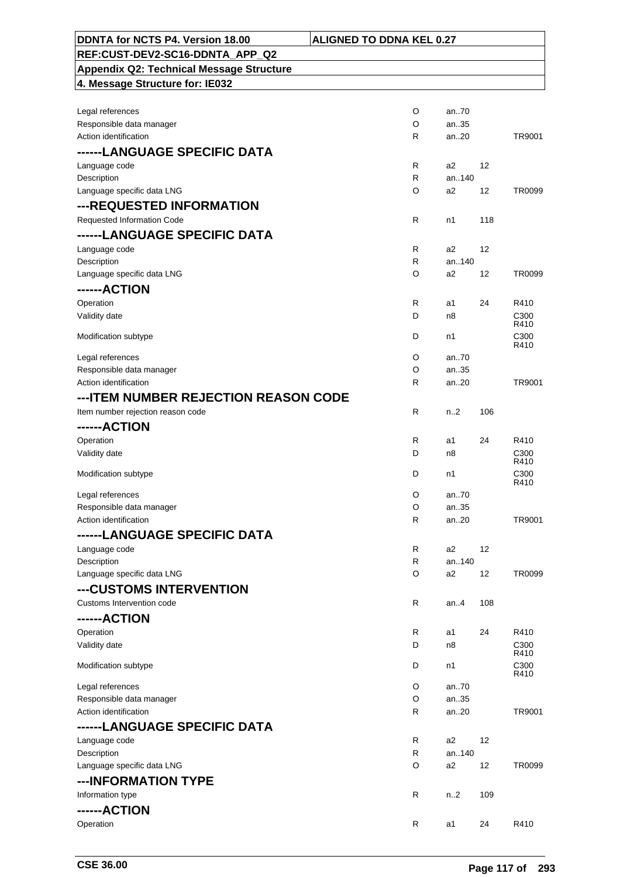| DDNTA for NCTS P4. Version 18.00                | <b>ALIGNED TO DDNA KEL 0.27</b> |                |     |                  |
|-------------------------------------------------|---------------------------------|----------------|-----|------------------|
| REF:CUST-DEV2-SC16-DDNTA_APP_Q2                 |                                 |                |     |                  |
| <b>Appendix Q2: Technical Message Structure</b> |                                 |                |     |                  |
| 4. Message Structure for: IE032                 |                                 |                |     |                  |
|                                                 |                                 |                |     |                  |
| Legal references                                | O                               | an.70          |     |                  |
| Responsible data manager                        | O                               | an35           |     |                  |
| Action identification                           | R                               | an20           |     | TR9001           |
| ------LANGUAGE SPECIFIC DATA                    |                                 |                |     |                  |
|                                                 |                                 |                |     |                  |
| Language code                                   | R<br>R                          | a2<br>an140    | 12  |                  |
| Description                                     | O                               | a2             | 12  | TR0099           |
| Language specific data LNG                      |                                 |                |     |                  |
| ---REQUESTED INFORMATION                        |                                 |                |     |                  |
| Requested Information Code                      | R                               | n1             | 118 |                  |
| ------LANGUAGE SPECIFIC DATA                    |                                 |                |     |                  |
| Language code                                   | R                               | a <sub>2</sub> | 12  |                  |
| Description                                     | R                               | an140          |     |                  |
| Language specific data LNG                      | O                               | a <sub>2</sub> | 12  | TR0099           |
| ------ACTION                                    |                                 |                |     |                  |
| Operation                                       | R                               | a1             | 24  | R410             |
| Validity date                                   | D                               | n8             |     | C300             |
|                                                 |                                 |                |     | R410             |
| Modification subtype                            | D                               | n1             |     | C300<br>R410     |
| Legal references                                | O                               | an70           |     |                  |
| Responsible data manager                        | O                               | an35           |     |                  |
| Action identification                           | R                               | an20           |     | TR9001           |
| --- ITEM NUMBER REJECTION REASON CODE           |                                 |                |     |                  |
| Item number rejection reason code               | R                               | n <sub>2</sub> | 106 |                  |
| ------ACTION                                    |                                 |                |     |                  |
|                                                 |                                 | a1             | 24  | R410             |
| Operation<br>Validity date                      | R<br>D                          | n8             |     | C300             |
|                                                 |                                 |                |     | R410             |
| Modification subtype                            | D                               | n1             |     | C <sub>300</sub> |
|                                                 |                                 |                |     | R410             |
| Legal references                                | O                               | an70           |     |                  |
| Responsible data manager                        | $\circ$                         | an35           |     |                  |
| Action identification                           | R                               | an20           |     | TR9001           |
| ------LANGUAGE SPECIFIC DATA                    |                                 |                |     |                  |
| Language code                                   | R                               | a <sub>2</sub> | 12  |                  |
| Description                                     | R                               | an140          |     |                  |
| Language specific data LNG                      | O                               | a <sub>2</sub> | 12  | TR0099           |
| ---CUSTOMS INTERVENTION                         |                                 |                |     |                  |
| Customs Intervention code                       | R                               | an $4$         | 108 |                  |
| ------ACTION                                    |                                 |                |     |                  |
| Operation                                       | R                               | a1             | 24  | R410             |
| Validity date                                   | D                               | n8             |     | C300             |
|                                                 |                                 |                |     | R410             |
| Modification subtype                            | D                               | n1             |     | C300<br>R410     |
| Legal references                                | O                               | an70           |     |                  |
| Responsible data manager                        | O                               | an35           |     |                  |
| Action identification                           | R                               | an20           |     | TR9001           |
| ------LANGUAGE SPECIFIC DATA                    |                                 |                |     |                  |
| Language code                                   | R                               | a2             | 12  |                  |
| Description                                     | R                               | an140          |     |                  |
| Language specific data LNG                      | O                               | a2             | 12  | TR0099           |
| ---INFORMATION TYPE                             |                                 |                |     |                  |
| Information type                                | R                               | n <sub>2</sub> | 109 |                  |
| ------ACTION                                    |                                 |                |     |                  |
|                                                 | $\mathsf{R}$                    |                |     |                  |
| Operation                                       |                                 | a1             | 24  | R410             |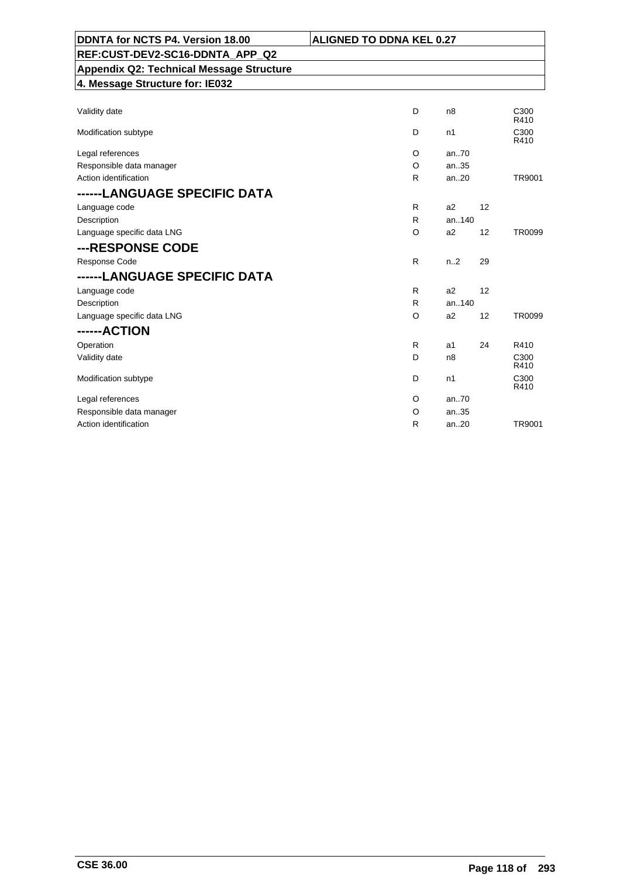| DDNTA for NCTS P4. Version 18.00                | <b>ALIGNED TO DDNA KEL 0.27</b> |                  |    |               |
|-------------------------------------------------|---------------------------------|------------------|----|---------------|
| REF:CUST-DEV2-SC16-DDNTA APP Q2                 |                                 |                  |    |               |
| <b>Appendix Q2: Technical Message Structure</b> |                                 |                  |    |               |
| 4. Message Structure for: IE032                 |                                 |                  |    |               |
|                                                 |                                 |                  |    |               |
| Validity date                                   | D                               | n <sub>8</sub>   |    | C300<br>R410  |
| Modification subtype                            | D                               | n1               |    | C300<br>R410  |
| Legal references                                | O                               | an70             |    |               |
| Responsible data manager                        | O                               | an35             |    |               |
| Action identification                           | R                               | an20             |    | TR9001        |
| ------LANGUAGE SPECIFIC DATA                    |                                 |                  |    |               |
| Language code                                   | R                               | a2               | 12 |               |
| Description                                     | R                               | an140            |    |               |
| Language specific data LNG                      | O                               | a <sub>2</sub>   | 12 | TR0099        |
| ---RESPONSE CODE                                |                                 |                  |    |               |
| Response Code                                   | R                               | n <sub>1</sub> 2 | 29 |               |
| ------LANGUAGE SPECIFIC DATA                    |                                 |                  |    |               |
| Language code                                   | R                               | a2               | 12 |               |
| Description                                     | R                               | an140            |    |               |
| Language specific data LNG                      | O                               | a2               | 12 | <b>TR0099</b> |
| ------ACTION                                    |                                 |                  |    |               |
| Operation                                       | R                               | a1               | 24 | R410          |
| Validity date                                   | D                               | n8               |    | C300<br>R410  |
| Modification subtype                            | D                               | n1               |    | C300<br>R410  |
| Legal references                                | $\circ$                         | an.70            |    |               |
| Responsible data manager                        | O                               | an35             |    |               |
| Action identification                           | R                               | an20             |    | TR9001        |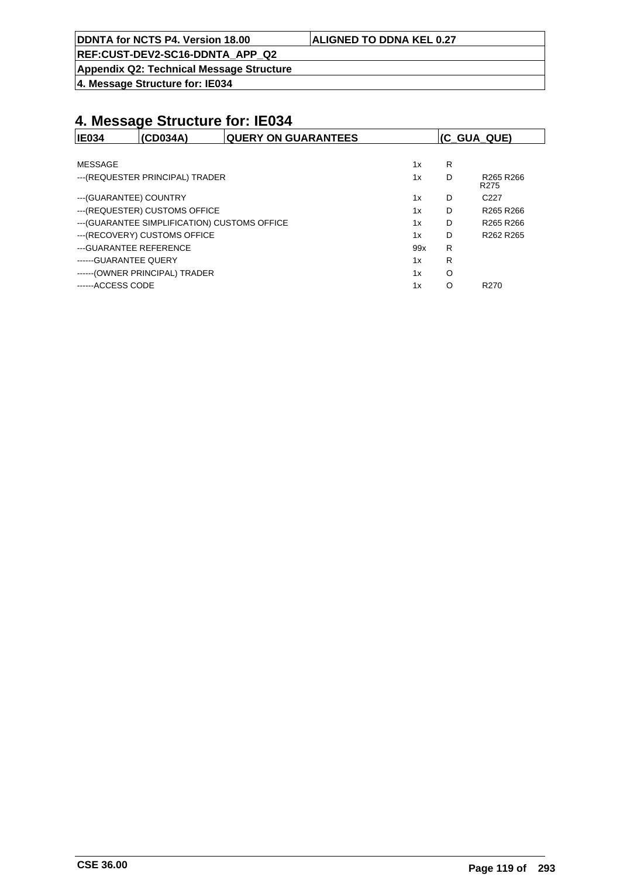**DDNTA for NCTS P4. Version 18.00 ALIGNED TO DDNA KEL 0.27**

**REF:CUST-DEV2-SC16-DDNTA\_APP\_Q2**

**Appendix Q2: Technical Message Structure**

**4. Message Structure for: IE034**

| <b>IE034</b>            | (CD034A)                                      | <b>QUERY ON GUARANTEES</b> |     |   | (C_GUA_QUE)                                           |
|-------------------------|-----------------------------------------------|----------------------------|-----|---|-------------------------------------------------------|
|                         |                                               |                            |     |   |                                                       |
| MESSAGE                 |                                               |                            | 1x  | R |                                                       |
|                         | --- (REQUESTER PRINCIPAL) TRADER              |                            | 1x  | D | R <sub>265</sub> R <sub>266</sub><br>R <sub>275</sub> |
| --- (GUARANTEE) COUNTRY |                                               |                            | 1x  | D | C <sub>227</sub>                                      |
|                         | --- (REQUESTER) CUSTOMS OFFICE                |                            | 1x  | D | R265 R266                                             |
|                         | --- (GUARANTEE SIMPLIFICATION) CUSTOMS OFFICE |                            | 1x  | D | R <sub>265</sub> R <sub>266</sub>                     |
|                         | --- (RECOVERY) CUSTOMS OFFICE                 |                            | 1x  | D | R262 R265                                             |
| --- GUARANTEE REFERENCE |                                               |                            | 99x | R |                                                       |
| ------ GUARANTEE QUERY  |                                               |                            | 1x  | R |                                                       |
|                         | ------ (OWNER PRINCIPAL) TRADER               |                            | 1x  | O |                                                       |
| ------ACCESS CODE       |                                               |                            | 1x  | O | R <sub>270</sub>                                      |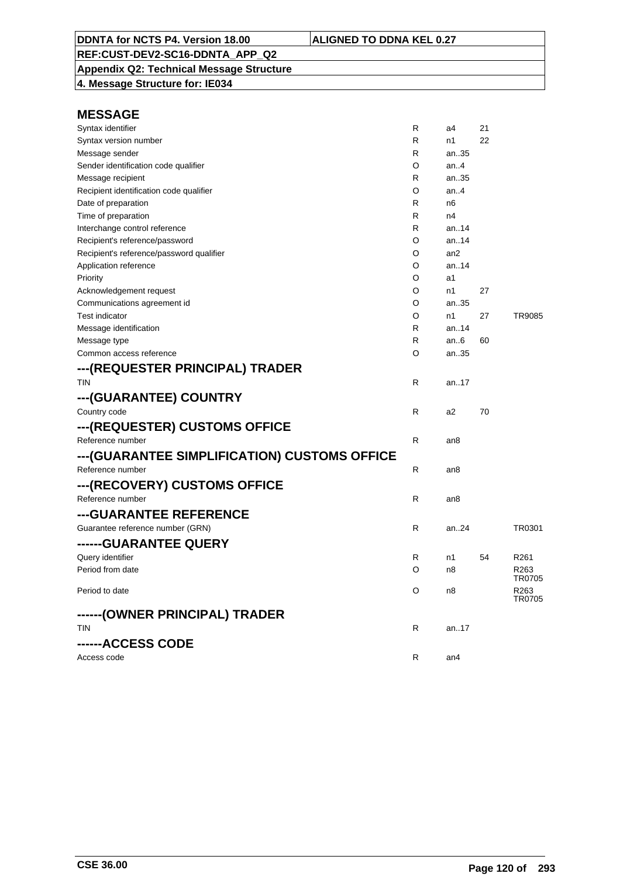**Appendix Q2: Technical Message Structure 4. Message Structure for: IE034**

| Syntax identifier                            | R | a4              | 21 |                            |
|----------------------------------------------|---|-----------------|----|----------------------------|
| Syntax version number                        | R | n1              | 22 |                            |
| Message sender                               | R | an35            |    |                            |
| Sender identification code qualifier         | O | an.4            |    |                            |
| Message recipient                            | R | an35            |    |                            |
| Recipient identification code qualifier      | O | an.4            |    |                            |
| Date of preparation                          | R | n <sub>6</sub>  |    |                            |
| Time of preparation                          | R | n4              |    |                            |
| Interchange control reference                | R | an14            |    |                            |
| Recipient's reference/password               | O | an14            |    |                            |
| Recipient's reference/password qualifier     | O | an2             |    |                            |
| Application reference                        | O | an14            |    |                            |
| Priority                                     | O | a1              |    |                            |
| Acknowledgement request                      | O | n1              | 27 |                            |
| Communications agreement id                  | O | an35            |    |                            |
| <b>Test indicator</b>                        | O | n1              | 27 | TR9085                     |
| Message identification                       | R | an14            |    |                            |
| Message type                                 | R | an.6            | 60 |                            |
| Common access reference                      | O | an35            |    |                            |
| ---(REQUESTER PRINCIPAL) TRADER              |   |                 |    |                            |
| <b>TIN</b>                                   | R | an17            |    |                            |
| ---(GUARANTEE) COUNTRY                       |   |                 |    |                            |
| Country code                                 | R | a2              | 70 |                            |
| ---(REQUESTER) CUSTOMS OFFICE                |   |                 |    |                            |
| Reference number                             | R | an <sub>8</sub> |    |                            |
| ---(GUARANTEE SIMPLIFICATION) CUSTOMS OFFICE |   |                 |    |                            |
| Reference number                             | R | an8             |    |                            |
| ---(RECOVERY) CUSTOMS OFFICE                 |   |                 |    |                            |
| Reference number                             | R | an8             |    |                            |
| ---GUARANTEE REFERENCE                       |   |                 |    |                            |
| Guarantee reference number (GRN)             | R | an24            |    | TR0301                     |
| ------GUARANTEE QUERY                        |   |                 |    |                            |
| Query identifier                             | R | n1              | 54 | R <sub>261</sub>           |
| Period from date                             | O | n8              |    | R <sub>263</sub>           |
|                                              |   |                 |    | TR0705                     |
| Period to date                               | O | n8              |    | R <sub>263</sub><br>TR0705 |
| ------(OWNER PRINCIPAL) TRADER               |   |                 |    |                            |
| <b>TIN</b>                                   | R | an17            |    |                            |
|                                              |   |                 |    |                            |
| ------ACCESS CODE                            |   |                 |    |                            |
| Access code                                  | R | an4             |    |                            |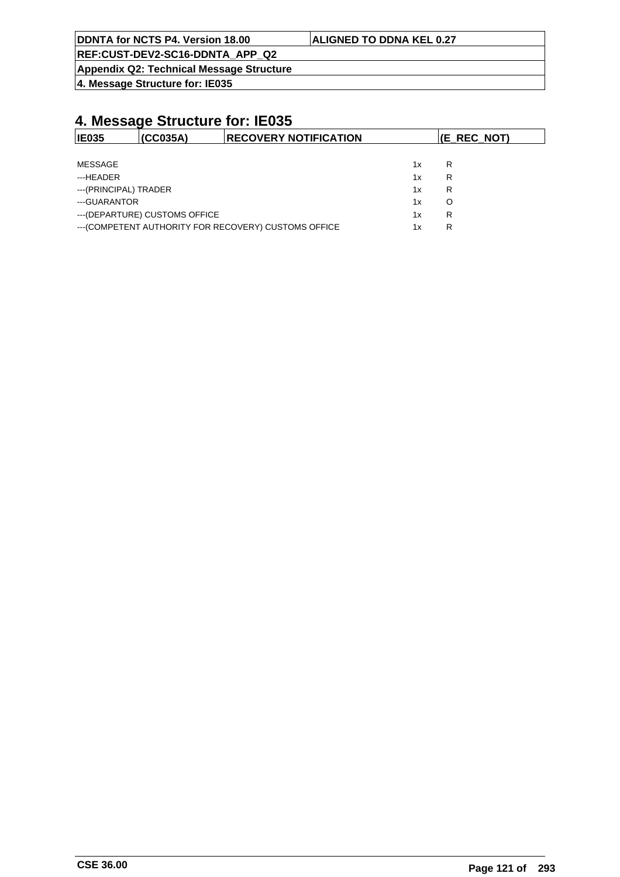| DDNTA for NCTS P4. Version 18.00       | <b>ALIGNED TO DDNA KEL 0.27</b> |
|----------------------------------------|---------------------------------|
| $DEF:CIIST\_DEV2\_C16\_DDNTA$ ADD $O2$ |                                 |

<u>-SC16-DDNTA\_APP</u> **Appendix Q2: Technical Message Structure**

**4. Message Structure for: IE035**

| <b>IE035</b>          | (CCO35A)                       | <b>RECOVERY NOTIFICATION</b>                          |    | (E_REC_NOT) |
|-----------------------|--------------------------------|-------------------------------------------------------|----|-------------|
|                       |                                |                                                       |    |             |
| MESSAGE               |                                |                                                       | 1x | R           |
| ---HEADER             |                                |                                                       | 1x | R           |
| ---(PRINCIPAL) TRADER |                                |                                                       | 1x | R           |
| ---GUARANTOR          |                                |                                                       | 1x | O           |
|                       | --- (DEPARTURE) CUSTOMS OFFICE |                                                       | 1x | R           |
|                       |                                | --- (COMPETENT AUTHORITY FOR RECOVERY) CUSTOMS OFFICE | 1x | R           |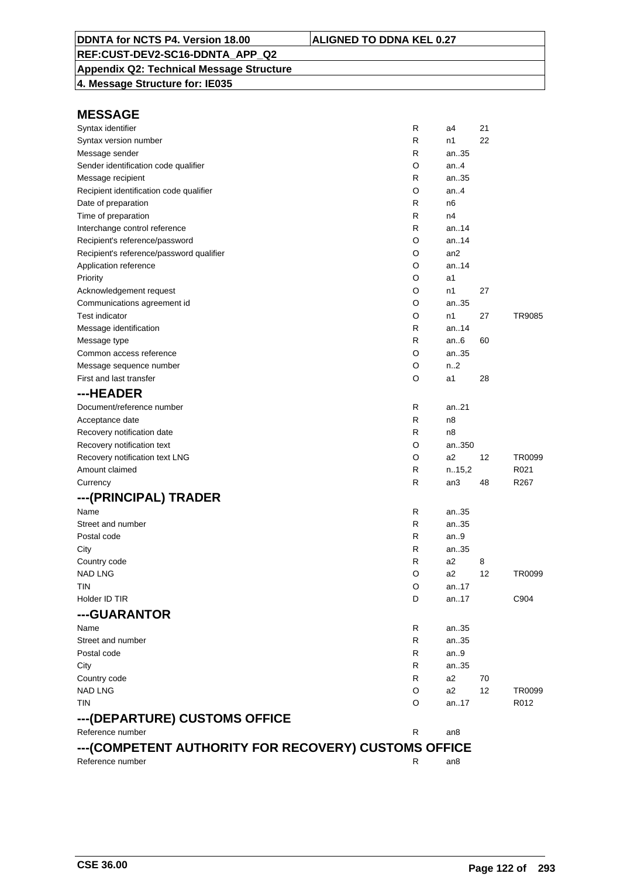# **Appendix Q2: Technical Message Structure**

**4. Message Structure for: IE035**

| Syntax identifier                                    | R | a4               | 21 |                  |
|------------------------------------------------------|---|------------------|----|------------------|
| Syntax version number                                | R | n1               | 22 |                  |
| Message sender                                       | R | an35             |    |                  |
| Sender identification code qualifier                 | O | an.4             |    |                  |
| Message recipient                                    | R | an35             |    |                  |
| Recipient identification code qualifier              | O | an.4             |    |                  |
| Date of preparation                                  | R | n6               |    |                  |
| Time of preparation                                  | R | n4               |    |                  |
| Interchange control reference                        | R | an.14            |    |                  |
| Recipient's reference/password                       | O | an14             |    |                  |
| Recipient's reference/password qualifier             | O | an <sub>2</sub>  |    |                  |
| Application reference                                | O | an14             |    |                  |
| Priority                                             | O | a1               |    |                  |
| Acknowledgement request                              | O | n1               | 27 |                  |
| Communications agreement id                          | O | an35             |    |                  |
| <b>Test indicator</b>                                | O | n1               | 27 | TR9085           |
| Message identification                               | R | an14             |    |                  |
| Message type                                         | R | an $6$           | 60 |                  |
| Common access reference                              | O | an35             |    |                  |
| Message sequence number                              | O | n <sub>1</sub> 2 |    |                  |
| First and last transfer                              | O | a1               | 28 |                  |
| ---HEADER                                            |   |                  |    |                  |
| Document/reference number                            | R | an21             |    |                  |
| Acceptance date                                      | R | n8               |    |                  |
| Recovery notification date                           | R | n8               |    |                  |
| Recovery notification text                           | O | an350            |    |                  |
| Recovery notification text LNG                       | O | a2               | 12 | TR0099           |
| Amount claimed                                       | R | n.15,2           |    | R021             |
| Currency                                             | R | an3              | 48 | R <sub>267</sub> |
|                                                      |   |                  |    |                  |
| ---(PRINCIPAL) TRADER                                |   |                  |    |                  |
| Name                                                 | R | an35             |    |                  |
| Street and number                                    | R | an35             |    |                  |
| Postal code                                          | R | an9              |    |                  |
| City                                                 | R | an35             |    |                  |
| Country code                                         | R | a2               | 8  |                  |
| <b>NAD LNG</b>                                       | O | a2               | 12 | TR0099           |
| tin                                                  | O | an17             |    |                  |
| Holder ID TIR                                        | D | an17             |    | C904             |
| ---GUARANTOR                                         |   |                  |    |                  |
| Name                                                 | R | an35             |    |                  |
| Street and number                                    | R | an35             |    |                  |
| Postal code                                          | R | an.9             |    |                  |
| City                                                 | R | an35             |    |                  |
| Country code                                         | R | a2               | 70 |                  |
| <b>NAD LNG</b>                                       | O | a2               | 12 | TR0099           |
| <b>TIN</b>                                           | O | an17             |    | R012             |
| ---(DEPARTURE) CUSTOMS OFFICE                        |   |                  |    |                  |
| Reference number                                     | R | an8              |    |                  |
| ---(COMPETENT AUTHORITY FOR RECOVERY) CUSTOMS OFFICE |   |                  |    |                  |
| Reference number                                     | R | an8              |    |                  |
|                                                      |   |                  |    |                  |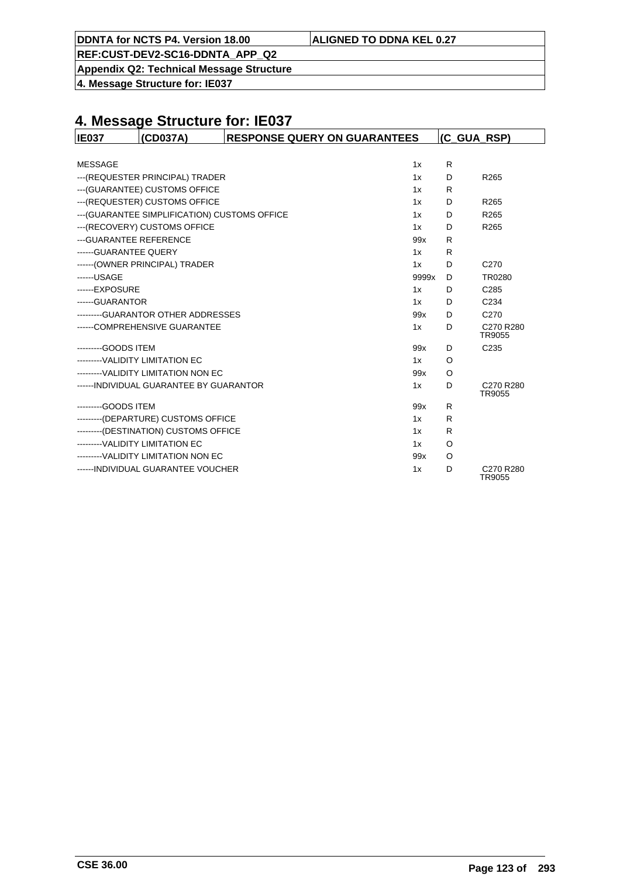|  | DDNTA for NCTS P4. Version 18.00 | <b>ALIGNED TO DDNA KEL 0.27</b> |
|--|----------------------------------|---------------------------------|
|--|----------------------------------|---------------------------------|

**Appendix Q2: Technical Message Structure**

**4. Message Structure for: IE037**

| <b>IE037</b>                    | (CD037A)                                      | <b>RESPONSE QUERY ON GUARANTEES</b> |       | (C GUA RSP) |                     |
|---------------------------------|-----------------------------------------------|-------------------------------------|-------|-------------|---------------------|
|                                 |                                               |                                     |       |             |                     |
| <b>MESSAGE</b>                  |                                               |                                     | 1x    | R           |                     |
|                                 | --- (REQUESTER PRINCIPAL) TRADER              |                                     | 1x    | D           | R <sub>265</sub>    |
|                                 | --- (GUARANTEE) CUSTOMS OFFICE                |                                     | 1x    | R           |                     |
|                                 | --- (REQUESTER) CUSTOMS OFFICE                |                                     | 1x    | D           | R265                |
|                                 | --- (GUARANTEE SIMPLIFICATION) CUSTOMS OFFICE |                                     | 1x    | D           | R <sub>265</sub>    |
|                                 | --- (RECOVERY) CUSTOMS OFFICE                 |                                     | 1x    | D           | R <sub>265</sub>    |
| --- GUARANTEE REFERENCE         |                                               |                                     | 99x   | R           |                     |
| ------ GUARANTEE QUERY          |                                               |                                     | 1x    | R           |                     |
|                                 | ------ (OWNER PRINCIPAL) TRADER               |                                     | 1x    | D           | C <sub>270</sub>    |
| ------USAGE                     |                                               |                                     | 9999x | D           | TR0280              |
| ------EXPOSURE                  |                                               |                                     | 1x    | D           | C <sub>285</sub>    |
| ------GUARANTOR                 |                                               |                                     | 1x    | D           | C <sub>234</sub>    |
|                                 | ---------GUARANTOR OTHER ADDRESSES            |                                     | 99x   | D           | C <sub>270</sub>    |
|                                 | ------COMPREHENSIVE GUARANTEE                 |                                     | 1x    | D           | C270 R280<br>TR9055 |
| ---------GOODS ITEM             |                                               |                                     | 99x   | D           | C <sub>235</sub>    |
|                                 | ---------VALIDITY LIMITATION EC               |                                     | 1x    | O           |                     |
|                                 | --------- VALIDITY LIMITATION NON EC          |                                     | 99x   | $\circ$     |                     |
|                                 | ------ INDIVIDUAL GUARANTEE BY GUARANTOR      |                                     | 1x    | D           | C270 R280<br>TR9055 |
| ---------GOODS ITEM             |                                               |                                     | 99x   | R           |                     |
|                                 | --------(DEPARTURE) CUSTOMS OFFICE            |                                     | 1x    | R           |                     |
|                                 | ---------(DESTINATION) CUSTOMS OFFICE         |                                     | 1x    | R           |                     |
| ---------VALIDITY LIMITATION EC |                                               |                                     | 1x    | O           |                     |
|                                 | ---------VALIDITY LIMITATION NON EC           |                                     | 99x   | $\circ$     |                     |
|                                 | ------ INDIVIDUAL GUARANTEE VOUCHER           |                                     | 1x    | D           | C270 R280<br>TR9055 |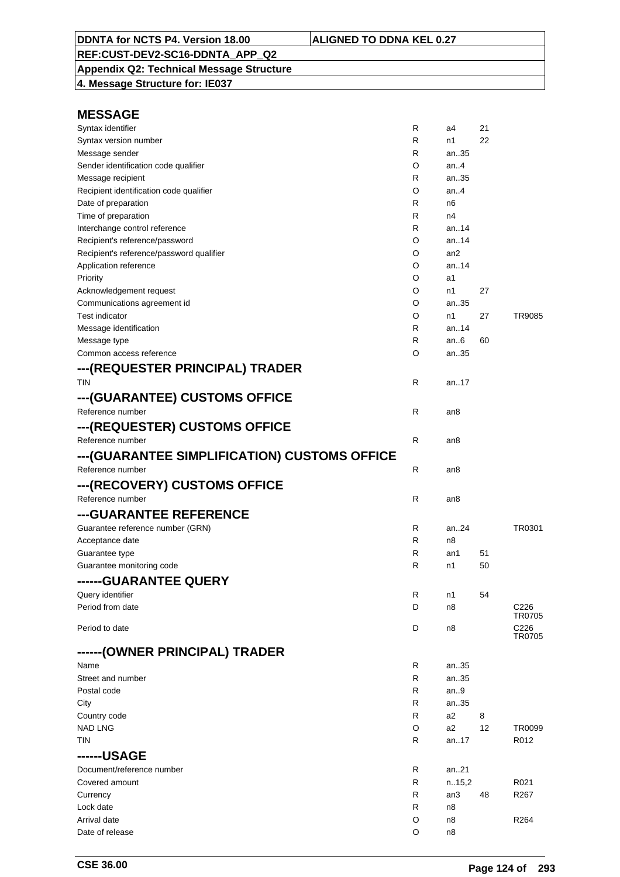**Appendix Q2: Technical Message Structure 4. Message Structure for: IE037**

| Syntax identifier                            | R | a4     | 21 |                  |
|----------------------------------------------|---|--------|----|------------------|
| Syntax version number                        | R | n1     | 22 |                  |
| Message sender                               | R | an35   |    |                  |
| Sender identification code qualifier         | O | an4    |    |                  |
| Message recipient                            | R | an35   |    |                  |
| Recipient identification code qualifier      | O | an4    |    |                  |
| Date of preparation                          | R | n6     |    |                  |
| Time of preparation                          | R | n4     |    |                  |
| Interchange control reference                | R | an14   |    |                  |
| Recipient's reference/password               | O | an14   |    |                  |
| Recipient's reference/password qualifier     | O | an2    |    |                  |
| Application reference                        | O | an.14  |    |                  |
| Priority                                     | O | a1     |    |                  |
| Acknowledgement request                      | O | n1     | 27 |                  |
| Communications agreement id                  | O | an35   |    |                  |
| <b>Test indicator</b>                        | O | n1     | 27 | TR9085           |
| Message identification                       | R | an14   |    |                  |
| Message type                                 | R | an6    | 60 |                  |
| Common access reference                      | O | an35   |    |                  |
| ---(REQUESTER PRINCIPAL) TRADER              |   |        |    |                  |
| <b>TIN</b>                                   | R | an17   |    |                  |
| ---(GUARANTEE) CUSTOMS OFFICE                |   |        |    |                  |
|                                              |   |        |    |                  |
| Reference number                             | R | an8    |    |                  |
| ---(REQUESTER) CUSTOMS OFFICE                |   |        |    |                  |
| Reference number                             | R | an8    |    |                  |
| ---(GUARANTEE SIMPLIFICATION) CUSTOMS OFFICE |   |        |    |                  |
| Reference number                             | R | an8    |    |                  |
| ---(RECOVERY) CUSTOMS OFFICE                 |   |        |    |                  |
| Reference number                             | R | an8    |    |                  |
| ---GUARANTEE REFERENCE                       |   |        |    |                  |
|                                              |   |        |    |                  |
| Guarantee reference number (GRN)             | R | an24   |    | TR0301           |
| Acceptance date                              | R | n8     |    |                  |
| Guarantee type                               | R | an1    | 51 |                  |
| Guarantee monitoring code                    | R | n1     | 50 |                  |
| ------GUARANTEE QUERY                        |   |        |    |                  |
| Query identifier                             | R | n1     | 54 |                  |
| Period from date                             | D | n8     |    | C226<br>TR0705   |
| Period to date                               | D | n8     |    | C226             |
|                                              |   |        |    | TR0705           |
| ------(OWNER PRINCIPAL) TRADER               |   |        |    |                  |
| Name                                         | R | an35   |    |                  |
| Street and number                            | R | an35   |    |                  |
| Postal code                                  | R | an9    |    |                  |
| City                                         | R | an35   |    |                  |
| Country code                                 | R | a2     | 8  |                  |
| <b>NAD LNG</b>                               | O | a2     | 12 | TR0099           |
| TIN                                          | R | an17   |    | R012             |
| ------USAGE                                  |   |        |    |                  |
| Document/reference number                    | R | an21   |    |                  |
| Covered amount                               | R | n.15,2 |    | R021             |
| Currency                                     | R | an3    | 48 | R <sub>267</sub> |
| Lock date                                    | R | n8     |    |                  |
| Arrival date                                 | O | n8     |    | R264             |
| Date of release                              | O | n8     |    |                  |
|                                              |   |        |    |                  |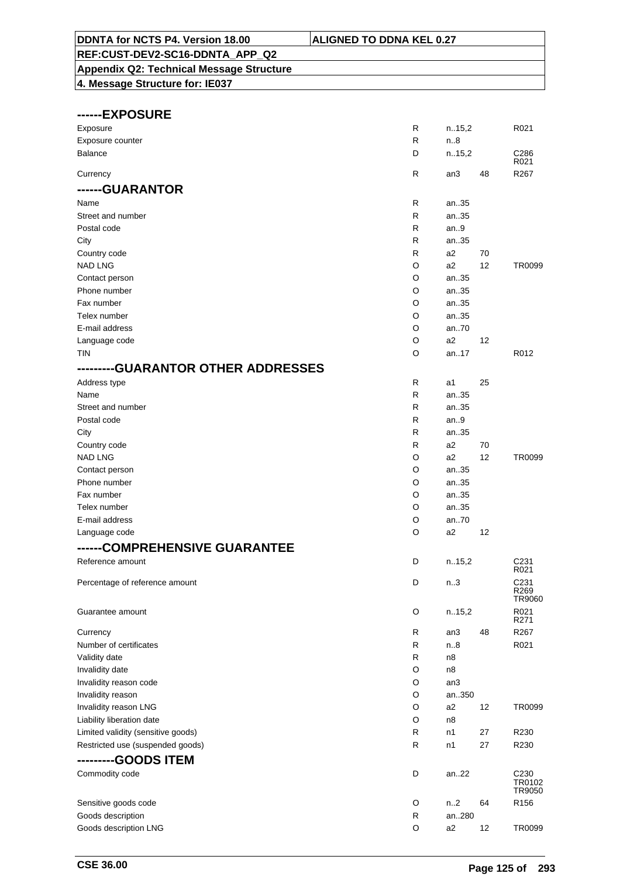# **Appendix Q2: Technical Message Structure**

| ------EXPOSURE                                 |              |        |    |                          |
|------------------------------------------------|--------------|--------|----|--------------------------|
| Exposure                                       | $\mathsf{R}$ | n.15,2 |    | R021                     |
| Exposure counter                               | $\mathsf{R}$ | n.8    |    |                          |
| <b>Balance</b>                                 | D            | n.15,2 |    | C286<br>R021             |
| Currency                                       | $\mathsf{R}$ | an3    | 48 | R267                     |
| ------GUARANTOR                                |              |        |    |                          |
| Name                                           | R            | an35   |    |                          |
| Street and number                              | R            | an35   |    |                          |
| Postal code                                    | R            | an.9   |    |                          |
| City                                           | R            | an35   |    |                          |
| Country code                                   | R            | a2     | 70 |                          |
| <b>NAD LNG</b>                                 | O            | a2     | 12 | TR0099                   |
| Contact person                                 | O            | an35   |    |                          |
| Phone number                                   | O            | an35   |    |                          |
| Fax number                                     | O            | an35   |    |                          |
| Telex number                                   | O            | an35   |    |                          |
| E-mail address                                 | O            | an70   |    |                          |
| Language code                                  | O            | a2     | 12 |                          |
| <b>TIN</b>                                     | O            | an.17  |    | R012                     |
| <b>--GUARANTOR OTHER ADDRESSES</b><br>-------- |              |        |    |                          |
| Address type                                   | R            | a1     | 25 |                          |
| Name                                           | $\mathsf{R}$ | an35   |    |                          |
| Street and number                              | R            | an35   |    |                          |
| Postal code                                    | R            | an.9   |    |                          |
| City                                           | R            | an35   |    |                          |
|                                                | R            | a2     | 70 |                          |
| Country code<br><b>NAD LNG</b>                 | O            | a2     | 12 | TR0099                   |
|                                                |              |        |    |                          |
| Contact person                                 | O            | an35   |    |                          |
| Phone number                                   | O            | an35   |    |                          |
| Fax number                                     | O            | an35   |    |                          |
| Telex number                                   | O            | an35   |    |                          |
| E-mail address                                 | O            | an70   |    |                          |
| Language code                                  | O            | a2     | 12 |                          |
| ------COMPREHENSIVE GUARANTEE                  |              |        |    |                          |
| Reference amount                               | D            | n.15,2 |    | C <sub>231</sub><br>R021 |
| Percentage of reference amount                 | D            | n3     |    | C <sub>231</sub><br>R269 |
|                                                |              |        |    | TR9060                   |
| Guarantee amount                               | O            | n.15,2 |    | R021                     |
|                                                |              |        |    | R271                     |
| Currency                                       | R            | an3    | 48 | R267                     |
| Number of certificates                         | R            | n.8    |    | R021                     |
| Validity date                                  | R            | n8     |    |                          |
| Invalidity date                                | O            | n8     |    |                          |
| Invalidity reason code                         | O            | an3    |    |                          |
| Invalidity reason                              | O            | an350  |    |                          |
| Invalidity reason LNG                          | O            | a2     | 12 | TR0099                   |
| Liability liberation date                      | O            | n8     |    |                          |
| Limited validity (sensitive goods)             | R            | n1     | 27 | R230                     |
| Restricted use (suspended goods)               | R            | n1     | 27 | R230                     |
| ---------GOODS ITEM                            |              |        |    |                          |
| Commodity code                                 | D            | an22   |    | C <sub>230</sub>         |
|                                                |              |        |    | TR0102<br>TR9050         |
| Sensitive goods code                           | O            | n.2    | 64 | R <sub>156</sub>         |
| Goods description                              | R            | an280  |    |                          |
| Goods description LNG                          | O            | a2     | 12 | TR0099                   |
|                                                |              |        |    |                          |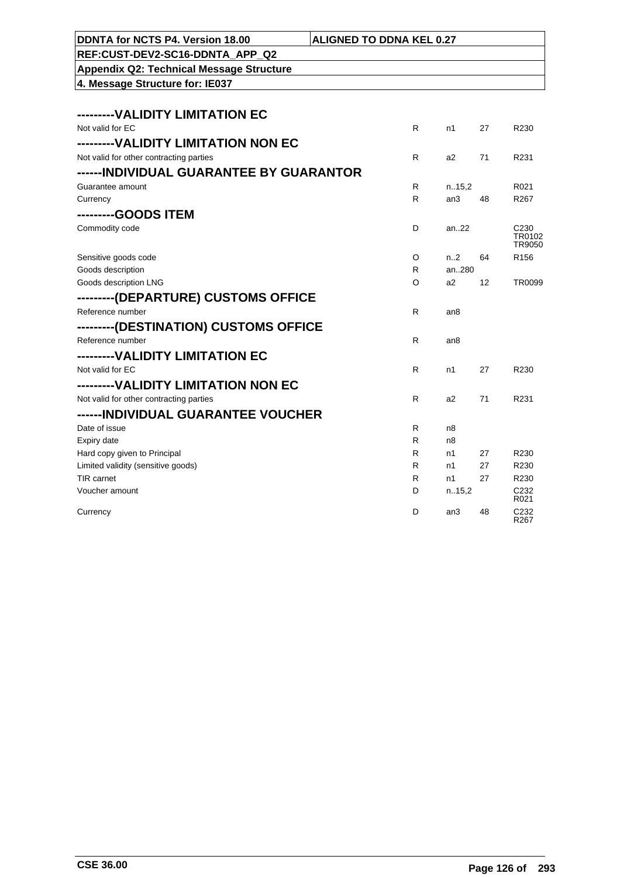| DDNTA for NCTS P4. Version 18.00                | <b>ALIGNED TO DDNA KEL 0.27</b> |                  |                 |                          |
|-------------------------------------------------|---------------------------------|------------------|-----------------|--------------------------|
| REF:CUST-DEV2-SC16-DDNTA APP Q2                 |                                 |                  |                 |                          |
| <b>Appendix Q2: Technical Message Structure</b> |                                 |                  |                 |                          |
| 4. Message Structure for: IE037                 |                                 |                  |                 |                          |
|                                                 |                                 |                  |                 |                          |
| --------VALIDITY LIMITATION EC                  |                                 |                  |                 |                          |
| Not valid for EC                                | R                               | n1               | 27              | R230                     |
| --------VALIDITY LIMITATION NON EC              |                                 |                  |                 |                          |
| Not valid for other contracting parties         | R                               | a2               | 71              | R231                     |
| ------ INDIVIDUAL GUARANTEE BY GUARANTOR        |                                 |                  |                 |                          |
| Guarantee amount                                | R                               | n.15,2           |                 | R <sub>021</sub>         |
| Currency                                        | R                               | an3              | 48              | R <sub>267</sub>         |
| --------GOODS ITEM                              |                                 |                  |                 |                          |
| Commodity code                                  | D                               | an22             |                 | C <sub>230</sub>         |
|                                                 |                                 |                  |                 | TR0102<br>TR9050         |
| Sensitive goods code                            | O                               | n <sub>1</sub> 2 | 64              | R <sub>156</sub>         |
| Goods description                               | R                               | an280            |                 |                          |
| Goods description LNG                           | O                               | a2               | 12 <sup>°</sup> | TR0099                   |
| ---------(DEPARTURE) CUSTOMS OFFICE             |                                 |                  |                 |                          |
| Reference number                                | R                               | an8              |                 |                          |
| ---------(DESTINATION) CUSTOMS OFFICE           |                                 |                  |                 |                          |
| Reference number                                | R                               | an <sub>8</sub>  |                 |                          |
| ---------VALIDITY LIMITATION EC                 |                                 |                  |                 |                          |
| Not valid for EC                                | R                               | n1               | 27              | R230                     |
| --------VALIDITY LIMITATION NON EC              |                                 |                  |                 |                          |
| Not valid for other contracting parties         | R                               | a2               | 71              | R231                     |
| ------INDIVIDUAL GUARANTEE VOUCHER              |                                 |                  |                 |                          |
| Date of issue                                   | R                               | n8               |                 |                          |
| Expiry date                                     | R                               | n8               |                 |                          |
| Hard copy given to Principal                    | R.                              | n1               | 27              | R230                     |
| Limited validity (sensitive goods)              | R                               | n1               | 27              | R230                     |
| <b>TIR</b> carnet                               | R                               | n1               | 27              | R230                     |
| Voucher amount                                  | D                               | n.15,2           |                 | C <sub>232</sub><br>R021 |
| Currency                                        | D                               | an <sub>3</sub>  | 48              | C232<br>R267             |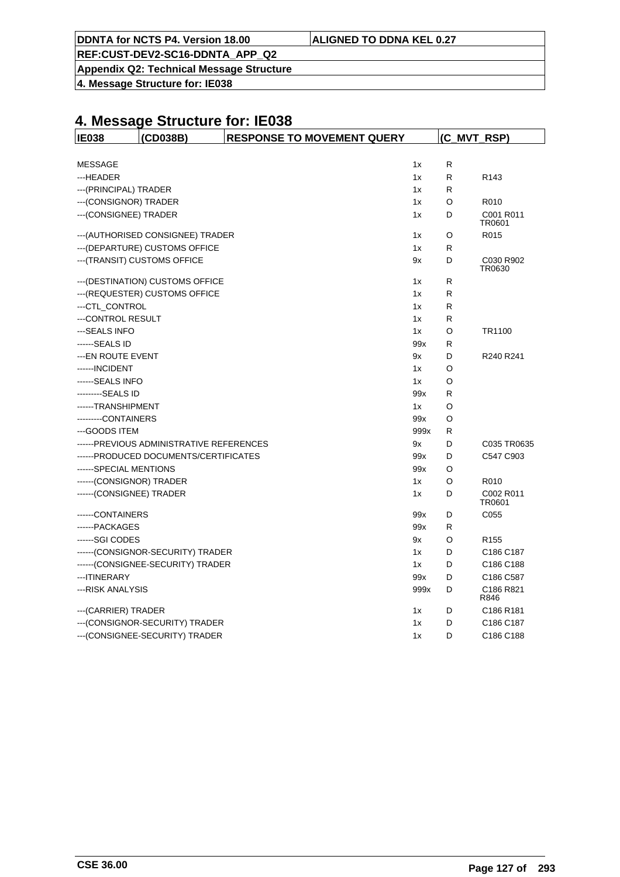|  | DDNTA for NCTS P4. Version 18.00 | <b>ALIGNED TO DDNA KEL 0.27</b> |
|--|----------------------------------|---------------------------------|
|--|----------------------------------|---------------------------------|

**Appendix Q2: Technical Message Structure**

**4. Message Structure for: IE038**

| <b>IE038</b>             | (CD038B)                                  | <b>RESPONSE TO MOVEMENT QUERY</b> | (C_MVT_RSP) |   |                     |
|--------------------------|-------------------------------------------|-----------------------------------|-------------|---|---------------------|
|                          |                                           |                                   |             |   |                     |
| <b>MESSAGE</b>           |                                           |                                   | 1x          | R |                     |
| ---HEADER                |                                           |                                   | 1x          | R | R <sub>143</sub>    |
| --- (PRINCIPAL) TRADER   |                                           |                                   | 1x          | R |                     |
| --- (CONSIGNOR) TRADER   |                                           |                                   | 1x          | O | R010                |
| --- (CONSIGNEE) TRADER   |                                           |                                   | 1x          | D | C001 R011<br>TR0601 |
|                          | ---(AUTHORISED CONSIGNEE) TRADER          |                                   | 1x          | O | R015                |
|                          | --- (DEPARTURE) CUSTOMS OFFICE            |                                   | 1x          | R |                     |
|                          | --- (TRANSIT) CUSTOMS OFFICE              |                                   | 9x          | D | C030 R902<br>TR0630 |
|                          | --- (DESTINATION) CUSTOMS OFFICE          |                                   | 1x          | R |                     |
|                          | --- (REQUESTER) CUSTOMS OFFICE            |                                   | 1x          | R |                     |
| ---CTL_CONTROL           |                                           |                                   | 1x          | R |                     |
| ---CONTROL RESULT        |                                           |                                   | 1x          | R |                     |
| ---SEALS INFO            |                                           |                                   | 1x          | O | TR1100              |
| ------SEALS ID           |                                           |                                   | 99x         | R |                     |
| ---EN ROUTE EVENT        |                                           |                                   | 9x          | D | R240 R241           |
| ------ INCIDENT          |                                           |                                   | 1x          | O |                     |
| ------SEALS INFO         |                                           |                                   | 1x          | O |                     |
| ---------SEALS ID        |                                           |                                   | 99x         | R |                     |
| ------TRANSHIPMENT       |                                           |                                   | 1x          | O |                     |
| ---------CONTAINERS      |                                           |                                   | 99x         | O |                     |
| ---GOODS ITEM            |                                           |                                   | 999x        | R |                     |
|                          | ------ PREVIOUS ADMINISTRATIVE REFERENCES |                                   | 9x          | D | C035 TR0635         |
|                          | ------PRODUCED DOCUMENTS/CERTIFICATES     |                                   | 99x         | D | C547 C903           |
| ------SPECIAL MENTIONS   |                                           |                                   | 99x         | O |                     |
| ------(CONSIGNOR) TRADER |                                           |                                   | 1x          | O | R010                |
| ------(CONSIGNEE) TRADER |                                           |                                   | 1x          | D | C002 R011<br>TR0601 |
| -----CONTAINERS          |                                           |                                   | 99x         | D | C055                |
| ------ PACKAGES          |                                           |                                   | 99x         | R |                     |
| ------SGI CODES          |                                           |                                   | 9x          | O | R <sub>155</sub>    |
|                          | ------(CONSIGNOR-SECURITY) TRADER         |                                   | 1x          | D | C186 C187           |
|                          | ------(CONSIGNEE-SECURITY) TRADER         |                                   | 1x          | D | C186 C188           |
| --- ITINERARY            |                                           |                                   | 99x         | D | C186 C587           |
| --- RISK ANALYSIS        |                                           |                                   | 999x        | D | C186 R821<br>R846   |
| --- (CARRIER) TRADER     |                                           |                                   | 1x          | D | C186 R181           |
|                          | --- (CONSIGNOR-SECURITY) TRADER           |                                   | 1x          | D | C186 C187           |
|                          | --- (CONSIGNEE-SECURITY) TRADER           |                                   | 1x          | D | C186 C188           |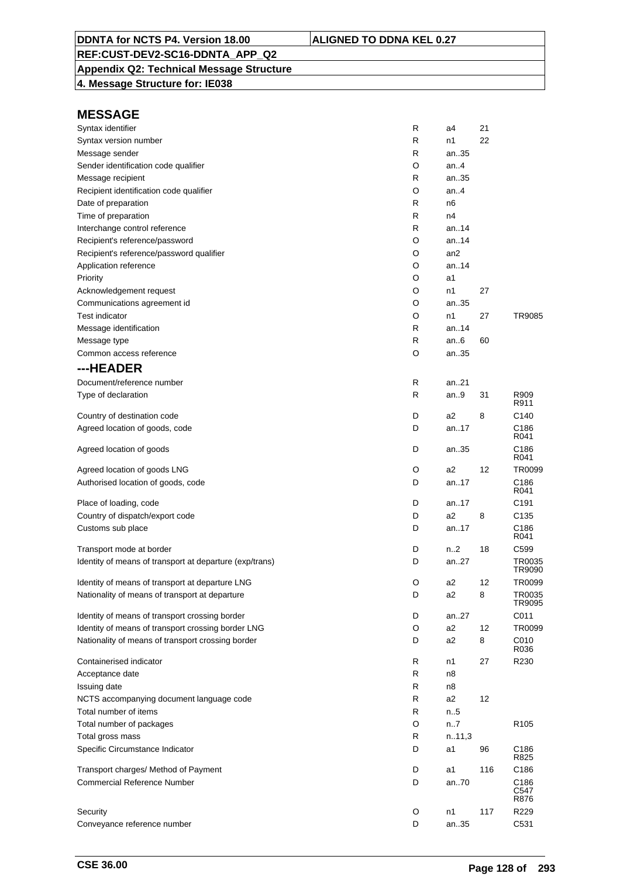### **Appendix Q2: Technical Message Structure**

**4. Message Structure for: IE038**

| Syntax identifier                                       | R | a4              | 21  |                          |
|---------------------------------------------------------|---|-----------------|-----|--------------------------|
| Syntax version number                                   | R | n1              | 22  |                          |
| Message sender                                          | R | an35            |     |                          |
| Sender identification code qualifier                    | O | an4             |     |                          |
| Message recipient                                       | R | an35            |     |                          |
| Recipient identification code qualifier                 | O | an.4            |     |                          |
| Date of preparation                                     | R | n6              |     |                          |
| Time of preparation                                     | R | n4              |     |                          |
| Interchange control reference                           | R | an. $.14$       |     |                          |
| Recipient's reference/password                          | O | an14            |     |                          |
| Recipient's reference/password qualifier                | O | an <sub>2</sub> |     |                          |
| Application reference                                   | O | an.14           |     |                          |
| Priority                                                | O | a1              |     |                          |
| Acknowledgement request                                 | O | n1              | 27  |                          |
| Communications agreement id                             | O | an35            |     |                          |
| <b>Test indicator</b>                                   | O | n1              | 27  | TR9085                   |
| Message identification                                  | R | an14            |     |                          |
| Message type                                            | R | an.6            | 60  |                          |
| Common access reference                                 | O | an35            |     |                          |
| ---HEADER                                               |   |                 |     |                          |
| Document/reference number                               | R | an21            |     |                          |
| Type of declaration                                     | R | an9             | 31  | R909                     |
|                                                         |   |                 |     | R911                     |
| Country of destination code                             | D | a2              | 8   | C140                     |
| Agreed location of goods, code                          | D | an17            |     | C <sub>186</sub><br>R041 |
| Agreed location of goods                                | D | an35            |     | C186<br>R041             |
| Agreed location of goods LNG                            | O | a2              | 12  | TR0099                   |
| Authorised location of goods, code                      | D | an17            |     | C186<br>R041             |
| Place of loading, code                                  | D | an17            |     | C <sub>191</sub>         |
| Country of dispatch/export code                         | D | a2              | 8   | C <sub>135</sub>         |
| Customs sub place                                       | D | an17            |     | C186<br>R041             |
| Transport mode at border                                | D | n2              | 18  | C <sub>599</sub>         |
| Identity of means of transport at departure (exp/trans) | D | an27            |     | TR0035<br>TR9090         |
| Identity of means of transport at departure LNG         | O | a2              | 12  | TR0099                   |
| Nationality of means of transport at departure          | D | a2              | 8   | TR0035<br>TR9095         |
| Identity of means of transport crossing border          | D | an27            |     | C011                     |
| Identity of means of transport crossing border LNG      | O | a <sub>2</sub>  | 12  | TR0099                   |
| Nationality of means of transport crossing border       | D | a <sub>2</sub>  | 8   | C010<br>R036             |
| Containerised indicator                                 | R | n1              | 27  | R230                     |
| Acceptance date                                         | R | n8              |     |                          |
| Issuing date                                            | R | n8              |     |                          |
| NCTS accompanying document language code                | R | a <sub>2</sub>  | 12  |                          |
| Total number of items                                   | R | n.5             |     |                          |
| Total number of packages                                | O | n7              |     | R <sub>105</sub>         |
| Total gross mass                                        | R | n.11,3          |     |                          |
| Specific Circumstance Indicator                         | D | a1              | 96  | C186<br>R825             |
| Transport charges/ Method of Payment                    | D | a1              | 116 | C186                     |
| <b>Commercial Reference Number</b>                      | D | an70            |     | C186<br>C547<br>R876     |
| Security                                                | O | n1              | 117 | R229                     |
| Conveyance reference number                             | D | an35            |     | C531                     |
|                                                         |   |                 |     |                          |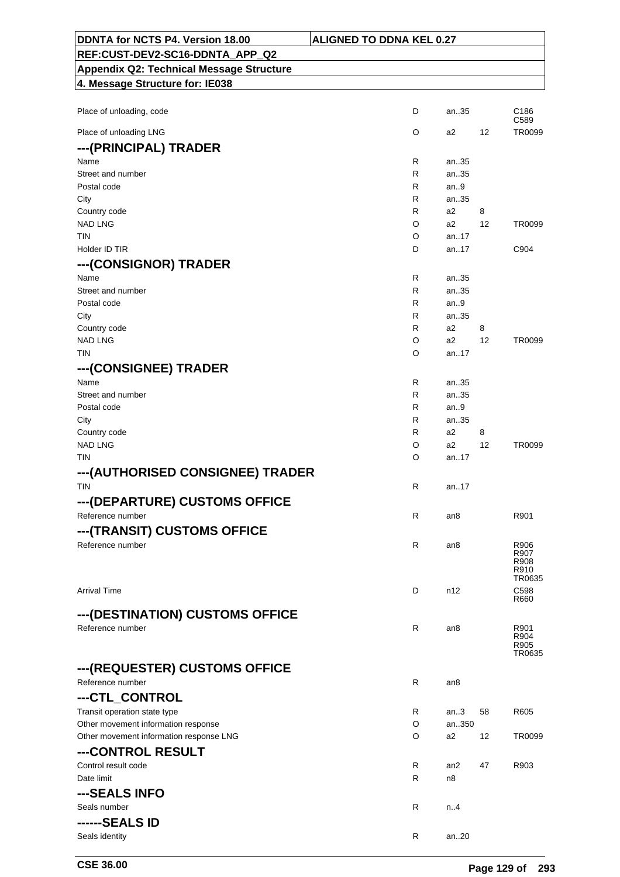| DDNTA for NCTS P4. Version 18.00                | <b>ALIGNED TO DDNA KEL 0.27</b> |        |    |                                |
|-------------------------------------------------|---------------------------------|--------|----|--------------------------------|
| REF:CUST-DEV2-SC16-DDNTA_APP_Q2                 |                                 |        |    |                                |
| <b>Appendix Q2: Technical Message Structure</b> |                                 |        |    |                                |
| 4. Message Structure for: IE038                 |                                 |        |    |                                |
|                                                 |                                 |        |    |                                |
| Place of unloading, code                        | D                               | an35   |    | C186<br>C589                   |
| Place of unloading LNG                          | O                               | a2     | 12 | TR0099                         |
| ---(PRINCIPAL) TRADER                           |                                 |        |    |                                |
| Name                                            | R                               | an35   |    |                                |
| Street and number                               | R                               | an35   |    |                                |
| Postal code                                     | R                               | an.9   |    |                                |
| City                                            | R                               | an35   |    |                                |
| Country code                                    | R                               | a2     | 8  |                                |
| <b>NAD LNG</b>                                  | O                               | a2     | 12 | TR0099                         |
| TIN                                             | O                               | an17   |    |                                |
| Holder ID TIR                                   | D                               | an17   |    | C904                           |
| ---(CONSIGNOR) TRADER                           |                                 |        |    |                                |
| Name                                            | R                               | an35   |    |                                |
| Street and number                               | R                               | an35   |    |                                |
| Postal code                                     | R                               | an9    |    |                                |
| City                                            | R                               | an35   |    |                                |
| Country code                                    | R                               | a2     | 8  |                                |
| <b>NAD LNG</b>                                  | O                               | a2     | 12 | TR0099                         |
| <b>TIN</b>                                      | O                               | an17   |    |                                |
| ---(CONSIGNEE) TRADER                           |                                 |        |    |                                |
| Name                                            | R                               | an35   |    |                                |
| Street and number                               | R                               | an35   |    |                                |
| Postal code                                     | R                               | an $9$ |    |                                |
| City                                            | R                               | an35   |    |                                |
| Country code                                    | R                               | a2     | 8  |                                |
| <b>NAD LNG</b>                                  | O                               | a2     | 12 | TR0099                         |
| TIN                                             | O                               | an17   |    |                                |
| ---(AUTHORISED CONSIGNEE) TRADER                |                                 |        |    |                                |
| <b>TIN</b>                                      | R                               | an.17  |    |                                |
| ---(DEPARTURE) CUSTOMS OFFICE                   |                                 |        |    |                                |
| Reference number                                | R                               | an8    |    | R901                           |
| ---(TRANSIT) CUSTOMS OFFICE                     |                                 |        |    |                                |
| Reference number                                | R                               | an8    |    | R906<br>R907<br>R908<br>R910   |
| <b>Arrival Time</b>                             | D                               | n12    |    | TR0635<br>C598                 |
|                                                 |                                 |        |    | R660                           |
| ---(DESTINATION) CUSTOMS OFFICE                 |                                 |        |    |                                |
| Reference number                                | R                               | an8    |    | R901<br>R904<br>R905<br>TR0635 |
| ---(REQUESTER) CUSTOMS OFFICE                   |                                 |        |    |                                |
| Reference number                                | R                               | an8    |    |                                |
| ---CTL_CONTROL                                  |                                 |        |    |                                |
| Transit operation state type                    | R                               | an.3   | 58 | R605                           |
| Other movement information response             | O                               | an350  |    |                                |
| Other movement information response LNG         | O                               | a2     | 12 | TR0099                         |
| ---CONTROL RESULT                               |                                 |        |    |                                |
| Control result code                             | R                               | an2    | 47 | R903                           |
| Date limit                                      | R                               | n8     |    |                                |
| ---SEALS INFO                                   |                                 |        |    |                                |
| Seals number                                    | R                               | n.4    |    |                                |
| ------SEALS ID                                  |                                 |        |    |                                |
|                                                 | R                               |        |    |                                |
| Seals identity                                  |                                 | an20   |    |                                |

٦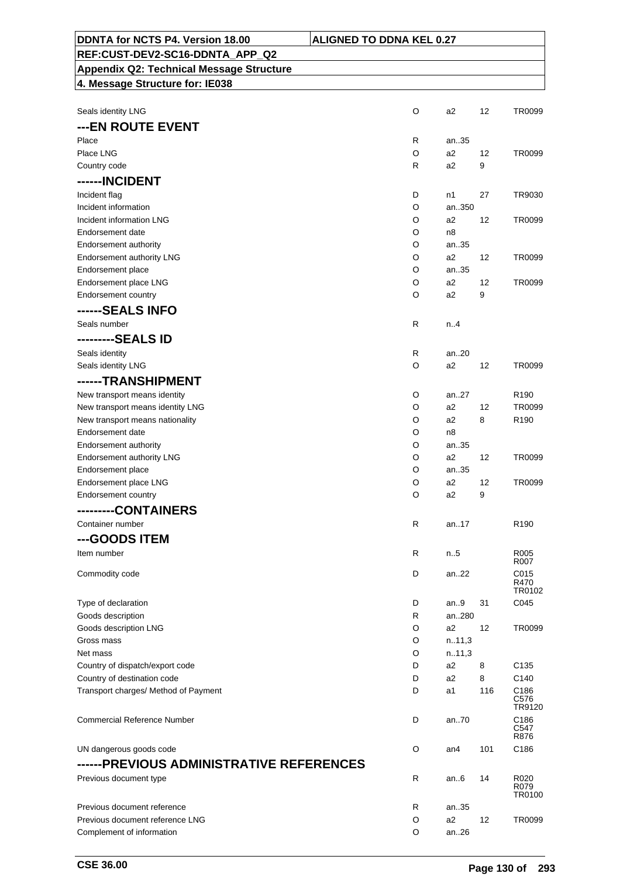| <b>Appendix Q2: Technical Message Structure</b> |        |                |     |                               |
|-------------------------------------------------|--------|----------------|-----|-------------------------------|
| 4. Message Structure for: IE038                 |        |                |     |                               |
|                                                 |        |                |     |                               |
| Seals identity LNG                              | O      | a2             | 12  | TR0099                        |
| ---EN ROUTE EVENT                               |        |                |     |                               |
| Place                                           | R      | an35           |     |                               |
| Place LNG                                       | O      | a2             | 12  | TR0099                        |
| Country code                                    | R      | a <sub>2</sub> | 9   |                               |
| ------INCIDENT                                  |        |                |     |                               |
| Incident flag                                   | D      | n1             | 27  | TR9030                        |
| Incident information                            | O      | an350          |     |                               |
| Incident information LNG                        | O      | a2             | 12  | TR0099                        |
| Endorsement date                                | O      | n8             |     |                               |
| Endorsement authority                           | O      | an35           |     |                               |
| Endorsement authority LNG                       | O      | a2             | 12  | TR0099                        |
| Endorsement place                               | O      | an35           |     |                               |
| Endorsement place LNG                           | O      | a2<br>a2       | 12  | TR0099                        |
| Endorsement country                             | O      |                | 9   |                               |
| ------SEALS INFO                                |        |                |     |                               |
| Seals number                                    | R      | n.A            |     |                               |
| ---------SEALS ID                               |        |                |     |                               |
| Seals identity                                  | R      | an20           |     |                               |
| Seals identity LNG                              | O      | a2             | 12  | TR0099                        |
| ------TRANSHIPMENT                              |        |                |     |                               |
| New transport means identity                    | O      | an27           |     | R <sub>190</sub>              |
| New transport means identity LNG                | O      | a2             | 12  | TR0099                        |
| New transport means nationality                 | O      | a2             | 8   | R <sub>190</sub>              |
| Endorsement date                                | O      | n8             |     |                               |
| Endorsement authority                           | O      | an35           |     |                               |
| Endorsement authority LNG                       | O      | a2             | 12  | TR0099                        |
| Endorsement place                               | O      | an35           |     |                               |
| Endorsement place LNG                           | O      | a <sub>2</sub> | 12  | TR0099                        |
| Endorsement country                             | O      | a2             | 9   |                               |
| ---------CONTAINERS                             |        |                |     |                               |
| Container number                                | R      | an17           |     | R <sub>190</sub>              |
|                                                 |        |                |     |                               |
| ---GOODS ITEM                                   |        |                |     |                               |
| Item number                                     | R      | n.5            |     | R005<br>R007                  |
| Commodity code                                  | D      | an22           |     | C015                          |
|                                                 |        |                |     | R470                          |
|                                                 |        |                |     | TR0102                        |
| Type of declaration<br>Goods description        | D<br>R | an9<br>an280   | 31  | C045                          |
| Goods description LNG                           | O      | a2             | 12  | TR0099                        |
| Gross mass                                      | O      | n.11,3         |     |                               |
| Net mass                                        | O      | n.11,3         |     |                               |
| Country of dispatch/export code                 | D      | a2             | 8   | C <sub>135</sub>              |
| Country of destination code                     | D      | a2             | 8   | C140                          |
| Transport charges/ Method of Payment            | D      | a1             | 116 | C186                          |
|                                                 |        |                |     | C576<br>TR9120                |
| <b>Commercial Reference Number</b>              | D      | an70           |     | C186<br>C547<br>R876          |
| UN dangerous goods code                         | O      | an4            | 101 | C186                          |
| ------PREVIOUS ADMINISTRATIVE REFERENCES        |        |                |     |                               |
| Previous document type                          | R      | an6            | 14  | R020<br>R079<br><b>TR0100</b> |
| Previous document reference                     | R      | an35           |     |                               |
| Previous document reference LNG                 | O      | a2             | 12  | TR0099                        |
| Complement of information                       | O      | an26           |     |                               |
|                                                 |        |                |     |                               |

**DDNTA for NCTS P4. Version 18.00 ALIGNED TO DDNA KEL 0.27**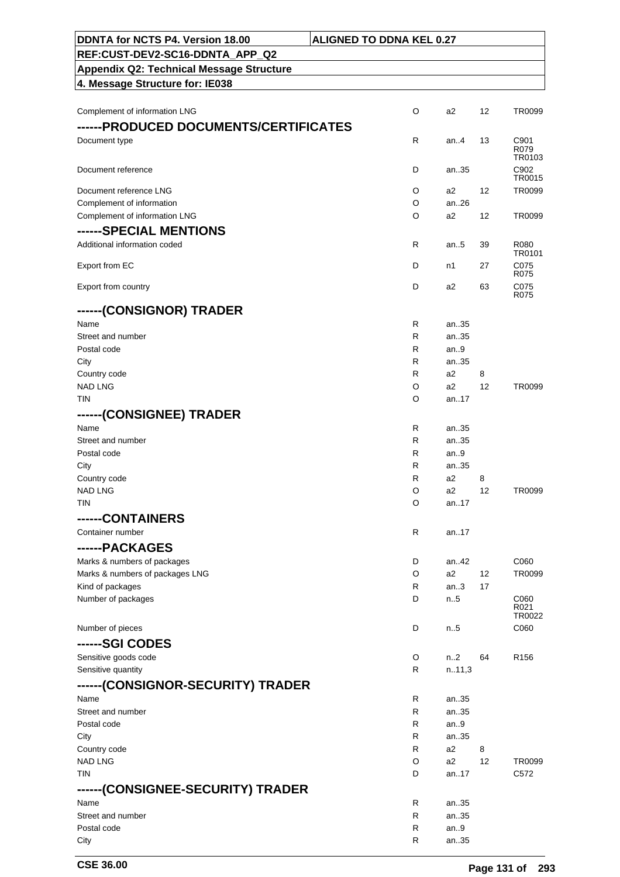| DDNTA for NCTS P4. Version 18.00                | <b>ALIGNED TO DDNA KEL 0.27</b> |              |         |                          |
|-------------------------------------------------|---------------------------------|--------------|---------|--------------------------|
| REF:CUST-DEV2-SC16-DDNTA_APP_Q2                 |                                 |              |         |                          |
| <b>Appendix Q2: Technical Message Structure</b> |                                 |              |         |                          |
| 4. Message Structure for: IE038                 |                                 |              |         |                          |
|                                                 |                                 |              |         |                          |
| Complement of information LNG                   | O                               | a2           | 12      | TR0099                   |
| ------PRODUCED DOCUMENTS/CERTIFICATES           |                                 |              |         |                          |
| Document type                                   | R                               | an4          | 13      | C901<br>R079             |
|                                                 |                                 |              |         | TR0103                   |
| Document reference                              | D                               | an35         |         | C902<br>TR0015           |
| Document reference LNG                          | O                               | a2           | 12      | TR0099                   |
| Complement of information                       | O                               | an.26        |         |                          |
| Complement of information LNG                   | O                               | a2           | 12      | TR0099                   |
| ------SPECIAL MENTIONS                          |                                 |              |         |                          |
| Additional information coded                    | R.                              | an $.5$      | 39      | R080                     |
|                                                 |                                 |              |         | TR0101                   |
| Export from EC                                  | D                               | n1           | 27      | C075<br>R075             |
| Export from country                             | D                               | a2           | 63      | C075                     |
|                                                 |                                 |              |         | R075                     |
| ------(CONSIGNOR) TRADER                        |                                 |              |         |                          |
| Name                                            | R                               | an35         |         |                          |
| Street and number                               | R                               | an35         |         |                          |
| Postal code                                     | R                               | an.9         |         |                          |
| City                                            | R.<br>R                         | an35<br>a2   |         |                          |
| Country code<br><b>NAD LNG</b>                  | O                               | a2           | 8<br>12 | TR0099                   |
| TIN                                             | O                               | an.17        |         |                          |
| ------(CONSIGNEE) TRADER                        |                                 |              |         |                          |
| Name                                            | R                               | an35         |         |                          |
| Street and number                               | R                               | an35         |         |                          |
| Postal code                                     | R                               | an.9         |         |                          |
| City                                            | R                               | an35         |         |                          |
| Country code                                    | R                               | a2           | 8       |                          |
| <b>NAD LNG</b>                                  | O                               | a2           | 12      | TR0099                   |
| <b>TIN</b>                                      | O                               | an17         |         |                          |
| --CONTAINERS<br>----                            |                                 |              |         |                          |
| Container number                                | R                               | an17         |         |                          |
| ------PACKAGES                                  |                                 |              |         |                          |
| Marks & numbers of packages                     | D                               | an.42        |         | C060                     |
| Marks & numbers of packages LNG                 | O                               | a2           | 12      | TR0099                   |
| Kind of packages                                | R                               | an.3         | 17      |                          |
| Number of packages                              | D                               | n.5          |         | C060<br>R <sub>021</sub> |
|                                                 |                                 |              |         | TR0022                   |
| Number of pieces                                | D                               | n.5          |         | C060                     |
| ------SGI CODES                                 |                                 |              |         |                          |
| Sensitive goods code                            | O                               | n.2          | 64      | R <sub>156</sub>         |
| Sensitive quantity                              | R                               | n.11,3       |         |                          |
| ------(CONSIGNOR-SECURITY) TRADER               |                                 |              |         |                          |
| Name                                            | R                               | an35         |         |                          |
| Street and number                               | R                               | an35         |         |                          |
| Postal code<br>City                             | R<br>R                          | an.9<br>an35 |         |                          |
| Country code                                    | R                               | a2           | 8       |                          |
| <b>NAD LNG</b>                                  | O                               | a2           | 12      | TR0099                   |
| TIN                                             | D                               | an17         |         | C <sub>572</sub>         |
| ------(CONSIGNEE-SECURITY) TRADER               |                                 |              |         |                          |
| Name                                            | R                               | an35         |         |                          |
| Street and number                               | R                               | an35         |         |                          |
| Postal code                                     | R                               | an9          |         |                          |
| City                                            | R                               | an35         |         |                          |
|                                                 |                                 |              |         |                          |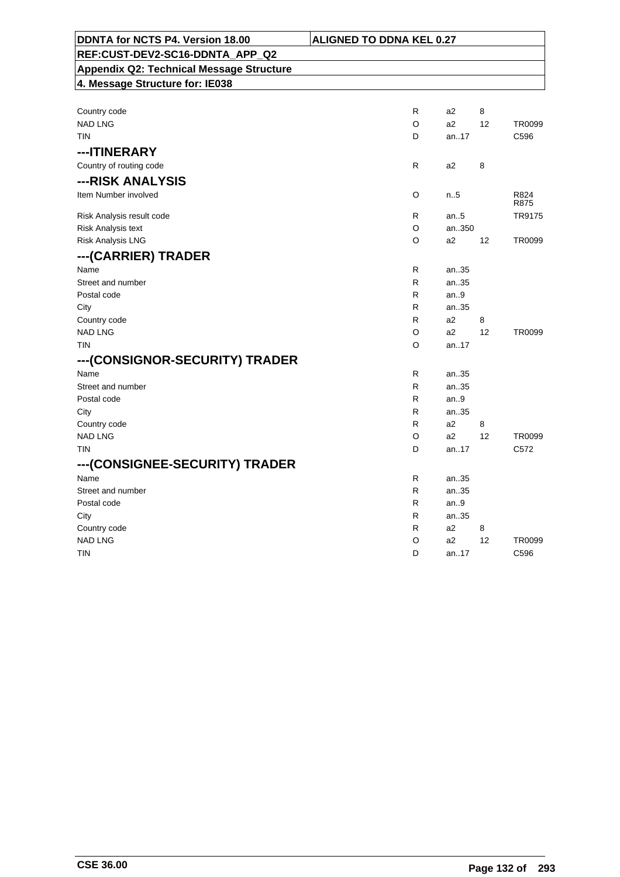| DDNTA for NCTS P4. Version 18.00                | <b>ALIGNED TO DDNA KEL 0.27</b> |                |    |                  |
|-------------------------------------------------|---------------------------------|----------------|----|------------------|
| REF:CUST-DEV2-SC16-DDNTA APP Q2                 |                                 |                |    |                  |
| <b>Appendix Q2: Technical Message Structure</b> |                                 |                |    |                  |
| 4. Message Structure for: IE038                 |                                 |                |    |                  |
|                                                 |                                 |                |    |                  |
| Country code                                    | R                               | a2             | 8  |                  |
| <b>NAD LNG</b>                                  | O                               | a2             | 12 | TR0099           |
| <b>TIN</b>                                      | D                               | an17           |    | C596             |
| --- ITINERARY                                   |                                 |                |    |                  |
| Country of routing code                         | R                               | a2             | 8  |                  |
| ---RISK ANALYSIS                                |                                 |                |    |                  |
| Item Number involved                            | O                               | n.5            |    | R824             |
|                                                 | R.                              | an.5           |    | R875<br>TR9175   |
| Risk Analysis result code<br>Risk Analysis text | O                               | an350          |    |                  |
| <b>Risk Analysis LNG</b>                        | O                               | a <sub>2</sub> | 12 | TR0099           |
|                                                 |                                 |                |    |                  |
| ---(CARRIER) TRADER                             |                                 |                |    |                  |
| Name                                            | R.                              | an35           |    |                  |
| Street and number                               | R<br>R                          | an35           |    |                  |
| Postal code<br>City                             | R.                              | an.9<br>an35   |    |                  |
| Country code                                    | R                               | a2             | 8  |                  |
| <b>NAD LNG</b>                                  | O                               | a2             | 12 | TR0099           |
| <b>TIN</b>                                      | O                               | an17           |    |                  |
| ---(CONSIGNOR-SECURITY) TRADER                  |                                 |                |    |                  |
| Name                                            | R.                              | an35           |    |                  |
| Street and number                               | R.                              | an35           |    |                  |
| Postal code                                     | R                               | an.9           |    |                  |
| City                                            | R                               | an35           |    |                  |
| Country code                                    | R.                              | a <sub>2</sub> | 8  |                  |
| <b>NAD LNG</b>                                  | O                               | a2             | 12 | TR0099           |
| <b>TIN</b>                                      | D                               | an17           |    | C <sub>572</sub> |
| ---(CONSIGNEE-SECURITY) TRADER                  |                                 |                |    |                  |
| Name                                            | R.                              | an35           |    |                  |
| Street and number                               | R.                              | an35           |    |                  |
| Postal code                                     | R                               | an.9           |    |                  |
| City                                            | R.                              | an35           |    |                  |
| Country code                                    | R                               | a2             | 8  |                  |
| <b>NAD LNG</b>                                  | O                               | a2             | 12 | TR0099           |
| <b>TIN</b>                                      | D                               | an17           |    | C596             |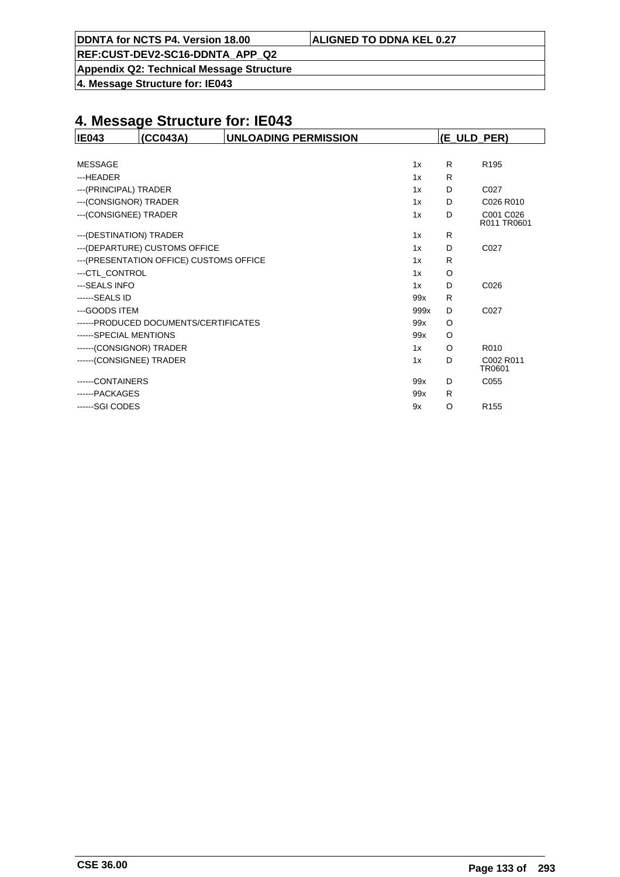|  | DDNTA for NCTS P4. Version 18.00 | <b>ALIGNED TO DDNA KEL 0.27</b> |
|--|----------------------------------|---------------------------------|
|--|----------------------------------|---------------------------------|

**Appendix Q2: Technical Message Structure**

**4. Message Structure for: IE043**

| <b>IE043</b>             | (CC043A)                                 | <b>UNLOADING PERMISSION</b> |      |    | (E_ULD_PER)              |
|--------------------------|------------------------------------------|-----------------------------|------|----|--------------------------|
|                          |                                          |                             |      |    |                          |
| <b>MESSAGE</b>           |                                          |                             | 1x   | R. | R <sub>195</sub>         |
| ---HEADER                |                                          |                             | 1x   | R  |                          |
| ---(PRINCIPAL) TRADER    |                                          |                             | 1x   | D  | C027                     |
| --- (CONSIGNOR) TRADER   |                                          |                             | 1x   | D  | C026 R010                |
| --- (CONSIGNEE) TRADER   |                                          |                             | 1x   | D  | C001 C026<br>R011 TR0601 |
| --- (DESTINATION) TRADER |                                          |                             | 1x   | R  |                          |
|                          | --- (DEPARTURE) CUSTOMS OFFICE           |                             | 1x   | D  | C027                     |
|                          | --- (PRESENTATION OFFICE) CUSTOMS OFFICE |                             | 1x   | R  |                          |
| ---CTL CONTROL           |                                          |                             | 1x   | O  |                          |
| ---SEALS INFO            |                                          |                             | 1x   | D  | C026                     |
| ------SEALS ID           |                                          |                             | 99x  | R  |                          |
| ---GOODS ITEM            |                                          |                             | 999x | D  | C027                     |
|                          | ------PRODUCED DOCUMENTS/CERTIFICATES    |                             | 99x  | O  |                          |
| ------SPECIAL MENTIONS   |                                          |                             | 99x  | O  |                          |
| ------(CONSIGNOR) TRADER |                                          |                             | 1x   | O  | R010                     |
| ------(CONSIGNEE) TRADER |                                          |                             | 1x   | D  | C002 R011<br>TR0601      |
| -----CONTAINERS          |                                          |                             | 99x  | D  | C055                     |
| ------PACKAGES           |                                          |                             | 99x  | R. |                          |
| ------SGI CODES          |                                          |                             | 9x   | O  | R <sub>155</sub>         |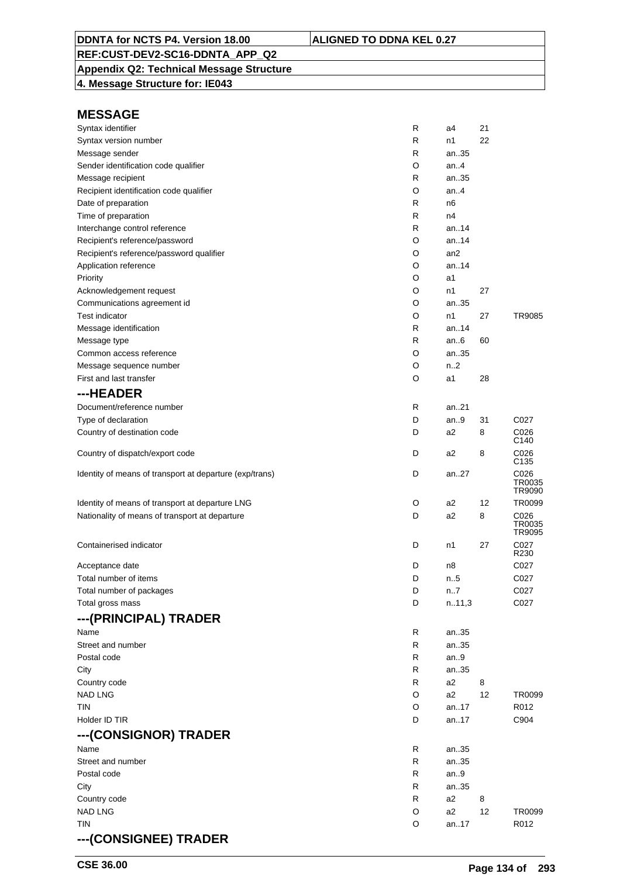# **Appendix Q2: Technical Message Structure**

**4. Message Structure for: IE043**

| Syntax identifier                                       | R | a4              | 21 |                          |
|---------------------------------------------------------|---|-----------------|----|--------------------------|
| Syntax version number                                   | R | n1              | 22 |                          |
| Message sender                                          | R | an35            |    |                          |
| Sender identification code qualifier                    | O | an4             |    |                          |
| Message recipient                                       | R | an35            |    |                          |
| Recipient identification code qualifier                 | O | an.4            |    |                          |
| Date of preparation                                     | R | n6              |    |                          |
| Time of preparation                                     | R | n4              |    |                          |
| Interchange control reference                           | R | an14            |    |                          |
| Recipient's reference/password                          | O | an14            |    |                          |
| Recipient's reference/password qualifier                | O | an <sub>2</sub> |    |                          |
| Application reference                                   | O | an14            |    |                          |
| Priority                                                | O | a1              |    |                          |
| Acknowledgement request                                 | O | n1              | 27 |                          |
| Communications agreement id                             | O | an35            |    |                          |
| <b>Test indicator</b>                                   | O | n1              | 27 | TR9085                   |
| Message identification                                  | R | an14            |    |                          |
| Message type                                            | R | an $6$          | 60 |                          |
| Common access reference                                 | O | an35            |    |                          |
| Message sequence number                                 | O | n2              |    |                          |
| First and last transfer                                 | O | a1              | 28 |                          |
| ---HEADER                                               |   |                 |    |                          |
| Document/reference number                               | R | an21            |    |                          |
| Type of declaration                                     | D | an $9$          | 31 | C027                     |
| Country of destination code                             | D | a2              | 8  | C026                     |
| Country of dispatch/export code                         | D | a2              | 8  | C140<br>C026             |
| Identity of means of transport at departure (exp/trans) | D | an27            |    | C135<br>C026             |
|                                                         |   |                 |    | TR0035<br>TR9090         |
| Identity of means of transport at departure LNG         | O | a2              | 12 | TR0099                   |
| Nationality of means of transport at departure          | D | a2              | 8  | C026<br>TR0035<br>TR9095 |
| Containerised indicator                                 | D | n1              | 27 | C027<br>R230             |
| Acceptance date                                         | D | n8              |    | C027                     |
| Total number of items                                   | D | n.5             |    | C027                     |
| Total number of packages                                | D | n7              |    | C027                     |
| Total gross mass                                        | D | n.11,3          |    | C027                     |
| ---(PRINCIPAL) TRADER                                   |   |                 |    |                          |
| Name                                                    | R | an35            |    |                          |
| Street and number                                       | R | an35            |    |                          |
| Postal code                                             | R | an.9            |    |                          |
| City                                                    | R | an35            |    |                          |
| Country code                                            | R | a2              | 8  |                          |
| <b>NAD LNG</b>                                          | O | a2              | 12 | TR0099                   |
| TIN                                                     | O | an17            |    | R012                     |
| Holder ID TIR                                           | D | an17            |    | C904                     |
| ---(CONSIGNOR) TRADER                                   |   |                 |    |                          |
| Name                                                    | R | an35            |    |                          |
| Street and number                                       | R | an35            |    |                          |
| Postal code                                             | R | an.9            |    |                          |
| City                                                    | R | an35            |    |                          |
| Country code                                            | R | a2              | 8  |                          |
| <b>NAD LNG</b>                                          | O | a2              | 12 | TR0099                   |
| TIN                                                     | O | an17            |    | R012                     |
| ---(CONSIGNEE) TRADER                                   |   |                 |    |                          |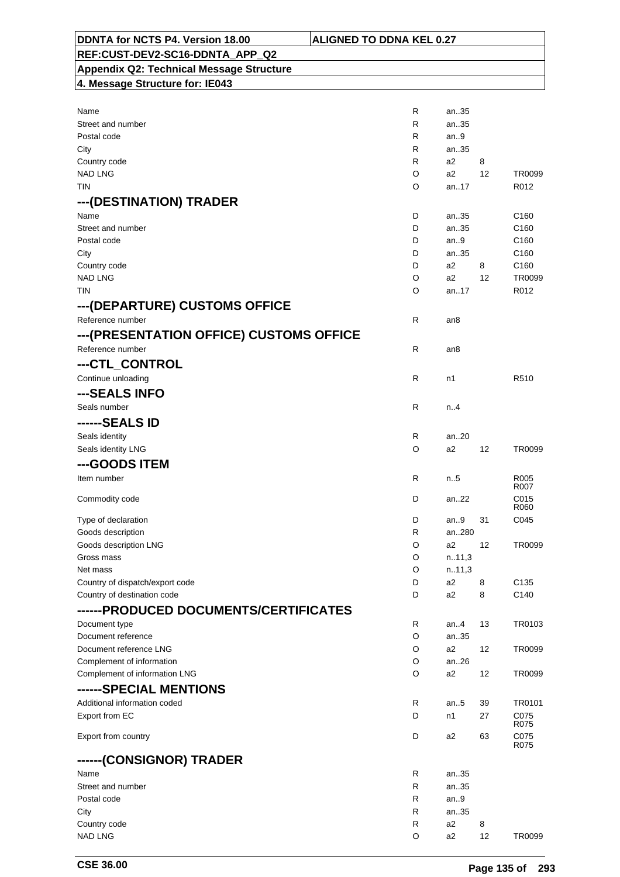| DDNTA for NCTS P4. Version 18.00                    | <b>ALIGNED TO DDNA KEL 0.27</b> |                        |                 |                          |
|-----------------------------------------------------|---------------------------------|------------------------|-----------------|--------------------------|
| REF:CUST-DEV2-SC16-DDNTA_APP_Q2                     |                                 |                        |                 |                          |
| <b>Appendix Q2: Technical Message Structure</b>     |                                 |                        |                 |                          |
| 4. Message Structure for: IE043                     |                                 |                        |                 |                          |
|                                                     |                                 |                        |                 |                          |
| Name                                                | R                               | an35                   |                 |                          |
| Street and number                                   | R                               | an35                   |                 |                          |
| Postal code                                         | R                               | an.9                   |                 |                          |
| City                                                | R<br>R                          | an35<br>a2             | 8               |                          |
| Country code<br><b>NAD LNG</b>                      | O                               | a2                     | 12              | TR0099                   |
| TIN                                                 | O                               | an17                   |                 | R012                     |
| ---(DESTINATION) TRADER                             |                                 |                        |                 |                          |
| Name                                                | D                               | an35                   |                 | C <sub>160</sub>         |
| Street and number                                   | D                               | an35                   |                 | C <sub>160</sub>         |
| Postal code                                         | D                               | an.9                   |                 | C <sub>160</sub>         |
| City                                                | D                               | an35                   |                 | C <sub>160</sub>         |
| Country code                                        | D                               | a2                     | 8               | C <sub>160</sub>         |
| <b>NAD LNG</b>                                      | O                               | a2                     | 12 <sup>°</sup> | TR0099                   |
| <b>TIN</b>                                          | O                               | an.17                  |                 | R012                     |
| --- (DEPARTURE) CUSTOMS OFFICE                      |                                 |                        |                 |                          |
| Reference number                                    | R                               | an8                    |                 |                          |
| ---(PRESENTATION OFFICE) CUSTOMS OFFICE             |                                 |                        |                 |                          |
| Reference number                                    | R                               | an8                    |                 |                          |
| ---CTL_CONTROL                                      |                                 |                        |                 |                          |
| Continue unloading                                  | R.                              | n1                     |                 | R510                     |
| ---SEALS INFO                                       |                                 |                        |                 |                          |
| Seals number                                        | R                               | n.4                    |                 |                          |
| ------SEALS ID                                      |                                 |                        |                 |                          |
| Seals identity                                      | R                               | an20                   |                 |                          |
| Seals identity LNG                                  | O                               | a2                     | 12              | TR0099                   |
| ---GOODS ITEM                                       |                                 |                        |                 |                          |
| Item number                                         | R                               | n5                     |                 | R <sub>005</sub><br>R007 |
| Commodity code                                      | D                               | an22                   |                 | C015                     |
|                                                     |                                 |                        |                 | R060                     |
| Type of declaration<br>Goods description            | D<br>R                          | an9<br>an280           | 31              | C045                     |
| Goods description LNG                               | O                               | a2                     | 12              | TR0099                   |
| Gross mass                                          | O                               | n.11,3                 |                 |                          |
| Net mass                                            | O                               | n.11,3                 |                 |                          |
| Country of dispatch/export code                     | D                               | a2                     | 8               | C <sub>135</sub>         |
| Country of destination code                         | D                               | a2                     | 8               | C140                     |
| ------ PRODUCED DOCUMENTS/CERTIFICATES              |                                 |                        |                 |                          |
| Document type                                       | R                               | an4                    | 13              | TR0103                   |
| Document reference                                  | O                               | an35<br>a2             |                 |                          |
| Document reference LNG<br>Complement of information | O<br>O                          | an.26                  | 12              | TR0099                   |
| Complement of information LNG                       | O                               | a2                     | 12              | TR0099                   |
| ------SPECIAL MENTIONS                              |                                 |                        |                 |                          |
| Additional information coded                        | R                               | an5                    | 39              | TR0101                   |
| Export from EC                                      | D                               | n1                     | 27              | C075                     |
|                                                     |                                 |                        |                 | R075                     |
| Export from country                                 | D                               | a2                     | 63              | C075<br>R075             |
| ------(CONSIGNOR) TRADER                            |                                 |                        |                 |                          |
| Name                                                | R                               | an35                   |                 |                          |
| Street and number                                   | R                               | an35                   |                 |                          |
| Postal code                                         | R                               | an9                    |                 |                          |
| City<br>Country code                                | R<br>R                          | an35<br>a <sub>2</sub> | 8               |                          |
| <b>NAD LNG</b>                                      | O                               | a <sub>2</sub>         | 12              | TR0099                   |
|                                                     |                                 |                        |                 |                          |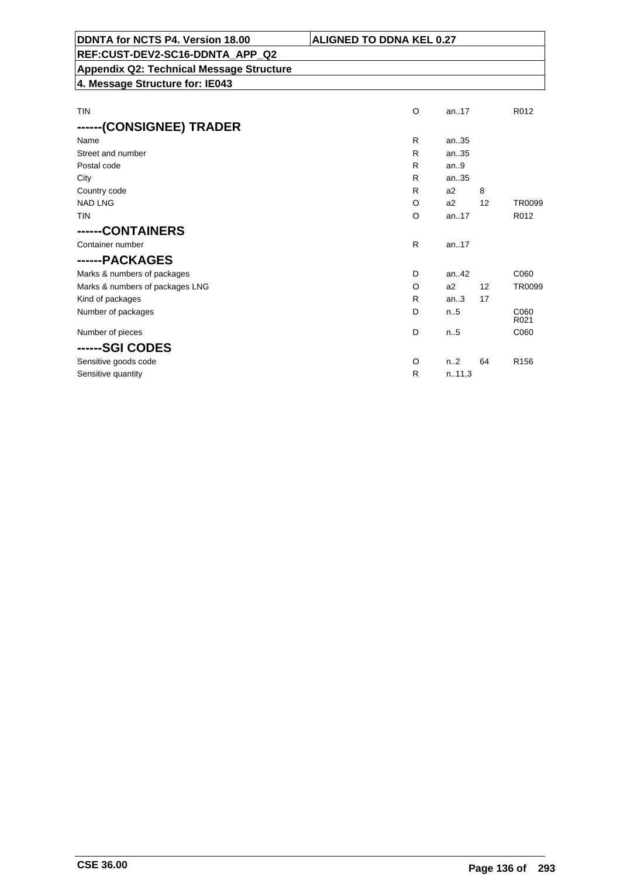| DDNTA for NCTS P4. Version 18.00         | <b>ALIGNED TO DDNA KEL 0.27</b> |      |                   |
|------------------------------------------|---------------------------------|------|-------------------|
| REF:CUST-DEV2-SC16-DDNTA APP Q2          |                                 |      |                   |
| Appendix Q2: Technical Message Structure |                                 |      |                   |
| 4. Message Structure for: IE043          |                                 |      |                   |
|                                          |                                 |      |                   |
| TIN                                      | Ω                               | an17 | R <sub>0</sub> 12 |

| R            | an35           |    |                  |
|--------------|----------------|----|------------------|
| $\mathsf{R}$ | an35           |    |                  |
| R            | an.9           |    |                  |
| R            | an35           |    |                  |
| R            | a2             | 8  |                  |
| O            | a2             | 12 | <b>TR0099</b>    |
| O            | an17           |    | R012             |
|              |                |    |                  |
| $\mathsf{R}$ | an.17          |    |                  |
|              |                |    |                  |
| D            | an.42          |    | C060             |
| $\circ$      | a <sub>2</sub> | 12 | <b>TR0099</b>    |
| R            | an.3           | 17 |                  |
| D            | n.5            |    | C060<br>R021     |
| D            | n.5            |    | C060             |
|              |                |    |                  |
| $\circ$      | n2             | 64 | R <sub>156</sub> |
| $\mathsf{R}$ | n.11,3         |    |                  |
|              |                |    |                  |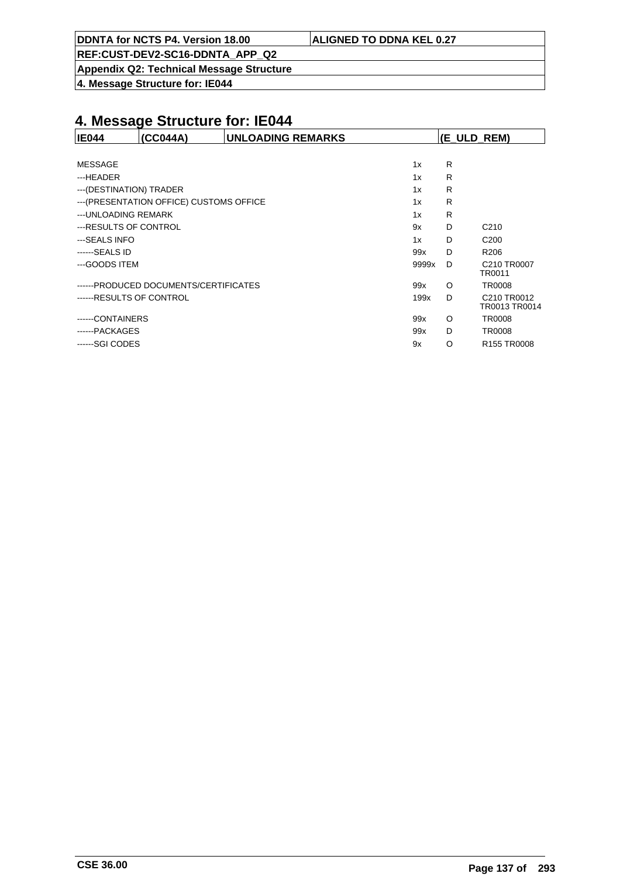**Appendix Q2: Technical Message Structure**

**4. Message Structure for: IE044**

| <b>IE044</b>             | (CC044A)                                 | <b>UNLOADING REMARKS</b> |       | $ E$ ULD REM) |                              |
|--------------------------|------------------------------------------|--------------------------|-------|---------------|------------------------------|
|                          |                                          |                          |       |               |                              |
| <b>MESSAGE</b>           |                                          |                          | 1x    | R             |                              |
| ---HEADER                |                                          |                          | 1x    | R             |                              |
| --- (DESTINATION) TRADER |                                          |                          | 1x    | R             |                              |
|                          | --- (PRESENTATION OFFICE) CUSTOMS OFFICE |                          | 1x    | R             |                              |
| --- UNLOADING REMARK     |                                          |                          | 1x    | R             |                              |
| ---RESULTS OF CONTROL    |                                          |                          | 9x    | D             | C <sub>210</sub>             |
| ---SEALS INFO            |                                          |                          | 1x    | D             | C <sub>200</sub>             |
| ------SEALS ID           |                                          |                          | 99x   | D             | R <sub>206</sub>             |
| ---GOODS ITEM            |                                          |                          | 9999x | D             | C210 TR0007<br>TR0011        |
|                          | ------PRODUCED DOCUMENTS/CERTIFICATES    |                          | 99x   | O             | <b>TR0008</b>                |
| ------RESULTS OF CONTROL |                                          |                          | 199x  | D             | C210 TR0012<br>TR0013 TR0014 |
| ------CONTAINERS         |                                          |                          | 99x   | $\circ$       | <b>TR0008</b>                |
| ------PACKAGES           |                                          |                          | 99x   | D             | <b>TR0008</b>                |
| ------SGI CODES          |                                          |                          | 9x    | O             | R155 TR0008                  |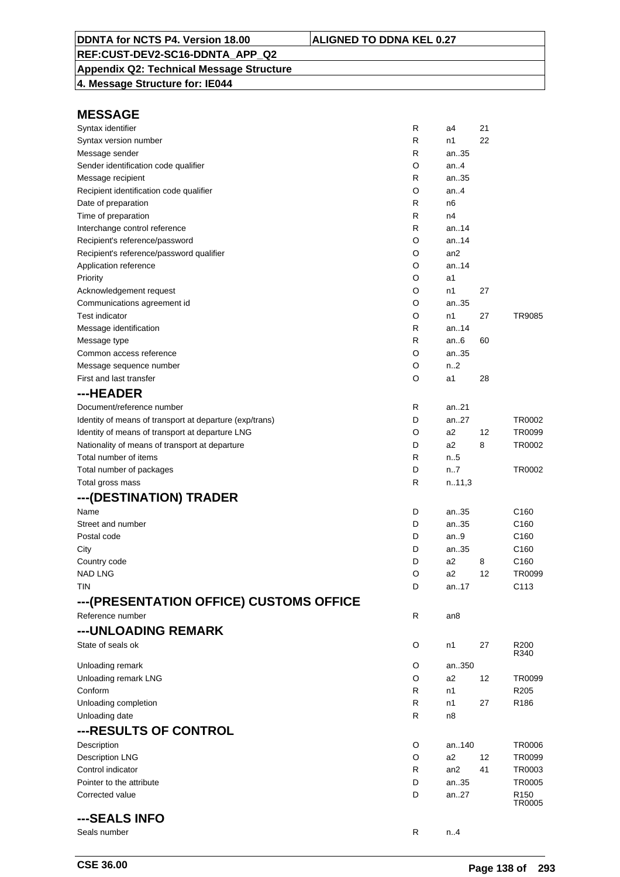# **Appendix Q2: Technical Message Structure**

**4. Message Structure for: IE044**

| Syntax identifier                                       | R      | a4            | 21 |                                   |
|---------------------------------------------------------|--------|---------------|----|-----------------------------------|
| Syntax version number                                   | R      | n1            | 22 |                                   |
| Message sender                                          | R      | an35          |    |                                   |
| Sender identification code qualifier                    | O      | an.4          |    |                                   |
| Message recipient                                       | R      | an35          |    |                                   |
| Recipient identification code qualifier                 | O      | an.4          |    |                                   |
| Date of preparation                                     | R      | n6            |    |                                   |
| Time of preparation                                     | R      | n4            |    |                                   |
| Interchange control reference                           | R      | an.14         |    |                                   |
| Recipient's reference/password                          | O      | an14          |    |                                   |
| Recipient's reference/password qualifier                | O      | an2           |    |                                   |
| Application reference                                   | O      | an14          |    |                                   |
| Priority                                                | O      | a1            |    |                                   |
| Acknowledgement request                                 | O      | n1            | 27 |                                   |
| Communications agreement id                             | O      | an35          |    |                                   |
| <b>Test indicator</b>                                   | O      | n1            | 27 | TR9085                            |
| Message identification                                  | R      | an.14         |    |                                   |
| Message type                                            | R      | an.6          | 60 |                                   |
| Common access reference                                 | O      | an35          |    |                                   |
| Message sequence number                                 | O      | n2            |    |                                   |
| First and last transfer                                 | O      | a1            | 28 |                                   |
| ---HEADER                                               |        |               |    |                                   |
| Document/reference number                               | R      | an21          |    |                                   |
| Identity of means of transport at departure (exp/trans) | D      | an27          |    | TR0002                            |
| Identity of means of transport at departure LNG         | O      | a2            | 12 | TR0099                            |
| Nationality of means of transport at departure          | D      | a2            | 8  | TR0002                            |
| Total number of items                                   | R      | $n_{\cdot}.5$ |    |                                   |
| Total number of packages                                | D      | n.7           |    | TR0002                            |
| Total gross mass                                        | R      | n.11,3        |    |                                   |
| ---(DESTINATION) TRADER                                 |        |               |    |                                   |
| Name                                                    | D      | an35          |    | C <sub>160</sub>                  |
| Street and number                                       | D      | an35          |    | C <sub>160</sub>                  |
| Postal code                                             | D      | an.9          |    | C <sub>160</sub>                  |
| City                                                    | D      | an35          |    | C <sub>160</sub>                  |
| Country code                                            | D      | a2            | 8  | C <sub>160</sub>                  |
| <b>NAD LNG</b>                                          | O      | a2            | 12 | TR0099                            |
| tin                                                     | D      | an17          |    | C113                              |
| ---(PRESENTATION OFFICE) CUSTOMS OFFICE                 |        |               |    |                                   |
| Reference number                                        | R      | an8           |    |                                   |
| --- UNLOADING REMARK                                    |        |               |    |                                   |
| State of seals ok                                       | O      | n1            | 27 | R <sub>200</sub>                  |
|                                                         |        |               |    | R340                              |
| Unloading remark                                        | O<br>O | an350<br>a2   | 12 | TR0099                            |
| Unloading remark LNG<br>Conform                         | R      | n1            |    | R <sub>205</sub>                  |
|                                                         |        |               |    |                                   |
| Unloading completion                                    | R      | n1            | 27 | R <sub>186</sub>                  |
| Unloading date                                          | R      | n8            |    |                                   |
| ---RESULTS OF CONTROL                                   |        |               |    |                                   |
| Description                                             | O      | an140         |    | <b>TR0006</b>                     |
| <b>Description LNG</b>                                  | O      | a2            | 12 | TR0099                            |
| Control indicator                                       | R      | an2           | 41 | TR0003                            |
| Pointer to the attribute                                | D      | an35          |    | <b>TR0005</b>                     |
| Corrected value                                         | D      | an27          |    | R <sub>150</sub><br><b>TR0005</b> |
| ---SEALS INFO                                           |        |               |    |                                   |
| Seals number                                            | R      | n.4           |    |                                   |
|                                                         |        |               |    |                                   |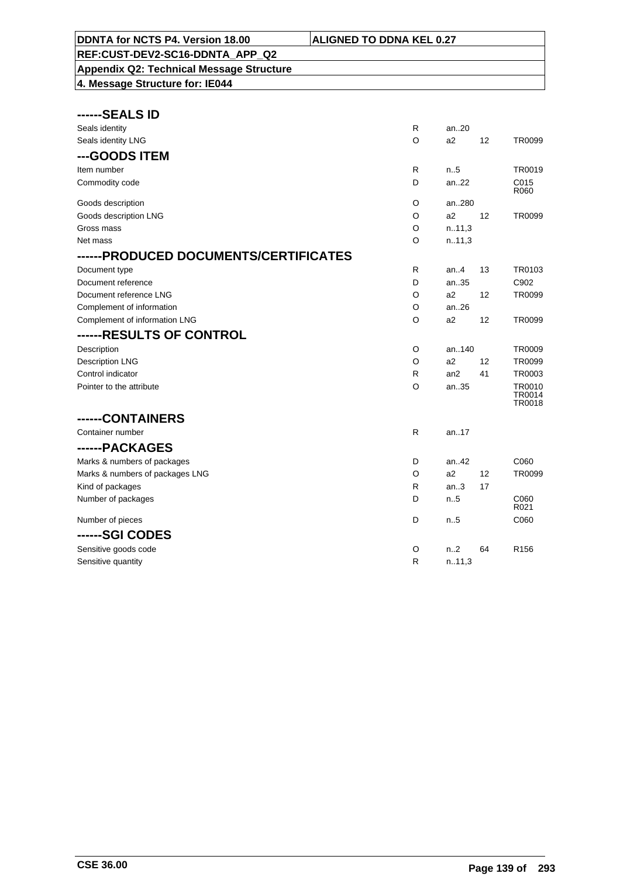### **REF:CUST-DEV2-SC16-DDNTA\_APP\_Q2 Appendix Q2: Technical Message Structure**

| ----SEALS ID<br>-- |  |  |
|--------------------|--|--|
|                    |  |  |

| Seals identity                        | R            | an20             |    |                                   |
|---------------------------------------|--------------|------------------|----|-----------------------------------|
| Seals identity LNG                    | O            | a2               | 12 | TR0099                            |
| ---GOODS ITEM                         |              |                  |    |                                   |
| Item number                           | R            | n.5              |    | TR0019                            |
| Commodity code                        | D            | an22             |    | C015<br>R060                      |
| Goods description                     | O            | an280            |    |                                   |
| Goods description LNG                 | O            | a2               | 12 | TR0099                            |
| Gross mass                            | O            | n.11,3           |    |                                   |
| Net mass                              | O            | n.11,3           |    |                                   |
| ------PRODUCED DOCUMENTS/CERTIFICATES |              |                  |    |                                   |
| Document type                         | R            | an.4             | 13 | TR0103                            |
| Document reference                    | D            | an35             |    | C902                              |
| Document reference LNG                | O            | a2               | 12 | TR0099                            |
| Complement of information             | $\circ$      | an26             |    |                                   |
| Complement of information LNG         | O            | a2               | 12 | TR0099                            |
| ------RESULTS OF CONTROL              |              |                  |    |                                   |
| Description                           | O            | an140            |    | TR0009                            |
| <b>Description LNG</b>                | O            | a2               | 12 | TR0099                            |
| Control indicator                     | R            | an2              | 41 | TR0003                            |
| Pointer to the attribute              | O            | an35             |    | TR0010<br><b>TR0014</b><br>TR0018 |
| ------CONTAINERS                      |              |                  |    |                                   |
| Container number                      | R            | an17             |    |                                   |
| ------PACKAGES                        |              |                  |    |                                   |
| Marks & numbers of packages           | D            | an.42            |    | C060                              |
| Marks & numbers of packages LNG       | O            | a2               | 12 | TR0099                            |
| Kind of packages                      | $\mathsf{R}$ | an.3             | 17 |                                   |
| Number of packages                    | D            | n.5              |    | C060<br>R021                      |
| Number of pieces                      | D            | n.5              |    | C060                              |
| ------SGI CODES                       |              |                  |    |                                   |
| Sensitive goods code                  | O            | n <sub>1</sub> 2 | 64 | R <sub>156</sub>                  |
| Sensitive quantity                    | R            | n.11,3           |    |                                   |
|                                       |              |                  |    |                                   |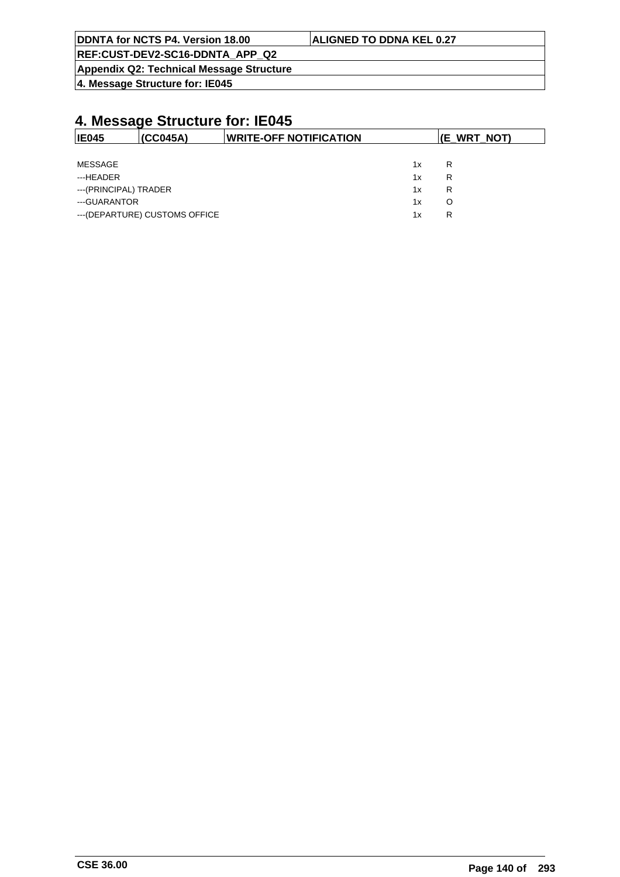| DDNTA for NCTS P4. Version 18.00                | <b>ALIGNED TO DDNA KEL 0.27</b> |
|-------------------------------------------------|---------------------------------|
| REF:CUST-DEV2-SC16-DDNTA APP Q2                 |                                 |
| <b>Appendix Q2: Technical Message Structure</b> |                                 |

**4. Message Structure for: IE045**

| <b>IE045</b>          | (CC045A)                       | <b>IWRITE-OFF NOTIFICATION</b> |    | (E_WRT_NOT) |
|-----------------------|--------------------------------|--------------------------------|----|-------------|
|                       |                                |                                |    |             |
| MESSAGE               |                                |                                | 1x | R           |
| ---HEADER             |                                |                                | 1x | R           |
| ---(PRINCIPAL) TRADER |                                |                                | 1x | R           |
| ---GUARANTOR          |                                |                                | 1x |             |
|                       | --- (DEPARTURE) CUSTOMS OFFICE |                                | 1x | R           |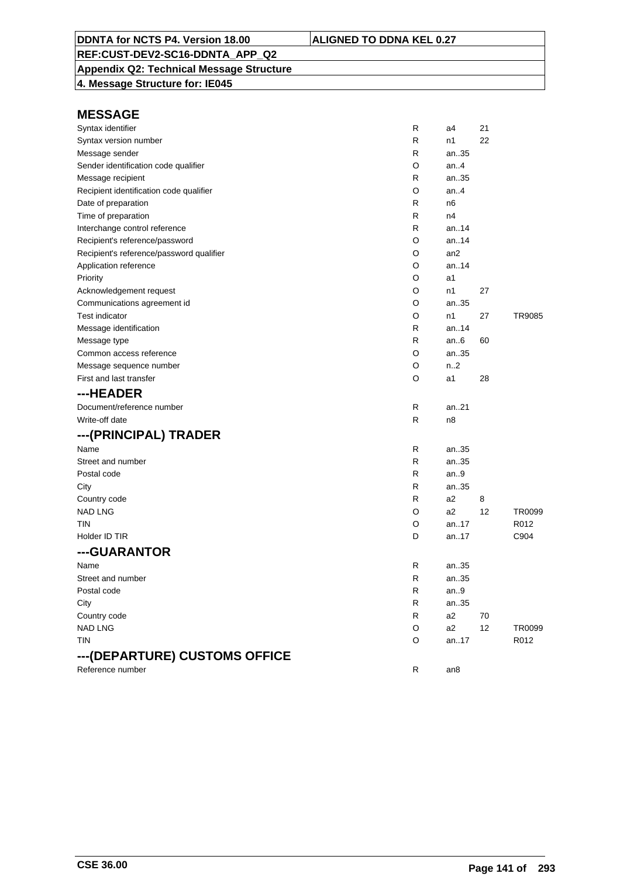### **Appendix Q2: Technical Message Structure**

**4. Message Structure for: IE045**

| Syntax identifier                        | R | a4               | 21 |        |
|------------------------------------------|---|------------------|----|--------|
| Syntax version number                    | R | n1               | 22 |        |
| Message sender                           | R | an35             |    |        |
| Sender identification code qualifier     | O | an.4             |    |        |
| Message recipient                        | R | an35             |    |        |
| Recipient identification code qualifier  | O | an.4             |    |        |
| Date of preparation                      | R | n6               |    |        |
| Time of preparation                      | R | n4               |    |        |
| Interchange control reference            | R | an.14            |    |        |
| Recipient's reference/password           | O | an14             |    |        |
| Recipient's reference/password qualifier | O | an <sub>2</sub>  |    |        |
| Application reference                    | O | an14             |    |        |
| Priority                                 | O | a1               |    |        |
| Acknowledgement request                  | O | n1               | 27 |        |
| Communications agreement id              | O | an35             |    |        |
| <b>Test indicator</b>                    | O | n1               | 27 | TR9085 |
| Message identification                   | R | an14             |    |        |
| Message type                             | R | an $6$           | 60 |        |
| Common access reference                  | O | an35             |    |        |
| Message sequence number                  | O | n <sub>1</sub> 2 |    |        |
| First and last transfer                  | O | a1               | 28 |        |
| ---HEADER                                |   |                  |    |        |
| Document/reference number                | R | an21             |    |        |
| Write-off date                           | R | n <sub>8</sub>   |    |        |
| ---(PRINCIPAL) TRADER                    |   |                  |    |        |
| Name                                     | R | an35             |    |        |
| Street and number                        | R | an35             |    |        |
| Postal code                              | R | an.9             |    |        |
| City                                     | R | an35             |    |        |
| Country code                             | R | a2               | 8  |        |
| <b>NAD LNG</b>                           | O | a2               | 12 | TR0099 |
| tin                                      | O | an17             |    | R012   |
| Holder ID TIR                            | D | an17             |    | C904   |
| ---GUARANTOR                             |   |                  |    |        |
| Name                                     | R | an35             |    |        |
| Street and number                        | R | an35             |    |        |
| Postal code                              | R | an.9             |    |        |
| City                                     | R | an.35            |    |        |
| Country code                             | R | a <sub>2</sub>   | 70 |        |
| <b>NAD LNG</b>                           | O | a2               | 12 | TR0099 |
| <b>TIN</b>                               | O | an17             |    | R012   |
|                                          |   |                  |    |        |
| ---(DEPARTURE) CUSTOMS OFFICE            |   |                  |    |        |
| Reference number                         | R | an8              |    |        |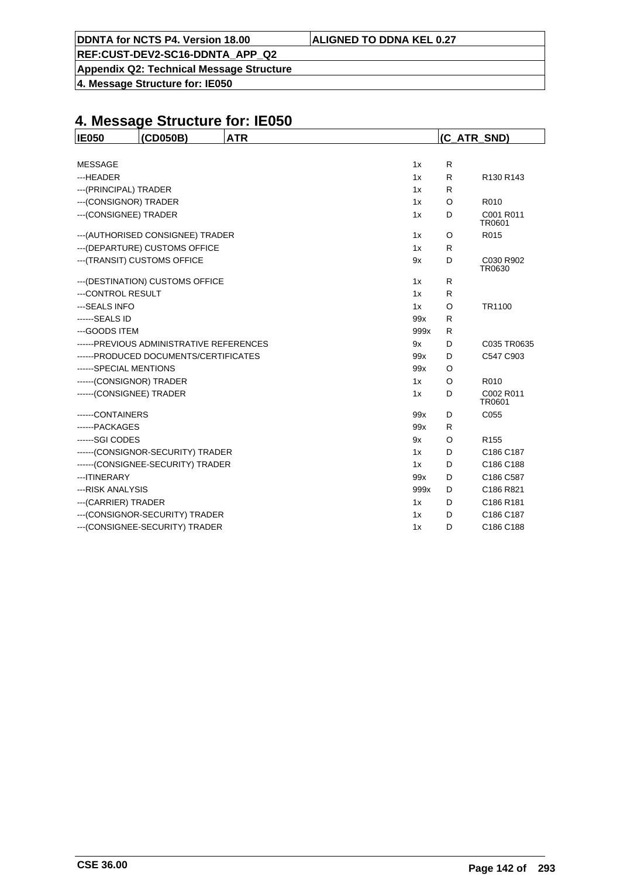**Appendix Q2: Technical Message Structure**

**4. Message Structure for: IE050**

| <b>IE050</b>             | (CD050B)                                  | <b>ATR</b> |      |         | (C_ATR_SND)         |
|--------------------------|-------------------------------------------|------------|------|---------|---------------------|
|                          |                                           |            |      |         |                     |
| <b>MESSAGE</b>           |                                           |            | 1x   | R       |                     |
| ---HEADER                |                                           |            | 1x   | R       | R130 R143           |
| --- (PRINCIPAL) TRADER   |                                           |            | 1x   | R       |                     |
| --- (CONSIGNOR) TRADER   |                                           |            | 1x   | $\circ$ | R010                |
| --- (CONSIGNEE) TRADER   |                                           |            | 1x   | D       | C001 R011<br>TR0601 |
|                          | --- (AUTHORISED CONSIGNEE) TRADER         |            | 1x   | O       | R015                |
|                          | --- (DEPARTURE) CUSTOMS OFFICE            |            | 1x   | R       |                     |
|                          | --- (TRANSIT) CUSTOMS OFFICE              |            | 9x   | D       | C030 R902<br>TR0630 |
|                          | --- (DESTINATION) CUSTOMS OFFICE          |            | 1x   | R       |                     |
| ---CONTROL RESULT        |                                           |            | 1x   | R       |                     |
| --- SEALS INFO           |                                           |            | 1x   | O       | TR1100              |
| ------SEALS ID           |                                           |            | 99x  | R       |                     |
| ---GOODS ITEM            |                                           |            | 999x | R       |                     |
|                          | ------ PREVIOUS ADMINISTRATIVE REFERENCES |            | 9x   | D       | C035 TR0635         |
|                          | ------PRODUCED DOCUMENTS/CERTIFICATES     |            | 99x  | D       | C547 C903           |
| ------SPECIAL MENTIONS   |                                           |            | 99x  | O       |                     |
| ------(CONSIGNOR) TRADER |                                           |            | 1x   | O       | R010                |
| ------(CONSIGNEE) TRADER |                                           |            | 1x   | D       | C002 R011<br>TR0601 |
| -----CONTAINERS          |                                           |            | 99x  | D       | C055                |
| ------ PACKAGES          |                                           |            | 99x  | R       |                     |
| ------SGI CODES          |                                           |            | 9x   | O       | R <sub>155</sub>    |
|                          | ------(CONSIGNOR-SECURITY) TRADER         |            | 1x   | D       | C186 C187           |
|                          | ------ (CONSIGNEE-SECURITY) TRADER        |            | 1x   | D       | C186 C188           |
| --- ITINERARY            |                                           |            | 99x  | D       | C186 C587           |
| --- RISK ANALYSIS        |                                           |            | 999x | D       | C186 R821           |
| --- (CARRIER) TRADER     |                                           |            | 1x   | D       | C186 R181           |
|                          | --- (CONSIGNOR-SECURITY) TRADER           |            | 1x   | D       | C186 C187           |
|                          | --- (CONSIGNEE-SECURITY) TRADER           |            | 1x   | D       | C186 C188           |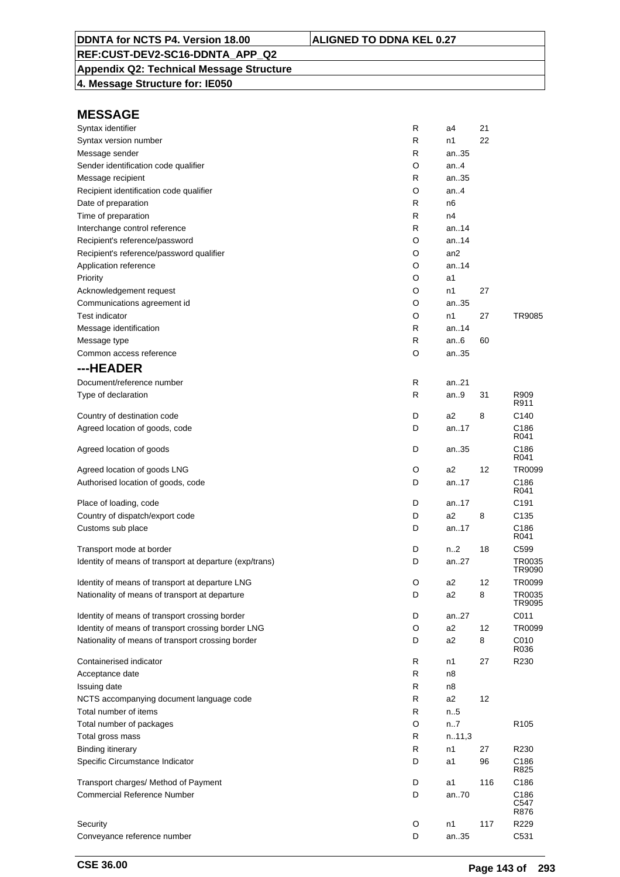# **Appendix Q2: Technical Message Structure**

**4. Message Structure for: IE050**

| Syntax identifier                                       | R | a4              | 21  |                  |
|---------------------------------------------------------|---|-----------------|-----|------------------|
| Syntax version number                                   | R | n1              | 22  |                  |
| Message sender                                          | R | an35            |     |                  |
| Sender identification code qualifier                    | O | an4             |     |                  |
| Message recipient                                       | R | an35            |     |                  |
| Recipient identification code qualifier                 | O | an.4            |     |                  |
| Date of preparation                                     | R | n6              |     |                  |
| Time of preparation                                     | R | n4              |     |                  |
| Interchange control reference                           | R | an. $.14$       |     |                  |
| Recipient's reference/password                          | O | an14            |     |                  |
| Recipient's reference/password qualifier                | O | an <sub>2</sub> |     |                  |
| Application reference                                   | O | an.14           |     |                  |
| Priority                                                | O | a1              |     |                  |
| Acknowledgement request                                 | O | n1              | 27  |                  |
| Communications agreement id                             | O | an35            |     |                  |
| <b>Test indicator</b>                                   | O | n1              | 27  | TR9085           |
| Message identification                                  | R | an14            |     |                  |
| Message type                                            | R | an.6            | 60  |                  |
| Common access reference                                 | O | an35            |     |                  |
| ---HEADER                                               |   |                 |     |                  |
|                                                         |   |                 |     |                  |
| Document/reference number                               | R | an21            |     |                  |
| Type of declaration                                     | R | an9             | 31  | R909<br>R911     |
| Country of destination code                             | D | a2              | 8   | C140             |
| Agreed location of goods, code                          | D | an17            |     | C <sub>186</sub> |
|                                                         |   |                 |     | R041             |
| Agreed location of goods                                | D | an35            |     | C186<br>R041     |
| Agreed location of goods LNG                            | O | a2              | 12  | TR0099           |
| Authorised location of goods, code                      | D | an17            |     | C186             |
|                                                         |   |                 |     | R041             |
| Place of loading, code                                  | D | an17            |     | C <sub>191</sub> |
| Country of dispatch/export code                         | D | a2              | 8   | C <sub>135</sub> |
| Customs sub place                                       | D | an17            |     | C186             |
|                                                         |   |                 |     | R041             |
| Transport mode at border                                | D | n2              | 18  | C <sub>599</sub> |
| Identity of means of transport at departure (exp/trans) | D | an27            |     | TR0035<br>TR9090 |
| Identity of means of transport at departure LNG         | O | a2              | 12  | TR0099           |
| Nationality of means of transport at departure          | D | a2              | 8   | TR0035           |
|                                                         |   |                 |     | TR9095           |
| Identity of means of transport crossing border          | D | an27            |     | C011             |
| Identity of means of transport crossing border LNG      | O | a <sub>2</sub>  | 12  | TR0099           |
| Nationality of means of transport crossing border       | D | a <sub>2</sub>  | 8   | C010             |
|                                                         |   |                 |     | R036             |
| Containerised indicator                                 | R | n1              | 27  | R230             |
| Acceptance date                                         | R | n8              |     |                  |
| Issuing date                                            | R | n8              |     |                  |
| NCTS accompanying document language code                | R | a <sub>2</sub>  | 12  |                  |
| Total number of items                                   | R | n.5             |     |                  |
| Total number of packages                                | O | n.7             |     | R <sub>105</sub> |
| Total gross mass                                        | R | n.11,3          |     |                  |
| <b>Binding itinerary</b>                                | R | n1              | 27  | R230             |
| Specific Circumstance Indicator                         | D | a1              | 96  | C186<br>R825     |
| Transport charges/ Method of Payment                    | D | a1              | 116 | C186             |
| <b>Commercial Reference Number</b>                      | D | an70            |     | C186             |
|                                                         |   |                 |     | C547<br>R876     |
| Security                                                | O | n1              | 117 | R229             |
| Conveyance reference number                             | D | an35            |     | C531             |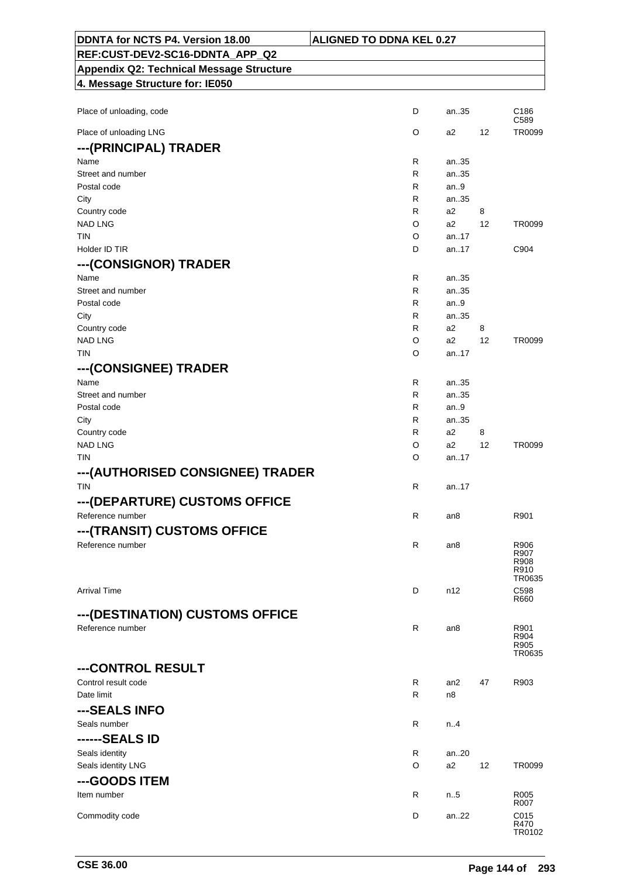| DDNTA for NCTS P4. Version 18.00<br><b>ALIGNED TO DDNA KEL 0.27</b> |        |                 |    |                          |
|---------------------------------------------------------------------|--------|-----------------|----|--------------------------|
| REF:CUST-DEV2-SC16-DDNTA_APP_Q2                                     |        |                 |    |                          |
| <b>Appendix Q2: Technical Message Structure</b>                     |        |                 |    |                          |
| 4. Message Structure for: IE050                                     |        |                 |    |                          |
|                                                                     |        |                 |    |                          |
| Place of unloading, code                                            | D      | an35            |    | C <sub>186</sub><br>C589 |
| Place of unloading LNG                                              | O      | a2              | 12 | TR0099                   |
| ---(PRINCIPAL) TRADER                                               |        |                 |    |                          |
| Name                                                                | R      | an35            |    |                          |
| Street and number                                                   | R      | an35            |    |                          |
| Postal code                                                         | R      | an.9            |    |                          |
| City                                                                | R      | an35            |    |                          |
| Country code                                                        | R      | a2              | 8  |                          |
| <b>NAD LNG</b><br><b>TIN</b>                                        | O<br>O | a2<br>an17      | 12 | TR0099                   |
| Holder ID TIR                                                       | D      | an17            |    | C904                     |
| ---(CONSIGNOR) TRADER                                               |        |                 |    |                          |
| Name                                                                | R      | an35            |    |                          |
| Street and number                                                   | R      | an35            |    |                          |
| Postal code                                                         | R      | an.9            |    |                          |
| City                                                                | R      | an35            |    |                          |
| Country code                                                        | R      | a2              | 8  |                          |
| <b>NAD LNG</b>                                                      | O      | a2              | 12 | TR0099                   |
| <b>TIN</b>                                                          | O      | an17            |    |                          |
| ---(CONSIGNEE) TRADER                                               |        |                 |    |                          |
| Name                                                                | R      | an35            |    |                          |
| Street and number                                                   | R      | an35            |    |                          |
| Postal code                                                         | R      | an.9            |    |                          |
| City                                                                | R      | an35            |    |                          |
| Country code                                                        | R      | a2              | 8  |                          |
| <b>NAD LNG</b>                                                      | O      | a2              | 12 | TR0099                   |
| <b>TIN</b>                                                          | O      | an17            |    |                          |
| ---(AUTHORISED CONSIGNEE) TRADER                                    |        |                 |    |                          |
| <b>TIN</b>                                                          | R      | an17            |    |                          |
| ---(DEPARTURE) CUSTOMS OFFICE                                       |        |                 |    |                          |
| Reference number                                                    | R.     | an8             |    | R901                     |
| ---(TRANSIT) CUSTOMS OFFICE                                         |        |                 |    |                          |
| Reference number                                                    | R      | an8             |    | R906                     |
|                                                                     |        |                 |    | R907<br>R908             |
|                                                                     |        |                 |    | R910                     |
|                                                                     |        |                 |    | TR0635                   |
| <b>Arrival Time</b>                                                 | D      | n12             |    | C598<br>R660             |
| ---(DESTINATION) CUSTOMS OFFICE                                     |        |                 |    |                          |
| Reference number                                                    | R.     | an <sub>8</sub> |    | R901                     |
|                                                                     |        |                 |    | R904                     |
|                                                                     |        |                 |    | R905<br>TR0635           |
| ---CONTROL RESULT                                                   |        |                 |    |                          |
| Control result code                                                 | R      | an2             | 47 | R903                     |
| Date limit                                                          | R      | n8              |    |                          |
| ---SEALS INFO                                                       |        |                 |    |                          |
| Seals number                                                        | R      |                 |    |                          |
|                                                                     |        | n4              |    |                          |
| ------SEALS ID                                                      |        |                 |    |                          |
| Seals identity                                                      | R      | an20            |    |                          |
| Seals identity LNG                                                  | O      | a2              | 12 | TR0099                   |
| ---GOODS ITEM                                                       |        |                 |    |                          |
| Item number                                                         | R      | n5              |    | R <sub>005</sub><br>R007 |
| Commodity code                                                      | D      | an22            |    | C015                     |
|                                                                     |        |                 |    | R470<br>TR0102           |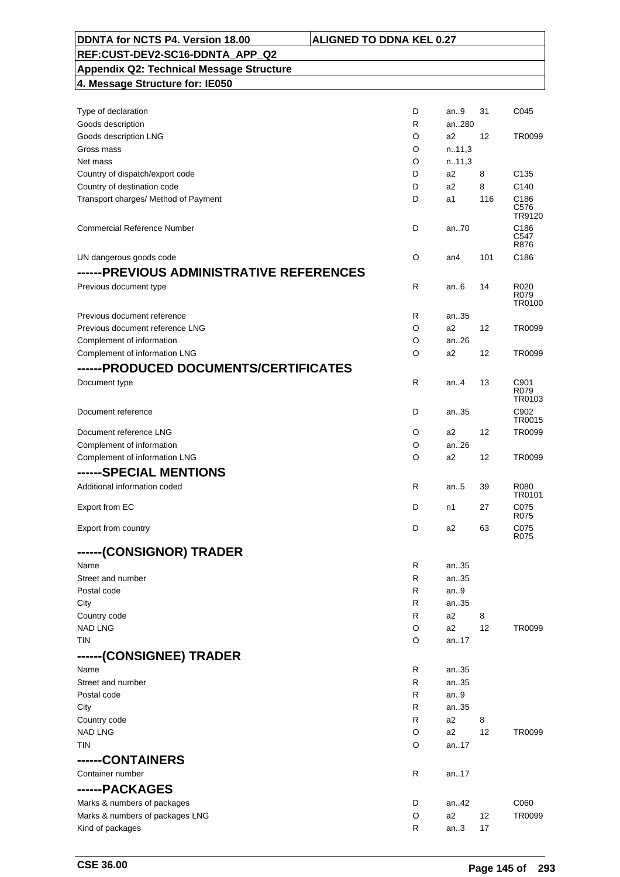| DDNTA for NCTS P4. Version 18.00                | <b>ALIGNED TO DDNA KEL 0.27</b> |        |     |                        |
|-------------------------------------------------|---------------------------------|--------|-----|------------------------|
| REF:CUST-DEV2-SC16-DDNTA APP Q2                 |                                 |        |     |                        |
| <b>Appendix Q2: Technical Message Structure</b> |                                 |        |     |                        |
| 4. Message Structure for: IE050                 |                                 |        |     |                        |
|                                                 |                                 |        |     |                        |
| Type of declaration                             | D                               | an9    | 31  | C045                   |
| Goods description                               | R                               | an280  |     |                        |
| Goods description LNG                           | O                               | a2     | 12  | TR0099                 |
| Gross mass                                      | O                               | n.11,3 |     |                        |
| Net mass                                        | O                               | n.11,3 |     |                        |
| Country of dispatch/export code                 | D                               | a2     | 8   | C <sub>135</sub>       |
| Country of destination code                     | D                               | a2     | 8   | C140                   |
| Transport charges/ Method of Payment            | D                               | a1     | 116 | C186<br>C576<br>TR9120 |
| <b>Commercial Reference Number</b>              | D                               | an.70  |     | C186<br>C547<br>R876   |
| UN dangerous goods code                         | O                               | an4    | 101 | C186                   |
| ------PREVIOUS ADMINISTRATIVE REFERENCES        |                                 |        |     |                        |
| Previous document type                          | $\mathsf{R}$                    | an $6$ | 14  | R020                   |
|                                                 |                                 |        |     | R079<br>TR0100         |
| Previous document reference                     | R                               | an35   |     |                        |
| Previous document reference LNG                 | O                               | a2     | 12  | TR0099                 |
| Complement of information                       | O                               | an.26  |     |                        |
| Complement of information LNG                   | O                               | a2     | 12  | TR0099                 |
| ------PRODUCED DOCUMENTS/CERTIFICATES           |                                 |        |     |                        |
| Document type                                   | R                               | an.4   | 13  | C901<br>R079<br>TR0103 |
| Document reference                              | D                               | an35   |     | C902<br>TR0015         |
| Document reference LNG                          | O                               | a2     | 12  | TR0099                 |
| Complement of information                       | O                               | an26   |     |                        |
| Complement of information LNG                   | O                               | a2     | 12  | TR0099                 |
| ------SPECIAL MENTIONS                          |                                 |        |     |                        |
| Additional information coded                    | R                               | an.5   | 39  | R080                   |
|                                                 |                                 |        |     | TR0101                 |
| Export from EC                                  | D                               | n1     | 27  | C075<br>R075           |
| Export from country                             | D                               | a2     | 63  | C075                   |
| ------(CONSIGNOR) TRADER                        |                                 |        |     | R075                   |
| Name                                            | R                               | an35   |     |                        |
| Street and number                               | R                               | an35   |     |                        |
| Postal code                                     | R                               | an.9   |     |                        |
| City                                            | R                               | an35   |     |                        |
| Country code                                    | R                               | a2     | 8   |                        |
| <b>NAD LNG</b>                                  | O                               | a2     | 12  | TR0099                 |
| TIN                                             | O                               | an17   |     |                        |
| ------(CONSIGNEE) TRADER                        |                                 |        |     |                        |
| Name                                            | R                               | an35   |     |                        |
| Street and number                               | R                               | an35   |     |                        |
| Postal code                                     | R                               | an9    |     |                        |
| City                                            | R                               | an35   |     |                        |
| Country code                                    | R                               | a2     | 8   |                        |
| <b>NAD LNG</b>                                  | O                               | a2     | 12  | TR0099                 |
| TIN                                             | O                               | an17   |     |                        |
|                                                 |                                 |        |     |                        |
| ------CONTAINERS                                |                                 |        |     |                        |
| Container number                                | R                               | an17   |     |                        |
| ------PACKAGES                                  |                                 |        |     |                        |
| Marks & numbers of packages                     | D                               | an42   |     | C060                   |
| Marks & numbers of packages LNG                 | O                               | a2     | 12  | TR0099                 |
| Kind of packages                                | R                               | an3    | 17  |                        |

 $\overline{\phantom{0}}$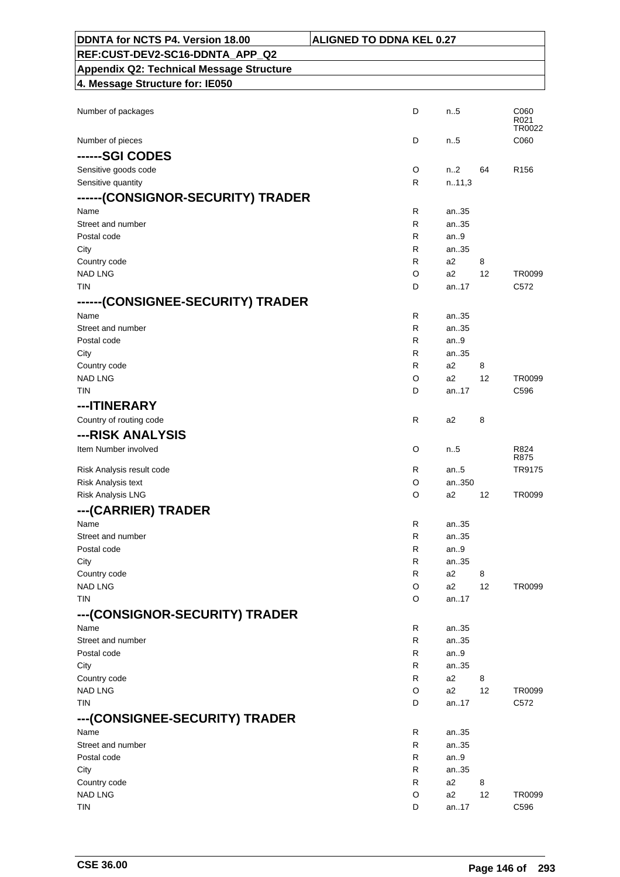| DDNTA for NCTS P4. Version 18.00                | <b>ALIGNED TO DDNA KEL 0.27</b> |                      |         |                        |
|-------------------------------------------------|---------------------------------|----------------------|---------|------------------------|
| REF:CUST-DEV2-SC16-DDNTA_APP_Q2                 |                                 |                      |         |                        |
| <b>Appendix Q2: Technical Message Structure</b> |                                 |                      |         |                        |
| 4. Message Structure for: IE050                 |                                 |                      |         |                        |
|                                                 |                                 |                      |         |                        |
| Number of packages                              | D                               | n.5                  |         | C060<br>R021<br>TR0022 |
| Number of pieces                                | D                               | $n_{.}.5$            |         | C060                   |
| ------SGI CODES                                 |                                 |                      |         |                        |
| Sensitive goods code                            | O                               | n2                   | 64      | R <sub>156</sub>       |
| Sensitive quantity                              | R                               | n.11,3               |         |                        |
| ------(CONSIGNOR-SECURITY) TRADER               |                                 |                      |         |                        |
| Name                                            | R                               | an35                 |         |                        |
| Street and number                               | R                               | an35                 |         |                        |
| Postal code                                     | R                               | an.9                 |         |                        |
| City                                            | R                               | an35                 |         |                        |
| Country code<br><b>NAD LNG</b>                  | R<br>O                          | a2<br>a2             | 8<br>12 | TR0099                 |
| <b>TIN</b>                                      | D                               | an17                 |         | C572                   |
| ------(CONSIGNEE-SECURITY) TRADER               |                                 |                      |         |                        |
| Name                                            | R                               | an35                 |         |                        |
| Street and number                               | R                               | an35                 |         |                        |
| Postal code                                     | R                               | an.9                 |         |                        |
| City                                            | R                               | an35                 |         |                        |
| Country code                                    | R                               | a2                   | 8       |                        |
| <b>NAD LNG</b>                                  | O                               | a2                   | 12      | TR0099                 |
| <b>TIN</b>                                      | D                               | an17                 |         | C596                   |
| ---ITINERARY                                    |                                 |                      |         |                        |
| Country of routing code                         | R                               | a2                   | 8       |                        |
| ---RISK ANALYSIS                                |                                 |                      |         |                        |
| Item Number involved                            | O                               | n.5                  |         | R824<br>R875           |
| Risk Analysis result code                       | R                               | an5                  |         | TR9175                 |
| Risk Analysis text                              | O                               | an350                |         |                        |
| Risk Analysis LNG                               | O                               | a2                   | 12      | TR0099                 |
| --- (CARRIER) TRADER                            |                                 |                      |         |                        |
| Name                                            | R                               | an35                 |         |                        |
| Street and number                               | R                               | an35                 |         |                        |
| Postal code                                     | R                               | an $9$               |         |                        |
| City                                            | R                               | an35                 |         |                        |
| Country code<br><b>NAD LNG</b>                  | R<br>O                          | a <sub>2</sub><br>a2 | 8<br>12 | TR0099                 |
| <b>TIN</b>                                      | O                               | an17                 |         |                        |
| ---(CONSIGNOR-SECURITY) TRADER                  |                                 |                      |         |                        |
| Name                                            | R                               | an35                 |         |                        |
| Street and number                               | R                               | an35                 |         |                        |
| Postal code                                     | R                               | an9                  |         |                        |
| City                                            | R                               | an35                 |         |                        |
| Country code                                    | R                               | a2                   | 8       |                        |
| <b>NAD LNG</b>                                  | O                               | a2                   | 12      | TR0099                 |
| TIN                                             | D                               | an17                 |         | C572                   |
| ---(CONSIGNEE-SECURITY) TRADER                  |                                 |                      |         |                        |
| Name                                            | R                               | an35                 |         |                        |
| Street and number                               | R                               | an35                 |         |                        |
| Postal code                                     | R                               | an.9                 |         |                        |
| City                                            | R                               | an35                 |         |                        |
| Country code                                    | R                               | a2                   | 8       |                        |
| <b>NAD LNG</b><br><b>TIN</b>                    | O<br>D                          | a2                   | 12      | TR0099                 |
|                                                 |                                 | an17                 |         | C596                   |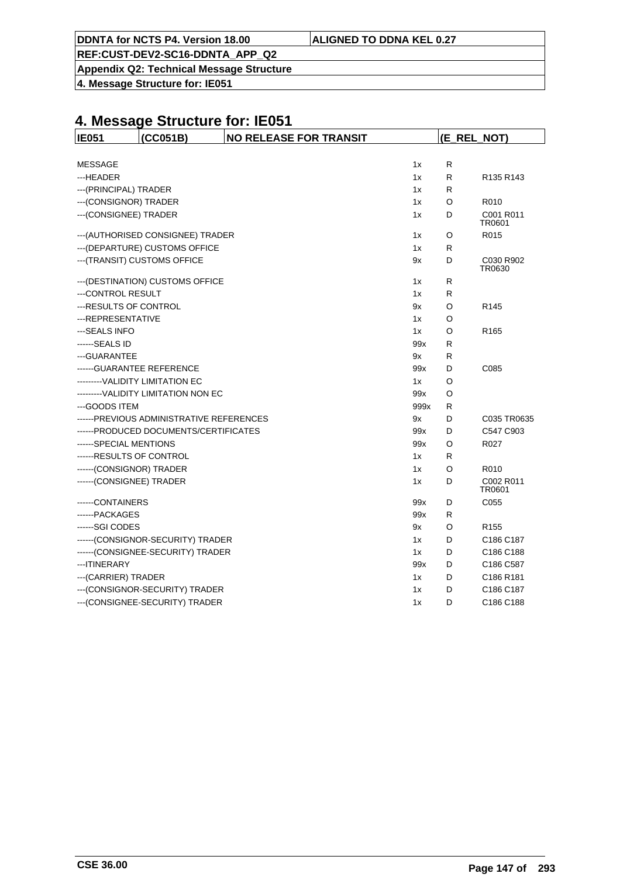| ALIGNED TO DDNA KEL 0.27 |
|--------------------------|
|--------------------------|

**DDNTA for NCTS P4. Version 18.00** 

**Appendix Q2: Technical Message Structure**

**4. Message Structure for: IE051**

| <b>IE051</b>             | (CC051B)                                 | <b>NO RELEASE FOR TRANSIT</b> |      |   | (E_REL_NOT)                       |
|--------------------------|------------------------------------------|-------------------------------|------|---|-----------------------------------|
|                          |                                          |                               |      |   |                                   |
| <b>MESSAGE</b>           |                                          |                               | 1x   | R |                                   |
| ---HEADER                |                                          |                               | 1x   | R | R <sub>135</sub> R <sub>143</sub> |
| --- (PRINCIPAL) TRADER   |                                          |                               | 1x   | R |                                   |
| --- (CONSIGNOR) TRADER   |                                          |                               | 1x   | O | R010                              |
| --- (CONSIGNEE) TRADER   |                                          |                               | 1x   | D | C001 R011<br>TR0601               |
|                          | --- (AUTHORISED CONSIGNEE) TRADER        |                               | 1x   | O | R015                              |
|                          | --- (DEPARTURE) CUSTOMS OFFICE           |                               | 1x   | R |                                   |
|                          | --- (TRANSIT) CUSTOMS OFFICE             |                               | 9x   | D | C030 R902<br>TR0630               |
|                          | --- (DESTINATION) CUSTOMS OFFICE         |                               | 1x   | R |                                   |
| ---CONTROL RESULT        |                                          |                               | 1x   | R |                                   |
| ---RESULTS OF CONTROL    |                                          |                               | 9x   | O | R <sub>145</sub>                  |
| ---REPRESENTATIVE        |                                          |                               | 1x   | O |                                   |
| ---SEALS INFO            |                                          |                               | 1x   | O | R <sub>165</sub>                  |
| ------SEALS ID           |                                          |                               | 99x  | R |                                   |
| ---GUARANTEE             |                                          |                               | 9x   | R |                                   |
|                          | ------GUARANTEE REFERENCE                |                               | 99x  | D | C085                              |
|                          | --------VALIDITY LIMITATION EC           |                               | 1x   | O |                                   |
|                          | ---------VALIDITY LIMITATION NON EC      |                               | 99x  | O |                                   |
| ---GOODS ITEM            |                                          |                               | 999x | R |                                   |
|                          | ------PREVIOUS ADMINISTRATIVE REFERENCES |                               | 9x   | D | C035 TR0635                       |
|                          | ------PRODUCED DOCUMENTS/CERTIFICATES    |                               | 99x  | D | C547 C903                         |
| ------SPECIAL MENTIONS   |                                          |                               | 99x  | O | R027                              |
| ------RESULTS OF CONTROL |                                          |                               | 1x   | R |                                   |
| ------(CONSIGNOR) TRADER |                                          |                               | 1x   | O | R010                              |
| ------(CONSIGNEE) TRADER |                                          |                               | 1x   | D | C002 R011<br>TR0601               |
| ------CONTAINERS         |                                          |                               | 99x  | D | C055                              |
| ------PACKAGES           |                                          |                               | 99x  | R |                                   |
| ------SGI CODES          |                                          |                               | 9x   | O | R <sub>155</sub>                  |
|                          | ------(CONSIGNOR-SECURITY) TRADER        |                               | 1x   | D | C <sub>186</sub> C <sub>187</sub> |
|                          | ------(CONSIGNEE-SECURITY) TRADER        |                               | 1x   | D | C186 C188                         |
| --- ITINERARY            |                                          |                               | 99x  | D | C186 C587                         |
| --- (CARRIER) TRADER     |                                          |                               | 1x   | D | C186 R181                         |
|                          | --- (CONSIGNOR-SECURITY) TRADER          |                               | 1x   | D | C186 C187                         |
|                          | --- (CONSIGNEE-SECURITY) TRADER          |                               | 1x   | D | C186 C188                         |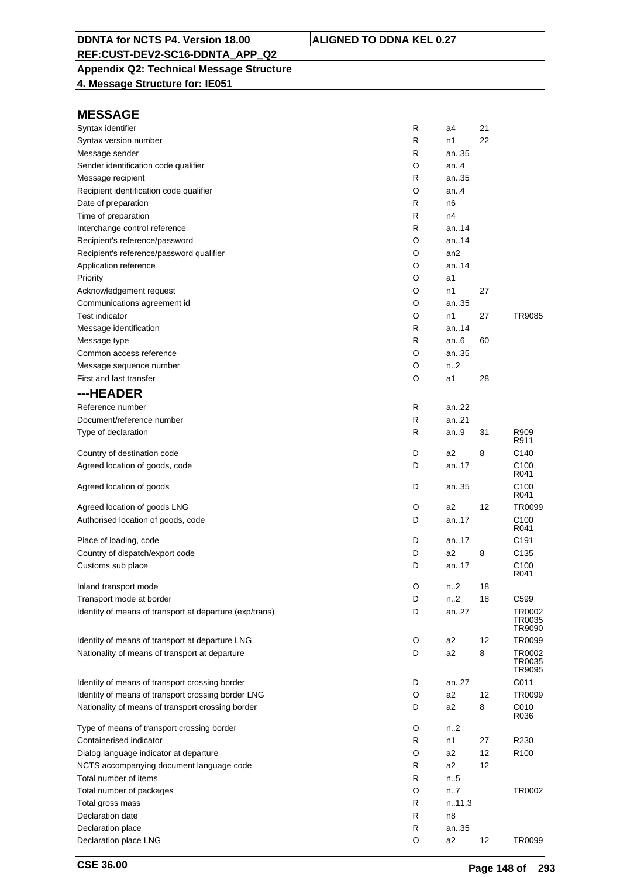### **Appendix Q2: Technical Message Structure**

**4. Message Structure for: IE051**

| Syntax identifier                                       | R | a4              | 21 |                  |
|---------------------------------------------------------|---|-----------------|----|------------------|
| Syntax version number                                   | R | n1              | 22 |                  |
| Message sender                                          | R | an35            |    |                  |
| Sender identification code qualifier                    | O | an4             |    |                  |
| Message recipient                                       | R | an35            |    |                  |
| Recipient identification code qualifier                 | O | an.4            |    |                  |
| Date of preparation                                     | R | n <sub>6</sub>  |    |                  |
| Time of preparation                                     | R | n4              |    |                  |
| Interchange control reference                           | R | an. $.14$       |    |                  |
| Recipient's reference/password                          | O | an. $.14$       |    |                  |
| Recipient's reference/password qualifier                | O | an <sub>2</sub> |    |                  |
| Application reference                                   | O | an.14           |    |                  |
| Priority                                                | O | a1              |    |                  |
| Acknowledgement request                                 | O | n1              | 27 |                  |
| Communications agreement id                             | O | an35            |    |                  |
| <b>Test indicator</b>                                   | O | n1              | 27 | TR9085           |
|                                                         |   | an $.14$        |    |                  |
| Message identification                                  | R |                 |    |                  |
| Message type                                            | R | an.6            | 60 |                  |
| Common access reference                                 | O | an35            |    |                  |
| Message sequence number                                 | O | n2              |    |                  |
| First and last transfer                                 | O | a1              | 28 |                  |
| ---HEADER                                               |   |                 |    |                  |
| Reference number                                        | R | an22            |    |                  |
| Document/reference number                               | R | an21            |    |                  |
| Type of declaration                                     | R | an9             | 31 | R909             |
|                                                         |   |                 |    | R911             |
| Country of destination code                             | D | a2              | 8  | C140             |
| Agreed location of goods, code                          | D | an17            |    | C100             |
|                                                         |   |                 |    | R041             |
| Agreed location of goods                                | D | an35            |    | C100<br>R041     |
| Agreed location of goods LNG                            | O | a2              | 12 | TR0099           |
|                                                         | D | an17            |    | C <sub>100</sub> |
| Authorised location of goods, code                      |   |                 |    | R041             |
| Place of loading, code                                  | D | an17            |    | C191             |
| Country of dispatch/export code                         | D | a2              | 8  | C135             |
| Customs sub place                                       | D | an.17           |    | C <sub>100</sub> |
|                                                         |   |                 |    | R041             |
| Inland transport mode                                   | O | n <sub>2</sub>  | 18 |                  |
| Transport mode at border                                | D | n.2             | 18 | C599             |
| Identity of means of transport at departure (exp/trans) | D | an27            |    | TR0002           |
|                                                         |   |                 |    | TR0035           |
|                                                         |   |                 |    | TR9090           |
| Identity of means of transport at departure LNG         | O | a2              | 12 | TR0099           |
| Nationality of means of transport at departure          | D | a <sub>2</sub>  | 8  | TR0002<br>TR0035 |
|                                                         |   |                 |    | TR9095           |
| Identity of means of transport crossing border          | D | an27            |    | C011             |
| Identity of means of transport crossing border LNG      | O | a <sub>2</sub>  | 12 | TR0099           |
| Nationality of means of transport crossing border       | D | a2              | 8  | C010             |
|                                                         |   |                 |    | R036             |
| Type of means of transport crossing border              | O | n2              |    |                  |
| Containerised indicator                                 | R | n1              | 27 | R230             |
| Dialog language indicator at departure                  | O | a2              | 12 | R <sub>100</sub> |
| NCTS accompanying document language code                | R | a2              | 12 |                  |
| Total number of items                                   | R | n.5             |    |                  |
| Total number of packages                                | O | n7              |    | TR0002           |
| Total gross mass                                        | R | n.11,3          |    |                  |
| Declaration date                                        | R | n8              |    |                  |
|                                                         | R |                 |    |                  |
| Declaration place                                       |   | an35            |    |                  |
| Declaration place LNG                                   | O | a2              | 12 | TR0099           |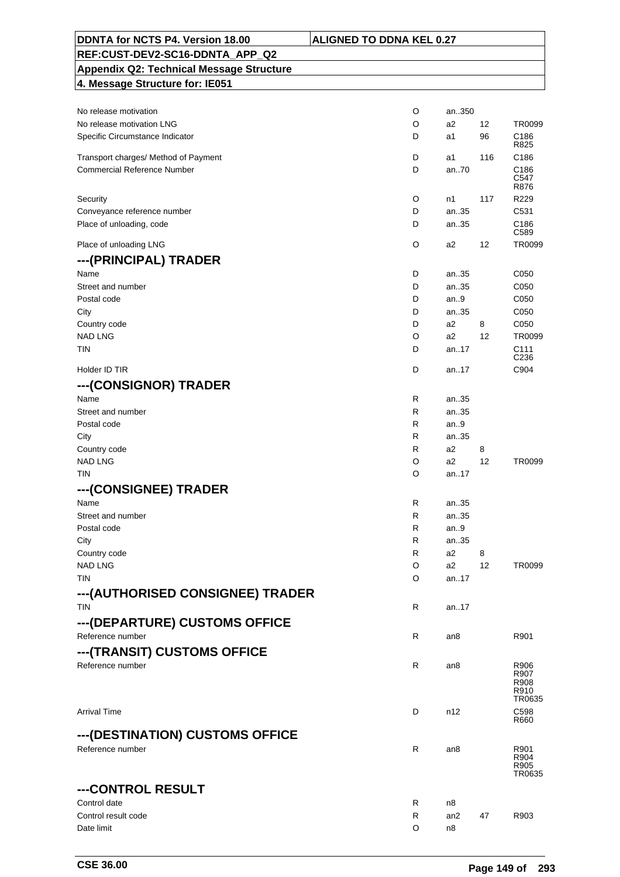| DDNTA for NCTS P4. Version 18.00                | <b>ALIGNED TO DDNA KEL 0.27</b> |            |         |                                      |
|-------------------------------------------------|---------------------------------|------------|---------|--------------------------------------|
| REF:CUST-DEV2-SC16-DDNTA_APP_Q2                 |                                 |            |         |                                      |
| <b>Appendix Q2: Technical Message Structure</b> |                                 |            |         |                                      |
| 4. Message Structure for: IE051                 |                                 |            |         |                                      |
|                                                 |                                 |            |         |                                      |
| No release motivation                           | O                               | an350      |         |                                      |
| No release motivation LNG                       | O                               | a2         | 12      | TR0099                               |
| Specific Circumstance Indicator                 | D                               | a1         | 96      | C186<br>R825                         |
| Transport charges/ Method of Payment            | D                               | a1         | 116     | C186                                 |
| <b>Commercial Reference Number</b>              | D                               | an70       |         | C186                                 |
|                                                 |                                 |            |         | C547<br>R876                         |
| Security                                        | O                               | n1         | 117     | R229                                 |
| Conveyance reference number                     | D                               | an35       |         | C531                                 |
| Place of unloading, code                        | D                               | an35       |         | C186                                 |
|                                                 |                                 |            |         | C589                                 |
| Place of unloading LNG                          | O                               | a2         | 12      | TR0099                               |
| ---(PRINCIPAL) TRADER                           |                                 |            |         |                                      |
| Name                                            | D                               | an35       |         | C050                                 |
| Street and number                               | D                               | an35       |         | C050                                 |
| Postal code                                     | D                               | an.9       |         | C050                                 |
| City                                            | D                               | an35       |         | C050                                 |
| Country code                                    | D                               | a2         | 8       | C050                                 |
| <b>NAD LNG</b>                                  | O                               | a2         | 12      | TR0099                               |
| <b>TIN</b>                                      | D                               | an17       |         | C <sub>111</sub><br>C <sub>236</sub> |
| Holder ID TIR                                   | D                               | an17       |         | C904                                 |
|                                                 |                                 |            |         |                                      |
| --- (CONSIGNOR) TRADER                          |                                 |            |         |                                      |
| Name                                            | R                               | an35       |         |                                      |
| Street and number                               | R                               | an35       |         |                                      |
| Postal code                                     | R                               | an.9       |         |                                      |
| City                                            | R                               | an35       |         |                                      |
| Country code                                    | R                               | a2         | 8       |                                      |
| <b>NAD LNG</b><br><b>TIN</b>                    | O<br>O                          | a2<br>an17 | 12      | TR0099                               |
|                                                 |                                 |            |         |                                      |
| ---(CONSIGNEE) TRADER                           |                                 |            |         |                                      |
| Name                                            | R                               | an35       |         |                                      |
| Street and number                               | R                               | an35       |         |                                      |
| Postal code                                     | R                               | an.9       |         |                                      |
| City                                            | R                               | an35       |         |                                      |
| Country code<br><b>NAD LNG</b>                  | R<br>O                          | a2<br>a2   | 8<br>12 | TR0099                               |
| <b>TIN</b>                                      | O                               | an.17      |         |                                      |
|                                                 |                                 |            |         |                                      |
| ---(AUTHORISED CONSIGNEE) TRADER                |                                 |            |         |                                      |
| <b>TIN</b>                                      | R                               | an.17      |         |                                      |
| --- (DEPARTURE) CUSTOMS OFFICE                  |                                 |            |         |                                      |
| Reference number                                | R                               | an8        |         | R901                                 |
| --- (TRANSIT) CUSTOMS OFFICE                    |                                 |            |         |                                      |
| Reference number                                | R                               | an8        |         | R906                                 |
|                                                 |                                 |            |         | R907<br>R908                         |
|                                                 |                                 |            |         | R910                                 |
|                                                 |                                 |            |         | TR0635                               |
| <b>Arrival Time</b>                             | D                               | n12        |         | C598<br>R660                         |
|                                                 |                                 |            |         |                                      |
| ---(DESTINATION) CUSTOMS OFFICE                 |                                 |            |         |                                      |
| Reference number                                | R                               | an8        |         | R901<br>R904                         |
|                                                 |                                 |            |         | R905                                 |
|                                                 |                                 |            |         | TR0635                               |
| ---CONTROL RESULT                               |                                 |            |         |                                      |
| Control date                                    | R                               | n8         |         |                                      |
| Control result code                             | R                               | an2        | 47      | R903                                 |
| Date limit                                      | O                               | n8         |         |                                      |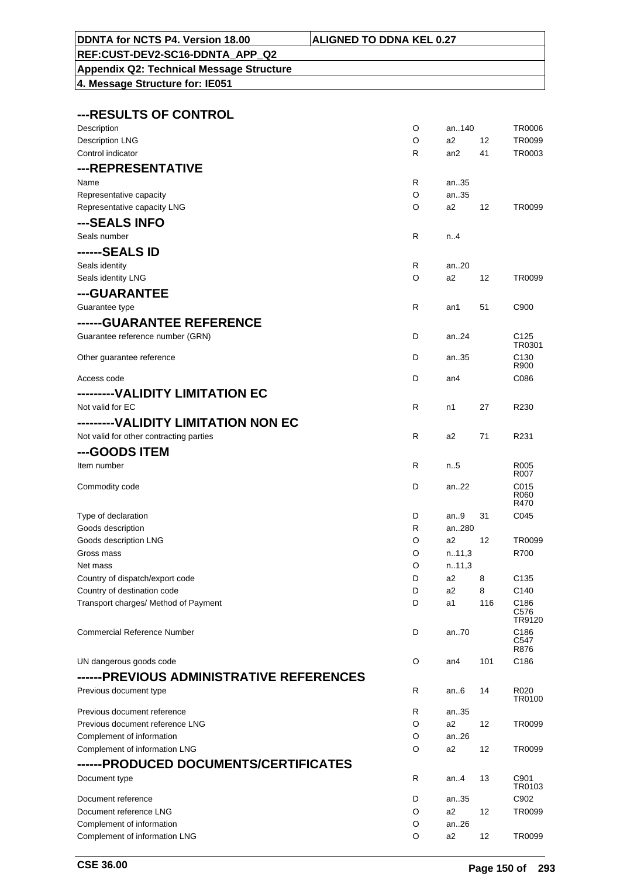|  |  |  |  | _ . _ _ _ _ |  |  |
|--|--|--|--|-------------|--|--|
|  |  |  |  |             |  |  |
|  |  |  |  |             |  |  |

# **Appendix Q2: Technical Message Structure**

| ---RESULTS OF CONTROL |
|-----------------------|
|-----------------------|

| Description                              | O            | an140          |     | <b>TR0006</b>              |
|------------------------------------------|--------------|----------------|-----|----------------------------|
| <b>Description LNG</b>                   | O            | a2             | 12  | TR0099                     |
| Control indicator                        | R            | an2            | 41  | TR0003                     |
| ---REPRESENTATIVE                        |              |                |     |                            |
| Name                                     | R            | an35           |     |                            |
| Representative capacity                  | O            | an35           |     |                            |
| Representative capacity LNG              | O            | a2             | 12  | TR0099                     |
| ---SEALS INFO                            |              |                |     |                            |
| Seals number                             | $\mathsf{R}$ | n.4            |     |                            |
| ------SEALS ID                           |              |                |     |                            |
| Seals identity                           | R            | an20           |     |                            |
| Seals identity LNG                       | O            | a2             | 12  | TR0099                     |
| ---GUARANTEE                             |              |                |     |                            |
| Guarantee type                           | R            | an1            | 51  | C900                       |
|                                          |              |                |     |                            |
| ------GUARANTEE REFERENCE                |              |                |     |                            |
| Guarantee reference number (GRN)         | D            | an.24          |     | C <sub>125</sub><br>TR0301 |
| Other guarantee reference                | D            | an35           |     | C <sub>130</sub>           |
|                                          |              |                |     | R900                       |
| Access code                              | D            | an4            |     | C086                       |
| ---------VALIDITY LIMITATION EC          |              |                |     |                            |
| Not valid for EC                         | R            | n1             | 27  | R230                       |
| ---------VALIDITY LIMITATION NON EC      |              |                |     |                            |
| Not valid for other contracting parties  | R            | a2             | 71  | R231                       |
| ---GOODS ITEM                            |              |                |     |                            |
| Item number                              | R            | $n_{.}.5$      |     | R <sub>005</sub>           |
|                                          |              |                |     | R007                       |
| Commodity code                           | D            | an22           |     | C015<br>R060               |
|                                          |              |                |     | R470                       |
| Type of declaration                      | D            | an9            | 31  | C045                       |
| Goods description                        | R            | an280          |     |                            |
| Goods description LNG                    | O            | a2             | 12  | <b>TR0099</b>              |
| Gross mass                               | O            | n.11,3         |     | R700                       |
| Net mass                                 | O            | n.11,3         |     |                            |
| Country of dispatch/export code          | D            | a2             | 8   | C <sub>135</sub>           |
| Country of destination code              | D            | a <sub>2</sub> | 8   | C140                       |
| Transport charges/ Method of Payment     | D            | a1             | 116 | C <sub>186</sub><br>C576   |
|                                          |              |                |     | TR9120                     |
| <b>Commercial Reference Number</b>       | D            | an70           |     | C186                       |
|                                          |              |                |     | C547<br>R876               |
| UN dangerous goods code                  | O            | an4            | 101 | C186                       |
| ------PREVIOUS ADMINISTRATIVE REFERENCES |              |                |     |                            |
| Previous document type                   | R            | an.6           | 14  | R020                       |
|                                          |              |                |     | TR0100                     |
| Previous document reference              | R            | an35           |     |                            |
| Previous document reference LNG          | O            | a2             | 12  | TR0099                     |
| Complement of information                | O            | an26           |     |                            |
| Complement of information LNG            | O            | a2             | 12  | TR0099                     |
| ------PRODUCED DOCUMENTS/CERTIFICATES    |              |                |     |                            |
| Document type                            | R            | an4            | 13  | C901                       |
| Document reference                       | D            | an35           |     | TR0103<br>C902             |
| Document reference LNG                   | O            | a2             | 12  | TR0099                     |
| Complement of information                | O            | an26           |     |                            |
| Complement of information LNG            | O            | a2             | 12  | TR0099                     |
|                                          |              |                |     |                            |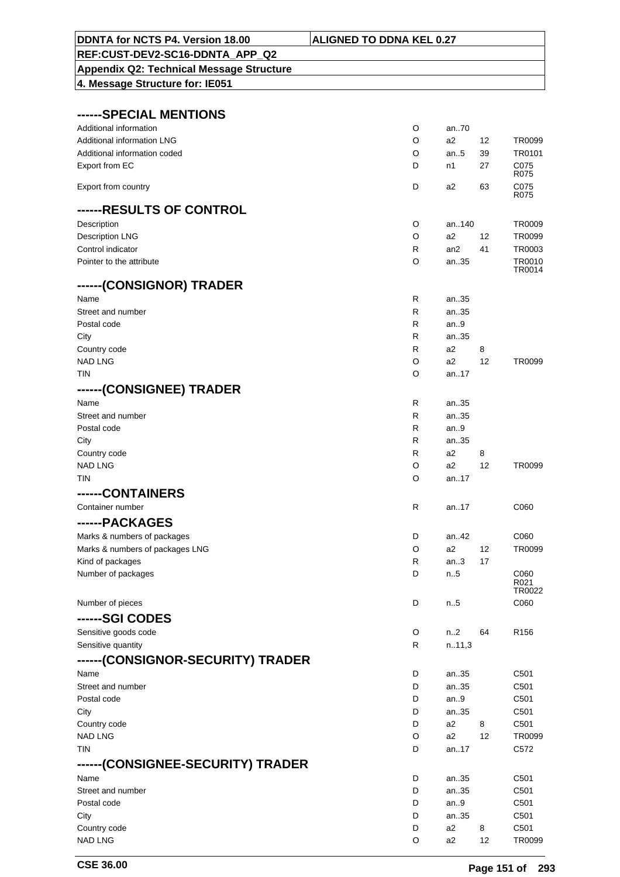| DDNTA for NCTS P4. Version 18.00                | <b>ALIGNED TO DDNA KEL 0.27</b> |        |    |                  |
|-------------------------------------------------|---------------------------------|--------|----|------------------|
| REF:CUST-DEV2-SC16-DDNTA APP Q2                 |                                 |        |    |                  |
| <b>Appendix Q2: Technical Message Structure</b> |                                 |        |    |                  |
| 4. Message Structure for: IE051                 |                                 |        |    |                  |
|                                                 |                                 |        |    |                  |
|                                                 |                                 |        |    |                  |
| ------SPECIAL MENTIONS                          |                                 |        |    |                  |
| Additional information                          | O                               | an70   |    |                  |
| <b>Additional information LNG</b>               | O                               | a2     | 12 | TR0099           |
| Additional information coded                    | O                               | an5    | 39 | TR0101           |
| Export from EC                                  | D                               | n1     | 27 | C075<br>R075     |
| Export from country                             | D                               | a2     | 63 | C075             |
|                                                 |                                 |        |    | R075             |
| ------RESULTS OF CONTROL                        |                                 |        |    |                  |
| Description                                     | O                               | an140  |    | <b>TR0009</b>    |
| <b>Description LNG</b>                          | O                               | a2     | 12 | TR0099           |
| Control indicator                               | R                               | an2    | 41 | TR0003           |
| Pointer to the attribute                        | O                               | an35   |    | TR0010           |
|                                                 |                                 |        |    | TR0014           |
| ------(CONSIGNOR) TRADER                        |                                 |        |    |                  |
| Name                                            | R                               | an35   |    |                  |
| Street and number                               | R                               | an35   |    |                  |
| Postal code                                     | R                               | an.9   |    |                  |
| City                                            | R                               | an35   |    |                  |
| Country code                                    | R                               | a2     | 8  |                  |
| <b>NAD LNG</b>                                  | O                               | a2     | 12 | TR0099           |
| TIN                                             | O                               | an.17  |    |                  |
| ------(CONSIGNEE) TRADER                        |                                 |        |    |                  |
| Name                                            | R                               | an35   |    |                  |
| Street and number                               | R                               | an35   |    |                  |
| Postal code                                     | R                               | an $9$ |    |                  |
| City                                            | R                               | an35   |    |                  |
| Country code                                    | R                               | a2     | 8  |                  |
| <b>NAD LNG</b>                                  | O                               | a2     | 12 | TR0099           |
| <b>TIN</b>                                      | O                               | an17   |    |                  |
| ------CONTAINERS                                |                                 |        |    |                  |
| Container number                                | R                               | an17   |    | C060             |
| ------PACKAGES                                  |                                 |        |    |                  |
| Marks & numbers of packages                     | D                               | an.42  |    | C060             |
| Marks & numbers of packages LNG                 | O                               | a2     | 12 | TR0099           |
| Kind of packages                                | R                               | an.3   | 17 |                  |
| Number of packages                              | D                               | n.5    |    | C060             |
|                                                 |                                 |        |    | R021             |
|                                                 | D                               |        |    | TR0022<br>C060   |
| Number of pieces                                |                                 | n5     |    |                  |
| ------SGI CODES                                 |                                 |        |    |                  |
| Sensitive goods code                            | O                               | n.2    | 64 | R <sub>156</sub> |
| Sensitive quantity                              | R                               | n.11,3 |    |                  |
| ------(CONSIGNOR-SECURITY) TRADER               |                                 |        |    |                  |
| Name                                            | D                               | an35   |    | C <sub>501</sub> |
| Street and number                               | D                               | an35   |    | C501             |
| Postal code                                     | D                               | an.9   |    | C501             |
| City                                            | D                               | an35   |    | C501             |
| Country code                                    | D                               | a2     | 8  | C501             |
| <b>NAD LNG</b>                                  | O                               | a2     | 12 | TR0099           |
| <b>TIN</b>                                      | D                               | an17   |    | C <sub>572</sub> |
| ------(CONSIGNEE-SECURITY) TRADER               |                                 |        |    |                  |
| Name                                            | D                               | an35   |    | C501             |
| Street and number                               | D                               | an35   |    | C501             |
| Postal code                                     | D                               | an.9   |    | C501             |
| City                                            | D                               | an35   |    | C501             |
| Country code                                    | D                               | a2     | 8  | C501             |
| <b>NAD LNG</b>                                  | O                               | a2     | 12 | TR0099           |

 $\overline{\phantom{a}}$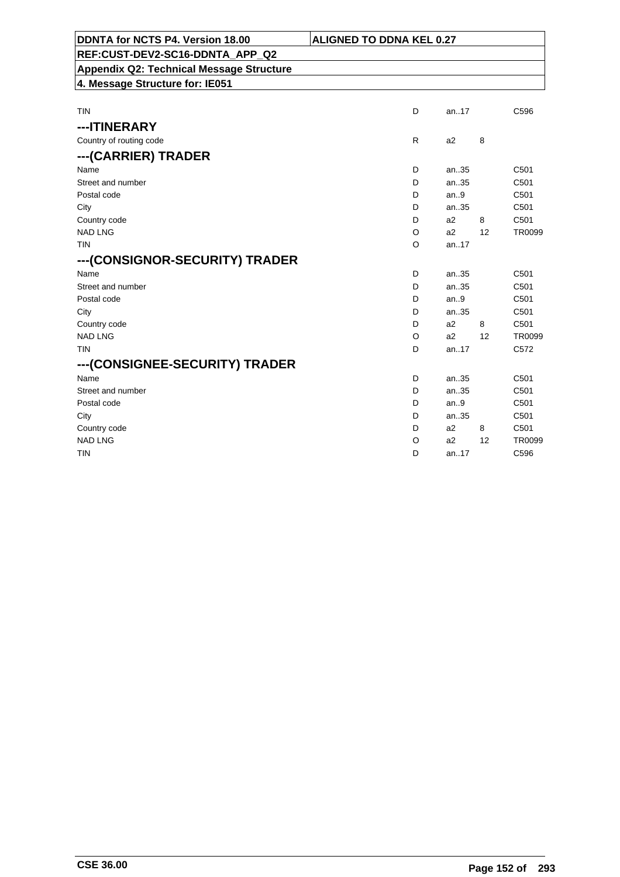| DDNTA for NCTS P4. Version 18.00                | <b>ALIGNED TO DDNA KEL 0.27</b> |                |    |                  |
|-------------------------------------------------|---------------------------------|----------------|----|------------------|
| REF:CUST-DEV2-SC16-DDNTA APP Q2                 |                                 |                |    |                  |
| <b>Appendix Q2: Technical Message Structure</b> |                                 |                |    |                  |
| 4. Message Structure for: IE051                 |                                 |                |    |                  |
|                                                 |                                 |                |    |                  |
| TIN                                             | D                               | an17           |    | C596             |
| ---ITINERARY                                    |                                 |                |    |                  |
| Country of routing code                         | R                               | a2             | 8  |                  |
| ---(CARRIER) TRADER                             |                                 |                |    |                  |
| Name                                            | D                               | an35           |    | C <sub>501</sub> |
| Street and number                               | D                               | an35           |    | C <sub>501</sub> |
| Postal code                                     | D                               | an.9           |    | C501             |
| City                                            | D                               | an35           |    | C501             |
| Country code                                    | D                               | a2             | 8  | C501             |
| <b>NAD LNG</b>                                  | O                               | a2             | 12 | <b>TR0099</b>    |
| <b>TIN</b>                                      | O                               | an.17          |    |                  |
| --- (CONSIGNOR-SECURITY) TRADER                 |                                 |                |    |                  |
| Name                                            | D                               | an35           |    | C <sub>501</sub> |
| Street and number                               | D                               | an.35          |    | C <sub>501</sub> |
| Postal code                                     | D                               | an.9           |    | C <sub>501</sub> |
| City                                            | D                               | an35           |    | C501             |
| Country code                                    | D                               | a2             | 8  | C501             |
| <b>NAD LNG</b>                                  | O                               | a2             | 12 | <b>TR0099</b>    |
| <b>TIN</b>                                      | D                               | an17           |    | C572             |
| --- (CONSIGNEE-SECURITY) TRADER                 |                                 |                |    |                  |
| Name                                            | D                               | an35           |    | C501             |
| Street and number                               | D                               | an35           |    | C501             |
| Postal code                                     | D                               | an.9           |    | C501             |
| City                                            | D                               | an.35          |    | C501             |
| Country code                                    | D                               | a <sub>2</sub> | 8  | C501             |
| <b>NAD LNG</b>                                  | O                               | a2             | 12 | TR0099           |
| TIN                                             | D                               | an.17          |    | C596             |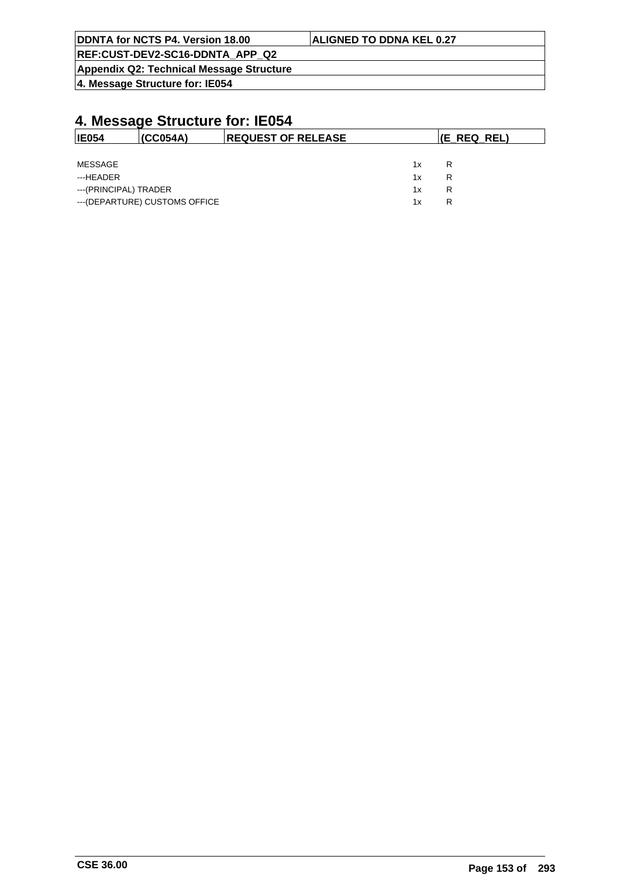| DDNTA for NCTS P4. Version 18.00                | <b>ALIGNED TO DDNA KEL 0.27</b> |
|-------------------------------------------------|---------------------------------|
| REF:CUST-DEV2-SC16-DDNTA APP Q2                 |                                 |
| <b>Appendix Q2: Technical Message Structure</b> |                                 |

| <b>IE054</b>          | (CCO54A)                       | <b>REQUEST OF RELEASE</b> |    | (E REQ REL) |  |
|-----------------------|--------------------------------|---------------------------|----|-------------|--|
|                       |                                |                           |    |             |  |
| MESSAGE               |                                |                           | 1x | R           |  |
| ---HEADER             |                                |                           | 1x | R           |  |
| ---(PRINCIPAL) TRADER |                                |                           | 1x | R           |  |
|                       | --- (DEPARTURE) CUSTOMS OFFICE |                           | 1x | R           |  |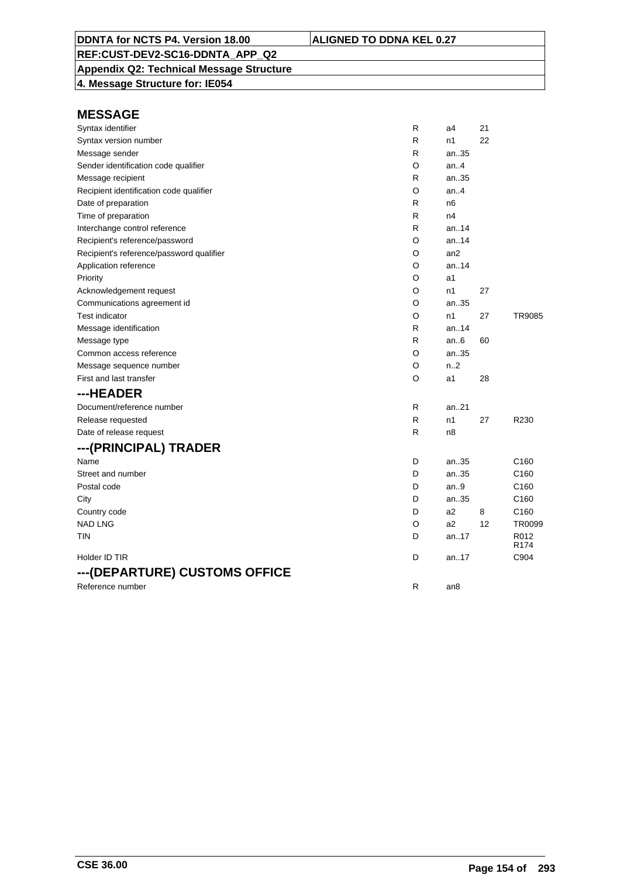### **Appendix Q2: Technical Message Structure**

**4. Message Structure for: IE054**

| Syntax identifier                        | R | a4              | 21 |                          |
|------------------------------------------|---|-----------------|----|--------------------------|
| Syntax version number                    | R | n1              | 22 |                          |
| Message sender                           | R | an35            |    |                          |
| Sender identification code qualifier     | O | an.4            |    |                          |
| Message recipient                        | R | an35            |    |                          |
| Recipient identification code qualifier  | O | an.4            |    |                          |
| Date of preparation                      | R | n <sub>6</sub>  |    |                          |
| Time of preparation                      | R | n4              |    |                          |
| Interchange control reference            | R | an.14           |    |                          |
| Recipient's reference/password           | O | an14            |    |                          |
| Recipient's reference/password qualifier | O | an <sub>2</sub> |    |                          |
| Application reference                    | O | an.14           |    |                          |
| Priority                                 | O | a1              |    |                          |
| Acknowledgement request                  | O | n1              | 27 |                          |
| Communications agreement id              | O | an35            |    |                          |
| <b>Test indicator</b>                    | O | n1              | 27 | TR9085                   |
| Message identification                   | R | an.14           |    |                          |
| Message type                             | R | an.6            | 60 |                          |
| Common access reference                  | O | an35            |    |                          |
| Message sequence number                  | O | n2              |    |                          |
| First and last transfer                  | O | a1              | 28 |                          |
| ---HEADER                                |   |                 |    |                          |
| Document/reference number                | R | an.21           |    |                          |
| Release requested                        | R | n1              | 27 | R230                     |
| Date of release request                  | R | n <sub>8</sub>  |    |                          |
| ---(PRINCIPAL) TRADER                    |   |                 |    |                          |
| Name                                     | D | an35            |    | C <sub>160</sub>         |
| Street and number                        | D | an35            |    | C160                     |
| Postal code                              | D | an.9            |    | C160                     |
| City                                     | D | an35            |    | C <sub>160</sub>         |
| Country code                             | D | a <sub>2</sub>  | 8  | C160                     |
| <b>NAD LNG</b>                           | O | a2              | 12 | <b>TR0099</b>            |
| <b>TIN</b>                               | D | an. $.17$       |    | R012<br>R <sub>174</sub> |
| Holder ID TIR                            | D | an17            |    | C904                     |
| ---(DEPARTURE) CUSTOMS OFFICE            |   |                 |    |                          |
| Reference number                         | R | an <sub>8</sub> |    |                          |
|                                          |   |                 |    |                          |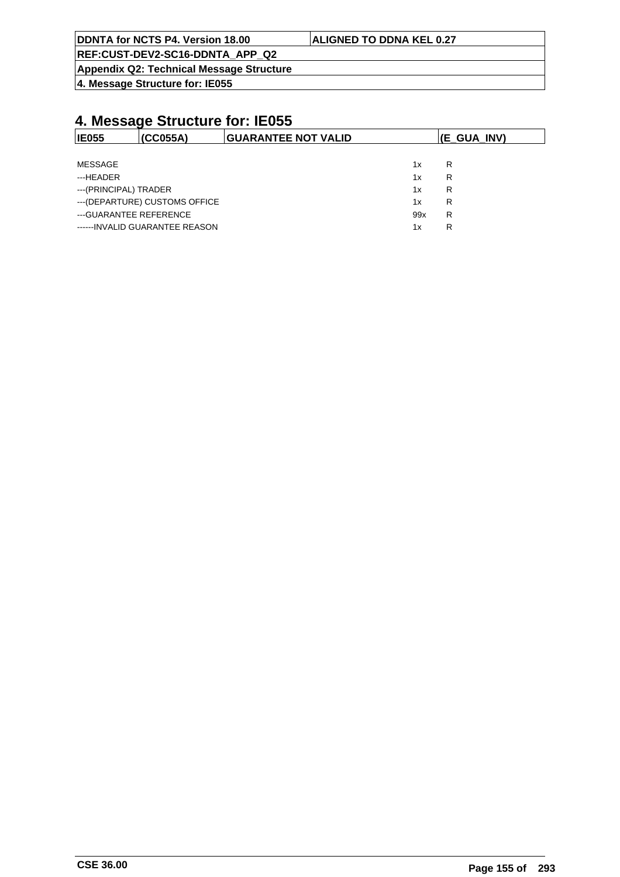| DDNTA for NCTS P4. Version 18.00 | <b>ALIGNED TO DDNA KEL 0.27</b> |  |
|----------------------------------|---------------------------------|--|
| REF:CUST-DEV2-SC16-DDNTA APP Q2  |                                 |  |

**Appendix Q2: Technical Message Structure**

**4. Message Structure for: IE055**

| <b>IE055</b>           | (CC055A)                        | <b>IGUARANTEE NOT VALID</b> |     | (E GUA INV) |
|------------------------|---------------------------------|-----------------------------|-----|-------------|
|                        |                                 |                             |     |             |
| MESSAGE                |                                 |                             | 1x  | R           |
| ---HEADER              |                                 |                             | 1x  | R           |
| ---(PRINCIPAL) TRADER  |                                 |                             | 1x  | R           |
|                        | --- (DEPARTURE) CUSTOMS OFFICE  |                             | 1x  | R           |
| ---GUARANTEE REFERENCE |                                 |                             | 99x | R           |
|                        | ------ INVALID GUARANTEE REASON |                             | 1x  | R           |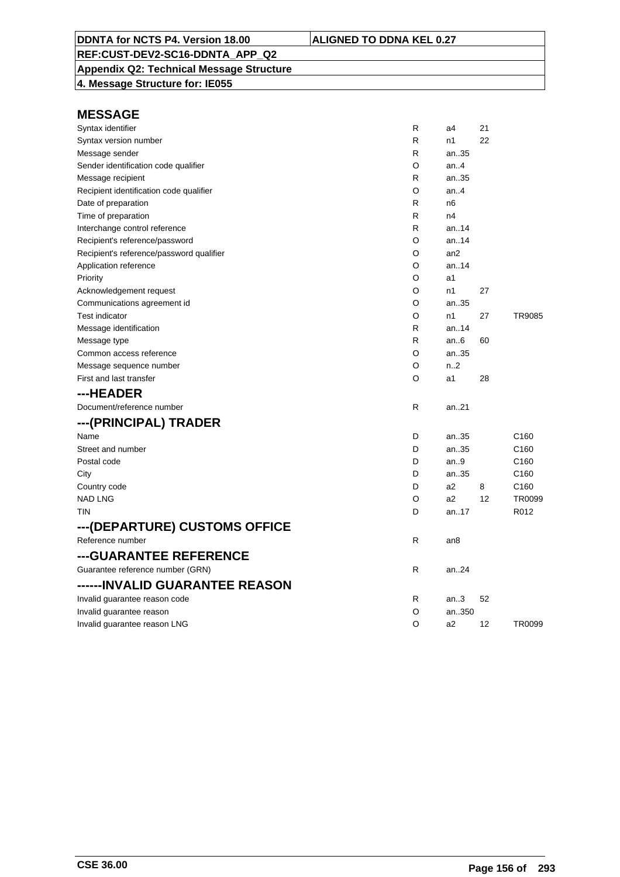### **Appendix Q2: Technical Message Structure**

**4. Message Structure for: IE055**

| Syntax identifier                        | R | a4              | 21 |                  |
|------------------------------------------|---|-----------------|----|------------------|
| Syntax version number                    | R | n1              | 22 |                  |
| Message sender                           | R | an.35           |    |                  |
| Sender identification code qualifier     | O | an.4            |    |                  |
| Message recipient                        | R | an35            |    |                  |
| Recipient identification code qualifier  | O | an.4            |    |                  |
| Date of preparation                      | R | n6              |    |                  |
| Time of preparation                      | R | n4              |    |                  |
| Interchange control reference            | R | an. $.14$       |    |                  |
| Recipient's reference/password           | O | an14            |    |                  |
| Recipient's reference/password qualifier | O | an2             |    |                  |
| Application reference                    | O | an.14           |    |                  |
| Priority                                 | O | a1              |    |                  |
| Acknowledgement request                  | O | n1              | 27 |                  |
| Communications agreement id              | O | an35            |    |                  |
| <b>Test indicator</b>                    | O | n1              | 27 | <b>TR9085</b>    |
| Message identification                   | R | an.14           |    |                  |
| Message type                             | R | an $6$          | 60 |                  |
| Common access reference                  | O | an35            |    |                  |
| Message sequence number                  | O | n <sub>2</sub>  |    |                  |
| First and last transfer                  | O | a1              | 28 |                  |
| ---HEADER                                |   |                 |    |                  |
| Document/reference number                | R | an21            |    |                  |
| ---(PRINCIPAL) TRADER                    |   |                 |    |                  |
| Name                                     | D | an35            |    | C <sub>160</sub> |
| Street and number                        | D | an35            |    | C <sub>160</sub> |
| Postal code                              | D | an.9            |    | C <sub>160</sub> |
| City                                     | D | an35            |    | C <sub>160</sub> |
| Country code                             | D | a <sub>2</sub>  | 8  | C <sub>160</sub> |
| <b>NAD LNG</b>                           | O | a <sub>2</sub>  | 12 | TR0099           |
| TIN                                      | D | an17            |    | R012             |
| ---(DEPARTURE) CUSTOMS OFFICE            |   |                 |    |                  |
| Reference number                         | R | an <sub>8</sub> |    |                  |
| ---GUARANTEE REFERENCE                   |   |                 |    |                  |
| Guarantee reference number (GRN)         | R | an24            |    |                  |
| ------INVALID GUARANTEE REASON           |   |                 |    |                  |
| Invalid guarantee reason code            | R | an.3            | 52 |                  |
| Invalid guarantee reason                 | O | an350           |    |                  |
| Invalid guarantee reason LNG             | O | a2              | 12 | TR0099           |
|                                          |   |                 |    |                  |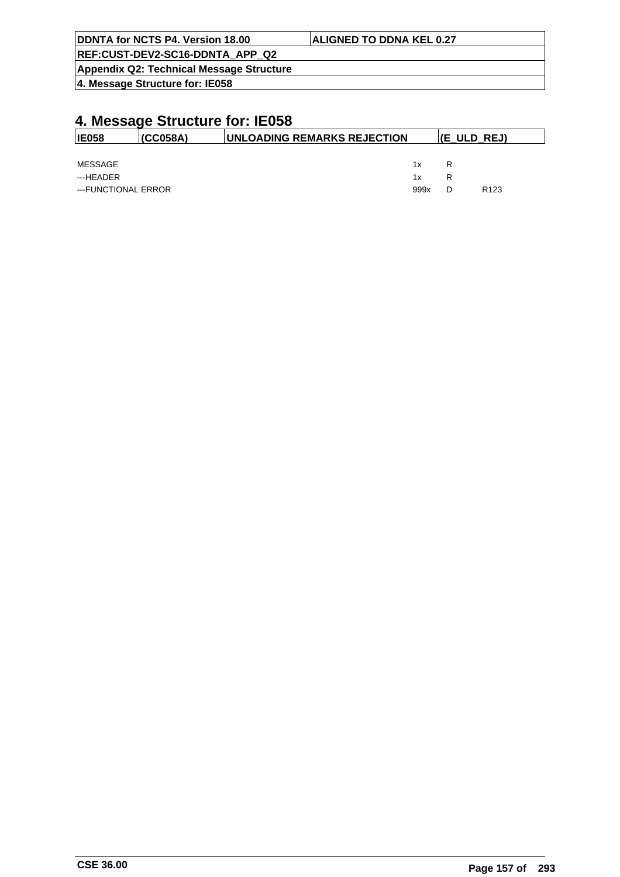| DDNTA for NCTS P4. Version 18.00         | <b>ALIGNED TO DDNA KEL 0.27</b> |
|------------------------------------------|---------------------------------|
| REF:CUST-DEV2-SC16-DDNTA APP Q2          |                                 |
| Appendix Q2: Technical Message Structure |                                 |
| 4. Message Structure for: IE058          |                                 |

| <b>IE058</b>        | I(CC058A) | <b>IUNLOADING REMARKS REJECTION</b> |   | $ E_ULD_REJ\rangle$ |
|---------------------|-----------|-------------------------------------|---|---------------------|
|                     |           |                                     |   |                     |
| MESSAGE             |           | 1x                                  | R |                     |
| ---HEADER           |           | 1x                                  | R |                     |
| ---FUNCTIONAL ERROR |           | 999x                                |   | R <sub>123</sub>    |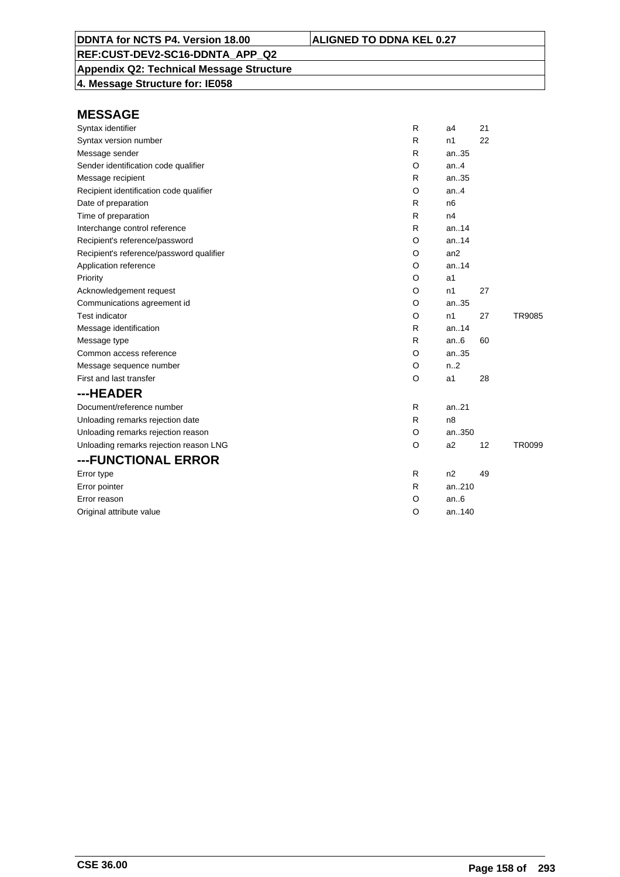### **Appendix Q2: Technical Message Structure**

**4. Message Structure for: IE058**

| R<br>R | n1<br>an35     | 22 |        |
|--------|----------------|----|--------|
|        |                |    |        |
|        |                |    |        |
|        | an.4           |    |        |
| R      | an35           |    |        |
| O      | an.4           |    |        |
| R      | n <sub>6</sub> |    |        |
| R      | n4             |    |        |
| R      | an14           |    |        |
| O      | an.14          |    |        |
| O      | an2            |    |        |
| O      | an.14          |    |        |
| O      | a1             |    |        |
| O      | n1             | 27 |        |
| O      | an35           |    |        |
| O      | n1             | 27 | TR9085 |
| R      | an14           |    |        |
| R      | an.6           | 60 |        |
| O      | an35           |    |        |
| O      | n.2            |    |        |
| O      | a1             | 28 |        |
|        |                |    |        |
| R      | an.21          |    |        |
| R      | n8             |    |        |
| O      | an350          |    |        |
| O      | a <sub>2</sub> | 12 | TR0099 |
|        |                |    |        |
| R      | n2             | 49 |        |
| R      | an210          |    |        |
| O      | an.6           |    |        |
| O      | an140          |    |        |
|        | O              |    |        |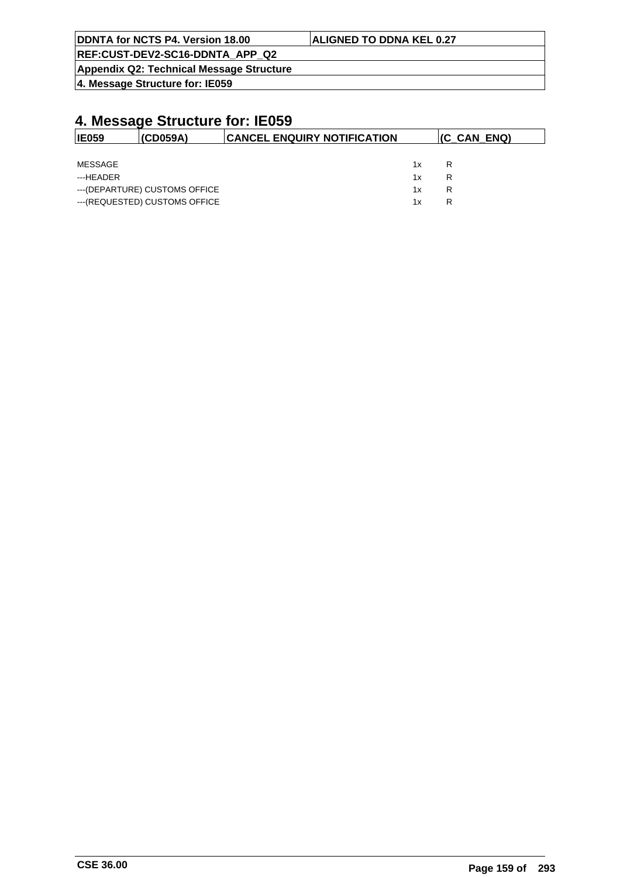| <b>IDDNTA for NCTS P4. Version 18.00</b>        | <b>ALIGNED TO DDNA KEL 0.27</b> |
|-------------------------------------------------|---------------------------------|
| REF:CUST-DEV2-SC16-DDNTA APP Q2                 |                                 |
| <b>Appendix Q2: Technical Message Structure</b> |                                 |

| <b>IE059</b> | (CD059A)                       | <b>CANCEL ENQUIRY NOTIFICATION</b> |    | (C_CAN_ENQ) |
|--------------|--------------------------------|------------------------------------|----|-------------|
|              |                                |                                    |    |             |
| MESSAGE      |                                |                                    | 1x | R           |
| ---HEADER    |                                |                                    | 1x | R           |
|              | --- (DEPARTURE) CUSTOMS OFFICE |                                    | 1x | R           |
|              | --- (REQUESTED) CUSTOMS OFFICE |                                    | 1x | R           |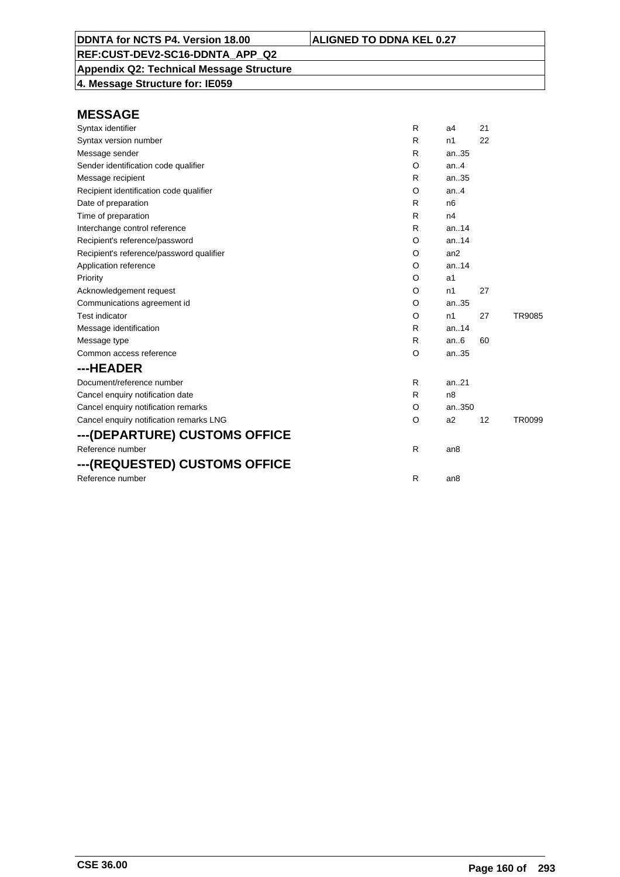**Appendix Q2: Technical Message Structure 4. Message Structure for: IE059**

| Syntax identifier                        | R | a4              | 21 |        |
|------------------------------------------|---|-----------------|----|--------|
| Syntax version number                    | R | n1              | 22 |        |
| Message sender                           | R | an35            |    |        |
| Sender identification code qualifier     | O | an.4            |    |        |
| Message recipient                        | R | an35            |    |        |
| Recipient identification code qualifier  | O | an.4            |    |        |
| Date of preparation                      | R | n <sub>6</sub>  |    |        |
| Time of preparation                      | R | n4              |    |        |
| Interchange control reference            | R | an.14           |    |        |
| Recipient's reference/password           | O | an.14           |    |        |
| Recipient's reference/password qualifier | O | an2             |    |        |
| Application reference                    | O | an.14           |    |        |
| Priority                                 | O | a1              |    |        |
| Acknowledgement request                  | O | n1              | 27 |        |
| Communications agreement id              | O | an35            |    |        |
| <b>Test indicator</b>                    | O | n1              | 27 | TR9085 |
| Message identification                   | R | an.14           |    |        |
| Message type                             | R | an.6            | 60 |        |
| Common access reference                  | O | an35            |    |        |
| ---HEADER                                |   |                 |    |        |
| Document/reference number                | R | an.21           |    |        |
| Cancel enquiry notification date         | R | n <sub>8</sub>  |    |        |
| Cancel enquiry notification remarks      | O | an350           |    |        |
| Cancel enquiry notification remarks LNG  | O | a2              | 12 | TR0099 |
| ---(DEPARTURE) CUSTOMS OFFICE            |   |                 |    |        |
| Reference number                         | R | an <sub>8</sub> |    |        |
| ---(REQUESTED) CUSTOMS OFFICE            |   |                 |    |        |
| Reference number                         | R | an <sub>8</sub> |    |        |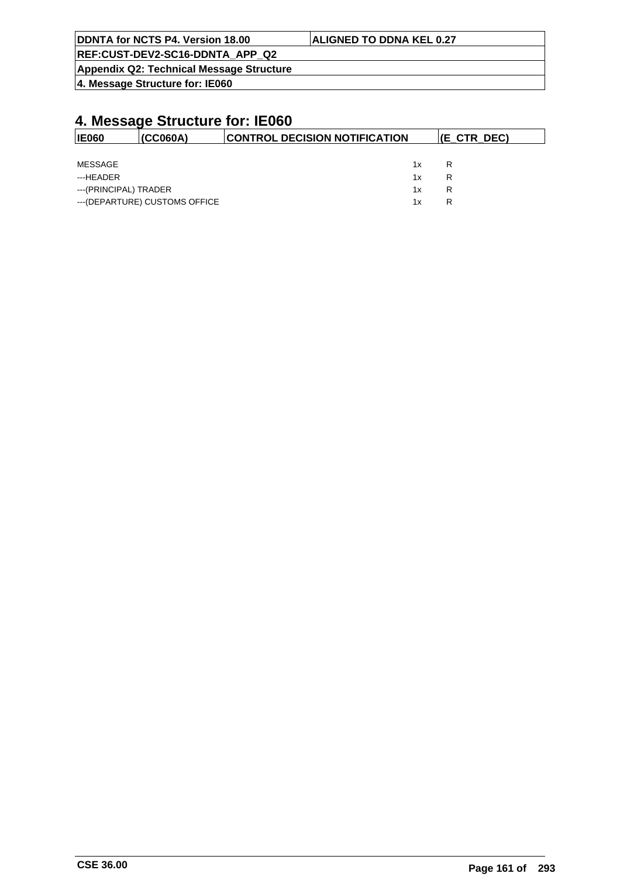| DDNTA for NCTS P4. Version 18.00                | <b>ALIGNED TO DDNA KEL 0.27</b> |  |  |  |  |
|-------------------------------------------------|---------------------------------|--|--|--|--|
| REF:CUST-DEV2-SC16-DDNTA APP Q2                 |                                 |  |  |  |  |
| <b>Appendix Q2: Technical Message Structure</b> |                                 |  |  |  |  |
| $ 4$ . Message Structure for: IE060             |                                 |  |  |  |  |

| <b>IE060</b>          | (CC060A)                       | <b>CONTROL DECISION NOTIFICATION</b> | <b>(E CTR DEC)</b> |
|-----------------------|--------------------------------|--------------------------------------|--------------------|
|                       |                                |                                      |                    |
| MESSAGE               |                                | 1x                                   | R                  |
| ---HEADER             |                                | 1x                                   | R                  |
| ---(PRINCIPAL) TRADER |                                | 1x                                   | R                  |
|                       | --- (DEPARTURE) CUSTOMS OFFICE | 1x                                   | R                  |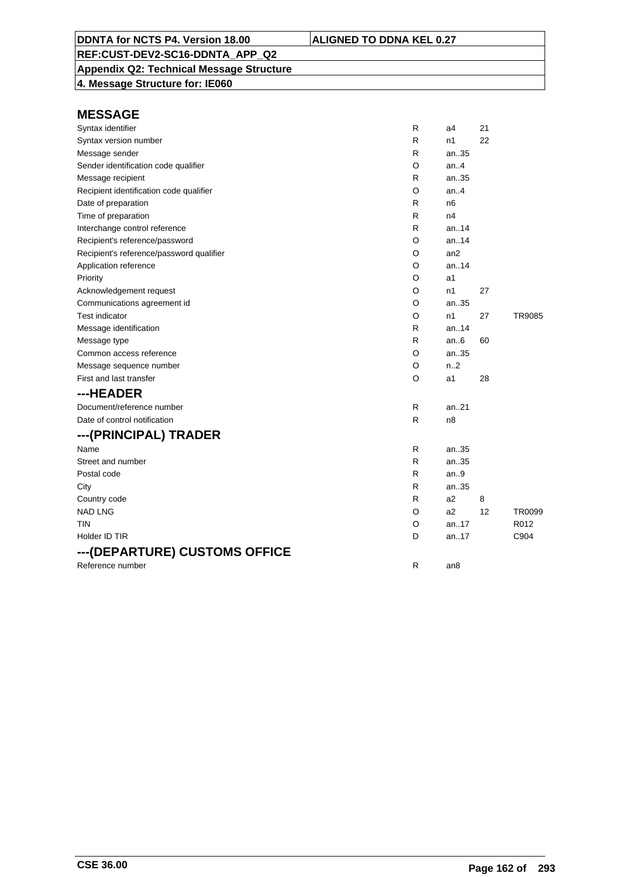### **Appendix Q2: Technical Message Structure**

**4. Message Structure for: IE060**

| Syntax identifier                        | R | a4              | 21 |               |
|------------------------------------------|---|-----------------|----|---------------|
| Syntax version number                    | R | n1              | 22 |               |
| Message sender                           | R | an35            |    |               |
| Sender identification code qualifier     | O | an4             |    |               |
| Message recipient                        | R | an35            |    |               |
| Recipient identification code qualifier  | O | an.4            |    |               |
| Date of preparation                      | R | n6              |    |               |
| Time of preparation                      | R | n4              |    |               |
| Interchange control reference            | R | an.14           |    |               |
| Recipient's reference/password           | O | an14            |    |               |
| Recipient's reference/password qualifier | O | an2             |    |               |
| Application reference                    | O | an.14           |    |               |
| Priority                                 | O | a1              |    |               |
| Acknowledgement request                  | O | n1              | 27 |               |
| Communications agreement id              | O | an35            |    |               |
| Test indicator                           | O | n1              | 27 | <b>TR9085</b> |
| Message identification                   | R | an14            |    |               |
| Message type                             | R | an.6            | 60 |               |
| Common access reference                  | O | an35            |    |               |
| Message sequence number                  | O | n.2             |    |               |
| First and last transfer                  | O | a1              | 28 |               |
| ---HEADER                                |   |                 |    |               |
| Document/reference number                | R | an21            |    |               |
| Date of control notification             | R | n <sub>8</sub>  |    |               |
| ---(PRINCIPAL) TRADER                    |   |                 |    |               |
| Name                                     | R | an35            |    |               |
| Street and number                        | R | an35            |    |               |
| Postal code                              | R | an.9            |    |               |
| City                                     | R | an35            |    |               |
| Country code                             | R | a <sub>2</sub>  | 8  |               |
| <b>NAD LNG</b>                           | O | a2              | 12 | TR0099        |
| TIN                                      | O | an.17           |    | R012          |
| Holder ID TIR                            | D | an17            |    | C904          |
| ---(DEPARTURE) CUSTOMS OFFICE            |   |                 |    |               |
| Reference number                         | R | an <sub>8</sub> |    |               |
|                                          |   |                 |    |               |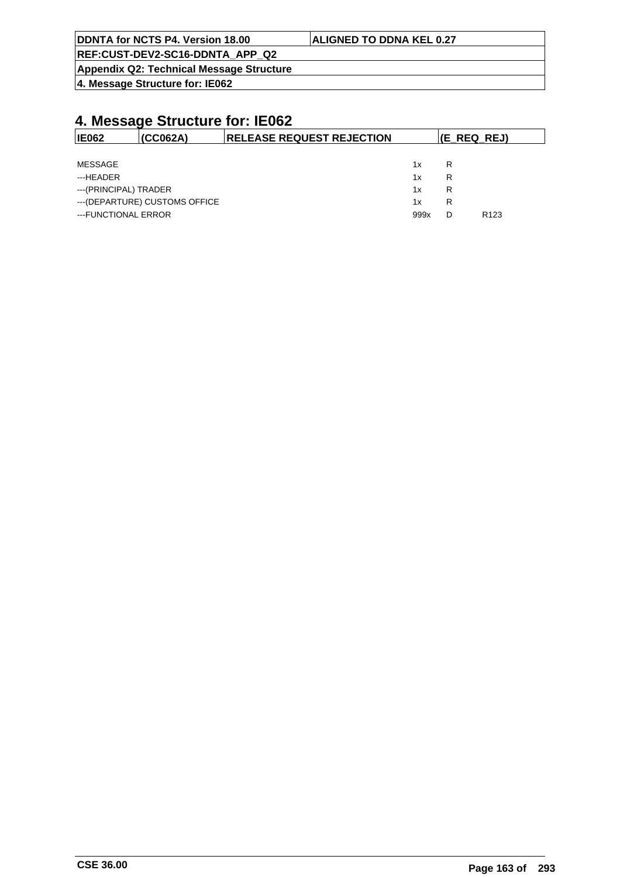| <b>ALIGNED TO DDNA KEL 0.27</b> |
|---------------------------------|
|                                 |
|                                 |
|                                 |

| <b>IE062</b>          | (CCO62A)                       | <b>RELEASE REQUEST REJECTION</b> |      | (E REQ REJ) |                  |
|-----------------------|--------------------------------|----------------------------------|------|-------------|------------------|
|                       |                                |                                  |      |             |                  |
| MESSAGE               |                                |                                  | 1x   | R           |                  |
| ---HEADER             |                                |                                  | 1x   | R           |                  |
| ---(PRINCIPAL) TRADER |                                |                                  | 1x   | R           |                  |
|                       | --- (DEPARTURE) CUSTOMS OFFICE |                                  | 1x   | R           |                  |
| ---FUNCTIONAL ERROR   |                                |                                  | 999x | D           | R <sub>123</sub> |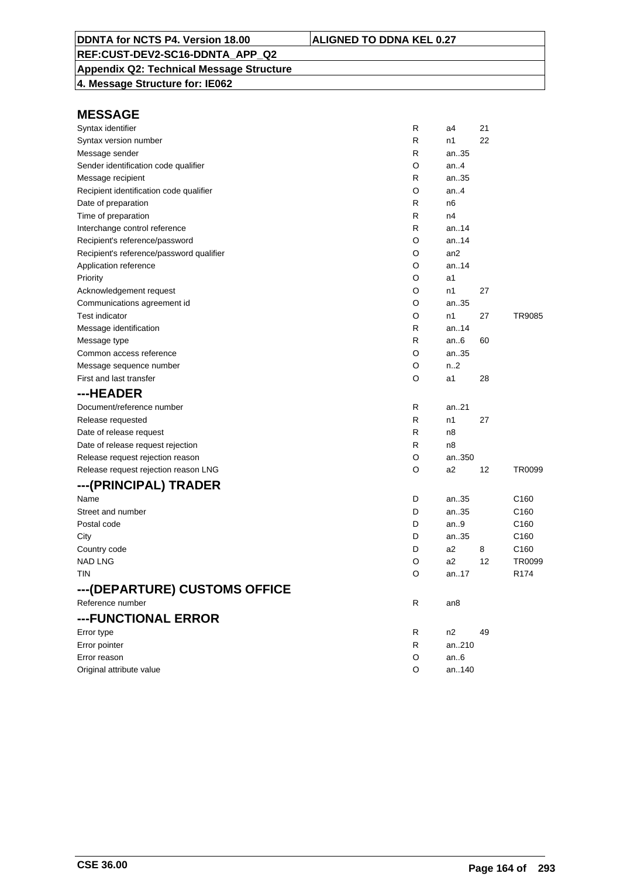### **Appendix Q2: Technical Message Structure**

**4. Message Structure for: IE062**

| Syntax identifier                        | R | a4              | 21 |                  |
|------------------------------------------|---|-----------------|----|------------------|
| Syntax version number                    | R | n1              | 22 |                  |
| Message sender                           | R | an35            |    |                  |
| Sender identification code qualifier     | O | an.4            |    |                  |
| Message recipient                        | R | an35            |    |                  |
| Recipient identification code qualifier  | O | an.4            |    |                  |
| Date of preparation                      | R | n6              |    |                  |
| Time of preparation                      | R | n4              |    |                  |
| Interchange control reference            | R | an14            |    |                  |
| Recipient's reference/password           | O | an14            |    |                  |
| Recipient's reference/password qualifier | O | an <sub>2</sub> |    |                  |
| Application reference                    | O | an.14           |    |                  |
| Priority                                 | O | a1              |    |                  |
| Acknowledgement request                  | O | n1              | 27 |                  |
| Communications agreement id              | O | an35            |    |                  |
| <b>Test indicator</b>                    | O | n1              | 27 | TR9085           |
| Message identification                   | R | an14            |    |                  |
| Message type                             | R | an $6$          | 60 |                  |
| Common access reference                  | O | an35            |    |                  |
| Message sequence number                  | O | n2              |    |                  |
| First and last transfer                  | O | a1              | 28 |                  |
| ---HEADER                                |   |                 |    |                  |
| Document/reference number                | R | an21            |    |                  |
| Release requested                        | R | n1              | 27 |                  |
| Date of release request                  | R | n8              |    |                  |
| Date of release request rejection        | R | n8              |    |                  |
| Release request rejection reason         | O | an350           |    |                  |
| Release request rejection reason LNG     | O | a <sub>2</sub>  | 12 | TR0099           |
| ---(PRINCIPAL) TRADER                    |   |                 |    |                  |
| Name                                     | D | an35            |    | C <sub>160</sub> |
| Street and number                        | D | an35            |    | C160             |
| Postal code                              | D | an.9            |    | C <sub>160</sub> |
| City                                     | D | an35            |    | C160             |
| Country code                             | D | a <sub>2</sub>  | 8  | C160             |
| <b>NAD LNG</b>                           | O | a <sub>2</sub>  | 12 | TR0099           |
| <b>TIN</b>                               | O | an17            |    | R <sub>174</sub> |
| ---(DEPARTURE) CUSTOMS OFFICE            |   |                 |    |                  |
| Reference number                         | R | an8             |    |                  |
| ---FUNCTIONAL ERROR                      |   |                 |    |                  |
| Error type                               | R | n2              | 49 |                  |
| Error pointer                            | R | an210           |    |                  |
| Error reason                             | O | an.6            |    |                  |
| Original attribute value                 | O | an140           |    |                  |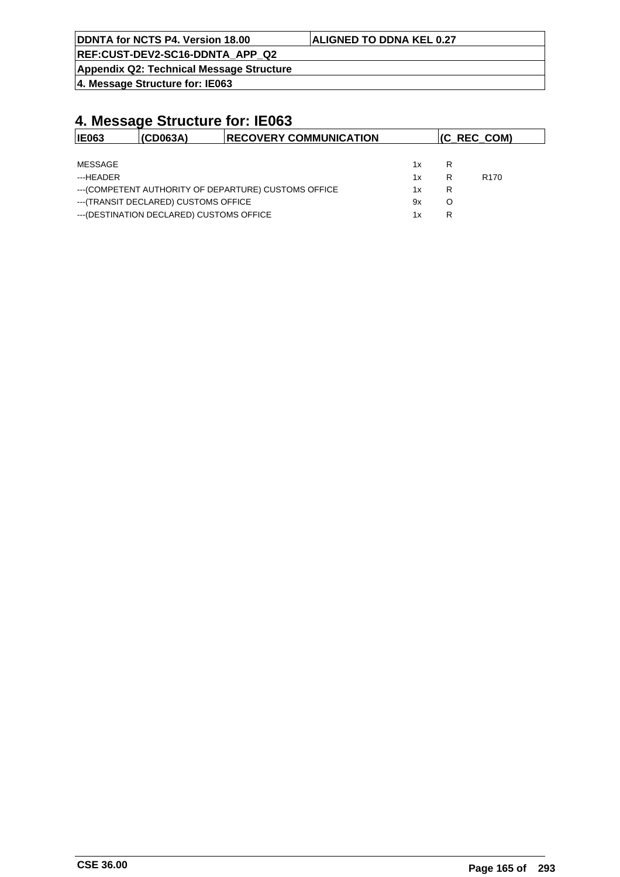| DDNTA for NCTS P4. Version 18.00         | <b>ALIGNED TO DDNA KEL 0.27</b> |
|------------------------------------------|---------------------------------|
| REF:CUST-DEV2-SC16-DDNTA APP Q2          |                                 |
| Appendix Q2: Technical Message Structure |                                 |

| <b>IE063</b> | (CD063A)                                  | <b>RECOVERY COMMUNICATION</b>                         |    |   | $(C$ REC COM)    |
|--------------|-------------------------------------------|-------------------------------------------------------|----|---|------------------|
|              |                                           |                                                       |    |   |                  |
| MESSAGE      |                                           |                                                       | 1x | R |                  |
| ---HFADFR    |                                           |                                                       | 1x | R | R <sub>170</sub> |
|              |                                           | --- (COMPETENT AUTHORITY OF DEPARTURE) CUSTOMS OFFICE | 1x | R |                  |
|              | --- (TRANSIT DECLARED) CUSTOMS OFFICE     |                                                       | 9x | O |                  |
|              | --- (DESTINATION DECLARED) CUSTOMS OFFICE |                                                       | 1x | R |                  |
|              |                                           |                                                       |    |   |                  |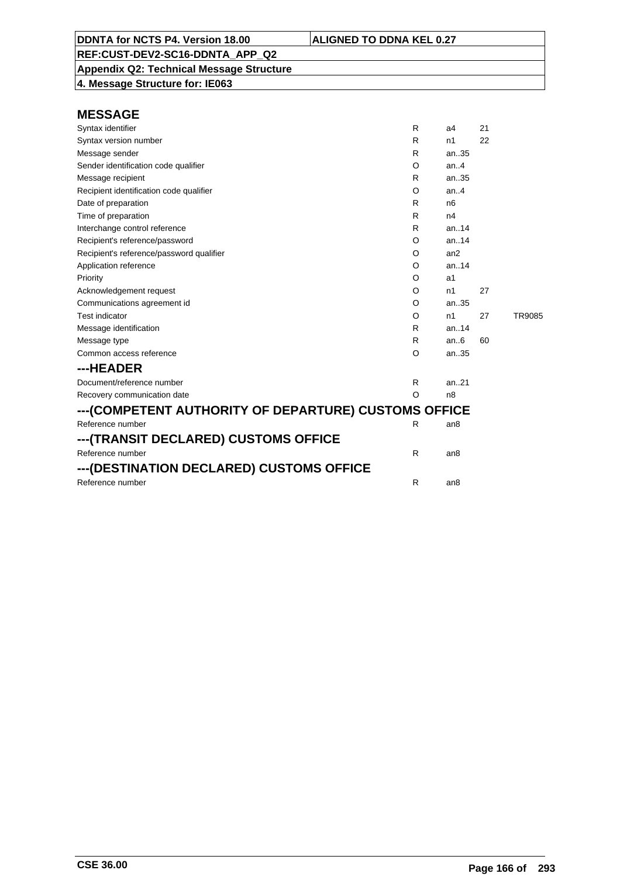**Appendix Q2: Technical Message Structure 4. Message Structure for: IE063**

| Syntax identifier                                    | R       | a4              | 21 |        |
|------------------------------------------------------|---------|-----------------|----|--------|
| Syntax version number                                | R       | n1              | 22 |        |
| Message sender                                       | R       | an35            |    |        |
| Sender identification code qualifier                 | O       | an.4            |    |        |
| Message recipient                                    | R       | an35            |    |        |
| Recipient identification code qualifier              | O       | an.4            |    |        |
| Date of preparation                                  | R       | n <sub>6</sub>  |    |        |
| Time of preparation                                  | R       | n4              |    |        |
| Interchange control reference                        | R       | an.14           |    |        |
| Recipient's reference/password                       | O       | an.14           |    |        |
| Recipient's reference/password qualifier             | O       | an2             |    |        |
| Application reference                                | O       | an.14           |    |        |
| Priority                                             | O       | a1              |    |        |
| Acknowledgement request                              | O       | n1              | 27 |        |
| Communications agreement id                          | O       | an.35           |    |        |
| <b>Test indicator</b>                                | O       | n1              | 27 | TR9085 |
| Message identification                               | R       | an.14           |    |        |
| Message type                                         | R       | an.6            | 60 |        |
| Common access reference                              | O       | an35            |    |        |
| ---HEADER                                            |         |                 |    |        |
| Document/reference number                            | R       | an.21           |    |        |
| Recovery communication date                          | $\circ$ | n8              |    |        |
| ---(COMPETENT AUTHORITY OF DEPARTURE) CUSTOMS OFFICE |         |                 |    |        |
| Reference number                                     | R       | an8             |    |        |
| ---(TRANSIT DECLARED) CUSTOMS OFFICE                 |         |                 |    |        |
| Reference number                                     | R       | an <sub>8</sub> |    |        |
| ---(DESTINATION DECLARED) CUSTOMS OFFICE             |         |                 |    |        |
| Reference number                                     | R       | an <sub>8</sub> |    |        |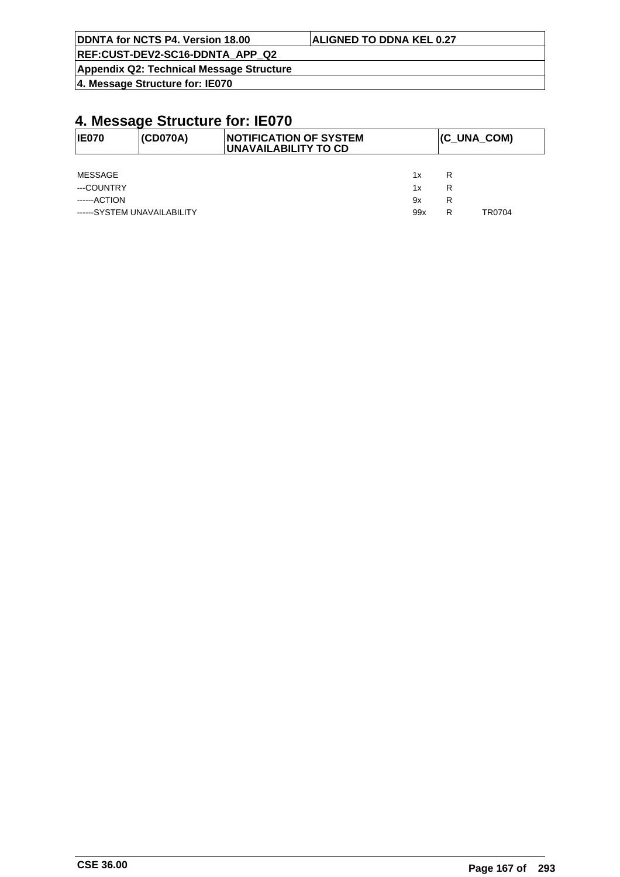| <b>IDDNTA for NCTS P4. Version 18.00</b> | <b>ALIGNED TO DDNA KEL 0.27</b> |
|------------------------------------------|---------------------------------|
| REF:CUST-DEV2-SC16-DDNTA APP Q2          |                                 |
| Appendix Q2: Technical Message Structure |                                 |

| <b>IE070</b>                | (CD070A) | <b>INOTIFICATION OF SYSTEM</b><br><b>UNAVAILABILITY TO CD</b> |     |   | (C_UNA_COM) |  |  |
|-----------------------------|----------|---------------------------------------------------------------|-----|---|-------------|--|--|
|                             |          |                                                               |     |   |             |  |  |
| MESSAGE                     |          |                                                               | 1x  | R |             |  |  |
| ---COUNTRY                  |          |                                                               | 1x  | R |             |  |  |
| ------ACTION                |          |                                                               | 9x  | R |             |  |  |
| ------SYSTEM UNAVAILABILITY |          |                                                               | 99x | R | TR0704      |  |  |
|                             |          |                                                               |     |   |             |  |  |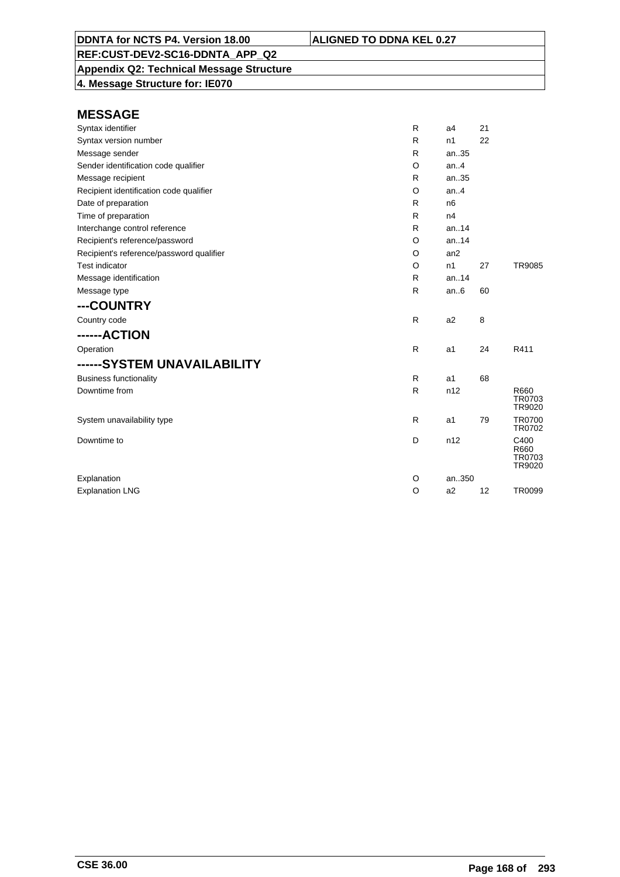**Appendix Q2: Technical Message Structure**

**4. Message Structure for: IE070**

| Syntax identifier                        | R | a <sub>4</sub> | 21 |                                  |
|------------------------------------------|---|----------------|----|----------------------------------|
| Syntax version number                    | R | n1             | 22 |                                  |
| Message sender                           | R | an35           |    |                                  |
| Sender identification code qualifier     | O | an.4           |    |                                  |
| Message recipient                        | R | an.35          |    |                                  |
| Recipient identification code qualifier  | O | an.4           |    |                                  |
| Date of preparation                      | R | n <sub>6</sub> |    |                                  |
| Time of preparation                      | R | n4             |    |                                  |
| Interchange control reference            | R | an14           |    |                                  |
| Recipient's reference/password           | O | an.14          |    |                                  |
| Recipient's reference/password qualifier | O | an2            |    |                                  |
| <b>Test indicator</b>                    | O | n1             | 27 | <b>TR9085</b>                    |
| Message identification                   | R | an.14          |    |                                  |
| Message type                             | R | an.6           | 60 |                                  |
| ---COUNTRY                               |   |                |    |                                  |
| Country code                             | R | a <sub>2</sub> | 8  |                                  |
| ------ACTION                             |   |                |    |                                  |
| Operation                                | R | a1             | 24 | R411                             |
| ------SYSTEM UNAVAILABILITY              |   |                |    |                                  |
| <b>Business functionality</b>            | R | a1             | 68 |                                  |
| Downtime from                            | R | n12            |    | R660<br>TR0703<br>TR9020         |
| System unavailability type               | R | a1             | 79 | <b>TR0700</b><br>TR0702          |
| Downtime to                              | D | n12            |    | C400<br>R660<br>TR0703<br>TR9020 |
| Explanation                              | O | an350          |    |                                  |
| <b>Explanation LNG</b>                   | O | a2             | 12 | <b>TR0099</b>                    |
|                                          |   |                |    |                                  |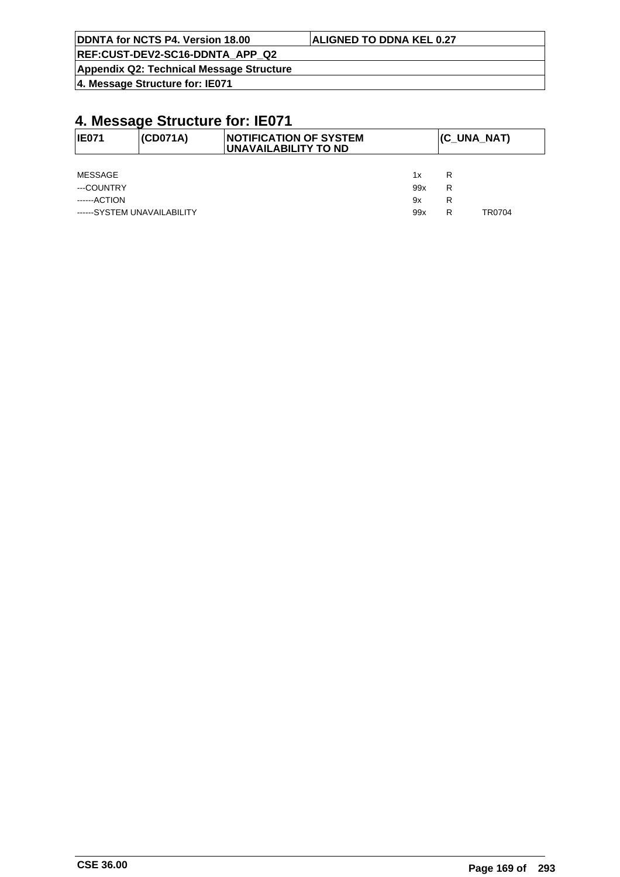| DDNTA for NCTS P4. Version 18.00         | <b>ALIGNED TO DDNA KEL 0.27</b> |
|------------------------------------------|---------------------------------|
| REF:CUST-DEV2-SC16-DDNTA APP Q2          |                                 |
| Appendix Q2: Technical Message Structure |                                 |

| <b>IE071</b>                | (CD071A) | <b>INOTIFICATION OF SYSTEM</b><br>UNAVAILABILITY TO ND |     |   | (C_UNA_NAT) |
|-----------------------------|----------|--------------------------------------------------------|-----|---|-------------|
|                             |          |                                                        |     |   |             |
| MESSAGE                     |          |                                                        | 1x  | R |             |
| ---COUNTRY                  |          |                                                        | 99x | R |             |
| ------ACTION                |          |                                                        | 9x  | R |             |
| ------SYSTEM UNAVAILABILITY |          |                                                        | 99x | R | TR0704      |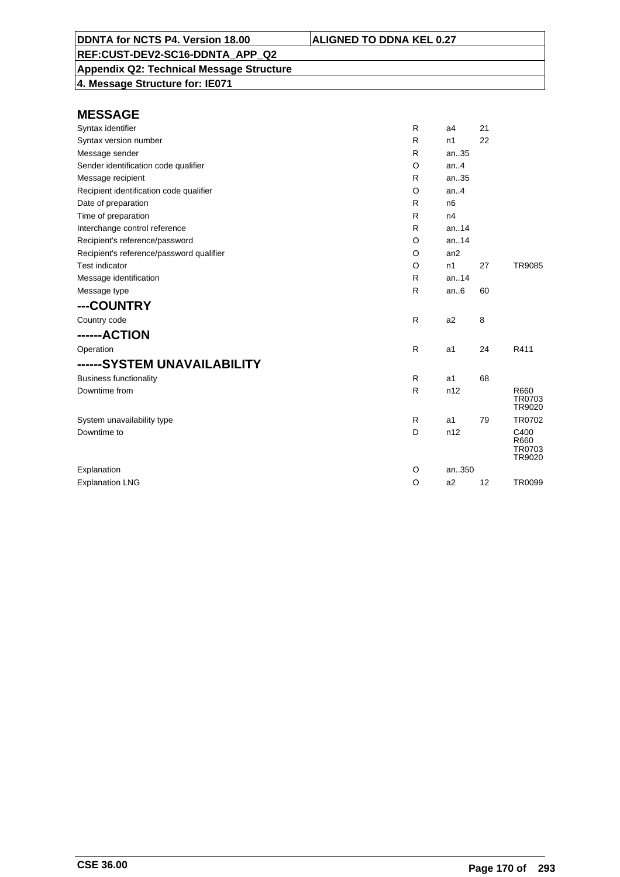**Appendix Q2: Technical Message Structure 4. Message Structure for: IE071**

| Syntax identifier                        | R            | a4             | 21 |                                  |
|------------------------------------------|--------------|----------------|----|----------------------------------|
| Syntax version number                    | R            | n1             | 22 |                                  |
| Message sender                           | R            | an35           |    |                                  |
| Sender identification code qualifier     | O            | an.4           |    |                                  |
| Message recipient                        | R            | an35           |    |                                  |
| Recipient identification code qualifier  | O            | an.4           |    |                                  |
| Date of preparation                      | R            | n <sub>6</sub> |    |                                  |
| Time of preparation                      | R            | n4             |    |                                  |
| Interchange control reference            | R            | an.14          |    |                                  |
| Recipient's reference/password           | O            | an.14          |    |                                  |
| Recipient's reference/password qualifier | O            | an2            |    |                                  |
| <b>Test indicator</b>                    | O            | n1             | 27 | <b>TR9085</b>                    |
| Message identification                   | R            | an.14          |    |                                  |
| Message type                             | $\mathsf{R}$ | an.6           | 60 |                                  |
| ---COUNTRY                               |              |                |    |                                  |
| Country code                             | $\mathsf{R}$ | a <sub>2</sub> | 8  |                                  |
| ------ACTION                             |              |                |    |                                  |
| Operation                                | $\mathsf{R}$ | a1             | 24 | R411                             |
| ------SYSTEM UNAVAILABILITY              |              |                |    |                                  |
| <b>Business functionality</b>            | $\mathsf{R}$ | a1             | 68 |                                  |
| Downtime from                            | R            | n12            |    | R660<br>TR0703<br>TR9020         |
| System unavailability type               | R            | a1             | 79 | TR0702                           |
| Downtime to                              | D            | n12            |    | C400<br>R660<br>TR0703<br>TR9020 |
| Explanation                              | O            | an350          |    |                                  |
| <b>Explanation LNG</b>                   | $\circ$      | a2             | 12 | <b>TR0099</b>                    |
|                                          |              |                |    |                                  |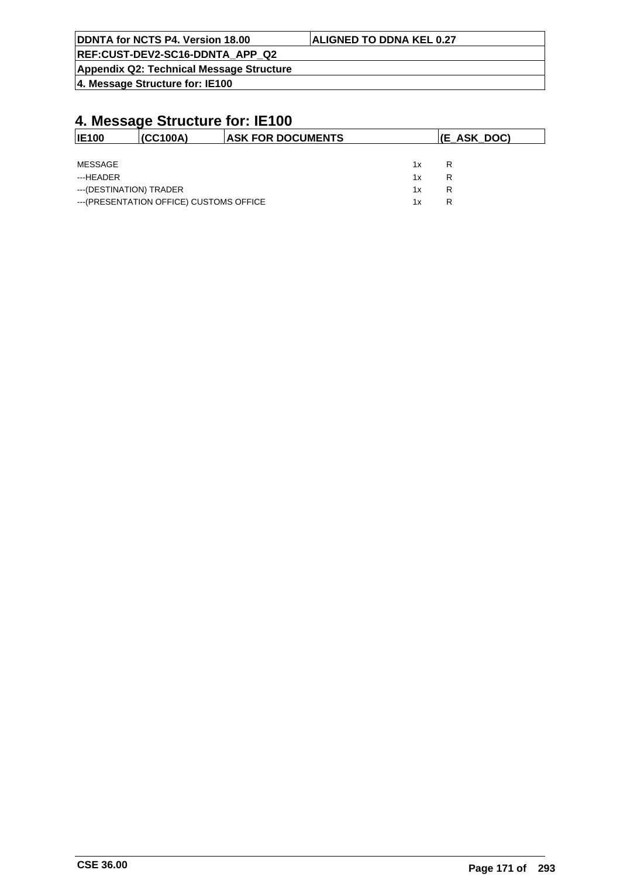| DDNTA for NCTS P4. Version 18.00         | <b>ALIGNED TO DDNA KEL 0.27</b> |
|------------------------------------------|---------------------------------|
| REF:CUST-DEV2-SC16-DDNTA APP Q2          |                                 |
| Appendix Q2: Technical Message Structure |                                 |

| <b>IE100</b>            | (CC100A)                                 | <b>ASK FOR DOCUMENTS</b> |    | $ E\_ASK\_DOC\rangle$ |
|-------------------------|------------------------------------------|--------------------------|----|-----------------------|
|                         |                                          |                          |    |                       |
| MESSAGE                 |                                          |                          | 1x | R                     |
| ---HEADER               |                                          |                          | 1x | R                     |
| ---(DESTINATION) TRADER |                                          |                          | 1x | R                     |
|                         | --- (PRESENTATION OFFICE) CUSTOMS OFFICE |                          | 1x | R                     |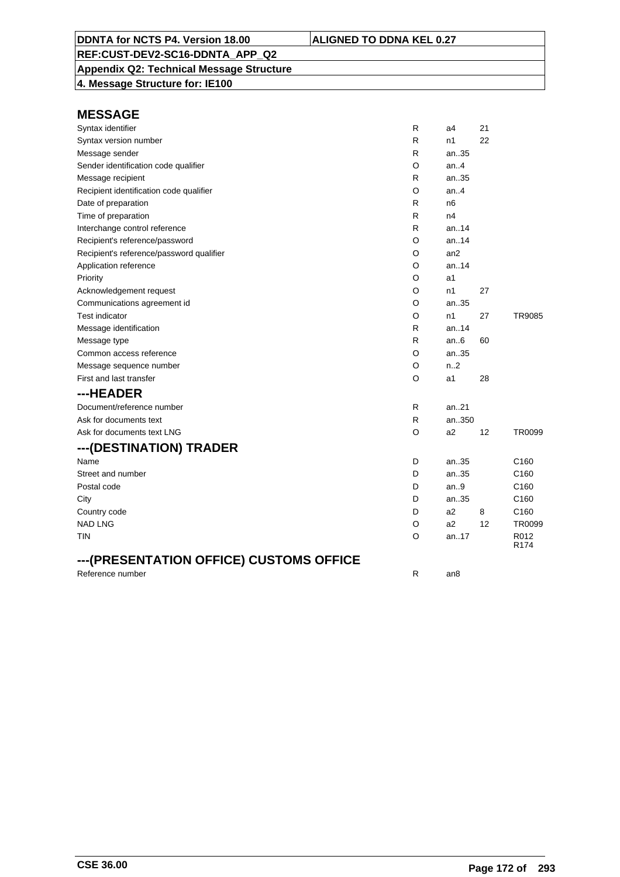**Appendix Q2: Technical Message Structure 4. Message Structure for: IE100**

| Syntax identifier                        | R            | a4             | 21 |                  |
|------------------------------------------|--------------|----------------|----|------------------|
| Syntax version number                    | R            | n1             | 22 |                  |
| Message sender                           | R            | an35           |    |                  |
| Sender identification code qualifier     | O            | an.4           |    |                  |
| Message recipient                        | R            | an35           |    |                  |
| Recipient identification code qualifier  | O            | an.4           |    |                  |
| Date of preparation                      | R            | n <sub>6</sub> |    |                  |
| Time of preparation                      | R            | n4             |    |                  |
| Interchange control reference            | R            | an14           |    |                  |
| Recipient's reference/password           | O            | an14           |    |                  |
| Recipient's reference/password qualifier | O            | an2            |    |                  |
| Application reference                    | O            | an.14          |    |                  |
| Priority                                 | O            | a1             |    |                  |
| Acknowledgement request                  | O            | n1             | 27 |                  |
| Communications agreement id              | O            | an35           |    |                  |
| <b>Test indicator</b>                    | O            | n <sub>1</sub> | 27 | TR9085           |
| Message identification                   | R            | an.14          |    |                  |
| Message type                             | R            | an.6           | 60 |                  |
| Common access reference                  | O            | an35           |    |                  |
| Message sequence number                  | O            | n.2            |    |                  |
| First and last transfer                  | O            | a1             | 28 |                  |
| ---HEADER                                |              |                |    |                  |
| Document/reference number                | $\mathsf{R}$ | an21           |    |                  |
| Ask for documents text                   | R            | an350          |    |                  |
| Ask for documents text LNG               | O            | a2             | 12 | TR0099           |
| ---(DESTINATION) TRADER                  |              |                |    |                  |
| Name                                     | D            | an35           |    | C <sub>160</sub> |
| Street and number                        | D            | an35           |    | C <sub>160</sub> |
| Postal code                              | D            | an.9           |    | C <sub>160</sub> |
| City                                     | D            | an35           |    | C160             |
| Country code                             | D            | a2             | 8  | C160             |
| <b>NAD LNG</b>                           | O            | a2             | 12 | TR0099           |
| TIN                                      | O            | an.17          |    | R012<br>R174     |
| ---(PRESENTATION OFFICE) CUSTOMS OFFICE  |              |                |    |                  |
| Reference number                         | R            | an8            |    |                  |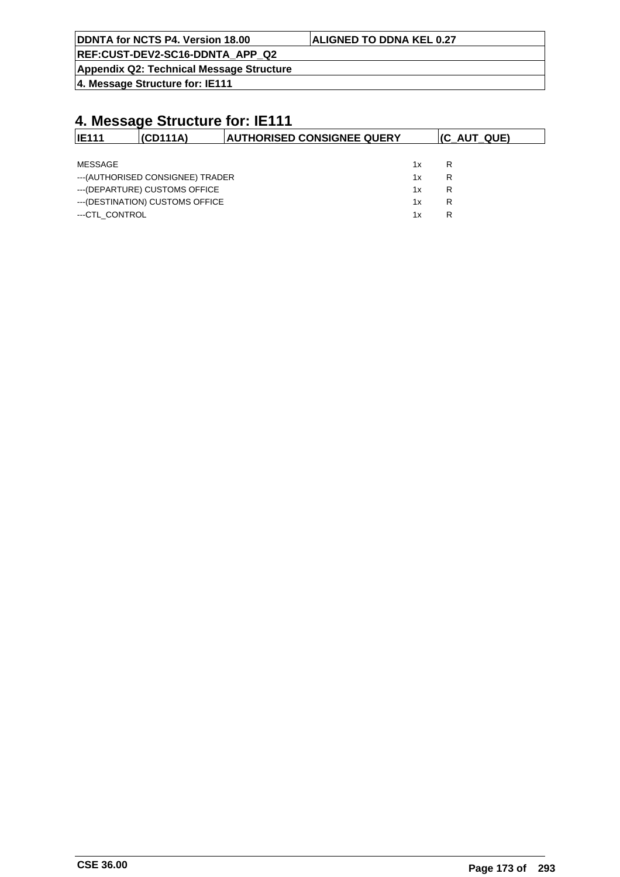|  |  |  | DDNTA for NCTS P4. Version 18.00 |  |
|--|--|--|----------------------------------|--|
|--|--|--|----------------------------------|--|

#### **ALIGNED TO DDNA KEL 0.27**

**REF:CUST-DEV2-SC16-DDNTA\_APP\_Q2**

**Appendix Q2: Technical Message Structure**

**4. Message Structure for: IE111**

| <b>IE111</b>   | (CD111A)                          | <b>AUTHORISED CONSIGNEE QUERY</b> |    | $(C_AUT_QUE)$ |
|----------------|-----------------------------------|-----------------------------------|----|---------------|
|                |                                   |                                   |    |               |
| MESSAGE        |                                   |                                   | 1x | R             |
|                | --- (AUTHORISED CONSIGNEE) TRADER |                                   | 1x | R             |
|                | --- (DEPARTURE) CUSTOMS OFFICE    |                                   | 1x | R             |
|                | --- (DESTINATION) CUSTOMS OFFICE  |                                   | 1x | R             |
| ---CTL CONTROL |                                   |                                   | 1x | R             |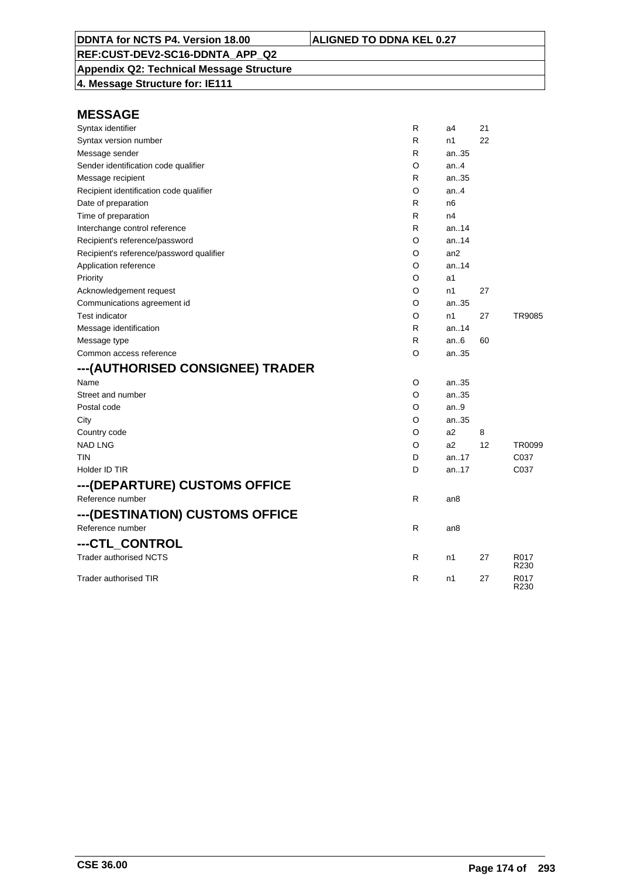**Appendix Q2: Technical Message Structure 4. Message Structure for: IE111**

| Syntax identifier                        | R | a4              | 21 |                          |
|------------------------------------------|---|-----------------|----|--------------------------|
| Syntax version number                    | R | n1              | 22 |                          |
| Message sender                           | R | an35            |    |                          |
| Sender identification code qualifier     | O | an.4            |    |                          |
| Message recipient                        | R | an35            |    |                          |
| Recipient identification code qualifier  | O | an.4            |    |                          |
| Date of preparation                      | R | n6              |    |                          |
| Time of preparation                      | R | n4              |    |                          |
| Interchange control reference            | R | an14            |    |                          |
| Recipient's reference/password           | O | an14            |    |                          |
| Recipient's reference/password qualifier | O | an <sub>2</sub> |    |                          |
| Application reference                    | O | an14            |    |                          |
| Priority                                 | O | a1              |    |                          |
| Acknowledgement request                  | O | n1              | 27 |                          |
| Communications agreement id              | O | an35            |    |                          |
| <b>Test indicator</b>                    | O | n1              | 27 | TR9085                   |
| Message identification                   | R | an14            |    |                          |
| Message type                             | R | an $6$          | 60 |                          |
| Common access reference                  | O | an35            |    |                          |
| ---(AUTHORISED CONSIGNEE) TRADER         |   |                 |    |                          |
| Name                                     | O | an35            |    |                          |
| Street and number                        | O | an35            |    |                          |
| Postal code                              | O | an.9            |    |                          |
| City                                     | O | an35            |    |                          |
| Country code                             | O | a2              | 8  |                          |
| <b>NAD LNG</b>                           | O | a <sub>2</sub>  | 12 | TR0099                   |
| TIN                                      | D | an17            |    | C037                     |
| Holder ID TIR                            | D | an17            |    | C037                     |
| ---(DEPARTURE) CUSTOMS OFFICE            |   |                 |    |                          |
| Reference number                         | R | an8             |    |                          |
| ---(DESTINATION) CUSTOMS OFFICE          |   |                 |    |                          |
| Reference number                         | R | an8             |    |                          |
| ---CTL CONTROL                           |   |                 |    |                          |
| <b>Trader authorised NCTS</b>            | R | n1              | 27 | R017<br>R230             |
| Trader authorised TIR                    | R | n1              | 27 | R017<br>R <sub>230</sub> |
|                                          |   |                 |    |                          |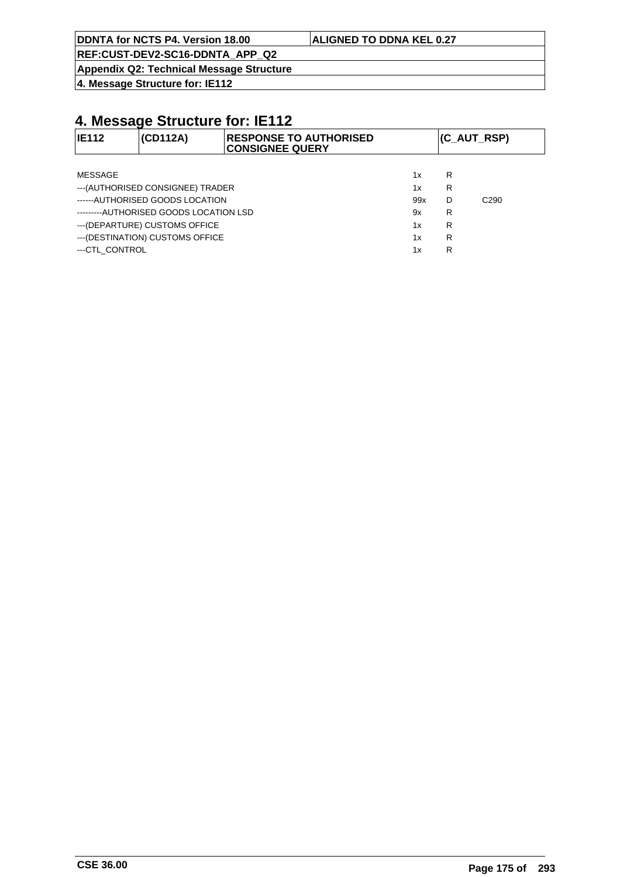|  |  |  | DDNTA for NCTS P4. Version 18.00 |  |
|--|--|--|----------------------------------|--|
|--|--|--|----------------------------------|--|

#### **ALIGNED TO DDNA KEL 0.27**

**REF:CUST-DEV2-SC16-DDNTA\_APP\_Q2**

**Appendix Q2: Technical Message Structure**

**4. Message Structure for: IE112**

| <b>IE112</b>   | (CD112A)                               | <b>RESPONSE TO AUTHORISED</b><br><b>CONSIGNEE QUERY</b> |     |   | (C_AUT_RSP)      |
|----------------|----------------------------------------|---------------------------------------------------------|-----|---|------------------|
|                |                                        |                                                         |     |   |                  |
| <b>MESSAGE</b> |                                        |                                                         | 1x  | R |                  |
|                | --- (AUTHORISED CONSIGNEE) TRADER      |                                                         | 1x  | R |                  |
|                | ------AUTHORISED GOODS LOCATION        |                                                         | 99x | D | C <sub>290</sub> |
|                | ---------AUTHORISED GOODS LOCATION LSD |                                                         | 9x  | R |                  |
|                | --- (DEPARTURE) CUSTOMS OFFICE         |                                                         | 1x  | R |                  |
|                | --- (DESTINATION) CUSTOMS OFFICE       |                                                         | 1x  | R |                  |
| ---CTL CONTROL |                                        |                                                         | 1x  | R |                  |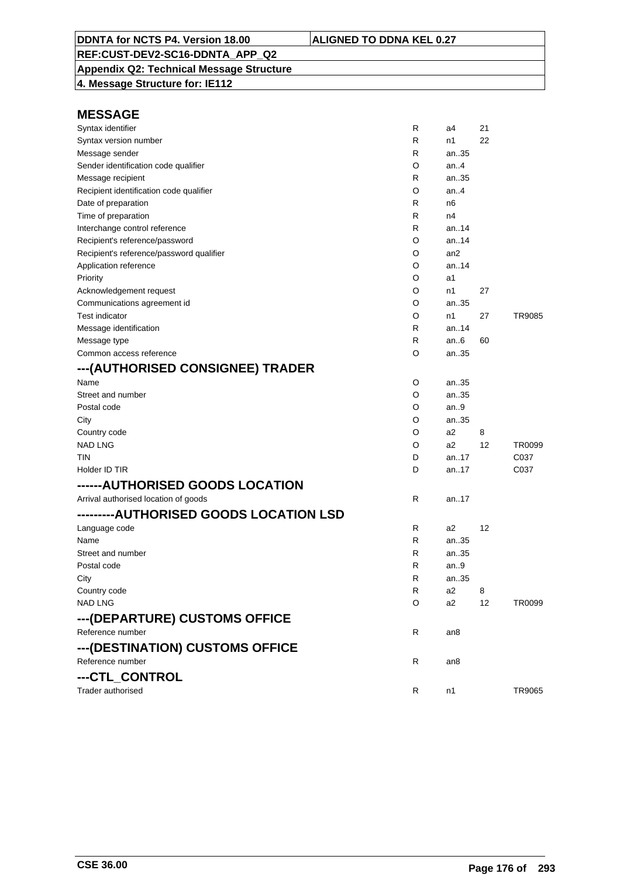**Appendix Q2: Technical Message Structure 4. Message Structure for: IE112**

| Syntax identifier                        | R | a4              | 21 |        |
|------------------------------------------|---|-----------------|----|--------|
| Syntax version number                    | R | n1              | 22 |        |
| Message sender                           | R | an35            |    |        |
| Sender identification code qualifier     | O | an.4            |    |        |
| Message recipient                        | R | an35            |    |        |
| Recipient identification code qualifier  | O | an.4            |    |        |
| Date of preparation                      | R | n6              |    |        |
| Time of preparation                      | R | n4              |    |        |
| Interchange control reference            | R | an14            |    |        |
| Recipient's reference/password           | O | an14            |    |        |
| Recipient's reference/password qualifier | O | an <sub>2</sub> |    |        |
| Application reference                    | O | an14            |    |        |
| Priority                                 | O | a1              |    |        |
| Acknowledgement request                  | O | n1              | 27 |        |
| Communications agreement id              | O | an35            |    |        |
| <b>Test indicator</b>                    | O | n1              | 27 | TR9085 |
| Message identification                   | R | an.14           |    |        |
| Message type                             | R | an6             | 60 |        |
| Common access reference                  | O | an35            |    |        |
| ---(AUTHORISED CONSIGNEE) TRADER         |   |                 |    |        |
| Name                                     | O | an35            |    |        |
| Street and number                        | O | an35            |    |        |
| Postal code                              | O | an.9            |    |        |
| City                                     | O | an35            |    |        |
| Country code                             | O | a2              | 8  |        |
| NAD LNG                                  | O | a2              | 12 | TR0099 |
| tin                                      | D | an17            |    | C037   |
| Holder ID TIR                            | D | an17            |    | C037   |
| ------AUTHORISED GOODS LOCATION          |   |                 |    |        |
| Arrival authorised location of goods     | R | an17            |    |        |
| ---------AUTHORISED GOODS LOCATION LSD   |   |                 |    |        |
| Language code                            | R | a2              | 12 |        |
| Name                                     | R | an35            |    |        |
| Street and number                        | R | an35            |    |        |
| Postal code                              | R | an.9            |    |        |
| City                                     | R | an35            |    |        |
| Country code                             | R | a2              | 8  |        |
| <b>NAD LNG</b>                           | O | a2              | 12 | TR0099 |
|                                          |   |                 |    |        |
| ---(DEPARTURE) CUSTOMS OFFICE            |   |                 |    |        |
| Reference number                         | R | an8             |    |        |
| --- (DESTINATION) CUSTOMS OFFICE         |   |                 |    |        |
| Reference number                         | R | an8             |    |        |
| ---CTL_CONTROL                           |   |                 |    |        |
| Trader authorised                        | R | n1              |    | TR9065 |
|                                          |   |                 |    |        |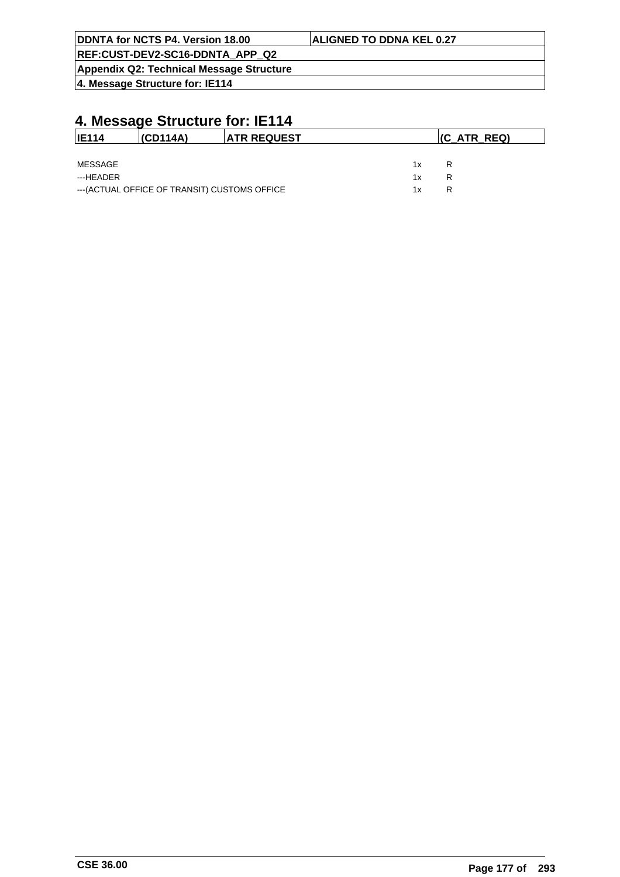| DDNTA for NCTS P4. Version 18.00         | <b>ALIGNED TO DDNA KEL 0.27</b> |
|------------------------------------------|---------------------------------|
| REF:CUST-DEV2-SC16-DDNTA APP Q2          |                                 |
| Appendix Q2: Technical Message Structure |                                 |

| <b>IE114</b> | (CD114A)                                      | <b>ATR REQUEST</b> |    | $ $ (C_ATR_REQ) |  |
|--------------|-----------------------------------------------|--------------------|----|-----------------|--|
|              |                                               |                    |    |                 |  |
| MESSAGE      |                                               |                    | 1x | R               |  |
| ---HEADER    |                                               |                    | 1x | R               |  |
|              | --- (ACTUAL OFFICE OF TRANSIT) CUSTOMS OFFICE |                    | 1x | R               |  |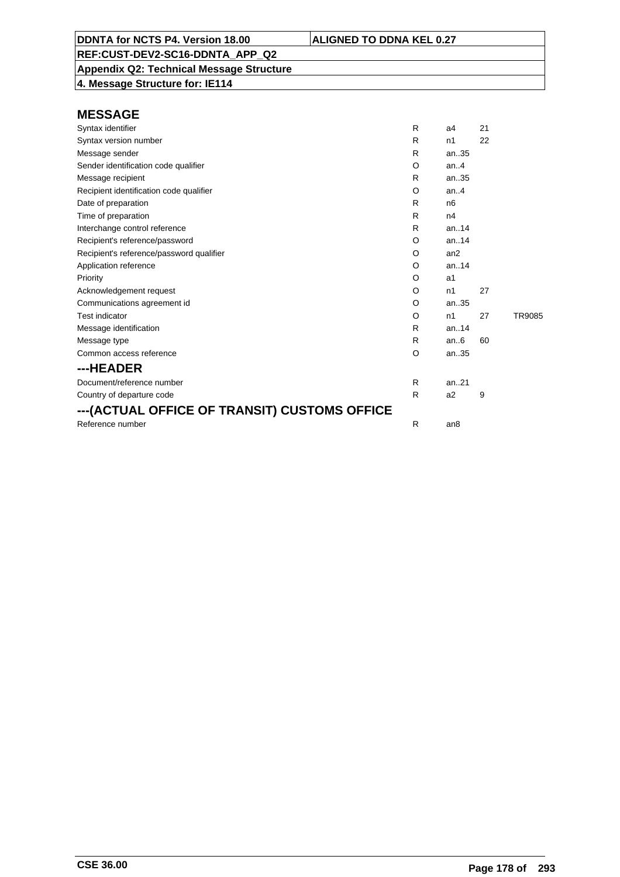**Appendix Q2: Technical Message Structure 4. Message Structure for: IE114**

| Syntax identifier                            | R | a4              | 21 |        |
|----------------------------------------------|---|-----------------|----|--------|
| Syntax version number                        | R | n1              | 22 |        |
| Message sender                               | R | an.35           |    |        |
| Sender identification code qualifier         | O | an.4            |    |        |
| Message recipient                            | R | an35            |    |        |
| Recipient identification code qualifier      | O | an.4            |    |        |
| Date of preparation                          | R | n <sub>6</sub>  |    |        |
| Time of preparation                          | R | n4              |    |        |
| Interchange control reference                | R | an. $.14$       |    |        |
| Recipient's reference/password               | O | an.14           |    |        |
| Recipient's reference/password qualifier     | O | an2             |    |        |
| Application reference                        | O | an.14           |    |        |
| Priority                                     | O | a1              |    |        |
| Acknowledgement request                      | O | n1              | 27 |        |
| Communications agreement id                  | O | an.35           |    |        |
| <b>Test indicator</b>                        | O | n1              | 27 | TR9085 |
| Message identification                       | R | an.14           |    |        |
| Message type                                 | R | an.6            | 60 |        |
| Common access reference                      | O | an35            |    |        |
| ---HEADER                                    |   |                 |    |        |
| Document/reference number                    | R | an.21           |    |        |
| Country of departure code                    | R | a <sub>2</sub>  | 9  |        |
| ---(ACTUAL OFFICE OF TRANSIT) CUSTOMS OFFICE |   |                 |    |        |
| Reference number                             | R | an <sub>8</sub> |    |        |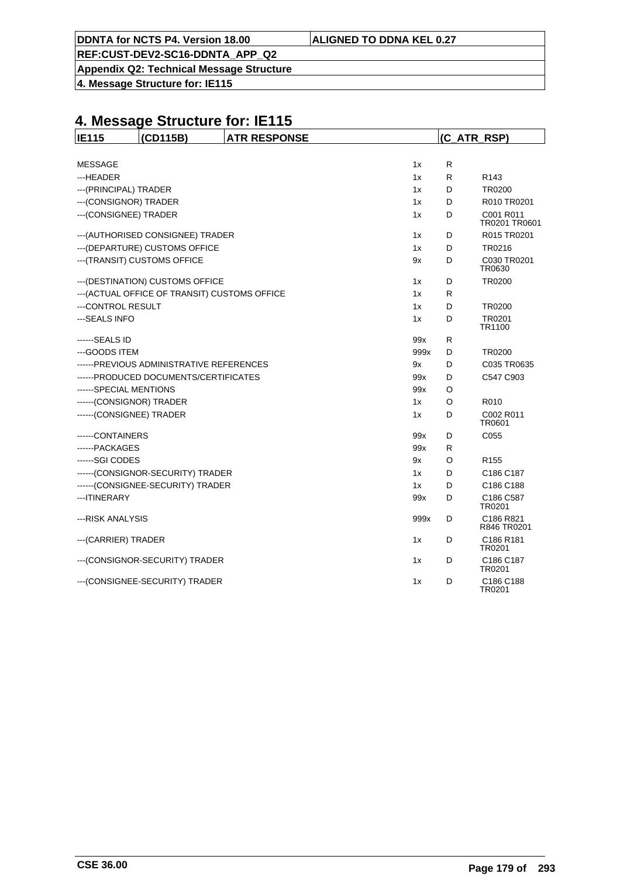**Appendix Q2: Technical Message Structure**

**4. Message Structure for: IE115**

| <b>IE115</b>                             | (CD115B)                                      | <b>ATR RESPONSE</b> |      | (C ATR RSP) |                            |  |
|------------------------------------------|-----------------------------------------------|---------------------|------|-------------|----------------------------|--|
|                                          |                                               |                     |      |             |                            |  |
| <b>MESSAGE</b>                           |                                               |                     | 1x   | R           |                            |  |
| ---HEADER<br>1x                          |                                               |                     |      | R           | R <sub>143</sub>           |  |
| --- (PRINCIPAL) TRADER                   |                                               |                     |      | D           | TR0200                     |  |
| --- (CONSIGNOR) TRADER                   |                                               |                     | 1x   | D           | R010 TR0201                |  |
| --- (CONSIGNEE) TRADER                   |                                               |                     | 1x   | D           | C001 R011<br>TR0201 TR0601 |  |
|                                          | --- (AUTHORISED CONSIGNEE) TRADER<br>1x       |                     |      | D           | R015 TR0201                |  |
|                                          | --- (DEPARTURE) CUSTOMS OFFICE                |                     | 1x   | D           | TR0216                     |  |
| --- (TRANSIT) CUSTOMS OFFICE<br>9x       |                                               |                     |      | D           | C030 TR0201<br>TR0630      |  |
|                                          | --- (DESTINATION) CUSTOMS OFFICE              |                     | 1x   | D           | TR0200                     |  |
|                                          | --- (ACTUAL OFFICE OF TRANSIT) CUSTOMS OFFICE |                     | 1x   | R           |                            |  |
| ---CONTROL RESULT                        |                                               |                     | 1x   | D           | <b>TR0200</b>              |  |
| --- SEALS INFO                           |                                               |                     | 1x   | D           | TR0201<br>TR1100           |  |
| ------SEALS ID                           |                                               |                     | 99x  | R           |                            |  |
| ---GOODS ITEM                            |                                               |                     | 999x | D           | TR0200                     |  |
| ------PREVIOUS ADMINISTRATIVE REFERENCES |                                               |                     | 9x   | D           | C035 TR0635                |  |
| ------PRODUCED DOCUMENTS/CERTIFICATES    |                                               |                     | 99x  | D           | C547 C903                  |  |
| ------SPECIAL MENTIONS                   |                                               |                     | 99x  | O           |                            |  |
| ------(CONSIGNOR) TRADER                 |                                               |                     | 1x   | O           | R010                       |  |
| ------(CONSIGNEE) TRADER                 |                                               |                     | 1x   | D           | C002 R011<br>TR0601        |  |
| ------CONTAINERS                         |                                               |                     | 99x  | D           | C <sub>055</sub>           |  |
| ------PACKAGES                           |                                               |                     | 99x  | R           |                            |  |
| ------SGI CODES                          |                                               |                     | 9x   | O           | R <sub>155</sub>           |  |
|                                          | ------(CONSIGNOR-SECURITY) TRADER             |                     | 1x   | D           | C186 C187                  |  |
|                                          | ------(CONSIGNEE-SECURITY) TRADER             |                     | 1x   | D           | C186 C188                  |  |
| --- ITINERARY                            |                                               |                     | 99x  | D           | C186 C587<br>TR0201        |  |
| ---RISK ANALYSIS                         |                                               |                     | 999x | D           | C186 R821<br>R846 TR0201   |  |
| --- (CARRIER) TRADER                     |                                               |                     | 1x   | D           | C186 R181<br>TR0201        |  |
|                                          | --- (CONSIGNOR-SECURITY) TRADER               |                     | 1x   | D           | C186 C187<br>TR0201        |  |
|                                          | --- (CONSIGNEE-SECURITY) TRADER               |                     | 1x   | D           | C186 C188<br>TR0201        |  |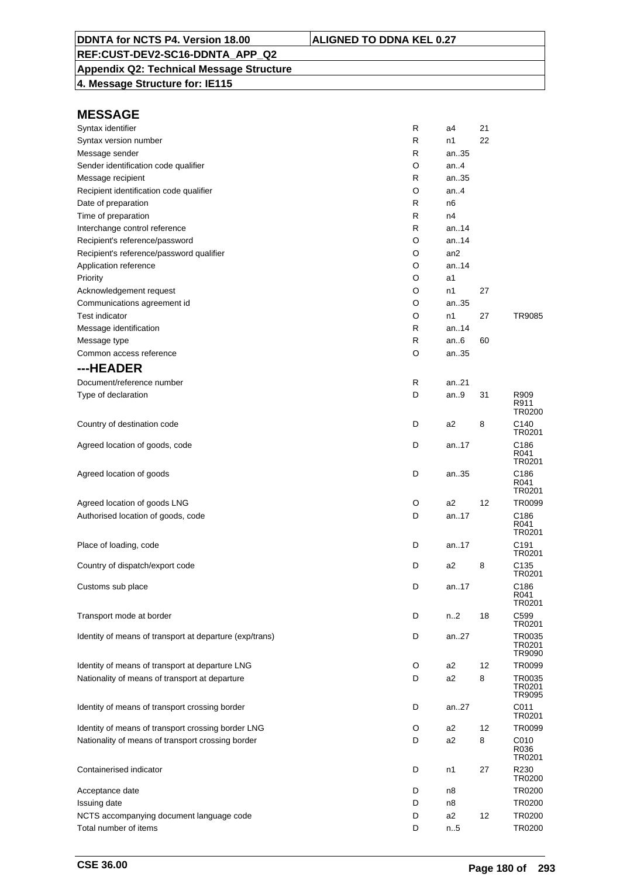### **Appendix Q2: Technical Message Structure**

**4. Message Structure for: IE115**

| Syntax identifier                                       | R | a4              | 21 |                            |
|---------------------------------------------------------|---|-----------------|----|----------------------------|
| Syntax version number                                   | R | n1              | 22 |                            |
| Message sender                                          | R | an35            |    |                            |
| Sender identification code qualifier                    | O | an4             |    |                            |
| Message recipient                                       | R | an35            |    |                            |
| Recipient identification code qualifier                 | O | an4             |    |                            |
| Date of preparation                                     | R | n <sub>6</sub>  |    |                            |
| Time of preparation                                     | R | n4              |    |                            |
| Interchange control reference                           | R | an. $.14$       |    |                            |
| Recipient's reference/password                          | O | an14            |    |                            |
| Recipient's reference/password qualifier                | O | an <sub>2</sub> |    |                            |
| Application reference                                   | O | an.14           |    |                            |
| Priority                                                | O | a1              |    |                            |
| Acknowledgement request                                 | O | n1              | 27 |                            |
| Communications agreement id                             | O | an35            |    |                            |
| <b>Test indicator</b>                                   | O | n1              | 27 | TR9085                     |
| Message identification                                  | R | an14            |    |                            |
| Message type                                            | R | an6             | 60 |                            |
| Common access reference                                 | O | an35            |    |                            |
| ---HEADER                                               |   |                 |    |                            |
| Document/reference number                               | R | an21            |    |                            |
| Type of declaration                                     | D | an9             | 31 | R909<br>R911               |
| Country of destination code                             | D | a2              | 8  | TR0200<br>C140             |
|                                                         |   |                 |    | TR0201                     |
| Agreed location of goods, code                          | D | an17            |    | C186<br>R041<br>TR0201     |
| Agreed location of goods                                | D | an35            |    | C186<br>R041<br>TR0201     |
| Agreed location of goods LNG                            | O | a2              | 12 | TR0099                     |
| Authorised location of goods, code                      | D | an17            |    | C186<br>R041               |
| Place of loading, code                                  | D | an17            |    | TR0201<br>C191             |
| Country of dispatch/export code                         | D | a2              | 8  | TR0201<br>C135             |
| Customs sub place                                       | D | an.17           |    | TR0201<br>C186             |
|                                                         |   |                 |    | R041<br>TR0201             |
| Transport mode at border                                | D | n2              | 18 | C599<br>TR0201             |
| Identity of means of transport at departure (exp/trans) | D | an27            |    | TR0035<br>TR0201<br>TR9090 |
| Identity of means of transport at departure LNG         | O | a2              | 12 | TR0099                     |
| Nationality of means of transport at departure          | D | a2              | 8  | TR0035<br>TR0201<br>TR9095 |
| Identity of means of transport crossing border          | D | an27            |    | C011<br>TR0201             |
| Identity of means of transport crossing border LNG      | O | a2              | 12 | TR0099                     |
| Nationality of means of transport crossing border       | D | a2              | 8  | C010<br>R036<br>TR0201     |
| Containerised indicator                                 | D | n1              | 27 | R230<br>TR0200             |
| Acceptance date                                         | D | n8              |    | TR0200                     |
| Issuing date                                            | D | n8              |    | TR0200                     |
| NCTS accompanying document language code                | D | a2              | 12 | TR0200                     |
| Total number of items                                   | D | n.5             |    | TR0200                     |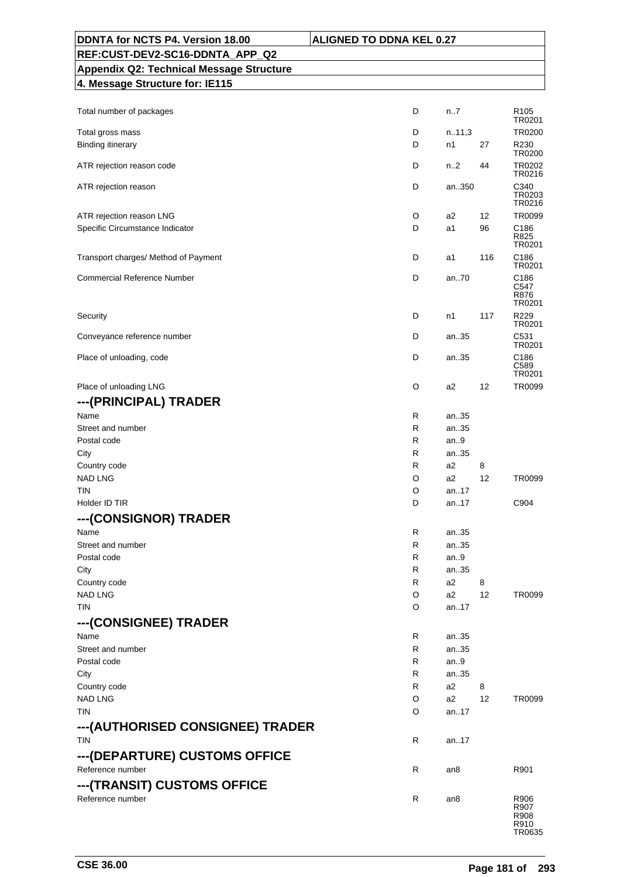| DDNTA for NCTS P4. Version 18.00                  | <b>ALIGNED TO DDNA KEL 0.27</b> |     |                                                |
|---------------------------------------------------|---------------------------------|-----|------------------------------------------------|
| REF:CUST-DEV2-SC16-DDNTA APP Q2                   |                                 |     |                                                |
| <b>Appendix Q2: Technical Message Structure</b>   |                                 |     |                                                |
| 4. Message Structure for: IE115                   |                                 |     |                                                |
|                                                   |                                 |     |                                                |
| Total number of packages                          | D<br>n7                         |     | R <sub>105</sub>                               |
|                                                   |                                 |     | TR0201                                         |
| Total gross mass<br><b>Binding itinerary</b>      | D<br>n.11,3<br>D<br>n1          | 27  | TR0200<br>R230                                 |
|                                                   |                                 |     | TR0200                                         |
| ATR rejection reason code                         | D<br>n <sub>1</sub> 2           | 44  | TR0202<br>TR0216                               |
| ATR rejection reason                              | D<br>an350                      |     | C340<br>TR0203<br>TR0216                       |
| ATR rejection reason LNG                          | O<br>a2                         | 12  | TR0099                                         |
| Specific Circumstance Indicator                   | D<br>a1                         | 96  | C <sub>186</sub><br>R825<br>TR0201             |
| Transport charges/ Method of Payment              | D<br>a1                         | 116 | C186<br>TR0201                                 |
| <b>Commercial Reference Number</b>                | D<br>an70                       |     | C <sub>186</sub><br>C547<br>R876<br>TR0201     |
| Security                                          | D<br>n1                         | 117 | R229<br>TR0201                                 |
| Conveyance reference number                       | D<br>an35                       |     | C531<br>TR0201                                 |
| Place of unloading, code                          | D<br>an35                       |     | C <sub>186</sub><br>C <sub>589</sub><br>TR0201 |
| Place of unloading LNG                            | O<br>a2                         | 12  | TR0099                                         |
| ---(PRINCIPAL) TRADER                             |                                 |     |                                                |
| Name                                              | R<br>an35                       |     |                                                |
| Street and number                                 | R<br>an35                       |     |                                                |
| Postal code                                       | R<br>an.9                       |     |                                                |
| City                                              | R<br>an35                       |     |                                                |
| Country code                                      | R<br>a2                         | 8   |                                                |
| <b>NAD LNG</b>                                    | O<br>a2<br>an.17                | 12  | TR0099                                         |
| TIN<br>Holder ID TIR                              | O<br>D<br>an17                  |     | C904                                           |
|                                                   |                                 |     |                                                |
| ---(CONSIGNOR) TRADER                             |                                 |     |                                                |
| Name<br>Street and number                         | R<br>an35<br>R<br>an35          |     |                                                |
| Postal code                                       | R<br>an9                        |     |                                                |
| City                                              | R<br>an35                       |     |                                                |
| Country code                                      | R<br>a2                         | 8   |                                                |
| <b>NAD LNG</b>                                    | O<br>a2                         | 12  | TR0099                                         |
| TIN                                               | O<br>an17                       |     |                                                |
| ---(CONSIGNEE) TRADER                             |                                 |     |                                                |
| Name                                              | R<br>an35                       |     |                                                |
| Street and number                                 | R<br>an35                       |     |                                                |
| Postal code                                       | R<br>an $9$                     |     |                                                |
| City                                              | R<br>an35                       |     |                                                |
| Country code                                      | R<br>a2                         | 8   |                                                |
| <b>NAD LNG</b>                                    | a2<br>O                         | 12  | TR0099                                         |
| <b>TIN</b><br>---(AUTHORISED CONSIGNEE) TRADER    | O<br>an17                       |     |                                                |
| <b>TIN</b>                                        | R<br>an17                       |     |                                                |
| ---(DEPARTURE) CUSTOMS OFFICE<br>Reference number | R<br>an8                        |     | R901                                           |
| ---(TRANSIT) CUSTOMS OFFICE                       |                                 |     |                                                |
| Reference number                                  | R<br>an8                        |     | R906<br>R907<br>R908<br>R910                   |

TR0635

٦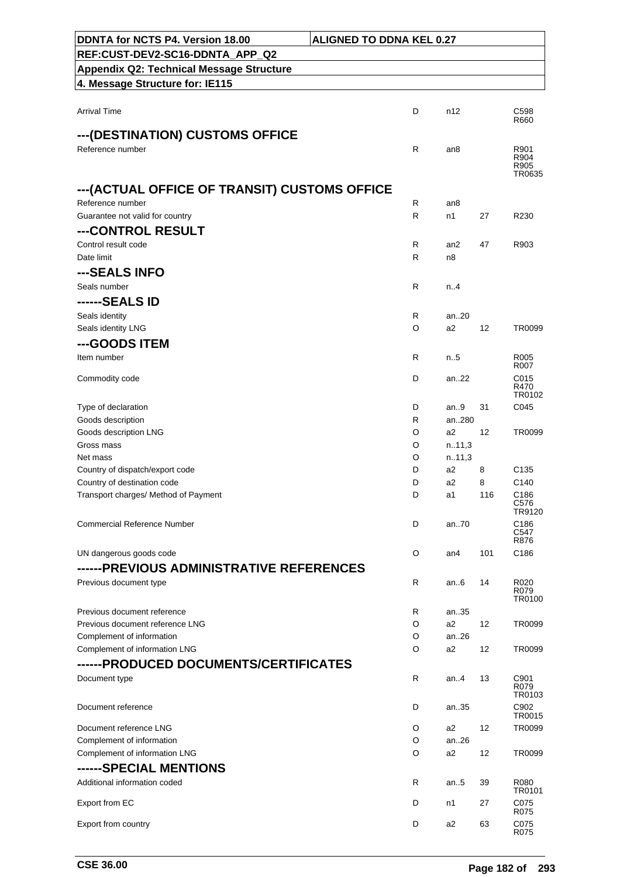| DDNTA for NCTS P4. Version 18.00                           | <b>ALIGNED TO DDNA KEL 0.27</b> |                 |     |                        |
|------------------------------------------------------------|---------------------------------|-----------------|-----|------------------------|
| REF:CUST-DEV2-SC16-DDNTA APP Q2                            |                                 |                 |     |                        |
| <b>Appendix Q2: Technical Message Structure</b>            |                                 |                 |     |                        |
| 4. Message Structure for: IE115                            |                                 |                 |     |                        |
|                                                            |                                 |                 |     |                        |
| <b>Arrival Time</b>                                        | D                               | n12             |     | C598                   |
|                                                            |                                 |                 |     | R660                   |
| ---(DESTINATION) CUSTOMS OFFICE<br>Reference number        | R                               |                 |     |                        |
|                                                            |                                 | an <sub>8</sub> |     | R901<br>R904           |
|                                                            |                                 |                 |     | R905<br>TR0635         |
| --- (ACTUAL OFFICE OF TRANSIT) CUSTOMS OFFICE              |                                 |                 |     |                        |
| Reference number                                           | R                               | an8             |     |                        |
| Guarantee not valid for country                            | R                               | n1              | 27  | R230                   |
| ---CONTROL RESULT                                          |                                 |                 |     |                        |
| Control result code                                        | R                               | an2             | 47  | R903                   |
| Date limit                                                 | R                               | n8              |     |                        |
| ---SEALS INFO                                              |                                 |                 |     |                        |
| Seals number                                               | R                               | n.4             |     |                        |
| ------SEALS ID                                             |                                 |                 |     |                        |
| Seals identity                                             | R                               | an20            |     |                        |
| Seals identity LNG                                         | O                               | a2              | 12  | TR0099                 |
| ---GOODS ITEM                                              |                                 |                 |     |                        |
| Item number                                                | R                               | n.5             |     | R005<br>R007           |
| Commodity code                                             | D                               | an22            |     | C015                   |
|                                                            |                                 |                 |     | R470                   |
| Type of declaration                                        | D                               | an.9            | 31  | TR0102<br>C045         |
| Goods description                                          | R                               | an280           |     |                        |
| Goods description LNG                                      | O                               | a2              | 12  | TR0099                 |
| Gross mass                                                 | O                               | n.11,3          |     |                        |
| Net mass                                                   | O                               | n.11,3          |     |                        |
| Country of dispatch/export code                            | D                               | a <sub>2</sub>  | 8   | C <sub>135</sub>       |
| Country of destination code                                | D                               | a2              | 8   | C <sub>140</sub>       |
| Transport charges/ Method of Payment                       | D                               | a1              | 116 | C186<br>C576<br>TR9120 |
| <b>Commercial Reference Number</b>                         | D                               | an.70           |     | C186<br>C547           |
|                                                            |                                 |                 |     | R876                   |
| UN dangerous goods code                                    | O                               | an4             | 101 | C186                   |
| ------PREVIOUS ADMINISTRATIVE REFERENCES                   |                                 |                 |     |                        |
| Previous document type                                     | R                               | an6             | 14  | R020<br>R079           |
|                                                            |                                 |                 |     | TR0100                 |
| Previous document reference                                | R                               | an35            |     |                        |
| Previous document reference LNG                            | O                               | a2              | 12  | TR0099                 |
| Complement of information<br>Complement of information LNG | O<br>O                          | an. $.26$<br>a2 | 12  | TR0099                 |
| ------PRODUCED DOCUMENTS/CERTIFICATES                      |                                 |                 |     |                        |
| Document type                                              | R                               | an. $4$         | 13  | C901                   |
|                                                            |                                 |                 |     | R079<br>TR0103         |
| Document reference                                         | D                               | an35            |     | C902<br>TR0015         |
| Document reference LNG                                     | O                               | a2              | 12  | TR0099                 |
| Complement of information                                  | O                               | an26            |     |                        |
| Complement of information LNG                              | O                               | a <sub>2</sub>  | 12  | TR0099                 |
| ------SPECIAL MENTIONS                                     |                                 |                 |     |                        |
| Additional information coded                               | R                               | an $.5$         | 39  | R080<br>TR0101         |
| Export from EC                                             | D                               | n1              | 27  | C075                   |
| Export from country                                        | D                               | a2              | 63  | R075<br>C075<br>R075   |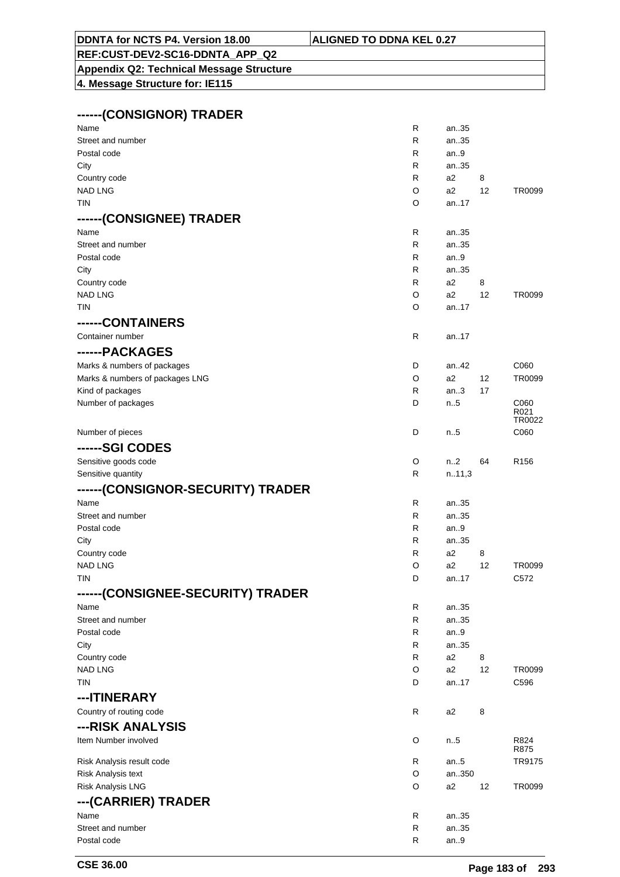# **REF:CUST-DEV2-SC16-DDNTA\_APP\_Q2**

**Appendix Q2: Technical Message Structure 4. Message Structure for: IE115**

#### **------(CONSIGNOR) TRADER**

| Name                              | $\mathsf{R}$ | an35           |    |                  |
|-----------------------------------|--------------|----------------|----|------------------|
| Street and number                 | R            | an35           |    |                  |
| Postal code                       | R            | an9            |    |                  |
| City                              | R            | an35           |    |                  |
| Country code                      | R            | a2             | 8  |                  |
| <b>NAD LNG</b>                    | O            | a2             | 12 | TR0099           |
| TIN                               | O            | an17           |    |                  |
| ------(CONSIGNEE) TRADER          |              |                |    |                  |
| Name                              | R            | an35           |    |                  |
| Street and number                 | R            | an35           |    |                  |
| Postal code                       | R            | an9            |    |                  |
| City                              | R            | an35           |    |                  |
| Country code                      | R            | a2             | 8  |                  |
| <b>NAD LNG</b>                    | O            | a2             | 12 | TR0099           |
| <b>TIN</b>                        | O            | an17           |    |                  |
| ------CONTAINERS                  |              |                |    |                  |
| Container number                  | R            | an17           |    |                  |
| ------PACKAGES                    |              |                |    |                  |
| Marks & numbers of packages       | D            | an42           |    | C060             |
| Marks & numbers of packages LNG   | O            | a2             | 12 | TR0099           |
| Kind of packages                  | R            | an.3           | 17 |                  |
| Number of packages                | D            | $n_{.}.5$      |    | C060             |
|                                   |              |                |    | R021<br>TR0022   |
| Number of pieces                  | D            | n5             |    | C060             |
| ------SGI CODES                   |              |                |    |                  |
| Sensitive goods code              | O            | n2             | 64 | R <sub>156</sub> |
| Sensitive quantity                | R            | n.11,3         |    |                  |
| ------(CONSIGNOR-SECURITY) TRADER |              |                |    |                  |
| Name                              | R            | an35           |    |                  |
| Street and number                 | R            | an35           |    |                  |
| Postal code                       | R            | an9            |    |                  |
| City                              | R            | an35           |    |                  |
| Country code                      | R            | a2             | 8  |                  |
| <b>NAD LNG</b>                    | O            | a2             | 12 | TR0099           |
| TIN                               | D            | an17           |    | C572             |
| ------(CONSIGNEE-SECURITY) TRADER |              |                |    |                  |
| Name                              | R            | an35           |    |                  |
| Street and number                 | R            | an35           |    |                  |
| Postal code                       | R            | an.9           |    |                  |
| City                              | R            | an35           |    |                  |
| Country code                      | R            | a <sub>2</sub> | 8  |                  |
| <b>NAD LNG</b>                    | O            | a <sub>2</sub> | 12 | TR0099           |
| TIN                               | D            | an17           |    | C596             |
| ---ITINERARY                      |              |                |    |                  |
| Country of routing code           | R            | a2             | 8  |                  |
| ---RISK ANALYSIS                  |              |                |    |                  |
| Item Number involved              | O            | n.5            |    | R824             |
|                                   |              |                |    | R875             |
| Risk Analysis result code         | R            | an.5           |    | TR9175           |
| Risk Analysis text                | O            | an350          |    |                  |
| <b>Risk Analysis LNG</b>          | O            | a <sub>2</sub> | 12 | TR0099           |
| ---(CARRIER) TRADER               |              |                |    |                  |
| Name                              | R            | an35           |    |                  |
| Street and number                 | R            | an35           |    |                  |
| Postal code                       | R            | an.9           |    |                  |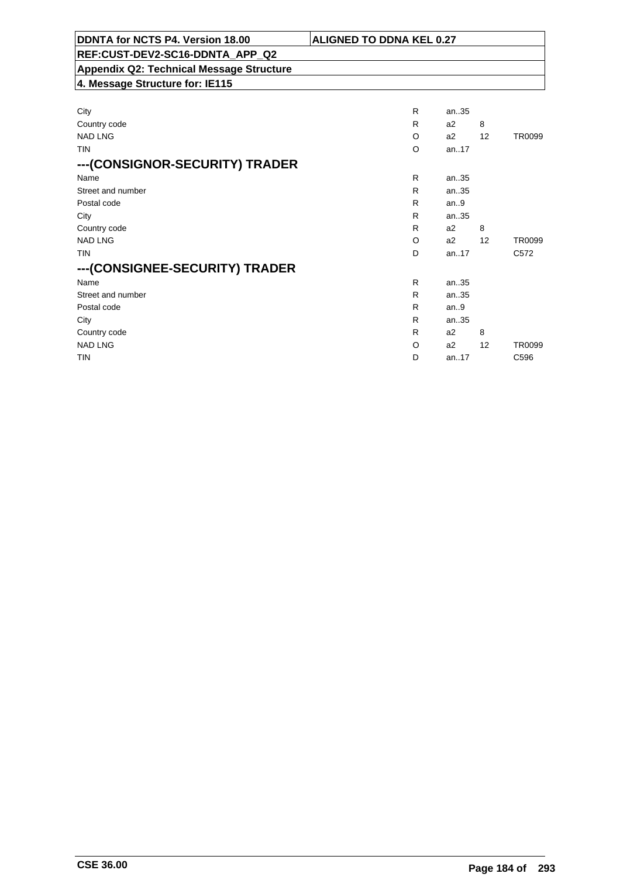| DDNTA for NCTS P4. Version 18.00                | <b>ALIGNED TO DDNA KEL 0.27</b> |      |    |        |
|-------------------------------------------------|---------------------------------|------|----|--------|
| REF:CUST-DEV2-SC16-DDNTA APP Q2                 |                                 |      |    |        |
| <b>Appendix Q2: Technical Message Structure</b> |                                 |      |    |        |
| 4. Message Structure for: IE115                 |                                 |      |    |        |
|                                                 |                                 |      |    |        |
| City                                            | R                               | an35 |    |        |
| Country code                                    | R                               | a2   | 8  |        |
| <b>NAD LNG</b>                                  | O                               | a2   | 12 | TR0099 |
| TIN                                             | O                               | an17 |    |        |
| ---(CONSIGNOR-SECURITY) TRADER                  |                                 |      |    |        |
| Name                                            | R.                              | an35 |    |        |
| Street and number                               | R                               | an35 |    |        |
| Postal code                                     | R                               | an.9 |    |        |
| City                                            | R                               | an35 |    |        |
| Country code                                    | R                               | a2   | 8  |        |
| <b>NAD LNG</b>                                  | O                               | a2   | 12 | TR0099 |

 TIN D an..17 C572

NAD LNG CONSTRUCTED A REPORT OF THE CONSTRUCTION OF A REPORT OF A REPORT OF A SAMPLING OF A REPORT OF A SAMPLING TIN D an..17 C596

Name R an..35 Street and number and number and number and number and number and number and number and  $\mathsf{R}$  and  $\mathsf{35}$ Postal code **R** an..9 City **R** an..35 Country code R a 2 8<br>NAD LNG O a 2 12

**---(CONSIGNEE-SECURITY) TRADER**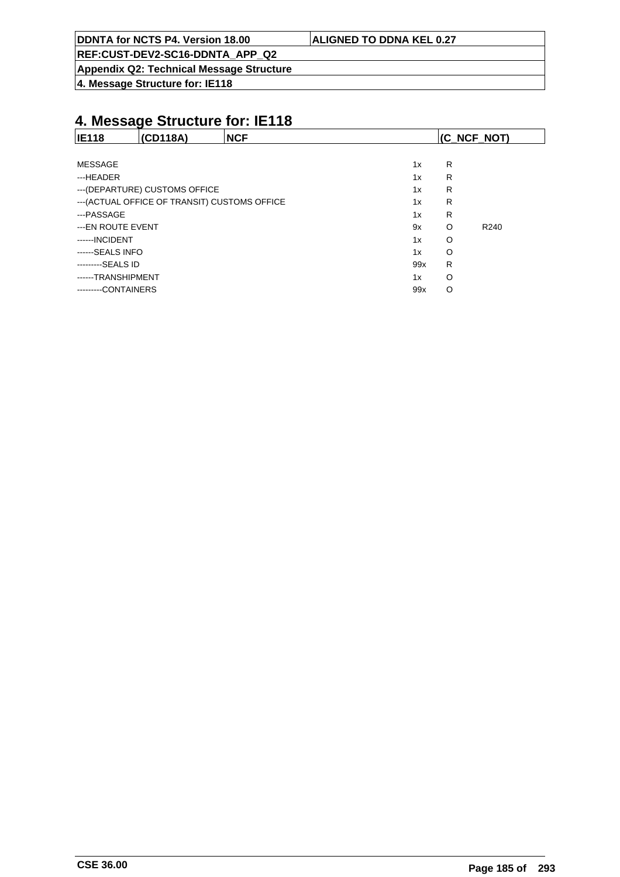**REF:CUST-DEV2-SC16-DDNTA\_APP\_Q2**

**Appendix Q2: Technical Message Structure**

**4. Message Structure for: IE118**

| <b>IE118</b><br>(CD118A)                      | <b>NCF</b> | (C_NCF_NOT) |         |                  |
|-----------------------------------------------|------------|-------------|---------|------------------|
|                                               |            |             |         |                  |
| <b>MESSAGE</b>                                |            | 1x          | R       |                  |
| ---HEADER                                     |            | 1x          | R       |                  |
| --- (DEPARTURE) CUSTOMS OFFICE                | 1x         | R           |         |                  |
| --- (ACTUAL OFFICE OF TRANSIT) CUSTOMS OFFICE |            | 1x          | R       |                  |
| ---PASSAGE                                    |            | 1x          | R       |                  |
| ---EN ROUTE EVENT                             |            | 9x          | $\circ$ | R <sub>240</sub> |
| ------INCIDENT                                |            | 1x          | $\circ$ |                  |
| ------SEALS INFO                              |            | 1x          | $\circ$ |                  |
| ---------SEALS ID                             |            | 99x         | R       |                  |
| ------TRANSHIPMENT                            |            | 1x          | O       |                  |
| ---------CONTAINERS                           |            | 99x         | O       |                  |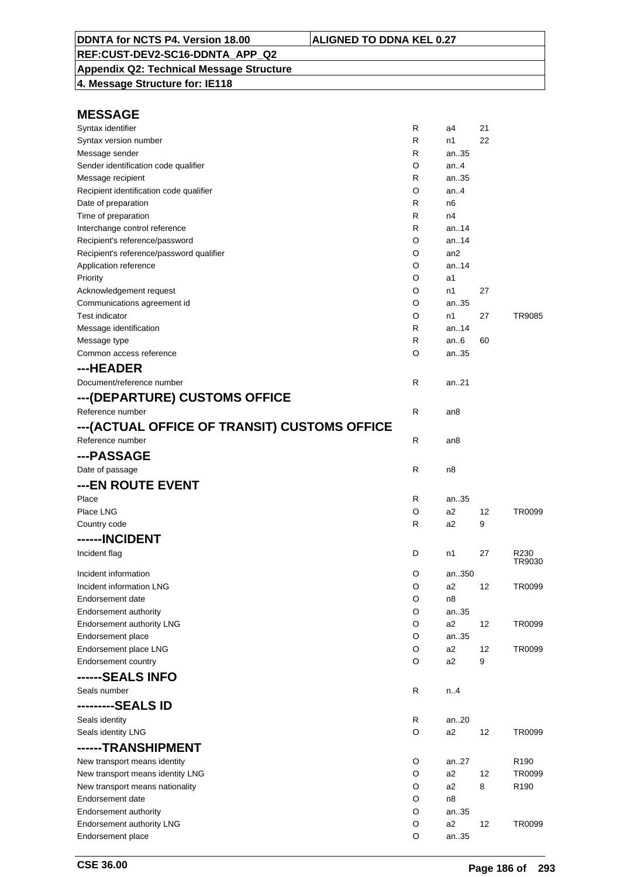**Appendix Q2: Technical Message Structure 4. Message Structure for: IE118**

| Syntax identifier                                  | R      | a4              | 21 |                  |
|----------------------------------------------------|--------|-----------------|----|------------------|
| Syntax version number                              | R      | n1              | 22 |                  |
| Message sender                                     | R      | an35            |    |                  |
| Sender identification code qualifier               | O      | an4             |    |                  |
| Message recipient                                  | R      | an35            |    |                  |
| Recipient identification code qualifier            | O      | an $4$          |    |                  |
| Date of preparation                                | R      | n6              |    |                  |
| Time of preparation                                | R      | n4              |    |                  |
| Interchange control reference                      | R      | an14            |    |                  |
| Recipient's reference/password                     | O      | an14            |    |                  |
| Recipient's reference/password qualifier           | O      | an <sub>2</sub> |    |                  |
| Application reference                              | O      | an14            |    |                  |
| Priority                                           | O      | a1              |    |                  |
| Acknowledgement request                            | O      | n1              | 27 |                  |
| Communications agreement id                        | O      | an35            |    |                  |
| <b>Test indicator</b>                              | O      | n1              | 27 | TR9085           |
| Message identification                             | R      | an14            |    |                  |
| Message type                                       | R      | an6             | 60 |                  |
| Common access reference                            | O      | an35            |    |                  |
| ---HEADER                                          |        |                 |    |                  |
| Document/reference number                          | R      | an.21           |    |                  |
| ---(DEPARTURE) CUSTOMS OFFICE                      |        |                 |    |                  |
| Reference number                                   | R      | an8             |    |                  |
| --- (ACTUAL OFFICE OF TRANSIT) CUSTOMS OFFICE      |        |                 |    |                  |
| Reference number                                   | R      | an8             |    |                  |
|                                                    |        |                 |    |                  |
| ---PASSAGE                                         |        |                 |    |                  |
| Date of passage                                    | R      | n8              |    |                  |
| ---EN ROUTE EVENT                                  |        |                 |    |                  |
| Place                                              | R      | an35            |    |                  |
| Place LNG                                          | O      | a2              | 12 | TR0099           |
| Country code                                       | R      | a <sub>2</sub>  | 9  |                  |
| ------INCIDENT                                     |        |                 |    |                  |
| Incident flag                                      | D      | n1              | 27 | R230             |
|                                                    |        |                 |    | TR9030           |
| Incident information                               | O      | an350           |    |                  |
| Incident information LNG                           | O      | a2              | 12 | TR0099           |
| Endorsement date                                   | O<br>O | n8<br>an35      |    |                  |
| Endorsement authority<br>Endorsement authority LNG | O      | a2              | 12 | TR0099           |
| Endorsement place                                  | O      | an35            |    |                  |
| Endorsement place LNG                              | O      | a2              | 12 | TR0099           |
| Endorsement country                                | O      | a2              | 9  |                  |
|                                                    |        |                 |    |                  |
| ------SEALS INFO                                   |        |                 |    |                  |
| Seals number                                       | R      | n.4             |    |                  |
| ---------SEALS ID                                  |        |                 |    |                  |
| Seals identity                                     |        |                 |    |                  |
|                                                    | R      | an20            |    |                  |
| Seals identity LNG                                 | O      | a2              | 12 | TR0099           |
| ------TRANSHIPMENT                                 |        |                 |    |                  |
| New transport means identity                       | O      | an27            |    | R190             |
| New transport means identity LNG                   | O      | a2              | 12 | TR0099           |
| New transport means nationality                    | O      | a2              | 8  | R <sub>190</sub> |
| Endorsement date                                   | O      | n8              |    |                  |
| Endorsement authority                              | O      | an35            |    |                  |
| Endorsement authority LNG                          | O      | a2              | 12 | TR0099           |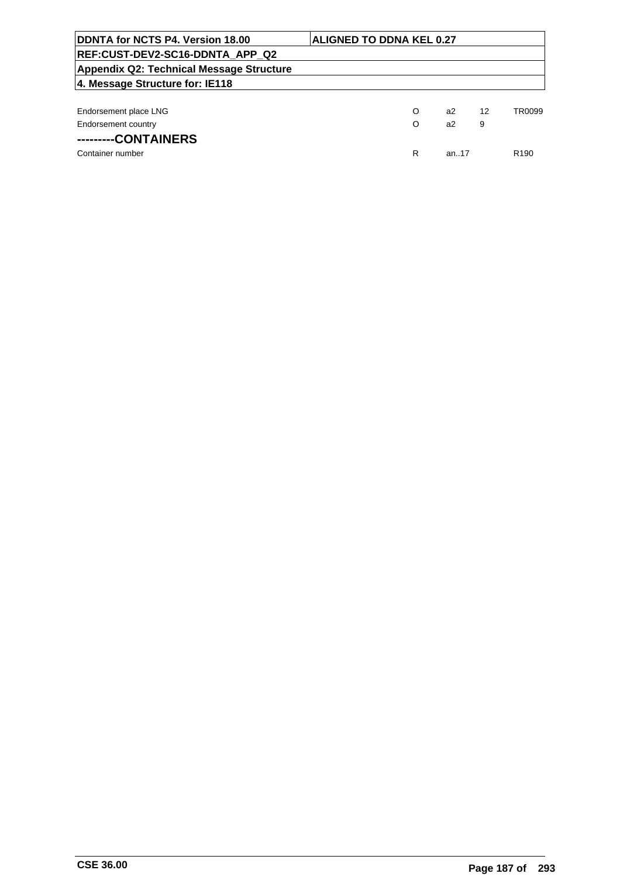| DDNTA for NCTS P4. Version 18.00                | <b>ALIGNED TO DDNA KEL 0.27</b> |   |          |    |                  |
|-------------------------------------------------|---------------------------------|---|----------|----|------------------|
| REF:CUST-DEV2-SC16-DDNTA_APP_Q2                 |                                 |   |          |    |                  |
| <b>Appendix Q2: Technical Message Structure</b> |                                 |   |          |    |                  |
| 4. Message Structure for: IE118                 |                                 |   |          |    |                  |
|                                                 |                                 |   |          |    |                  |
| Endorsement place LNG                           |                                 | O | a2       | 12 | TR0099           |
| Endorsement country                             |                                 | O | a2       | 9  |                  |
| ---------CONTAINERS                             |                                 |   |          |    |                  |
| Container number                                |                                 | R | an $.17$ |    | R <sub>190</sub> |
|                                                 |                                 |   |          |    |                  |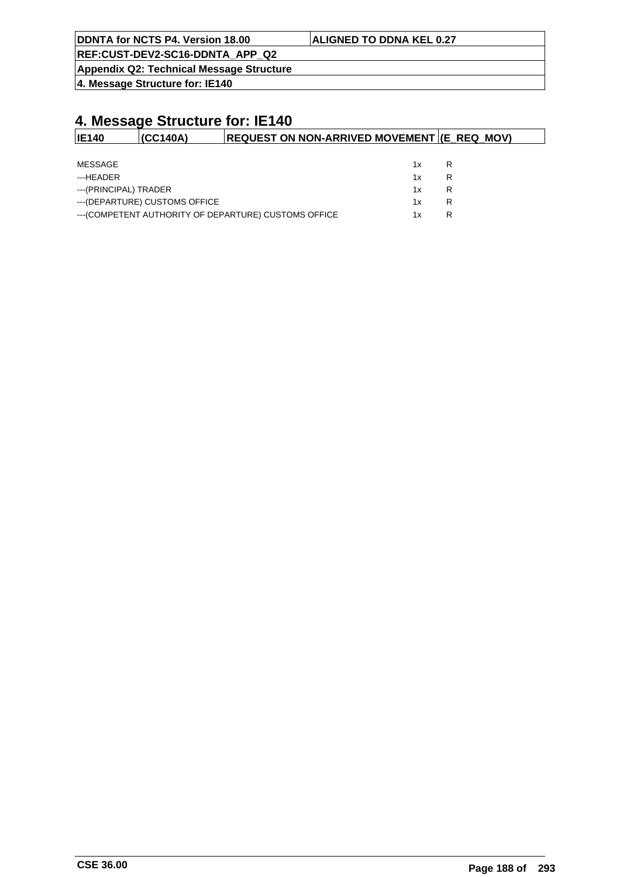| DDNTA for NCTS P4. Version 18.00 | <b>ALIGNED TO DDNA KEL 0.27</b> |
|----------------------------------|---------------------------------|
|                                  |                                 |

**Appendix Q2: Technical Message Structure**

**4. Message Structure for: IE140**

| <b>IE140</b>          | (CC140A)                       | <b>REQUEST ON NON-ARRIVED MOVEMENT (E REQ MOV)</b>    |    |   |  |
|-----------------------|--------------------------------|-------------------------------------------------------|----|---|--|
|                       |                                |                                                       |    |   |  |
| MESSAGE               |                                |                                                       | 1x | R |  |
| ---HEADER             |                                |                                                       | 1x | R |  |
| ---(PRINCIPAL) TRADER |                                |                                                       | 1x | R |  |
|                       | --- (DEPARTURE) CUSTOMS OFFICE |                                                       | 1x | R |  |
|                       |                                | --- (COMPETENT AUTHORITY OF DEPARTURE) CUSTOMS OFFICE | 1x | R |  |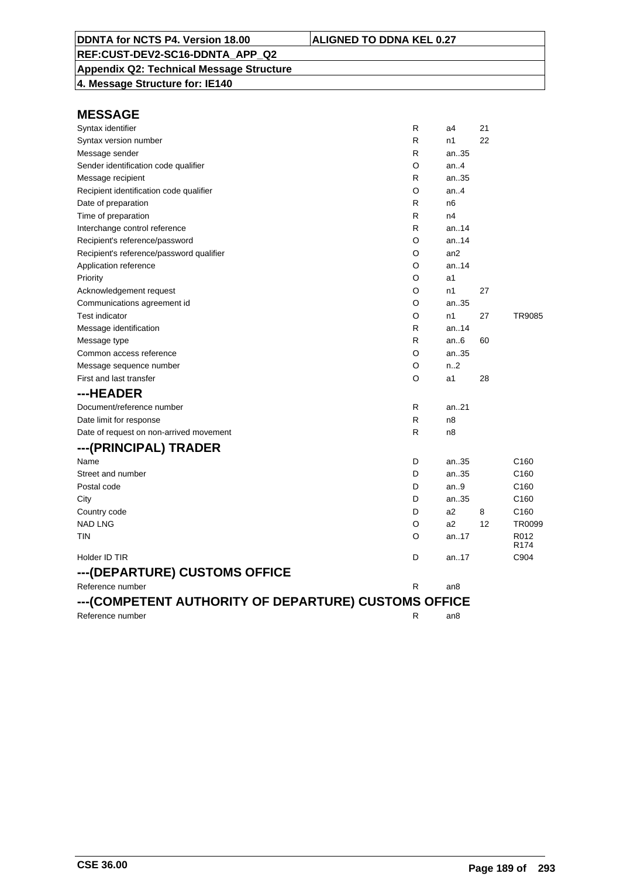# **Appendix Q2: Technical Message Structure**

**4. Message Structure for: IE140**

| Syntax identifier                                    | R | a4              | 21 |                          |
|------------------------------------------------------|---|-----------------|----|--------------------------|
| Syntax version number                                | R | n1              | 22 |                          |
| Message sender                                       | R | an35            |    |                          |
| Sender identification code qualifier                 | O | an.4            |    |                          |
| Message recipient                                    | R | an35            |    |                          |
| Recipient identification code qualifier              | O | an.4            |    |                          |
| Date of preparation                                  | R | n6              |    |                          |
| Time of preparation                                  | R | n4              |    |                          |
| Interchange control reference                        | R | an.14           |    |                          |
| Recipient's reference/password                       | O | an14            |    |                          |
| Recipient's reference/password qualifier             | O | an <sub>2</sub> |    |                          |
| Application reference                                | O | an14            |    |                          |
| Priority                                             | O | a1              |    |                          |
| Acknowledgement request                              | O | n1              | 27 |                          |
| Communications agreement id                          | O | an35            |    |                          |
| <b>Test indicator</b>                                | O | n1              | 27 | TR9085                   |
| Message identification                               | R | an.14           |    |                          |
| Message type                                         | R | an $6$          | 60 |                          |
| Common access reference                              | O | an35            |    |                          |
| Message sequence number                              | O | n.2             |    |                          |
| First and last transfer                              | O | a1              | 28 |                          |
| ---HEADER                                            |   |                 |    |                          |
| Document/reference number                            | R | an21            |    |                          |
| Date limit for response                              | R | n <sub>8</sub>  |    |                          |
| Date of request on non-arrived movement              | R | n8              |    |                          |
| ---(PRINCIPAL) TRADER                                |   |                 |    |                          |
| Name                                                 | D | an35            |    | C160                     |
| Street and number                                    | D | an35            |    | C <sub>160</sub>         |
| Postal code                                          | D | an9             |    | C <sub>160</sub>         |
| City                                                 | D | an35            |    | C <sub>160</sub>         |
| Country code                                         | D | a2              | 8  | C <sub>160</sub>         |
| <b>NAD LNG</b>                                       | O | a2              | 12 | TR0099                   |
| tin                                                  | O | an17            |    | R012<br>R <sub>174</sub> |
| Holder ID TIR                                        | D | an17            |    | C904                     |
| ---(DEPARTURE) CUSTOMS OFFICE                        |   |                 |    |                          |
| Reference number                                     | R | an <sub>8</sub> |    |                          |
| ---(COMPETENT AUTHORITY OF DEPARTURE) CUSTOMS OFFICE |   |                 |    |                          |
| Reference number                                     | R | an8             |    |                          |
|                                                      |   |                 |    |                          |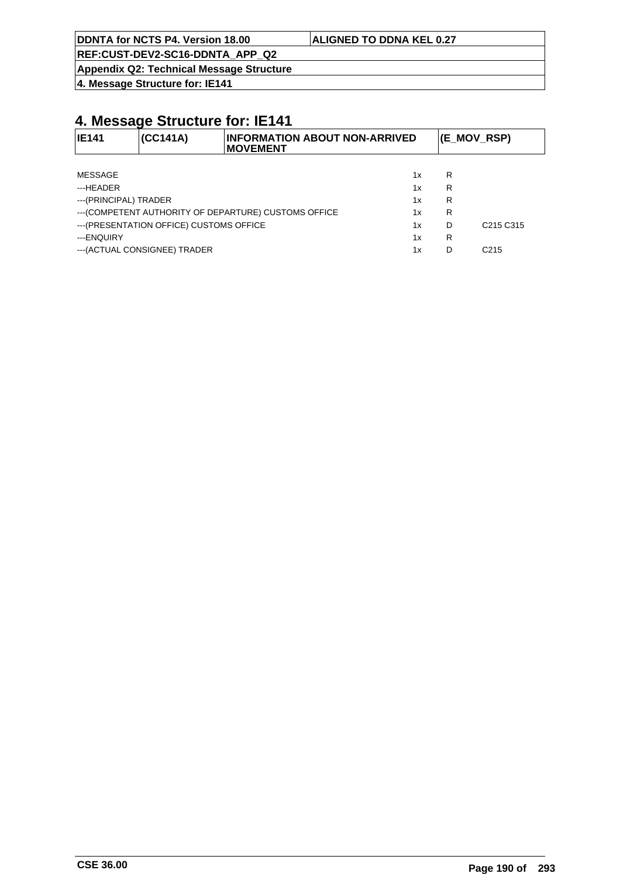**REF:CUST-DEV2-SC16-DDNTA\_APP\_Q2**

**Appendix Q2: Technical Message Structure**

**4. Message Structure for: IE141**

| <b>IE141</b>                                                | (CC141A)                      | <b>INFORMATION ABOUT NON-ARRIVED</b><br><b>MOVEMENT</b> |    | (E_MOV_RSP)                       |                  |
|-------------------------------------------------------------|-------------------------------|---------------------------------------------------------|----|-----------------------------------|------------------|
|                                                             |                               |                                                         |    |                                   |                  |
| MESSAGE                                                     |                               |                                                         | 1x | R                                 |                  |
| ---HEADER                                                   |                               |                                                         | 1x | R                                 |                  |
| ---(PRINCIPAL) TRADER                                       |                               |                                                         | 1x | R                                 |                  |
| --- (COMPETENT AUTHORITY OF DEPARTURE) CUSTOMS OFFICE<br>1x |                               |                                                         | R  |                                   |                  |
| --- (PRESENTATION OFFICE) CUSTOMS OFFICE<br>1x              |                               |                                                         | D  | C <sub>215</sub> C <sub>315</sub> |                  |
| ---ENQUIRY                                                  |                               |                                                         | 1x | R                                 |                  |
|                                                             | --- (ACTUAL CONSIGNEE) TRADER |                                                         | 1x | D                                 | C <sub>215</sub> |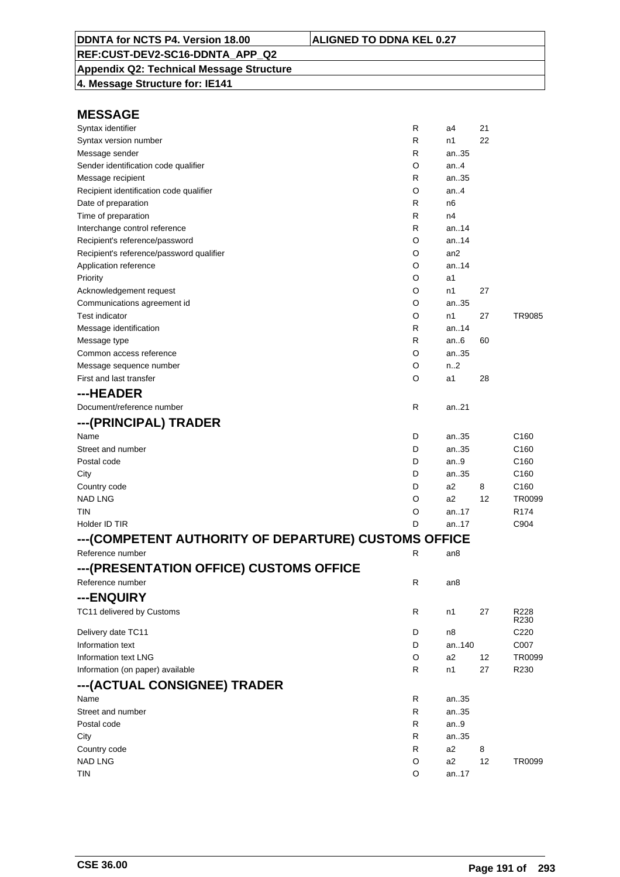**Appendix Q2: Technical Message Structure 4. Message Structure for: IE141**

| Syntax identifier                                    | R | a4              | 21 |                  |
|------------------------------------------------------|---|-----------------|----|------------------|
| Syntax version number                                | R | n1              | 22 |                  |
| Message sender                                       | R | an35            |    |                  |
| Sender identification code qualifier                 | O | an. $4$         |    |                  |
| Message recipient                                    | R | an35            |    |                  |
| Recipient identification code qualifier              | O | an $4$          |    |                  |
| Date of preparation                                  | R | n6              |    |                  |
| Time of preparation                                  | R | n4              |    |                  |
| Interchange control reference                        | R | an14            |    |                  |
| Recipient's reference/password                       | O | an14            |    |                  |
| Recipient's reference/password qualifier             | O | an <sub>2</sub> |    |                  |
| Application reference                                | O | an14            |    |                  |
| Priority                                             | O | a1              |    |                  |
| Acknowledgement request                              | O | n1              | 27 |                  |
| Communications agreement id                          | O | an35            |    |                  |
| <b>Test indicator</b>                                | O | n1              | 27 | <b>TR9085</b>    |
| Message identification                               | R | an14            |    |                  |
| Message type                                         | R | an $6$          | 60 |                  |
| Common access reference                              | O | an35            |    |                  |
| Message sequence number                              | O | n2              |    |                  |
| First and last transfer                              | O | a1              | 28 |                  |
| ---HEADER                                            |   |                 |    |                  |
| Document/reference number                            | R | an. $.21$       |    |                  |
| ---(PRINCIPAL) TRADER                                |   |                 |    |                  |
| Name                                                 | D | an35            |    | C <sub>160</sub> |
| Street and number                                    | D | an35            |    | C <sub>160</sub> |
| Postal code                                          | D | an.9            |    | C <sub>160</sub> |
| City                                                 | D | an35            |    | C <sub>160</sub> |
| Country code                                         | D | a2              | 8  | C160             |
| NAD LNG                                              | O | a2              | 12 | TR0099           |
| TIN                                                  | O | an17            |    | R <sub>174</sub> |
| Holder ID TIR                                        | D | an17            |    | C904             |
| ---(COMPETENT AUTHORITY OF DEPARTURE) CUSTOMS OFFICE |   |                 |    |                  |
| Reference number                                     | R | an8             |    |                  |
| ---(PRESENTATION OFFICE) CUSTOMS OFFICE              |   |                 |    |                  |
| Reference number                                     | R | an8             |    |                  |
|                                                      |   |                 |    |                  |
| ---ENQUIRY                                           |   |                 |    |                  |
| TC11 delivered by Customs                            | R | n1              | 27 | R228<br>R230     |
|                                                      | D | n8              |    | C220             |
| Delivery date TC11<br>Information text               | D | an140           |    | C007             |
| Information text LNG                                 |   |                 |    |                  |
|                                                      | O | a2              | 12 | TR0099           |
| Information (on paper) available                     | R | n1              | 27 | R230             |
| ---(ACTUAL CONSIGNEE) TRADER                         |   |                 |    |                  |
| Name                                                 | R | an35            |    |                  |
| Street and number                                    | R | an35            |    |                  |
| Postal code                                          | R | an $9$          |    |                  |
| City                                                 | R | an35            |    |                  |
| Country code                                         | R | a2              | 8  |                  |
| <b>NAD LNG</b>                                       | O | a2              | 12 | TR0099           |
| tin                                                  | O | an17            |    |                  |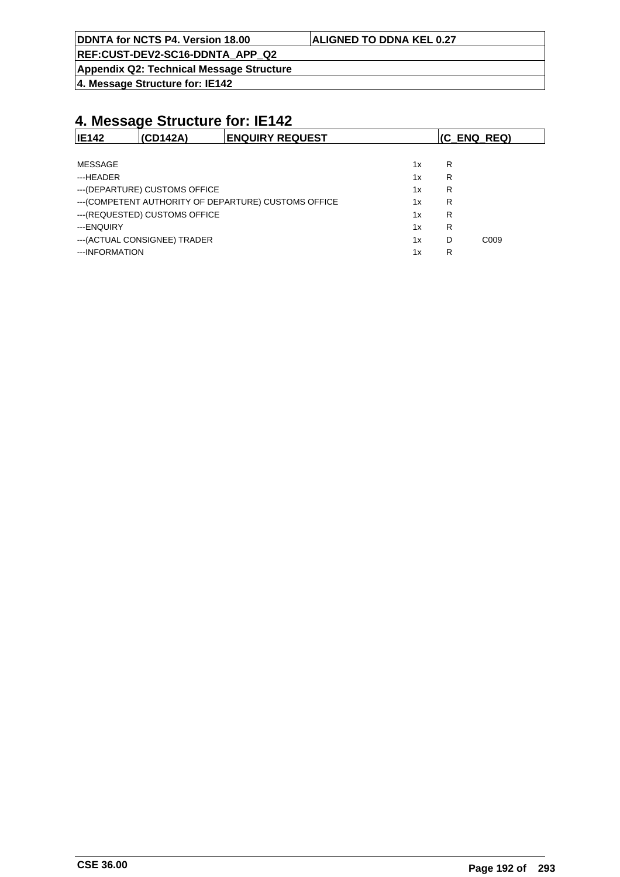**REF:CUST-DEV2-SC16-DDNTA\_APP\_Q2**

**Appendix Q2: Technical Message Structure**

**4. Message Structure for: IE142**

| <b>IE142</b>   | (CD142A)                       | <b>ENQUIRY REQUEST</b>                                |    |   | $ $ (C ENQ REQ)  |
|----------------|--------------------------------|-------------------------------------------------------|----|---|------------------|
|                |                                |                                                       |    |   |                  |
| <b>MESSAGE</b> |                                |                                                       | 1x | R |                  |
| ---HFADFR      |                                |                                                       | 1x | R |                  |
|                | --- (DEPARTURE) CUSTOMS OFFICE |                                                       | 1x | R |                  |
|                |                                | --- (COMPETENT AUTHORITY OF DEPARTURE) CUSTOMS OFFICE | 1x | R |                  |
|                | --- (REQUESTED) CUSTOMS OFFICE |                                                       | 1x | R |                  |
| ---ENQUIRY     |                                |                                                       | 1x | R |                  |
|                | --- (ACTUAL CONSIGNEE) TRADER  |                                                       | 1x | D | C <sub>009</sub> |
| ---INFORMATION |                                |                                                       | 1x | R |                  |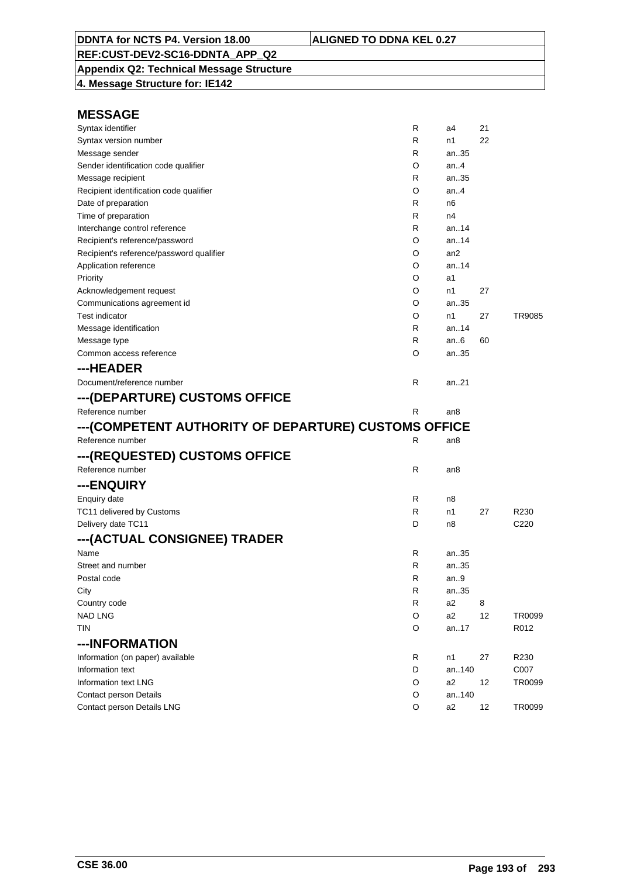**Appendix Q2: Technical Message Structure 4. Message Structure for: IE142**

| Syntax identifier                                    | R            | a4             | 21 |                  |
|------------------------------------------------------|--------------|----------------|----|------------------|
| Syntax version number                                | R            | n1             | 22 |                  |
| Message sender                                       | R            | an35           |    |                  |
| Sender identification code qualifier                 | O            | an4            |    |                  |
| Message recipient                                    | R            | an35           |    |                  |
| Recipient identification code qualifier              | O            | an4            |    |                  |
| Date of preparation                                  | R            | n6             |    |                  |
| Time of preparation                                  | R            | n4             |    |                  |
| Interchange control reference                        | R            | an14           |    |                  |
| Recipient's reference/password                       | O            | an14           |    |                  |
| Recipient's reference/password qualifier             | O            | an2            |    |                  |
| Application reference                                | O            | an14           |    |                  |
| Priority                                             | O            | a1             |    |                  |
| Acknowledgement request                              | O            | n1             | 27 |                  |
| Communications agreement id                          | O            | an35           |    |                  |
| <b>Test indicator</b>                                | O            | n1             | 27 | <b>TR9085</b>    |
| Message identification                               | R            | an14           |    |                  |
| Message type                                         | R            | an $6$         | 60 |                  |
| Common access reference                              | O            | an35           |    |                  |
| ---HEADER                                            |              |                |    |                  |
| Document/reference number                            | R            | an21           |    |                  |
| ---(DEPARTURE) CUSTOMS OFFICE                        |              |                |    |                  |
| Reference number                                     | R            | an8            |    |                  |
| ---(COMPETENT AUTHORITY OF DEPARTURE) CUSTOMS OFFICE |              |                |    |                  |
| Reference number                                     | R            | an8            |    |                  |
| ---(REQUESTED) CUSTOMS OFFICE                        |              |                |    |                  |
| Reference number                                     | $\mathsf{R}$ | an8            |    |                  |
| ---ENQUIRY                                           |              |                |    |                  |
| <b>Enquiry date</b>                                  | R            | n8             |    |                  |
| TC11 delivered by Customs                            | R            | n1             | 27 | R230             |
| Delivery date TC11                                   | D            | n8             |    | C <sub>220</sub> |
| ---(ACTUAL CONSIGNEE) TRADER                         |              |                |    |                  |
| Name                                                 | R            | an35           |    |                  |
| Street and number                                    | R            | an35           |    |                  |
| Postal code                                          | R            | an.9           |    |                  |
| City                                                 | R            | an35           |    |                  |
| Country code                                         | R            | a <sub>2</sub> | 8  |                  |
| <b>NAD LNG</b>                                       | O            | a2             | 12 | TR0099           |
| <b>TIN</b>                                           | O            | an17           |    | R012             |
| ---INFORMATION                                       |              |                |    |                  |
| Information (on paper) available                     | R            | n1             | 27 | R230             |
| Information text                                     | D            | an140          |    | C007             |
| Information text LNG                                 |              |                |    |                  |
|                                                      | O            | a2             | 12 |                  |
| Contact person Details                               | O            | an140          |    | TR0099           |
| Contact person Details LNG                           | O            | a <sub>2</sub> | 12 | TR0099           |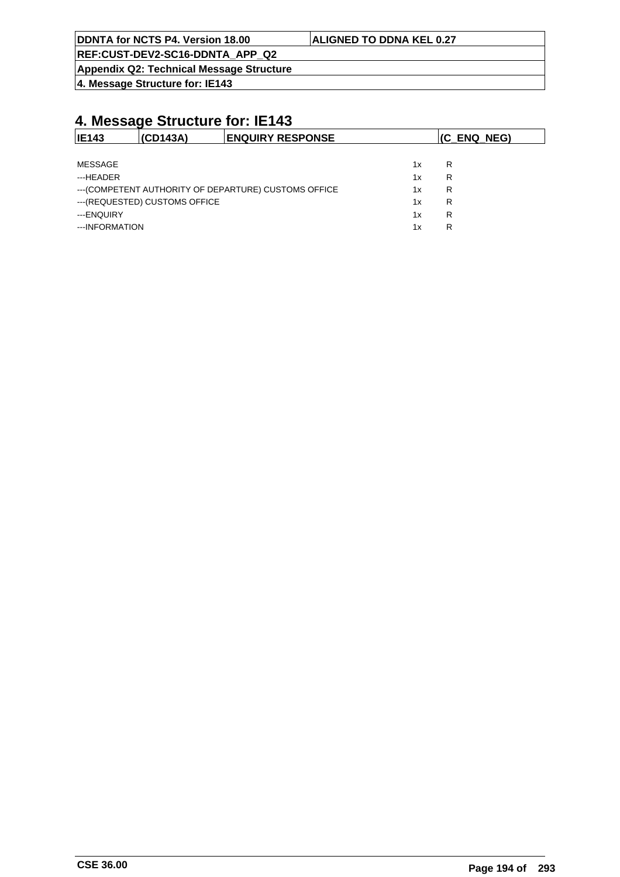|--|

#### **ALIGNED TO DDNA KEL 0.27**

**REF:CUST-DEV2-SC16-DDNTA\_APP\_Q2**

**Appendix Q2: Technical Message Structure**

**4. Message Structure for: IE143**

| <b>IE143</b>   | (CD143A)                       | <b>ENQUIRY RESPONSE</b>                               |    | (C ENQ NEG) |
|----------------|--------------------------------|-------------------------------------------------------|----|-------------|
|                |                                |                                                       |    |             |
| MESSAGE        |                                |                                                       | 1x | R           |
| ---HEADER      |                                |                                                       | 1x | R           |
|                |                                | --- (COMPETENT AUTHORITY OF DEPARTURE) CUSTOMS OFFICE | 1x | R           |
|                | --- (REQUESTED) CUSTOMS OFFICE |                                                       | 1x | R           |
| ---ENQUIRY     |                                |                                                       | 1x | R           |
| ---INFORMATION |                                |                                                       | 1x | R           |
|                |                                |                                                       |    |             |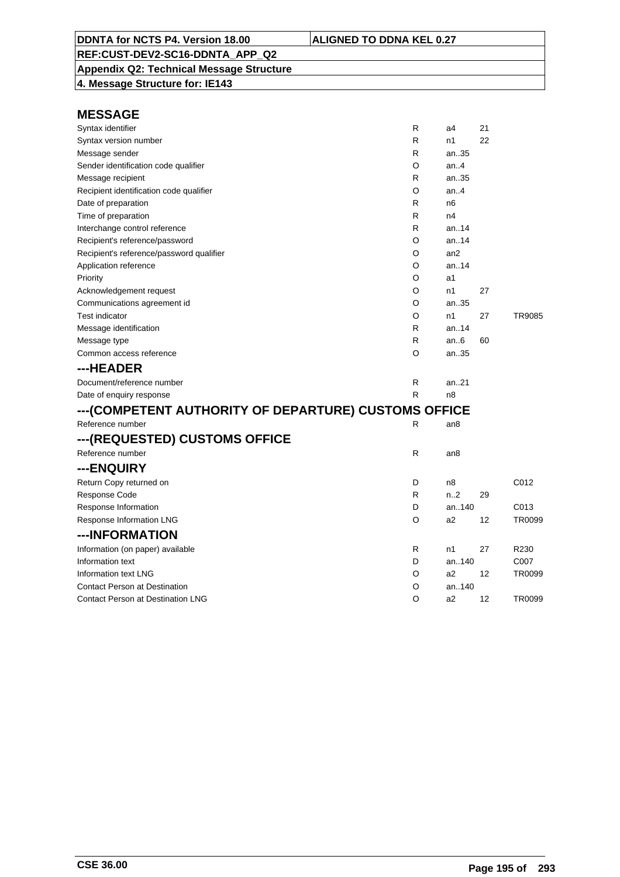**Appendix Q2: Technical Message Structure 4. Message Structure for: IE143**

| Syntax identifier                                    | R | a4               | 21 |        |
|------------------------------------------------------|---|------------------|----|--------|
| Syntax version number                                | R | n1               | 22 |        |
| Message sender                                       | R | an35             |    |        |
| Sender identification code qualifier                 | O | an.4             |    |        |
| Message recipient                                    | R | an35             |    |        |
| Recipient identification code qualifier              | O | an.4             |    |        |
| Date of preparation                                  | R | n6               |    |        |
| Time of preparation                                  | R | n4               |    |        |
| Interchange control reference                        | R | an.14            |    |        |
| Recipient's reference/password                       | O | an.14            |    |        |
| Recipient's reference/password qualifier             | O | an2              |    |        |
| Application reference                                | O | an.14            |    |        |
| Priority                                             | O | a1               |    |        |
| Acknowledgement request                              | O | n1               | 27 |        |
| Communications agreement id                          | O | an35             |    |        |
| <b>Test indicator</b>                                | O | n1               | 27 | TR9085 |
| Message identification                               | R | an14             |    |        |
| Message type                                         | R | an.6             | 60 |        |
| Common access reference                              | O | an35             |    |        |
| ---HEADER                                            |   |                  |    |        |
| Document/reference number                            | R | an21             |    |        |
| Date of enquiry response                             | R | n8               |    |        |
| ---(COMPETENT AUTHORITY OF DEPARTURE) CUSTOMS OFFICE |   |                  |    |        |
| Reference number                                     | R | an <sub>8</sub>  |    |        |
| ---(REQUESTED) CUSTOMS OFFICE                        |   |                  |    |        |
| Reference number                                     | R | an8              |    |        |
| ---ENQUIRY                                           |   |                  |    |        |
| Return Copy returned on                              | D | n8               |    | C012   |
| <b>Response Code</b>                                 | R | n <sub>1</sub> 2 | 29 |        |
| Response Information                                 | D | an140            |    | C013   |
| Response Information LNG                             | O | a2               | 12 | TR0099 |
| ---INFORMATION                                       |   |                  |    |        |
| Information (on paper) available                     | R | n1               | 27 | R230   |
| Information text                                     | D | an140            |    | C007   |
| Information text LNG                                 | O | a <sub>2</sub>   | 12 | TR0099 |
| <b>Contact Person at Destination</b>                 | O | an140            |    |        |
| <b>Contact Person at Destination LNG</b>             | O | a2               | 12 | TR0099 |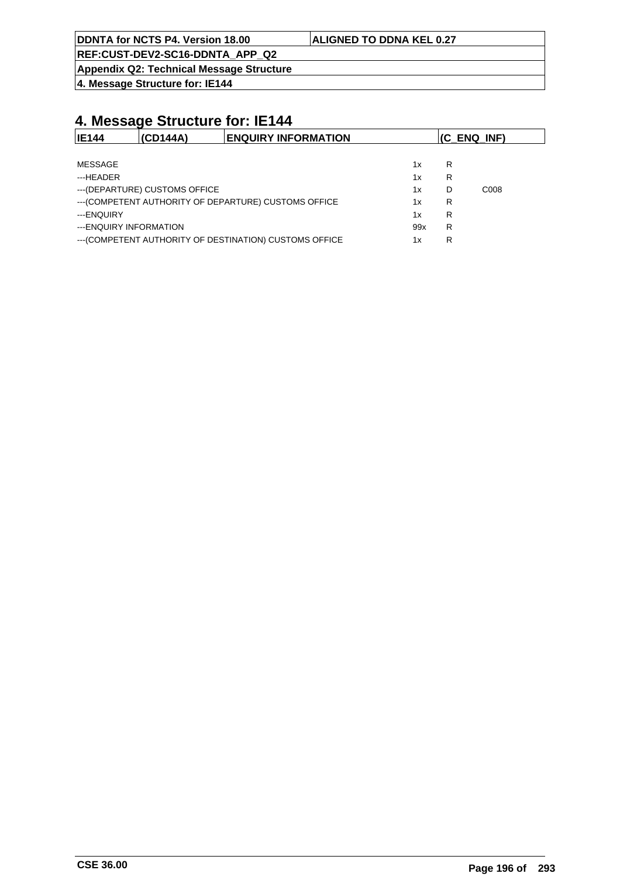**REF:CUST-DEV2-SC16-DDNTA\_APP\_Q2**

**Appendix Q2: Technical Message Structure**

**4. Message Structure for: IE144**

| <b>IE144</b>           | (CD144A)                       | <b>ENQUIRY INFORMATION</b>                              |     | $(C$ ENQ INF) |                  |
|------------------------|--------------------------------|---------------------------------------------------------|-----|---------------|------------------|
|                        |                                |                                                         |     |               |                  |
| MESSAGE                |                                |                                                         | 1x  | R             |                  |
| ---HEADER              |                                |                                                         | 1x  | R             |                  |
|                        | --- (DEPARTURE) CUSTOMS OFFICE |                                                         | 1x  | D             | C <sub>008</sub> |
|                        |                                | --- (COMPETENT AUTHORITY OF DEPARTURE) CUSTOMS OFFICE   | 1x  | R             |                  |
| ---ENQUIRY             |                                |                                                         | 1x  | R             |                  |
| ---ENQUIRY INFORMATION |                                |                                                         | 99x | R             |                  |
|                        |                                | --- (COMPETENT AUTHORITY OF DESTINATION) CUSTOMS OFFICE | 1x  | R             |                  |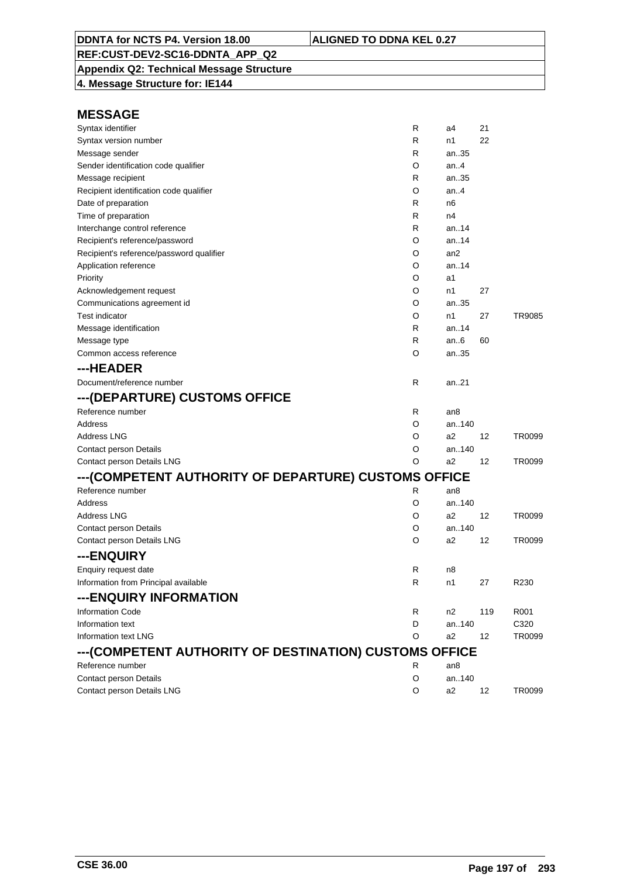**Appendix Q2: Technical Message Structure 4. Message Structure for: IE144**

| Syntax identifier                                      | R | a4              | 21  |                  |
|--------------------------------------------------------|---|-----------------|-----|------------------|
| Syntax version number                                  | R | n1              | 22  |                  |
| Message sender                                         | R | an35            |     |                  |
| Sender identification code qualifier                   | O | an $4$          |     |                  |
| Message recipient                                      | R | an35            |     |                  |
| Recipient identification code qualifier                | O | an.4            |     |                  |
| Date of preparation                                    | R | n6              |     |                  |
| Time of preparation                                    | R | n4              |     |                  |
| Interchange control reference                          | R | an14            |     |                  |
| Recipient's reference/password                         | O | an14            |     |                  |
| Recipient's reference/password qualifier               | O | an <sub>2</sub> |     |                  |
| Application reference                                  | O | an.14           |     |                  |
| Priority                                               | O | a1              |     |                  |
| Acknowledgement request                                | O | n1              | 27  |                  |
| Communications agreement id                            | O | an35            |     |                  |
| Test indicator                                         | O | n1              | 27  | TR9085           |
| Message identification                                 | R | an14            |     |                  |
| Message type                                           | R | an $6$          | 60  |                  |
| Common access reference                                | O | an35            |     |                  |
| ---HEADER                                              |   |                 |     |                  |
| Document/reference number                              | R | an.21           |     |                  |
| ---(DEPARTURE) CUSTOMS OFFICE                          |   |                 |     |                  |
| Reference number                                       | R | an <sub>8</sub> |     |                  |
| Address                                                | O | an140           |     |                  |
| Address LNG                                            | O | a2              | 12  | TR0099           |
| Contact person Details                                 | O | an140           |     |                  |
| Contact person Details LNG                             | O | a2              | 12  | TR0099           |
| ---(COMPETENT AUTHORITY OF DEPARTURE) CUSTOMS OFFICE   |   |                 |     |                  |
| Reference number                                       | R | an8             |     |                  |
| Address                                                | O | an140           |     |                  |
| Address LNG                                            | O | a2              | 12  | TR0099           |
| Contact person Details                                 | O | an140           |     |                  |
| Contact person Details LNG                             | O | a2              | 12  | TR0099           |
| ---ENQUIRY                                             |   |                 |     |                  |
| Enquiry request date                                   | R | n8              |     |                  |
| Information from Principal available                   | R | n1              | 27  | R <sub>230</sub> |
| ---ENQUIRY INFORMATION                                 |   |                 |     |                  |
| <b>Information Code</b>                                | R | n2              | 119 | R001             |
| Information text                                       | D | an140           |     | C320             |
| <b>Information text LNG</b>                            | O | a2              | 12  | TR0099           |
| ---(COMPETENT AUTHORITY OF DESTINATION) CUSTOMS OFFICE |   |                 |     |                  |
| Reference number                                       | R | an8             |     |                  |
| <b>Contact person Details</b>                          | O | an140           |     |                  |
| Contact person Details LNG                             | O | a2              | 12  | TR0099           |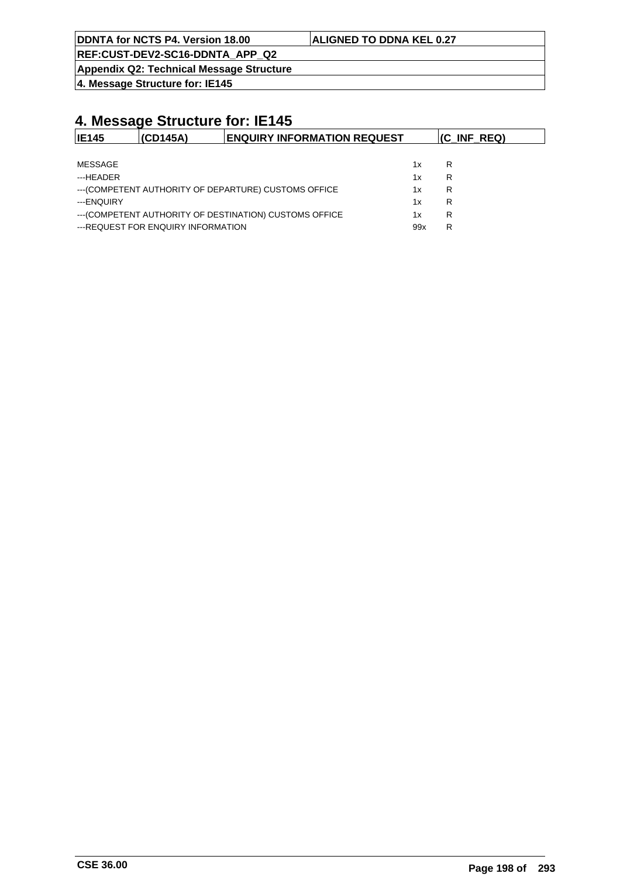**REF:CUST-DEV2-SC16-DDNTA\_APP\_Q2**

**Appendix Q2: Technical Message Structure**

**4. Message Structure for: IE145**

| <b>IE145</b> | (CD145A)                           | <b>ENQUIRY INFORMATION REQUEST</b>                      |     | (C_INF_REQ) |
|--------------|------------------------------------|---------------------------------------------------------|-----|-------------|
|              |                                    |                                                         |     |             |
| MESSAGE      |                                    |                                                         | 1x  | R           |
| ---HEADER    |                                    |                                                         | 1x  | R           |
|              |                                    | --- (COMPETENT AUTHORITY OF DEPARTURE) CUSTOMS OFFICE   | 1x  | R           |
| ---ENQUIRY   |                                    |                                                         | 1x  | R           |
|              |                                    | --- (COMPETENT AUTHORITY OF DESTINATION) CUSTOMS OFFICE | 1x  | R           |
|              | ---REQUEST FOR ENQUIRY INFORMATION |                                                         | 99x | R           |
|              |                                    |                                                         |     |             |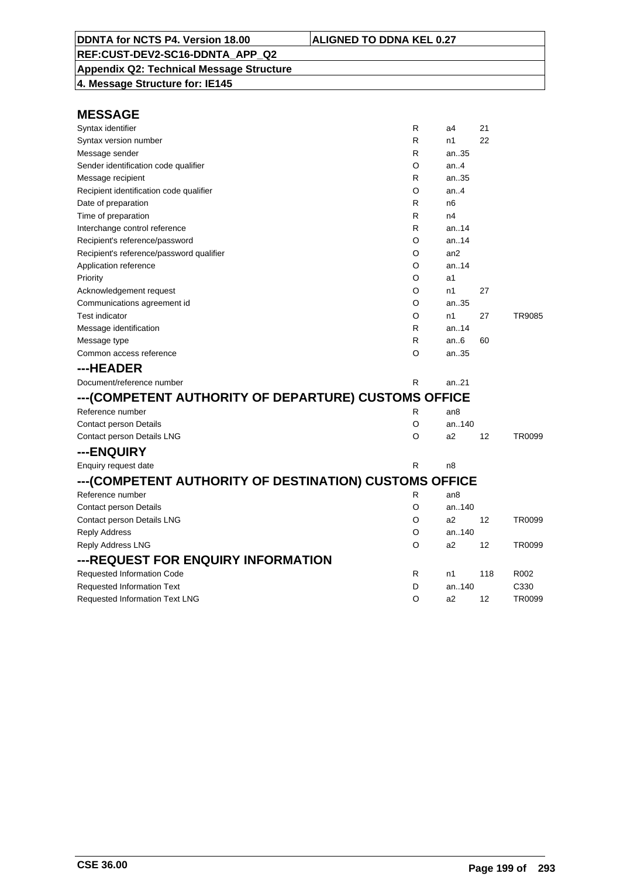**Appendix Q2: Technical Message Structure 4. Message Structure for: IE145**

| Syntax identifier                                      | R | a4              | 21  |        |
|--------------------------------------------------------|---|-----------------|-----|--------|
| Syntax version number                                  | R | n1              | 22  |        |
| Message sender                                         | R | an35            |     |        |
| Sender identification code qualifier                   | O | an $4$          |     |        |
| Message recipient                                      | R | an35            |     |        |
| Recipient identification code qualifier                | O | an. $4$         |     |        |
| Date of preparation                                    | R | n <sub>6</sub>  |     |        |
| Time of preparation                                    | R | n4              |     |        |
| Interchange control reference                          | R | an.14           |     |        |
| Recipient's reference/password                         | O | an.14           |     |        |
| Recipient's reference/password qualifier               | O | an <sub>2</sub> |     |        |
| Application reference                                  | O | an.14           |     |        |
| Priority                                               | O | a <sub>1</sub>  |     |        |
| Acknowledgement request                                | O | n1              | 27  |        |
| Communications agreement id                            | O | an35            |     |        |
| <b>Test indicator</b>                                  | O | n1              | 27  | TR9085 |
| Message identification                                 | R | an. $.14$       |     |        |
| Message type                                           | R | an.6            | 60  |        |
| Common access reference                                | O | an35            |     |        |
| ---HEADER                                              |   |                 |     |        |
| Document/reference number                              | R | an.21           |     |        |
| ---(COMPETENT AUTHORITY OF DEPARTURE) CUSTOMS OFFICE   |   |                 |     |        |
| Reference number                                       | R | an8             |     |        |
| <b>Contact person Details</b>                          | O | an140           |     |        |
| Contact person Details LNG                             | O | a2              | 12  | TR0099 |
| ---ENQUIRY                                             |   |                 |     |        |
| Enquiry request date                                   | R | n8              |     |        |
| ---(COMPETENT AUTHORITY OF DESTINATION) CUSTOMS OFFICE |   |                 |     |        |
| Reference number                                       | R | an <sub>8</sub> |     |        |
| <b>Contact person Details</b>                          | O | an140           |     |        |
| Contact person Details LNG                             | O | a2              | 12  | TR0099 |
| <b>Reply Address</b>                                   | O | an140           |     |        |
| <b>Reply Address LNG</b>                               | O | a <sub>2</sub>  | 12  | TR0099 |
| ---REQUEST FOR ENQUIRY INFORMATION                     |   |                 |     |        |
| Requested Information Code                             | R | n1              | 118 | R002   |
| <b>Requested Information Text</b>                      | D | an140           |     | C330   |
| <b>Requested Information Text LNG</b>                  | O | a2              | 12  | TR0099 |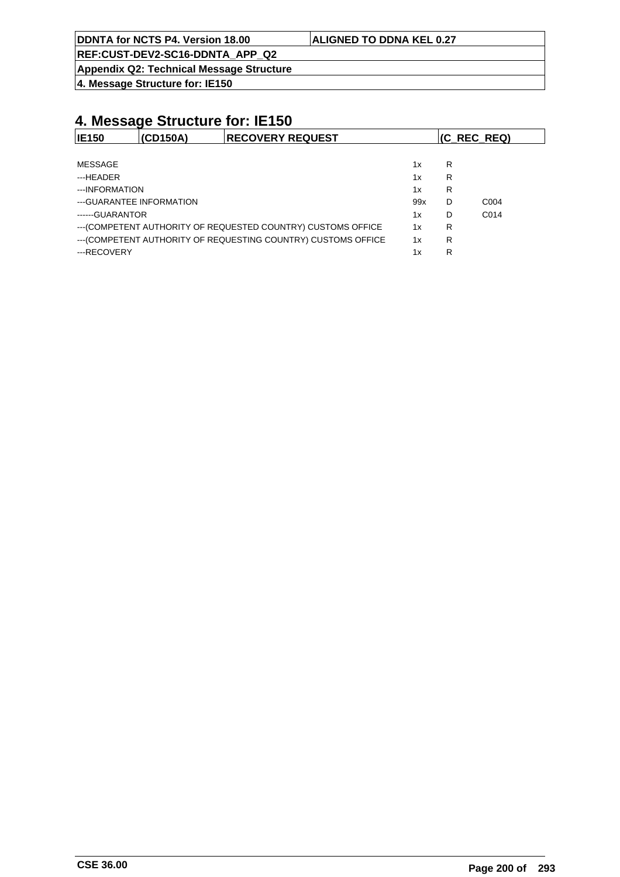**REF:CUST-DEV2-SC16-DDNTA\_APP\_Q2**

**Appendix Q2: Technical Message Structure**

**4. Message Structure for: IE150**

| <b>IE150</b>    | (CD150A)                  | <b>RECOVERY REQUEST</b>                                        |     |   | (C_REC_REQ)       |
|-----------------|---------------------------|----------------------------------------------------------------|-----|---|-------------------|
|                 |                           |                                                                |     |   |                   |
| MESSAGE         |                           |                                                                | 1x  | R |                   |
| ---HEADER       |                           |                                                                | 1x  | R |                   |
| ---INFORMATION  |                           |                                                                | 1x  | R |                   |
|                 | --- GUARANTEE INFORMATION |                                                                | 99x | D | C <sub>004</sub>  |
| ------GUARANTOR |                           |                                                                | 1x  | D | C <sub>0</sub> 14 |
|                 |                           | --- (COMPETENT AUTHORITY OF REQUESTED COUNTRY) CUSTOMS OFFICE  | 1x  | R |                   |
|                 |                           | --- (COMPETENT AUTHORITY OF REQUESTING COUNTRY) CUSTOMS OFFICE | 1x  | R |                   |
| ---RECOVERY     |                           |                                                                | 1x  | R |                   |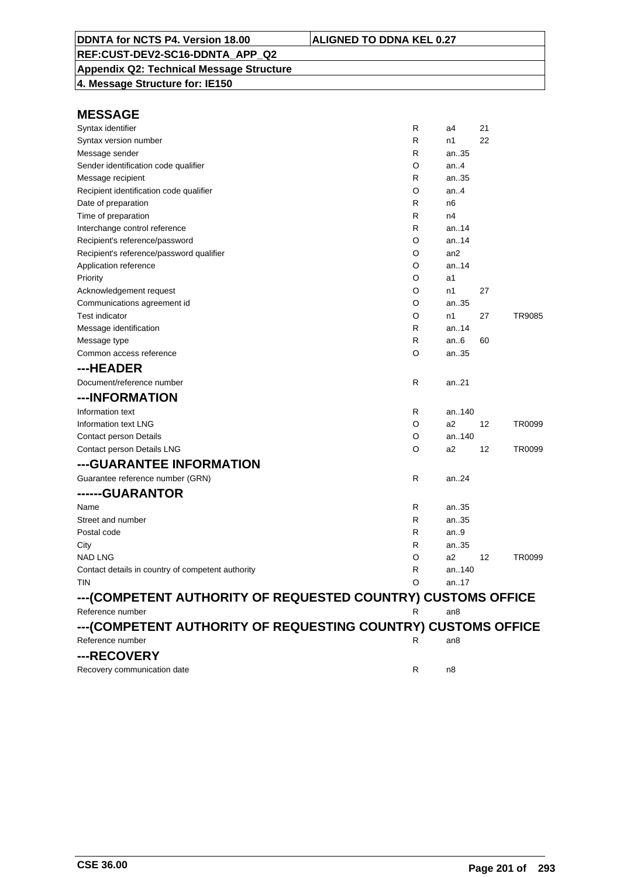**Appendix Q2: Technical Message Structure 4. Message Structure for: IE150**

| Syntax identifier                                              | R | a4              | 21 |        |
|----------------------------------------------------------------|---|-----------------|----|--------|
| Syntax version number                                          | R | n1              | 22 |        |
| Message sender                                                 | R | an.35           |    |        |
| Sender identification code qualifier                           | O | an4             |    |        |
| Message recipient                                              | R | an35            |    |        |
| Recipient identification code qualifier                        | O | an.4            |    |        |
| Date of preparation                                            | R | n6              |    |        |
| Time of preparation                                            | R | n4              |    |        |
| Interchange control reference                                  | R | an14            |    |        |
| Recipient's reference/password                                 | O | an14            |    |        |
| Recipient's reference/password qualifier                       | O | an2             |    |        |
| Application reference                                          | O | an.14           |    |        |
| Priority                                                       | O | a1              |    |        |
| Acknowledgement request                                        | O | n1              | 27 |        |
| Communications agreement id                                    | O | an35            |    |        |
| <b>Test indicator</b>                                          | O | n1              | 27 | TR9085 |
| Message identification                                         | R | an.14           |    |        |
| Message type                                                   | R | an.6            | 60 |        |
| Common access reference                                        | O | an35            |    |        |
| ---HEADER                                                      |   |                 |    |        |
| Document/reference number                                      | R | an21            |    |        |
| ---INFORMATION                                                 |   |                 |    |        |
| Information text                                               | R | an140           |    |        |
| Information text LNG                                           | O | a2              | 12 | TR0099 |
| Contact person Details                                         | O | an140           |    |        |
| Contact person Details LNG                                     | O | a2              | 12 | TR0099 |
| ---GUARANTEE INFORMATION                                       |   |                 |    |        |
| Guarantee reference number (GRN)                               | R | an24            |    |        |
| ------GUARANTOR                                                |   |                 |    |        |
| Name                                                           | R | an35            |    |        |
| Street and number                                              | R | an35            |    |        |
| Postal code                                                    | R | an9             |    |        |
| City                                                           | R | an35            |    |        |
| NAD LNG                                                        | O | a2              | 12 | TR0099 |
| Contact details in country of competent authority              | R | an140           |    |        |
| tin                                                            | O | an17            |    |        |
| --- (COMPETENT AUTHORITY OF REQUESTED COUNTRY) CUSTOMS OFFICE  |   |                 |    |        |
| Reference number                                               | R | an <sub>8</sub> |    |        |
| --- (COMPETENT AUTHORITY OF REQUESTING COUNTRY) CUSTOMS OFFICE |   |                 |    |        |
| Reference number                                               | R | an8             |    |        |
| ---RECOVERY                                                    |   |                 |    |        |
| Recovery communication date                                    | R | n8              |    |        |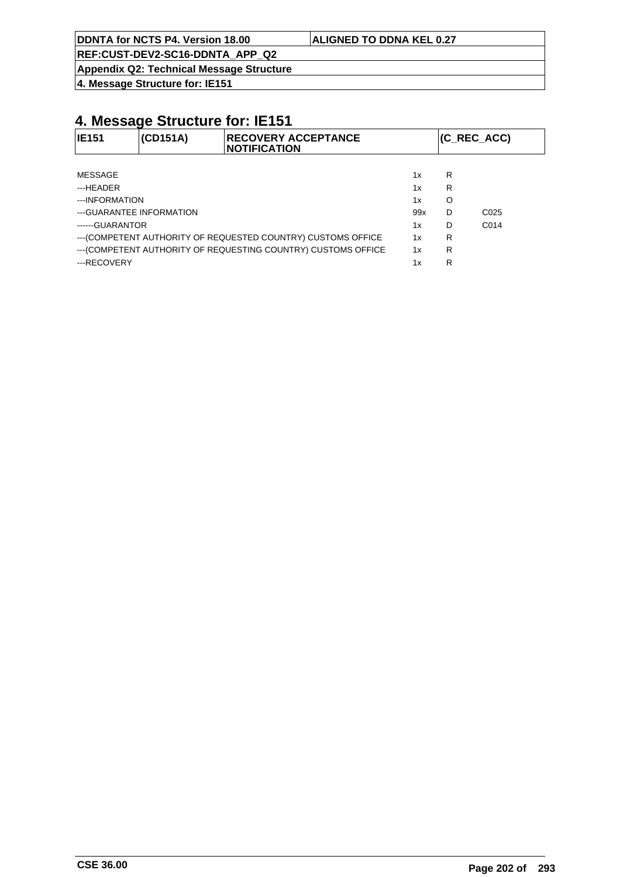**REF:CUST-DEV2-SC16-DDNTA\_APP\_Q2**

**Appendix Q2: Technical Message Structure**

**4. Message Structure for: IE151**

| <b>IE151</b>              | (CD151A) | <b>IRECOVERY ACCEPTANCE</b><br><b>INOTIFICATION</b>            |     |   | (C REC ACC)      |
|---------------------------|----------|----------------------------------------------------------------|-----|---|------------------|
|                           |          |                                                                |     |   |                  |
| <b>MESSAGE</b>            |          |                                                                | 1x  | R |                  |
| ---HEADER                 |          |                                                                | 1x  | R |                  |
| ---INFORMATION            |          |                                                                | 1x  | O |                  |
| --- GUARANTEE INFORMATION |          |                                                                | 99x | D | C <sub>025</sub> |
| ------GUARANTOR           |          |                                                                | 1x  | D | C <sub>014</sub> |
|                           |          | --- (COMPETENT AUTHORITY OF REQUESTED COUNTRY) CUSTOMS OFFICE  | 1x  | R |                  |
|                           |          | --- (COMPETENT AUTHORITY OF REQUESTING COUNTRY) CUSTOMS OFFICE | 1x  | R |                  |
| ---RECOVERY               |          |                                                                | 1x  | R |                  |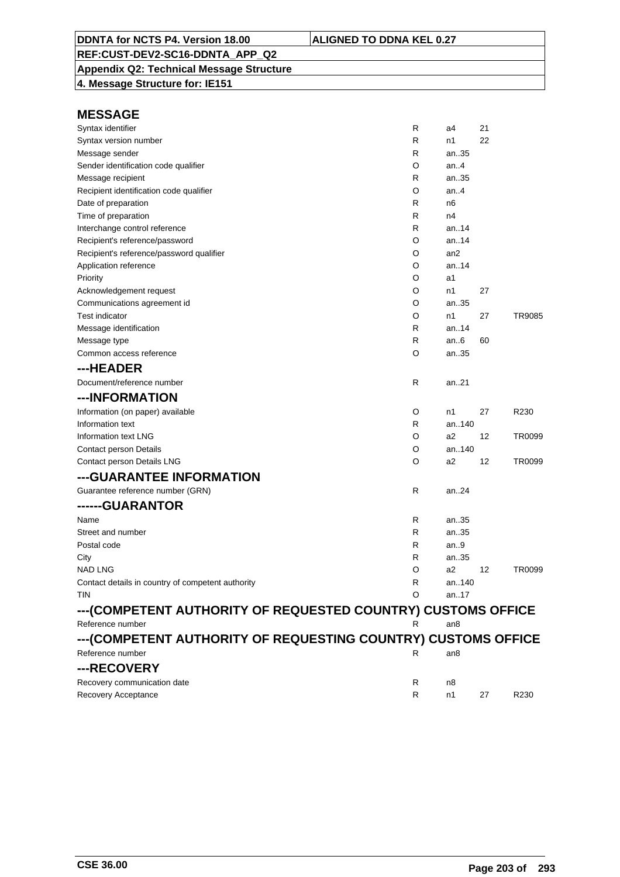**Appendix Q2: Technical Message Structure 4. Message Structure for: IE151**

| Syntax identifier                                             | R  | a4     | 21 |                  |
|---------------------------------------------------------------|----|--------|----|------------------|
| Syntax version number                                         | R  | n1     | 22 |                  |
| Message sender                                                | R  | an35   |    |                  |
| Sender identification code qualifier                          | O  | an $4$ |    |                  |
| Message recipient                                             | R  | an.35  |    |                  |
| Recipient identification code qualifier                       | O  | an4    |    |                  |
| Date of preparation                                           | R  | n6     |    |                  |
| Time of preparation                                           | R  | n4     |    |                  |
| Interchange control reference                                 | R  | an14   |    |                  |
| Recipient's reference/password                                | O  | an14   |    |                  |
| Recipient's reference/password qualifier                      | O  | an2    |    |                  |
| Application reference                                         | O  | an.14  |    |                  |
| Priority                                                      | O  | a1     |    |                  |
| Acknowledgement request                                       | O  | n1     | 27 |                  |
| Communications agreement id                                   | O  | an35   |    |                  |
| <b>Test indicator</b>                                         | O  | n1     | 27 | TR9085           |
| Message identification                                        | R  | an.14  |    |                  |
| Message type                                                  | R  | an.6   | 60 |                  |
| Common access reference                                       | O  | an35   |    |                  |
| ---HEADER                                                     |    |        |    |                  |
| Document/reference number                                     | R  | an21   |    |                  |
| ---INFORMATION                                                |    |        |    |                  |
| Information (on paper) available                              | O  | n1     | 27 | R <sub>230</sub> |
| Information text                                              | R  | an140  |    |                  |
| Information text LNG                                          | O  | a2     | 12 | TR0099           |
| Contact person Details                                        | O  | an140  |    |                  |
| Contact person Details LNG                                    | O  | a2     | 12 | TR0099           |
| --- GUARANTEE INFORMATION                                     |    |        |    |                  |
| Guarantee reference number (GRN)                              | R  | an24   |    |                  |
| ------GUARANTOR                                               |    |        |    |                  |
| Name                                                          | R  | an35   |    |                  |
| Street and number                                             | R  | an35   |    |                  |
| Postal code                                                   | R  | an9    |    |                  |
| City                                                          | R  | an35   |    |                  |
| <b>NAD LNG</b>                                                | O  | a2     | 12 | TR0099           |
| Contact details in country of competent authority             | R  | an140  |    |                  |
| <b>TIN</b>                                                    | O  | an17   |    |                  |
| ---(COMPETENT AUTHORITY OF REQUESTED COUNTRY) CUSTOMS OFFICE  |    |        |    |                  |
| Reference number                                              | R  | an8    |    |                  |
| ---(COMPETENT AUTHORITY OF REQUESTING COUNTRY) CUSTOMS OFFICE |    |        |    |                  |
| Reference number                                              | R. | an8    |    |                  |
| ---RECOVERY                                                   |    |        |    |                  |
| Recovery communication date                                   | R  | n8     |    |                  |
| Recovery Acceptance                                           | R  | n1     | 27 | R <sub>230</sub> |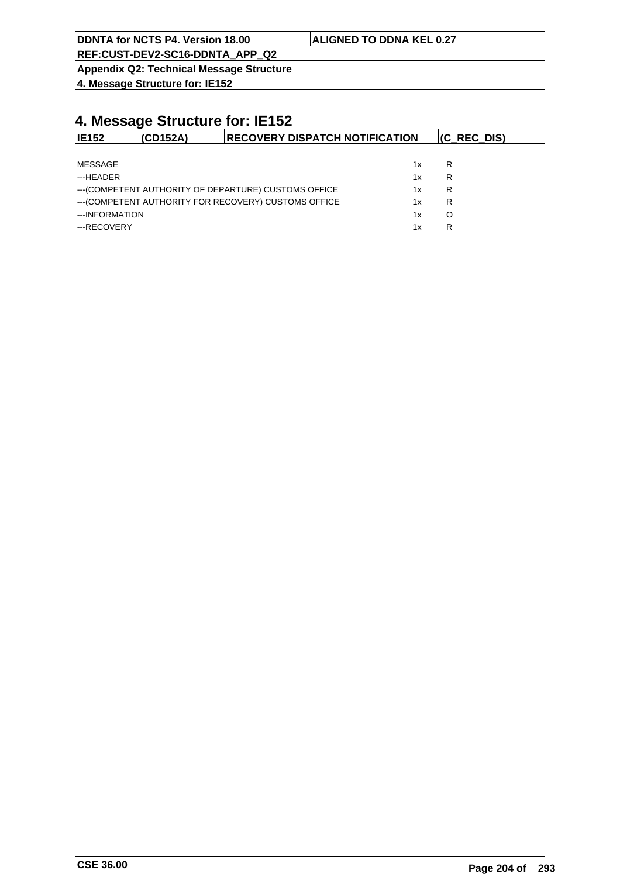|  | DDNTA for NCTS P4. Version 18.00 |  |  |  |  |
|--|----------------------------------|--|--|--|--|
|--|----------------------------------|--|--|--|--|

#### **ALIGNED TO DDNA KEL 0.27**

**REF:CUST-DEV2-SC16-DDNTA\_APP\_Q2**

**Appendix Q2: Technical Message Structure**

**4. Message Structure for: IE152**

| <b>IE152</b>   | (CD152A) | <b>RECOVERY DISPATCH NOTIFICATION</b>                 |    | $(C$ REC DIS) |
|----------------|----------|-------------------------------------------------------|----|---------------|
|                |          |                                                       |    |               |
| MESSAGE        |          |                                                       | 1x | R             |
| ---HEADER      |          |                                                       | 1x | R             |
|                |          | --- (COMPETENT AUTHORITY OF DEPARTURE) CUSTOMS OFFICE | 1x | R             |
|                |          | --- (COMPETENT AUTHORITY FOR RECOVERY) CUSTOMS OFFICE | 1x | R             |
| ---INFORMATION |          |                                                       | 1x | O             |
| ---RECOVERY    |          |                                                       | 1x | R             |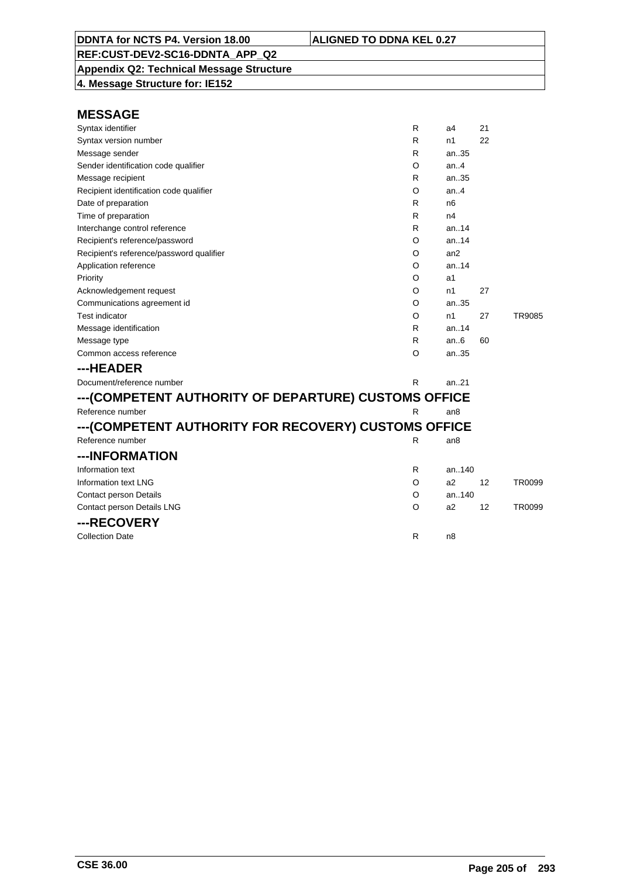**Appendix Q2: Technical Message Structure 4. Message Structure for: IE152**

| Syntax identifier                                    | R | a4              | 21 |               |
|------------------------------------------------------|---|-----------------|----|---------------|
| Syntax version number                                | R | n1              | 22 |               |
| Message sender                                       | R | an35            |    |               |
| Sender identification code qualifier                 | O | an.4            |    |               |
| Message recipient                                    | R | an35            |    |               |
| Recipient identification code qualifier              | O | an4             |    |               |
| Date of preparation                                  | R | n <sub>6</sub>  |    |               |
| Time of preparation                                  | R | n4              |    |               |
| Interchange control reference                        | R | an. $.14$       |    |               |
| Recipient's reference/password                       | O | an14            |    |               |
| Recipient's reference/password qualifier             | O | an2             |    |               |
| Application reference                                | O | an.14           |    |               |
| Priority                                             | O | a1              |    |               |
| Acknowledgement request                              | O | n1              | 27 |               |
| Communications agreement id                          | O | an35            |    |               |
| <b>Test indicator</b>                                | O | n1              | 27 | <b>TR9085</b> |
| Message identification                               | R | an14            |    |               |
| Message type                                         | R | an6             | 60 |               |
| Common access reference                              | O | an35            |    |               |
| ---HEADER                                            |   |                 |    |               |
| Document/reference number                            | R | an21            |    |               |
| ---(COMPETENT AUTHORITY OF DEPARTURE) CUSTOMS OFFICE |   |                 |    |               |
| Reference number                                     | R | an <sub>8</sub> |    |               |
| ---(COMPETENT AUTHORITY FOR RECOVERY) CUSTOMS OFFICE |   |                 |    |               |
| Reference number                                     | R | an <sub>8</sub> |    |               |
| ---INFORMATION                                       |   |                 |    |               |
| Information text                                     | R | an140           |    |               |
| Information text LNG                                 | O | a2              | 12 | <b>TR0099</b> |
| Contact person Details                               | O | an140           |    |               |
| Contact person Details LNG                           | O | a2              | 12 | TR0099        |
| ---RECOVERY                                          |   |                 |    |               |
| <b>Collection Date</b>                               | R | n8              |    |               |
|                                                      |   |                 |    |               |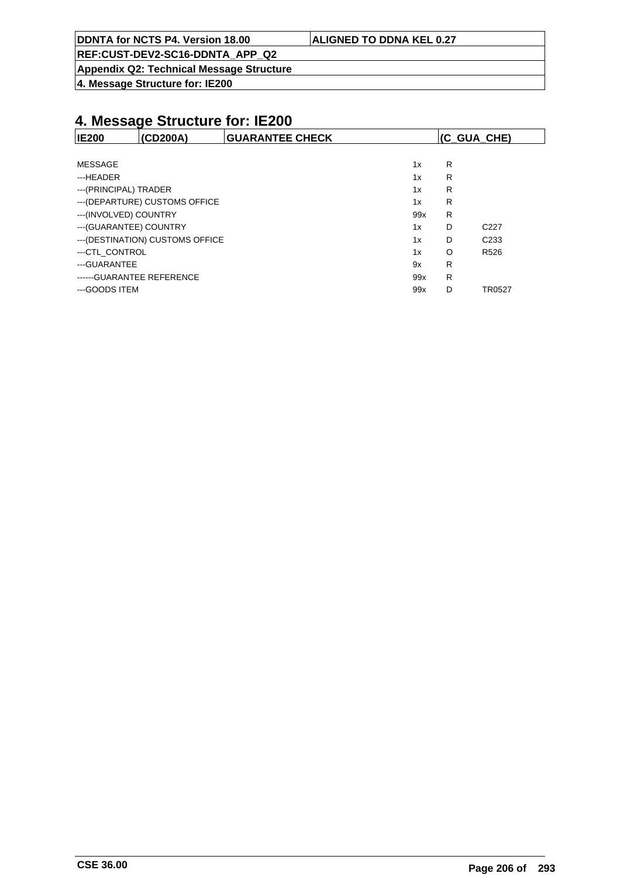| DDNTA for NCTS P4. Version 18.00 | <b>ALIGNED TO DDNA KEL 0.27</b> |
|----------------------------------|---------------------------------|
|                                  |                                 |

**Appendix Q2: Technical Message Structure**

**4. Message Structure for: IE200**

| <b>IE200</b>            | (CD200A)                         | <b>GUARANTEE CHECK</b> |     | (C_GUA_CHE) |                  |
|-------------------------|----------------------------------|------------------------|-----|-------------|------------------|
|                         |                                  |                        |     |             |                  |
| MESSAGE                 |                                  |                        | 1x  | R           |                  |
| ---HEADER               |                                  |                        | 1x  | R           |                  |
| --- (PRINCIPAL) TRADER  |                                  |                        | 1x  | R           |                  |
|                         | --- (DEPARTURE) CUSTOMS OFFICE   |                        | 1x  | R           |                  |
| --- (INVOLVED) COUNTRY  |                                  |                        | 99x | R           |                  |
| --- (GUARANTEE) COUNTRY |                                  |                        | 1x  | D           | C <sub>227</sub> |
|                         | --- (DESTINATION) CUSTOMS OFFICE |                        | 1x  | D           | C <sub>233</sub> |
| ---CTL CONTROL          |                                  |                        | 1x  | O           | R <sub>526</sub> |
| ---GUARANTEE            |                                  |                        | 9x  | R           |                  |
|                         | ------ GUARANTEE REFERENCE       |                        | 99x | R           |                  |
| ---GOODS ITEM           |                                  |                        | 99x | D           | TR0527           |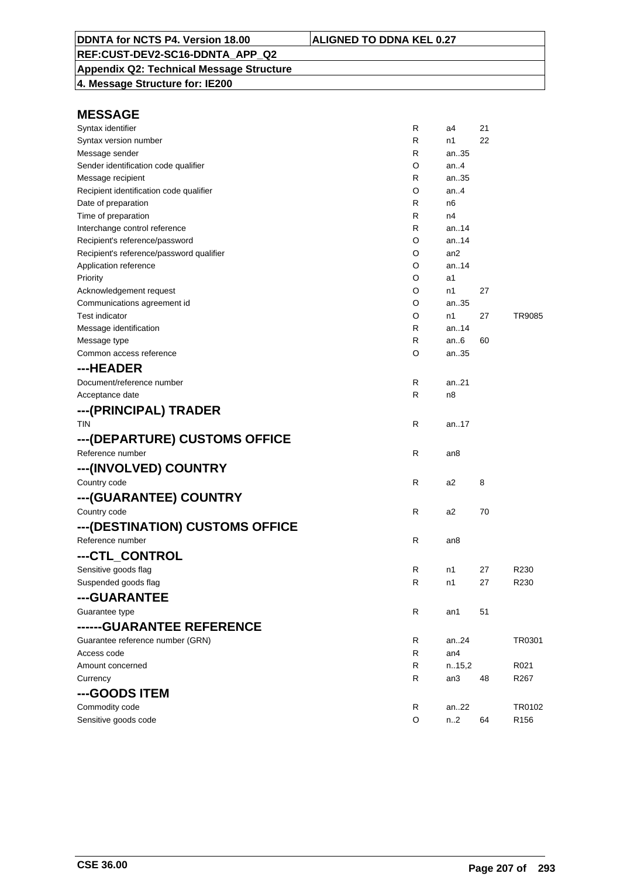## **Appendix Q2: Technical Message Structure**

**4. Message Structure for: IE200**

| Syntax identifier                        | R | a4     | 21 |                  |
|------------------------------------------|---|--------|----|------------------|
| Syntax version number                    | R | n1     | 22 |                  |
| Message sender                           | R | an35   |    |                  |
| Sender identification code qualifier     | O | an4    |    |                  |
| Message recipient                        | R | an35   |    |                  |
| Recipient identification code qualifier  | O | an.4   |    |                  |
| Date of preparation                      | R | n6     |    |                  |
| Time of preparation                      | R | n4     |    |                  |
| Interchange control reference            | R | an14   |    |                  |
| Recipient's reference/password           | O | an14   |    |                  |
| Recipient's reference/password qualifier | O | an2    |    |                  |
| Application reference                    | O | an14   |    |                  |
| Priority                                 | O | a1     |    |                  |
| Acknowledgement request                  | O | n1     | 27 |                  |
| Communications agreement id              | O | an35   |    |                  |
| <b>Test indicator</b>                    | O | n1     | 27 | TR9085           |
| Message identification                   | R | an14   |    |                  |
| Message type                             | R | an6    | 60 |                  |
| Common access reference                  | O | an35   |    |                  |
| ---HEADER                                |   |        |    |                  |
| Document/reference number                | R | an21   |    |                  |
| Acceptance date                          | R | n8     |    |                  |
| ---(PRINCIPAL) TRADER                    |   |        |    |                  |
| <b>TIN</b>                               | R | an17   |    |                  |
| --- (DEPARTURE) CUSTOMS OFFICE           |   |        |    |                  |
| Reference number                         | R | an8    |    |                  |
|                                          |   |        |    |                  |
| ---(INVOLVED) COUNTRY                    |   |        |    |                  |
| Country code                             | R | a2     | 8  |                  |
| ---(GUARANTEE) COUNTRY                   |   |        |    |                  |
| Country code                             | R | a2     | 70 |                  |
| --- (DESTINATION) CUSTOMS OFFICE         |   |        |    |                  |
| Reference number                         | R | an8    |    |                  |
| ---CTL CONTROL                           |   |        |    |                  |
| Sensitive goods flag                     | R | n1     | 27 | R230             |
| Suspended goods flag                     | R | n1     | 27 | R230             |
| ---GUARANTEE                             |   |        |    |                  |
| Guarantee type                           | R | an1    | 51 |                  |
| ------GUARANTEE REFERENCE                |   |        |    |                  |
| Guarantee reference number (GRN)         | R | an24   |    | TR0301           |
| Access code                              | R | an4    |    |                  |
| Amount concerned                         | R | n.15,2 |    | R021             |
| Currency                                 | R | an3    | 48 | R267             |
| ---GOODS ITEM                            |   |        |    |                  |
| Commodity code                           | R | an22   |    | TR0102           |
| Sensitive goods code                     | O | n.2    | 64 | R <sub>156</sub> |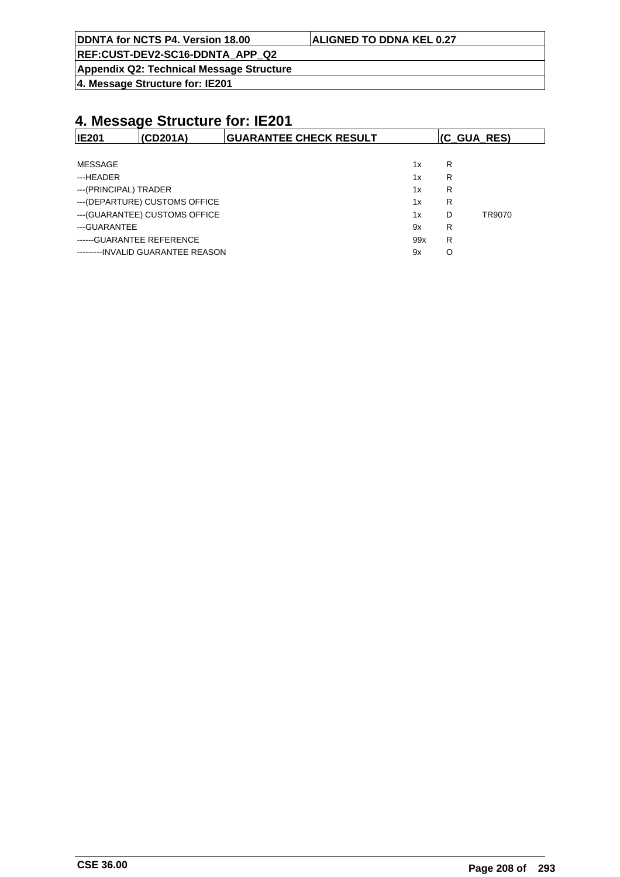| DDNTA for NCTS P4. Version 18.00 | <b>ALIGNED TO DDNA KEL 0.27</b> |
|----------------------------------|---------------------------------|
| REF:CUST-DEV2-SC16-DDNTA APP Q2  |                                 |

**Appendix Q2: Technical Message Structure**

**4. Message Structure for: IE201**

| <b>IE201</b>          | (CD201A)                          | <b>GUARANTEE CHECK RESULT</b> |     | (C_GUA_RES) |        |
|-----------------------|-----------------------------------|-------------------------------|-----|-------------|--------|
|                       |                                   |                               |     |             |        |
| MESSAGE               |                                   |                               | 1x  | R           |        |
| ---HEADER             |                                   |                               | 1x  | R           |        |
| ---(PRINCIPAL) TRADER |                                   |                               | 1x  | R           |        |
|                       | --- (DEPARTURE) CUSTOMS OFFICE    |                               | 1x  | R           |        |
|                       | --- (GUARANTEE) CUSTOMS OFFICE    |                               | 1x  | D           | TR9070 |
| ---GUARANTEE          |                                   |                               | 9x  | R           |        |
|                       | ------ GUARANTEE REFERENCE        |                               | 99x | R           |        |
|                       | ---------INVALID GUARANTEE REASON |                               | 9x  | O           |        |
|                       |                                   |                               |     |             |        |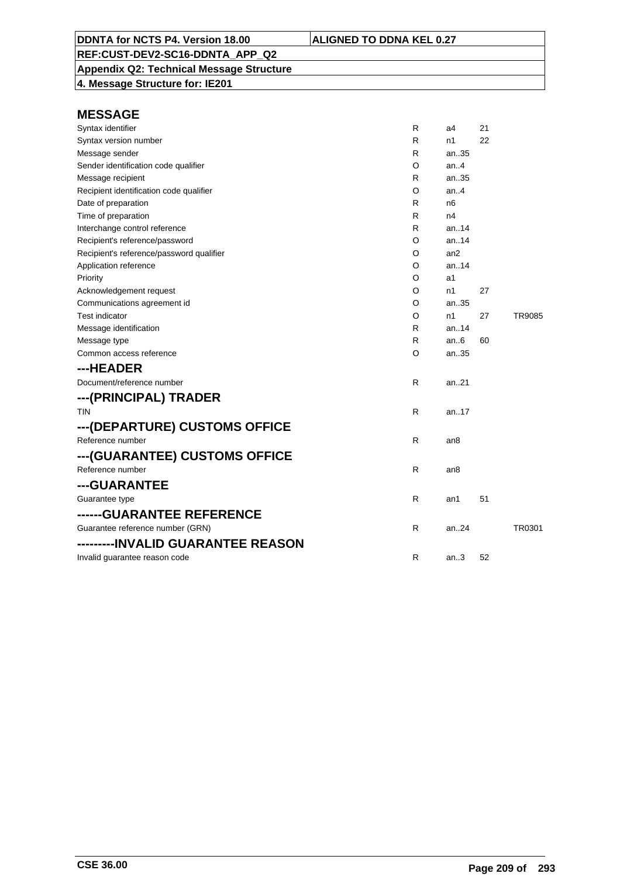**Appendix Q2: Technical Message Structure 4. Message Structure for: IE201**

| Syntax identifier                        | R | a4              | 21 |        |
|------------------------------------------|---|-----------------|----|--------|
| Syntax version number                    | R | n1              | 22 |        |
| Message sender                           | R | an35            |    |        |
| Sender identification code qualifier     | O | an4             |    |        |
| Message recipient                        | R | an35            |    |        |
| Recipient identification code qualifier  | O | an4             |    |        |
| Date of preparation                      | R | n <sub>6</sub>  |    |        |
| Time of preparation                      | R | n4              |    |        |
| Interchange control reference            | R | an.14           |    |        |
| Recipient's reference/password           | O | an.14           |    |        |
| Recipient's reference/password qualifier | O | an <sub>2</sub> |    |        |
| Application reference                    | O | an14            |    |        |
| Priority                                 | O | a1              |    |        |
| Acknowledgement request                  | O | n1              | 27 |        |
| Communications agreement id              | O | an35            |    |        |
| <b>Test indicator</b>                    | O | n1              | 27 | TR9085 |
| Message identification                   | R | an14            |    |        |
| Message type                             | R | an.6            | 60 |        |
| Common access reference                  | O | an35            |    |        |
| ---HEADER                                |   |                 |    |        |
| Document/reference number                | R | an.21           |    |        |
| ---(PRINCIPAL) TRADER                    |   |                 |    |        |
| <b>TIN</b>                               | R | an.17           |    |        |
| ---(DEPARTURE) CUSTOMS OFFICE            |   |                 |    |        |
| Reference number                         | R | an8             |    |        |
| ---(GUARANTEE) CUSTOMS OFFICE            |   |                 |    |        |
| Reference number                         | R | an8             |    |        |
| ---GUARANTEE                             |   |                 |    |        |
| Guarantee type                           | R | an1             | 51 |        |
| ------GUARANTEE REFERENCE                |   |                 |    |        |
| Guarantee reference number (GRN)         | R | an24            |    | TR0301 |
| ---------INVALID GUARANTEE REASON        |   |                 |    |        |
| Invalid guarantee reason code            | R | an3             | 52 |        |
|                                          |   |                 |    |        |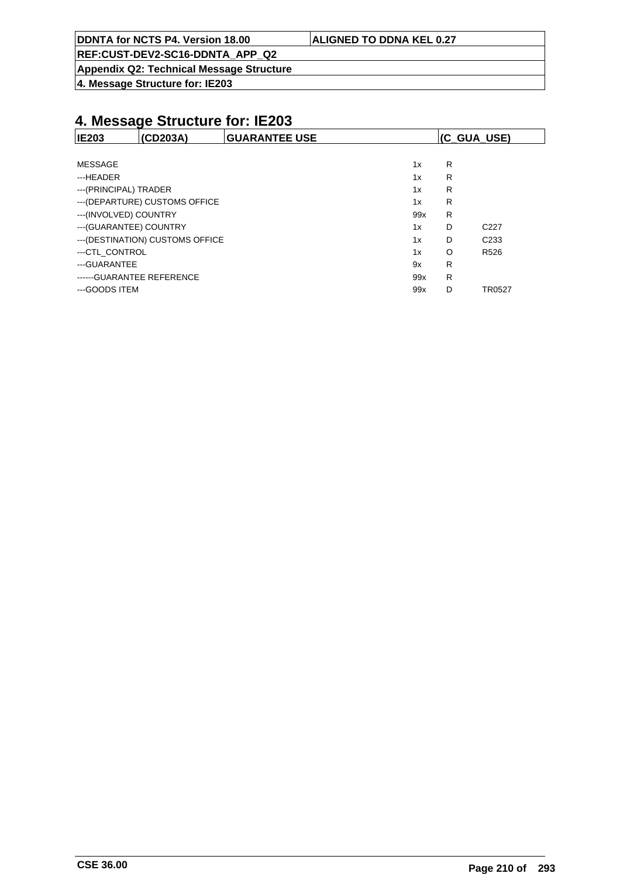| DDNTA for NCTS P4. Version 18.00 | <b>ALIGNED TO DDNA KEL 0.27</b> |
|----------------------------------|---------------------------------|
|----------------------------------|---------------------------------|

**Appendix Q2: Technical Message Structure**

**4. Message Structure for: IE203**

| <b>IE203</b>            | (CD203A)                         | <b>GUARANTEE USE</b> |     | (C_GUA_USE) |                  |
|-------------------------|----------------------------------|----------------------|-----|-------------|------------------|
|                         |                                  |                      |     |             |                  |
| MESSAGE                 |                                  |                      | 1x  | R           |                  |
| ---HEADER               |                                  |                      | 1x  | R           |                  |
| ---(PRINCIPAL) TRADER   |                                  |                      | 1x  | R           |                  |
|                         | --- (DEPARTURE) CUSTOMS OFFICE   |                      | 1x  | R           |                  |
| ---(INVOLVED) COUNTRY   |                                  |                      | 99x | R           |                  |
| --- (GUARANTEE) COUNTRY |                                  |                      | 1x  | D           | C <sub>227</sub> |
|                         | --- (DESTINATION) CUSTOMS OFFICE |                      | 1x  | D           | C <sub>233</sub> |
| ---CTL CONTROL          |                                  |                      | 1x  | $\Omega$    | R <sub>526</sub> |
| ---GUARANTEE            |                                  |                      | 9x  | R           |                  |
|                         | ------ GUARANTEE REFERENCE       |                      | 99x | R           |                  |
| ---GOODS ITEM           |                                  |                      | 99x | D           | TR0527           |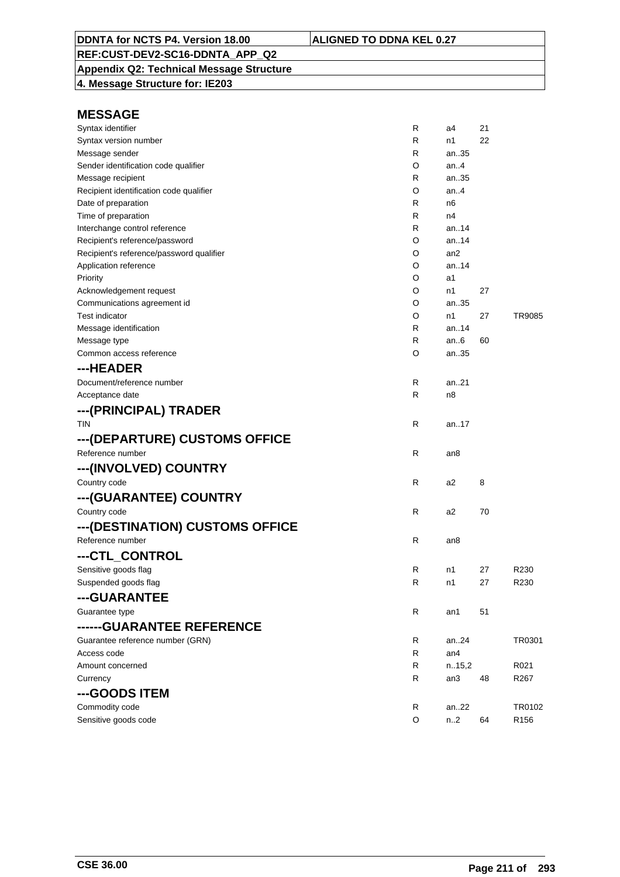# **Appendix Q2: Technical Message Structure**

**4. Message Structure for: IE203**

| Syntax identifier                        | R            | a4     | 21 |                  |
|------------------------------------------|--------------|--------|----|------------------|
| Syntax version number                    | R            | n1     | 22 |                  |
| Message sender                           | R            | an35   |    |                  |
| Sender identification code qualifier     | O            | an.4   |    |                  |
| Message recipient                        | R            | an35   |    |                  |
| Recipient identification code qualifier  | O            | an.4   |    |                  |
| Date of preparation                      | R            | n6     |    |                  |
| Time of preparation                      | R            | n4     |    |                  |
| Interchange control reference            | R            | an.14  |    |                  |
| Recipient's reference/password           | O            | an14   |    |                  |
| Recipient's reference/password qualifier | O            | an2    |    |                  |
| Application reference                    | O            | an14   |    |                  |
| Priority                                 | O            | a1     |    |                  |
| Acknowledgement request                  | O            | n1     | 27 |                  |
| Communications agreement id              | O            | an35   |    |                  |
| <b>Test indicator</b>                    | O            | n1     | 27 | TR9085           |
| Message identification                   | R            | an14   |    |                  |
| Message type                             | R            | an.6   | 60 |                  |
| Common access reference                  | O            | an35   |    |                  |
| ---HEADER                                |              |        |    |                  |
| Document/reference number                | R            | an21   |    |                  |
| Acceptance date                          | R            | n8     |    |                  |
| ---(PRINCIPAL) TRADER                    |              |        |    |                  |
| <b>TIN</b>                               | $\mathsf{R}$ | an17   |    |                  |
| ---(DEPARTURE) CUSTOMS OFFICE            |              |        |    |                  |
| Reference number                         | $\mathsf{R}$ | an8    |    |                  |
|                                          |              |        |    |                  |
| ---(INVOLVED) COUNTRY                    |              |        |    |                  |
| Country code                             | R            | a2     | 8  |                  |
| ---(GUARANTEE) COUNTRY                   |              |        |    |                  |
| Country code                             | $\mathsf{R}$ | a2     | 70 |                  |
| ---(DESTINATION) CUSTOMS OFFICE          |              |        |    |                  |
| Reference number                         | R            | an8    |    |                  |
| ---CTL_CONTROL                           |              |        |    |                  |
| Sensitive goods flag                     | R            | n1     | 27 | R230             |
| Suspended goods flag                     | R            | n1     | 27 | R230             |
| ---GUARANTEE                             |              |        |    |                  |
| Guarantee type                           | R            | an1    | 51 |                  |
| ------GUARANTEE REFERENCE                |              |        |    |                  |
| Guarantee reference number (GRN)         | R            | an24   |    | TR0301           |
| Access code                              | R            | an4    |    |                  |
| Amount concerned                         | R            | n.15,2 |    | R021             |
| Currency                                 | R            | an3    | 48 | R <sub>267</sub> |
| ---GOODS ITEM                            |              |        |    |                  |
| Commodity code                           | R            | an22   |    | TR0102           |
| Sensitive goods code                     | O            | n.2    | 64 | R <sub>156</sub> |
|                                          |              |        |    |                  |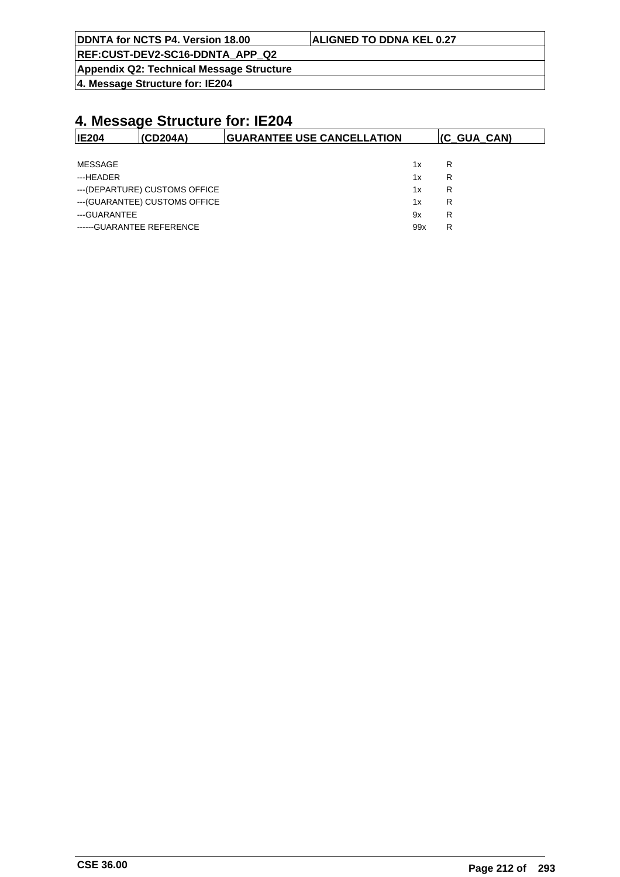| DDNTA for NCTS P4. Version 18.00 | <b>ALIGNED TO DDNA KEL 0.27</b> |
|----------------------------------|---------------------------------|
| REF:CUST-DEV2-SC16-DDNTA APP Q2  |                                 |

**Appendix Q2: Technical Message Structure**

**4. Message Structure for: IE204**

| <b>IE204</b>   | (CD204A)                       | <b>GUARANTEE USE CANCELLATION</b> |     | (C_GUA_CAN) |
|----------------|--------------------------------|-----------------------------------|-----|-------------|
|                |                                |                                   |     |             |
| <b>MESSAGE</b> |                                |                                   | 1x  | R           |
| ---HEADER      |                                |                                   | 1x  | R           |
|                | --- (DEPARTURE) CUSTOMS OFFICE |                                   | 1x  | R           |
|                | --- (GUARANTEE) CUSTOMS OFFICE |                                   | 1x  | R           |
| ---GUARANTEE   |                                |                                   | 9x  | R           |
|                | ------GUARANTEE REFERENCE      |                                   | 99x | R           |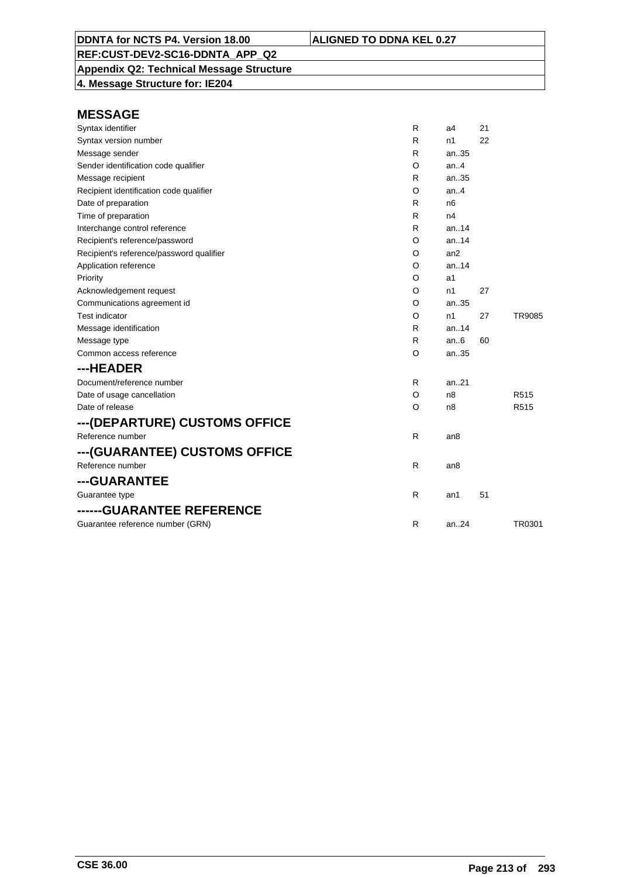**Appendix Q2: Technical Message Structure**

**4. Message Structure for: IE204**

| Syntax identifier                        | R  | a4              | 21 |                  |
|------------------------------------------|----|-----------------|----|------------------|
| Syntax version number                    | R  | n1              | 22 |                  |
| Message sender                           | R  | an35            |    |                  |
| Sender identification code qualifier     | O  | an.4            |    |                  |
| Message recipient                        | R  | an35            |    |                  |
| Recipient identification code qualifier  | O  | an.4            |    |                  |
| Date of preparation                      | R  | n6              |    |                  |
| Time of preparation                      | R  | n4              |    |                  |
| Interchange control reference            | R  | an. $.14$       |    |                  |
| Recipient's reference/password           | O  | an.14           |    |                  |
| Recipient's reference/password qualifier | O  | an2             |    |                  |
| Application reference                    | O  | an.14           |    |                  |
| Priority                                 | O  | a1              |    |                  |
| Acknowledgement request                  | O  | n1              | 27 |                  |
| Communications agreement id              | O  | an35            |    |                  |
| <b>Test indicator</b>                    | O  | n1              | 27 | TR9085           |
| Message identification                   | R  | an.14           |    |                  |
| Message type                             | R  | an.6            | 60 |                  |
| Common access reference                  | O  | an35            |    |                  |
| ---HEADER                                |    |                 |    |                  |
| Document/reference number                | R  | an.21           |    |                  |
| Date of usage cancellation               | O  | n8              |    | R <sub>515</sub> |
| Date of release                          | O  | n8              |    | R515             |
| ---(DEPARTURE) CUSTOMS OFFICE            |    |                 |    |                  |
| Reference number                         | R  | an8             |    |                  |
| ---(GUARANTEE) CUSTOMS OFFICE            |    |                 |    |                  |
| Reference number                         | R  | an <sub>8</sub> |    |                  |
| ---GUARANTEE                             |    |                 |    |                  |
| Guarantee type                           | R. | an1             | 51 |                  |
| ------GUARANTEE REFERENCE                |    |                 |    |                  |
| Guarantee reference number (GRN)         | R  | an.24           |    | TR0301           |
|                                          |    |                 |    |                  |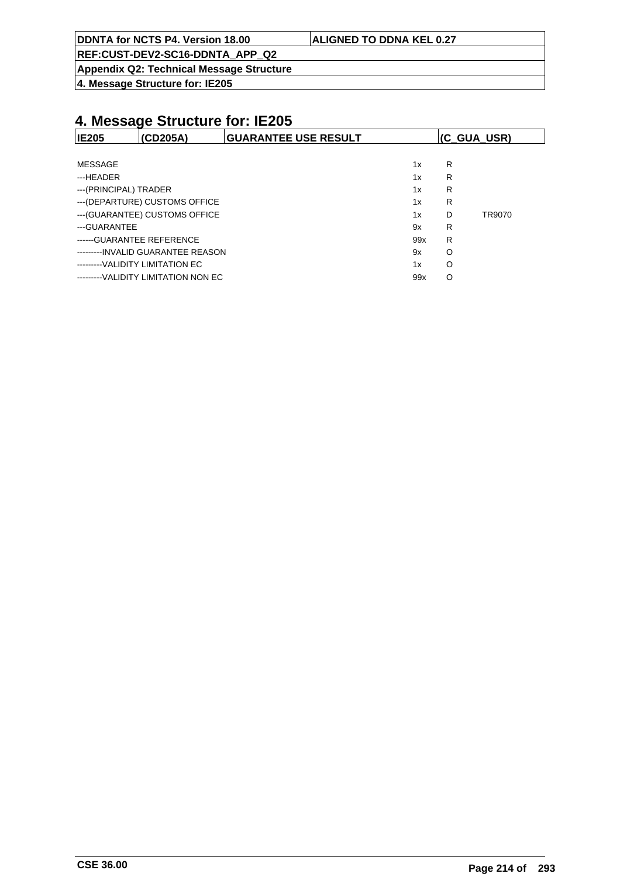| DDNTA for NCTS P4. Version 18.00                                                                                                                                                                                                                                                      | <b>ALIGNED TO DDNA KEL 0.27</b> |
|---------------------------------------------------------------------------------------------------------------------------------------------------------------------------------------------------------------------------------------------------------------------------------------|---------------------------------|
| $F = 0.107 F = 0.006 F = 0.007 F = 0.007 F = 0.007 F = 0.007 F = 0.007 F = 0.007 F = 0.007 F = 0.007 F = 0.007 F = 0.007 F = 0.007 F = 0.007 F = 0.007 F = 0.007 F = 0.007 F = 0.007 F = 0.007 F = 0.007 F = 0.007 F = 0.007 F = 0.007 F = 0.007 F = 0.007 F = 0.007 F = 0.007 F = 0$ |                                 |

**Appendix Q2: Technical Message Structure**

**4. Message Structure for: IE205**

| <b>IE205</b>          | (CD205A)                            | <b>GUARANTEE USE RESULT</b> |     | (C_GUA_USR) |        |
|-----------------------|-------------------------------------|-----------------------------|-----|-------------|--------|
|                       |                                     |                             |     |             |        |
| MESSAGE               |                                     |                             | 1x  | R           |        |
| ---HEADER             |                                     |                             | 1x  | R           |        |
| ---(PRINCIPAL) TRADER |                                     |                             | 1x  | R           |        |
|                       | --- (DEPARTURE) CUSTOMS OFFICE      |                             | 1x  | R           |        |
|                       | --- (GUARANTEE) CUSTOMS OFFICE      |                             | 1x  | D           | TR9070 |
| ---GUARANTEE          |                                     |                             | 9x  | R           |        |
|                       | ------ GUARANTEE REFERENCE          |                             | 99x | R           |        |
|                       | ---------INVALID GUARANTEE REASON   |                             | 9x  | O           |        |
|                       | ---------VALIDITY LIMITATION EC     |                             | 1x  | O           |        |
|                       | ---------VALIDITY LIMITATION NON EC |                             | 99x | O           |        |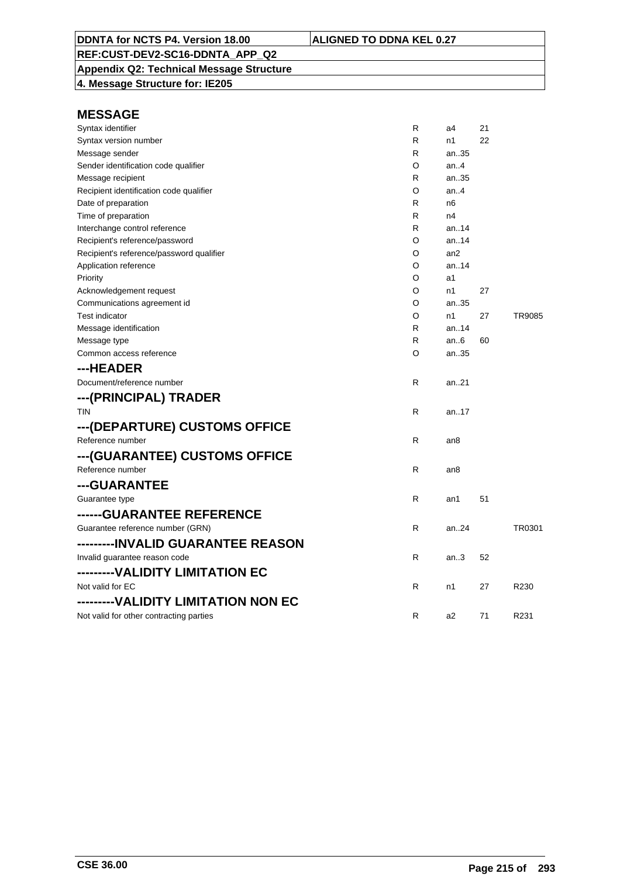**Appendix Q2: Technical Message Structure 4. Message Structure for: IE205**

| Syntax identifier                        | R | a4              | 21 |        |
|------------------------------------------|---|-----------------|----|--------|
| Syntax version number                    | R | n1              | 22 |        |
| Message sender                           | R | an35            |    |        |
| Sender identification code qualifier     | O | an.4            |    |        |
| Message recipient                        | R | an35            |    |        |
| Recipient identification code qualifier  | O | an.4            |    |        |
| Date of preparation                      | R | n6              |    |        |
| Time of preparation                      | R | n4              |    |        |
| Interchange control reference            | R | an14            |    |        |
| Recipient's reference/password           | O | an.14           |    |        |
| Recipient's reference/password qualifier | O | an2             |    |        |
| Application reference                    | O | an14            |    |        |
| Priority                                 | O | a1              |    |        |
| Acknowledgement request                  | O | n1              | 27 |        |
| Communications agreement id              | O | an35            |    |        |
| <b>Test indicator</b>                    | O | n1              | 27 | TR9085 |
| Message identification                   | R | an14            |    |        |
| Message type                             | R | an.6            | 60 |        |
| Common access reference                  | O | an35            |    |        |
| ---HEADER                                |   |                 |    |        |
| Document/reference number                | R | an21            |    |        |
| ---(PRINCIPAL) TRADER                    |   |                 |    |        |
| <b>TIN</b>                               | R | an17            |    |        |
| ---(DEPARTURE) CUSTOMS OFFICE            |   |                 |    |        |
|                                          |   |                 |    |        |
| Reference number                         | R | an <sub>8</sub> |    |        |
| ---(GUARANTEE) CUSTOMS OFFICE            |   |                 |    |        |
| Reference number                         | R | an8             |    |        |
| ---GUARANTEE                             |   |                 |    |        |
| Guarantee type                           | R | an1             | 51 |        |
| ------GUARANTEE REFERENCE                |   |                 |    |        |
| Guarantee reference number (GRN)         | R | an.24           |    | TR0301 |
| ---------INVALID GUARANTEE REASON        |   |                 |    |        |
| Invalid guarantee reason code            | R | an.3            | 52 |        |
| ---------VALIDITY LIMITATION EC          |   |                 |    |        |
| Not valid for EC                         |   |                 |    |        |
|                                          | R | n1              | 27 | R230   |
| ---------VALIDITY LIMITATION NON EC      |   |                 |    |        |
| Not valid for other contracting parties  | R | a2              | 71 | R231   |
|                                          |   |                 |    |        |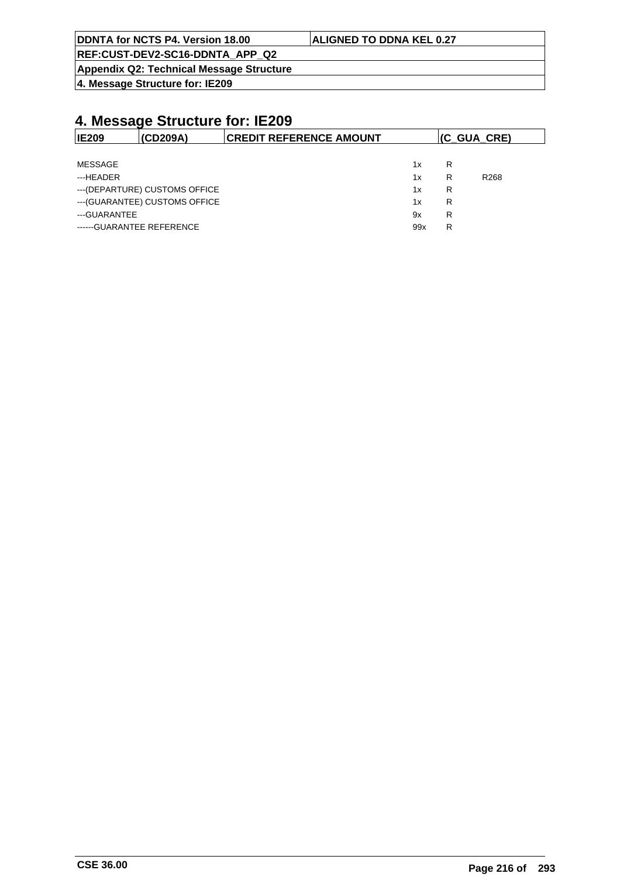| <b>ALIGNED TO DDNA KEL 0.27</b> |
|---------------------------------|
|                                 |
|                                 |

**Appendix Q2: Technical Message Structure**

**4. Message Structure for: IE209**

| <b>IE209</b>              | (CD209A)                       | <b>CREDIT REFERENCE AMOUNT</b> |     | (C GUA CRE) |                  |
|---------------------------|--------------------------------|--------------------------------|-----|-------------|------------------|
|                           |                                |                                |     |             |                  |
| MESSAGE                   |                                |                                | 1x  | R           |                  |
| ---HEADER                 |                                |                                | 1x  | R           | R <sub>268</sub> |
|                           | --- (DEPARTURE) CUSTOMS OFFICE |                                | 1x  | R           |                  |
|                           | --- (GUARANTEE) CUSTOMS OFFICE |                                | 1x  | R           |                  |
| ---GUARANTEE              |                                |                                | 9x  | R           |                  |
| ------GUARANTEE REFERENCE |                                |                                | 99x | R           |                  |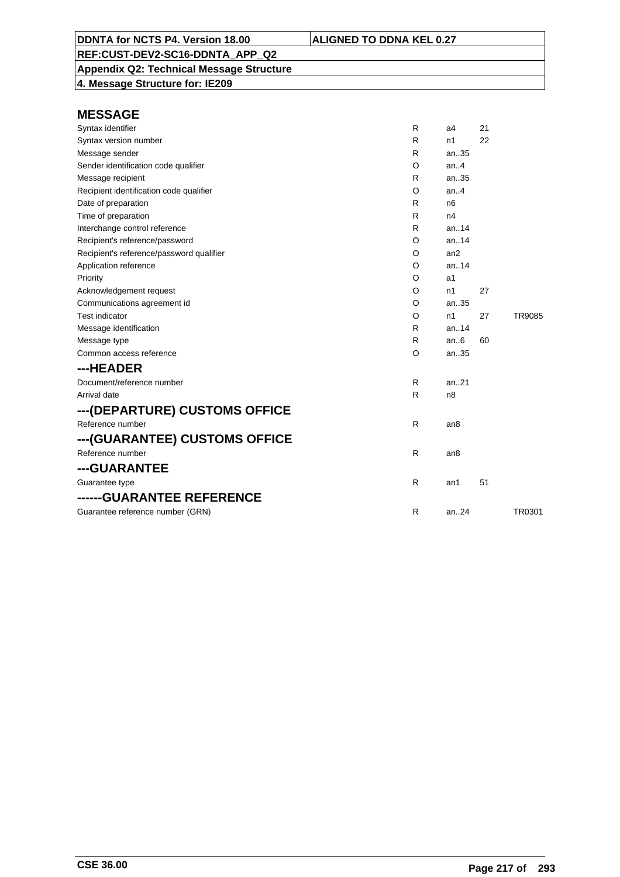**Appendix Q2: Technical Message Structure 4. Message Structure for: IE209**

| Syntax identifier                        | R | a4              | 21 |               |
|------------------------------------------|---|-----------------|----|---------------|
| Syntax version number                    | R | n1              | 22 |               |
| Message sender                           | R | an35            |    |               |
| Sender identification code qualifier     | O | an.4            |    |               |
| Message recipient                        | R | an35            |    |               |
| Recipient identification code qualifier  | O | an.4            |    |               |
| Date of preparation                      | R | n <sub>6</sub>  |    |               |
| Time of preparation                      | R | n4              |    |               |
| Interchange control reference            | R | an. $14$        |    |               |
| Recipient's reference/password           | O | an.14           |    |               |
| Recipient's reference/password qualifier | O | an2             |    |               |
| Application reference                    | O | an.14           |    |               |
| Priority                                 | O | a1              |    |               |
| Acknowledgement request                  | O | n1              | 27 |               |
| Communications agreement id              | O | an35            |    |               |
| <b>Test indicator</b>                    | O | n1              | 27 | <b>TR9085</b> |
| Message identification                   | R | an.14           |    |               |
| Message type                             | R | an.6            | 60 |               |
| Common access reference                  | O | an35            |    |               |
| ---HEADER                                |   |                 |    |               |
| Document/reference number                | R | an.21           |    |               |
| Arrival date                             | R | n8              |    |               |
| ---(DEPARTURE) CUSTOMS OFFICE            |   |                 |    |               |
| Reference number                         | R | an8             |    |               |
| ---(GUARANTEE) CUSTOMS OFFICE            |   |                 |    |               |
| Reference number                         | R | an <sub>8</sub> |    |               |
| ---GUARANTEE                             |   |                 |    |               |
| Guarantee type                           | R | an1             | 51 |               |
| ------GUARANTEE REFERENCE                |   |                 |    |               |
| Guarantee reference number (GRN)         | R | an.24           |    | TR0301        |
|                                          |   |                 |    |               |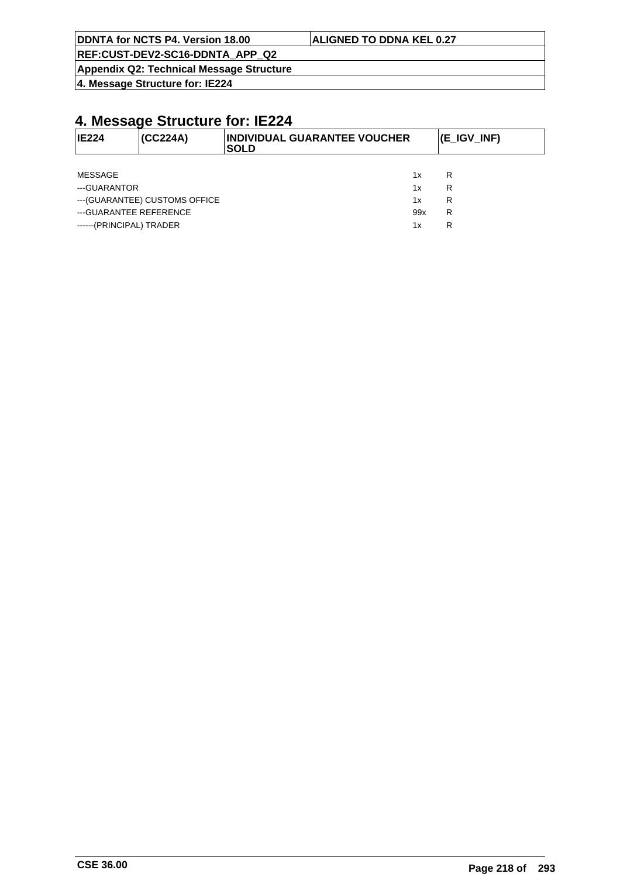|  | DDNTA for NCTS P4. Version 18.00 |
|--|----------------------------------|
|  |                                  |

#### **ALIGNED TO DDNA KEL 0.27**

**REF:CUST-DEV2-SC16-DDNTA\_APP\_Q2**

**Appendix Q2: Technical Message Structure**

**4. Message Structure for: IE224**

| <b>IE224</b>             | (CC224A)                       | <b>INDIVIDUAL GUARANTEE VOUCHER</b><br><b>SOLD</b> |     | (E_IGV_INF) |
|--------------------------|--------------------------------|----------------------------------------------------|-----|-------------|
|                          |                                |                                                    |     |             |
| <b>MESSAGE</b>           |                                |                                                    | 1x  | R           |
| ---GUARANTOR             |                                |                                                    | 1x  | R           |
|                          | --- (GUARANTEE) CUSTOMS OFFICE |                                                    | 1x  | R           |
| --- GUARANTEE REFERENCE  |                                |                                                    | 99x | R           |
| ------(PRINCIPAL) TRADER |                                |                                                    | 1x  | R           |
|                          |                                |                                                    |     |             |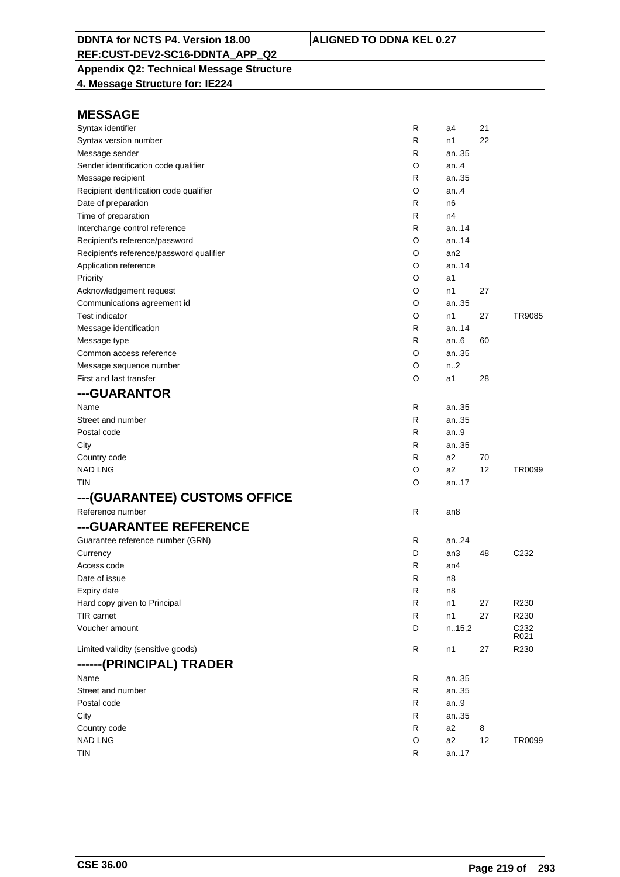# **Appendix Q2: Technical Message Structure**

**4. Message Structure for: IE224**

| Syntax identifier                        | R | a4              | 21 |                          |
|------------------------------------------|---|-----------------|----|--------------------------|
| Syntax version number                    | R | n1              | 22 |                          |
| Message sender                           | R | an35            |    |                          |
| Sender identification code qualifier     | O | an.4            |    |                          |
| Message recipient                        | R | an35            |    |                          |
| Recipient identification code qualifier  | O | an.4            |    |                          |
| Date of preparation                      | R | n6              |    |                          |
| Time of preparation                      | R | n4              |    |                          |
| Interchange control reference            | R | an14            |    |                          |
| Recipient's reference/password           | O | an14            |    |                          |
| Recipient's reference/password qualifier | O | an <sub>2</sub> |    |                          |
| Application reference                    | O | an14            |    |                          |
| Priority                                 | O | a1              |    |                          |
| Acknowledgement request                  | O | n1              | 27 |                          |
| Communications agreement id              | O | an35            |    |                          |
| <b>Test indicator</b>                    | O | n1              | 27 | TR9085                   |
| Message identification                   | R | an14            |    |                          |
| Message type                             | R | an $6$          | 60 |                          |
| Common access reference                  | O | an35            |    |                          |
| Message sequence number                  | O | n2              |    |                          |
| First and last transfer                  | O | a1              | 28 |                          |
| ---GUARANTOR                             |   |                 |    |                          |
| Name                                     | R | an35            |    |                          |
| Street and number                        | R | an35            |    |                          |
| Postal code                              | R | an $9$          |    |                          |
| City                                     | R | an35            |    |                          |
| Country code                             | R | a2              | 70 |                          |
| <b>NAD LNG</b>                           | O | a2              | 12 | TR0099                   |
| TIN                                      | O | an17            |    |                          |
| ---(GUARANTEE) CUSTOMS OFFICE            |   |                 |    |                          |
| Reference number                         | R | an8             |    |                          |
| ---GUARANTEE REFERENCE                   |   |                 |    |                          |
| Guarantee reference number (GRN)         | R | an24            |    |                          |
| Currency                                 | D | an3             | 48 | C <sub>232</sub>         |
| Access code                              | R | an4             |    |                          |
| Date of issue                            | R | n8              |    |                          |
| Expiry date                              | R | n8              |    |                          |
| Hard copy given to Principal             | R | n1              | 27 | R230                     |
| TIR carnet                               | R | n1              | 27 | R230                     |
| Voucher amount                           | D | n.15,2          |    | C <sub>232</sub><br>R021 |
| Limited validity (sensitive goods)       | R | n1              | 27 | R230                     |
| ------(PRINCIPAL) TRADER                 |   |                 |    |                          |
| Name                                     | R | an35            |    |                          |
| Street and number                        | R | an35            |    |                          |
| Postal code                              | R | an.9            |    |                          |
| City                                     | R | an35            |    |                          |
| Country code                             | R | a2              | 8  |                          |
| <b>NAD LNG</b>                           | O | a2              | 12 | TR0099                   |
| <b>TIN</b>                               | R | an17            |    |                          |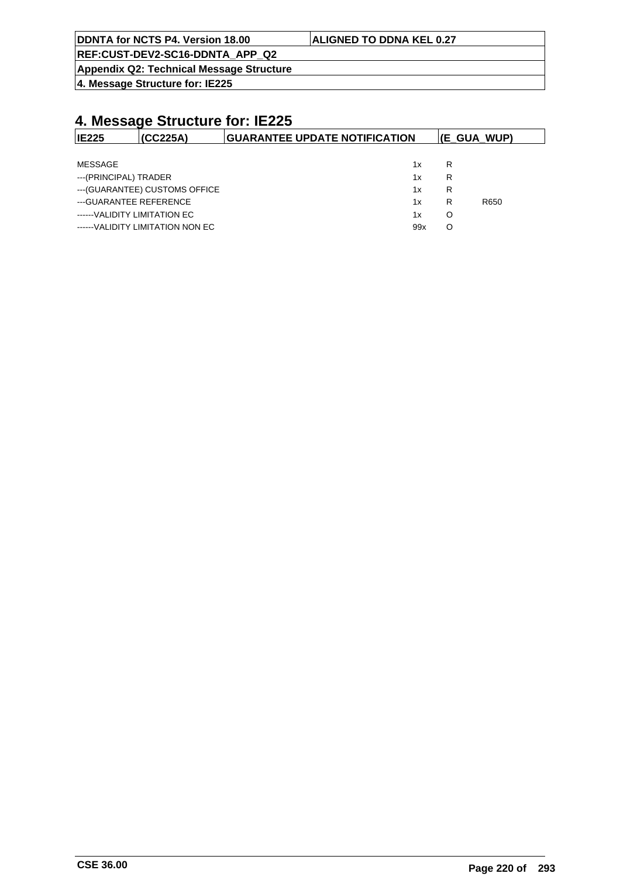| <b>ALIGNED TO DDNA KEL 0.27</b> |
|---------------------------------|
|                                 |
|                                 |

**Appendix Q2: Technical Message Structure**

**4. Message Structure for: IE225**

| <b>IE225</b>                 | (CC225A)                         | <b>GUARANTEE UPDATE NOTIFICATION</b> |   | $ E \text{ GUA WUP} $ |
|------------------------------|----------------------------------|--------------------------------------|---|-----------------------|
|                              |                                  |                                      |   |                       |
| MESSAGE                      |                                  | 1x                                   | R |                       |
| ---(PRINCIPAL) TRADER        |                                  | 1x                                   | R |                       |
|                              | --- (GUARANTEE) CUSTOMS OFFICE   | 1x                                   | R |                       |
| ---GUARANTEE REFERENCE       |                                  | 1x                                   | R | R650                  |
| ------VALIDITY LIMITATION EC |                                  | 1x                                   | O |                       |
|                              | ------VALIDITY LIMITATION NON EC | 99x                                  | O |                       |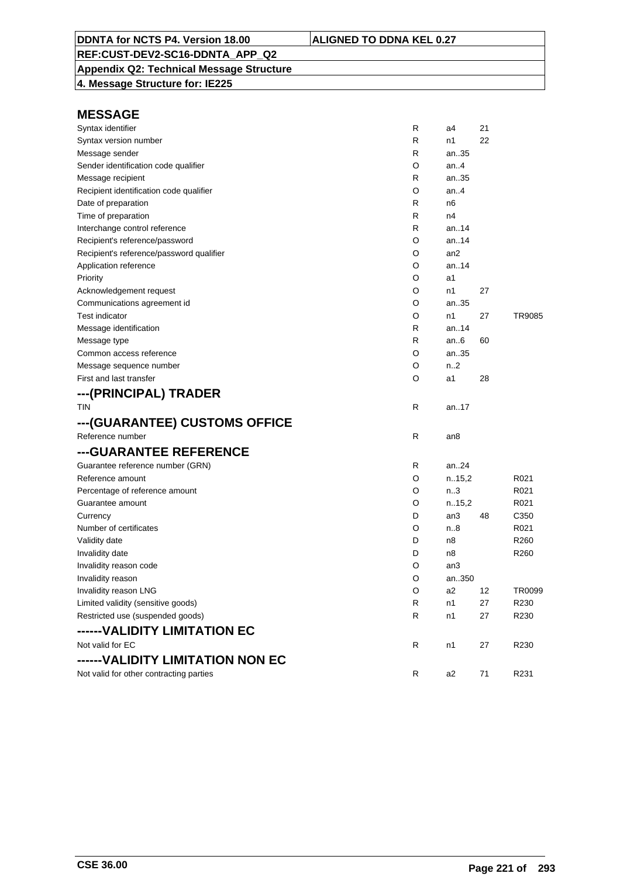**Appendix Q2: Technical Message Structure 4. Message Structure for: IE225**

| <b>MESSAGE</b>                           |   |        |    |                  |
|------------------------------------------|---|--------|----|------------------|
| Syntax identifier                        | R | a4     | 21 |                  |
| Syntax version number                    | R | n1     | 22 |                  |
| Message sender                           | R | an35   |    |                  |
| Sender identification code qualifier     | O | an.4   |    |                  |
| Message recipient                        | R | an35   |    |                  |
| Recipient identification code qualifier  | O | an.4   |    |                  |
| Date of preparation                      | R | n6     |    |                  |
| Time of preparation                      | R | n4     |    |                  |
| Interchange control reference            | R | an14   |    |                  |
| Recipient's reference/password           | O | an14   |    |                  |
| Recipient's reference/password qualifier | O | an2    |    |                  |
| Application reference                    | O | an14   |    |                  |
| Priority                                 | O | a1     |    |                  |
| Acknowledgement request                  | O | n1     | 27 |                  |
| Communications agreement id              | O | an35   |    |                  |
| <b>Test indicator</b>                    | O | n1     | 27 | TR9085           |
| Message identification                   | R | an14   |    |                  |
| Message type                             | R | an $6$ | 60 |                  |
| Common access reference                  | O | an35   |    |                  |
| Message sequence number                  | O | n.2    |    |                  |
| First and last transfer                  | O | a1     | 28 |                  |
| ---(PRINCIPAL) TRADER                    |   |        |    |                  |
| <b>TIN</b>                               | R | an.17  |    |                  |
| ---(GUARANTEE) CUSTOMS OFFICE            |   |        |    |                  |
| Reference number                         | R | an8    |    |                  |
| ---GUARANTEE REFERENCE                   |   |        |    |                  |
| Guarantee reference number (GRN)         | R | an24   |    |                  |
| Reference amount                         | O | n.15,2 |    | R021             |
| Percentage of reference amount           | O | n.3    |    | R021             |
| Guarantee amount                         | O | n.15,2 |    | R021             |
| Currency                                 | D | an3    | 48 | C <sub>350</sub> |
| Number of certificates                   | O | n.8    |    | R021             |
| Validity date                            | D | n8     |    | R <sub>260</sub> |
| Invalidity date                          | D | n8     |    | R <sub>260</sub> |
| Invalidity reason code                   | O | an3    |    |                  |
| Invalidity reason                        | O | an350  |    |                  |
| Invalidity reason LNG                    | O | a2     | 12 | TR0099           |
| Limited validity (sensitive goods)       | R | n1     | 27 | R230             |
| Restricted use (suspended goods)         | R | n1     | 27 | R230             |
| ------VALIDITY LIMITATION EC             |   |        |    |                  |
| Not valid for EC                         | R | n1     | 27 | R230             |
| ------VALIDITY LIMITATION NON EC         |   |        |    |                  |
| Not valid for other contracting parties  | R | a2     | 71 | R231             |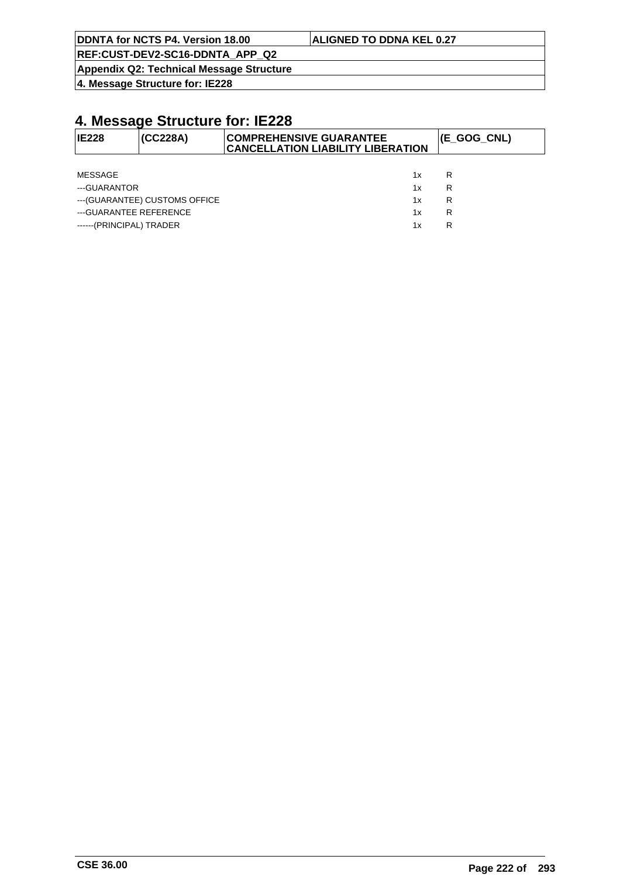|  |  |  | DDNTA for NCTS P4. Version 18.00 |
|--|--|--|----------------------------------|
|--|--|--|----------------------------------|

#### **ALIGNED TO DDNA KEL 0.27**

**REF:CUST-DEV2-SC16-DDNTA\_APP\_Q2**

**Appendix Q2: Technical Message Structure**

**4. Message Structure for: IE228**

| <b>IE228</b>             | (CC228A)                       | <b>COMPREHENSIVE GUARANTEE</b><br><b>CANCELLATION LIABILITY LIBERATION</b> |    | (E_GOG_CNL) |
|--------------------------|--------------------------------|----------------------------------------------------------------------------|----|-------------|
|                          |                                |                                                                            |    |             |
| MESSAGE                  |                                |                                                                            | 1x | R           |
| ---GUARANTOR             |                                |                                                                            | 1x | R           |
|                          | --- (GUARANTEE) CUSTOMS OFFICE |                                                                            | 1x | R           |
| --- GUARANTEE REFERENCE  |                                |                                                                            | 1x | R           |
| ------(PRINCIPAL) TRADER |                                |                                                                            | 1x | R           |
|                          |                                |                                                                            |    |             |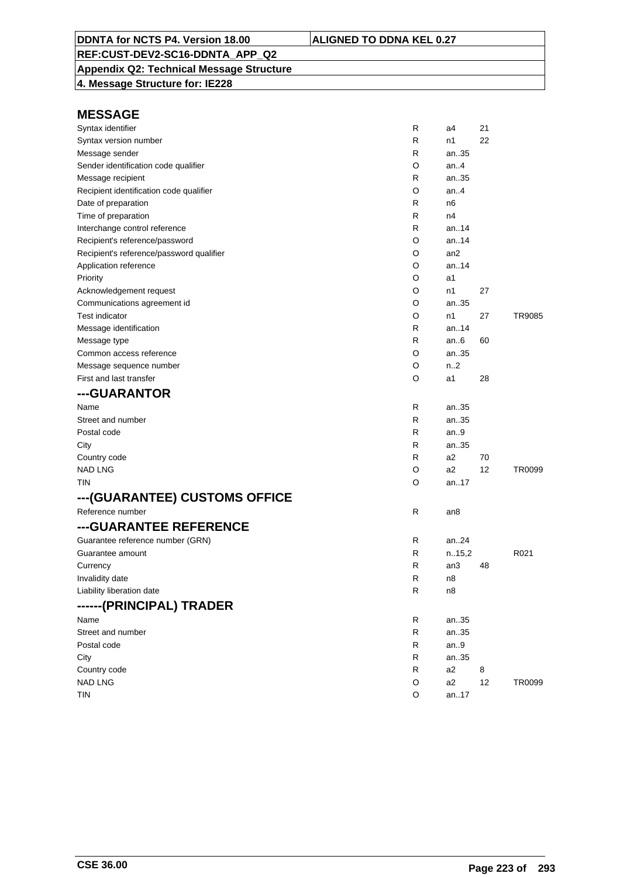## **Appendix Q2: Technical Message Structure**

**4. Message Structure for: IE228**

| Syntax identifier                        | R | a4              | 21 |                  |
|------------------------------------------|---|-----------------|----|------------------|
| Syntax version number                    | R | n1              | 22 |                  |
| Message sender                           | R | an35            |    |                  |
| Sender identification code qualifier     | O | an.4            |    |                  |
| Message recipient                        | R | an35            |    |                  |
| Recipient identification code qualifier  | O | an.4            |    |                  |
| Date of preparation                      | R | n6              |    |                  |
| Time of preparation                      | R | n4              |    |                  |
| Interchange control reference            | R | an14            |    |                  |
| Recipient's reference/password           | O | an.14           |    |                  |
| Recipient's reference/password qualifier | O | an <sub>2</sub> |    |                  |
| Application reference                    | O | an14            |    |                  |
| Priority                                 | O | a1              |    |                  |
| Acknowledgement request                  | O | n1              | 27 |                  |
| Communications agreement id              | O | an35            |    |                  |
| <b>Test indicator</b>                    | O | n1              | 27 | TR9085           |
| Message identification                   | R | an14            |    |                  |
| Message type                             | R | an.6            | 60 |                  |
| Common access reference                  | O | an35            |    |                  |
| Message sequence number                  | O | n2              |    |                  |
| First and last transfer                  | O | a1              | 28 |                  |
| ---GUARANTOR                             |   |                 |    |                  |
| Name                                     | R | an35            |    |                  |
| Street and number                        | R | an35            |    |                  |
| Postal code                              | R | an $9$          |    |                  |
| City                                     | R | an35            |    |                  |
| Country code                             | R | a2              | 70 |                  |
| <b>NAD LNG</b>                           | O | a <sub>2</sub>  | 12 | TR0099           |
| TIN                                      | O | an17            |    |                  |
| ---(GUARANTEE) CUSTOMS OFFICE            |   |                 |    |                  |
| Reference number                         | R | an8             |    |                  |
| ---GUARANTEE REFERENCE                   |   |                 |    |                  |
| Guarantee reference number (GRN)         | R | an24            |    |                  |
| Guarantee amount                         | R | n.15,2          |    | R <sub>021</sub> |
| Currency                                 | R | an3             | 48 |                  |
| Invalidity date                          | R | n8              |    |                  |
| Liability liberation date                | R | n8              |    |                  |
| ------(PRINCIPAL) TRADER                 |   |                 |    |                  |
| Name                                     | R | an35            |    |                  |
| Street and number                        | R | an35            |    |                  |
| Postal code                              | R | an.9            |    |                  |
| City                                     | R | an35            |    |                  |
| Country code                             | R | a2              | 8  |                  |
| <b>NAD LNG</b>                           | O | a2              | 12 | TR0099           |
| <b>TIN</b>                               | O | an17            |    |                  |
|                                          |   |                 |    |                  |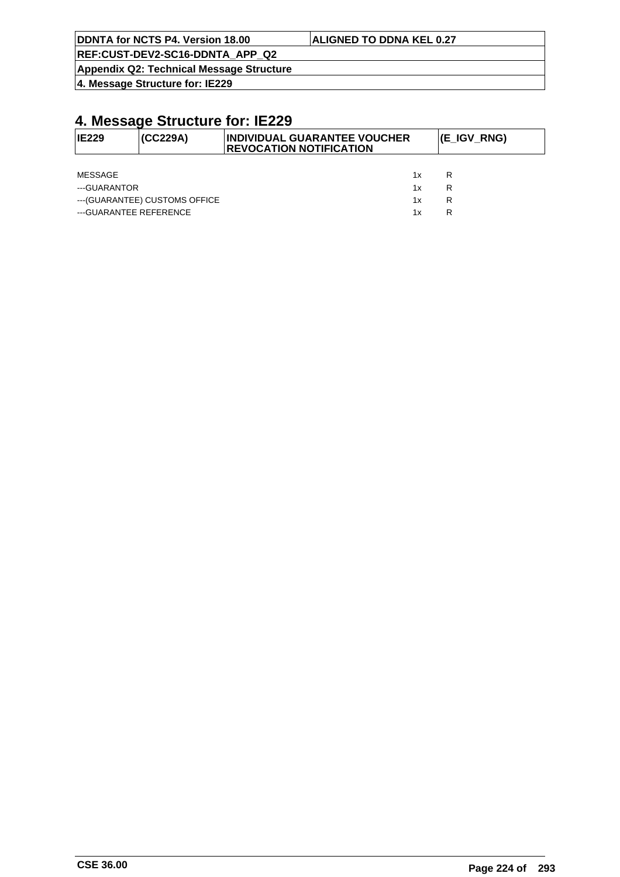| DDNTA for NCTS P4. Version 18.00 |                                 |
|----------------------------------|---------------------------------|
|                                  | <b>ALIGNED TO DDNA KEL 0.27</b> |

**Appendix Q2: Technical Message Structure**

**4. Message Structure for: IE229**

| IE229                  | (CC229A)                       | <b>INDIVIDUAL GUARANTEE VOUCHER</b><br><b>REVOCATION NOTIFICATION</b> | (E_IGV_RNG) |
|------------------------|--------------------------------|-----------------------------------------------------------------------|-------------|
|                        |                                |                                                                       |             |
| MESSAGE                |                                | 1x                                                                    | R           |
| ---GUARANTOR<br>1x     |                                | R                                                                     |             |
|                        | --- (GUARANTEE) CUSTOMS OFFICE | 1x                                                                    | R           |
| ---GUARANTEE REFERENCE |                                | 1х                                                                    | R           |
|                        |                                |                                                                       |             |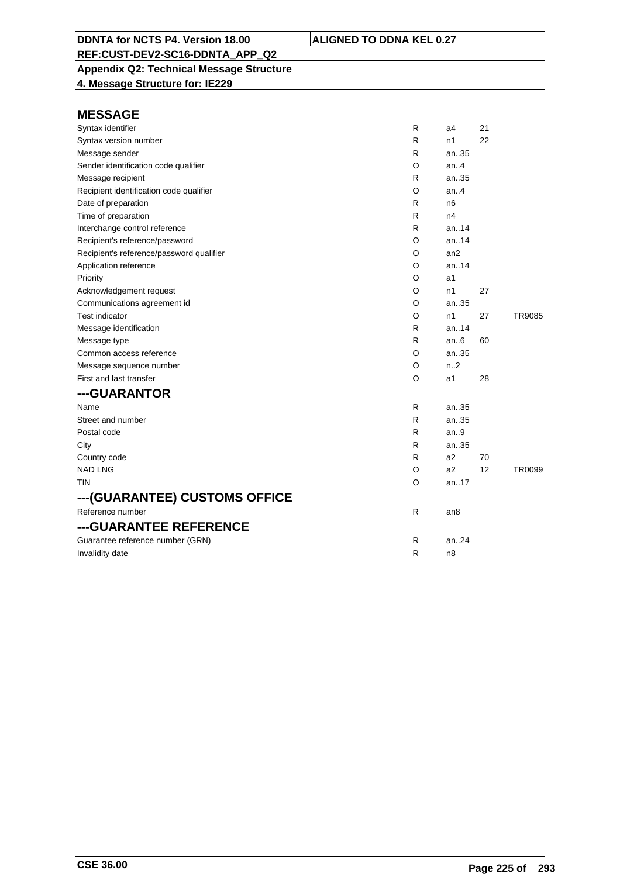**Appendix Q2: Technical Message Structure 4. Message Structure for: IE229**

| Syntax identifier                        | R | a4               | 21 |               |
|------------------------------------------|---|------------------|----|---------------|
| Syntax version number                    | R | n1               | 22 |               |
| Message sender                           | R | an35             |    |               |
| Sender identification code qualifier     | O | an.4             |    |               |
| Message recipient                        | R | an35             |    |               |
| Recipient identification code qualifier  | O | an4              |    |               |
| Date of preparation                      | R | n <sub>6</sub>   |    |               |
| Time of preparation                      | R | n4               |    |               |
| Interchange control reference            | R | an. $.14$        |    |               |
| Recipient's reference/password           | O | an14             |    |               |
| Recipient's reference/password qualifier | O | an2              |    |               |
| Application reference                    | O | an.14            |    |               |
| Priority                                 | O | a1               |    |               |
| Acknowledgement request                  | O | n1               | 27 |               |
| Communications agreement id              | O | an35             |    |               |
| <b>Test indicator</b>                    | O | n1               | 27 | <b>TR9085</b> |
| Message identification                   | R | an.14            |    |               |
| Message type                             | R | an.6             | 60 |               |
| Common access reference                  | O | an35             |    |               |
| Message sequence number                  | O | n <sub>1</sub> 2 |    |               |
| First and last transfer                  | O | a1               | 28 |               |
| ---GUARANTOR                             |   |                  |    |               |
| Name                                     | R | an35             |    |               |
| Street and number                        | R | an35             |    |               |
| Postal code                              | R | an.9             |    |               |
| City                                     | R | an35             |    |               |
| Country code                             | R | a2               | 70 |               |
| <b>NAD LNG</b>                           | O | a2               | 12 | TR0099        |
| TIN                                      | O | an17             |    |               |
| ---(GUARANTEE) CUSTOMS OFFICE            |   |                  |    |               |
| Reference number                         | R | an8              |    |               |
| ---GUARANTEE REFERENCE                   |   |                  |    |               |
| Guarantee reference number (GRN)         | R | an.24            |    |               |
| Invalidity date                          | R | n8               |    |               |
|                                          |   |                  |    |               |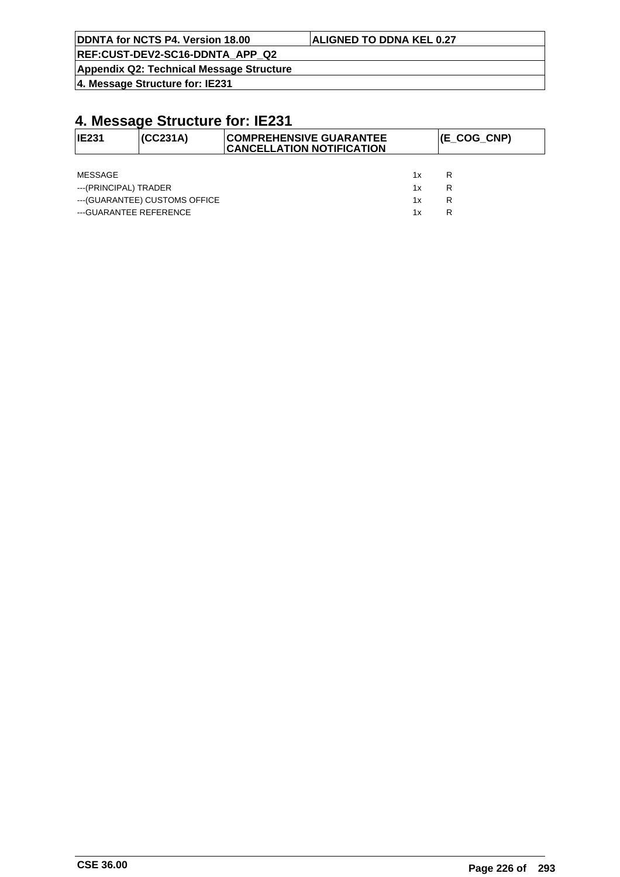| DDNTA for NCTS P4. Version 18.00 | <b>ALIGNED TO DDNA KEL 0.27</b> |
|----------------------------------|---------------------------------|
|                                  |                                 |

**Appendix Q2: Technical Message Structure**

**4. Message Structure for: IE231**

| IE231                  | (CC231A)                       | <b>COMPREHENSIVE GUARANTEE</b><br><b>CANCELLATION NOTIFICATION</b> |    | $ $ (E_COG_CNP) |
|------------------------|--------------------------------|--------------------------------------------------------------------|----|-----------------|
|                        |                                |                                                                    |    |                 |
| MESSAGE                |                                |                                                                    | 1x | R               |
| ---(PRINCIPAL) TRADER  |                                |                                                                    | 1x | R               |
|                        | --- (GUARANTEE) CUSTOMS OFFICE |                                                                    | 1x | R               |
| ---GUARANTEE REFERENCE |                                |                                                                    | 1x | R               |
|                        |                                |                                                                    |    |                 |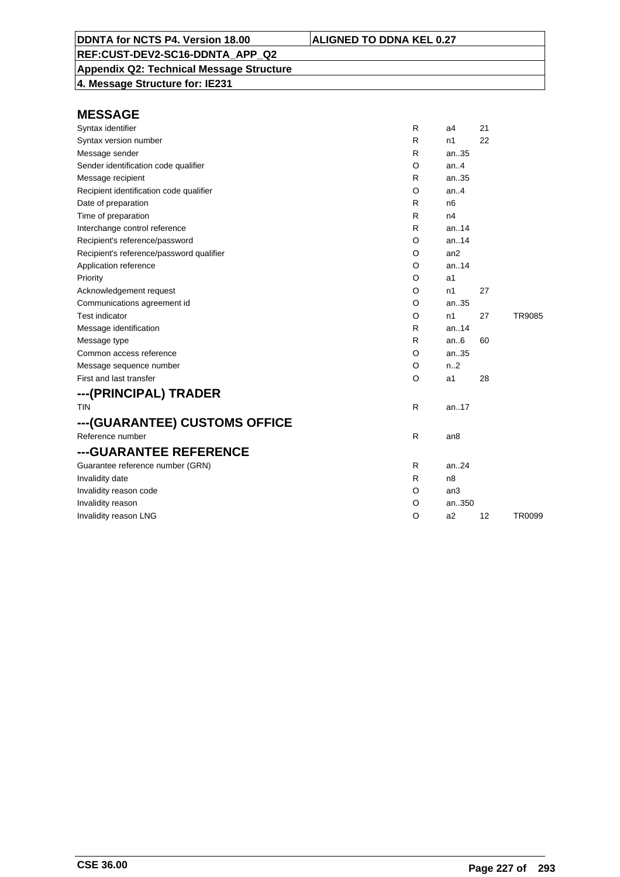**Appendix Q2: Technical Message Structure**

**4. Message Structure for: IE231**

| Syntax identifier                        | R | a <sub>4</sub>  | 21 |        |
|------------------------------------------|---|-----------------|----|--------|
| Syntax version number                    | R | n1              | 22 |        |
| Message sender                           | R | an35            |    |        |
| Sender identification code qualifier     | O | an.4            |    |        |
| Message recipient                        | R | an35            |    |        |
| Recipient identification code qualifier  | O | an.4            |    |        |
| Date of preparation                      | R | n6              |    |        |
| Time of preparation                      | R | n4              |    |        |
| Interchange control reference            | R | an.14           |    |        |
| Recipient's reference/password           | O | an.14           |    |        |
| Recipient's reference/password qualifier | O | an2             |    |        |
| Application reference                    | O | an.14           |    |        |
| Priority                                 | O | a1              |    |        |
| Acknowledgement request                  | O | n1              | 27 |        |
| Communications agreement id              | O | an35            |    |        |
| <b>Test indicator</b>                    | O | n1              | 27 | TR9085 |
| Message identification                   | R | an.14           |    |        |
| Message type                             | R | an.6            | 60 |        |
| Common access reference                  | O | an35            |    |        |
| Message sequence number                  | O | n.2             |    |        |
| First and last transfer                  | O | a1              | 28 |        |
| ---(PRINCIPAL) TRADER                    |   |                 |    |        |
| <b>TIN</b>                               | R | an.17           |    |        |
| ---(GUARANTEE) CUSTOMS OFFICE            |   |                 |    |        |
| Reference number                         | R | an8             |    |        |
| ---GUARANTEE REFERENCE                   |   |                 |    |        |
| Guarantee reference number (GRN)         | R | an.24           |    |        |
| Invalidity date                          | R | n <sub>8</sub>  |    |        |
| Invalidity reason code                   | O | an <sub>3</sub> |    |        |
| Invalidity reason                        | O | an350           |    |        |
| Invalidity reason LNG                    | O | a <sub>2</sub>  | 12 | TR0099 |
|                                          |   |                 |    |        |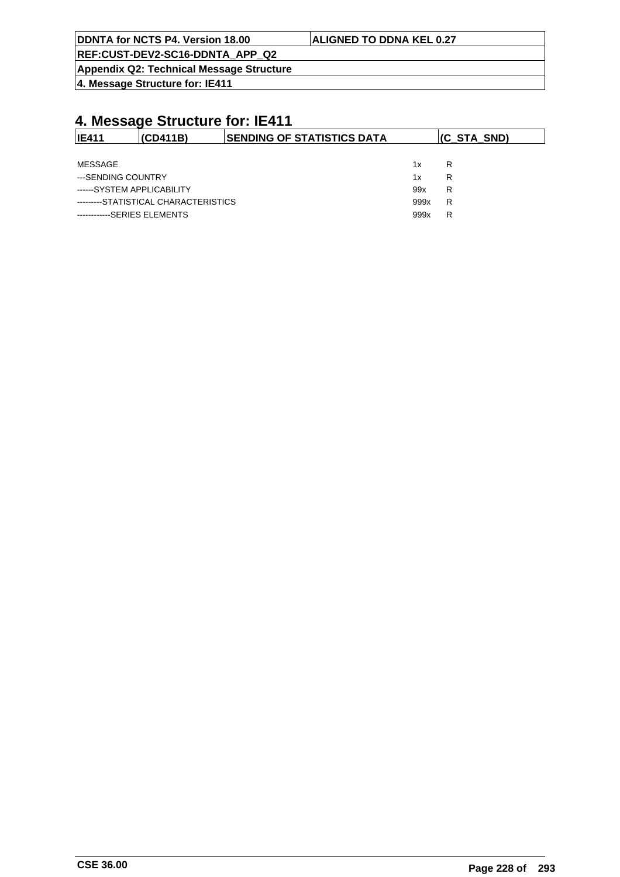| DDNTA for NCTS P4. Version 18.00 | <b>ALIGNED TO DDNA KEL 0.27</b> |
|----------------------------------|---------------------------------|
|                                  |                                 |

**Appendix Q2: Technical Message Structure**

**4. Message Structure for: IE411**

| <b>IE411</b>                | (CD411B)                             | <b>ISENDING OF STATISTICS DATA</b> |      | $(C_STA_SND)$ |
|-----------------------------|--------------------------------------|------------------------------------|------|---------------|
|                             |                                      |                                    |      |               |
| MESSAGE                     |                                      |                                    | 1x   | R             |
| ---SENDING COUNTRY          |                                      |                                    | 1x   | R             |
| ------SYSTEM APPLICABILITY  |                                      |                                    | 99x  | R             |
|                             | ---------STATISTICAL CHARACTERISTICS |                                    | 999x | R             |
| ------------SERIES ELEMENTS |                                      |                                    | 999x | R             |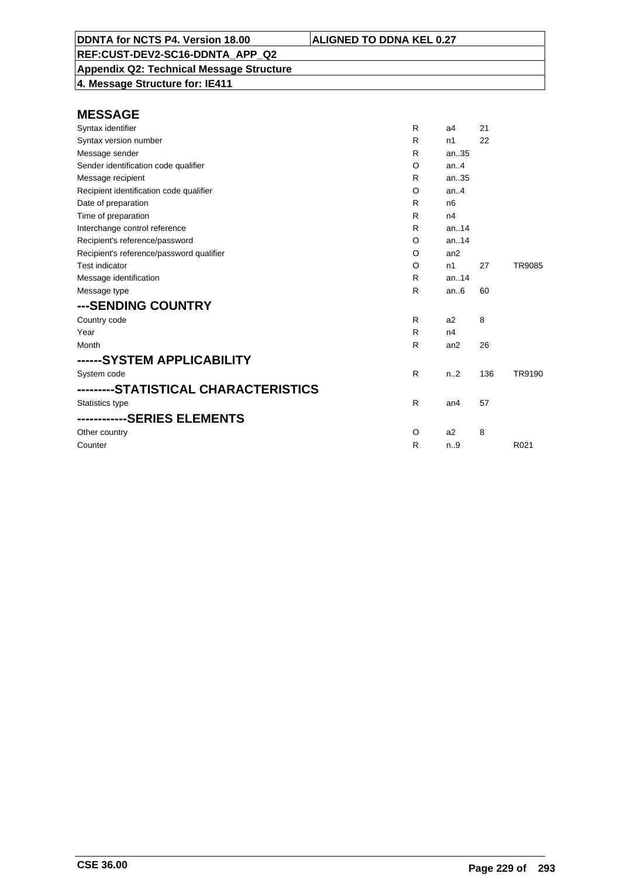**Appendix Q2: Technical Message Structure 4. Message Structure for: IE411**

| Syntax identifier                        | R | a4               | 21  |        |
|------------------------------------------|---|------------------|-----|--------|
| Syntax version number                    | R | n1               | 22  |        |
| Message sender                           | R | an35             |     |        |
| Sender identification code qualifier     | O | an.4             |     |        |
| Message recipient                        | R | an35             |     |        |
| Recipient identification code qualifier  | O | an.4             |     |        |
| Date of preparation                      | R | n <sub>6</sub>   |     |        |
| Time of preparation                      | R | n4               |     |        |
| Interchange control reference            | R | an.14            |     |        |
| Recipient's reference/password           | O | an.14            |     |        |
| Recipient's reference/password qualifier | O | an <sub>2</sub>  |     |        |
| <b>Test indicator</b>                    | O | n1               | 27  | TR9085 |
| Message identification                   | R | an.14            |     |        |
| Message type                             | R | an.6             | 60  |        |
| ---SENDING COUNTRY                       |   |                  |     |        |
| Country code                             | R | a2               | 8   |        |
| Year                                     | R | n4               |     |        |
| Month                                    | R | an2              | 26  |        |
| ------SYSTEM APPLICABILITY               |   |                  |     |        |
| System code                              | R | n <sub>1</sub> 2 | 136 | TR9190 |
| --------STATISTICAL CHARACTERISTICS      |   |                  |     |        |
| Statistics type                          | R | an <sub>4</sub>  | 57  |        |
|                                          |   |                  |     |        |
| Other country                            | O | a2               | 8   |        |
| Counter                                  | R | n.9              |     | R021   |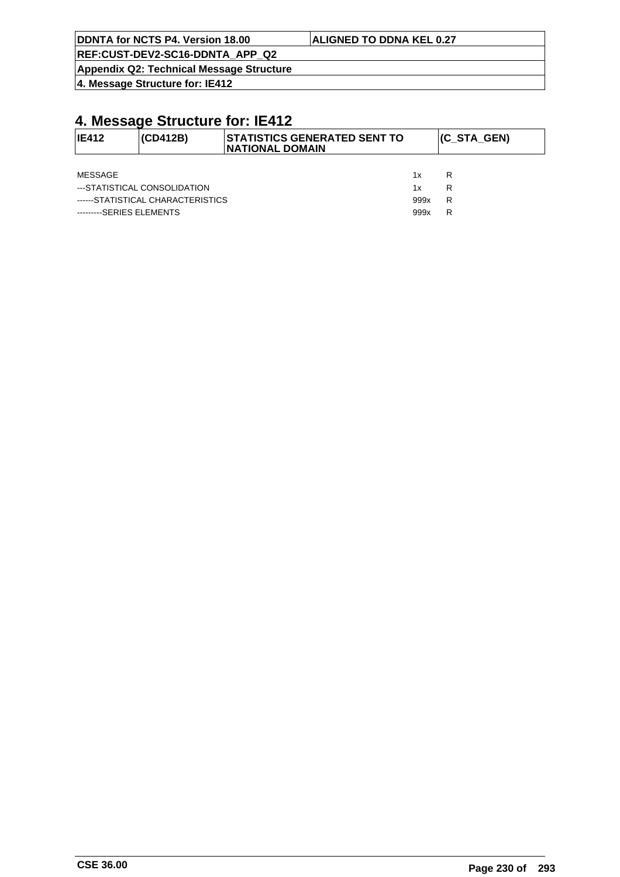|  | DDNTA for NCTS P4. Version 18.00 |
|--|----------------------------------|
|  |                                  |

**Appendix Q2: Technical Message Structure**

**4. Message Structure for: IE412**

# **4. Message Structure for: IE412**

| $ IE412\rangle$ | <b>(CD412B)</b>                   | <b>STATISTICS GENERATED SENT TO</b><br><b>INATIONAL DOMAIN</b> |      | (C_STA_GEN) |
|-----------------|-----------------------------------|----------------------------------------------------------------|------|-------------|
|                 |                                   |                                                                |      |             |
| MESSAGE         |                                   |                                                                | 1x   | R           |
|                 | ---STATISTICAL CONSOLIDATION      |                                                                | 1x   | R           |
|                 | ------STATISTICAL CHARACTERISTICS |                                                                | 999x | R           |

---------SERIES ELEMENTS 999x R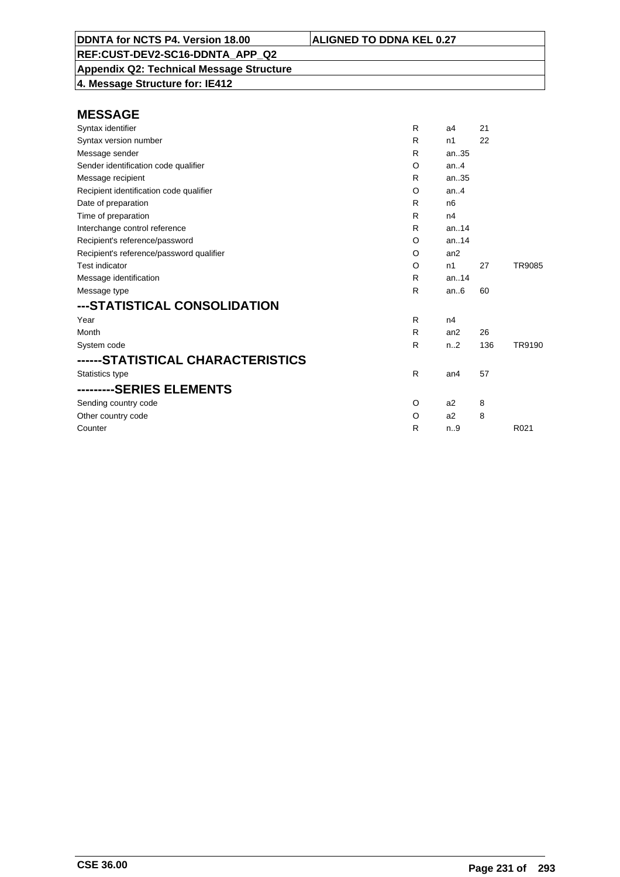**Appendix Q2: Technical Message Structure 4. Message Structure for: IE412**

| Syntax identifier                        | R            | a4               | 21  |                  |
|------------------------------------------|--------------|------------------|-----|------------------|
| Syntax version number                    | R            | n1               | 22  |                  |
| Message sender                           | R            | an.35            |     |                  |
| Sender identification code qualifier     | O            | an. $4$          |     |                  |
| Message recipient                        | R            | an35             |     |                  |
| Recipient identification code qualifier  | O            | an.4             |     |                  |
| Date of preparation                      | R            | n <sub>6</sub>   |     |                  |
| Time of preparation                      | R            | n4               |     |                  |
| Interchange control reference            | R            | an. $14$         |     |                  |
| Recipient's reference/password           | O            | an.14            |     |                  |
| Recipient's reference/password qualifier | O            | an2              |     |                  |
| Test indicator                           | O            | n1               | 27  | TR9085           |
| Message identification                   | R            | an.14            |     |                  |
| Message type                             | $\mathsf{R}$ | an.6             | 60  |                  |
| ---STATISTICAL CONSOLIDATION             |              |                  |     |                  |
| Year                                     | R            | n4               |     |                  |
| Month                                    | R            | an2              | 26  |                  |
| System code                              | $\mathsf{R}$ | n <sub>1</sub> 2 | 136 | TR9190           |
| ------STATISTICAL CHARACTERISTICS        |              |                  |     |                  |
| Statistics type                          | $\mathsf{R}$ | an <sub>4</sub>  | 57  |                  |
| ---------SERIES ELEMENTS                 |              |                  |     |                  |
| Sending country code                     | O            | a <sub>2</sub>   | 8   |                  |
| Other country code                       | O            | a2               | 8   |                  |
| Counter                                  | R            | n.9              |     | R <sub>021</sub> |
|                                          |              |                  |     |                  |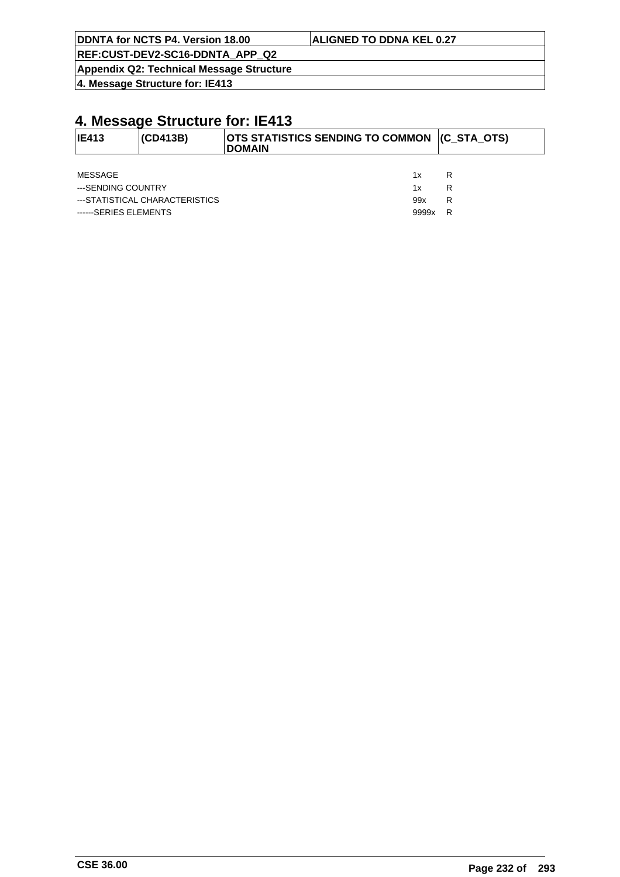**DDNTA for NCTS P4. Version 18.00 ALIGNED TO DDNA KEL 0.27**

**REF:CUST-DEV2-SC16-DDNTA\_APP\_Q2**

**Appendix Q2: Technical Message Structure**

**4. Message Structure for: IE413**

## **4. Message Structure for: IE413**

| IE413              | <b>(CD413B)</b>                | OTS STATISTICS SENDING TO COMMON (C_STA_OTS)<br><b>DOMAIN</b> |   |
|--------------------|--------------------------------|---------------------------------------------------------------|---|
|                    |                                |                                                               |   |
| MESSAGE            |                                | 1x                                                            | R |
| ---SENDING COUNTRY |                                | 1x                                                            | R |
|                    | ---STATISTICAL CHARACTERISTICS | 99x                                                           | R |

------SERIES ELEMENTS And the state of the state of the state of the state of the state of the state of the state of the state of the state of the state of the state of the state of the state of the state of the state of t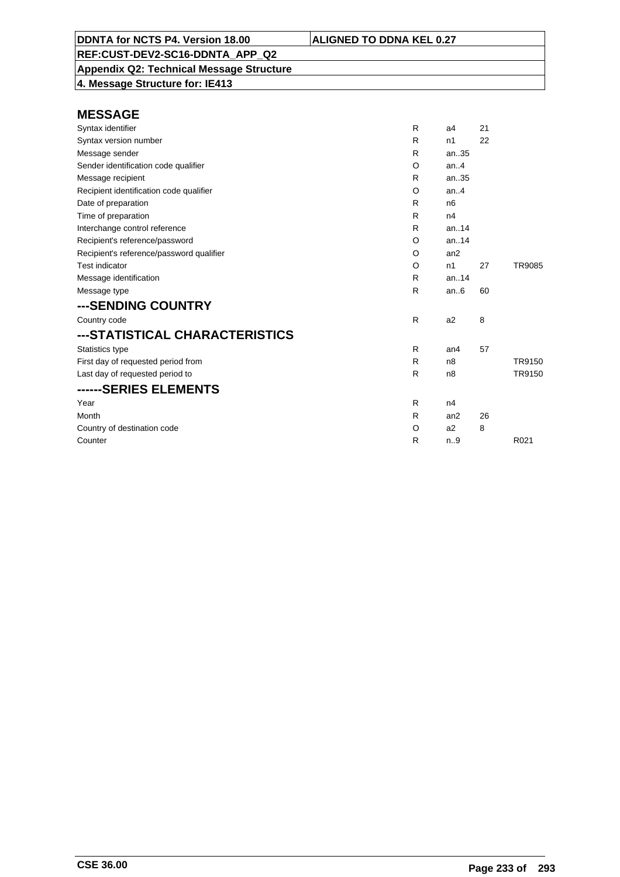**Appendix Q2: Technical Message Structure**

**4. Message Structure for: IE413**

| Syntax identifier                        | R            | a4              | 21 |        |
|------------------------------------------|--------------|-----------------|----|--------|
| Syntax version number                    | R            | n1              | 22 |        |
| Message sender                           | R            | an35            |    |        |
| Sender identification code qualifier     | O            | an.4            |    |        |
| Message recipient                        | R            | an35            |    |        |
| Recipient identification code qualifier  | O            | an.4            |    |        |
| Date of preparation                      | R            | n <sub>6</sub>  |    |        |
| Time of preparation                      | R            | n4              |    |        |
| Interchange control reference            | R            | an.14           |    |        |
| Recipient's reference/password           | $\circ$      | an.14           |    |        |
| Recipient's reference/password qualifier | O            | an2             |    |        |
| <b>Test indicator</b>                    | O            | n1              | 27 | TR9085 |
| Message identification                   | R            | an14            |    |        |
| Message type                             | R            | an.6            | 60 |        |
| ---SENDING COUNTRY                       |              |                 |    |        |
| Country code                             | R            | a2              | 8  |        |
| ---STATISTICAL CHARACTERISTICS           |              |                 |    |        |
| Statistics type                          | R            | an <sub>4</sub> | 57 |        |
| First day of requested period from       | R            | n <sub>8</sub>  |    | TR9150 |
| Last day of requested period to          | $\mathsf{R}$ | n <sub>8</sub>  |    | TR9150 |
| ------SERIES ELEMENTS                    |              |                 |    |        |
| Year                                     | R            | n4              |    |        |
| Month                                    | R            | an2             | 26 |        |
| Country of destination code              | O            | a2              | 8  |        |
| Counter                                  | R            | n.9             |    | R021   |
|                                          |              |                 |    |        |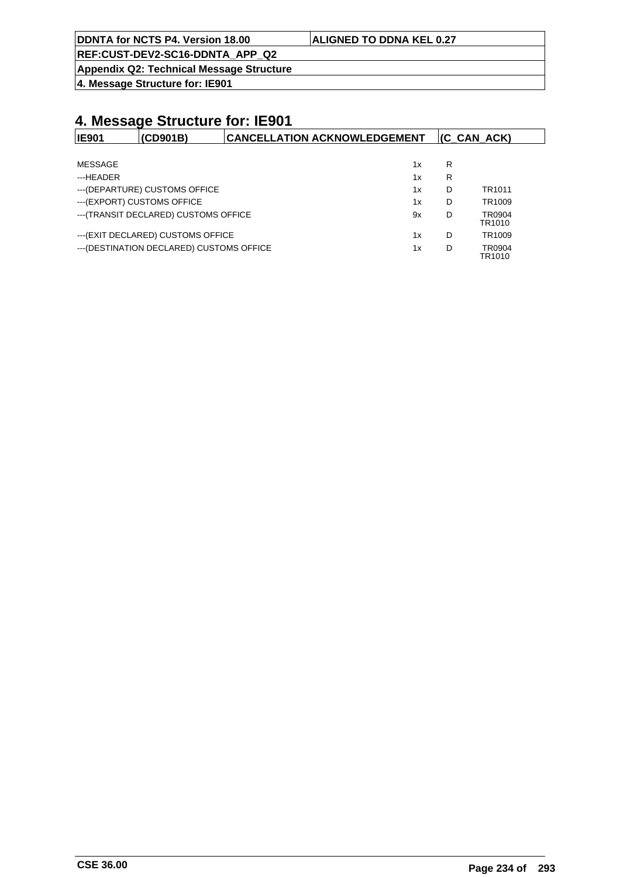| DDNTA for NCTS P4. Version 18.00 | <b>ALIGNED TO DDNA KEL 0.27</b> |
|----------------------------------|---------------------------------|
|                                  |                                 |

**Appendix Q2: Technical Message Structure**

**4. Message Structure for: IE901**

| <b>IE901</b> | (CD901B)                                  | <b>CANCELLATION ACKNOWLEDGEMENT</b> |    |   | $ $ (C CAN ACK)    |
|--------------|-------------------------------------------|-------------------------------------|----|---|--------------------|
|              |                                           |                                     |    |   |                    |
| MESSAGE      |                                           |                                     | 1x | R |                    |
| ---HEADER    |                                           |                                     | 1x | R |                    |
|              | --- (DEPARTURE) CUSTOMS OFFICE            |                                     | 1x | D | TR <sub>1011</sub> |
|              | --- (EXPORT) CUSTOMS OFFICE               |                                     | 1x | D | TR <sub>1009</sub> |
|              | --- (TRANSIT DECLARED) CUSTOMS OFFICE     |                                     | 9x | D | TR0904<br>TR1010   |
|              | --- (EXIT DECLARED) CUSTOMS OFFICE        |                                     | 1x | D | TR1009             |
|              | --- (DESTINATION DECLARED) CUSTOMS OFFICE |                                     | 1x | D | TR0904<br>TR1010   |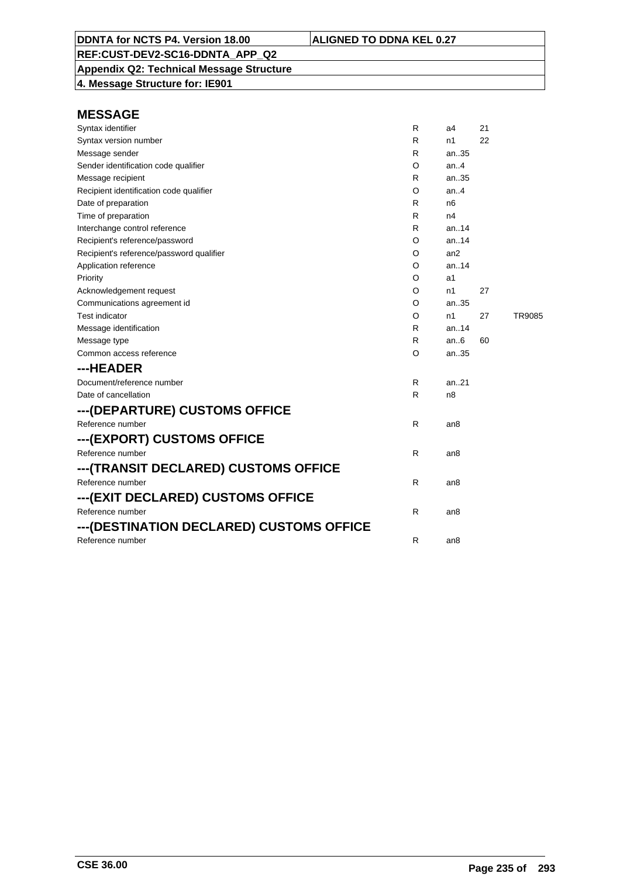**Appendix Q2: Technical Message Structure 4. Message Structure for: IE901**

| Syntax identifier                        | R | a4              | 21 |               |
|------------------------------------------|---|-----------------|----|---------------|
| Syntax version number                    | R | n1              | 22 |               |
| Message sender                           | R | an35            |    |               |
| Sender identification code qualifier     | O | an4             |    |               |
| Message recipient                        | R | an35            |    |               |
| Recipient identification code qualifier  | O | an.4            |    |               |
| Date of preparation                      | R | n6              |    |               |
| Time of preparation                      | R | n4              |    |               |
| Interchange control reference            | R | an14            |    |               |
| Recipient's reference/password           | O | an. $14$        |    |               |
| Recipient's reference/password qualifier | O | an2             |    |               |
| Application reference                    | O | an.14           |    |               |
| Priority                                 | O | a1              |    |               |
| Acknowledgement request                  | O | n1              | 27 |               |
| Communications agreement id              | O | an35            |    |               |
| <b>Test indicator</b>                    | O | n1              | 27 | <b>TR9085</b> |
| Message identification                   | R | an14            |    |               |
| Message type                             | R | an $6$          | 60 |               |
| Common access reference                  | O | an35            |    |               |
| ---HEADER                                |   |                 |    |               |
| Document/reference number                | R | an21            |    |               |
| Date of cancellation                     | R | n <sub>8</sub>  |    |               |
| ---(DEPARTURE) CUSTOMS OFFICE            |   |                 |    |               |
| Reference number                         | R | an8             |    |               |
| ---(EXPORT) CUSTOMS OFFICE               |   |                 |    |               |
| Reference number                         | R | an <sub>8</sub> |    |               |
| ---(TRANSIT DECLARED) CUSTOMS OFFICE     |   |                 |    |               |
| Reference number                         | R | an <sub>8</sub> |    |               |
| ---(EXIT DECLARED) CUSTOMS OFFICE        |   |                 |    |               |
| Reference number                         | R | an8             |    |               |
| ---(DESTINATION DECLARED) CUSTOMS OFFICE |   |                 |    |               |
| Reference number                         | R | an <sub>8</sub> |    |               |
|                                          |   |                 |    |               |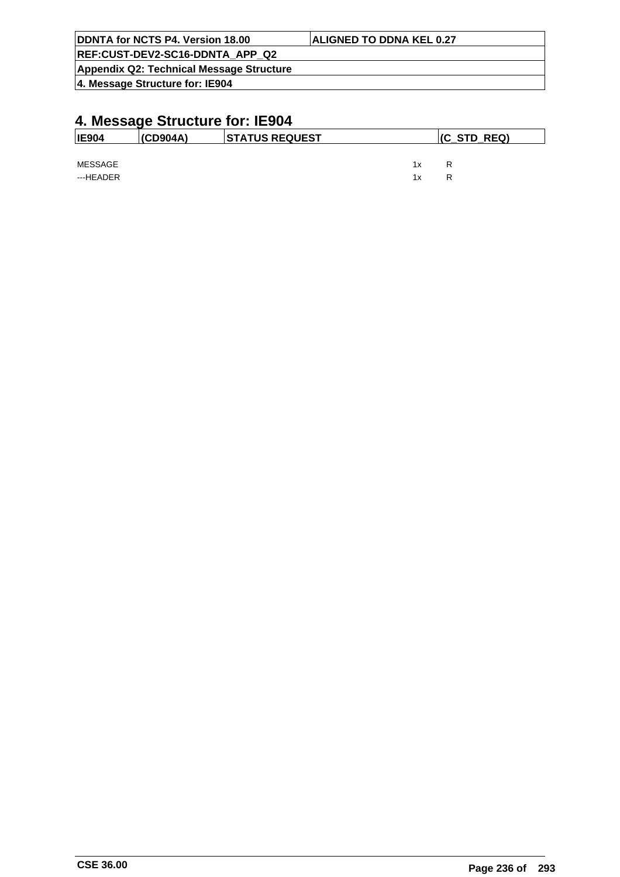| DDNTA for NCTS P4. Version 18.00         | <b>ALIGNED TO DDNA KEL 0.27</b> |
|------------------------------------------|---------------------------------|
| REF:CUST-DEV2-SC16-DDNTA APP Q2          |                                 |
| Appendix Q2: Technical Message Structure |                                 |
| 4. Message Structure for: IE904          |                                 |

| <b>IE904</b>         | (CD904A) | <b>STATUS REQUEST</b> | $ $ (C_STD_REQ) |        |  |
|----------------------|----------|-----------------------|-----------------|--------|--|
| MESSAGE<br>---HEADER |          |                       | 1x<br>1x        | R<br>R |  |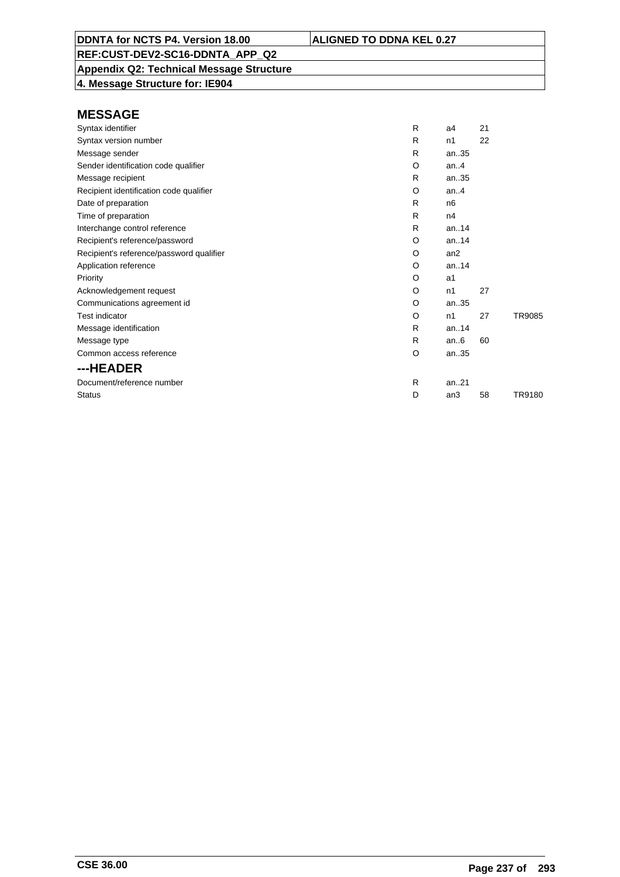**Appendix Q2: Technical Message Structure**

**4. Message Structure for: IE904**

| Syntax identifier                        | R | a4             | 21 |               |
|------------------------------------------|---|----------------|----|---------------|
| Syntax version number                    | R | n <sub>1</sub> | 22 |               |
| Message sender                           | R | an35           |    |               |
| Sender identification code qualifier     | O | an. $4$        |    |               |
| Message recipient                        | R | an35           |    |               |
| Recipient identification code qualifier  | O | an.4           |    |               |
| Date of preparation                      | R | n <sub>6</sub> |    |               |
| Time of preparation                      | R | n4             |    |               |
| Interchange control reference            | R | an.14          |    |               |
| Recipient's reference/password           | O | an.14          |    |               |
| Recipient's reference/password qualifier | O | an2            |    |               |
| Application reference                    | O | an.14          |    |               |
| Priority                                 | O | a1             |    |               |
| Acknowledgement request                  | O | n1             | 27 |               |
| Communications agreement id              | O | an35           |    |               |
| <b>Test indicator</b>                    | O | n1             | 27 | <b>TR9085</b> |
| Message identification                   | R | an14           |    |               |
| Message type                             | R | an.6           | 60 |               |
| Common access reference                  | O | an35           |    |               |
| ---HEADER                                |   |                |    |               |
| Document/reference number                | R | an.21          |    |               |
| <b>Status</b>                            | D | an3            | 58 | TR9180        |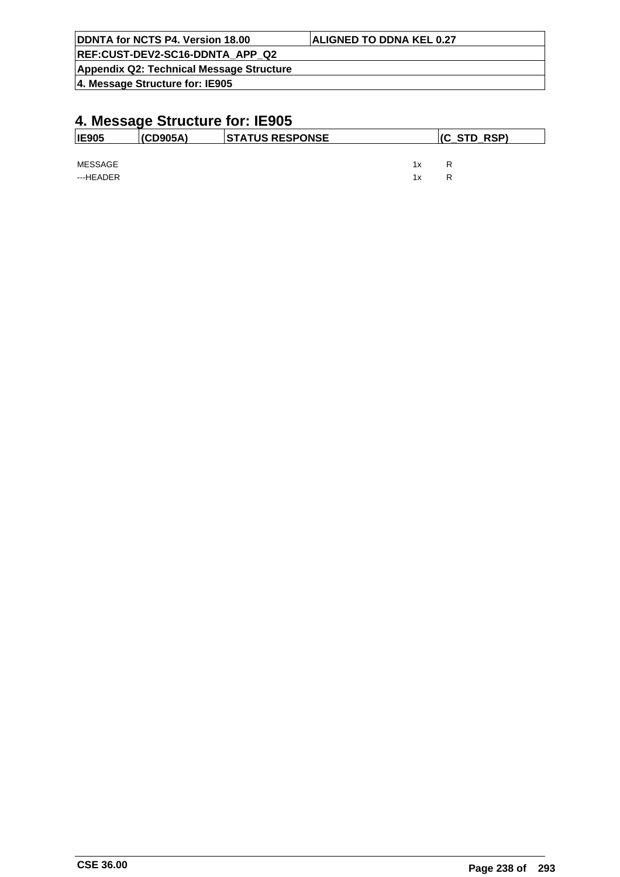| DDNTA for NCTS P4. Version 18.00         | <b>ALIGNED TO DDNA KEL 0.27</b> |
|------------------------------------------|---------------------------------|
| REF:CUST-DEV2-SC16-DDNTA APP Q2          |                                 |
| Appendix Q2: Technical Message Structure |                                 |
| 4. Message Structure for: IE905          |                                 |

| <b>IE905</b>         | (CD905A) | <b>STATUS RESPONSE</b> | $ $ (C_STD_RSP) |        |  |
|----------------------|----------|------------------------|-----------------|--------|--|
| MESSAGE<br>---HEADER |          |                        | 1x<br>1x        | R<br>R |  |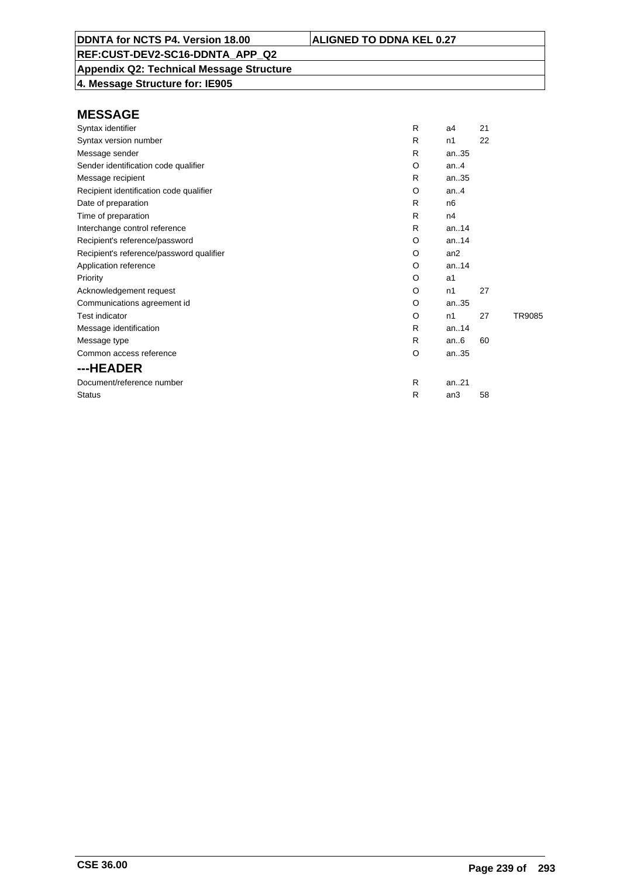## **Appendix Q2: Technical Message Structure**

**4. Message Structure for: IE905**

| Syntax identifier                        | R | a4             | 21 |        |
|------------------------------------------|---|----------------|----|--------|
| Syntax version number                    | R | n1             | 22 |        |
| Message sender                           | R | an35           |    |        |
| Sender identification code qualifier     | O | an.4           |    |        |
| Message recipient                        | R | an35           |    |        |
| Recipient identification code qualifier  | O | an.4           |    |        |
| Date of preparation                      | R | n <sub>6</sub> |    |        |
| Time of preparation                      | R | n4             |    |        |
| Interchange control reference            | R | an. $.14$      |    |        |
| Recipient's reference/password           | O | an.14          |    |        |
| Recipient's reference/password qualifier | O | an2            |    |        |
| Application reference                    | O | an.14          |    |        |
| Priority                                 | O | a1             |    |        |
| Acknowledgement request                  | O | n1             | 27 |        |
| Communications agreement id              | O | an35           |    |        |
| <b>Test indicator</b>                    | O | n1             | 27 | TR9085 |
| Message identification                   | R | an.14          |    |        |
| Message type                             | R | an.6           | 60 |        |
| Common access reference                  | O | an35           |    |        |
| ---HEADER                                |   |                |    |        |
| Document/reference number                | R | an.21          |    |        |
| <b>Status</b>                            | R | an3            | 58 |        |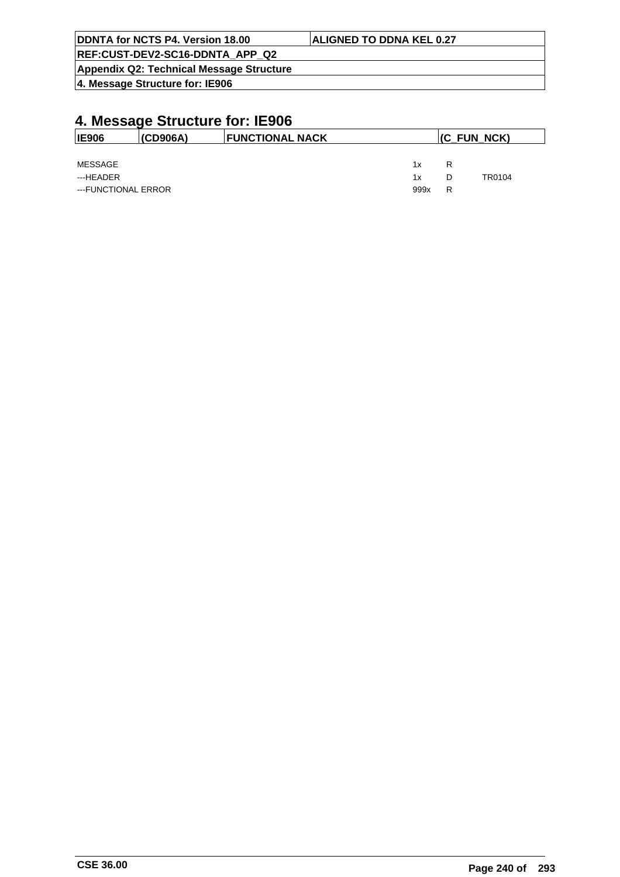| DDNTA for NCTS P4. Version 18.00         | <b>ALIGNED TO DDNA KEL 0.27</b> |
|------------------------------------------|---------------------------------|
| REF:CUST-DEV2-SC16-DDNTA APP Q2          |                                 |
| Appendix Q2: Technical Message Structure |                                 |
| 4. Message Structure for: IE906          |                                 |

| <b>IE906</b>        | (CD906A) | <b>FUNCTIONAL NACK</b> |      | $ $ (C_FUN_NCK) |        |
|---------------------|----------|------------------------|------|-----------------|--------|
|                     |          |                        |      |                 |        |
| <b>MESSAGE</b>      |          |                        | 1x   | R               |        |
| ---HEADER           |          |                        | 1x   | D               | TR0104 |
| ---FUNCTIONAL ERROR |          |                        | 999x | R               |        |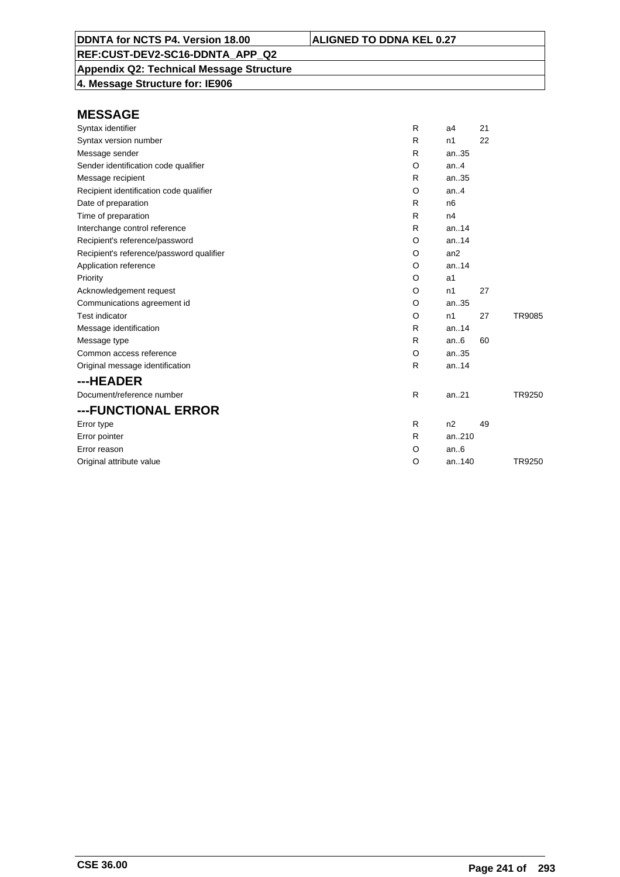**Appendix Q2: Technical Message Structure 4. Message Structure for: IE906**

| <b>MESSAGE</b>                           |          |                |    |        |
|------------------------------------------|----------|----------------|----|--------|
| Syntax identifier                        | R        | a <sub>4</sub> | 21 |        |
| Syntax version number                    | R        | n1             | 22 |        |
| Message sender                           | R        | an35           |    |        |
| Sender identification code qualifier     | $\circ$  | an.4           |    |        |
| Message recipient                        | R        | an35           |    |        |
| Recipient identification code qualifier  | $\circ$  | an.4           |    |        |
| Date of preparation                      | R        | n <sub>6</sub> |    |        |
| Time of preparation                      | R        | n4             |    |        |
| Interchange control reference            | R        | an14           |    |        |
| Recipient's reference/password           | O        | an.14          |    |        |
| Recipient's reference/password qualifier | O        | an2            |    |        |
| Application reference                    | $\Omega$ | an.14          |    |        |
| Priority                                 | $\circ$  | a <sub>1</sub> |    |        |
| Acknowledgement request                  | O        | n1             | 27 |        |
| Communications agreement id              | O        | an35           |    |        |
| <b>Test indicator</b>                    | O        | n1             | 27 | TR9085 |
| Message identification                   | R        | an.14          |    |        |
| Message type                             | R        | an.6           | 60 |        |
| Common access reference                  | O        | an35           |    |        |
| Original message identification          | R        | an.14          |    |        |
| ---HEADER                                |          |                |    |        |
| Document/reference number                | R        | an.21          |    | TR9250 |
| ---FUNCTIONAL ERROR                      |          |                |    |        |
| Error type                               | R        | n2             | 49 |        |
| Error pointer                            | R        | an210          |    |        |
| Error reason                             | O        | an.6           |    |        |
| Original attribute value                 | O        | an.140         |    | TR9250 |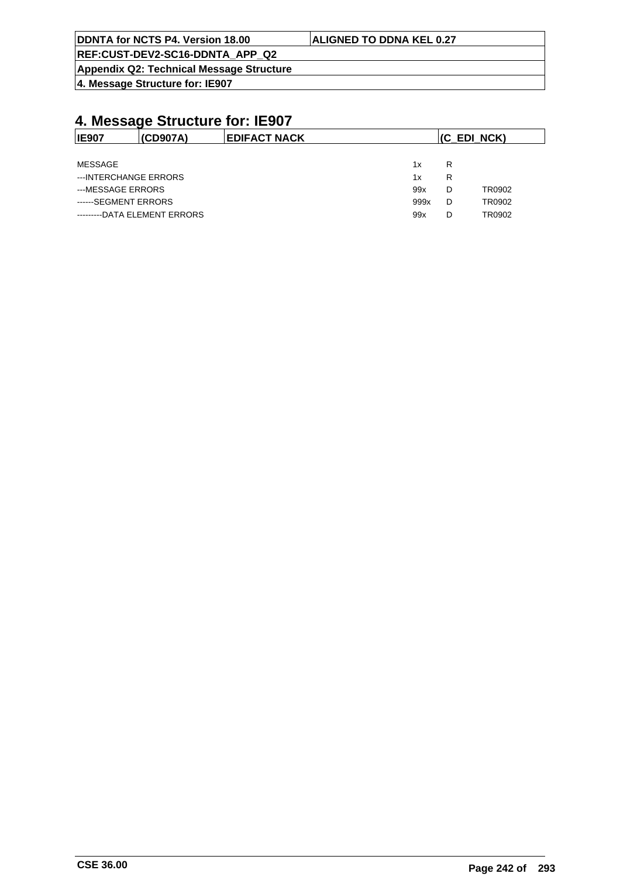| <b>ALIGNED TO DDNA KEL 0.27</b> |
|---------------------------------|
|                                 |
|                                 |
|                                 |

| <b>IE907</b>                 | (CD907A) | <b>EDIFACT NACK</b> | (C EDI NCK) |   |        |  |
|------------------------------|----------|---------------------|-------------|---|--------|--|
|                              |          |                     |             |   |        |  |
| MESSAGE                      |          |                     | 1x          | R |        |  |
| ---INTERCHANGE ERRORS        |          |                     | 1x          | R |        |  |
| ---MESSAGE ERRORS            |          |                     | 99x         | D | TR0902 |  |
| ------SEGMENT ERRORS         |          |                     | 999x        | D | TR0902 |  |
| ---------DATA ELEMENT ERRORS |          |                     | 99x         | D | TR0902 |  |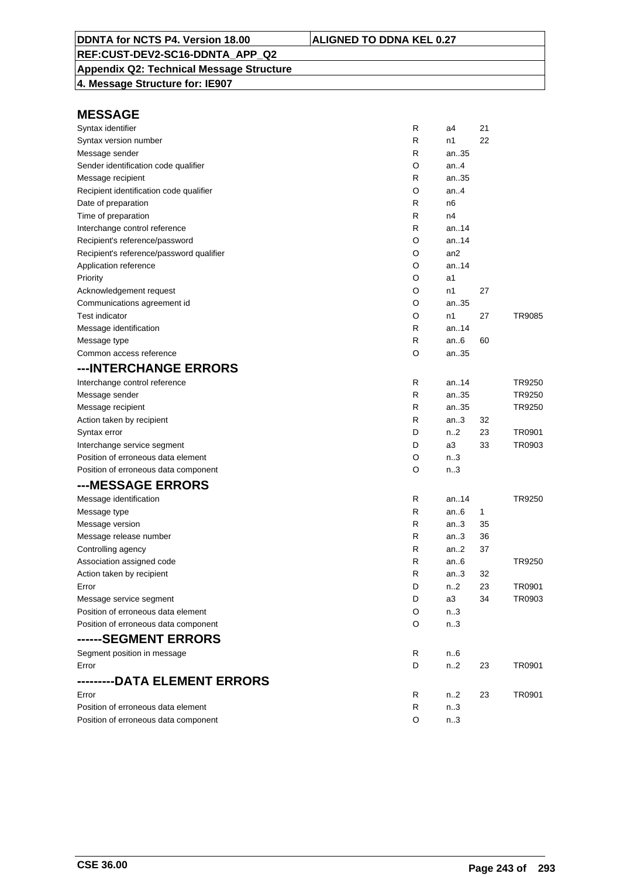## **Appendix Q2: Technical Message Structure**

**4. Message Structure for: IE907**

| Syntax identifier                        | R | a4               | 21 |        |
|------------------------------------------|---|------------------|----|--------|
| Syntax version number                    | R | n1               | 22 |        |
| Message sender                           | R | an35             |    |        |
| Sender identification code qualifier     | O | an4              |    |        |
| Message recipient                        | R | an35             |    |        |
| Recipient identification code qualifier  | O | an4              |    |        |
| Date of preparation                      | R | n6               |    |        |
| Time of preparation                      | R | n4               |    |        |
| Interchange control reference            | R | an $.14$         |    |        |
| Recipient's reference/password           | O | an14             |    |        |
| Recipient's reference/password qualifier | O | an2              |    |        |
| Application reference                    | O | an14             |    |        |
| Priority                                 | O | a1               |    |        |
| Acknowledgement request                  | O | n1               | 27 |        |
| Communications agreement id              | O | an35             |    |        |
| <b>Test indicator</b>                    | O | n1               | 27 | TR9085 |
| Message identification                   | R | an14             |    |        |
| Message type                             | R | an6              | 60 |        |
| Common access reference                  | O | an35             |    |        |
| ---INTERCHANGE ERRORS                    |   |                  |    |        |
| Interchange control reference            | R | an14             |    | TR9250 |
| Message sender                           | R | an35             |    | TR9250 |
| Message recipient                        | R | an35             |    | TR9250 |
| Action taken by recipient                | R | an3              | 32 |        |
| Syntax error                             | D | n2               | 23 | TR0901 |
| Interchange service segment              | D | аЗ               | 33 | TR0903 |
| Position of erroneous data element       | O | n <sub>1</sub> 3 |    |        |
| Position of erroneous data component     | O | n <sub>1</sub> 3 |    |        |
| ---MESSAGE ERRORS                        |   |                  |    |        |
| Message identification                   | R | an14             |    | TR9250 |
| Message type                             | R | an6              | 1  |        |
| Message version                          | R | an3              | 35 |        |
| Message release number                   | R | an3              | 36 |        |
| Controlling agency                       | R | an2              | 37 |        |
| Association assigned code                | R | an6              |    | TR9250 |
| Action taken by recipient                | R | an3              | 32 |        |
| Error                                    | D | n2               | 23 | TR0901 |
| Message service segment                  | D | a3               | 34 | TR0903 |
| Position of erroneous data element       | O | n3               |    |        |
| Position of erroneous data component     | O | n.3              |    |        |
| ------SEGMENT ERRORS                     |   |                  |    |        |
| Segment position in message              | R | n6               |    |        |
| Error                                    | D | n2               | 23 | TR0901 |
| ---------DATA ELEMENT ERRORS             |   |                  |    |        |
| Error                                    | R | n2               | 23 | TR0901 |
| Position of erroneous data element       | R | n.3              |    |        |
| Position of erroneous data component     | O | n.3              |    |        |
|                                          |   |                  |    |        |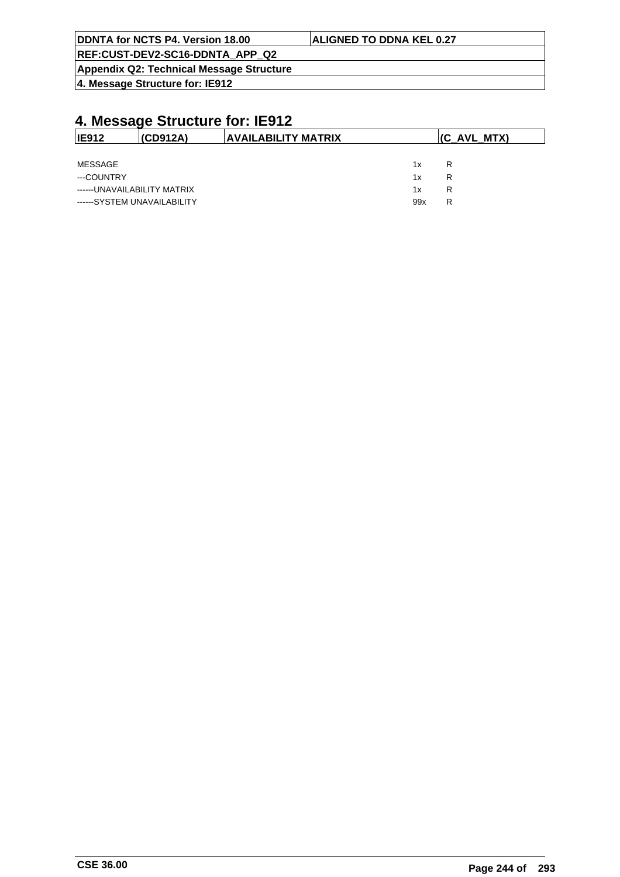| <b>IDDNTA for NCTS P4. Version 18.00</b> | <b>ALIGNED TO DDNA KEL 0.27</b> |
|------------------------------------------|---------------------------------|
| REF:CUST-DEV2-SC16-DDNTA APP Q2          |                                 |
| Appendix Q2: Technical Message Structure |                                 |

| <b>IE912</b>                | (CD912A) | AVAILABILITY MATRIX |     | (C AVL MTX) |
|-----------------------------|----------|---------------------|-----|-------------|
|                             |          |                     |     |             |
| MESSAGE                     |          |                     | 1x  | R           |
| ---COUNTRY                  |          |                     | 1x  | R           |
| ------UNAVAILABILITY MATRIX |          |                     | 1x  | R           |
| ------SYSTEM UNAVAILABILITY |          |                     | 99x | R           |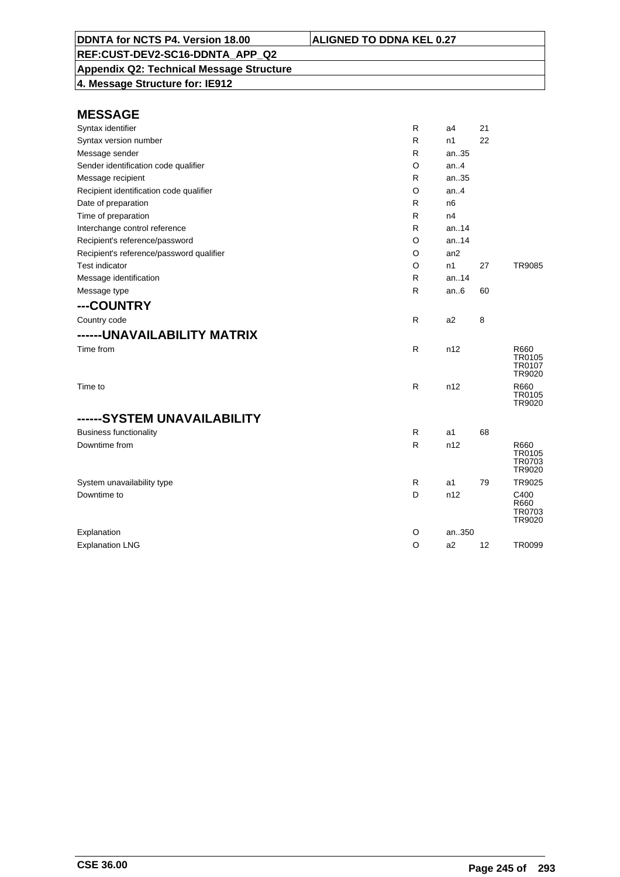**Appendix Q2: Technical Message Structure 4. Message Structure for: IE912**

| Syntax identifier                        | R       | a <sub>4</sub> | 21 |                                    |
|------------------------------------------|---------|----------------|----|------------------------------------|
| Syntax version number                    | R       | n1             | 22 |                                    |
| Message sender                           | R       | an35           |    |                                    |
| Sender identification code qualifier     | $\circ$ | an4            |    |                                    |
| Message recipient                        | R       | an35           |    |                                    |
| Recipient identification code qualifier  | O       | an.4           |    |                                    |
| Date of preparation                      | R       | n <sub>6</sub> |    |                                    |
| Time of preparation                      | R       | n4             |    |                                    |
| Interchange control reference            | R       | an.14          |    |                                    |
| Recipient's reference/password           | O       | an14           |    |                                    |
| Recipient's reference/password qualifier | O       | an2            |    |                                    |
| Test indicator                           | O       | n1             | 27 | <b>TR9085</b>                      |
| Message identification                   | R       | an.14          |    |                                    |
| Message type                             | R       | an.6           | 60 |                                    |
| ---COUNTRY                               |         |                |    |                                    |
| Country code                             | R       | a <sub>2</sub> | 8  |                                    |
| ------UNAVAILABILITY MATRIX              |         |                |    |                                    |
| Time from                                | R       | n12            |    | R660<br>TR0105<br>TR0107<br>TR9020 |
| Time to                                  | R       | n12            |    | R660<br><b>TR0105</b><br>TR9020    |
| ------SYSTEM UNAVAILABILITY              |         |                |    |                                    |
| <b>Business functionality</b>            | R       | a <sub>1</sub> | 68 |                                    |
| Downtime from                            | R       | n12            |    | R660<br>TR0105<br>TR0703<br>TR9020 |
| System unavailability type               | R       | a1             | 79 | TR9025                             |
| Downtime to                              | D       | n12            |    | C400<br>R660<br>TR0703<br>TR9020   |
| Explanation                              | O       | an350          |    |                                    |
| <b>Explanation LNG</b>                   | $\circ$ | a2             | 12 | <b>TR0099</b>                      |
|                                          |         |                |    |                                    |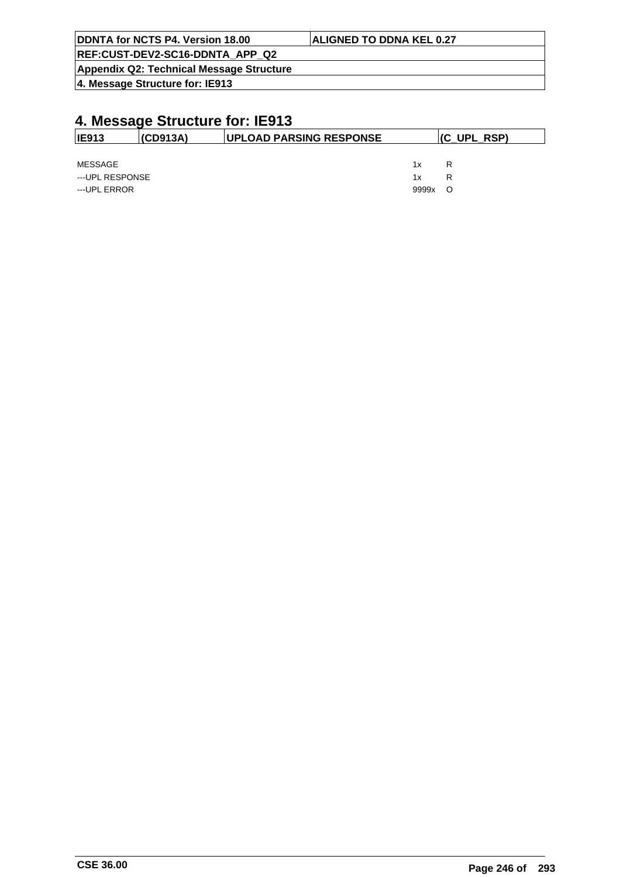| DDNTA for NCTS P4. Version 18.00         | <b>ALIGNED TO DDNA KEL 0.27</b> |
|------------------------------------------|---------------------------------|
| REF:CUST-DEV2-SC16-DDNTA APP Q2          |                                 |
| Appendix Q2: Technical Message Structure |                                 |
| $ 4$ . Message Structure for: IE913      |                                 |

| IE913           | (CD913A) | <b>UPLOAD PARSING RESPONSE</b> | (C_UPL_RSP) |     |  |
|-----------------|----------|--------------------------------|-------------|-----|--|
|                 |          |                                |             |     |  |
| MESSAGE         |          |                                | 1x          | R   |  |
| ---UPL RESPONSE |          |                                | 1x          | R   |  |
| ---UPL ERROR    |          |                                | 9999x       | - 0 |  |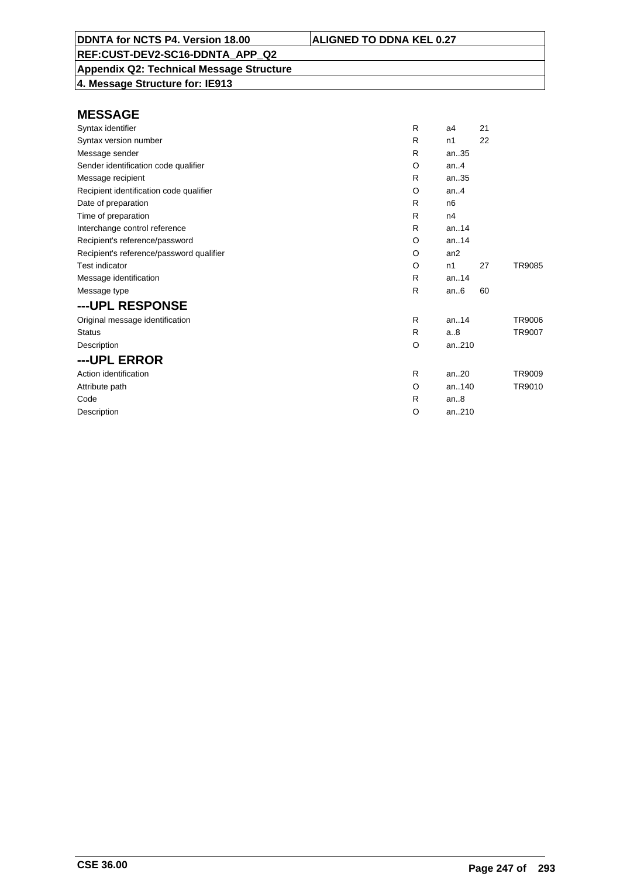## **Appendix Q2: Technical Message Structure**

**4. Message Structure for: IE913**

| R | a4             | 21 |               |
|---|----------------|----|---------------|
| R | n1             | 22 |               |
| R | an35           |    |               |
| O | an. $4$        |    |               |
| R | an35           |    |               |
| O | an.4           |    |               |
| R | n <sub>6</sub> |    |               |
| R | n4             |    |               |
| R | an.14          |    |               |
| O | an.14          |    |               |
| O | an2            |    |               |
| O | n1             | 27 | TR9085        |
| R | an.14          |    |               |
| R | an.6           | 60 |               |
|   |                |    |               |
| R | an.14          |    | <b>TR9006</b> |
| R | a.8            |    | TR9007        |
| O | an210          |    |               |
|   |                |    |               |
| R | an.20          |    | TR9009        |
| O | an140          |    | TR9010        |
| R | an.8           |    |               |
| O | an210          |    |               |
|   |                |    |               |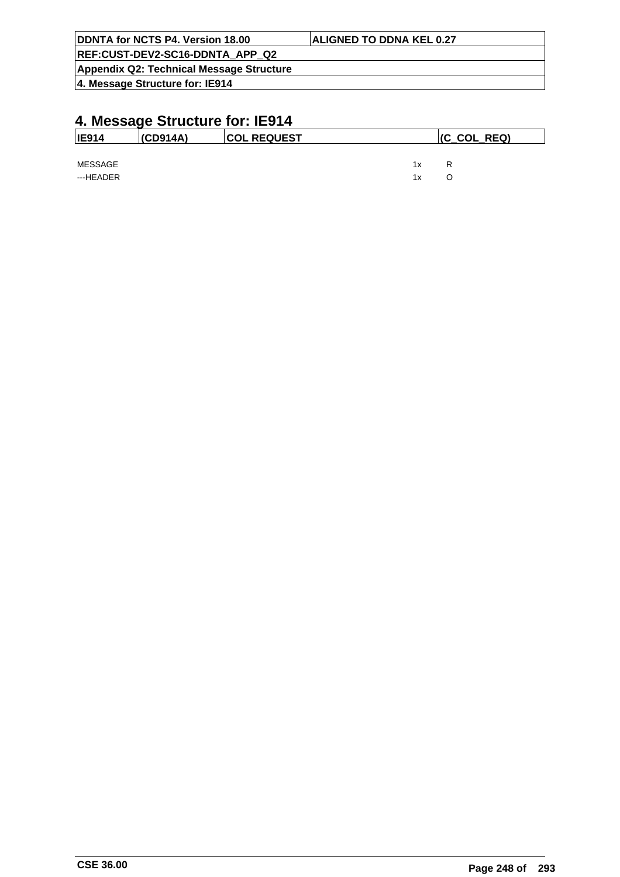| DDNTA for NCTS P4. Version 18.00         | <b>ALIGNED TO DDNA KEL 0.27</b> |
|------------------------------------------|---------------------------------|
| REF:CUST-DEV2-SC16-DDNTA APP Q2          |                                 |
| Appendix Q2: Technical Message Structure |                                 |
| 4. Message Structure for: IE914          |                                 |

| <b>IE914</b>         | $ $ (CD914A) | <b>COL REQUEST</b> | $ $ (C_COL_REQ) |        |  |
|----------------------|--------------|--------------------|-----------------|--------|--|
| MESSAGE<br>---HEADER |              |                    | 1x<br>1x        | R<br>O |  |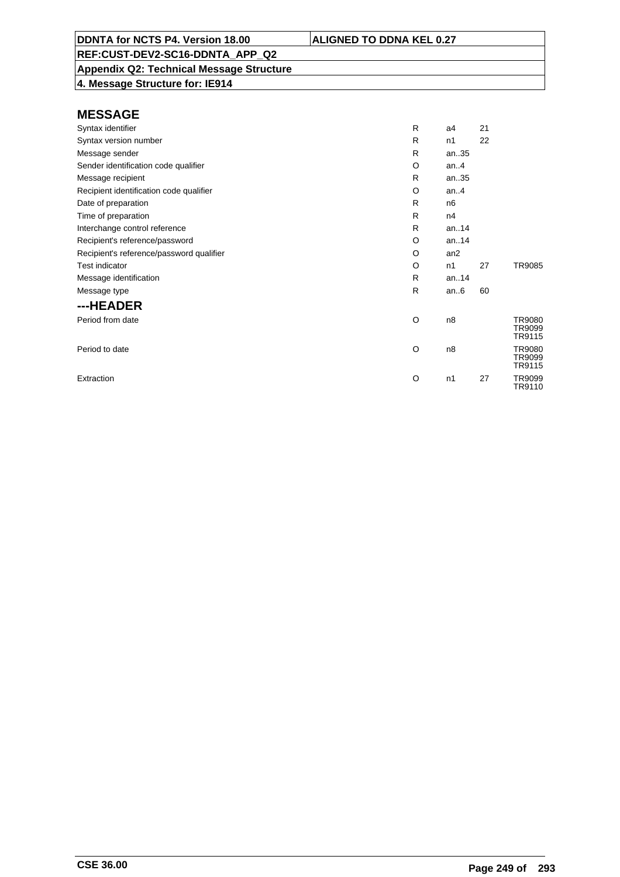**Appendix Q2: Technical Message Structure**

**4. Message Structure for: IE914**

| Syntax identifier                        | R | a4              | 21 |                            |
|------------------------------------------|---|-----------------|----|----------------------------|
| Syntax version number                    | R | n1              | 22 |                            |
| Message sender                           | R | an35            |    |                            |
| Sender identification code qualifier     | O | an. $4$         |    |                            |
| Message recipient                        | R | an35            |    |                            |
| Recipient identification code qualifier  | O | an.4            |    |                            |
| Date of preparation                      | R | n <sub>6</sub>  |    |                            |
| Time of preparation                      | R | n4              |    |                            |
| Interchange control reference            | R | an14            |    |                            |
| Recipient's reference/password           | O | an14            |    |                            |
| Recipient's reference/password qualifier | O | an <sub>2</sub> |    |                            |
| <b>Test indicator</b>                    | O | n1              | 27 | TR9085                     |
| Message identification                   | R | an14            |    |                            |
| Message type                             | R | an.6            | 60 |                            |
| ---HEADER                                |   |                 |    |                            |
| Period from date                         | O | n8              |    | TR9080<br>TR9099<br>TR9115 |
| Period to date                           | O | n8              |    | TR9080<br>TR9099<br>TR9115 |
| Extraction                               | O | n1              | 27 | TR9099<br>TR9110           |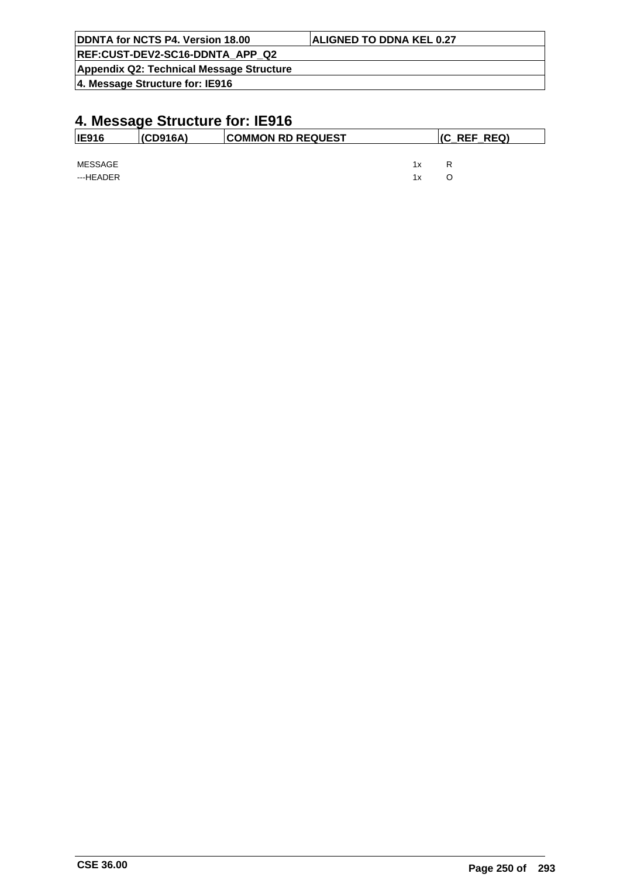| DDNTA for NCTS P4. Version 18.00         | <b>ALIGNED TO DDNA KEL 0.27</b> |
|------------------------------------------|---------------------------------|
| REF:CUST-DEV2-SC16-DDNTA APP Q2          |                                 |
| Appendix Q2: Technical Message Structure |                                 |
| 4. Message Structure for: IE916          |                                 |

| <b>IE916</b> | (CD916A) | <b>COMMON RD REQUEST</b> |    | $ $ (C_REF_REQ) |  |
|--------------|----------|--------------------------|----|-----------------|--|
|              |          |                          |    |                 |  |
| MESSAGE      |          |                          | 1x | R               |  |
| ---HEADER    |          |                          | 1x | O               |  |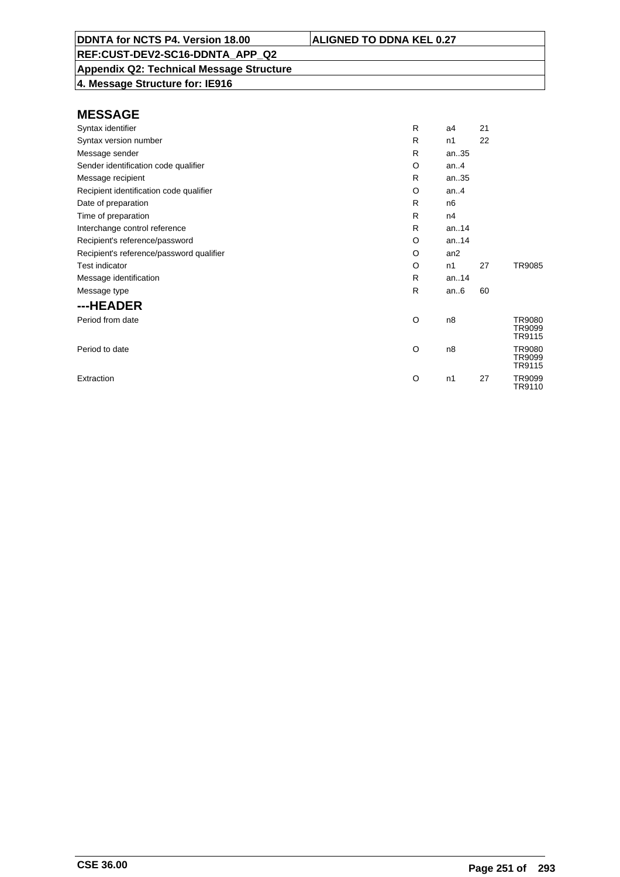**Appendix Q2: Technical Message Structure**

**4. Message Structure for: IE916**

| Syntax identifier                        | R | a4              | 21 |                            |
|------------------------------------------|---|-----------------|----|----------------------------|
| Syntax version number                    | R | n1              | 22 |                            |
| Message sender                           | R | an35            |    |                            |
| Sender identification code qualifier     | O | an. $4$         |    |                            |
| Message recipient                        | R | an35            |    |                            |
| Recipient identification code qualifier  | O | an.4            |    |                            |
| Date of preparation                      | R | n <sub>6</sub>  |    |                            |
| Time of preparation                      | R | n4              |    |                            |
| Interchange control reference            | R | an14            |    |                            |
| Recipient's reference/password           | O | an14            |    |                            |
| Recipient's reference/password qualifier | O | an <sub>2</sub> |    |                            |
| <b>Test indicator</b>                    | O | n1              | 27 | TR9085                     |
| Message identification                   | R | an14            |    |                            |
| Message type                             | R | an.6            | 60 |                            |
| ---HEADER                                |   |                 |    |                            |
| Period from date                         | O | n8              |    | TR9080<br>TR9099<br>TR9115 |
| Period to date                           | O | n8              |    | TR9080<br>TR9099<br>TR9115 |
| Extraction                               | O | n1              | 27 | TR9099<br>TR9110           |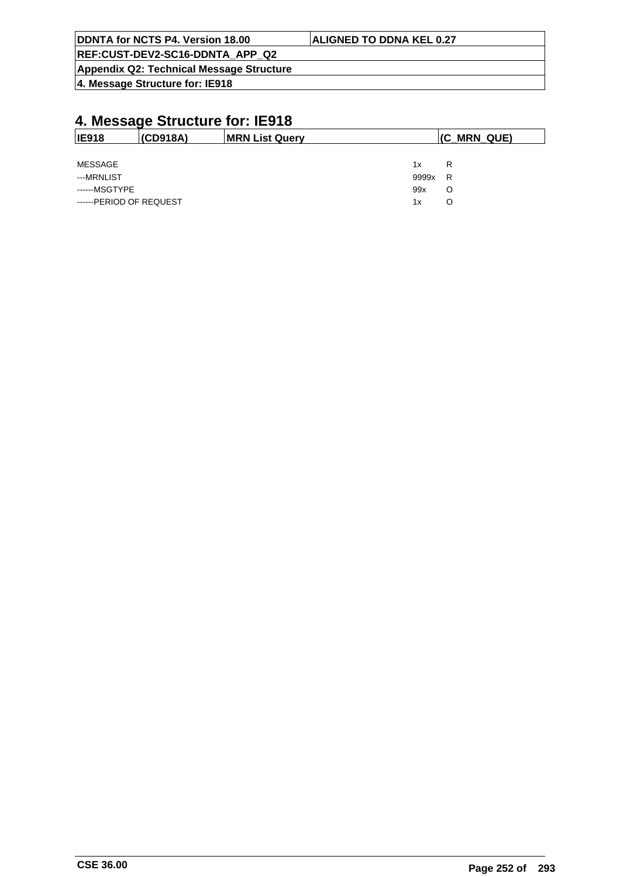| <b>ALIGNED TO DDNA KEL 0.27</b> |
|---------------------------------|
|                                 |
|                                 |
|                                 |

# **4. Message Structure for: IE918**

| <b>IE918</b>            | (CD918A) | <b>MRN List Query</b> |       | (C MRN QUE) |
|-------------------------|----------|-----------------------|-------|-------------|
|                         |          |                       |       |             |
| MESSAGE                 |          |                       | 1x    | R           |
| ---MRNLIST              |          |                       | 9999x | R           |
| ------MSGTYPE           |          |                       | 99x   | O           |
| ------PERIOD OF REQUEST |          |                       | 1x    | O           |

 $\overline{\phantom{a}}$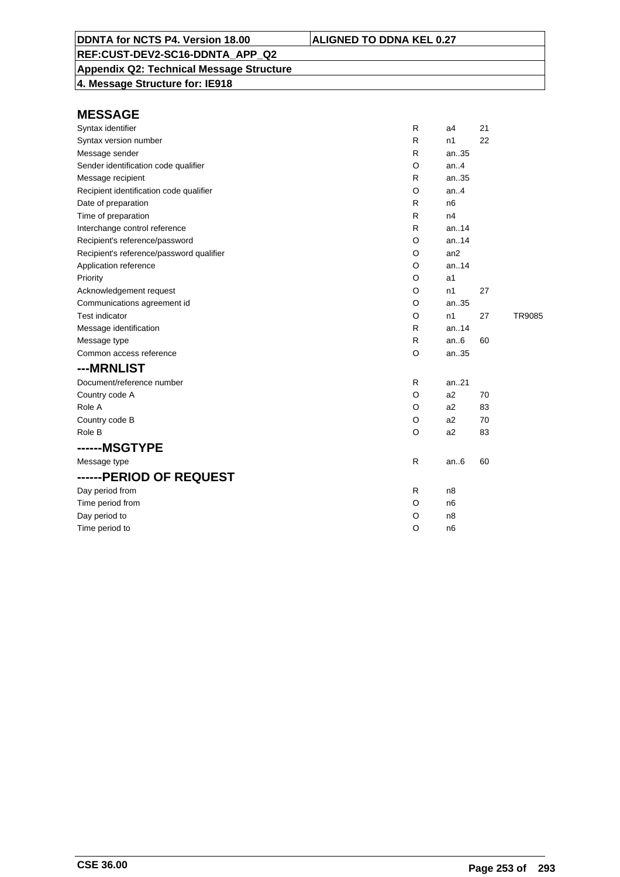# **Appendix Q2: Technical Message Structure**

**4. Message Structure for: IE918**

| Syntax identifier                        | R       | a4             | 21 |        |
|------------------------------------------|---------|----------------|----|--------|
| Syntax version number                    | R       | n1             | 22 |        |
| Message sender                           | R       | an35           |    |        |
| Sender identification code qualifier     | O       | an.4           |    |        |
| Message recipient                        | R       | an35           |    |        |
| Recipient identification code qualifier  | O       | an.4           |    |        |
| Date of preparation                      | R       | n <sub>6</sub> |    |        |
| Time of preparation                      | R       | n4             |    |        |
| Interchange control reference            | R       | an.14          |    |        |
| Recipient's reference/password           | O       | an.14          |    |        |
| Recipient's reference/password qualifier | O       | an2            |    |        |
| Application reference                    | O       | an.14          |    |        |
| Priority                                 | O       | a1             |    |        |
| Acknowledgement request                  | O       | n1             | 27 |        |
| Communications agreement id              | O       | an35           |    |        |
| <b>Test indicator</b>                    | O       | n1             | 27 | TR9085 |
| Message identification                   | R       | an.14          |    |        |
| Message type                             | R       | an.6           | 60 |        |
| Common access reference                  | O       | an35           |    |        |
| ---MRNLIST                               |         |                |    |        |
| Document/reference number                | R       | an21           |    |        |
| Country code A                           | O       | a2             | 70 |        |
| Role A                                   | O       | a2             | 83 |        |
| Country code B                           | O       | a <sub>2</sub> | 70 |        |
| Role B                                   | O       | a2             | 83 |        |
| ------MSGTYPE                            |         |                |    |        |
| Message type                             | R.      | an $6$         | 60 |        |
| ------PERIOD OF REQUEST                  |         |                |    |        |
| Day period from                          | R       | n8             |    |        |
| Time period from                         | O       | n <sub>6</sub> |    |        |
| Day period to                            | O       | n8             |    |        |
| Time period to                           | $\circ$ | n <sub>6</sub> |    |        |
|                                          |         |                |    |        |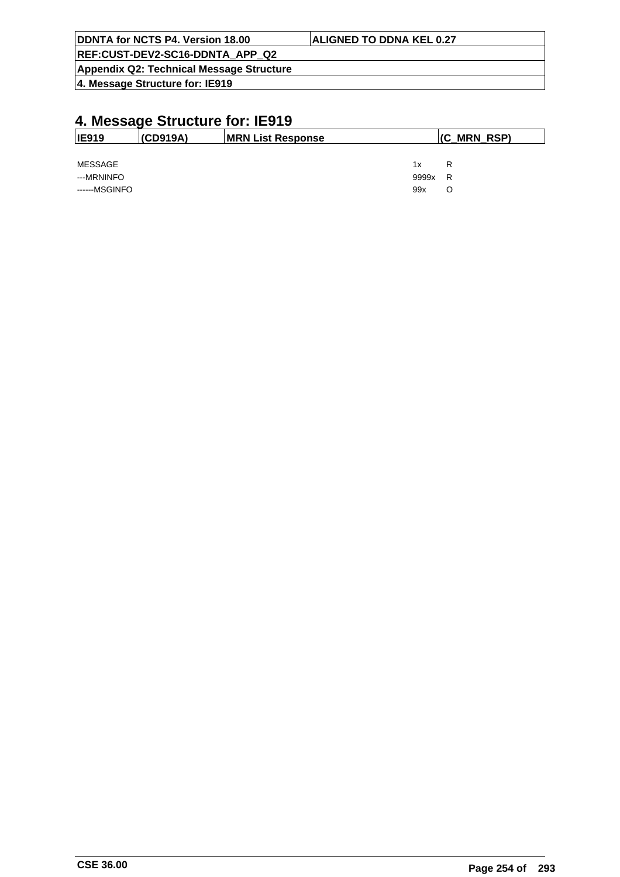| DDNTA for NCTS P4. Version 18.00         | <b>ALIGNED TO DDNA KEL 0.27</b> |
|------------------------------------------|---------------------------------|
| REF:CUST-DEV2-SC16-DDNTA APP Q2          |                                 |
| Appendix Q2: Technical Message Structure |                                 |
| 4. Message Structure for: IE919          |                                 |

| <b>IE919</b>  | (CD919A) | <b>MRN List Response</b> |       | $ $ (C_MRN_RSP) |
|---------------|----------|--------------------------|-------|-----------------|
|               |          |                          |       |                 |
| MESSAGE       |          |                          | 1x    | R               |
| ---MRNINFO    |          |                          | 9999x | R               |
| ------MSGINFO |          |                          | 99x   | O               |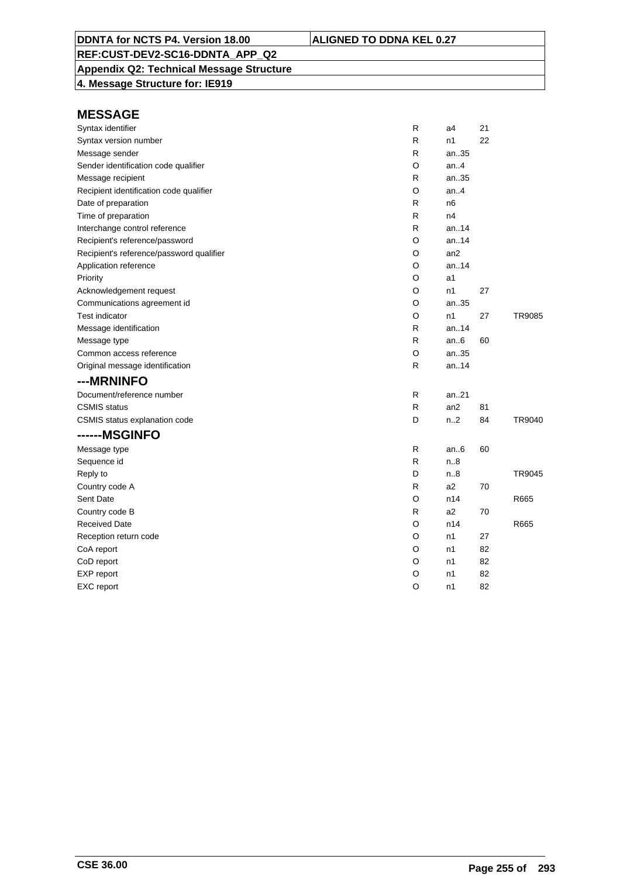## **Appendix Q2: Technical Message Structure**

**4. Message Structure for: IE919**

| Syntax identifier                        | R            | a4               | 21 |        |
|------------------------------------------|--------------|------------------|----|--------|
| Syntax version number                    | R            | n1               | 22 |        |
| Message sender                           | R            | an35             |    |        |
| Sender identification code qualifier     | O            | an.4             |    |        |
| Message recipient                        | R            | an35             |    |        |
| Recipient identification code qualifier  | O            | an.4             |    |        |
| Date of preparation                      | R            | n <sub>6</sub>   |    |        |
| Time of preparation                      | R            | n4               |    |        |
| Interchange control reference            | R            | an.14            |    |        |
| Recipient's reference/password           | O            | an.14            |    |        |
| Recipient's reference/password qualifier | O            | an2              |    |        |
| Application reference                    | O            | an.14            |    |        |
| Priority                                 | O            | a1               |    |        |
| Acknowledgement request                  | O            | n1               | 27 |        |
| Communications agreement id              | O            | an35             |    |        |
| <b>Test indicator</b>                    | O            | n1               | 27 | TR9085 |
| Message identification                   | R            | an14             |    |        |
| Message type                             | R            | an6              | 60 |        |
| Common access reference                  | O            | an35             |    |        |
| Original message identification          | R            | an14             |    |        |
| ---MRNINFO                               |              |                  |    |        |
| Document/reference number                | R            | an. $.21$        |    |        |
| <b>CSMIS</b> status                      | $\mathsf{R}$ | an2              | 81 |        |
| CSMIS status explanation code            | D            | n <sub>1</sub> 2 | 84 | TR9040 |
| ------MSGINFO                            |              |                  |    |        |
| Message type                             | R            | an $6$           | 60 |        |
| Sequence id                              | R            | n.8              |    |        |
| Reply to                                 | D            | n.8              |    | TR9045 |
| Country code A                           | R            | a2               | 70 |        |
| Sent Date                                | O            | n14              |    | R665   |
| Country code B                           | R            | a2               | 70 |        |
| <b>Received Date</b>                     | O            | n14              |    | R665   |
| Reception return code                    | O            | n1               | 27 |        |
| CoA report                               | O            | n1               | 82 |        |
| CoD report                               | O            | n1               | 82 |        |
| EXP report                               | O            | n1               | 82 |        |
| EXC report                               | O            | n1               | 82 |        |
|                                          |              |                  |    |        |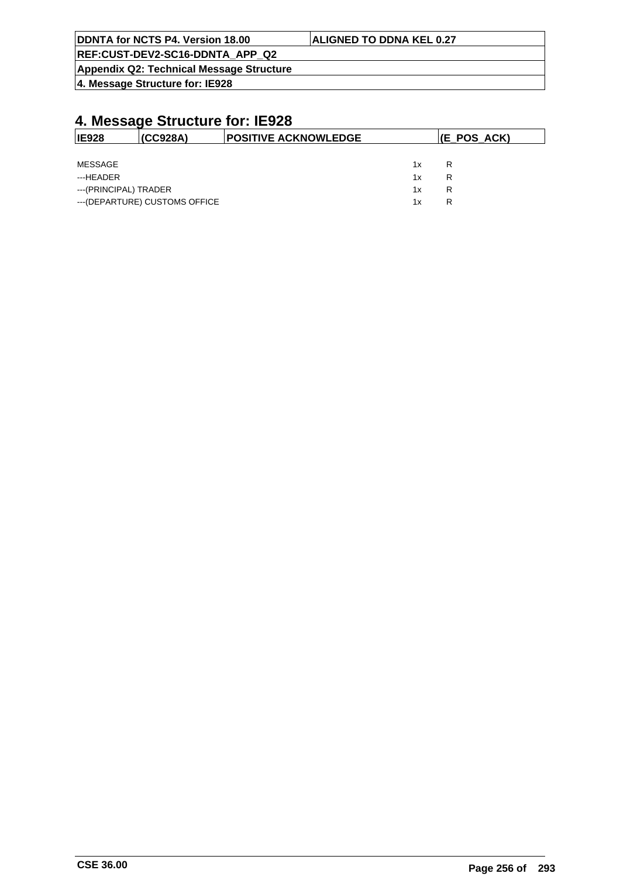| DDNTA for NCTS P4. Version 18.00         | <b>ALIGNED TO DDNA KEL 0.27</b> |
|------------------------------------------|---------------------------------|
| REF:CUST-DEV2-SC16-DDNTA APP Q2          |                                 |
| Appendix Q2: Technical Message Structure |                                 |

**4. Message Structure for: IE928**

| <b>IE928</b>          | (CC928A)                       | <b>POSITIVE ACKNOWLEDGE</b> | (E_POS_ACK) |   |
|-----------------------|--------------------------------|-----------------------------|-------------|---|
|                       |                                |                             |             |   |
| MESSAGE               |                                |                             | 1x          | R |
| ---HEADER             |                                |                             | 1x          | R |
| ---(PRINCIPAL) TRADER |                                |                             | 1x          | R |
|                       | --- (DEPARTURE) CUSTOMS OFFICE |                             | 1x          | R |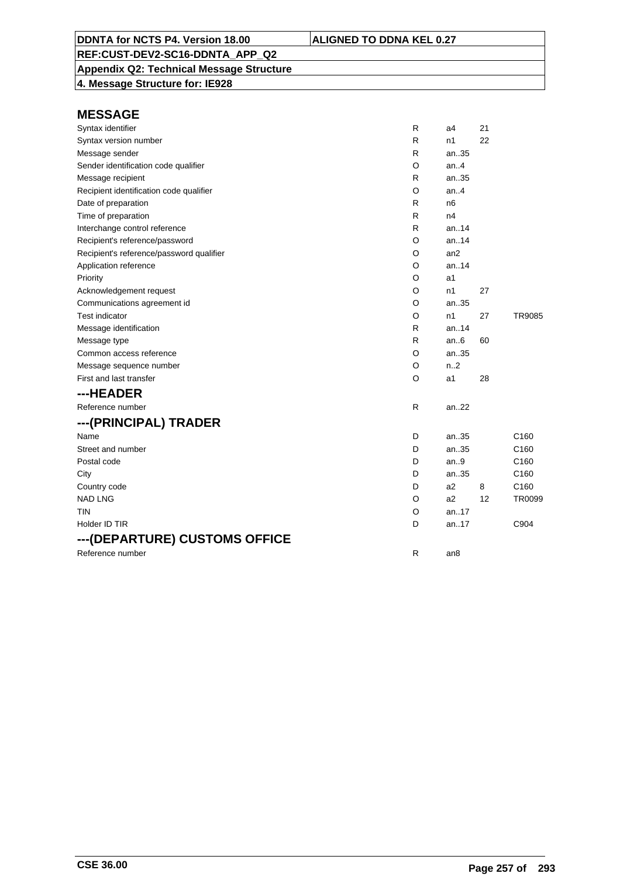**Appendix Q2: Technical Message Structure**

**4. Message Structure for: IE928**

| Syntax identifier                        | R       | a4             | 21 |                  |
|------------------------------------------|---------|----------------|----|------------------|
| Syntax version number                    | R       | n1             | 22 |                  |
| Message sender                           | R       | an35           |    |                  |
| Sender identification code qualifier     | O       | an4            |    |                  |
| Message recipient                        | R       | an35           |    |                  |
| Recipient identification code qualifier  | O       | an4            |    |                  |
| Date of preparation                      | R       | n <sub>6</sub> |    |                  |
| Time of preparation                      | R       | n4             |    |                  |
| Interchange control reference            | R       | an14           |    |                  |
| Recipient's reference/password           | O       | an14           |    |                  |
| Recipient's reference/password qualifier | O       | an2            |    |                  |
| Application reference                    | O       | an14           |    |                  |
| Priority                                 | O       | a1             |    |                  |
| Acknowledgement request                  | O       | n1             | 27 |                  |
| Communications agreement id              | O       | an35           |    |                  |
| <b>Test indicator</b>                    | O       | n1             | 27 | TR9085           |
| Message identification                   | R       | an14           |    |                  |
| Message type                             | R       | an.6           | 60 |                  |
| Common access reference                  | O       | an35           |    |                  |
| Message sequence number                  | O       | n.2            |    |                  |
| First and last transfer                  | $\circ$ | a <sub>1</sub> | 28 |                  |
| ---HEADER                                |         |                |    |                  |
| Reference number                         | R       | an22           |    |                  |
| ---(PRINCIPAL) TRADER                    |         |                |    |                  |
| Name                                     | D       | an35           |    | C <sub>160</sub> |
| Street and number                        | D       | an35           |    | C160             |
| Postal code                              | D       | an9            |    | C160             |
| City                                     | D       | an35           |    | C160             |
| Country code                             | D       | a2             | 8  | C160             |
| <b>NAD LNG</b>                           | O       | a2             | 12 | TR0099           |
| tin                                      | O       | an17           |    |                  |
| Holder ID TIR                            | D       | an17           |    | C904             |
| ---(DEPARTURE) CUSTOMS OFFICE            |         |                |    |                  |
| Reference number                         | R       | an8            |    |                  |
|                                          |         |                |    |                  |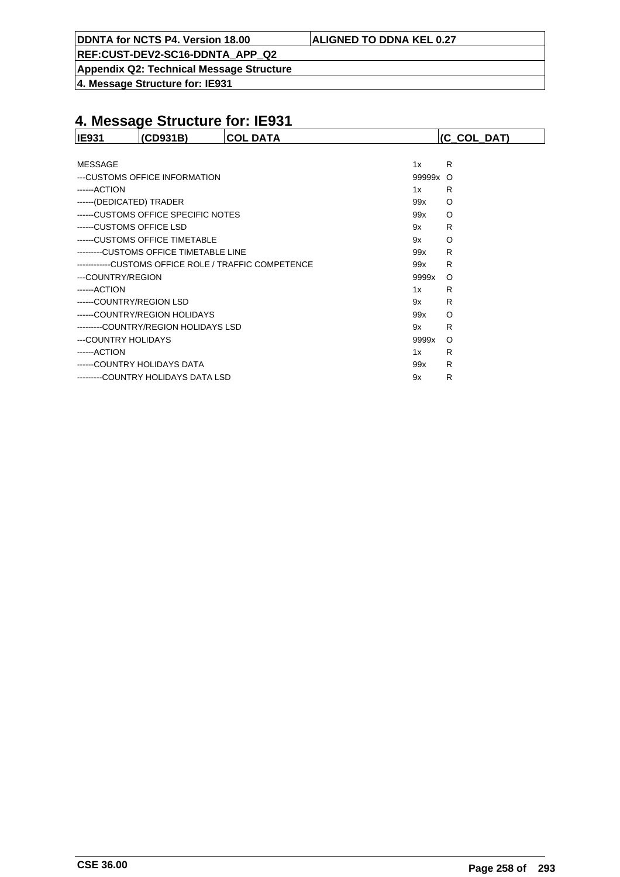**REF:CUST-DEV2-SC16-DDNTA\_APP\_Q2**

**Appendix Q2: Technical Message Structure**

**4. Message Structure for: IE931**

| <b>IE931</b>             | (CD931B)                               | <b>COL DATA</b>                                      |          | (C COL DAT) |
|--------------------------|----------------------------------------|------------------------------------------------------|----------|-------------|
|                          |                                        |                                                      |          |             |
| <b>MESSAGE</b>           |                                        |                                                      | 1x       | R           |
|                          | ---CUSTOMS OFFICE INFORMATION          |                                                      | 99999x O |             |
| ------ACTION             |                                        |                                                      | 1x       | R           |
| ------(DEDICATED) TRADER |                                        |                                                      | 99x      | O           |
|                          | ------CUSTOMS OFFICE SPECIFIC NOTES    |                                                      | 99x      | O           |
|                          | ------CUSTOMS OFFICE LSD               |                                                      | 9x       | R           |
|                          | ------CUSTOMS OFFICE TIMETABLE         |                                                      | 9x       | O           |
|                          | ---------CUSTOMS OFFICE TIMETABLE LINE |                                                      | 99x      | R           |
|                          |                                        | ------------CUSTOMS OFFICE ROLE / TRAFFIC COMPETENCE | 99x      | R           |
| ---COUNTRY/REGION        |                                        |                                                      | 9999x    | $\circ$     |
| ------ACTION             |                                        |                                                      | 1x       | R           |
|                          | ------COUNTRY/REGION LSD               |                                                      | 9x       | R           |
|                          | ------COUNTRY/REGION HOLIDAYS          |                                                      | 99x      | O           |
|                          | --------COUNTRY/REGION HOLIDAYS LSD    |                                                      | 9x       | R           |
| ---COUNTRY HOLIDAYS      |                                        |                                                      | 9999x    | O           |
| ------ACTION             |                                        |                                                      | 1x       | R           |
|                          | ------COUNTRY HOLIDAYS DATA            |                                                      | 99x      | R           |
|                          | --------COUNTRY HOLIDAYS DATA LSD      |                                                      | 9x       | R           |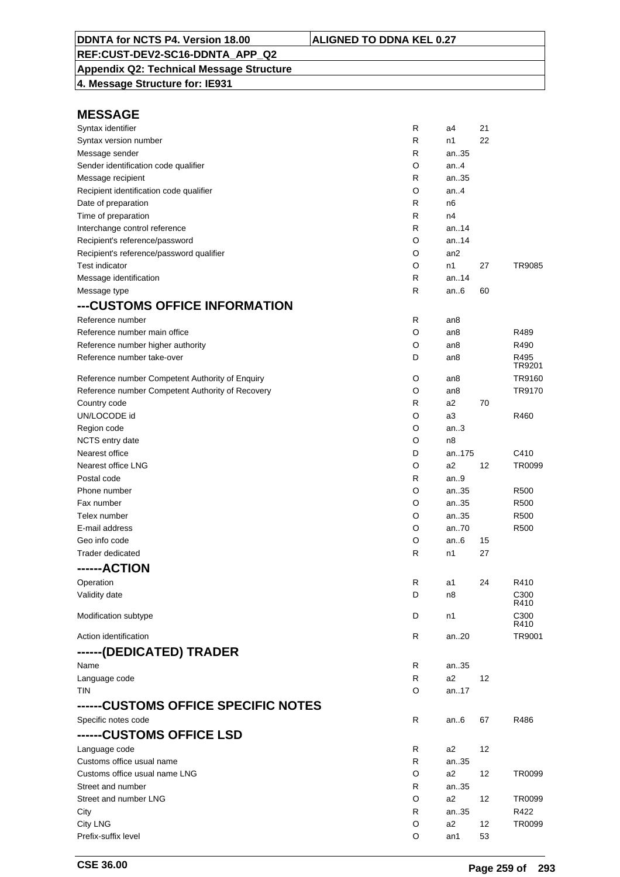## **Appendix Q2: Technical Message Structure**

**4. Message Structure for: IE931**

| Syntax identifier                                | R | a4              | 21 |              |
|--------------------------------------------------|---|-----------------|----|--------------|
| Syntax version number                            | R | n1              | 22 |              |
| Message sender                                   | R | an35            |    |              |
| Sender identification code qualifier             | O | an4             |    |              |
| Message recipient                                | R | an35            |    |              |
| Recipient identification code qualifier          | O | an.4            |    |              |
| Date of preparation                              | R | n6              |    |              |
| Time of preparation                              | R | n4              |    |              |
| Interchange control reference                    | R | an.14           |    |              |
| Recipient's reference/password                   | O | an.14           |    |              |
| Recipient's reference/password qualifier         | O | an <sub>2</sub> |    |              |
| <b>Test indicator</b>                            | O | n1              | 27 | TR9085       |
| Message identification                           | R | an.14           |    |              |
| Message type                                     | R | an6             | 60 |              |
| ---CUSTOMS OFFICE INFORMATION                    |   |                 |    |              |
| Reference number                                 | R | an8             |    |              |
| Reference number main office                     | O | an8             |    | R489         |
| Reference number higher authority                | O | an8             |    | R490         |
| Reference number take-over                       | D | an8             |    | R495         |
|                                                  |   |                 |    | TR9201       |
| Reference number Competent Authority of Enquiry  | O | an8             |    | TR9160       |
| Reference number Competent Authority of Recovery | O | an8             |    | TR9170       |
| Country code                                     | R | a2              | 70 |              |
| UN/LOCODE id                                     | O | a3              |    | R460         |
| Region code                                      | O | an.3            |    |              |
| NCTS entry date                                  | O | n <sub>8</sub>  |    |              |
| Nearest office                                   | D | an175           |    | C410         |
| Nearest office LNG                               | O | a2              | 12 | TR0099       |
| Postal code                                      | R | an.9            |    |              |
| Phone number                                     | O | an35            |    | R500         |
| Fax number                                       | O | an35            |    | R500         |
| Telex number                                     | O | an35            |    | R500         |
| E-mail address                                   | O | an70            |    | R500         |
| Geo info code                                    | O | an.6            | 15 |              |
| Trader dedicated                                 | R | n1              | 27 |              |
| ------ACTION                                     |   |                 |    |              |
| Operation                                        | R | a1              | 24 | R410         |
| Validity date                                    | D | n8              |    | C300         |
|                                                  |   |                 |    | R410         |
| Modification subtype                             | D | n1              |    | C300<br>R410 |
| Action identification                            | R | an20            |    | TR9001       |
| ------(DEDICATED) TRADER                         |   |                 |    |              |
|                                                  |   |                 |    |              |
| Name                                             | R | an35            |    |              |
| Language code                                    | R | a2              | 12 |              |
| <b>TIN</b>                                       | O | an17            |    |              |
| ------CUSTOMS OFFICE SPECIFIC NOTES              |   |                 |    |              |
| Specific notes code                              | R | an6             | 67 | R486         |
| ------CUSTOMS OFFICE LSD                         |   |                 |    |              |
| Language code                                    | R | a2              | 12 |              |
| Customs office usual name                        | R | an35            |    |              |
| Customs office usual name LNG                    | O | a2              | 12 | TR0099       |
| Street and number                                | R | an35            |    |              |
| Street and number LNG                            | O | a2              | 12 | TR0099       |
| City                                             | R | an35            |    | R422         |
| <b>City LNG</b>                                  | O | a2              | 12 | TR0099       |
| Prefix-suffix level                              | O | an1             | 53 |              |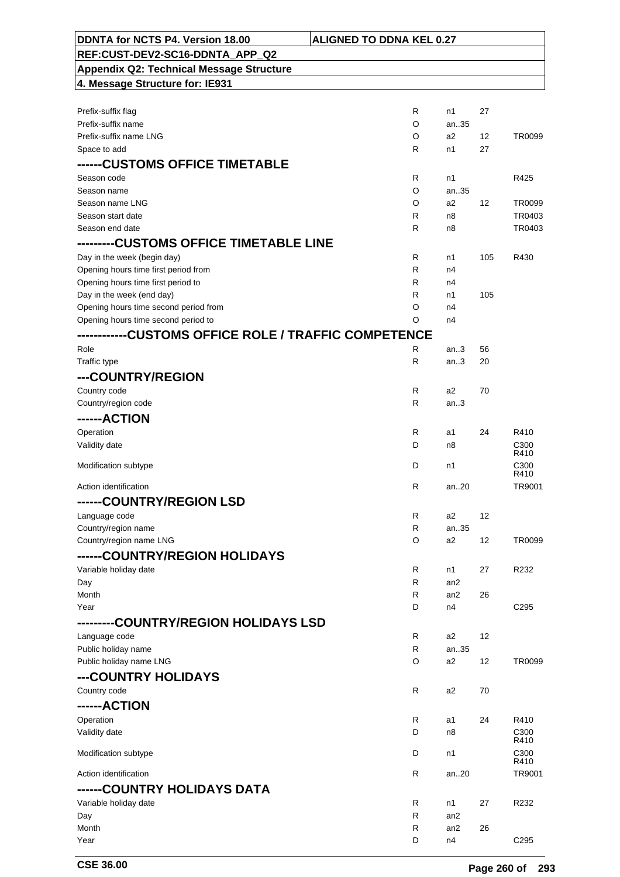| DDNTA for NCTS P4. Version 18.00                | <b>ALIGNED TO DDNA KEL 0.27</b> |                 |     |                  |
|-------------------------------------------------|---------------------------------|-----------------|-----|------------------|
| REF:CUST-DEV2-SC16-DDNTA APP Q2                 |                                 |                 |     |                  |
| <b>Appendix Q2: Technical Message Structure</b> |                                 |                 |     |                  |
| 4. Message Structure for: IE931                 |                                 |                 |     |                  |
|                                                 |                                 |                 |     |                  |
| Prefix-suffix flag                              | R                               | n1              | 27  |                  |
| Prefix-suffix name                              | O                               | an35            |     |                  |
| Prefix-suffix name LNG                          | O                               | a2              | 12  | TR0099           |
| Space to add                                    | R                               | n1              | 27  |                  |
| ------CUSTOMS OFFICE TIMETABLE                  |                                 |                 |     |                  |
| Season code                                     | R                               | n1              |     | R425             |
| Season name                                     | O                               | an35            |     |                  |
| Season name LNG                                 | O                               | a2              | 12  | TR0099           |
| Season start date                               | R                               | n8              |     | TR0403           |
| Season end date                                 | R                               | n8              |     | TR0403           |
|                                                 |                                 |                 |     |                  |
| Day in the week (begin day)                     | $\mathsf{R}$                    | n1              | 105 | R430             |
| Opening hours time first period from            | R                               | n4              |     |                  |
| Opening hours time first period to              | R                               | n4              |     |                  |
| Day in the week (end day)                       | R                               | n1              | 105 |                  |
| Opening hours time second period from           | O                               | n4              |     |                  |
| Opening hours time second period to             | O                               | n4              |     |                  |
|                                                 |                                 |                 |     |                  |
| Role                                            | R                               | an.3            | 56  |                  |
| Traffic type                                    | R                               | an.3            | 20  |                  |
| ---COUNTRY/REGION                               |                                 |                 |     |                  |
| Country code                                    | R                               | a2              | 70  |                  |
| Country/region code                             | R                               | an.3            |     |                  |
| ------ACTION                                    |                                 |                 |     |                  |
| Operation                                       | R                               | a1              | 24  | R410             |
| Validity date                                   | D                               | n8              |     | C300<br>R410     |
| Modification subtype                            | D                               | n1              |     | C300             |
|                                                 |                                 |                 |     | R410             |
| Action identification                           | R                               | an20            |     | TR9001           |
| <b>COUNTRY/REGION LSD</b>                       |                                 |                 |     |                  |
| Language code                                   | R                               | a2              | 12  |                  |
| Country/region name                             | R                               | an35            |     |                  |
| Country/region name LNG                         | O                               | a2              | 12  | TR0099           |
| ------COUNTRY/REGION HOLIDAYS                   |                                 |                 |     |                  |
| Variable holiday date                           | R                               | n1              | 27  | R232             |
| Day                                             | R                               | an2             |     |                  |
| Month                                           | R                               | an <sub>2</sub> | 26  |                  |
| Year                                            | D                               | n4              |     | C295             |
| --------COUNTRY/REGION HOLIDAYS LSD             |                                 |                 |     |                  |
| Language code                                   | R                               | a2              | 12  |                  |
| Public holiday name                             | $\mathsf{R}$                    | an35            |     |                  |
| Public holiday name LNG                         | O                               | a2              | 12  | TR0099           |
| ---COUNTRY HOLIDAYS                             |                                 |                 |     |                  |
| Country code                                    | $\mathsf{R}$                    | a2              | 70  |                  |
| ------ACTION                                    |                                 |                 |     |                  |
| Operation                                       | $\mathsf{R}$                    | a1              | 24  | R410             |
| Validity date                                   | D                               | n8              |     | C <sub>300</sub> |
|                                                 |                                 |                 |     | R410             |
| Modification subtype                            | D                               | n1              |     | C300<br>R410     |
| Action identification                           | $\mathsf{R}$                    | an20            |     | TR9001           |
| ------COUNTRY HOLIDAYS DATA                     |                                 |                 |     |                  |
| Variable holiday date                           | R                               | n1              | 27  | R232             |
| Day                                             | R                               | an <sub>2</sub> |     |                  |
| Month                                           | R                               | an <sub>2</sub> | 26  |                  |
| Year                                            | D                               | n4              |     | C <sub>295</sub> |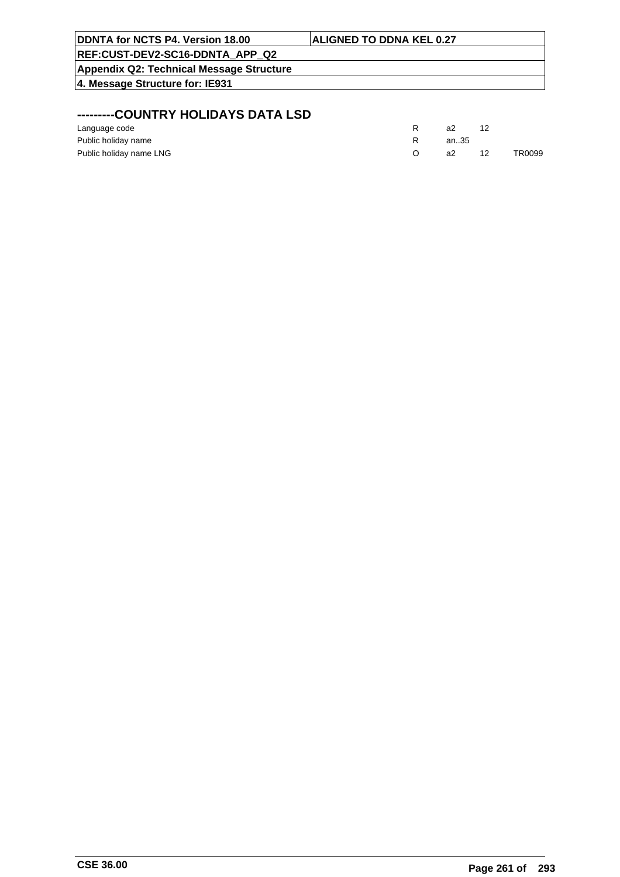| <b>ALIGNED TO DDNA KEL 0.27</b> |  |
|---------------------------------|--|
|                                 |  |
|                                 |  |
|                                 |  |
|                                 |  |
|                                 |  |

## **---------COUNTRY HOLIDAYS DATA LSD**

| Language code           | a2   |    |        |
|-------------------------|------|----|--------|
| Public holiday name     | an35 |    |        |
| Public holiday name LNG | а2   | 12 | TR0099 |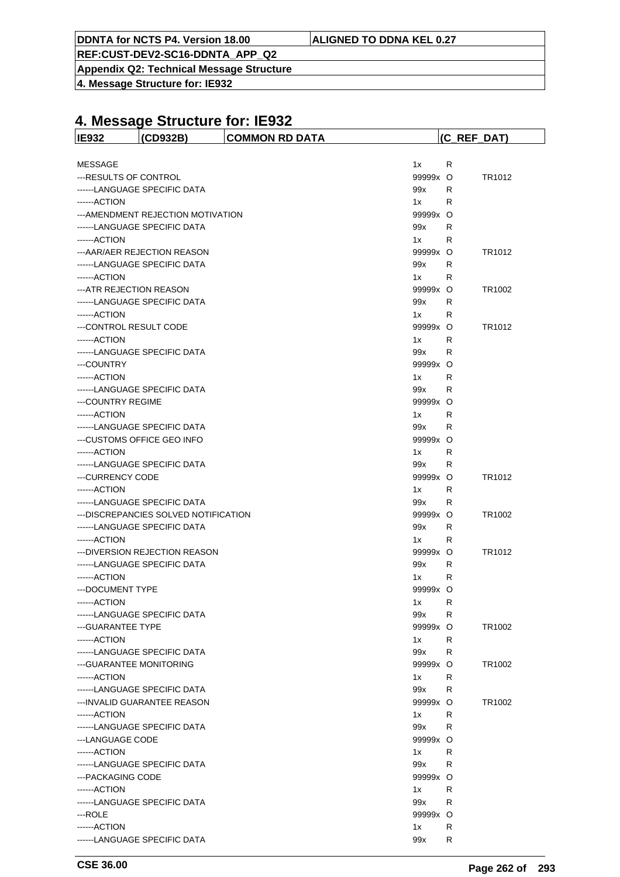**REF:CUST-DEV2-SC16-DDNTA\_APP\_Q2**

**Appendix Q2: Technical Message Structure**

**4. Message Structure for: IE932**

| <b>IE932</b>             | (CD932B)                              | <b>COMMON RD DATA</b> |          |    | (C_REF_DAT)        |
|--------------------------|---------------------------------------|-----------------------|----------|----|--------------------|
|                          |                                       |                       |          |    |                    |
| <b>MESSAGE</b>           |                                       |                       | 1x       | R  |                    |
| ---RESULTS OF CONTROL    |                                       |                       | 99999x O |    | TR1012             |
|                          | ------LANGUAGE SPECIFIC DATA          |                       | 99x      | R. |                    |
| ------ACTION             |                                       |                       | 1x       | R  |                    |
|                          | --- AMENDMENT REJECTION MOTIVATION    |                       | 99999x O |    |                    |
|                          | ------LANGUAGE SPECIFIC DATA          |                       | 99x      | R  |                    |
| ------ ACTION            |                                       |                       | 1x       | R  |                    |
|                          | --- AAR/AER REJECTION REASON          |                       | 99999x O |    | TR <sub>1012</sub> |
|                          | ------LANGUAGE SPECIFIC DATA          |                       | 99x      | R  |                    |
| ------ACTION             |                                       |                       | 1x       | R  |                    |
| --- ATR REJECTION REASON |                                       |                       | 99999x O |    | TR1002             |
|                          | ------LANGUAGE SPECIFIC DATA          |                       | 99x      | R  |                    |
| ------ACTION             |                                       |                       | 1x       | R  |                    |
| ---CONTROL RESULT CODE   |                                       |                       | 99999x O |    | TR <sub>1012</sub> |
| ------ACTION             |                                       |                       | 1x       | R  |                    |
|                          | ------LANGUAGE SPECIFIC DATA          |                       | 99x      | R  |                    |
| ---COUNTRY               |                                       |                       | 99999x O |    |                    |
| ------ACTION             |                                       |                       | 1x       | R  |                    |
|                          | ------LANGUAGE SPECIFIC DATA          |                       | 99x      | R  |                    |
| --- COUNTRY REGIME       |                                       |                       | 99999x O |    |                    |
| ------ACTION             |                                       |                       | 1x       | R  |                    |
|                          | ------LANGUAGE SPECIFIC DATA          |                       | 99x      | R  |                    |
|                          | ---CUSTOMS OFFICE GEO INFO            |                       | 99999x O |    |                    |
| ------ACTION             |                                       |                       | 1x       | R  |                    |
|                          | ------LANGUAGE SPECIFIC DATA          |                       | 99x      | R  |                    |
| ---CURRENCY CODE         |                                       |                       | 99999x O |    | TR1012             |
| ------ACTION             |                                       |                       | 1x       | R  |                    |
|                          | ------LANGUAGE SPECIFIC DATA          |                       | 99x      | R  |                    |
|                          | --- DISCREPANCIES SOLVED NOTIFICATION |                       | 99999x O |    | TR1002             |
|                          | ------LANGUAGE SPECIFIC DATA          |                       | 99x      | R  |                    |
| ------ACTION             |                                       |                       | 1x       | R  |                    |
|                          | ---DIVERSION REJECTION REASON         |                       | 99999x O |    | TR <sub>1012</sub> |
|                          | ------LANGUAGE SPECIFIC DATA          |                       | 99x      | R  |                    |
| ------ACTION             |                                       |                       | 1x       | R  |                    |
| ---DOCUMENT TYPE         |                                       |                       | 99999x O |    |                    |
| ------ACTION             |                                       |                       | 1x       | R  |                    |
|                          | ------LANGUAGE SPECIFIC DATA          |                       | 99x      | R  |                    |
| --- GUARANTEE TYPE       |                                       |                       | 99999x O |    | TR1002             |
| ------ACTION             |                                       |                       | 1x       | R  |                    |
|                          | ------LANGUAGE SPECIFIC DATA          |                       | 99x      | R  |                    |
| --- GUARANTEE MONITORING |                                       |                       | 99999x O |    | TR1002             |
| ------ACTION             |                                       |                       | 1x       | R  |                    |
|                          | ------LANGUAGE SPECIFIC DATA          |                       | 99x      | R  |                    |
|                          | --- INVALID GUARANTEE REASON          |                       | 99999x O |    | TR1002             |
| ------ACTION             |                                       |                       | 1x       | R  |                    |
|                          | ------LANGUAGE SPECIFIC DATA          |                       | 99x      | R  |                    |
| ---LANGUAGE CODE         |                                       |                       | 99999x O |    |                    |
| ------ACTION             |                                       |                       | 1x       | R  |                    |
|                          | ------LANGUAGE SPECIFIC DATA          |                       | 99x      | R  |                    |
| --- PACKAGING CODE       |                                       |                       | 99999x O |    |                    |
| ------ACTION             |                                       |                       | 1x       | R  |                    |
|                          | ------LANGUAGE SPECIFIC DATA          |                       | 99x      | R  |                    |
| ---ROLE                  |                                       |                       | 99999x O |    |                    |
| ------ACTION             |                                       |                       | 1x       | R  |                    |
|                          | ------LANGUAGE SPECIFIC DATA          |                       | 99x      | R  |                    |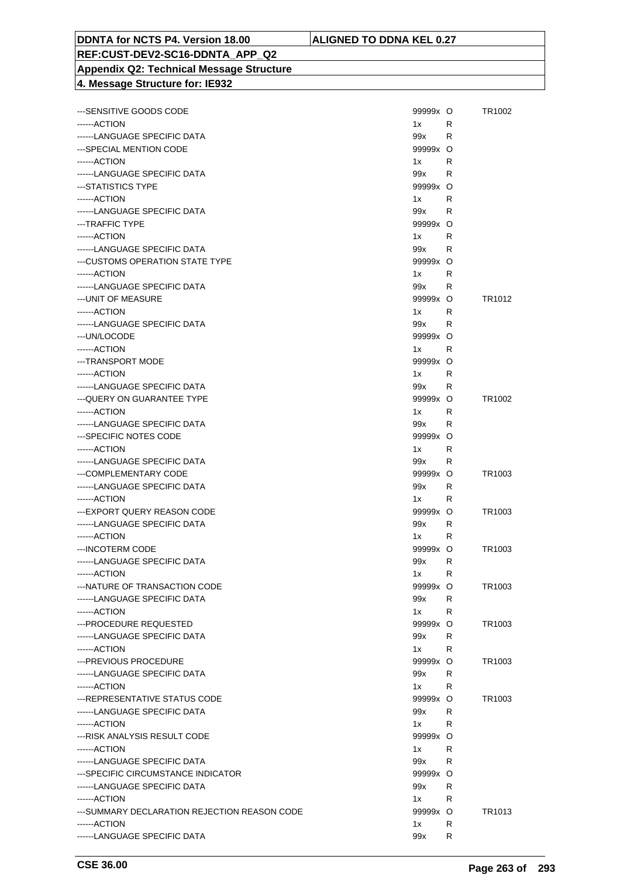## **REF:CUST-DEV2-SC16-DDNTA\_APP\_Q2 Appendix Q2: Technical Message Structure**

|  | 4. Message Structure for: IE932 |  |
|--|---------------------------------|--|
|  |                                 |  |

| --- SENSITIVE GOODS CODE                      | 99999x O                                                                                                                                                                                                                          |    | TR1002             |
|-----------------------------------------------|-----------------------------------------------------------------------------------------------------------------------------------------------------------------------------------------------------------------------------------|----|--------------------|
| ------ACTION                                  | 1x                                                                                                                                                                                                                                | R. |                    |
| ------LANGUAGE SPECIFIC DATA                  | 99x                                                                                                                                                                                                                               | R  |                    |
| ---SPECIAL MENTION CODE                       | 99999x O                                                                                                                                                                                                                          |    |                    |
| ------ACTION                                  | 1x                                                                                                                                                                                                                                | R  |                    |
| ------LANGUAGE SPECIFIC DATA                  | 99x                                                                                                                                                                                                                               | R  |                    |
| ---STATISTICS TYPE                            | 99999x O                                                                                                                                                                                                                          |    |                    |
| ------ACTION                                  | 1x                                                                                                                                                                                                                                | R  |                    |
| ------LANGUAGE SPECIFIC DATA                  | 99x                                                                                                                                                                                                                               | R  |                    |
| ---TRAFFIC TYPE                               | 99999x O                                                                                                                                                                                                                          |    |                    |
| ------ACTION                                  | 1x                                                                                                                                                                                                                                | R  |                    |
| ------LANGUAGE SPECIFIC DATA                  | 99x                                                                                                                                                                                                                               | R  |                    |
| ---CUSTOMS OPERATION STATE TYPE               | 99999x O                                                                                                                                                                                                                          |    |                    |
| ------ACTION                                  | 1x                                                                                                                                                                                                                                | R  |                    |
| ------LANGUAGE SPECIFIC DATA                  | 99x                                                                                                                                                                                                                               | R  |                    |
| --- UNIT OF MEASURE                           | 99999x O                                                                                                                                                                                                                          |    | TR <sub>1012</sub> |
| ------ACTION                                  | 1x                                                                                                                                                                                                                                | R  |                    |
| ------LANGUAGE SPECIFIC DATA                  | 99x and the set of the set of the set of the set of the set of the set of the set of the set of the set of the<br>Set of the set of the set of the set of the set of the set of the set of the set of the set of the set of the s | R  |                    |
| ---UN/LOCODE                                  | 99999x O                                                                                                                                                                                                                          |    |                    |
| ------ACTION                                  | 1x                                                                                                                                                                                                                                | R  |                    |
| ---TRANSPORT MODE                             | 99999x O                                                                                                                                                                                                                          |    |                    |
| ------ACTION                                  | 1x                                                                                                                                                                                                                                | R  |                    |
| ------LANGUAGE SPECIFIC DATA                  | 99x                                                                                                                                                                                                                               | R  |                    |
| --- QUERY ON GUARANTEE TYPE                   | 99999x O                                                                                                                                                                                                                          |    | TR <sub>1002</sub> |
| ------ACTION                                  | 1x                                                                                                                                                                                                                                | R  |                    |
| ------LANGUAGE SPECIFIC DATA                  | 99x and the set of the set of the set of the set of the set of the set of the set of the set of the set of the<br>Set of the set of the set of the set of the set of the set of the set of the set of the set of the set of the s | R  |                    |
| ---SPECIFIC NOTES CODE                        | 99999x O                                                                                                                                                                                                                          |    |                    |
| ------ACTION                                  | 1x                                                                                                                                                                                                                                | R  |                    |
| ------LANGUAGE SPECIFIC DATA                  | 99x                                                                                                                                                                                                                               | R  |                    |
| ---COMPLEMENTARY CODE                         | 99999x O                                                                                                                                                                                                                          |    | TR <sub>1003</sub> |
| ------LANGUAGE SPECIFIC DATA                  | 99x                                                                                                                                                                                                                               | R  |                    |
| ------ACTION                                  | 1x                                                                                                                                                                                                                                | R  |                    |
| ---EXPORT QUERY REASON CODE                   | 99999x O                                                                                                                                                                                                                          |    | TR <sub>1003</sub> |
| ------LANGUAGE SPECIFIC DATA                  | 99x                                                                                                                                                                                                                               | R  |                    |
| ------ACTION                                  | 1x                                                                                                                                                                                                                                | R  |                    |
| ---INCOTERM CODE                              | 99999x O                                                                                                                                                                                                                          |    | TR <sub>1003</sub> |
| ------LANGUAGE SPECIFIC DATA                  | 99x                                                                                                                                                                                                                               | R  |                    |
|                                               |                                                                                                                                                                                                                                   |    |                    |
| ------ACTION<br>---NATURE OF TRANSACTION CODE | 1x<br>99999x O                                                                                                                                                                                                                    | R  | TR <sub>1003</sub> |
| ------LANGUAGE SPECIFIC DATA                  | 99x                                                                                                                                                                                                                               | R  |                    |
| ------ACTION                                  | 1x                                                                                                                                                                                                                                | R  |                    |
| ---PROCEDURE REQUESTED                        | 99999x O                                                                                                                                                                                                                          |    | TR <sub>1003</sub> |
| ------LANGUAGE SPECIFIC DATA                  | 99x                                                                                                                                                                                                                               | R  |                    |
| ------ACTION                                  | 1x                                                                                                                                                                                                                                | R  |                    |
| ---PREVIOUS PROCEDURE                         | 99999x O                                                                                                                                                                                                                          |    | TR <sub>1003</sub> |
| ------LANGUAGE SPECIFIC DATA                  | 99x                                                                                                                                                                                                                               | R  |                    |
| ------ACTION                                  | 1x                                                                                                                                                                                                                                | R  |                    |
| --- REPRESENTATIVE STATUS CODE                | 99999x O                                                                                                                                                                                                                          |    | TR <sub>1003</sub> |
| ------LANGUAGE SPECIFIC DATA                  | 99x                                                                                                                                                                                                                               | R  |                    |
| ------ACTION                                  | 1x                                                                                                                                                                                                                                | R  |                    |
| ---RISK ANALYSIS RESULT CODE                  | 99999x O                                                                                                                                                                                                                          |    |                    |
| ------ACTION                                  | 1x                                                                                                                                                                                                                                | R  |                    |
| ------LANGUAGE SPECIFIC DATA                  | 99x                                                                                                                                                                                                                               | R  |                    |
| ---SPECIFIC CIRCUMSTANCE INDICATOR            | 99999x O                                                                                                                                                                                                                          |    |                    |
| ------LANGUAGE SPECIFIC DATA                  | 99x                                                                                                                                                                                                                               | R  |                    |
| ------ACTION                                  | 1x                                                                                                                                                                                                                                | R  |                    |
| ---SUMMARY DECLARATION REJECTION REASON CODE  | 99999x O                                                                                                                                                                                                                          |    | TR1013             |
| ------ACTION                                  | 1x                                                                                                                                                                                                                                | R  |                    |
| ------LANGUAGE SPECIFIC DATA                  | 99x                                                                                                                                                                                                                               | R  |                    |
|                                               |                                                                                                                                                                                                                                   |    |                    |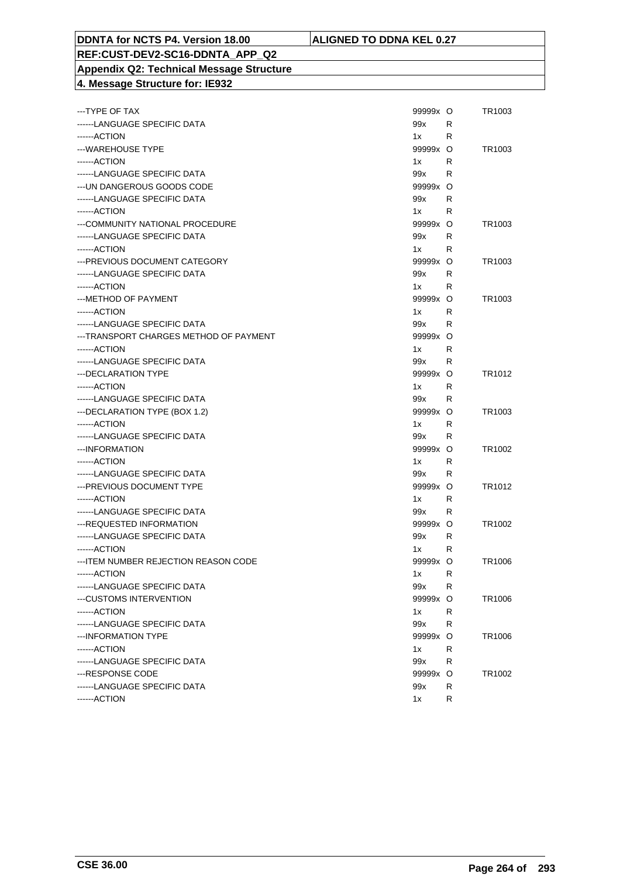#### **REF:CUST-DEV2-SC16-DDNTA\_APP\_Q2 Appendix Q2: Technical Message Structure 4. Message Structure for: IE932**

| ---TYPE OF TAX                         | 99999x O |   | TR1003             |
|----------------------------------------|----------|---|--------------------|
| ------LANGUAGE SPECIFIC DATA           | 99x      | R |                    |
| ------ACTION                           | 1x       | R |                    |
| ---WAREHOUSE TYPE                      | 99999x O |   | TR <sub>1003</sub> |
| ------ACTION                           | 1x       | R |                    |
| ------LANGUAGE SPECIFIC DATA           | 99x      | R |                    |
| --- UN DANGEROUS GOODS CODE            | 99999x O |   |                    |
| ------LANGUAGE SPECIFIC DATA           | 99x      | R |                    |
| ------ACTION                           | 1x       | R |                    |
| ---COMMUNITY NATIONAL PROCEDURE        | 99999x O |   | TR <sub>1003</sub> |
| ------LANGUAGE SPECIFIC DATA           | 99x      | R |                    |
| ------ACTION                           | 1x       | R |                    |
| ---PREVIOUS DOCUMENT CATEGORY          | 99999x O |   | TR <sub>1003</sub> |
| ------LANGUAGE SPECIFIC DATA           | 99x      | R |                    |
| ------ACTION                           | 1x       | R |                    |
| ---METHOD OF PAYMENT                   | 99999x O |   | TR <sub>1003</sub> |
| ------ACTION                           | 1x       | R |                    |
| ------LANGUAGE SPECIFIC DATA           | 99x      | R |                    |
| ---TRANSPORT CHARGES METHOD OF PAYMENT | 99999x O |   |                    |
| ------ACTION                           | 1x       | R |                    |
| ------LANGUAGE SPECIFIC DATA           | 99x      | R |                    |
| --- DECLARATION TYPE                   | 99999x O |   | TR1012             |
| ------ACTION                           | 1x       | R |                    |
| ------LANGUAGE SPECIFIC DATA           | 99x      | R |                    |
| ---DECLARATION TYPE (BOX 1.2)          | 99999x O |   | TR <sub>1003</sub> |
| ------ACTION                           | 1x       | R |                    |
| ------LANGUAGE SPECIFIC DATA           | 99x      | R |                    |
| ---INFORMATION                         | 99999x O |   | TR <sub>1002</sub> |
| ------ACTION                           | 1x       | R |                    |
| ------LANGUAGE SPECIFIC DATA           | 99x      | R |                    |
| --- PREVIOUS DOCUMENT TYPE             | 99999x O |   | TR1012             |
| ------ACTION                           | 1x       | R |                    |
| ------LANGUAGE SPECIFIC DATA           | 99x      | R |                    |
| ---REQUESTED INFORMATION               | 99999x O |   | TR <sub>1002</sub> |
| ------LANGUAGE SPECIFIC DATA           | 99x      | R |                    |
| ------ACTION                           | 1x       | R |                    |
| --- ITEM NUMBER REJECTION REASON CODE  | 99999x O |   | TR1006             |
| ------ACTION                           | 1x       | R |                    |
| ------LANGUAGE SPECIFIC DATA           | 99x      | R |                    |
| ---CUSTOMS INTERVENTION                | 99999x   | O | TR1006             |
| ------ACTION                           | 1x       | R |                    |
| ------LANGUAGE SPECIFIC DATA           | 99x      | R |                    |
| ---INFORMATION TYPE                    | 99999x O |   | TR1006             |
| ------ACTION                           | 1x       | R |                    |
| ------LANGUAGE SPECIFIC DATA           | 99x      | R |                    |
| ---RESPONSE CODE                       | 99999x   | O | TR1002             |
| ------LANGUAGE SPECIFIC DATA           | 99x      | R |                    |
| ------ACTION                           | 1x       | R |                    |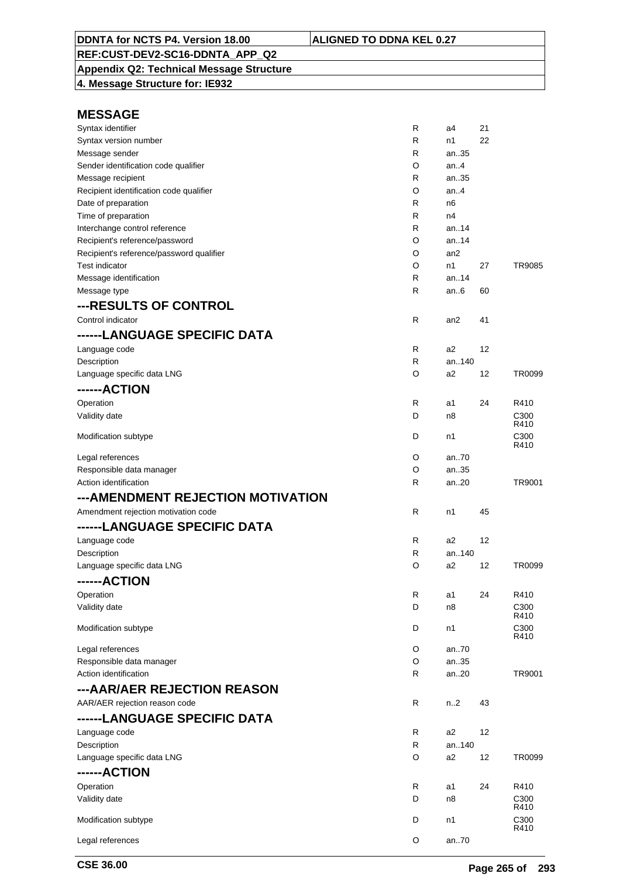**Appendix Q2: Technical Message Structure 4. Message Structure for: IE932**

| Syntax identifier                        | R            | a4              | 21 |                          |
|------------------------------------------|--------------|-----------------|----|--------------------------|
| Syntax version number                    | R            | n1              | 22 |                          |
| Message sender                           | R            | an35            |    |                          |
| Sender identification code qualifier     | O            | an.4            |    |                          |
| Message recipient                        | R            | an35            |    |                          |
| Recipient identification code qualifier  | O            | an.4            |    |                          |
| Date of preparation                      | R            | n6              |    |                          |
| Time of preparation                      | R            | n4              |    |                          |
| Interchange control reference            | R            | an.14           |    |                          |
| Recipient's reference/password           | O            | an14            |    |                          |
| Recipient's reference/password qualifier | O            | an <sub>2</sub> |    |                          |
| <b>Test indicator</b>                    | O            | n1              | 27 | TR9085                   |
| Message identification                   | R            | an.14           |    |                          |
| Message type                             | R            | an $6$          | 60 |                          |
|                                          |              |                 |    |                          |
| ---RESULTS OF CONTROL                    |              |                 |    |                          |
| Control indicator                        | R            | an2             | 41 |                          |
| ------LANGUAGE SPECIFIC DATA             |              |                 |    |                          |
| Language code                            | R            | a2              | 12 |                          |
| Description                              | $\mathsf{R}$ | an140           |    |                          |
| Language specific data LNG               | O            | a2              | 12 | TR0099                   |
| ------ACTION                             |              |                 |    |                          |
|                                          |              |                 |    |                          |
| Operation                                | R            | a1              | 24 | R410                     |
| Validity date                            | D            | n8              |    | C <sub>300</sub><br>R410 |
|                                          | D            | n1              |    | C300                     |
| Modification subtype                     |              |                 |    | R410                     |
| Legal references                         | O            | an70            |    |                          |
| Responsible data manager                 | O            | an35            |    |                          |
| Action identification                    | R            | an20            |    | TR9001                   |
| --- AMENDMENT REJECTION MOTIVATION       |              |                 |    |                          |
|                                          |              |                 |    |                          |
| Amendment rejection motivation code      | $\mathsf{R}$ | n1              | 45 |                          |
| ------LANGUAGE SPECIFIC DATA             |              |                 |    |                          |
| Language code                            | R            | a2              | 12 |                          |
| Description                              | R            | an140           |    |                          |
| Language specific data LNG               | O            | a2              | 12 | TR0099                   |
| ------ACTION                             |              |                 |    |                          |
|                                          |              |                 | 24 | R410                     |
| Operation                                | R            | a1              |    |                          |
| Validity date                            | D            | n8              |    | C300<br>R410             |
| Modification subtype                     | D            | n1              |    | C <sub>300</sub>         |
|                                          |              |                 |    | R410                     |
| Legal references                         | O            | an70            |    |                          |
| Responsible data manager                 | O            | an35            |    |                          |
| Action identification                    | R            | an20            |    | TR9001                   |
| ---AAR/AER REJECTION REASON              |              |                 |    |                          |
|                                          |              |                 |    |                          |
| AAR/AER rejection reason code            | R            | n.2             | 43 |                          |
| ------LANGUAGE SPECIFIC DATA             |              |                 |    |                          |
| Language code                            | R            | a2              | 12 |                          |
| Description                              | R            | an140           |    |                          |
| Language specific data LNG               | O            | a2              | 12 | TR0099                   |
| ------ACTION                             |              |                 |    |                          |
| Operation                                | R            | a1              | 24 | R410                     |
|                                          |              |                 |    |                          |
| Validity date                            | D            | n8              |    | C300<br>R410             |
| Modification subtype                     |              |                 |    |                          |
|                                          | D            | n1              |    | C300                     |
|                                          |              |                 |    | R410                     |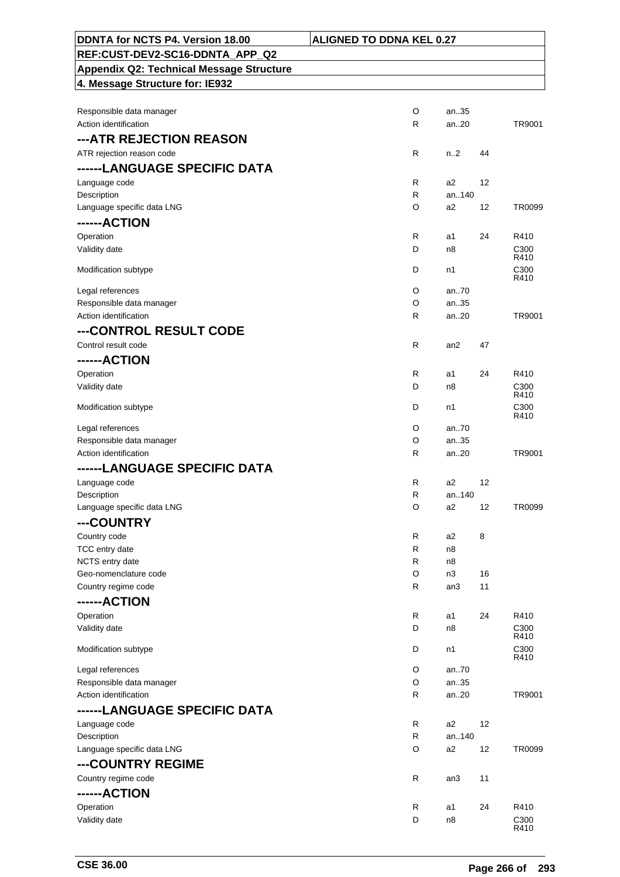| DDNTA for NCTS P4. Version 18.00                  | <b>ALIGNED TO DDNA KEL 0.27</b> |              |                          |
|---------------------------------------------------|---------------------------------|--------------|--------------------------|
| REF:CUST-DEV2-SC16-DDNTA_APP_Q2                   |                                 |              |                          |
| <b>Appendix Q2: Technical Message Structure</b>   |                                 |              |                          |
| 4. Message Structure for: IE932                   |                                 |              |                          |
|                                                   |                                 |              |                          |
| Responsible data manager                          | O                               | an35         |                          |
| Action identification                             | R                               | an20         | TR9001                   |
| ---ATR REJECTION REASON                           |                                 |              |                          |
| ATR rejection reason code                         | R<br>n <sub>1</sub> 2           | 44           |                          |
| ------LANGUAGE SPECIFIC DATA                      |                                 |              |                          |
| Language code<br>Description                      | R<br>a2<br>R                    | 12<br>an140  |                          |
| Language specific data LNG                        | O<br>a2                         | 12           | TR0099                   |
| ------ACTION                                      |                                 |              |                          |
| Operation                                         | R<br>a1                         | 24           | R410                     |
| Validity date                                     | D<br>n8                         |              | C <sub>300</sub>         |
| Modification subtype                              | D<br>n1                         |              | R410<br>C <sub>300</sub> |
|                                                   |                                 |              | R410                     |
| Legal references                                  | O                               | an70         |                          |
| Responsible data manager<br>Action identification | O<br>R                          | an35<br>an20 | TR9001                   |
|                                                   |                                 |              |                          |
| ---CONTROL RESULT CODE<br>Control result code     | R                               | 47           |                          |
|                                                   | an2                             |              |                          |
| ------ACTION<br>Operation                         | R<br>a1                         | 24           | R410                     |
| Validity date                                     | D<br>n8                         |              | C300                     |
|                                                   |                                 |              | R410                     |
| Modification subtype                              | D<br>n1                         |              | C <sub>300</sub><br>R410 |
| Legal references                                  | O                               | an70         |                          |
| Responsible data manager                          | O                               | an35         |                          |
| Action identification                             | R                               | an20         | TR9001                   |
| ------LANGUAGE SPECIFIC DATA                      |                                 |              |                          |
| Language code                                     | R<br>a2                         | 12           |                          |
| Description<br>Language specific data LNG         | R<br>O<br>a2                    | an140<br>12  | TR0099                   |
| ---COUNTRY                                        |                                 |              |                          |
| Country code                                      | R<br>a2                         | 8            |                          |
| TCC entry date                                    | R<br>n8                         |              |                          |
| NCTS entry date                                   | R<br>n8                         |              |                          |
| Geo-nomenclature code                             | O<br>n3                         | 16           |                          |
| Country regime code                               | R<br>an3                        | 11           |                          |
| ------ACTION                                      |                                 |              |                          |
| Operation                                         | R<br>a1                         | 24           | R410                     |
| Validity date                                     | D<br>n8                         |              | C <sub>300</sub><br>R410 |
| Modification subtype                              | D<br>n1                         |              | C300<br>R410             |
| Legal references                                  | O                               | an70         |                          |
| Responsible data manager                          | O                               | an35         |                          |
| Action identification                             | R                               | an20         | TR9001                   |
| ------LANGUAGE SPECIFIC DATA                      |                                 |              |                          |
| Language code                                     | R<br>a <sub>2</sub>             | 12           |                          |
| Description                                       | R                               | an140        |                          |
| Language specific data LNG                        | O<br>a <sub>2</sub>             | 12           | TR0099                   |
| ---COUNTRY REGIME                                 |                                 |              |                          |
| Country regime code                               | R<br>an3                        | 11           |                          |
| ------ACTION                                      |                                 |              |                          |
| Operation<br>Validity date                        | R<br>a1<br>D<br>n8              | 24           | R410<br>C300             |
|                                                   |                                 |              | R410                     |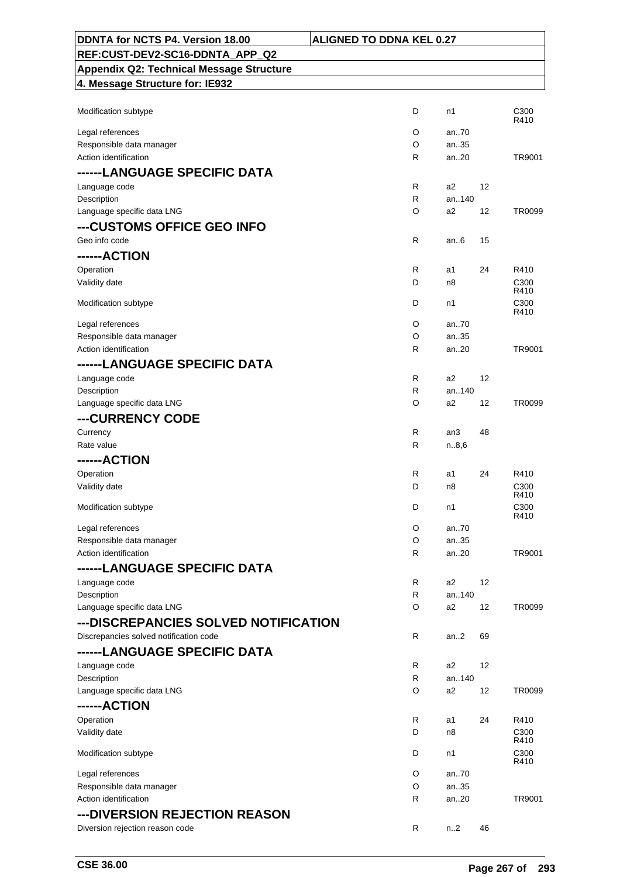| DDNTA for NCTS P4. Version 18.00                | <b>ALIGNED TO DDNA KEL 0.27</b> |                |    |                  |
|-------------------------------------------------|---------------------------------|----------------|----|------------------|
| REF:CUST-DEV2-SC16-DDNTA APP Q2                 |                                 |                |    |                  |
| <b>Appendix Q2: Technical Message Structure</b> |                                 |                |    |                  |
| 4. Message Structure for: IE932                 |                                 |                |    |                  |
|                                                 |                                 |                |    |                  |
| Modification subtype                            | D                               | n1             |    | C300             |
| Legal references                                | O                               | an70           |    | R410             |
| Responsible data manager                        | O                               | an35           |    |                  |
| Action identification                           | R                               | an20           |    | TR9001           |
| ------LANGUAGE SPECIFIC DATA                    |                                 |                |    |                  |
| Language code                                   | R                               | a2             | 12 |                  |
| Description                                     | R                               | an140          |    |                  |
| Language specific data LNG                      | O                               | a <sub>2</sub> | 12 | TR0099           |
| ---CUSTOMS OFFICE GEO INFO                      |                                 |                |    |                  |
| Geo info code                                   | R                               | an.6           | 15 |                  |
| ------ACTION                                    |                                 |                |    |                  |
| Operation                                       | R                               | a1             | 24 | R410             |
| Validity date                                   | D                               | n8             |    | C300             |
|                                                 |                                 |                |    | R410             |
| Modification subtype                            | D                               | n1             |    | C300<br>R410     |
| Legal references                                | O                               | an70           |    |                  |
| Responsible data manager                        | O                               | an35           |    |                  |
| Action identification                           | $\mathsf{R}$                    | an20           |    | TR9001           |
| ------LANGUAGE SPECIFIC DATA                    |                                 |                |    |                  |
| Language code                                   | R                               | a2             | 12 |                  |
| Description                                     | R                               | an140          |    |                  |
| Language specific data LNG                      | O                               | a2             | 12 | TR0099           |
| ---CURRENCY CODE                                |                                 |                |    |                  |
| Currency                                        | R                               | an3            | 48 |                  |
| Rate value                                      | R                               | n.8,6          |    |                  |
| ------ACTION                                    |                                 |                |    |                  |
| Operation                                       | R                               | a1             | 24 | R410             |
| Validity date                                   | D                               | n8             |    | C <sub>300</sub> |
| Modification subtype                            | D                               | n1             |    | R410<br>C300     |
|                                                 |                                 |                |    | R410             |
| Legal references                                | O                               | an70           |    |                  |
| Responsible data manager                        | O                               | an35           |    |                  |
| Action identification                           | R                               | an20           |    | TR9001           |
| ------LANGUAGE SPECIFIC DATA                    |                                 |                |    |                  |
| Language code                                   | R                               | a2             | 12 |                  |
| Description                                     | R                               | an140          |    |                  |
| Language specific data LNG                      | O                               | a2             | 12 | TR0099           |
| ---DISCREPANCIES SOLVED NOTIFICATION            |                                 |                |    |                  |
| Discrepancies solved notification code          | R                               | an2            | 69 |                  |
| ------LANGUAGE SPECIFIC DATA                    |                                 |                |    |                  |
| Language code                                   | R                               | a2             | 12 |                  |
| Description                                     | R                               | an140          |    |                  |
| Language specific data LNG                      | O                               | a2             | 12 | TR0099           |
| ------ACTION                                    |                                 |                |    |                  |
| Operation                                       | R                               | a1             | 24 | R410             |
| Validity date                                   | D                               | n8             |    | C300<br>R410     |
| Modification subtype                            | D                               | n1             |    | C300             |
|                                                 |                                 |                |    | R410             |
| Legal references                                | O                               | an70           |    |                  |
| Responsible data manager                        | O                               | an35           |    |                  |
| Action identification                           | R                               | an20           |    | TR9001           |
| --- DIVERSION REJECTION REASON                  |                                 |                |    |                  |
| Diversion rejection reason code                 | R                               | n.2            | 46 |                  |

 $\overline{\phantom{0}}$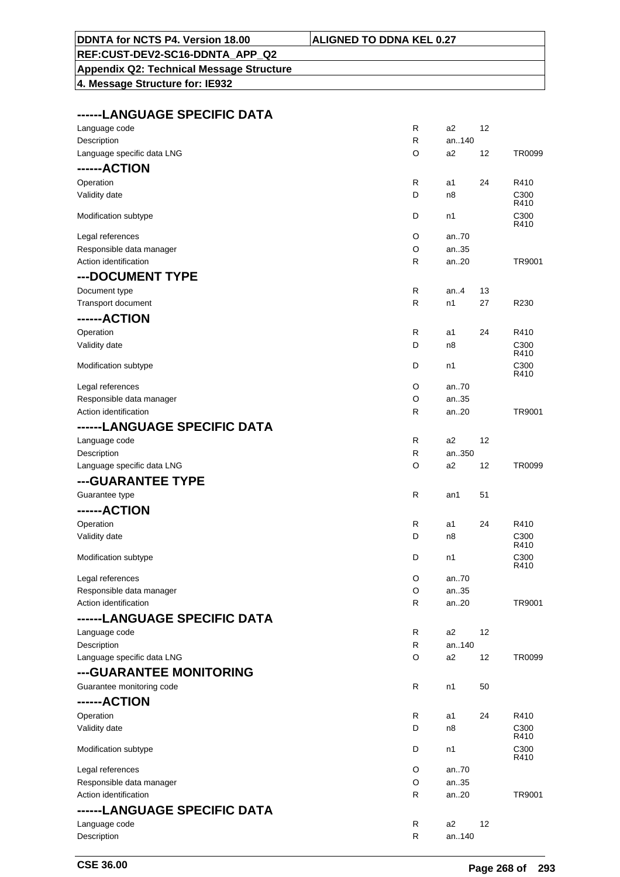|--|

#### **DDNTA for NCTS P4. Version 18.00 ALIGNATI REF:CUST-DEV2-SC16-DDNTA\_APP\_Q2**

# **Appendix Q2: Technical Message Structure**

**4. Message Structure for: IE932**

### **------LANGUAGE SPECIFIC DATA**

| Language code                | R            | a <sub>2</sub> | 12 |                          |
|------------------------------|--------------|----------------|----|--------------------------|
| Description                  | R            | an140          |    |                          |
| Language specific data LNG   | O            | a <sub>2</sub> | 12 | TR0099                   |
| ------ACTION                 |              |                |    |                          |
| Operation                    | R            | a1             | 24 | R410                     |
| Validity date                | D            | n <sub>8</sub> |    | C300                     |
|                              |              |                |    | R410                     |
| Modification subtype         | D            | n1             |    | C300                     |
|                              |              |                |    | R410                     |
| Legal references             | O            | an70           |    |                          |
| Responsible data manager     | O            | an35           |    |                          |
| Action identification        | R            | an20           |    | TR9001                   |
| --- DOCUMENT TYPE            |              |                |    |                          |
| Document type                | R            | an. $4$        | 13 |                          |
| Transport document           | R            | n1             | 27 | R230                     |
| ------ACTION                 |              |                |    |                          |
| Operation                    | R            | a1             | 24 | R410                     |
| Validity date                | D            | n8             |    | C300                     |
|                              |              |                |    | R410                     |
| Modification subtype         | D            | n1             |    | C300                     |
|                              |              |                |    | R410                     |
| Legal references             | O            | an70           |    |                          |
| Responsible data manager     | O            | an35           |    |                          |
| Action identification        | R            | an20           |    | TR9001                   |
| ------LANGUAGE SPECIFIC DATA |              |                |    |                          |
| Language code                | R            | a <sub>2</sub> | 12 |                          |
| Description                  | $\mathsf{R}$ | an350          |    |                          |
| Language specific data LNG   | O            | a <sub>2</sub> | 12 | <b>TR0099</b>            |
| ---GUARANTEE TYPE            |              |                |    |                          |
| Guarantee type               | $\mathsf{R}$ | an1            | 51 |                          |
| ------ACTION                 |              |                |    |                          |
|                              |              |                |    |                          |
| Operation                    | R<br>D       | a1             | 24 | R410                     |
| Validity date                |              | n8             |    | C <sub>300</sub><br>R410 |
| Modification subtype         | D            | n1             |    | C300                     |
|                              |              |                |    | R410                     |
| Legal references             | O            | an70           |    |                          |
| Responsible data manager     | $\Omega$     | an35           |    |                          |
| Action identification        | R            | an20           |    | TR9001                   |
| ------LANGUAGE SPECIFIC DATA |              |                |    |                          |
| Language code                | R            | a2             | 12 |                          |
| Description                  | R            | an140          |    |                          |
| Language specific data LNG   | O            | a2             | 12 | TR0099                   |
| ---GUARANTEE MONITORING      |              |                |    |                          |
| Guarantee monitoring code    | R            | n1             | 50 |                          |
|                              |              |                |    |                          |
| ------ACTION                 |              |                |    |                          |
| Operation                    | R            | a1             | 24 | R410                     |
| Validity date                | D            | n8             |    | C <sub>300</sub><br>R410 |
| Modification subtype         | D            | n1             |    | C300                     |
|                              |              |                |    | R410                     |
| Legal references             | O            | an70           |    |                          |
| Responsible data manager     | O            | an35           |    |                          |
| Action identification        | R            | an20           |    | TR9001                   |
| ------LANGUAGE SPECIFIC DATA |              |                |    |                          |
| Language code                | R            | a <sub>2</sub> | 12 |                          |
| Description                  | R            | an140          |    |                          |
|                              |              |                |    |                          |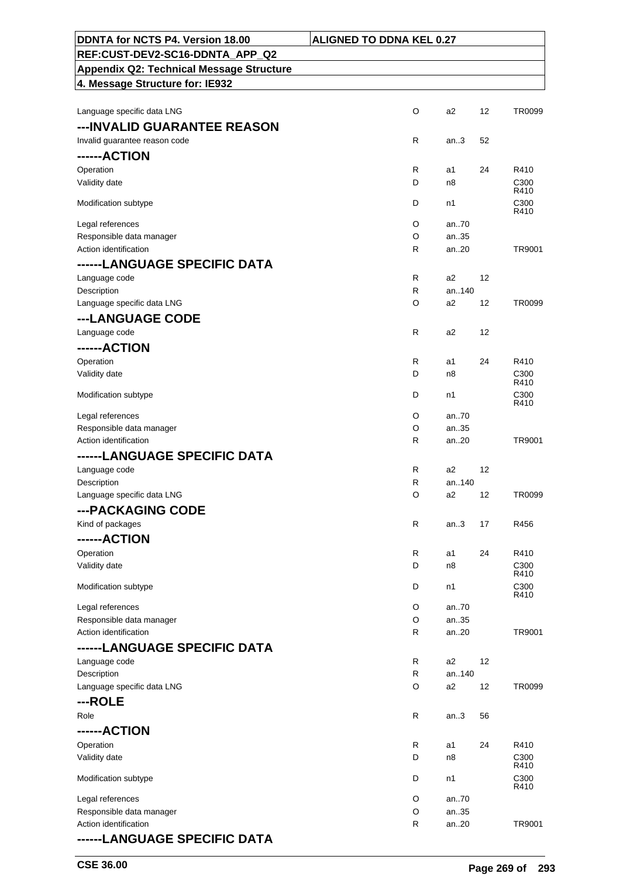| DDNTA for NCTS P4. Version 18.00                  | <b>ALIGNED TO DDNA KEL 0.27</b> |                         |    |                          |
|---------------------------------------------------|---------------------------------|-------------------------|----|--------------------------|
| REF:CUST-DEV2-SC16-DDNTA_APP_Q2                   |                                 |                         |    |                          |
| <b>Appendix Q2: Technical Message Structure</b>   |                                 |                         |    |                          |
| 4. Message Structure for: IE932                   |                                 |                         |    |                          |
| Language specific data LNG                        | O                               | a <sub>2</sub>          | 12 | TR0099                   |
|                                                   |                                 |                         |    |                          |
| ---INVALID GUARANTEE REASON                       | R                               |                         |    |                          |
| Invalid guarantee reason code                     |                                 | an.3                    | 52 |                          |
| ------ACTION                                      |                                 |                         |    |                          |
| Operation<br>Validity date                        | R<br>D                          | a1<br>n <sub>8</sub>    | 24 | R410<br>C <sub>300</sub> |
|                                                   |                                 |                         |    | R410                     |
| Modification subtype                              | D                               | n1                      |    | C300<br>R410             |
| Legal references                                  | O                               | an70                    |    |                          |
| Responsible data manager                          | O                               | an35                    |    |                          |
| Action identification                             | R                               | an20                    |    | TR9001                   |
| ------LANGUAGE SPECIFIC DATA                      |                                 |                         |    |                          |
| Language code                                     | $\mathsf{R}$                    | a2                      | 12 |                          |
| Description                                       | R.                              | an140                   |    |                          |
| Language specific data LNG                        | O                               | a2                      | 12 | TR0099                   |
| ---LANGUAGE CODE                                  |                                 |                         |    |                          |
| Language code                                     | R                               | a <sub>2</sub>          | 12 |                          |
| ------ACTION                                      |                                 |                         |    |                          |
| Operation                                         | R                               | a1                      | 24 | R410                     |
| Validity date                                     | D                               | n8                      |    | C <sub>300</sub><br>R410 |
| Modification subtype                              | D                               | n1                      |    | C <sub>300</sub><br>R410 |
| Legal references                                  | O                               | an70                    |    |                          |
| Responsible data manager                          | O                               | an35                    |    |                          |
| Action identification                             | R                               | an.20                   |    | TR9001                   |
| ------LANGUAGE SPECIFIC DATA                      |                                 |                         |    |                          |
| Language code                                     | R                               | a2                      | 12 |                          |
| Description                                       | R                               | an140                   |    |                          |
| Language specific data LNG                        | O                               | a2                      | 12 | TR0099                   |
| ---PACKAGING CODE                                 |                                 |                         |    |                          |
| Kind of packages                                  | R                               | an.3                    | 17 | R456                     |
| ------ACTION                                      |                                 |                         |    |                          |
| Operation                                         | R                               | a1                      | 24 | R410                     |
| Validity date                                     | D                               | n8                      |    | C <sub>300</sub><br>R410 |
| Modification subtype                              | D                               | n1                      |    | C300                     |
|                                                   |                                 |                         |    | R410                     |
| Legal references                                  | O                               | an.70                   |    |                          |
| Responsible data manager<br>Action identification | O<br>R                          | an35<br>an20            |    | TR9001                   |
|                                                   |                                 |                         |    |                          |
| ------LANGUAGE SPECIFIC DATA                      |                                 |                         |    |                          |
| Language code<br>Description                      | R<br>$\mathsf{R}$               | a <sub>2</sub><br>an140 | 12 |                          |
| Language specific data LNG                        | O                               | a <sub>2</sub>          | 12 | TR0099                   |
| ---ROLE                                           |                                 |                         |    |                          |
| Role                                              | R                               | an.3                    | 56 |                          |
| ------ACTION                                      |                                 |                         |    |                          |
| Operation                                         | R                               | a1                      | 24 | R410                     |
| Validity date                                     | D                               | n8                      |    | C <sub>300</sub>         |
|                                                   |                                 |                         |    | R410                     |
| Modification subtype                              | D                               | n1                      |    | C300<br>R410             |
| Legal references                                  | O                               | an70                    |    |                          |
| Responsible data manager                          | O                               | an35                    |    |                          |
| Action identification                             | R                               | an20                    |    | TR9001                   |
| ------LANGUAGE SPECIFIC DATA                      |                                 |                         |    |                          |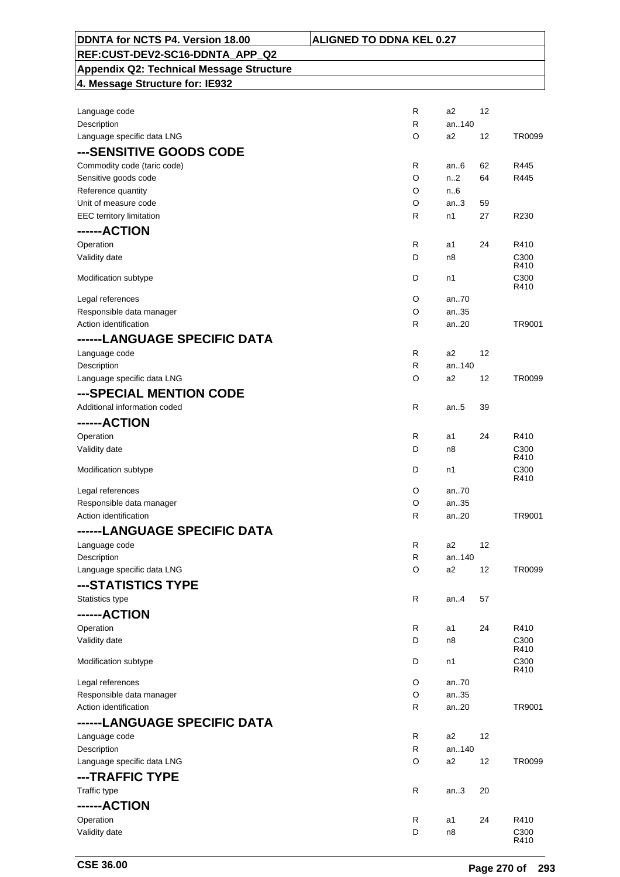| DDNTA for NCTS P4. Version 18.00                    | <b>ALIGNED TO DDNA KEL 0.27</b> |                |          |              |
|-----------------------------------------------------|---------------------------------|----------------|----------|--------------|
| REF:CUST-DEV2-SC16-DDNTA_APP_Q2                     |                                 |                |          |              |
| <b>Appendix Q2: Technical Message Structure</b>     |                                 |                |          |              |
| 4. Message Structure for: IE932                     |                                 |                |          |              |
|                                                     |                                 |                |          |              |
| Language code                                       | R                               | a2             | 12       |              |
| Description                                         | $\mathsf{R}$                    | an140          |          |              |
| Language specific data LNG                          | O                               | a2             | 12       | TR0099       |
| ---SENSITIVE GOODS CODE                             |                                 |                |          |              |
|                                                     |                                 |                |          |              |
| Commodity code (taric code)<br>Sensitive goods code | $\mathsf{R}$<br>O               | an $6$<br>n2   | 62<br>64 | R445<br>R445 |
| Reference quantity                                  | O                               | n.6            |          |              |
| Unit of measure code                                | O                               | an.3           | 59       |              |
| <b>EEC</b> territory limitation                     | $\mathsf{R}$                    | n1             | 27       | R230         |
| ------ACTION                                        |                                 |                |          |              |
|                                                     |                                 |                |          |              |
| Operation                                           | R                               | a1             | 24       | R410         |
| Validity date                                       | D                               | n8             |          | C300<br>R410 |
| Modification subtype                                | D                               | n1             |          | C300         |
|                                                     |                                 |                |          | R410         |
| Legal references                                    | O                               | an.70          |          |              |
| Responsible data manager                            | O                               | an35           |          |              |
| Action identification                               | R                               | an20           |          | TR9001       |
| ------LANGUAGE SPECIFIC DATA                        |                                 |                |          |              |
| Language code                                       | $\mathsf{R}$                    | a2             | 12       |              |
| Description                                         | $\mathsf{R}$                    | an140          |          |              |
| Language specific data LNG                          | O                               | a2             | 12       | TR0099       |
| ---SPECIAL MENTION CODE                             |                                 |                |          |              |
| Additional information coded                        | R                               | an.5           | 39       |              |
| ------ACTION                                        |                                 |                |          |              |
| Operation                                           | R                               | a1             | 24       | R410         |
| Validity date                                       | D                               | n8             |          | C300         |
|                                                     |                                 |                |          | R410         |
| Modification subtype                                | D                               | n1             |          | C300<br>R410 |
| Legal references                                    | O                               | an70           |          |              |
| Responsible data manager                            | O                               | an35           |          |              |
| Action identification                               | $\mathsf{R}$                    | an20           |          | TR9001       |
| ------LANGUAGE SPECIFIC DATA                        |                                 |                |          |              |
|                                                     |                                 |                |          |              |
| Language code                                       | R<br>R                          | a2<br>an140    | 12       |              |
| Description<br>Language specific data LNG           | O                               | a2             | 12       | TR0099       |
|                                                     |                                 |                |          |              |
| ---STATISTICS TYPE                                  |                                 |                |          |              |
| Statistics type                                     | R                               | an4            | 57       |              |
| ------ACTION                                        |                                 |                |          |              |
| Operation                                           | R                               | a1             | 24       | R410         |
| Validity date                                       | D                               | n8             |          | C300         |
|                                                     | D                               |                |          | R410<br>C300 |
| Modification subtype                                |                                 | n1             |          | R410         |
| Legal references                                    | O                               | an70           |          |              |
| Responsible data manager                            | O                               | an35           |          |              |
| Action identification                               | R                               | an20           |          | TR9001       |
| ------LANGUAGE SPECIFIC DATA                        |                                 |                |          |              |
| Language code                                       | R                               | a <sub>2</sub> | 12       |              |
| Description                                         | R                               | an140          |          |              |
| Language specific data LNG                          | O                               | a2             | 12       | TR0099       |
| ---TRAFFIC TYPE                                     |                                 |                |          |              |
| Traffic type                                        | R                               | an.3           | 20       |              |
|                                                     |                                 |                |          |              |
| ------ACTION                                        |                                 |                |          |              |
| Operation                                           | R                               | a1             | 24       | R410         |
| Validity date                                       | D                               | n8             |          | C300<br>R410 |
|                                                     |                                 |                |          |              |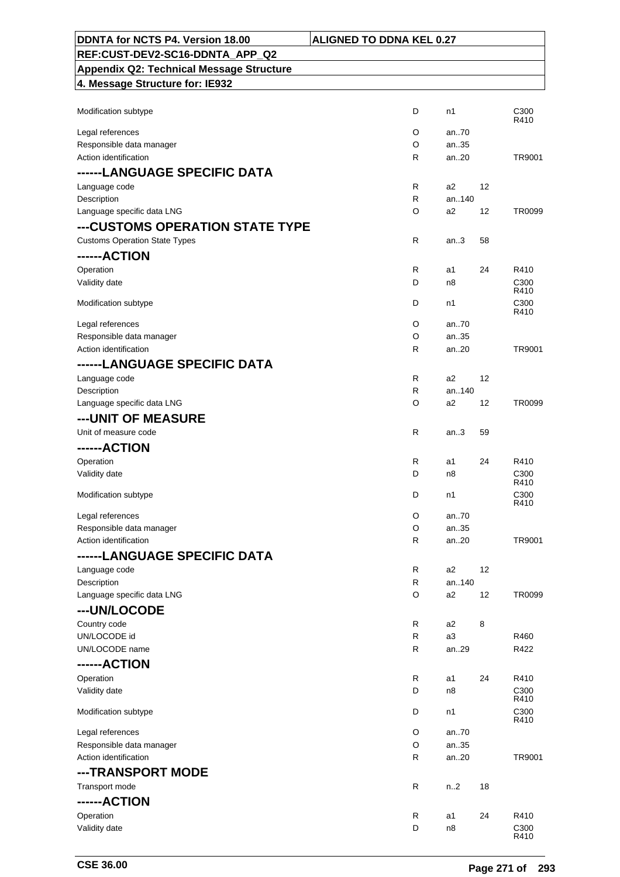| DDNTA for NCTS P4. Version 18.00                  | <b>ALIGNED TO DDNA KEL 0.27</b> |                |    |                          |
|---------------------------------------------------|---------------------------------|----------------|----|--------------------------|
| REF:CUST-DEV2-SC16-DDNTA APP Q2                   |                                 |                |    |                          |
| <b>Appendix Q2: Technical Message Structure</b>   |                                 |                |    |                          |
| 4. Message Structure for: IE932                   |                                 |                |    |                          |
|                                                   |                                 |                |    |                          |
| Modification subtype                              | D                               | n1             |    | C300<br>R410             |
| Legal references                                  | O                               | an70           |    |                          |
| Responsible data manager                          | O                               | an35           |    |                          |
| Action identification                             | R                               | an20           |    | TR9001                   |
| ------LANGUAGE SPECIFIC DATA                      |                                 |                |    |                          |
| Language code                                     | R                               | a2             | 12 |                          |
| Description                                       | R                               | an140          |    |                          |
| Language specific data LNG                        | O                               | a2             | 12 | TR0099                   |
| ---CUSTOMS OPERATION STATE TYPE                   |                                 |                |    |                          |
| <b>Customs Operation State Types</b>              | R                               | an.3           | 58 |                          |
| ------ACTION                                      |                                 |                |    |                          |
| Operation                                         | R                               | a1             | 24 | R410                     |
| Validity date                                     | D                               | n8             |    | C300<br>R410             |
| Modification subtype                              | D                               | n1             |    | C300                     |
|                                                   |                                 |                |    | R410                     |
| Legal references                                  | O                               | an70           |    |                          |
| Responsible data manager                          | O                               | an35           |    |                          |
| Action identification                             | $\mathsf{R}$                    | an20           |    | TR9001                   |
| ------LANGUAGE SPECIFIC DATA                      |                                 |                |    |                          |
| Language code                                     | R                               | a2             | 12 |                          |
| Description                                       | R                               | an140          |    |                          |
| Language specific data LNG                        | O                               | a2             | 12 | TR0099                   |
| ---UNIT OF MEASURE                                |                                 |                |    |                          |
| Unit of measure code                              | R                               | an.3           | 59 |                          |
| ------ACTION                                      |                                 |                |    |                          |
| Operation                                         | $\mathsf{R}$                    | a1             | 24 | R410                     |
| Validity date                                     | D                               | n8             |    | C <sub>300</sub><br>R410 |
| Modification subtype                              | D                               | n1             |    | C300                     |
|                                                   |                                 |                |    | R410                     |
| Legal references                                  | O                               | an70           |    |                          |
| Responsible data manager<br>Action identification | O<br>R                          | an35<br>an.20  |    | TR9001                   |
|                                                   |                                 |                |    |                          |
| ------LANGUAGE SPECIFIC DATA                      |                                 |                |    |                          |
| Language code<br>Description                      | R<br>$\mathsf{R}$               | a2<br>an140    | 12 |                          |
| Language specific data LNG                        | O                               | a2             | 12 | TR0099                   |
| ---UN/LOCODE                                      |                                 |                |    |                          |
| Country code                                      | R                               | a <sub>2</sub> | 8  |                          |
| UN/LOCODE id                                      | $\mathsf{R}$                    | a <sub>3</sub> |    | R460                     |
| UN/LOCODE name                                    | $\mathsf{R}$                    | an29           |    | R422                     |
| ------ACTION                                      |                                 |                |    |                          |
| Operation                                         | $\mathsf{R}$                    | a1             | 24 | R410                     |
| Validity date                                     | D                               | n8             |    | C300                     |
|                                                   |                                 |                |    | R410                     |
| Modification subtype                              | D                               | n1             |    | C300<br>R410             |
| Legal references                                  | O                               | an70           |    |                          |
| Responsible data manager                          | O                               | an35           |    |                          |
| Action identification                             | R                               | an20           |    | TR9001                   |
| ---TRANSPORT MODE                                 |                                 |                |    |                          |
| Transport mode                                    | $\mathsf{R}$                    | n.2            | 18 |                          |
| ------ACTION                                      |                                 |                |    |                          |
| Operation                                         | R                               | a1             | 24 | R410                     |
| Validity date                                     | D                               | n8             |    | C300<br>R410             |
|                                                   |                                 |                |    |                          |

 $\mathsf{r}$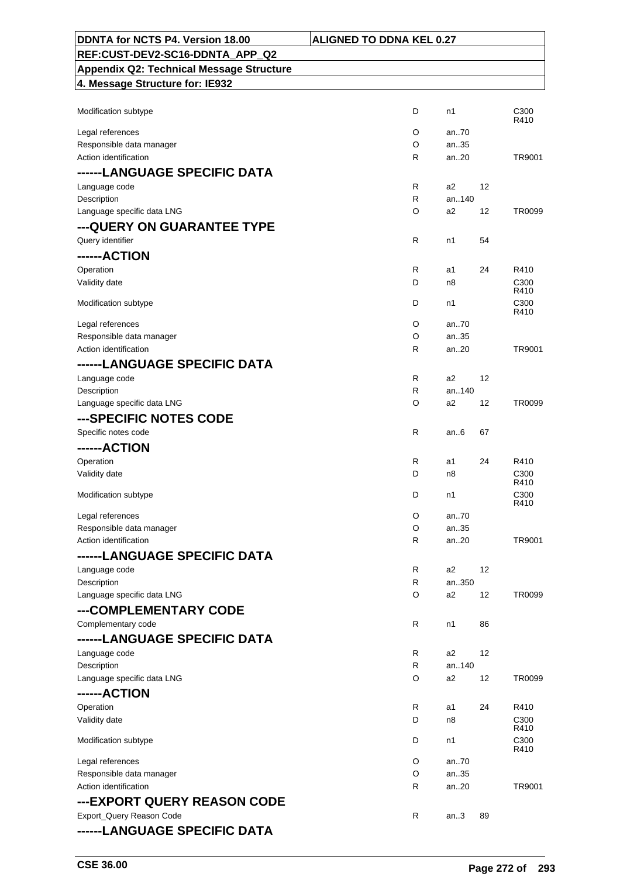| DDNTA for NCTS P4. Version 18.00                | <b>ALIGNED TO DDNA KEL 0.27</b> |    |                          |
|-------------------------------------------------|---------------------------------|----|--------------------------|
| REF:CUST-DEV2-SC16-DDNTA APP Q2                 |                                 |    |                          |
| <b>Appendix Q2: Technical Message Structure</b> |                                 |    |                          |
| 4. Message Structure for: IE932                 |                                 |    |                          |
|                                                 |                                 |    |                          |
| Modification subtype                            | D<br>n1                         |    | C <sub>300</sub>         |
|                                                 | O<br>an70                       |    | R410                     |
| Legal references<br>Responsible data manager    | O<br>an35                       |    |                          |
| Action identification                           | an.20<br>R                      |    | TR9001                   |
| ------LANGUAGE SPECIFIC DATA                    |                                 |    |                          |
| Language code                                   | R<br>a2                         | 12 |                          |
| Description                                     | an140<br>R                      |    |                          |
| Language specific data LNG                      | a2<br>O                         | 12 | TR0099                   |
| --- QUERY ON GUARANTEE TYPE                     |                                 |    |                          |
| Query identifier                                | R<br>n1                         | 54 |                          |
| ------ACTION                                    |                                 |    |                          |
|                                                 |                                 |    | R410                     |
| Operation<br>Validity date                      | R<br>a1<br>D<br>n8              | 24 | C <sub>300</sub>         |
|                                                 |                                 |    | R410                     |
| Modification subtype                            | D<br>n1                         |    | C <sub>300</sub>         |
|                                                 | O<br>an70                       |    | R410                     |
| Legal references<br>Responsible data manager    | O<br>an35                       |    |                          |
| Action identification                           | R<br>an20                       |    | TR9001                   |
| ------LANGUAGE SPECIFIC DATA                    |                                 |    |                          |
| Language code                                   | R<br>a2                         | 12 |                          |
| Description                                     | an140<br>R                      |    |                          |
| Language specific data LNG                      | O<br>a2                         | 12 | TR0099                   |
| ---SPECIFIC NOTES CODE                          |                                 |    |                          |
| Specific notes code                             | R<br>an.6                       | 67 |                          |
| ------ACTION                                    |                                 |    |                          |
|                                                 |                                 |    |                          |
| Operation<br>Validity date                      | R<br>a1<br>D<br>n8              | 24 | R410<br>C300             |
|                                                 |                                 |    | R410                     |
| Modification subtype                            | D<br>n1                         |    | C <sub>300</sub>         |
| Legal references                                | O<br>an70                       |    | R410                     |
| Responsible data manager                        | O<br>an35                       |    |                          |
| Action identification                           | R<br>an20                       |    | TR9001                   |
| ------LANGUAGE SPECIFIC DATA                    |                                 |    |                          |
| Language code                                   | R<br>a2                         | 12 |                          |
| Description                                     | R<br>an350                      |    |                          |
| Language specific data LNG                      | O<br>a2                         | 12 | TR0099                   |
| ---COMPLEMENTARY CODE                           |                                 |    |                          |
| Complementary code                              | R<br>n1                         | 86 |                          |
| ------LANGUAGE SPECIFIC DATA                    |                                 |    |                          |
| Language code                                   | R<br>a2                         | 12 |                          |
| Description                                     | R<br>an140                      |    |                          |
| Language specific data LNG                      | O<br>a2                         | 12 | TR0099                   |
| ------ACTION                                    |                                 |    |                          |
| Operation                                       | R<br>a1                         | 24 | R410                     |
| Validity date                                   | D<br>n8                         |    | C <sub>300</sub>         |
|                                                 |                                 |    | R410                     |
| Modification subtype                            | D<br>n1                         |    | C <sub>300</sub><br>R410 |
| Legal references                                | O<br>an70                       |    |                          |
| Responsible data manager                        | O<br>an35                       |    |                          |
| Action identification                           | R<br>an20                       |    | TR9001                   |
| ---EXPORT QUERY REASON CODE                     |                                 |    |                          |
| Export_Query Reason Code                        | R<br>an.3                       | 89 |                          |
| ------LANGUAGE SPECIFIC DATA                    |                                 |    |                          |
|                                                 |                                 |    |                          |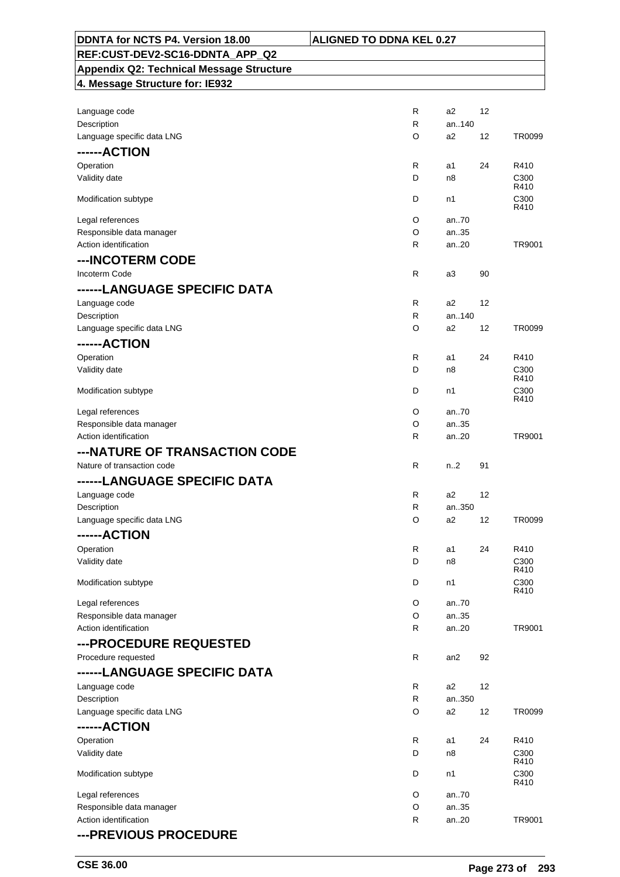| DDNTA for NCTS P4. Version 18.00                  | <b>ALIGNED TO DDNA KEL 0.27</b> |                |    |                          |
|---------------------------------------------------|---------------------------------|----------------|----|--------------------------|
| REF:CUST-DEV2-SC16-DDNTA APP Q2                   |                                 |                |    |                          |
| <b>Appendix Q2: Technical Message Structure</b>   |                                 |                |    |                          |
| 4. Message Structure for: IE932                   |                                 |                |    |                          |
|                                                   |                                 |                |    |                          |
| Language code                                     | R                               | a2             | 12 |                          |
| Description                                       | R                               | an140          |    |                          |
| Language specific data LNG                        | O                               | a2             | 12 | TR0099                   |
| ------ACTION                                      |                                 |                |    |                          |
| Operation                                         | R                               | a1             | 24 | R410                     |
| Validity date                                     | D                               | n8             |    | C300<br>R410             |
| Modification subtype                              | D                               | n1             |    | C300                     |
|                                                   |                                 |                |    | R410                     |
| Legal references                                  | O                               | an.70          |    |                          |
| Responsible data manager                          | O                               | an35           |    |                          |
| Action identification                             | R                               | an.20          |    | TR9001                   |
| ---INCOTERM CODE                                  |                                 |                |    |                          |
| Incoterm Code                                     | R                               | a3             | 90 |                          |
| ------LANGUAGE SPECIFIC DATA                      |                                 |                |    |                          |
| Language code                                     | R                               | a2             | 12 |                          |
| Description                                       | R                               | an140          |    |                          |
| Language specific data LNG                        | O                               | a2             | 12 | TR0099                   |
| ------ACTION                                      |                                 |                |    |                          |
| Operation                                         | R                               | a1             | 24 | R410                     |
| Validity date                                     | D                               | n8             |    | C <sub>300</sub><br>R410 |
| Modification subtype                              | D                               | n1             |    | C300                     |
|                                                   |                                 |                |    | R410                     |
| Legal references                                  | O                               | an.70          |    |                          |
| Responsible data manager<br>Action identification | O<br>R                          | an35<br>an20   |    | TR9001                   |
| ---NATURE OF TRANSACTION CODE                     |                                 |                |    |                          |
|                                                   | R                               | n.2            |    |                          |
| Nature of transaction code                        |                                 |                | 91 |                          |
| ------LANGUAGE SPECIFIC DATA                      |                                 |                |    |                          |
| Language code<br>Description                      | R<br>R                          | a2<br>an350    | 12 |                          |
| Language specific data LNG                        | O                               | a2             | 12 | TR0099                   |
| ------ACTION                                      |                                 |                |    |                          |
|                                                   | R                               | a1             | 24 | R410                     |
| Operation<br>Validity date                        | D                               | n8             |    | C300                     |
|                                                   |                                 |                |    | R410                     |
| Modification subtype                              | D                               | n1             |    | C300<br>R410             |
| Legal references                                  | O                               | an70           |    |                          |
| Responsible data manager                          | O                               | an35           |    |                          |
| Action identification                             | R                               | an20           |    | TR9001                   |
| ---PROCEDURE REQUESTED                            |                                 |                |    |                          |
| Procedure requested                               | R                               | an2            | 92 |                          |
| ------LANGUAGE SPECIFIC DATA                      |                                 |                |    |                          |
| Language code                                     | R                               | a2             | 12 |                          |
| Description                                       | R                               | an350          |    |                          |
| Language specific data LNG                        | O                               | a <sub>2</sub> | 12 | TR0099                   |
| ------ACTION                                      |                                 |                |    |                          |
| Operation                                         | R                               | a1             | 24 | R410                     |
| Validity date                                     | D                               | n8             |    | C300                     |
|                                                   |                                 |                |    | R410                     |
| Modification subtype                              | D                               | n1             |    | C300<br>R410             |
| Legal references                                  | O                               | an70           |    |                          |
| Responsible data manager                          | O                               | an35           |    |                          |
| Action identification                             | R                               | an20           |    | TR9001                   |
| --- PREVIOUS PROCEDURE                            |                                 |                |    |                          |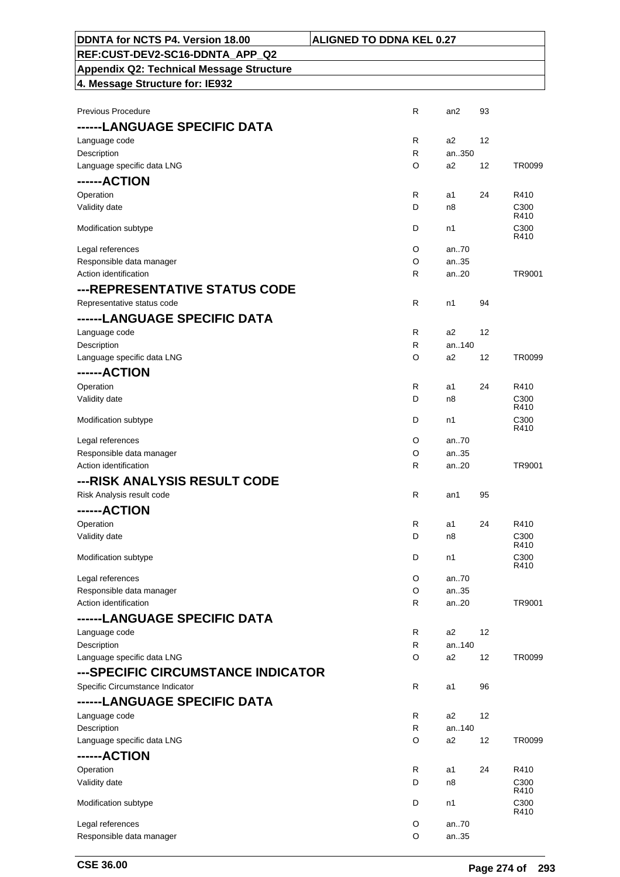| <b>\LIGNED TO DDNA KEL 0.27</b> |
|---------------------------------|
|---------------------------------|

#### **DDNTA for NCTS P4. Version 18.00 ALIGNATI REF:CUST-DEV2-SC16-DDNTA\_APP\_Q2 Appendix Q2: Technical Message Structure**

| Previous Procedure                           | R | an2   | 93 |                          |
|----------------------------------------------|---|-------|----|--------------------------|
| ------LANGUAGE SPECIFIC DATA                 |   |       |    |                          |
| Language code                                | R | a2    | 12 |                          |
| Description                                  | R | an350 |    |                          |
| Language specific data LNG                   | O | a2    | 12 | TR0099                   |
| ------ACTION                                 |   |       |    |                          |
| Operation                                    | R | a1    | 24 | R410                     |
| Validity date                                | D | n8    |    | C300                     |
|                                              |   |       |    | R410                     |
| Modification subtype                         | D | n1    |    | C300                     |
|                                              | O | an70  |    | R410                     |
| Legal references<br>Responsible data manager | O | an35  |    |                          |
| Action identification                        | R | an20  |    | TR9001                   |
|                                              |   |       |    |                          |
| ---REPRESENTATIVE STATUS CODE                |   |       |    |                          |
| Representative status code                   | R | n1    | 94 |                          |
| ------LANGUAGE SPECIFIC DATA                 |   |       |    |                          |
| Language code                                | R | a2    | 12 |                          |
| Description                                  | R | an140 |    |                          |
| Language specific data LNG                   | O | a2    | 12 | TR0099                   |
| ------ACTION                                 |   |       |    |                          |
| Operation                                    | R | a1    | 24 | R410                     |
| Validity date                                | D | n8    |    | C <sub>300</sub>         |
|                                              |   |       |    | R410                     |
| Modification subtype                         | D | n1    |    | C <sub>300</sub><br>R410 |
| Legal references                             | O | an70  |    |                          |
| Responsible data manager                     | O | an35  |    |                          |
| Action identification                        | R | an20  |    | TR9001                   |
| ---RISK ANALYSIS RESULT CODE                 |   |       |    |                          |
| Risk Analysis result code                    | R | an1   | 95 |                          |
|                                              |   |       |    |                          |
| ------ACTION                                 |   |       |    |                          |
| Operation                                    | R | a1    | 24 | R410                     |
| Validity date                                | D | n8    |    | C <sub>300</sub><br>R410 |
| Modification subtype                         | D | n1    |    | C <sub>300</sub>         |
|                                              |   |       |    | R410                     |
| Legal references                             | O | an70  |    |                          |
| Responsible data manager                     | O | an35  |    |                          |
| Action identification                        | R | an20  |    | TR9001                   |
| ------LANGUAGE SPECIFIC DATA                 |   |       |    |                          |
| Language code                                | R | a2    | 12 |                          |
| Description                                  | R | an140 |    |                          |
| Language specific data LNG                   | O | a2    | 12 | TR0099                   |
| ---SPECIFIC CIRCUMSTANCE INDICATOR           |   |       |    |                          |
| Specific Circumstance Indicator              | R | a1    | 96 |                          |
| ------LANGUAGE SPECIFIC DATA                 |   |       |    |                          |
| Language code                                | R | a2    | 12 |                          |
| Description                                  | R | an140 |    |                          |
| Language specific data LNG                   | O | a2    | 12 | TR0099                   |
| ------ACTION                                 |   |       |    |                          |
| Operation                                    | R | a1    | 24 | R410                     |
| Validity date                                | D | n8    |    | C300                     |
|                                              |   |       |    | R410                     |
| Modification subtype                         | D | n1    |    | C300                     |
|                                              |   |       |    | R410                     |
| Legal references                             | O | an70  |    |                          |
| Responsible data manager                     | O | an35  |    |                          |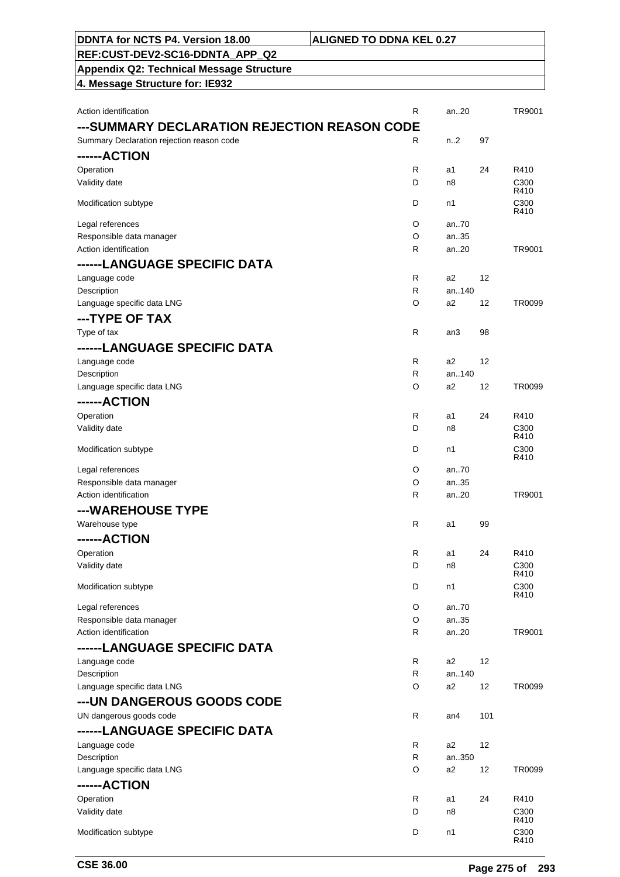| ---SUMMARY DECLARATION REJECTION REASON CODE |                              |                         |     |               |
|----------------------------------------------|------------------------------|-------------------------|-----|---------------|
| Summary Declaration rejection reason code    | R                            | n.2                     | 97  |               |
| ------ACTION                                 |                              |                         |     |               |
| Operation                                    | R                            | a1                      | 24  | R410          |
| Validity date                                | D                            | n8                      |     | C300<br>R410  |
| Modification subtype                         | D                            | n1                      |     | C300          |
|                                              |                              |                         |     | R410          |
| Legal references                             | O                            | an70                    |     |               |
| Responsible data manager                     | O                            | an35                    |     |               |
| Action identification                        | R                            | an20                    |     | TR9001        |
| ------LANGUAGE SPECIFIC DATA                 |                              |                         |     |               |
| Language code                                | $\mathsf{R}$<br>$\mathsf{R}$ | a2<br>an140             | 12  |               |
| Description<br>Language specific data LNG    | O                            | a2                      | 12  | <b>TR0099</b> |
|                                              |                              |                         |     |               |
| ---TYPE OF TAX                               |                              |                         |     |               |
| Type of tax                                  | R                            | an3                     | 98  |               |
| ------LANGUAGE SPECIFIC DATA                 |                              |                         |     |               |
| Language code                                | $\mathsf{R}$                 | a <sub>2</sub><br>an140 | 12  |               |
| Description<br>Language specific data LNG    | R<br>O                       | a2                      | 12  | <b>TR0099</b> |
|                                              |                              |                         |     |               |
| ------ACTION                                 |                              |                         |     |               |
| Operation<br>Validity date                   | R<br>D                       | a1<br>n8                | 24  | R410<br>C300  |
|                                              |                              |                         |     | R410          |
| Modification subtype                         | D                            | n1                      |     | C300          |
| Legal references                             | O                            | an70                    |     | R410          |
| Responsible data manager                     | O                            | an35                    |     |               |
| Action identification                        | R                            | an20                    |     | TR9001        |
| ---WAREHOUSE TYPE                            |                              |                         |     |               |
| Warehouse type                               | R                            | a1                      | 99  |               |
| ------ACTION                                 |                              |                         |     |               |
| Operation                                    | R                            | a1                      | 24  | R410          |
| Validity date                                | D                            | n8                      |     | C300          |
|                                              |                              |                         |     | R410          |
| Modification subtype                         | D                            | n1                      |     | C300<br>R410  |
| Legal references                             | O                            | an70                    |     |               |
| Responsible data manager                     | O                            | an35                    |     |               |
| Action identification                        | R                            | an20                    |     | TR9001        |
| ------LANGUAGE SPECIFIC DATA                 |                              |                         |     |               |
| Language code                                | R                            | a2                      | 12  |               |
| Description                                  | R                            | an140                   |     |               |
| Language specific data LNG                   | O                            | a2                      | 12  | <b>TR0099</b> |
| --- UN DANGEROUS GOODS CODE                  |                              |                         |     |               |
| UN dangerous goods code                      | $\mathsf{R}$                 | an4                     | 101 |               |
| ------LANGUAGE SPECIFIC DATA                 |                              |                         |     |               |
| Language code                                | R                            | a2                      | 12  |               |
| Description                                  | R.                           | an350                   |     |               |
| Language specific data LNG                   | O                            | a <sub>2</sub>          | 12  | TR0099        |
| ------ACTION                                 |                              |                         |     |               |
| Operation                                    | R                            | a1                      | 24  | R410          |
| Validity date                                | D                            | n8                      |     | C300<br>R410  |
| Modification subtype                         | D                            | n1                      |     | C300<br>R410  |

Action identification **Action** is a control of the control of the control of the control of the control of the control of the control of the control of the control of the control of the control of the control of the contro

**DDNTA for NCTS P4. Version 18.00 ALIGNED TO DDNA KEL 0.27**

**REF:CUST-DEV2-SC16-DDNTA\_APP\_Q2 Appendix Q2: Technical Message Structure**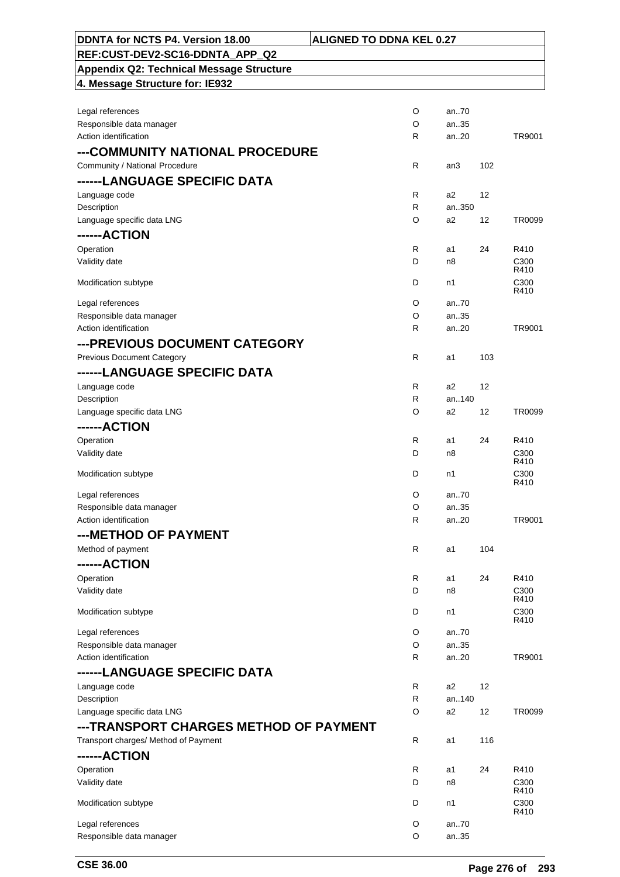| DDNTA for NCTS P4. Version 18.00                | <b>ALIGNED TO DDNA KEL 0.27</b> |       |     |                          |
|-------------------------------------------------|---------------------------------|-------|-----|--------------------------|
| REF:CUST-DEV2-SC16-DDNTA APP Q2                 |                                 |       |     |                          |
| <b>Appendix Q2: Technical Message Structure</b> |                                 |       |     |                          |
| 4. Message Structure for: IE932                 |                                 |       |     |                          |
|                                                 |                                 |       |     |                          |
| Legal references                                | O                               | an70  |     |                          |
| Responsible data manager                        | O                               | an35  |     |                          |
| Action identification                           | R                               | an20  |     | TR9001                   |
| ---COMMUNITY NATIONAL PROCEDURE                 |                                 |       |     |                          |
| Community / National Procedure                  | R                               | an3   | 102 |                          |
| ------LANGUAGE SPECIFIC DATA                    |                                 |       |     |                          |
| Language code                                   | R                               | a2    | 12  |                          |
| Description                                     | R                               | an350 |     |                          |
| Language specific data LNG                      | O                               | a2    | 12  | TR0099                   |
| ------ACTION                                    |                                 |       |     |                          |
| Operation                                       | $\mathsf{R}$                    | a1    | 24  | R410                     |
| Validity date                                   | D                               | n8    |     | C <sub>300</sub>         |
|                                                 |                                 |       |     | R410                     |
| Modification subtype                            | D                               | n1    |     | C300<br>R410             |
| Legal references                                | O                               | an70  |     |                          |
| Responsible data manager                        | O                               | an35  |     |                          |
| Action identification                           | R                               | an20  |     | TR9001                   |
| ---PREVIOUS DOCUMENT CATEGORY                   |                                 |       |     |                          |
| <b>Previous Document Category</b>               | R                               |       | 103 |                          |
|                                                 |                                 | a1    |     |                          |
| ------LANGUAGE SPECIFIC DATA                    |                                 |       |     |                          |
| Language code                                   | $\mathsf{R}$                    | a2    | 12  |                          |
| Description                                     | $\mathsf{R}$                    | an140 |     |                          |
| Language specific data LNG                      | O                               | a2    | 12  | TR0099                   |
| ------ACTION                                    |                                 |       |     |                          |
| Operation                                       | R                               | a1    | 24  | R410                     |
| Validity date                                   | D                               | n8    |     | C <sub>300</sub><br>R410 |
| Modification subtype                            | D                               | n1    |     | C <sub>300</sub>         |
|                                                 |                                 |       |     | R410                     |
| Legal references                                | O                               | an70  |     |                          |
| Responsible data manager                        | $\circ$                         | an35  |     |                          |
| Action identification                           | R                               | an20  |     | TR9001                   |
| ---METHOD OF PAYMENT                            |                                 |       |     |                          |
| Method of payment                               | $\mathsf{R}$                    | a1    | 104 |                          |
| ------ACTION                                    |                                 |       |     |                          |
| Operation                                       | R                               | a1    | 24  | R410                     |
| Validity date                                   | D                               | n8    |     | C <sub>300</sub>         |
|                                                 |                                 |       |     | R410                     |
| Modification subtype                            | D                               | n1    |     | C300<br>R410             |
| Legal references                                | O                               | an70  |     |                          |
| Responsible data manager                        | O                               | an35  |     |                          |
| Action identification                           | R                               | an20  |     | TR9001                   |
| ------LANGUAGE SPECIFIC DATA                    |                                 |       |     |                          |
| Language code                                   | $\mathsf{R}$                    | a2    | 12  |                          |
| Description                                     | R                               | an140 |     |                          |
| Language specific data LNG                      | O                               | a2    | 12  | TR0099                   |
| ---TRANSPORT CHARGES METHOD OF PAYMENT          |                                 |       |     |                          |
| Transport charges/ Method of Payment            | $\mathsf{R}$                    | a1    | 116 |                          |
|                                                 |                                 |       |     |                          |
| ------ACTION                                    |                                 |       |     |                          |
| Operation                                       | R                               | a1    | 24  | R410                     |
| Validity date                                   | D                               | n8    |     | C <sub>300</sub><br>R410 |
| Modification subtype                            | D                               | n1    |     | C <sub>300</sub>         |
|                                                 |                                 |       |     | R410                     |
| Legal references                                | O                               | an70  |     |                          |
| Responsible data manager                        | O                               | an35  |     |                          |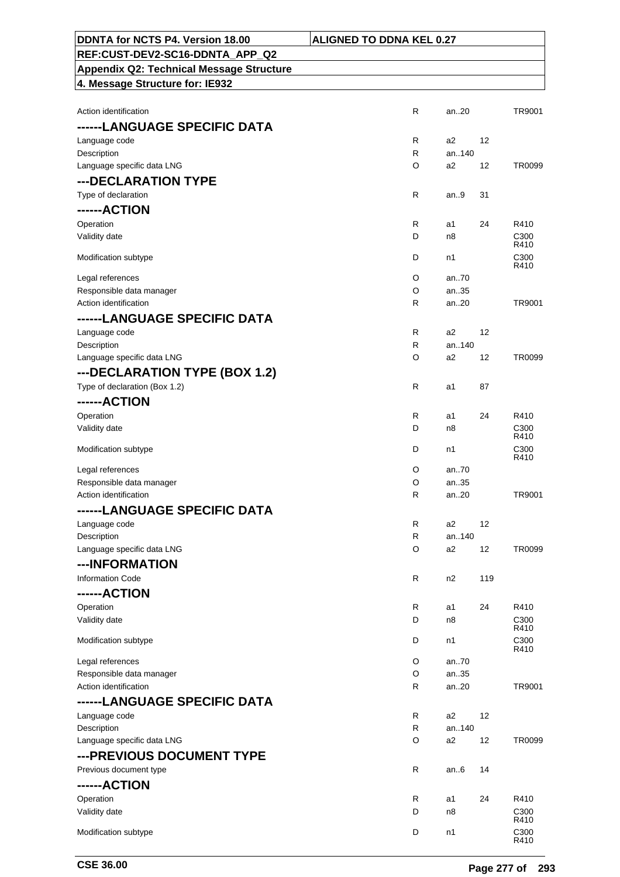| DDNTA for NCTS P4. Version 18.00                  | <b>ALIGNED TO DDNA KEL 0.27</b>  |     |                          |
|---------------------------------------------------|----------------------------------|-----|--------------------------|
| REF:CUST-DEV2-SC16-DDNTA_APP_Q2                   |                                  |     |                          |
| Appendix Q2: Technical Message Structure          |                                  |     |                          |
| 4. Message Structure for: IE932                   |                                  |     |                          |
|                                                   |                                  |     |                          |
| Action identification                             | $\mathsf{R}$<br>an20             |     | TR9001                   |
| ------LANGUAGE SPECIFIC DATA                      |                                  |     |                          |
| Language code                                     | R<br>a2                          | 12  |                          |
| Description                                       | R<br>an140                       |     |                          |
| Language specific data LNG                        | O<br>a <sub>2</sub>              | 12  | TR0099                   |
| ---DECLARATION TYPE                               |                                  |     |                          |
| Type of declaration                               | R<br>an9                         | 31  |                          |
| ------ACTION                                      |                                  |     |                          |
| Operation                                         | $\mathsf{R}$<br>a1               | 24  | R410                     |
| Validity date                                     | D<br>n8                          |     | C <sub>300</sub><br>R410 |
| Modification subtype                              | D<br>n1                          |     | C <sub>300</sub>         |
|                                                   |                                  |     | R410                     |
| Legal references                                  | O<br>an70                        |     |                          |
| Responsible data manager<br>Action identification | O<br>an.35<br>R<br>an20          |     | TR9001                   |
|                                                   |                                  |     |                          |
| ------LANGUAGE SPECIFIC DATA                      |                                  |     |                          |
| Language code<br>Description                      | R<br>a2<br>$\mathsf{R}$<br>an140 | 12  |                          |
| Language specific data LNG                        | O<br>a2                          | 12  | TR0099                   |
| ---DECLARATION TYPE (BOX 1.2)                     |                                  |     |                          |
| Type of declaration (Box 1.2)                     | $\mathsf{R}$<br>a1               | 87  |                          |
|                                                   |                                  |     |                          |
| ------ACTION                                      |                                  |     |                          |
| Operation<br>Validity date                        | R<br>a1<br>D<br>n8               | 24  | R410<br>C <sub>300</sub> |
|                                                   |                                  |     | R410                     |
| Modification subtype                              | D<br>n1                          |     | C300                     |
| Legal references                                  | O<br>an70                        |     | R410                     |
| Responsible data manager                          | O<br>an35                        |     |                          |
| Action identification                             | R<br>an20                        |     | TR9001                   |
| ------LANGUAGE SPECIFIC DATA                      |                                  |     |                          |
| Language code                                     | $\mathsf{R}$<br>a2               | 12  |                          |
| Description                                       | $\mathsf R$<br>an140             |     |                          |
| Language specific data LNG                        | O<br>a2                          | 12  | TR0099                   |
| ---INFORMATION                                    |                                  |     |                          |
| <b>Information Code</b>                           | $\mathsf{R}$<br>n2               | 119 |                          |
| ------ACTION                                      |                                  |     |                          |
| Operation                                         | $\mathsf{R}$<br>a1               | 24  | R410                     |
| Validity date                                     | D<br>n8                          |     | C <sub>300</sub>         |
|                                                   |                                  |     | R410                     |
| Modification subtype                              | D<br>n1                          |     | C300<br>R410             |
| Legal references                                  | O<br>an70                        |     |                          |
| Responsible data manager                          | O<br>an35                        |     |                          |
| Action identification                             | an20<br>R                        |     | TR9001                   |
| ------LANGUAGE SPECIFIC DATA                      |                                  |     |                          |
| Language code                                     | $\mathsf R$<br>a2                | 12  |                          |
| Description                                       | $\mathsf{R}$<br>an140            |     |                          |
| Language specific data LNG                        | O<br>a2                          | 12  | TR0099                   |
| --- PREVIOUS DOCUMENT TYPE                        |                                  |     |                          |
| Previous document type                            | $\mathsf{R}$<br>an $6$           | 14  |                          |
| ------ACTION                                      |                                  |     |                          |
| Operation                                         | R<br>a1                          | 24  | R410                     |
| Validity date                                     | D<br>n8                          |     | C <sub>300</sub>         |
|                                                   |                                  |     | R410                     |
| Modification subtype                              | D<br>n1                          |     | C300<br>R410             |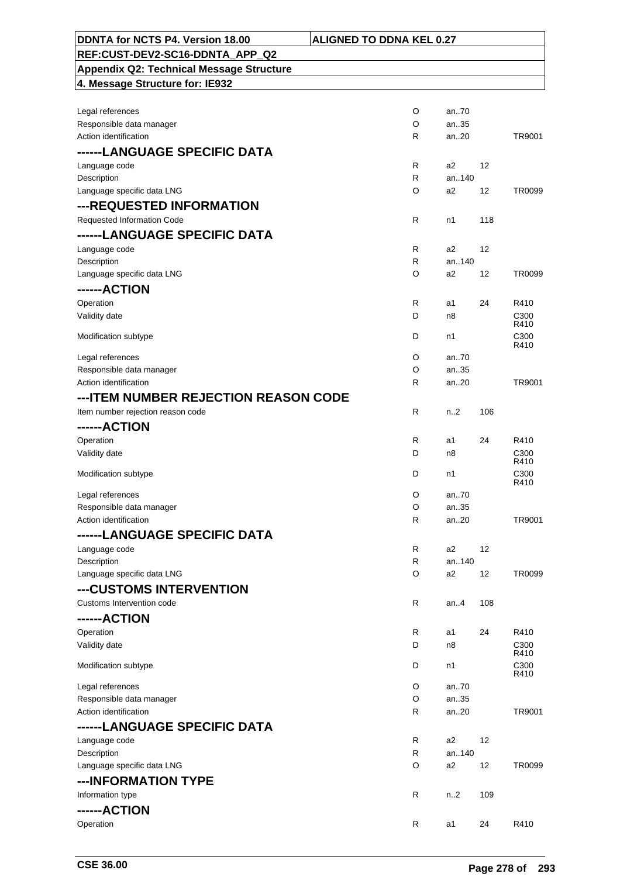| <b>DDNTA for NCTS P4. Version 18.00</b>         | <b>ALIGNED TO DDNA KEL 0.27</b> |                         |     |                          |
|-------------------------------------------------|---------------------------------|-------------------------|-----|--------------------------|
| REF:CUST-DEV2-SC16-DDNTA APP Q2                 |                                 |                         |     |                          |
| <b>Appendix Q2: Technical Message Structure</b> |                                 |                         |     |                          |
| 4. Message Structure for: IE932                 |                                 |                         |     |                          |
|                                                 |                                 |                         |     |                          |
| Legal references                                | O                               | an70                    |     |                          |
| Responsible data manager                        | O                               | an35                    |     |                          |
| Action identification                           | R                               | an20                    |     | TR9001                   |
| ------LANGUAGE SPECIFIC DATA                    |                                 |                         |     |                          |
|                                                 | R                               | a2                      | 12  |                          |
| Language code<br>Description                    | R                               | an140                   |     |                          |
| Language specific data LNG                      | O                               | a <sub>2</sub>          | 12  | TR0099                   |
|                                                 |                                 |                         |     |                          |
| ---REQUESTED INFORMATION                        |                                 |                         |     |                          |
| Requested Information Code                      | R                               | n1                      | 118 |                          |
| ------LANGUAGE SPECIFIC DATA                    |                                 |                         |     |                          |
| Language code                                   | $\mathsf{R}$                    | a <sub>2</sub>          | 12  |                          |
| Description                                     | $\mathsf{R}$                    | an140                   |     |                          |
| Language specific data LNG                      | O                               | a2                      | 12  | TR0099                   |
| ------ACTION                                    |                                 |                         |     |                          |
| Operation                                       | $\mathsf{R}$                    | a1                      | 24  | R410                     |
| Validity date                                   | D                               | n8                      |     | C <sub>300</sub>         |
|                                                 |                                 |                         |     | R410                     |
| Modification subtype                            | D                               | n1                      |     | C300<br>R410             |
| Legal references                                | O                               | an70                    |     |                          |
| Responsible data manager                        | O                               | an35                    |     |                          |
| Action identification                           | R                               | an20                    |     | TR9001                   |
| --- ITEM NUMBER REJECTION REASON CODE           |                                 |                         |     |                          |
| Item number rejection reason code               | $\mathsf{R}$                    | n <sub>2</sub>          | 106 |                          |
| ------ACTION                                    |                                 |                         |     |                          |
|                                                 |                                 |                         |     |                          |
| Operation                                       | $\mathsf{R}$                    | a1                      | 24  | R410                     |
| Validity date                                   | D                               | n8                      |     | C <sub>300</sub><br>R410 |
| Modification subtype                            | D                               | n1                      |     | C <sub>300</sub>         |
|                                                 |                                 |                         |     | R410                     |
| Legal references                                | O                               | an70                    |     |                          |
| Responsible data manager                        | $\circ$                         | an35                    |     |                          |
| Action identification                           | R                               | an20                    |     | TR9001                   |
| ------LANGUAGE SPECIFIC DATA                    |                                 |                         |     |                          |
| Language code                                   | $\mathsf{R}$                    | a <sub>2</sub>          | 12  |                          |
| Description                                     | $\mathsf{R}$                    | an140                   |     |                          |
| Language specific data LNG                      | O                               | a2                      | 12  | TR0099                   |
| ---CUSTOMS INTERVENTION                         |                                 |                         |     |                          |
| Customs Intervention code                       | R                               | an $4$                  | 108 |                          |
| ------ACTION                                    |                                 |                         |     |                          |
| Operation                                       | R                               | a1                      | 24  | R410                     |
| Validity date                                   | D                               | n8                      |     | C300                     |
|                                                 |                                 |                         |     | R410                     |
| Modification subtype                            | D                               | n1                      |     | C <sub>300</sub><br>R410 |
| Legal references                                | O                               | an70                    |     |                          |
| Responsible data manager                        | O                               | an35                    |     |                          |
| Action identification                           | R                               | an20                    |     | TR9001                   |
| ------LANGUAGE SPECIFIC DATA                    |                                 |                         |     |                          |
|                                                 | R                               |                         | 12  |                          |
| Language code                                   | R                               | a <sub>2</sub><br>an140 |     |                          |
| Description<br>Language specific data LNG       | O                               | a2                      | 12  | TR0099                   |
|                                                 |                                 |                         |     |                          |
| ---INFORMATION TYPE                             |                                 |                         |     |                          |
| Information type                                | R                               | n <sub>1</sub> 2        | 109 |                          |
| ------ACTION                                    |                                 |                         |     |                          |
| Operation                                       | R                               | a1                      | 24  | R410                     |
|                                                 |                                 |                         |     |                          |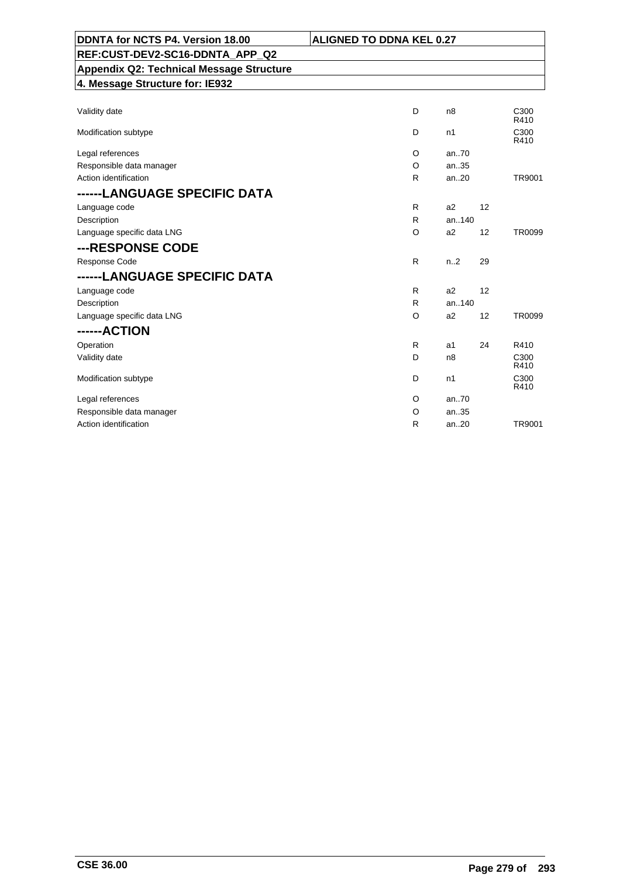| DDNTA for NCTS P4. Version 18.00                | <b>ALIGNED TO DDNA KEL 0.27</b> |                  |    |               |
|-------------------------------------------------|---------------------------------|------------------|----|---------------|
| REF:CUST-DEV2-SC16-DDNTA APP Q2                 |                                 |                  |    |               |
| <b>Appendix Q2: Technical Message Structure</b> |                                 |                  |    |               |
| 4. Message Structure for: IE932                 |                                 |                  |    |               |
|                                                 |                                 |                  |    |               |
| Validity date                                   | D                               | n8               |    | C300<br>R410  |
| Modification subtype                            | D                               | n1               |    | C300<br>R410  |
| Legal references                                | O                               | an70             |    |               |
| Responsible data manager                        | $\circ$                         | an.35            |    |               |
| Action identification                           | R                               | an20             |    | TR9001        |
| ------LANGUAGE SPECIFIC DATA                    |                                 |                  |    |               |
| Language code                                   | R                               | a2               | 12 |               |
| Description                                     | R                               | an140            |    |               |
| Language specific data LNG                      | O                               | a2               | 12 | <b>TR0099</b> |
| ---RESPONSE CODE                                |                                 |                  |    |               |
| Response Code                                   | R                               | n <sub>1</sub> 2 | 29 |               |
| ------LANGUAGE SPECIFIC DATA                    |                                 |                  |    |               |
| Language code                                   | R                               | a2               | 12 |               |
| Description                                     | R                               | an140            |    |               |
| Language specific data LNG                      | $\circ$                         | a2               | 12 | <b>TR0099</b> |
| ------ACTION                                    |                                 |                  |    |               |
| Operation                                       | R                               | a <sub>1</sub>   | 24 | R410          |
| Validity date                                   | D                               | n <sub>8</sub>   |    | C300<br>R410  |
| Modification subtype                            | D                               | n1               |    | C300<br>R410  |
| Legal references                                | O                               | an.70            |    |               |
| Responsible data manager                        | O                               | an35             |    |               |
| Action identification                           | R                               | an20             |    | TR9001        |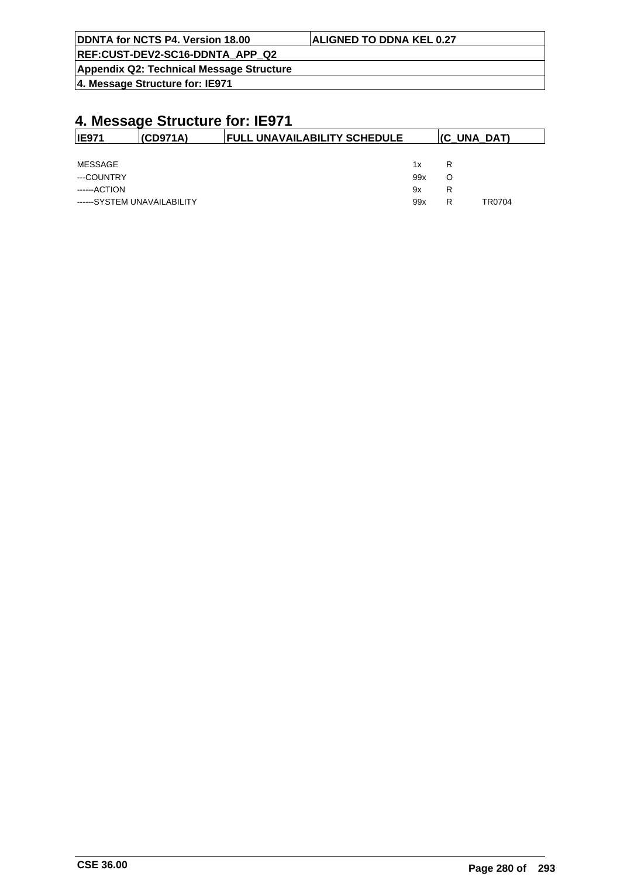| DDNTA for NCTS P4. Version 18.00         | <b>ALIGNED TO DDNA KEL 0.27</b> |
|------------------------------------------|---------------------------------|
| REF:CUST-DEV2-SC16-DDNTA APP Q2          |                                 |
| Appendix Q2: Technical Message Structure |                                 |

**4. Message Structure for: IE971**

| <b>IE971</b>                | (CD971A) | <b>FULL UNAVAILABILITY SCHEDULE</b> |     | (C UNA DAT) |        |
|-----------------------------|----------|-------------------------------------|-----|-------------|--------|
|                             |          |                                     |     |             |        |
| MESSAGE                     |          |                                     | 1x  | R           |        |
| ---COUNTRY                  |          |                                     | 99x | O           |        |
| ------ACTION                |          |                                     | 9x  | R           |        |
| ------SYSTEM UNAVAILABILITY |          |                                     | 99x | R           | TR0704 |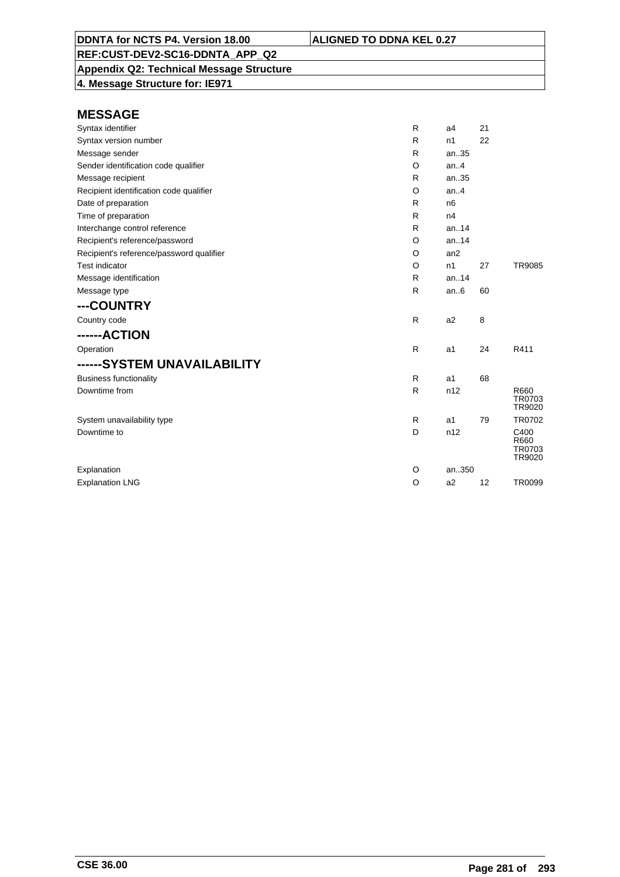**Appendix Q2: Technical Message Structure 4. Message Structure for: IE971**

| Syntax identifier                        | R            | a4             | 21 |                                  |
|------------------------------------------|--------------|----------------|----|----------------------------------|
| Syntax version number                    | R            | n1             | 22 |                                  |
| Message sender                           | R            | an35           |    |                                  |
| Sender identification code qualifier     | O            | an.4           |    |                                  |
| Message recipient                        | R            | an35           |    |                                  |
| Recipient identification code qualifier  | O            | an.4           |    |                                  |
| Date of preparation                      | R            | n <sub>6</sub> |    |                                  |
| Time of preparation                      | R            | n4             |    |                                  |
| Interchange control reference            | R            | an.14          |    |                                  |
| Recipient's reference/password           | O            | an.14          |    |                                  |
| Recipient's reference/password qualifier | O            | an2            |    |                                  |
| <b>Test indicator</b>                    | O            | n1             | 27 | <b>TR9085</b>                    |
| Message identification                   | R            | an.14          |    |                                  |
| Message type                             | $\mathsf{R}$ | an.6           | 60 |                                  |
| ---COUNTRY                               |              |                |    |                                  |
| Country code                             | $\mathsf{R}$ | a <sub>2</sub> | 8  |                                  |
| ------ACTION                             |              |                |    |                                  |
| Operation                                | $\mathsf{R}$ | a1             | 24 | R411                             |
| ------SYSTEM UNAVAILABILITY              |              |                |    |                                  |
| <b>Business functionality</b>            | $\mathsf{R}$ | a1             | 68 |                                  |
| Downtime from                            | R            | n12            |    | R660<br>TR0703<br>TR9020         |
| System unavailability type               | R            | a1             | 79 | TR0702                           |
| Downtime to                              | D            | n12            |    | C400<br>R660<br>TR0703<br>TR9020 |
| Explanation                              | O            | an350          |    |                                  |
| <b>Explanation LNG</b>                   | $\circ$      | a2             | 12 | <b>TR0099</b>                    |
|                                          |              |                |    |                                  |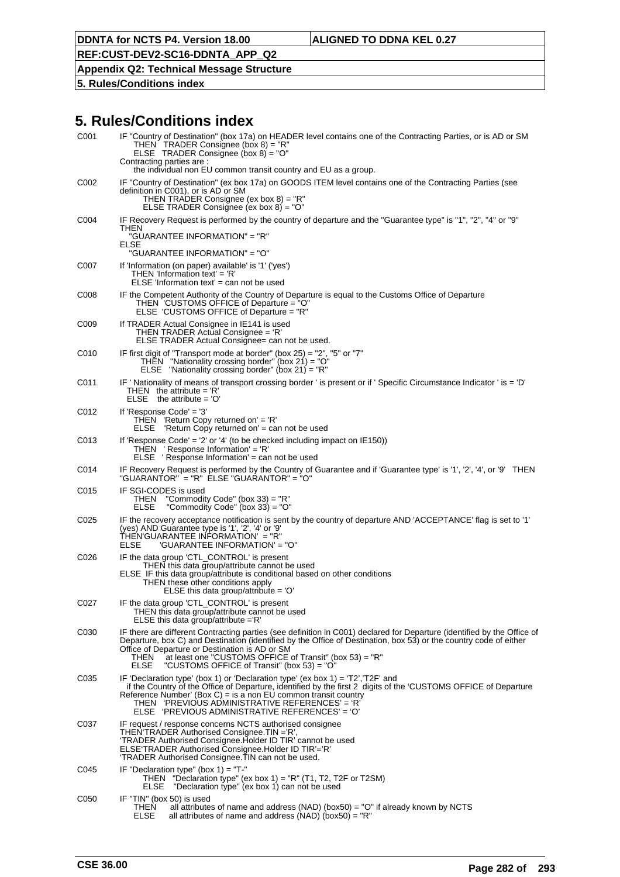## **REF:CUST-DEV2-SC16-DDNTA\_APP\_Q2**

#### **Appendix Q2: Technical Message Structure**

**5. Rules/Conditions index**

| C001 | IF "Country of Destination" (box 17a) on HEADER level contains one of the Contracting Parties, or is AD or SM<br>THEN TRADER Consignee (box $8$ ) = "R"<br>ELSE TRADER Consignee (box $8$ ) = "O"<br>Contracting parties are :<br>the individual non EU common transit country and EU as a group.                                                                                                                              |
|------|--------------------------------------------------------------------------------------------------------------------------------------------------------------------------------------------------------------------------------------------------------------------------------------------------------------------------------------------------------------------------------------------------------------------------------|
| C002 | IF "Country of Destination" (ex box 17a) on GOODS ITEM level contains one of the Contracting Parties (see<br>definition in C001), or is AD or SM<br>THEN TRADER Consignee (ex box 8) = "R"<br>ELSE TRADER Consignee (ex box 8) = "O"                                                                                                                                                                                           |
| C004 | IF Recovery Request is performed by the country of departure and the "Guarantee type" is "1", "2", "4" or "9"<br>THEN<br>"GUARANTEE INFORMATION" = "R"<br>ELSE                                                                                                                                                                                                                                                                 |
|      | "GUARANTEE INFORMATION" = "O"                                                                                                                                                                                                                                                                                                                                                                                                  |
| C007 | If 'Information (on paper) available' is '1' ('yes')<br>THEN 'Information text' = 'R'<br>$E LSE$ 'Information text' = can not be used                                                                                                                                                                                                                                                                                          |
| C008 | IF the Competent Authority of the Country of Departure is equal to the Customs Office of Departure<br>THEN 'CUSTOMS OFFICE of Departure = "O"<br>ELSE 'CUSTOMS OFFICE of Departure = "R"                                                                                                                                                                                                                                       |
| C009 | If TRADER Actual Consignee in IE141 is used<br>THEN TRADER Actual Consignee = 'R'<br>ELSE TRADER Actual Consignee= can not be used.                                                                                                                                                                                                                                                                                            |
| C010 | IF first digit of "Transport mode at border" (box 25) = "2", "5" or "7"<br>THEN "Nationality crossing border" (box $21$ ) = "O"<br>ELSE "Nationality crossing border" (box $21$ ) = "R"                                                                                                                                                                                                                                        |
| C011 | IF ' Nationality of means of transport crossing border ' is present or if ' Specific Circumstance Indicator ' is = 'D'<br>THEN the attribute $=$ 'R'<br>$ELSE$ the attribute = 'O'                                                                                                                                                                                                                                             |
| C012 | If 'Response Code' = $'3'$<br>THEN 'Return Copy returned on' = 'R'<br>$E LSE$ 'Return Copy returned on' = can not be used                                                                                                                                                                                                                                                                                                      |
| C013 | If 'Response Code' = '2' or '4' (to be checked including impact on $E(150)$ )<br>THEN 'Response Information' = 'R'<br>$E LSE$ 'Response Information' = can not be used                                                                                                                                                                                                                                                         |
| C014 | IF Recovery Request is performed by the Country of Guarantee and if 'Guarantee type' is '1', '2', '4', or '9' THEN<br>"GUARANTOR" = "R" ELSE "GUARANTOR" = "O"                                                                                                                                                                                                                                                                 |
| C015 | IF SGI-CODES is used<br>"Commodity Code" (box 33) = "R"<br>"Commodity Code" (box 33) = "O"<br>THEN<br>ELSE                                                                                                                                                                                                                                                                                                                     |
| C025 | IF the recovery acceptance notification is sent by the country of departure AND 'ACCEPTANCE' flag is set to '1'<br>(yes) AND Guarantee type is '1', '2', '4' or '9'<br>THEN 'GUARANTEE INFORMATION' = "R"<br>'GUARANTEE INFORMATION' = "O"<br>ELSE                                                                                                                                                                             |
| C026 | IF the data group 'CTL_CONTROL' is present<br>THEN this data group/attribute cannot be used<br>ELSE IF this data group/attribute is conditional based on other conditions<br>THEN these other conditions apply<br>ELSE this data group/attribute = 'O'                                                                                                                                                                         |
| C027 | IF the data group 'CTL_CONTROL' is present<br>THEN this data group/attribute cannot be used<br>ELSE this data group/attribute = $R'$                                                                                                                                                                                                                                                                                           |
| C030 | IF there are different Contracting parties (see definition in C001) declared for Departure (identified by the Office of<br>Departure, box C) and Destination (identified by the Office of Destination, box 53) or the country code of either<br>Office of Departure or Destination is AD or SM<br>at least one "CUSTOMS OFFICE of Transit" (box 53) = "R"<br>THEN<br><b>ELSE</b><br>"CUSTOMS OFFICE of Transit" (box 53) = "O" |
| C035 | IF 'Declaration type' (box 1) or 'Declaration type' (ex box 1) = 'T2', 'T2F' and<br>if the Country of the Office of Departure, identified by the first 2 digits of the 'CUSTOMS OFFICE of Departure<br>Reference Number' (Box C) = is a non EU common transit country<br>THEN    'PREVIOUS ADMINISTRATIVE REFERENCES' = 'R'<br>ELSE 'PREVIOUS ADMINISTRATIVE REFERENCES' = 'O'                                                 |
| C037 | IF request / response concerns NCTS authorised consignee<br>THEN 'TRADER Authorised Consignee.TIN ='R',<br>'TRADER Authorised Consignee.Holder ID TIR' cannot be used<br>ELSE 'TRADER Authorised Consignee.Holder ID TIR'='R'<br>'TRADER Authorised Consignee.TIN can not be used.                                                                                                                                             |
| C045 | IF "Declaration type" (box 1) = "T-"<br>THEN "Declaration type" (ex box 1) = "R" (T1, T2, T2F or T2SM)<br>"Declaration type" (ex box 1) can not be used<br>ELSE                                                                                                                                                                                                                                                                |
| C050 | IF "TIN" (box 50) is used<br>THEN<br>all attributes of name and address (NAD) (box50) = " $O$ " if already known by NCTS<br>ELSE<br>all attributes of name and address (NAD) (box50) = "R"                                                                                                                                                                                                                                     |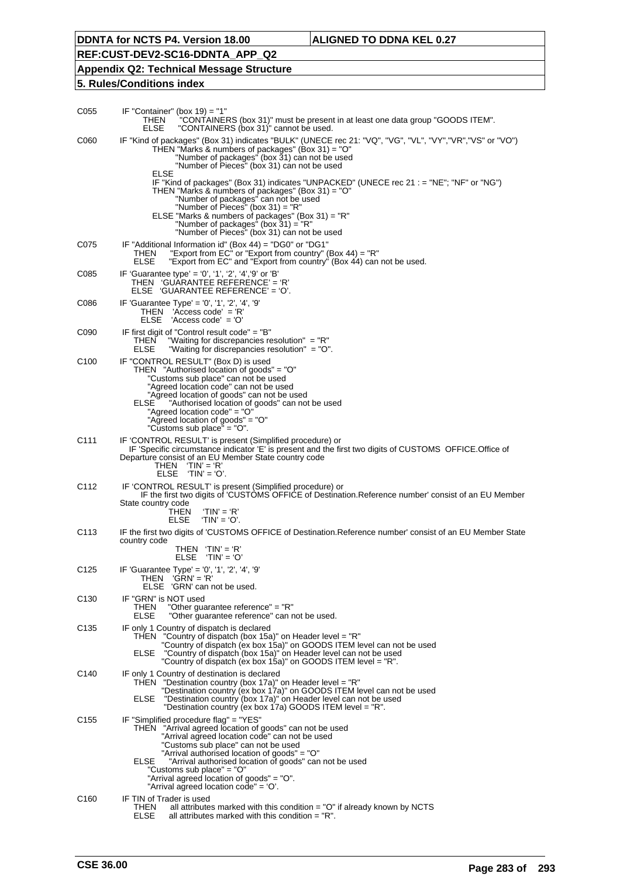**REF:CUST-DEV2-SC16-DDNTA\_APP\_Q2**

### **Appendix Q2: Technical Message Structure**

| C055             | IF "Container" (box $19$ ) = "1"<br>THEN<br>"CONTAINERS (box 31)" must be present in at least one data group "GOODS ITEM".<br><b>ELSE</b><br>"CONTAINERS (box 31)" cannot be used.                                                                                                                                                                                                                                                     |
|------------------|----------------------------------------------------------------------------------------------------------------------------------------------------------------------------------------------------------------------------------------------------------------------------------------------------------------------------------------------------------------------------------------------------------------------------------------|
| C060             | IF "Kind of packages" (Box 31) indicates "BULK" (UNECE rec 21: "VQ", "VG", "VL", "VY","VR","VS" or "VO")<br>THEN "Marks & numbers of packages" (Box 31) = "O"<br>"Number of packages" (box 31) can not be used<br>"Number of Pieces" (box 31) can not be used                                                                                                                                                                          |
|                  | <b>ELSE</b><br>IF "Kind of packages" (Box 31) indicates "UNPACKED" (UNECE rec 21 : = "NE"; "NF" or "NG")<br>THEN "Marks & numbers of packages" (Box 31) = "O"<br>"Number of packages" can not be used<br>"Number of Pieces" (box $31$ ) = "R"<br>ELSE "Marks & numbers of packages" (Box 31) = "R"<br>"Number of packages" (box $31$ ) = "R"                                                                                           |
| C075             | "Number of Pieces" (box 31) can not be used<br>IF "Additional Information id" (Box 44) = "DG0" or "DG1"<br>"Export from EC <sup><math>\dot{ }</math></sup> or "Export from country" (Box 44) = "R"<br>THEN<br>ELSE<br>"Export from EC" and "Export from country" (Box 44) can not be used.                                                                                                                                             |
| C085             | IF 'Guarantee type' = '0', '1', '2', '4', '9' or 'B'<br>THEN 'GUARANTEE REFERENCE' = 'R'<br>ELSE 'GUARANTEE REFERENCE' = 'O'.                                                                                                                                                                                                                                                                                                          |
| C086             | IF 'Guarantee Type' = '0', '1', '2', '4', '9'<br>$THEN$ 'Access code' = 'R'<br>$ELSE$ 'Access code' = 'O'                                                                                                                                                                                                                                                                                                                              |
| C090             | IF first digit of "Control result code" = "B"<br>THEN<br>"Waiting for discrepancies resolution" = "R"<br>ELSE<br>"Waiting for discrepancies resolution" = "O".                                                                                                                                                                                                                                                                         |
| C100             | IF "CONTROL RESULT" (Box D) is used<br>THEN "Authorised location of goods" = "O"<br>"Customs sub place" can not be used<br>"Agreed location code" can not be used<br>"Agreed location of goods" can not be used<br>"Authorised location of goods" can not be used<br>ELSE<br>"Agreed location code" = "O"<br>"Agreed location of goods" = "O"<br>"Customs sub place" = "O".                                                            |
| C111             | IF 'CONTROL RESULT' is present (Simplified procedure) or<br>IF 'Specific circumstance indicator 'E' is present and the first two digits of CUSTOMS OFFICE. Office of<br>Departure consist of an EU Member State country code<br>THEN $'TIN' = 'R'$<br>$ELSE$ 'TIN' = 'O'.                                                                                                                                                              |
| C112             | IF 'CONTROL RESULT' is present (Simplified procedure) or<br>IF the first two digits of 'CUSTOMS OFFICE of Destination. Reference number' consist of an EU Member<br>State country code<br>THEN<br>$TIN' = 'R'$<br>$'TIN' = 'O'.$<br><b>ELSE</b>                                                                                                                                                                                        |
| C113             | IF the first two digits of 'CUSTOMS OFFICE of Destination. Reference number' consist of an EU Member State                                                                                                                                                                                                                                                                                                                             |
|                  | country code<br>THEN $'TIN' = 'R'$<br><b>ELSE</b><br>'TIN' = 'O'                                                                                                                                                                                                                                                                                                                                                                       |
| C <sub>125</sub> | IF 'Guarantee Type' = '0', '1', '2', '4', '9'<br>THEN 'GRN' = 'R'<br>ELSE 'GRN' can not be used.                                                                                                                                                                                                                                                                                                                                       |
| C130             | IF "GRN" is NOT used<br>THEN<br>"Other guarantee reference" = "R"<br>ELSE<br>"Other guarantee reference" can not be used.                                                                                                                                                                                                                                                                                                              |
| C <sub>135</sub> | IF only 1 Country of dispatch is declared<br>THEN "Country of dispatch (box 15a)" on Header level = "R"<br>"Country of dispatch (ex box 15a)" on GOODS ITEM level can not be used<br>"Country of dispatch (box 15a)" on Header level can not be used<br>ELSE<br>"Country of dispatch (ex box 15a)" on GOODS ITEM level = "R".                                                                                                          |
| C140             | IF only 1 Country of destination is declared<br>THEN "Destination country (box 17a)" on Header level = "R"<br>"Destination country (ex box 17a)" on GOODS ITEM level can not be used<br>ELSE<br>"Destination country (box 17a)" on Header level can not be used<br>"Destination country (ex box 17a) GOODS ITEM level = "R".                                                                                                           |
| C155             | IF "Simplified procedure flag" = "YES"<br>THEN "Arrival agreed location of goods" can not be used<br>"Arrival agreed location code" can not be used<br>"Customs sub place" can not be used<br>"Arrival authorised location of goods" = "O"<br><b>ELSE</b><br>"Arrival authorised location of goods" can not be used<br>"Customs sub place" = "O"<br>"Arrival agreed location of goods" = "O".<br>"Arrival agreed location code" = 'O'. |
| C160             | IF TIN of Trader is used<br>THEN<br>all attributes marked with this condition $=$ "O" if already known by NCTS<br>ELSE<br>all attributes marked with this condition = "R".                                                                                                                                                                                                                                                             |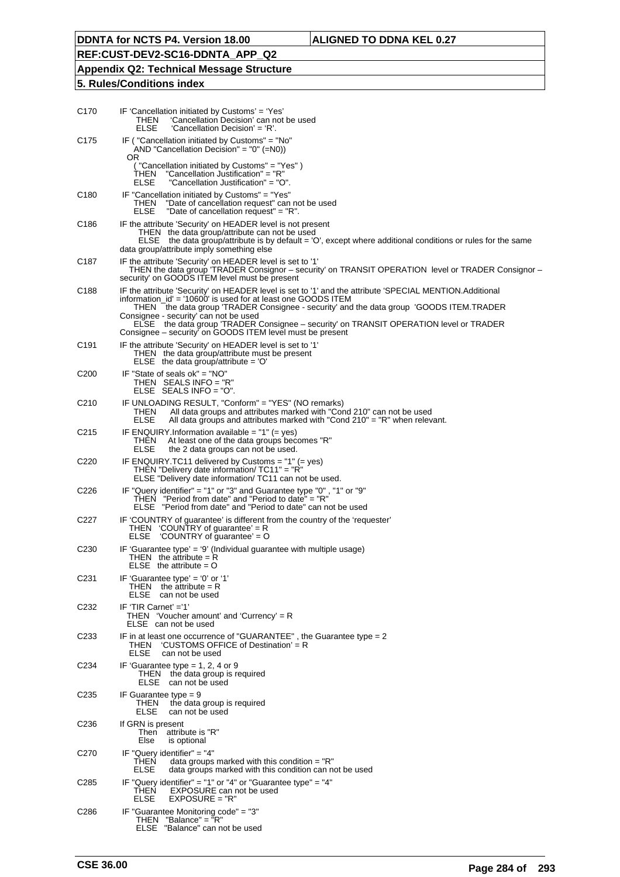## **Appendix Q2: Technical Message Structure**

| C170             | IF 'Cancellation initiated by Customs' = 'Yes'<br>THEN<br>'Cancellation Decision' can not be used<br>ELSE<br>'Cancellation Decision' = 'R'.                                                                                                                                                                                                                                                                                                                        |
|------------------|--------------------------------------------------------------------------------------------------------------------------------------------------------------------------------------------------------------------------------------------------------------------------------------------------------------------------------------------------------------------------------------------------------------------------------------------------------------------|
| C <sub>175</sub> | IF ("Cancellation initiated by Customs" = "No"<br>AND "Cancellation Decision" = "0" $(=N0)$ )<br>OR.                                                                                                                                                                                                                                                                                                                                                               |
|                  | "Cancellation initiated by Customs" = "Yes")<br>"Cancellation Justification" = "R"<br>THEN<br>ELSE<br>"Cancellation Justification" = "O".                                                                                                                                                                                                                                                                                                                          |
| C <sub>180</sub> | IF "Cancellation initiated by Customs" = "Yes"<br>THEN<br>"Date of cancellation request" can not be used<br>ELSE<br>"Date of cancellation request" = "R".                                                                                                                                                                                                                                                                                                          |
| C <sub>186</sub> | IF the attribute 'Security' on HEADER level is not present<br>THEN the data group/attribute can not be used<br>ELSE the data group/attribute is by default = 'O', except where additional conditions or rules for the same<br>data group/attribute imply something else                                                                                                                                                                                            |
| C187             | IF the attribute 'Security' on HEADER level is set to '1'<br>THEN the data group 'TRADER Consignor – security' on TRANSIT OPERATION level or TRADER Consignor –<br>security' on GOODS ITEM level must be present                                                                                                                                                                                                                                                   |
| C <sub>188</sub> | IF the attribute 'Security' on HEADER level is set to '1' and the attribute 'SPECIAL MENTION.Additional<br>information_id' = '10600' is used for at least one GOODS ITEM<br>THEN the data group 'TRADER Consignee - security' and the data group 'GOODS ITEM.TRADER<br>Consignee - security' can not be used<br>ELSE the data group 'TRADER Consignee - security' on TRANSIT OPERATION level or TRADER<br>Consignee – security on GOODS ITEM level must be present |
| C191             | IF the attribute 'Security' on HEADER level is set to '1'<br>THEN the data group/attribute must be present<br>ELSE the data group/attribute = $'O'$                                                                                                                                                                                                                                                                                                                |
| C <sub>200</sub> | IF "State of seals ok" = "NO"<br>THEN SEALS INFO = $"R"$<br>ELSE SEALS $INFO = "O".$                                                                                                                                                                                                                                                                                                                                                                               |
| C <sub>210</sub> | IF UNLOADING RESULT, "Conform" = "YES" (NO remarks)<br>THEN<br>All data groups and attributes marked with "Cond 210" can not be used<br>All data groups and attributes marked with "Cond $210" = "R"$ when relevant.<br>ELSE                                                                                                                                                                                                                                       |
| C215             | IF ENQUIRY. Information available = $1" (= yes)$<br>THEN<br>At least one of the data groups becomes "R"<br>ELSE<br>the 2 data groups can not be used.                                                                                                                                                                                                                                                                                                              |
| C220             | IF ENQUIRY.TC11 delivered by Customs = "1" (= yes)<br>THEN "Delivery date information/ TC11" = "R"<br>ELSE "Delivery date information/TC11 can not be used.                                                                                                                                                                                                                                                                                                        |
| C <sub>226</sub> | IF "Query identifier" = "1" or "3" and Guarantee type "0", "1" or "9"<br>THEN "Period from date" and "Period to date" = "R"<br>ELSE "Period from date" and "Period to date" can not be used                                                                                                                                                                                                                                                                        |
| C227             | IF 'COUNTRY of guarantee' is different from the country of the 'requester'<br>THEN 'COUNTRY of guarantee' = R<br>'COUNTRY of quarantee' = O<br>ELSE                                                                                                                                                                                                                                                                                                                |
| C <sub>230</sub> | IF 'Guarantee type' = '9' (Individual guarantee with multiple usage)<br>THEN the attribute = $R$<br>ELSE the attribute $=$ O                                                                                                                                                                                                                                                                                                                                       |
| C231             | IF 'Guarantee type' = '0' or '1'<br>THEN the attribute $= R$<br>ELSE<br>can not be used                                                                                                                                                                                                                                                                                                                                                                            |
| C232             | IF 'TIR Carnet' ='1'<br>THEN 'Voucher amount' and 'Currency' = $R$<br>ELSE can not be used                                                                                                                                                                                                                                                                                                                                                                         |
| C233             | IF in at least one occurrence of "GUARANTEE", the Guarantee type $= 2$<br>THEN 'CUSTOMS OFFICE of Destination' = R<br>ELSE<br>can not be used                                                                                                                                                                                                                                                                                                                      |
| C234             | IF 'Guarantee type $= 1, 2, 4$ or 9<br>THEN the data group is required<br>ELSE can not be used                                                                                                                                                                                                                                                                                                                                                                     |
| C235             | IF Guarantee type $= 9$<br>the data group is required<br>THEN<br>ELSE<br>can not be used                                                                                                                                                                                                                                                                                                                                                                           |
| C236             | If GRN is present<br>Then attribute is "R"<br>Else<br>is optional                                                                                                                                                                                                                                                                                                                                                                                                  |
| C270             | IF "Query identifier" = "4"<br>THEN<br>data groups marked with this condition $=$ "R"<br>ELSE<br>data groups marked with this condition can not be used                                                                                                                                                                                                                                                                                                            |
| C285             | IF "Query identifier" = "1" or "4" or "Guarantee type" = "4"<br>THEN<br>EXPOSURE can not be used<br>$EXPOSURE = "R"$<br>ELSE                                                                                                                                                                                                                                                                                                                                       |
| C286             | IF "Guarantee Monitoring code" = "3"<br>THEN "Balance" = $\text{F}R$ "<br>ELSE "Balance" can not be used                                                                                                                                                                                                                                                                                                                                                           |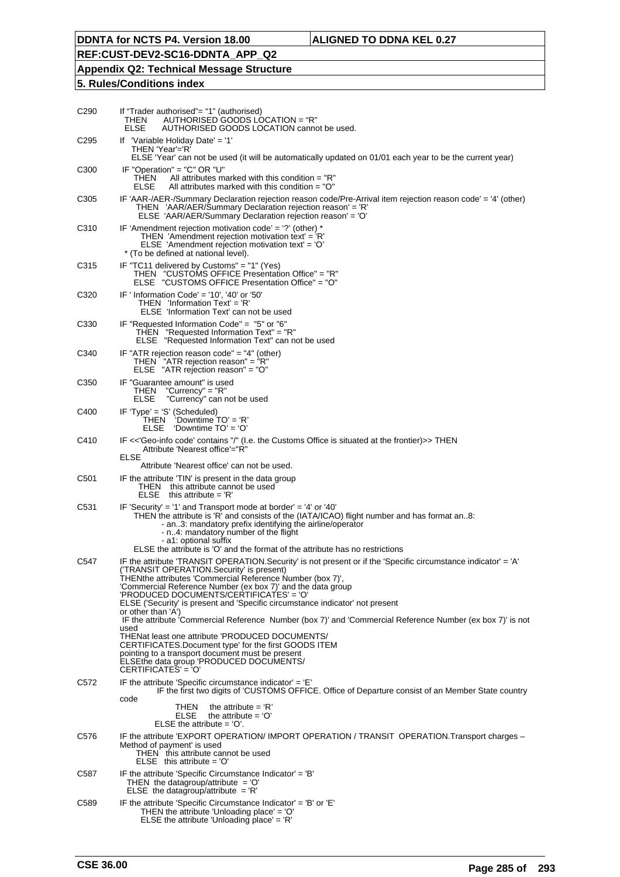## **REF:CUST-DEV2-SC16-DDNTA\_APP\_Q2**

**Appendix Q2: Technical Message Structure**

| C <sub>290</sub> | If "Trader authorised"= "1" (authorised)<br>AUTHORISED GOODS LOCATION = "R"<br>THEN<br>ELSE<br>AUTHORISED GOODS LOCATION cannot be used.                                                                                                                                                                                                                                                                                                                                                                                                                         |
|------------------|------------------------------------------------------------------------------------------------------------------------------------------------------------------------------------------------------------------------------------------------------------------------------------------------------------------------------------------------------------------------------------------------------------------------------------------------------------------------------------------------------------------------------------------------------------------|
| C <sub>295</sub> | If 'Variable Holiday Date' = '1'<br>THEN 'Year'='R'                                                                                                                                                                                                                                                                                                                                                                                                                                                                                                              |
|                  | ELSE 'Year' can not be used (it will be automatically updated on 01/01 each year to be the current year)                                                                                                                                                                                                                                                                                                                                                                                                                                                         |
| C <sub>300</sub> | IF "Operation" = "C" OR "U"<br>All attributes marked with this condition $=$ "R"<br>THEN<br><b>ELSE</b><br>All attributes marked with this condition $=$ "O"                                                                                                                                                                                                                                                                                                                                                                                                     |
| C <sub>305</sub> | IF 'AAR-/AER-/Summary Declaration rejection reason code/Pre-Arrival item rejection reason code' = '4' (other)<br>THEN 'AAR/AER/Summary Declaration rejection reason' = 'R'<br>ELSE 'AAR/AER/Summary Declaration rejection reason' = 'O'                                                                                                                                                                                                                                                                                                                          |
| C <sub>310</sub> | IF 'Amendment rejection motivation code' = '?' (other) $*$<br>THEN 'Amendment rejection motivation text' = 'R'<br>ELSE 'Amendment rejection motivation text' = 'O'<br>* (To be defined at national level).                                                                                                                                                                                                                                                                                                                                                       |
| C315             | IF "TC11 delivered by Customs" = "1" (Yes)<br>THEN "CUSTOMS OFFICE Presentation Office" = "R"<br>ELSE "CUSTOMS OFFICE Presentation Office" = "O"                                                                                                                                                                                                                                                                                                                                                                                                                 |
| C <sub>320</sub> | IF ' Information Code' = '10', '40' or '50'<br>THEN lnformation Text' = 'R'<br>ELSE 'Information Text' can not be used                                                                                                                                                                                                                                                                                                                                                                                                                                           |
| C <sub>330</sub> | IF "Requested Information Code" = "5" or "6"<br>THEN "Requested Information Text" = "R"<br>ELSE "Requested Information Text" can not be used                                                                                                                                                                                                                                                                                                                                                                                                                     |
| C <sub>340</sub> | IF "ATR rejection reason code" = "4" (other)<br>THEN $\sqrt{\ }$ "ATR rejection reason" = $\sqrt{\ }$ R"<br>ELSE "ATR rejection reason" = "O"                                                                                                                                                                                                                                                                                                                                                                                                                    |
| C <sub>350</sub> | IF "Guarantee amount" is used<br>"Currency" = "R"<br>THEN<br>ELSE<br>"Currency" can not be used                                                                                                                                                                                                                                                                                                                                                                                                                                                                  |
| C400             | IF 'Type' = 'S' (Scheduled)<br>THEN 'Downtime TO' = 'R'<br>ELSE<br>'Downtime $TO' = 'O'$                                                                                                                                                                                                                                                                                                                                                                                                                                                                         |
| C410             | IF <<'Geo-info code' contains "/" (I.e. the Customs Office is situated at the frontier)>> THEN<br>Attribute 'Nearest office'="R"<br>ELSE                                                                                                                                                                                                                                                                                                                                                                                                                         |
|                  | Attribute 'Nearest office' can not be used.                                                                                                                                                                                                                                                                                                                                                                                                                                                                                                                      |
| C <sub>501</sub> | IF the attribute 'TIN' is present in the data group<br>THEN this attribute cannot be used<br>$ELSE$ this attribute = $'R'$                                                                                                                                                                                                                                                                                                                                                                                                                                       |
| C <sub>531</sub> | IF 'Security' = '1' and Transport mode at border' = '4' or '40'<br>THEN the attribute is 'R' and consists of the (IATA/ICAO) flight number and has format an8:<br>- an3: mandatory prefix identifying the airline/operator<br>- n4: mandatory number of the flight<br>- a1: optional suffix<br>ELSE the attribute is 'O' and the format of the attribute has no restrictions                                                                                                                                                                                     |
| C547             | IF the attribute 'TRANSIT OPERATION.Security' is not present or if the 'Specific circumstance indicator' = 'A'<br>('TRANSIT OPERATION.Security' is present)<br>THEN the attributes 'Commercial Reference Number (box 7)',<br>'Commercial Reference Number (ex box 7)' and the data group<br>'PRODUCED DOCUMENTS/CERTIFICATES' = 'O'<br>ELSE ('Security' is present and 'Specific circumstance indicator' not present<br>or other than 'A')<br>IF the attribute 'Commercial Reference Number (box 7)' and 'Commercial Reference Number (ex box 7)' is not<br>used |
|                  | THEN at least one attribute 'PRODUCED DOCUMENTS/<br>CERTIFICATES.Document type' for the first GOODS ITEM<br>pointing to a transport document must be present<br>ELSE the data group 'PRODUCED DOCUMENTS/<br>CERTIFICATES' = 'O'                                                                                                                                                                                                                                                                                                                                  |
| C572             | IF the attribute 'Specific circumstance indicator' = $E'$<br>IF the first two digits of 'CUSTOMS OFFICE. Office of Departure consist of an Member State country<br>code                                                                                                                                                                                                                                                                                                                                                                                          |
|                  | the attribute $=$ 'R'<br>THEN<br><b>ELSE</b><br>the attribute $= 'O'$<br>ELSE the attribute $= 'O'.$                                                                                                                                                                                                                                                                                                                                                                                                                                                             |
| C576             | IF the attribute 'EXPORT OPERATION/ IMPORT OPERATION / TRANSIT OPERATION. Transport charges -<br>Method of payment' is used<br>THEN this attribute cannot be used<br>$ELSE$ this attribute = 'O'                                                                                                                                                                                                                                                                                                                                                                 |
| C587             | IF the attribute 'Specific Circumstance Indicator' = 'B'<br>THEN the datagroup/attribute $=$ 'O'<br>ELSE the datagroup/attribute = $'R'$                                                                                                                                                                                                                                                                                                                                                                                                                         |
| C <sub>589</sub> | IF the attribute 'Specific Circumstance Indicator' = $B'$ or $E'$<br>THEN the attribute 'Unloading place' = 'O'<br>ELSE the attribute 'Unloading place' = $'R'$                                                                                                                                                                                                                                                                                                                                                                                                  |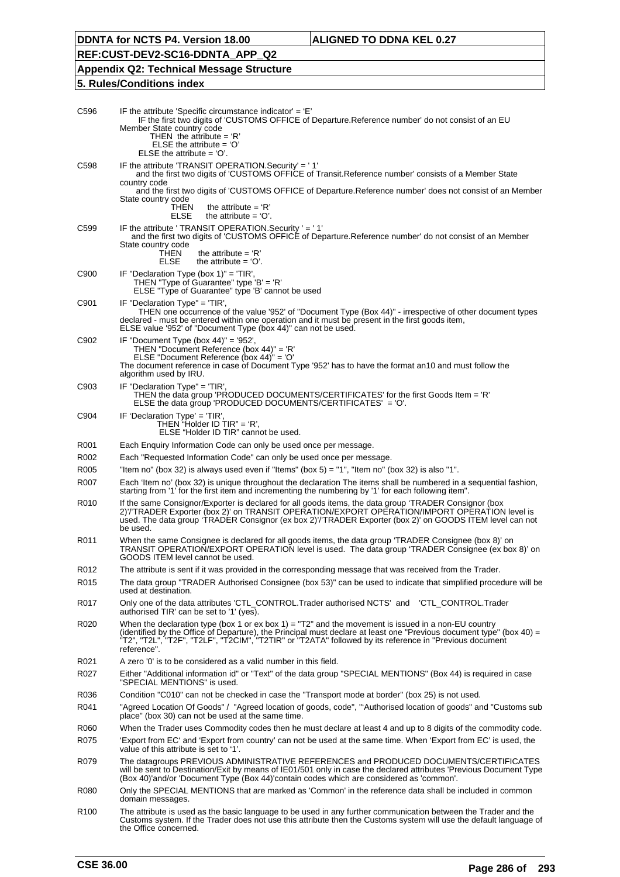**REF:CUST-DEV2-SC16-DDNTA\_APP\_Q2**

**Appendix Q2: Technical Message Structure**

| C596             | IF the attribute 'Specific circumstance indicator' = $E'$<br>IF the first two digits of 'CUSTOMS OFFICE of Departure. Reference number' do not consist of an EU<br>Member State country code<br>THEN the attribute = $R'$<br>ELSE the attribute = $'O'$<br>ELSE the attribute $= 'O'.$                                                                    |
|------------------|-----------------------------------------------------------------------------------------------------------------------------------------------------------------------------------------------------------------------------------------------------------------------------------------------------------------------------------------------------------|
| C <sub>598</sub> | IF the attribute 'TRANSIT OPERATION. Security' = '1'<br>and the first two digits of 'CUSTOMS OFFICE of Transit.Reference number' consists of a Member State<br>country code                                                                                                                                                                               |
|                  | and the first two digits of 'CUSTOMS OFFICE of Departure. Reference number' does not consist of an Member<br>State country code<br>THEN<br>the attribute = $R'$                                                                                                                                                                                           |
|                  | ELSE<br>the attribute $= 'O'.$                                                                                                                                                                                                                                                                                                                            |
| C <sub>599</sub> | IF the attribute ' TRANSIT OPERATION. Security ' = '1'<br>and the first two digits of 'CUSTOMS OFFICE of Departure.Reference number' do not consist of an Member<br>State country code<br>THEN<br>the attribute = $R'$                                                                                                                                    |
|                  | <b>ELSE</b><br>the attribute $= 'O'.$                                                                                                                                                                                                                                                                                                                     |
| C900             | IF "Declaration Type (box $1$ )" = 'TIR',<br>THEN "Type of Guarantee" type 'B' = 'R'<br>ELSE "Type of Guarantee" type 'B' cannot be used                                                                                                                                                                                                                  |
| C901             | IF "Declaration Type" = 'TIR',<br>THEN one occurrence of the value '952' of "Document Type (Box 44)" - irrespective of other document types<br>declared - must be entered within one operation and it must be present in the first goods item,<br>ELSE value '952' of "Document Type (box 44)" can not be used.                                           |
| C902             | IF "Document Type (box $44$ )" = '952',<br>THEN "Document Reference (box 44)" = 'R'<br>ELSE "Document Reference (box $44$ )" = 'O'<br>The document reference in case of Document Type '952' has to have the format an10 and must follow the<br>algorithm used by IRU.                                                                                     |
| C903             | IF "Declaration $Type$ " = 'TIR',<br>THEN the data group 'PRODUCED DOCUMENTS/CERTIFICATES' for the first Goods Item = 'R'<br>ELSE the data group 'PRODUCED DOCUMENTS/CERTIFICATES' = 'O'.                                                                                                                                                                 |
| C904             | IF 'Declaration Type' = 'TIR',<br>THEN "Holder ID TIR" = 'R',<br>ELSE "Holder ID TIR" cannot be used.                                                                                                                                                                                                                                                     |
| R001             | Each Enquiry Information Code can only be used once per message.                                                                                                                                                                                                                                                                                          |
| R002             | Each "Requested Information Code" can only be used once per message.                                                                                                                                                                                                                                                                                      |
| R005             | "Item no" (box 32) is always used even if "Items" (box 5) = "1", "Item no" (box 32) is also "1".                                                                                                                                                                                                                                                          |
| R007             | Each 'Item no' (box 32) is unique throughout the declaration The items shall be numbered in a sequential fashion,<br>starting from '1' for the first item and incrementing the numbering by '1' for each following item".                                                                                                                                 |
| R010             | If the same Consignor/Exporter is declared for all goods items, the data group 'TRADER Consignor (box<br>2)'/'TRADER Exporter (box 2)' on TRANSIT OPERATION/EXPORT OPERATION/IMPORT OPERATION level is<br>used. The data group 'TRADER Consignor (ex box 2)'/TRADER Exporter (box 2)' on GOODS ITEM level can not<br>be used.                             |
| R011             | When the same Consignee is declared for all goods items, the data group 'TRADER Consignee (box 8)' on<br>TRANSIT OPERATION/EXPORT OPERATION level is used. The data group 'TRADER Consignee (ex box 8)' on<br>GOODS ITEM level cannot be used.                                                                                                            |
| R012             | The attribute is sent if it was provided in the corresponding message that was received from the Trader.                                                                                                                                                                                                                                                  |
| R015             | The data group "TRADER Authorised Consignee (box 53)" can be used to indicate that simplified procedure will be<br>used at destination.                                                                                                                                                                                                                   |
| R017             | Only one of the data attributes 'CTL_CONTROL.Trader authorised NCTS' and<br>'CTL_CONTROL.Trader<br>authorised TIR' can be set to '1' (yes).                                                                                                                                                                                                               |
| R020             | When the declaration type (box 1 or ex box 1) = " $T2$ " and the movement is issued in a non-EU country<br>(identified by the Office of Departure), the Principal must declare at least one "Previous document type" (box 40) =<br>"T2", "T2L", "T2F", "T2LF", "T2CIM", "T2TIR" or "T2ATA" followed by its reference in "Previous document<br>reference". |
| R <sub>021</sub> | A zero '0' is to be considered as a valid number in this field.                                                                                                                                                                                                                                                                                           |
| R027             | Either "Additional information id" or "Text" of the data group "SPECIAL MENTIONS" (Box 44) is required in case<br>"SPECIAL MENTIONS" is used.                                                                                                                                                                                                             |
| R036             | Condition "C010" can not be checked in case the "Transport mode at border" (box 25) is not used.                                                                                                                                                                                                                                                          |
| R041             | "Agreed Location Of Goods" / "Agreed location of goods, code", "'Authorised location of goods" and "Customs sub<br>place" (box 30) can not be used at the same time.                                                                                                                                                                                      |
| R060             | When the Trader uses Commodity codes then he must declare at least 4 and up to 8 digits of the commodity code.                                                                                                                                                                                                                                            |
| R075             | 'Export from EC' and 'Export from country' can not be used at the same time. When 'Export from EC' is used, the<br>value of this attribute is set to '1'.                                                                                                                                                                                                 |
| R079             | The datagroups PREVIOUS ADMINISTRATIVE REFERENCES and PRODUCED DOCUMENTS/CERTIFICATES<br>will be sent to Destination/Exit by means of IE01/501 only in case the declared attributes 'Previous Document Type<br>(Box 40)'and/or 'Document Type (Box 44)'contain codes which are considered as 'common'.                                                    |
| R080             | Only the SPECIAL MENTIONS that are marked as 'Common' in the reference data shall be included in common<br>domain messages.                                                                                                                                                                                                                               |
| R <sub>100</sub> | The attribute is used as the basic language to be used in any further communication between the Trader and the<br>Customs system. If the Trader does not use this attribute then the Customs system will use the default language of<br>the Office concerned.                                                                                             |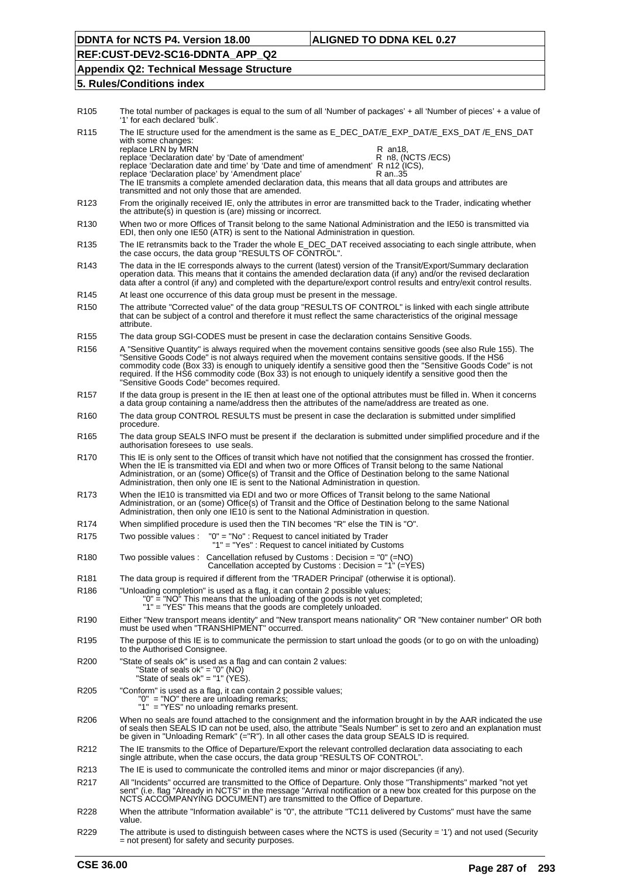## **REF:CUST-DEV2-SC16-DDNTA\_APP\_Q2**

#### **Appendix Q2: Technical Message Structure**

| R <sub>105</sub> | The total number of packages is equal to the sum of all 'Number of packages' + all 'Number of pieces' + a value of<br>'1' for each declared 'bulk'.                                                                                                                                                                                                                                                                                                                                              |
|------------------|--------------------------------------------------------------------------------------------------------------------------------------------------------------------------------------------------------------------------------------------------------------------------------------------------------------------------------------------------------------------------------------------------------------------------------------------------------------------------------------------------|
| R <sub>115</sub> | The IE structure used for the amendment is the same as E_DEC_DAT/E_EXP_DAT/E_EXS_DAT /E_ENS_DAT<br>with some changes:<br>replace LRN by MRN<br>R an18,                                                                                                                                                                                                                                                                                                                                           |
|                  | replace 'Declaration date' by 'Date of amendment'<br>R n8, (NCTS /ECS)<br>replace 'Declaration date and time' by 'Date and time of amendment' R n12 (ICS),<br>replace 'Declaration place' by 'Amendment place'<br>R an35                                                                                                                                                                                                                                                                         |
|                  | The IE transmits a complete amended declaration data, this means that all data groups and attributes are<br>transmitted and not only those that are amended.                                                                                                                                                                                                                                                                                                                                     |
| R <sub>123</sub> | From the originally received IE, only the attributes in error are transmitted back to the Trader, indicating whether<br>the attribute(s) in question is (are) missing or incorrect.                                                                                                                                                                                                                                                                                                              |
| R <sub>130</sub> | When two or more Offices of Transit belong to the same National Administration and the IE50 is transmitted via<br>EDI, then only one IE50 (ATR) is sent to the National Administration in question.                                                                                                                                                                                                                                                                                              |
| R <sub>135</sub> | The IE retransmits back to the Trader the whole E_DEC_DAT received associating to each single attribute, when<br>the case occurs, the data group "RESULTS OF CONTROL".                                                                                                                                                                                                                                                                                                                           |
| R <sub>143</sub> | The data in the IE corresponds always to the current (latest) version of the Transit/Export/Summary declaration<br>operation data. This means that it contains the amended declaration data (if any) and/or the revised declaration<br>data after a control (if any) and completed with the departure/export control results and entry/exit control results.                                                                                                                                     |
| R145             | At least one occurrence of this data group must be present in the message.                                                                                                                                                                                                                                                                                                                                                                                                                       |
| R <sub>150</sub> | The attribute "Corrected value" of the data group "RESULTS OF CONTROL" is linked with each single attribute<br>that can be subject of a control and therefore it must reflect the same characteristics of the original message<br>attribute.                                                                                                                                                                                                                                                     |
| R <sub>155</sub> | The data group SGI-CODES must be present in case the declaration contains Sensitive Goods.                                                                                                                                                                                                                                                                                                                                                                                                       |
| R <sub>156</sub> | A "Sensitive Quantity" is always required when the movement contains sensitive goods (see also Rule 155). The<br>"Sensitive Goods Code" is not always required when the movement contains sensitive goods. If the HS6<br>commodity code (Box 33) is enough to uniquely identify a sensitive good then the "Sensitive Goods Code" is not<br>required. If the HS6 commodity code (Box 33) is not enough to uniquely identify a sensitive good then the<br>"Sensitive Goods Code" becomes required. |
| R <sub>157</sub> | If the data group is present in the IE then at least one of the optional attributes must be filled in. When it concerns<br>a data group containing a name/address then the attributes of the name/address are treated as one.                                                                                                                                                                                                                                                                    |
| R <sub>160</sub> | The data group CONTROL RESULTS must be present in case the declaration is submitted under simplified<br>procedure.                                                                                                                                                                                                                                                                                                                                                                               |
| R <sub>165</sub> | The data group SEALS INFO must be present if the declaration is submitted under simplified procedure and if the<br>authorisation foresees to use seals.                                                                                                                                                                                                                                                                                                                                          |
| R <sub>170</sub> | This IE is only sent to the Offices of transit which have not notified that the consignment has crossed the frontier.<br>When the IE is transmitted via EDI and when two or more Offices of Transit belong to the same National<br>Administration, or an (some) Office(s) of Transit and the Office of Destination belong to the same National<br>Administration, then only one IE is sent to the National Administration in question.                                                           |
| R <sub>173</sub> | When the IE10 is transmitted via EDI and two or more Offices of Transit belong to the same National<br>Administration, or an (some) Office(s) of Transit and the Office of Destination belong to the same National<br>Administration, then only one IE10 is sent to the National Administration in question.                                                                                                                                                                                     |
| R174             | When simplified procedure is used then the TIN becomes "R" else the TIN is "O".                                                                                                                                                                                                                                                                                                                                                                                                                  |
| R <sub>175</sub> | Two possible values :<br>"0" = "No": Request to cancel initiated by Trader<br>"1" = "Yes": Request to cancel initiated by Customs                                                                                                                                                                                                                                                                                                                                                                |
| R <sub>180</sub> | Two possible values : Cancellation refused by Customs : Decision = $"0"$ (=NO)<br>Cancellation accepted by Customs : Decision = "1" (= $\overline{Y}ES$ )                                                                                                                                                                                                                                                                                                                                        |
| R <sub>181</sub> | The data group is required if different from the 'TRADER Principal' (otherwise it is optional).                                                                                                                                                                                                                                                                                                                                                                                                  |
| R <sub>186</sub> | "Unloading completion" is used as a flag, it can contain 2 possible values;<br>"0" = "NO" This means that the unloading of the goods is not yet completed;<br>"1" = "YES" This means that the goods are completely unloaded.                                                                                                                                                                                                                                                                     |
| R <sub>190</sub> | Either "New transport means identity" and "New transport means nationality" OR "New container number" OR both<br>must be used when "TRANSHIPMENT" occurred.                                                                                                                                                                                                                                                                                                                                      |
| R195             | The purpose of this IE is to communicate the permission to start unload the goods (or to go on with the unloading)<br>to the Authorised Consignee.                                                                                                                                                                                                                                                                                                                                               |
| R <sub>200</sub> | "State of seals ok" is used as a flag and can contain 2 values:<br>"State of seals $ok" = "0" (NO)$<br>"State of seals ok" = "1" ( $YES$ ).                                                                                                                                                                                                                                                                                                                                                      |
| R205             | "Conform" is used as a flag, it can contain 2 possible values;<br>"0" = "NO" there are unloading remarks;<br>"1" = "YES" no unloading remarks present.                                                                                                                                                                                                                                                                                                                                           |
| R206             | When no seals are found attached to the consignment and the information brought in by the AAR indicated the use<br>of seals then SEALS ID can not be used, also, the attribute "Seals Number" is set to zero and an explanation must<br>be given in "Unloading Remark" (="R"). In all other cases the data group SEALS ID is required.                                                                                                                                                           |
| R212             | The IE transmits to the Office of Departure/Export the relevant controlled declaration data associating to each<br>single attribute, when the case occurs, the data group "RESULTS OF CONTROL".                                                                                                                                                                                                                                                                                                  |
| R213             | The IE is used to communicate the controlled items and minor or major discrepancies (if any).                                                                                                                                                                                                                                                                                                                                                                                                    |
| R217             | All "Incidents" occurred are transmitted to the Office of Departure. Only those "Transhipments" marked "not yet<br>sent" (i.e. flag "Already in NCTS" in the message "Arrival notification or a new box created for this purpose on the<br>NCTS ACCOMPANYING DOCUMENT) are transmitted to the Office of Departure.                                                                                                                                                                               |
| R228             | When the attribute "Information available" is "0", the attribute "TC11 delivered by Customs" must have the same<br>value.                                                                                                                                                                                                                                                                                                                                                                        |
| R229             | The attribute is used to distinguish between cases where the NCTS is used (Security = '1') and not used (Security<br>= not present) for safety and security purposes.                                                                                                                                                                                                                                                                                                                            |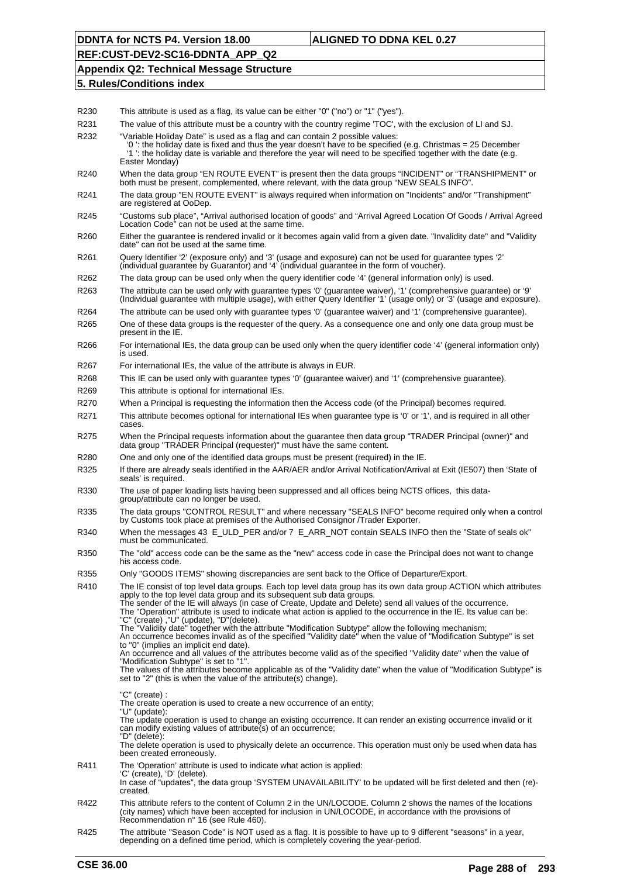## **REF:CUST-DEV2-SC16-DDNTA\_APP\_Q2**

#### **Appendix Q2: Technical Message Structure**

| R230             | This attribute is used as a flag, its value can be either "0" ("no") or "1" ("yes").                                                                                                                                                                                                                                                                                                                                                                                                                                                                                                                                                                                                                                                                |
|------------------|-----------------------------------------------------------------------------------------------------------------------------------------------------------------------------------------------------------------------------------------------------------------------------------------------------------------------------------------------------------------------------------------------------------------------------------------------------------------------------------------------------------------------------------------------------------------------------------------------------------------------------------------------------------------------------------------------------------------------------------------------------|
| R231             | The value of this attribute must be a country with the country regime 'TOC', with the exclusion of LI and SJ.                                                                                                                                                                                                                                                                                                                                                                                                                                                                                                                                                                                                                                       |
| R232             | "Variable Holiday Date" is used as a flag and can contain 2 possible values:<br>'0': the holiday date is fixed and thus the year doesn't have to be specified (e.g. Christmas = 25 December<br>'1' the holiday date is variable and therefore the year will need to be specified together with the date (e.g.<br>Easter Monday)                                                                                                                                                                                                                                                                                                                                                                                                                     |
| R <sub>240</sub> | When the data group "EN ROUTE EVENT" is present then the data groups "INCIDENT" or "TRANSHIPMENT" or<br>both must be present, complemented, where relevant, with the data group "NEW SEALS INFO".                                                                                                                                                                                                                                                                                                                                                                                                                                                                                                                                                   |
| R <sub>241</sub> | The data group "EN ROUTE EVENT" is always required when information on "Incidents" and/or "Transhipment"<br>are registered at OoDep.                                                                                                                                                                                                                                                                                                                                                                                                                                                                                                                                                                                                                |
| R <sub>245</sub> | "Customs sub place", "Arrival authorised location of goods" and "Arrival Agreed Location Of Goods / Arrival Agreed<br>Location Code" can not be used at the same time.                                                                                                                                                                                                                                                                                                                                                                                                                                                                                                                                                                              |
| R <sub>260</sub> | Either the guarantee is rendered invalid or it becomes again valid from a given date. "Invalidity date" and "Validity<br>date" can not be used at the same time.                                                                                                                                                                                                                                                                                                                                                                                                                                                                                                                                                                                    |
| R <sub>261</sub> | Query Identifier '2' (exposure only) and '3' (usage and exposure) can not be used for guarantee types '2' (individual guarantee by Guarantor) and '4' (individual guarantee by Guarantor) and '4' (individual guarantee by Gua                                                                                                                                                                                                                                                                                                                                                                                                                                                                                                                      |
| R262             | The data group can be used only when the query identifier code '4' (general information only) is used.                                                                                                                                                                                                                                                                                                                                                                                                                                                                                                                                                                                                                                              |
| R <sub>263</sub> | The attribute can be used only with guarantee types '0' (guarantee waiver), '1' (comprehensive guarantee) or '9'<br>(Individual guarantee with multiple usage), with either Query Identifier '1' (usage only) or '3' (usage and exposure).                                                                                                                                                                                                                                                                                                                                                                                                                                                                                                          |
| R <sub>264</sub> | The attribute can be used only with guarantee types '0' (guarantee waiver) and '1' (comprehensive guarantee).                                                                                                                                                                                                                                                                                                                                                                                                                                                                                                                                                                                                                                       |
| R <sub>265</sub> | One of these data groups is the requester of the query. As a consequence one and only one data group must be<br>present in the IE.                                                                                                                                                                                                                                                                                                                                                                                                                                                                                                                                                                                                                  |
| R266             | For international IEs, the data group can be used only when the query identifier code '4' (general information only)<br>is used.                                                                                                                                                                                                                                                                                                                                                                                                                                                                                                                                                                                                                    |
| R267             | For international IEs, the value of the attribute is always in EUR.                                                                                                                                                                                                                                                                                                                                                                                                                                                                                                                                                                                                                                                                                 |
| R <sub>268</sub> | This IE can be used only with guarantee types '0' (guarantee waiver) and '1' (comprehensive guarantee).                                                                                                                                                                                                                                                                                                                                                                                                                                                                                                                                                                                                                                             |
| R <sub>269</sub> | This attribute is optional for international IEs.                                                                                                                                                                                                                                                                                                                                                                                                                                                                                                                                                                                                                                                                                                   |
| R270             | When a Principal is requesting the information then the Access code (of the Principal) becomes required.                                                                                                                                                                                                                                                                                                                                                                                                                                                                                                                                                                                                                                            |
| R271             | This attribute becomes optional for international IEs when guarantee type is '0' or '1', and is required in all other<br>cases.                                                                                                                                                                                                                                                                                                                                                                                                                                                                                                                                                                                                                     |
| R <sub>275</sub> | When the Principal requests information about the guarantee then data group "TRADER Principal (owner)" and<br>data group "TRADER Principal (requester)" must have the same content.                                                                                                                                                                                                                                                                                                                                                                                                                                                                                                                                                                 |
| R280             | One and only one of the identified data groups must be present (required) in the IE.                                                                                                                                                                                                                                                                                                                                                                                                                                                                                                                                                                                                                                                                |
| R325             | If there are already seals identified in the AAR/AER and/or Arrival Notification/Arrival at Exit (IE507) then 'State of<br>seals' is required.                                                                                                                                                                                                                                                                                                                                                                                                                                                                                                                                                                                                      |
| R330             | The use of paper loading lists having been suppressed and all offices being NCTS offices, this data-<br>group/attribute can no longer be used.                                                                                                                                                                                                                                                                                                                                                                                                                                                                                                                                                                                                      |
| R335             | The data groups "CONTROL RESULT" and where necessary "SEALS INFO" become required only when a control<br>by Customs took place at premises of the Authorised Consignor /Trader Exporter.                                                                                                                                                                                                                                                                                                                                                                                                                                                                                                                                                            |
| R340             | When the messages 43 E_ULD_PER and/or 7 E_ARR_NOT contain SEALS INFO then the "State of seals ok"<br>must be communicated.                                                                                                                                                                                                                                                                                                                                                                                                                                                                                                                                                                                                                          |
| R350             | The "old" access code can be the same as the "new" access code in case the Principal does not want to change<br>his access code.                                                                                                                                                                                                                                                                                                                                                                                                                                                                                                                                                                                                                    |
| R355             | Only "GOODS ITEMS" showing discrepancies are sent back to the Office of Departure/Export.                                                                                                                                                                                                                                                                                                                                                                                                                                                                                                                                                                                                                                                           |
| R410             | The IE consist of top level data groups. Each top level data group has its own data group ACTION which attributes<br>apply to the top level data group and its subsequent sub data groups.<br>The sender of the IE will always (in case of Create, Update and Delete) send all values of the occurrence.<br>The "Operation" attribute is used to indicate what action is applied to the occurrence in the IE. Its value can be:<br>"C" (create), "U" (update), "D"(delete).<br>The "Validity date" together with the attribute "Modification Subtype" allow the following mechanism;<br>An occurrence becomes invalid as of the specified "Validity date" when the value of "Modification Subtype" is set<br>to "0" (implies an implicit end date). |
|                  | An occurrence and all values of the attributes become valid as of the specified "Validity date" when the value of                                                                                                                                                                                                                                                                                                                                                                                                                                                                                                                                                                                                                                   |
|                  | "Modification Subtype" is set to "1".<br>The values of the attributes become applicable as of the "Validity date" when the value of "Modification Subtype" is<br>set to "2" (this is when the value of the attribute(s) change).                                                                                                                                                                                                                                                                                                                                                                                                                                                                                                                    |
|                  | "C" (create) :                                                                                                                                                                                                                                                                                                                                                                                                                                                                                                                                                                                                                                                                                                                                      |
|                  | The create operation is used to create a new occurrence of an entity;<br>"U" (update):                                                                                                                                                                                                                                                                                                                                                                                                                                                                                                                                                                                                                                                              |
|                  | The update operation is used to change an existing occurrence. It can render an existing occurrence invalid or it<br>can modify existing values of attribute(s) of an occurrence;                                                                                                                                                                                                                                                                                                                                                                                                                                                                                                                                                                   |
|                  | "D" (delete):<br>The delete operation is used to physically delete an occurrence. This operation must only be used when data has<br>been created erroneously.                                                                                                                                                                                                                                                                                                                                                                                                                                                                                                                                                                                       |
| R411             | The 'Operation' attribute is used to indicate what action is applied:<br>'C' (create), 'D' (delete).<br>In case of "updates", the data group 'SYSTEM UNAVAILABILITY' to be updated will be first deleted and then (re)-                                                                                                                                                                                                                                                                                                                                                                                                                                                                                                                             |
| R422             | created.<br>This attribute refers to the content of Column 2 in the UN/LOCODE. Column 2 shows the names of the locations<br>(city names) which have been accepted for inclusion in UN/LOCODE, in accordance with the provisions of                                                                                                                                                                                                                                                                                                                                                                                                                                                                                                                  |
| R425             | Recommendation n° 16 (see Rule 460).<br>The attribute "Season Code" is NOT used as a flag. It is possible to have up to 9 different "seasons" in a year,<br>depending on a defined time period, which is completely covering the year-period.                                                                                                                                                                                                                                                                                                                                                                                                                                                                                                       |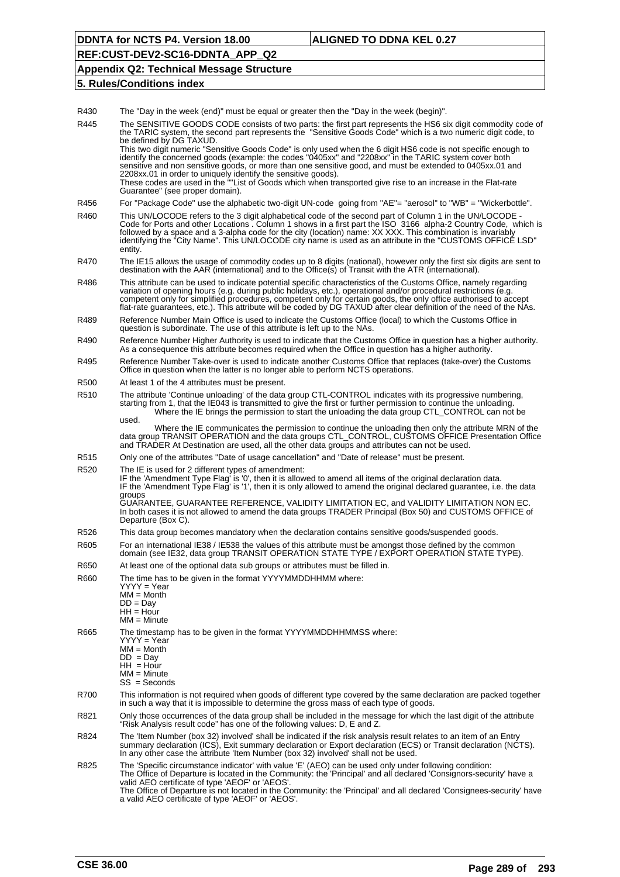**REF:CUST-DEV2-SC16-DDNTA\_APP\_Q2**

### **Appendix Q2: Technical Message Structure**

#### **5. Rules/Conditions index**

R430 The "Day in the week (end)" must be equal or greater then the "Day in the week (begin)".

R445 The SENSITIVE GOODS CODE consists of two parts: the first part represents the HS6 six digit commodity code of the TARIC system, the second part represents the "Sensitive Goods Code" which is a two numeric digit code, to be defined by DG TAXUD. This two digit numeric "Sensitive Goods Code" is only used when the 6 digit HS6 code is not specific enough to identify the concerned goods (example: the codes "0405xx" and "2208xx" in the TARIC system cover both sensitive and non sensitive goods, or more than one sensitive good, and must be extended to 0405xx.01 and 2208xx.01 in order to uniquely identify the sensitive goods). These codes are used in the ""List of Goods which when transported give rise to an increase in the Flat-rate Guarantee" (see proper domain). R456 For "Package Code" use the alphabetic two-digit UN-code going from "AE"= "aerosol" to "WB" = "Wickerbottle". R460 This UN/LOCODE refers to the 3 digit alphabetical code of the second part of Column 1 in the UN/LOCODE Code for Ports and other Locations . Column 1 shows in a first part the ISO 3166 alpha-2 Country Code, which is followed by a space and a 3-alpha code for the city (location) name: XX XXX. This combination is invariably identifying the "City Name". This UN/LOCODE city name is used as an attribute in the "CUSTOMS OFFICE LSD" entity. R470 The IE15 allows the usage of commodity codes up to 8 digits (national), however only the first six digits are sent to destination with the AAR (international) and to the Office(s) of Transit with the ATR (international). R486 This attribute can be used to indicate potential specific characteristics of the Customs Office, namely regarding variation of opening hours (e.g. during public holidays, etc.), operational and/or procedural restrictions (e.g. competent only for simplified procedures, competent only for certain goods, the only office authorised to accept flat-rate guarantees, etc.). This attribute will be coded by DG TAXUD after clear definition of the need of the NAs. R489 Reference Number Main Office is used to indicate the Customs Office (local) to which the Customs Office in question is subordinate. The use of this attribute is left up to the NAs. R490 Reference Number Higher Authority is used to indicate that the Customs Office in question has a higher authority. As a consequence this attribute becomes required when the Office in question has a higher authority. R495 Reference Number Take-over is used to indicate another Customs Office that replaces (take-over) the Customs Office in question when the latter is no longer able to perform NCTS operations. R500 At least 1 of the 4 attributes must be present. R510 The attribute 'Continue unloading' of the data group CTL-CONTROL indicates with its progressive numbering, starting from 1, that the IE043 is transmitted to give the first or further permission to continue the unloading. Where the IE brings the permission to start the unloading the data group CTL\_CONTROL can not be used. Where the IE communicates the permission to continue the unloading then only the attribute MRN of the data group TRANSIT OPERATION and the data groups CTL\_CONTROL, CUSTOMS OFFICE Presentation Office and TRADER At Destination are used, all the other data groups and attributes can not be used. R515 Only one of the attributes "Date of usage cancellation" and "Date of release" must be present. R520 The IE is used for 2 different types of amendment: IF the 'Amendment Type Flag' is '0', then it is allowed to amend all items of the original declaration data. IF the 'Amendment Type Flag' is '1', then it is only allowed to amend the original declared guarantee, i.e. the data groups GUARANTEE, GUARANTEE REFERENCE, VALIDITY LIMITATION EC, and VALIDITY LIMITATION NON EC. In both cases it is not allowed to amend the data groups TRADER Principal (Box 50) and CUSTOMS OFFICE of Departure (Box C). R526 This data group becomes mandatory when the declaration contains sensitive goods/suspended goods. R605 For an international IE38 / IE538 the values of this attribute must be amongst those defined by the common domain (see IE32, data group TRANSIT OPERATION STATE TYPE / EXPORT OPERATION STATE TYPE). R650 At least one of the optional data sub groups or attributes must be filled in. R660 The time has to be given in the format YYYYMMDDHHMM where: YYYY = Year MM = Month  $DD = Day$  $HH = Hour$ MM = Minute R665 The timestamp has to be given in the format YYYYMMDDHHMMSS where: YYYY = Year MM = Month  $DD = Day$  $HH = Hour$ MM = Minute SS = Seconds R700 This information is not required when goods of different type covered by the same declaration are packed together in such a way that it is impossible to determine the gross mass of each type of goods. R821 Only those occurrences of the data group shall be included in the message for which the last digit of the attribute "Risk Analysis result code" has one of the following values: D, E and Z. R824 The 'Item Number (box 32) involved' shall be indicated if the risk analysis result relates to an item of an Entry summary declaration (ICS), Exit summary declaration or Export declaration (ECS) or Transit declaration (NCTS). In any other case the attribute 'Item Number (box 32) involved' shall not be used. R825 The 'Specific circumstance indicator' with value 'E' (AEO) can be used only under following condition: The Office of Departure is located in the Community: the 'Principal' and all declared 'Consignors-security' have a valid AEO certificate of type 'AEOF' or 'AEOS'. The Office of Departure is not located in the Community: the 'Principal' and all declared 'Consignees-security' have a valid AEO certificate of type 'AEOF' or 'AEOS'.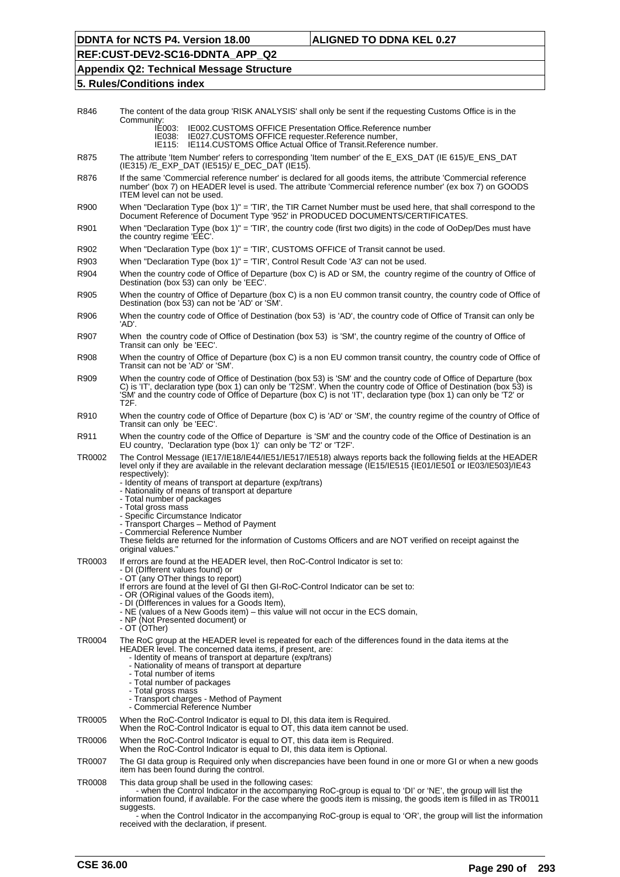# **REF:CUST-DEV2-SC16-DDNTA\_APP\_Q2**

## **Appendix Q2: Technical Message Structure**

| R846   | The content of the data group 'RISK ANALYSIS' shall only be sent if the requesting Customs Office is in the<br>Community:                                                                                                                                                                                                                                                                                                                                                                                                                                                                                                                                                      |
|--------|--------------------------------------------------------------------------------------------------------------------------------------------------------------------------------------------------------------------------------------------------------------------------------------------------------------------------------------------------------------------------------------------------------------------------------------------------------------------------------------------------------------------------------------------------------------------------------------------------------------------------------------------------------------------------------|
|        | <b>IE002.CUSTOMS OFFICE Presentation Office.Reference number</b><br>IE003:<br>IE027.CUSTOMS OFFICE requester.Reference number,<br>IE038:<br>IE115:<br><b>IE114.CUSTOMS Office Actual Office of Transit.Reference number.</b>                                                                                                                                                                                                                                                                                                                                                                                                                                                   |
| R875   | The attribute 'Item Number' refers to corresponding 'Item number' of the E_EXS_DAT (IE 615)/E_ENS_DAT<br>(IE315) /E EXP DAT (IE515)/ E DEC DAT (IE15).                                                                                                                                                                                                                                                                                                                                                                                                                                                                                                                         |
| R876   | If the same 'Commercial reference number' is declared for all goods items, the attribute 'Commercial reference<br>number' (box 7) on HEADER level is used. The attribute 'Commercial reference number' (ex box 7) on GOODS<br>ITEM level can not be used.                                                                                                                                                                                                                                                                                                                                                                                                                      |
| R900   | When "Declaration Type (box 1)" = 'TIR', the TIR Carnet Number must be used here, that shall correspond to the<br>Document Reference of Document Type '952' in PRODUCED DOCUMENTS/CERTIFICATES.                                                                                                                                                                                                                                                                                                                                                                                                                                                                                |
| R901   | When "Declaration Type (box 1)" = 'TIR', the country code (first two digits) in the code of OoDep/Des must have<br>the country regime 'EEC'.                                                                                                                                                                                                                                                                                                                                                                                                                                                                                                                                   |
| R902   | When "Declaration Type (box 1)" = 'TIR', CUSTOMS OFFICE of Transit cannot be used.                                                                                                                                                                                                                                                                                                                                                                                                                                                                                                                                                                                             |
| R903   | When "Declaration Type (box 1)" = 'TIR', Control Result Code 'A3' can not be used.                                                                                                                                                                                                                                                                                                                                                                                                                                                                                                                                                                                             |
| R904   | When the country code of Office of Departure (box C) is AD or SM, the country regime of the country of Office of<br>Destination (box 53) can only be 'EEC'.                                                                                                                                                                                                                                                                                                                                                                                                                                                                                                                    |
| R905   | When the country of Office of Departure (box C) is a non EU common transit country, the country code of Office of<br>Destination (box 53) can not be 'AD' or 'SM'.                                                                                                                                                                                                                                                                                                                                                                                                                                                                                                             |
| R906   | When the country code of Office of Destination (box 53) is 'AD', the country code of Office of Transit can only be<br>'AD'.                                                                                                                                                                                                                                                                                                                                                                                                                                                                                                                                                    |
| R907   | When the country code of Office of Destination (box 53) is 'SM', the country regime of the country of Office of<br>Transit can only be 'EEC'.                                                                                                                                                                                                                                                                                                                                                                                                                                                                                                                                  |
| R908   | When the country of Office of Departure (box C) is a non EU common transit country, the country code of Office of<br>Transit can not be 'AD' or 'SM'.                                                                                                                                                                                                                                                                                                                                                                                                                                                                                                                          |
| R909   | When the country code of Office of Destination (box 53) is 'SM' and the country code of Office of Departure (box<br>C) is 'IT', declaration type (box 1) can only be 'T2SM'. When the country code of Office of Destination (box 53) is<br>'SM' and the country code of Office of Departure (box C) is not 'IT', declaration type (box 1) can only be 'T2' or<br>T2F.                                                                                                                                                                                                                                                                                                          |
| R910   | When the country code of Office of Departure (box C) is 'AD' or 'SM', the country regime of the country of Office of<br>Transit can only be 'EEC'.                                                                                                                                                                                                                                                                                                                                                                                                                                                                                                                             |
| R911   | When the country code of the Office of Departure is 'SM' and the country code of the Office of Destination is an<br>EU country, 'Declaration type (box 1)' can only be 'T2' or 'T2F'.                                                                                                                                                                                                                                                                                                                                                                                                                                                                                          |
| TR0002 | The Control Message (IE17/IE18/IE44/IE51/IE517/IE518) always reports back the following fields at the HEADER<br>level only if they are available in the relevant declaration message (IE15/IE515 {IE01/IE501 or IE03/IE503}/IE43<br>respectively):<br>- Identity of means of transport at departure (exp/trans)<br>- Nationality of means of transport at departure<br>- Total number of packages<br>- Total gross mass<br>- Specific Circumstance Indicator<br>- Transport Charges - Method of Payment<br>- Commercial Reference Number<br>These fields are returned for the information of Customs Officers and are NOT verified on receipt against the<br>original values." |
| TR0003 | If errors are found at the HEADER level, then RoC-Control Indicator is set to:<br>- DI (Different values found) or<br>- OT (any OTher things to report)<br>If errors are found at the level of GI then GI-RoC-Control Indicator can be set to:<br>- OR (ORiginal values of the Goods item),<br>- DI (Differences in values for a Goods Item),<br>- NE (values of a New Goods item) – this value will not occur in the ECS domain,<br>- NP (Not Presented document) or<br>- OT (OTher)                                                                                                                                                                                          |
| TR0004 | The RoC group at the HEADER level is repeated for each of the differences found in the data items at the<br>HEADER level. The concerned data items, if present, are:<br>- Identity of means of transport at departure (exp/trans)<br>- Nationality of means of transport at departure<br>- Total number of items<br>- Total number of packages<br>- Total gross mass<br>- Transport charges - Method of Payment<br>- Commercial Reference Number                                                                                                                                                                                                                               |
| TR0005 | When the RoC-Control Indicator is equal to DI, this data item is Required.<br>When the RoC-Control Indicator is equal to OT, this data item cannot be used.                                                                                                                                                                                                                                                                                                                                                                                                                                                                                                                    |
| TR0006 | When the RoC-Control Indicator is equal to OT, this data item is Required.<br>When the RoC-Control Indicator is equal to DI, this data item is Optional.                                                                                                                                                                                                                                                                                                                                                                                                                                                                                                                       |
| TR0007 | The GI data group is Required only when discrepancies have been found in one or more GI or when a new goods<br>item has been found during the control.                                                                                                                                                                                                                                                                                                                                                                                                                                                                                                                         |
| TR0008 | This data group shall be used in the following cases:<br>- when the Control Indicator in the accompanying RoC-group is equal to 'DI' or 'NE', the group will list the<br>information found, if available. For the case where the goods item is missing, the goods item is filled in as TR0011<br>suggests.<br>- when the Control Indicator in the accompanying RoC-group is equal to 'OR', the group will list the information<br>received with the declaration, if present.                                                                                                                                                                                                   |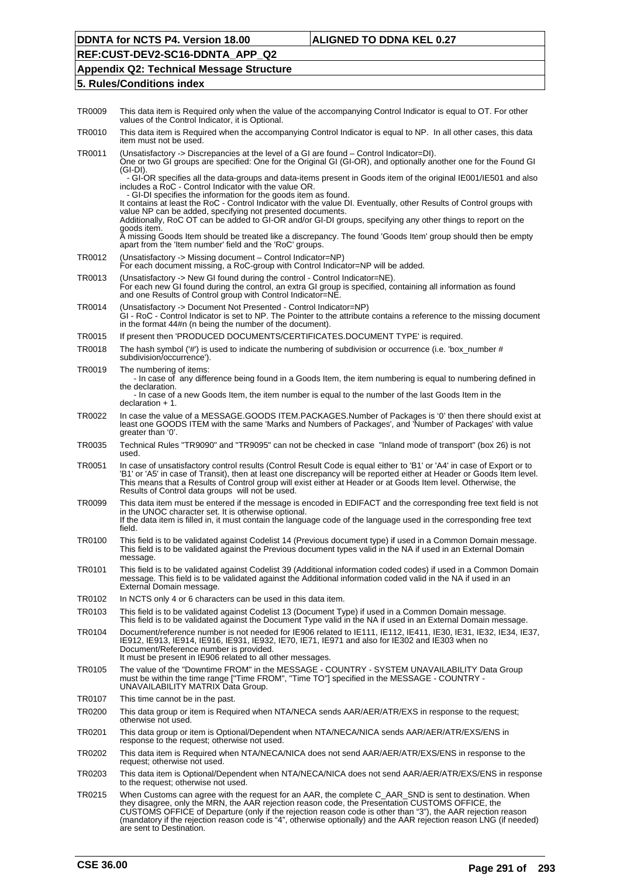# **REF:CUST-DEV2-SC16-DDNTA\_APP\_Q2**

## **Appendix Q2: Technical Message Structure**

| TR0009 | This data item is Required only when the value of the accompanying Control Indicator is equal to OT. For other<br>values of the Control Indicator, it is Optional.                                                                                                                                                                                                                                                                                                           |
|--------|------------------------------------------------------------------------------------------------------------------------------------------------------------------------------------------------------------------------------------------------------------------------------------------------------------------------------------------------------------------------------------------------------------------------------------------------------------------------------|
| TR0010 | This data item is Required when the accompanying Control Indicator is equal to NP. In all other cases, this data<br>item must not be used.                                                                                                                                                                                                                                                                                                                                   |
| TR0011 | (Unsatisfactory -> Discrepancies at the level of a GI are found – Control Indicator=DI).<br>One or two GI groups are specified: One for the Original GI (GI-OR), and optionally another one for the Found GI<br>(GI-DI).                                                                                                                                                                                                                                                     |
|        | - GI-OR specifies all the data-groups and data-items present in Goods item of the original IE001/IE501 and also<br>includes a RoC - Control Indicator with the value OR.<br>- GI-DI specifies the information for the goods item as found.                                                                                                                                                                                                                                   |
|        | It contains at least the RoC - Control Indicator with the value DI. Eventually, other Results of Control groups with<br>value NP can be added, specifying not presented documents.<br>Additionally, RoC OT can be added to GI-OR and/or GI-DI groups, specifying any other things to report on the                                                                                                                                                                           |
|        | goods item.<br>A missing Goods Item should be treated like a discrepancy. The found 'Goods Item' group should then be empty<br>apart from the 'Item number' field and the 'RoC' groups.                                                                                                                                                                                                                                                                                      |
| TR0012 | (Unsatisfactory -> Missing document – Control Indicator=NP)<br>For each document missing, a RoC-group with Control Indicator=NP will be added.                                                                                                                                                                                                                                                                                                                               |
| TR0013 | (Unsatisfactory -> New GI found during the control - Control Indicator=NE).<br>For each new GI found during the control, an extra GI group is specified, containing all information as found<br>and one Results of Control group with Control Indicator=NE.                                                                                                                                                                                                                  |
| TR0014 | (Unsatisfactory -> Document Not Presented - Control Indicator=NP)<br>GI-RoC-Control Indicator is set to NP. The Pointer to the attribute contains a reference to the missing document<br>in the format 44#n (n being the number of the document).                                                                                                                                                                                                                            |
| TR0015 | If present then 'PRODUCED DOCUMENTS/CERTIFICATES.DOCUMENT TYPE' is required.                                                                                                                                                                                                                                                                                                                                                                                                 |
| TR0018 | The hash symbol ('#') is used to indicate the numbering of subdivision or occurrence (i.e. 'box number #<br>subdivision/occurrence').                                                                                                                                                                                                                                                                                                                                        |
| TR0019 | The numbering of items:<br>- In case of any difference being found in a Goods Item, the item numbering is equal to numbering defined in<br>the declaration.<br>- In case of a new Goods Item, the item number is equal to the number of the last Goods Item in the                                                                                                                                                                                                           |
|        | $declaration + 1.$                                                                                                                                                                                                                                                                                                                                                                                                                                                           |
| TR0022 | In case the value of a MESSAGE.GOODS ITEM.PACKAGES.Number of Packages is '0' then there should exist at<br>least one GOODS ITEM with the same 'Marks and Numbers of Packages', and 'Number of Packages' with value<br>greater than '0'.                                                                                                                                                                                                                                      |
| TR0035 | Technical Rules "TR9090" and "TR9095" can not be checked in case "Inland mode of transport" (box 26) is not<br>used.                                                                                                                                                                                                                                                                                                                                                         |
| TR0051 | In case of unsatisfactory control results (Control Result Code is equal either to 'B1' or 'A4' in case of Export or to<br>'B1' or 'A5' in case of Transit), then at least one discrepancy will be reported either at Header or Goods Item level.<br>This means that a Results of Control group will exist either at Header or at Goods Item level. Otherwise, the<br>Results of Control data groups will not be used.                                                        |
| TR0099 | This data item must be entered if the message is encoded in EDIFACT and the corresponding free text field is not<br>in the UNOC character set. It is otherwise optional.<br>If the data item is filled in, it must contain the language code of the language used in the corresponding free text<br>field.                                                                                                                                                                   |
| TR0100 | This field is to be validated against Codelist 14 (Previous document type) if used in a Common Domain message.<br>This field is to be validated against the Previous document types valid in the NA if used in an External Domain<br>message.                                                                                                                                                                                                                                |
| TR0101 | This field is to be validated against Codelist 39 (Additional information coded codes) if used in a Common Domain<br>message. This field is to be validated against the Additional information coded valid in the NA if used in an<br>External Domain message.                                                                                                                                                                                                               |
| TR0102 | In NCTS only 4 or 6 characters can be used in this data item.                                                                                                                                                                                                                                                                                                                                                                                                                |
| TR0103 | This field is to be validated against Codelist 13 (Document Type) if used in a Common Domain message.<br>This field is to be validated against the Document Type valid in the NA if used in an External Domain message.                                                                                                                                                                                                                                                      |
| TR0104 | Document/reference number is not needed for IE906 related to IE111, IE112, IE411, IE30, IE31, IE32, IE34, IE37,<br>IE912, IE913, IE914, IE916, IE931, IE932, IE70, IE71, IE971 and also for IE302 and IE303 when no<br>Document/Reference number is provided.<br>It must be present in IE906 related to all other messages.                                                                                                                                                  |
| TR0105 | The value of the "Downtime FROM" in the MESSAGE - COUNTRY - SYSTEM UNAVAILABILITY Data Group<br>must be within the time range ["Time FROM", "Time TO"] specified in the MESSAGE - COUNTRY -<br>UNAVAILABILITY MATRIX Data Group.                                                                                                                                                                                                                                             |
| TR0107 | This time cannot be in the past.                                                                                                                                                                                                                                                                                                                                                                                                                                             |
| TR0200 | This data group or item is Required when NTA/NECA sends AAR/AER/ATR/EXS in response to the request;<br>otherwise not used.                                                                                                                                                                                                                                                                                                                                                   |
| TR0201 | This data group or item is Optional/Dependent when NTA/NECA/NICA sends AAR/AER/ATR/EXS/ENS in<br>response to the request; otherwise not used.                                                                                                                                                                                                                                                                                                                                |
| TR0202 | This data item is Required when NTA/NECA/NICA does not send AAR/AER/ATR/EXS/ENS in response to the<br>request; otherwise not used.                                                                                                                                                                                                                                                                                                                                           |
| TR0203 | This data item is Optional/Dependent when NTA/NECA/NICA does not send AAR/AER/ATR/EXS/ENS in response<br>to the request; otherwise not used.                                                                                                                                                                                                                                                                                                                                 |
| TR0215 | When Customs can agree with the request for an AAR, the complete C_AAR_SND is sent to destination. When<br>they disagree, only the MRN, the AAR rejection reason code, the Presentation CUSTOMS OFFICE, the<br>CUSTOMS OFFICE of Departure (only if the rejection reason code is other than "3"), the AAR rejection reason<br>(mandatory if the rejection reason code is "4", otherwise optionally) and the AAR rejection reason LNG (if needed)<br>are sent to Destination. |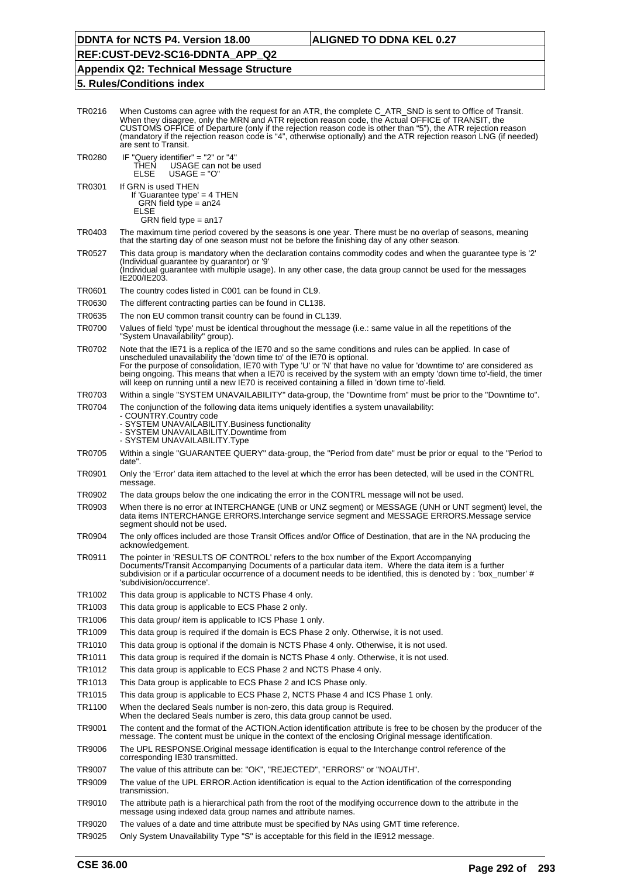# **REF:CUST-DEV2-SC16-DDNTA\_APP\_Q2**

# **Appendix Q2: Technical Message Structure**

| TR0216 | When Customs can agree with the request for an ATR, the complete C_ATR_SND is sent to Office of Transit.<br>When they disagree, only the MRN and ATR rejection reason code, the Actual OFFICE of TRANSIT, the<br>CUSTOMS OFFICE of Departure (only if the rejection reason code is other than "5"), the ATR rejection reason<br>(mandatory if the rejection reason code is "4", otherwise optionally) and the ATR rejection reason LNG (if needed)<br>are sent to Transit.                                                          |
|--------|-------------------------------------------------------------------------------------------------------------------------------------------------------------------------------------------------------------------------------------------------------------------------------------------------------------------------------------------------------------------------------------------------------------------------------------------------------------------------------------------------------------------------------------|
| TR0280 | IF "Query identifier" = "2" or "4"<br>THEN<br>USAGE can not be used<br><b>ELSE</b><br>$USAGE = "O"$                                                                                                                                                                                                                                                                                                                                                                                                                                 |
| TR0301 | If GRN is used THEN<br>If 'Guarantee type' = $4$ THEN<br>GRN field type $=$ an24<br>ELSE                                                                                                                                                                                                                                                                                                                                                                                                                                            |
| TR0403 | GRN field type $=$ an17<br>The maximum time period covered by the seasons is one year. There must be no overlap of seasons, meaning<br>that the starting day of one season must not be before the finishing day of any other season.                                                                                                                                                                                                                                                                                                |
| TR0527 | This data group is mandatory when the declaration contains commodity codes and when the guarantee type is '2'<br>(Individual guarantee by guarantor) or '9'<br>(Individual guarantee with multiple usage). In any other case, the data group cannot be used for the messages<br>IE200/IE203.                                                                                                                                                                                                                                        |
| TR0601 | The country codes listed in C001 can be found in CL9.                                                                                                                                                                                                                                                                                                                                                                                                                                                                               |
| TR0630 | The different contracting parties can be found in CL138.                                                                                                                                                                                                                                                                                                                                                                                                                                                                            |
| TR0635 | The non EU common transit country can be found in CL139.                                                                                                                                                                                                                                                                                                                                                                                                                                                                            |
| TR0700 | Values of field 'type' must be identical throughout the message (i.e.: same value in all the repetitions of the<br>"System Unavailability" group).                                                                                                                                                                                                                                                                                                                                                                                  |
| TR0702 | Note that the IE71 is a replica of the IE70 and so the same conditions and rules can be applied. In case of<br>unscheduled unavailability the 'down time to' of the IE70 is optional.<br>For the purpose of consolidation, IE70 with Type 'U' or 'N' that have no value for 'downtime to' are considered as<br>being ongoing. This means that when a IE70 is received by the system with an empty 'down time to'-field, the timer<br>will keep on running until a new IE70 is received containing a filled in 'down time to'-field. |
| TR0703 | Within a single "SYSTEM UNAVAILABILITY" data-group, the "Downtime from" must be prior to the "Downtime to".                                                                                                                                                                                                                                                                                                                                                                                                                         |
| TR0704 | The conjunction of the following data items uniquely identifies a system unavailability:<br>- COUNTRY.Country code<br>- SYSTEM UNAVAILABILITY.Business functionality<br>- SYSTEM UNAVAILABILITY.Downtime from<br>- SYSTEM UNAVAILABILITY.Type                                                                                                                                                                                                                                                                                       |
| TR0705 | Within a single "GUARANTEE QUERY" data-group, the "Period from date" must be prior or equal to the "Period to<br>date".                                                                                                                                                                                                                                                                                                                                                                                                             |
| TR0901 | Only the 'Error' data item attached to the level at which the error has been detected, will be used in the CONTRL<br>message.                                                                                                                                                                                                                                                                                                                                                                                                       |
| TR0902 | The data groups below the one indicating the error in the CONTRL message will not be used.                                                                                                                                                                                                                                                                                                                                                                                                                                          |
| TR0903 | When there is no error at INTERCHANGE (UNB or UNZ segment) or MESSAGE (UNH or UNT segment) level, the<br>data items INTERCHANGE ERRORS.Interchange service segment and MESSAGE ERRORS.Message service<br>segment should not be used.                                                                                                                                                                                                                                                                                                |
| TR0904 | The only offices included are those Transit Offices and/or Office of Destination, that are in the NA producing the<br>acknowledgement.                                                                                                                                                                                                                                                                                                                                                                                              |
| TR0911 | The pointer in 'RESULTS OF CONTROL' refers to the box number of the Export Accompanying<br>Documents/Transit Accompanying Documents of a particular data item. Where the data item is a further<br>subdivision or if a particular occurrence of a document needs to be identified, this is denoted by : 'box_number' #<br>'subdivision/occurrence'.                                                                                                                                                                                 |
| TR1002 | This data group is applicable to NCTS Phase 4 only.                                                                                                                                                                                                                                                                                                                                                                                                                                                                                 |
| TR1003 | This data group is applicable to ECS Phase 2 only.                                                                                                                                                                                                                                                                                                                                                                                                                                                                                  |
| TR1006 | This data group/ item is applicable to ICS Phase 1 only.                                                                                                                                                                                                                                                                                                                                                                                                                                                                            |
| TR1009 | This data group is required if the domain is ECS Phase 2 only. Otherwise, it is not used.                                                                                                                                                                                                                                                                                                                                                                                                                                           |
| TR1010 | This data group is optional if the domain is NCTS Phase 4 only. Otherwise, it is not used.                                                                                                                                                                                                                                                                                                                                                                                                                                          |
| TR1011 | This data group is required if the domain is NCTS Phase 4 only. Otherwise, it is not used.                                                                                                                                                                                                                                                                                                                                                                                                                                          |
| TR1012 | This data group is applicable to ECS Phase 2 and NCTS Phase 4 only.                                                                                                                                                                                                                                                                                                                                                                                                                                                                 |
| TR1013 | This Data group is applicable to ECS Phase 2 and ICS Phase only.                                                                                                                                                                                                                                                                                                                                                                                                                                                                    |
| TR1015 | This data group is applicable to ECS Phase 2, NCTS Phase 4 and ICS Phase 1 only.                                                                                                                                                                                                                                                                                                                                                                                                                                                    |
| TR1100 | When the declared Seals number is non-zero, this data group is Required.<br>When the declared Seals number is zero, this data group cannot be used.                                                                                                                                                                                                                                                                                                                                                                                 |
| TR9001 | The content and the format of the ACTION.Action identification attribute is free to be chosen by the producer of the<br>message. The content must be unique in the context of the enclosing Original message identification.                                                                                                                                                                                                                                                                                                        |
| TR9006 | The UPL RESPONSE. Original message identification is equal to the Interchange control reference of the<br>corresponding IE30 transmitted.                                                                                                                                                                                                                                                                                                                                                                                           |
| TR9007 | The value of this attribute can be: "OK", "REJECTED", "ERRORS" or "NOAUTH".                                                                                                                                                                                                                                                                                                                                                                                                                                                         |
| TR9009 | The value of the UPL ERROR.Action identification is equal to the Action identification of the corresponding<br>transmission.                                                                                                                                                                                                                                                                                                                                                                                                        |
| TR9010 | The attribute path is a hierarchical path from the root of the modifying occurrence down to the attribute in the<br>message using indexed data group names and attribute names.                                                                                                                                                                                                                                                                                                                                                     |
| TR9020 | The values of a date and time attribute must be specified by NAs using GMT time reference.                                                                                                                                                                                                                                                                                                                                                                                                                                          |
| TR9025 | Only System Unavailability Type "S" is acceptable for this field in the IE912 message.                                                                                                                                                                                                                                                                                                                                                                                                                                              |